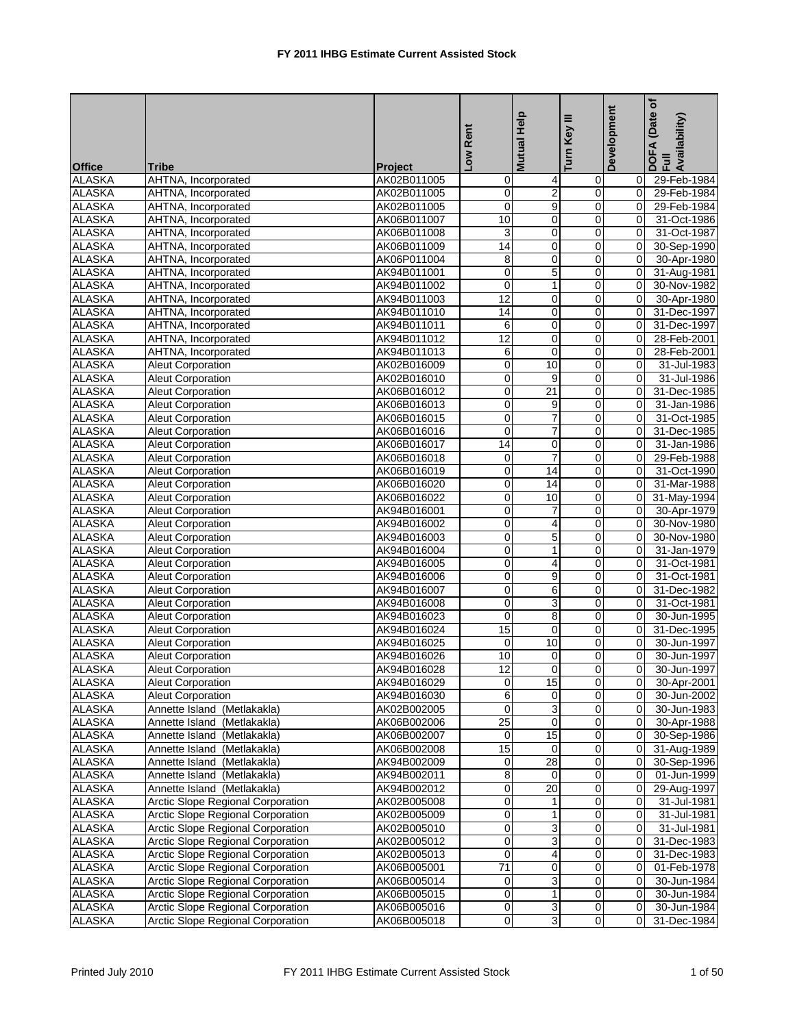| <b>Office</b><br><b>Tribe</b>                                               | Project                    | Low Rent                       | <b>Mutual Help</b>  | Ξ<br>Turn Key    | Development                | (Date of<br>DOFA (Date<br>Full<br>Availability) |
|-----------------------------------------------------------------------------|----------------------------|--------------------------------|---------------------|------------------|----------------------------|-------------------------------------------------|
| <b>ALASKA</b><br>AHTNA, Incorporated                                        | AK02B011005                | 0                              | 4                   | 0                | 0                          | 29-Feb-1984                                     |
| <b>ALASKA</b><br>AHTNA, Incorporated                                        | AK02B011005                | $\mathsf{O}\xspace$            | $\overline{2}$      | $\mathbf 0$      | $\mathbf 0$                | 29-Feb-1984                                     |
| <b>ALASKA</b><br>AHTNA, Incorporated                                        | AK02B011005                | $\mathbf 0$                    | 9                   | 0                | $\Omega$                   | 29-Feb-1984                                     |
| <b>ALASKA</b><br>AHTNA, Incorporated                                        | AK06B011007                | 10                             | 0                   | 0                | 0                          | 31-Oct-1986                                     |
| <b>ALASKA</b><br>AHTNA, Incorporated                                        | AK06B011008                | 3                              | 0                   | $\mathbf 0$      | 0                          | 31-Oct-1987                                     |
| <b>ALASKA</b><br>AHTNA, Incorporated                                        | AK06B011009                | 14                             | 0                   | 0                | $\mathbf 0$                | 30-Sep-1990                                     |
| <b>ALASKA</b><br>AHTNA, Incorporated                                        | AK06P011004                | 8                              | $\overline{0}$      | $\mathbf 0$      | 0                          | 30-Apr-1980                                     |
| <b>ALASKA</b><br>AHTNA, Incorporated                                        | AK94B011001                | $\mathbf 0$                    | 5                   | 0                | $\mathbf 0$                | 31-Aug-1981                                     |
| <b>ALASKA</b><br>AHTNA, Incorporated                                        | AK94B011002                | $\mathbf 0$                    | 1                   | $\mathbf 0$      | 0                          | 30-Nov-1982                                     |
| <b>ALASKA</b><br>AHTNA, Incorporated                                        | AK94B011003                | 12                             | 0                   | 0                | 0                          | 30-Apr-1980                                     |
| <b>ALASKA</b><br>AHTNA, Incorporated                                        | AK94B011010                | 14                             | 0                   | $\pmb{0}$        | $\Omega$                   | 31-Dec-1997                                     |
| <b>ALASKA</b><br>AHTNA, Incorporated                                        | AK94B011011                | 6                              | 0                   | $\mathbf 0$      | 0                          | 31-Dec-1997                                     |
| <b>ALASKA</b><br>AHTNA, Incorporated                                        | AK94B011012                | $\overline{12}$                | 0                   | 0                | $\overline{0}$             | 28-Feb-2001                                     |
| <b>ALASKA</b><br>AHTNA, Incorporated                                        | AK94B011013                | 6                              | 0                   | $\mathbf 0$      | 0                          | 28-Feb-2001                                     |
| <b>ALASKA</b><br><b>Aleut Corporation</b>                                   | AK02B016009                | $\overline{0}$                 | 10                  | $\mathbf 0$      | $\mathbf 0$                | 31-Jul-1983                                     |
| <b>ALASKA</b><br><b>Aleut Corporation</b>                                   | AK02B016010                | $\mathbf 0$                    | 9                   | $\mathbf 0$      | 0                          | 31-Jul-1986                                     |
| <b>ALASKA</b><br><b>Aleut Corporation</b>                                   | AK06B016012                | $\mathsf{O}\xspace$            | $\overline{21}$     | $\mathbf 0$      | $\Omega$                   | 31-Dec-1985                                     |
| <b>ALASKA</b><br><b>Aleut Corporation</b>                                   | AK06B016013                | $\mathbf 0$                    | 9                   | $\mathbf 0$      | 0                          | 31-Jan-1986                                     |
| <b>ALASKA</b><br><b>Aleut Corporation</b>                                   | AK06B016015                | $\mathbf 0$                    | 7                   | 0                | $\mathbf 0$                | 31-Oct-1985                                     |
| <b>ALASKA</b><br><b>Aleut Corporation</b>                                   | AK06B016016                | $\mathbf 0$                    | 7                   | $\mathbf 0$      | $\Omega$                   | 31-Dec-1985                                     |
| <b>ALASKA</b><br><b>Aleut Corporation</b>                                   | AK06B016017                | 14                             | 0                   | $\mathbf 0$      | $\Omega$                   | 31-Jan-1986                                     |
| <b>ALASKA</b><br><b>Aleut Corporation</b>                                   | AK06B016018                | $\mathbf 0$                    | $\overline{7}$      | $\pmb{0}$        | $\mathbf 0$                | 29-Feb-1988                                     |
| <b>ALASKA</b><br><b>Aleut Corporation</b>                                   | AK06B016019                | 0                              | $\overline{14}$     | 0                | $\Omega$                   | 31-Oct-1990                                     |
| <b>ALASKA</b><br>Aleut Corporation                                          | AK06B016020                | $\mathbf 0$                    | 14                  | $\mathbf 0$      | 0                          | 31-Mar-1988                                     |
| <b>ALASKA</b><br><b>Aleut Corporation</b>                                   | AK06B016022                | $\overline{0}$                 | 10                  | $\mathbf 0$      | $\mathbf 0$                | 31-May-1994                                     |
| <b>ALASKA</b><br><b>Aleut Corporation</b>                                   | AK94B016001                | $\mathbf 0$                    | 7                   | 0                | 0                          | 30-Apr-1979                                     |
| <b>ALASKA</b><br><b>Aleut Corporation</b>                                   | AK94B016002                | $\mathsf{O}\xspace$            | 4                   | 0                | $\Omega$                   | 30-Nov-1980                                     |
| <b>ALASKA</b><br><b>Aleut Corporation</b>                                   | AK94B016003                | $\mathbf 0$                    | 5                   | 0                | $\mathbf 0$                | 30-Nov-1980                                     |
| <b>ALASKA</b><br><b>Aleut Corporation</b>                                   | AK94B016004                | $\mathbf 0$                    | 1                   | $\pmb{0}$        | $\mathbf 0$                | 31-Jan-1979                                     |
| <b>ALASKA</b><br><b>Aleut Corporation</b>                                   | AK94B016005                | $\pmb{0}$                      | 4                   | $\mathbf 0$      | $\Omega$                   | 31-Oct-1981                                     |
| <b>ALASKA</b><br><b>Aleut Corporation</b>                                   | AK94B016006                | 0                              | 9                   | 0                | 0                          | 31-Oct-1981                                     |
| <b>ALASKA</b><br><b>Aleut Corporation</b>                                   | AK94B016007                | $\mathsf{O}\xspace$            | 6                   | $\boldsymbol{0}$ | $\mathbf 0$                | 31-Dec-1982                                     |
| <b>ALASKA</b><br><b>Aleut Corporation</b>                                   | AK94B016008                | $\mathbf 0$                    | 3                   | 0                | $\Omega$                   | 31-Oct-1981                                     |
| <b>ALASKA</b><br><b>Aleut Corporation</b>                                   | AK94B016023                | $\mathbf 0$                    | 8                   | 0                | 0                          | 30-Jun-1995                                     |
| <b>ALASKA</b><br><b>Aleut Corporation</b>                                   | AK94B016024                | 15                             | 0                   | $\mathbf 0$      | 0                          | 31-Dec-1995                                     |
| <b>ALASKA</b><br><b>Aleut Corporation</b><br><b>ALASKA</b>                  | AK94B016025                | $\mathbf 0$                    | 10                  | 0                | $\Omega$<br>$\Omega$       | 30-Jun-1997                                     |
| <b>Aleut Corporation</b><br><b>ALASKA</b>                                   | AK94B016026                | 10                             | 0<br>0              | 0<br>0           | $\Omega$                   | 30-Jun-1997<br>30-Jun-1997                      |
| <b>Aleut Corporation</b>                                                    | AK94B016028                | $\overline{12}$                |                     |                  |                            |                                                 |
| <b>ALASKA</b><br><b>Aleut Corporation</b><br><b>ALASKA</b>                  | AK94B016029<br>AK94B016030 | $\overline{0}$<br>6            | 15<br>0             | 0<br>$\mathbf 0$ | $\overline{0}$<br>$\Omega$ | 30-Apr-2001                                     |
| <b>Aleut Corporation</b><br><b>ALASKA</b>                                   | AK02B002005                |                                |                     |                  | $\overline{0}$             | 30-Jun-2002                                     |
| Annette Island (Metlakakla)<br><b>ALASKA</b><br>Annette Island (Metlakakla) |                            | $\mathbf 0$<br>$\overline{25}$ | 3<br>$\overline{0}$ | $\pmb{0}$<br>0   |                            | 30-Jun-1983<br>30-Apr-1988                      |
| <b>ALASKA</b><br>Annette Island (Metlakakla)                                | AK06B002006<br>AK06B002007 | $\mathbf 0$                    | 15                  | 0                | 0<br>$\Omega$              |                                                 |
| <b>ALASKA</b><br>Annette Island (Metlakakla)                                | AK06B002008                | 15                             | 0                   | 0                | $\Omega$                   | 30-Sep-1986<br>31-Aug-1989                      |
| <b>ALASKA</b><br>Annette Island (Metlakakla)                                | AK94B002009                | $\mathbf 0$                    | 28                  | $\overline{0}$   | $\mathsf{O}\xspace$        | 30-Sep-1996                                     |
| <b>ALASKA</b><br>Annette Island (Metlakakla)                                | AK94B002011                | $\overline{8}$                 | $\mathbf 0$         | $\mathbf 0$      | $\mathbf 0$                | 01-Jun-1999                                     |
| <b>ALASKA</b><br>Annette Island (Metlakakla)                                | AK94B002012                | $\overline{0}$                 | $\overline{20}$     | 0                | $\Omega$                   | 29-Aug-1997                                     |
| <b>ALASKA</b><br>Arctic Slope Regional Corporation                          | AK02B005008                | $\overline{0}$                 | 1                   | 0                | $\mathbf 0$                | 31-Jul-1981                                     |
| <b>ALASKA</b><br>Arctic Slope Regional Corporation                          | AK02B005009                | $\overline{0}$                 | 1                   | 0                | $\mathbf 0$                | 31-Jul-1981                                     |
| <b>ALASKA</b><br><b>Arctic Slope Regional Corporation</b>                   | AK02B005010                | $\pmb{0}$                      | 3                   | 0                | $\overline{0}$             | 31-Jul-1981                                     |
| <b>ALASKA</b><br><b>Arctic Slope Regional Corporation</b>                   | AK02B005012                | 0                              | 3                   | 0                | $\overline{0}$             | 31-Dec-1983                                     |
| <b>ALASKA</b><br><b>Arctic Slope Regional Corporation</b>                   | AK02B005013                | $\overline{0}$                 | 4                   | $\mathbf 0$      | 0                          | 31-Dec-1983                                     |
| <b>ALASKA</b><br><b>Arctic Slope Regional Corporation</b>                   | AK06B005001                | $\overline{71}$                | 0                   | 0                | $\mathbf 0$                | 01-Feb-1978                                     |
| <b>ALASKA</b><br><b>Arctic Slope Regional Corporation</b>                   | AK06B005014                | $\pmb{0}$                      | 3                   | 0                | 0                          | 30-Jun-1984                                     |
| <b>ALASKA</b><br>Arctic Slope Regional Corporation                          | AK06B005015                | $\overline{0}$                 | 1                   | $\mathbf 0$      | $\mathbf 0$                | 30-Jun-1984                                     |
| Arctic Slope Regional Corporation<br><b>ALASKA</b>                          | AK06B005016                | $\mathsf{O}\xspace$            | 3                   | 0                | 0                          | 30-Jun-1984                                     |
| <b>ALASKA</b><br>Arctic Slope Regional Corporation                          | AK06B005018                | $\overline{0}$                 | 3                   | 0                | $\Omega$                   | 31-Dec-1984                                     |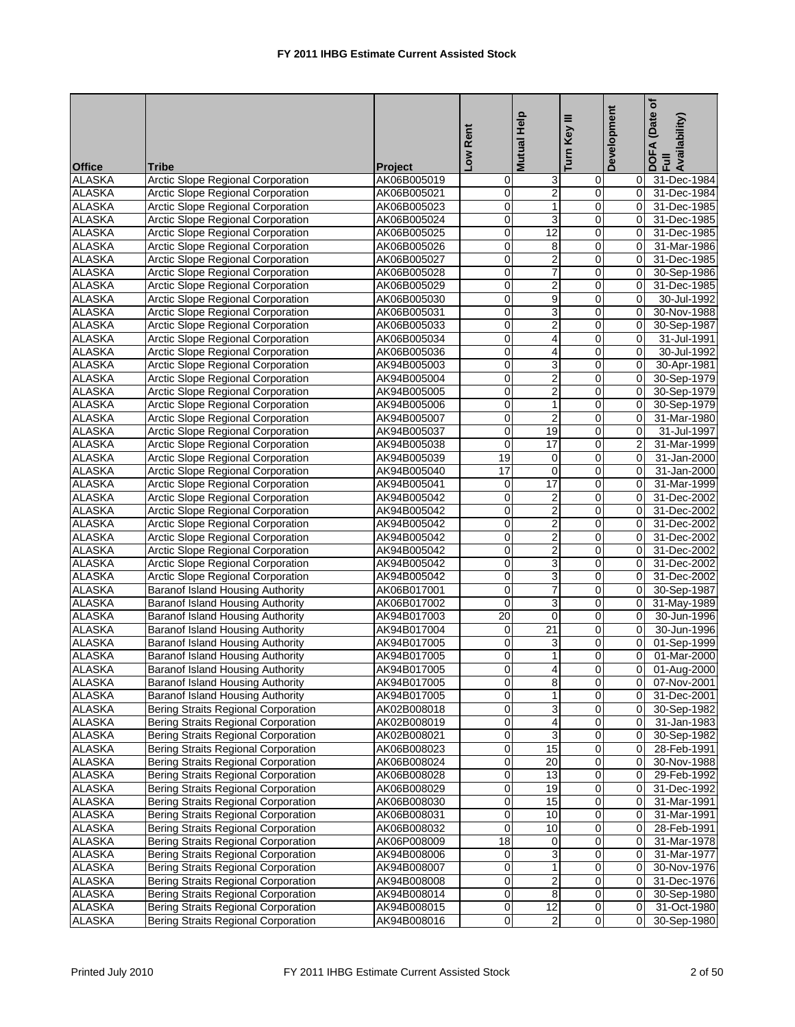| <b>Office</b> | <b>Tribe</b>                                                                  | <b>Project</b> | Low Rent                | <b>Mutual Help</b> | Ξ<br>Turn Key       | Development          | (Date of<br>DOFA (Date<br>Full<br>Availability) |
|---------------|-------------------------------------------------------------------------------|----------------|-------------------------|--------------------|---------------------|----------------------|-------------------------------------------------|
| <b>ALASKA</b> | <b>Arctic Slope Regional Corporation</b>                                      | AK06B005019    | 0                       | 3                  | 0                   | 0                    | 31-Dec-1984                                     |
| <b>ALASKA</b> | Arctic Slope Regional Corporation                                             | AK06B005021    | 0                       | $\overline{c}$     | $\mathbf 0$         | 0                    | 31-Dec-1984                                     |
| <b>ALASKA</b> | <b>Arctic Slope Regional Corporation</b>                                      | AK06B005023    | 0                       | $\mathbf{1}$       | 0                   | $\Omega$             | 31-Dec-1985                                     |
| <b>ALASKA</b> | <b>Arctic Slope Regional Corporation</b>                                      | AK06B005024    | 0                       | 3                  | 0                   | $\Omega$             | 31-Dec-1985                                     |
| <b>ALASKA</b> | <b>Arctic Slope Regional Corporation</b>                                      | AK06B005025    | 0                       | $\overline{12}$    | 0                   | 0                    | 31-Dec-1985                                     |
| <b>ALASKA</b> | Arctic Slope Regional Corporation                                             | AK06B005026    | 0                       | 8                  | $\mathsf{O}\xspace$ | $\mathbf 0$          | 31-Mar-1986                                     |
| <b>ALASKA</b> | Arctic Slope Regional Corporation                                             | AK06B005027    | 0                       | $\overline{2}$     | 0                   | $\Omega$             | 31-Dec-1985                                     |
| <b>ALASKA</b> | Arctic Slope Regional Corporation                                             | AK06B005028    | 0                       | 7                  | 0                   | 0                    | 30-Sep-1986                                     |
| <b>ALASKA</b> | <b>Arctic Slope Regional Corporation</b>                                      | AK06B005029    | 0                       | $\overline{2}$     | $\mathbf 0$         | 0                    | 31-Dec-1985                                     |
| <b>ALASKA</b> | Arctic Slope Regional Corporation                                             | AK06B005030    | 0                       | 9                  | $\mathbf 0$         | 0                    | 30-Jul-1992                                     |
| <b>ALASKA</b> | Arctic Slope Regional Corporation                                             | AK06B005031    | 0                       | 3                  | $\mathbf 0$         | 0                    | 30-Nov-1988                                     |
| <b>ALASKA</b> | <b>Arctic Slope Regional Corporation</b>                                      | AK06B005033    | 0                       | $\overline{c}$     | $\mathbf 0$         | 0                    | 30-Sep-1987                                     |
| <b>ALASKA</b> | <b>Arctic Slope Regional Corporation</b>                                      | AK06B005034    | $\mathbf 0$             | 4                  | 0                   | 0                    | 31-Jul-1991                                     |
| <b>ALASKA</b> | <b>Arctic Slope Regional Corporation</b>                                      | AK06B005036    | 0                       | 4                  | $\mathbf 0$         | 0                    | 30-Jul-1992                                     |
| <b>ALASKA</b> | <b>Arctic Slope Regional Corporation</b>                                      | AK94B005003    | 0                       | 3                  | $\mathbf 0$         | $\mathbf 0$          | 30-Apr-1981                                     |
| <b>ALASKA</b> | Arctic Slope Regional Corporation                                             | AK94B005004    | $\mathbf 0$             | $\overline{2}$     | $\mathsf{O}\xspace$ | $\mathbf 0$          | 30-Sep-1979                                     |
| <b>ALASKA</b> | <b>Arctic Slope Regional Corporation</b>                                      | AK94B005005    | 0                       | $\overline{2}$     | $\mathbf 0$         | $\mathbf 0$          | 30-Sep-1979                                     |
| <b>ALASKA</b> | <b>Arctic Slope Regional Corporation</b>                                      | AK94B005006    | 0                       | $\mathbf{1}$       | 0                   | $\overline{0}$       | 30-Sep-1979                                     |
| <b>ALASKA</b> | <b>Arctic Slope Regional Corporation</b>                                      | AK94B005007    | 0                       | $\overline{c}$     | $\mathbf 0$         | 0                    | 31-Mar-1980                                     |
| <b>ALASKA</b> | <b>Arctic Slope Regional Corporation</b>                                      | AK94B005037    | 0                       | 19                 | 0                   | 0                    | 31-Jul-1997                                     |
| <b>ALASKA</b> |                                                                               |                | $\mathbf 0$             | $\overline{17}$    | $\mathbf 0$         | $\overline{2}$       |                                                 |
| <b>ALASKA</b> | Arctic Slope Regional Corporation<br><b>Arctic Slope Regional Corporation</b> | AK94B005038    | 19                      | 0                  | $\mathbf 0$         | 0                    | 31-Mar-1999<br>31-Jan-2000                      |
| <b>ALASKA</b> |                                                                               | AK94B005039    | $\overline{17}$         | $\mathbf 0$        | 0                   | $\Omega$             |                                                 |
| <b>ALASKA</b> | <b>Arctic Slope Regional Corporation</b>                                      | AK94B005040    |                         | 17                 |                     | $\Omega$             | 31-Jan-2000                                     |
|               | <b>Arctic Slope Regional Corporation</b>                                      | AK94B005041    | 0                       |                    | $\mathbf 0$         |                      | 31-Mar-1999                                     |
| <b>ALASKA</b> | Arctic Slope Regional Corporation                                             | AK94B005042    | 0                       | 2                  | 0                   | 0                    | 31-Dec-2002                                     |
| <b>ALASKA</b> | Arctic Slope Regional Corporation                                             | AK94B005042    | 0                       | $\overline{2}$     | 0                   | $\mathbf 0$          | 31-Dec-2002                                     |
| <b>ALASKA</b> | Arctic Slope Regional Corporation                                             | AK94B005042    | 0                       | $\overline{2}$     | 0                   | $\Omega$<br>$\Omega$ | 31-Dec-2002                                     |
| <b>ALASKA</b> | Arctic Slope Regional Corporation                                             | AK94B005042    | 0                       | $\overline{2}$     | 0                   |                      | 31-Dec-2002                                     |
| <b>ALASKA</b> | <b>Arctic Slope Regional Corporation</b>                                      | AK94B005042    | 0                       | $\overline{2}$     | $\mathbf 0$         | 0                    | 31-Dec-2002                                     |
| <b>ALASKA</b> | Arctic Slope Regional Corporation                                             | AK94B005042    | 0                       | 3                  | 0                   | 0                    | 31-Dec-2002                                     |
| <b>ALASKA</b> | Arctic Slope Regional Corporation                                             | AK94B005042    | 0                       | 3                  | 0                   | 0                    | 31-Dec-2002                                     |
| <b>ALASKA</b> | Baranof Island Housing Authority                                              | AK06B017001    | 0                       | $\overline{7}$     | $\mathbf 0$         | 0                    | 30-Sep-1987                                     |
| <b>ALASKA</b> | <b>Baranof Island Housing Authority</b>                                       | AK06B017002    | $\mathbf 0$             | $\overline{3}$     | 0                   | 0                    | 31-May-1989                                     |
| <b>ALASKA</b> | Baranof Island Housing Authority                                              | AK94B017003    | 20                      | $\mathbf 0$        | $\mathbf 0$         | 0                    | 30-Jun-1996                                     |
| <b>ALASKA</b> | Baranof Island Housing Authority                                              | AK94B017004    | 0                       | 21                 | $\mathbf 0$         | $\mathbf 0$          | 30-Jun-1996                                     |
| <b>ALASKA</b> | <b>Baranof Island Housing Authority</b>                                       | AK94B017005    | $\mathbf 0$             | 3                  | $\mathbf 0$         | $\mathbf 0$          | 01-Sep-1999                                     |
| <b>ALASKA</b> | Baranof Island Housing Authority                                              | AK94B017005    | 0                       | $\mathbf{1}$       | $\mathbf 0$         | 0                    | 01-Mar-2000                                     |
| <b>ALASKA</b> | Baranof Island Housing Authority                                              | AK94B017005    | 0                       | $\overline{4}$     | $\overline{0}$      | 0                    | 01-Aug-2000                                     |
| <b>ALASKA</b> | Baranof Island Housing Authority                                              | AK94B017005    | 0                       | 8                  | $\overline{0}$      | 0                    | 07-Nov-2001                                     |
| <b>ALASKA</b> | <b>Baranof Island Housing Authority</b>                                       | AK94B017005    | 0                       | 1                  | 0                   | 0                    | 31-Dec-2001                                     |
| <b>ALASKA</b> | Bering Straits Regional Corporation                                           | AK02B008018    | 0                       | 3                  | $\overline{0}$      | 0                    | 30-Sep-1982                                     |
| <b>ALASKA</b> | Bering Straits Regional Corporation                                           | AK02B008019    | $\pmb{0}$               | 4                  | $\overline{0}$      | 0                    | 31-Jan-1983                                     |
| <b>ALASKA</b> | <b>Bering Straits Regional Corporation</b>                                    | AK02B008021    | 0                       | 3                  | $\mathbf 0$         | 0                    | 30-Sep-1982                                     |
| <b>ALASKA</b> | <b>Bering Straits Regional Corporation</b>                                    | AK06B008023    | 0                       | 15                 | $\pmb{0}$           | 0                    | 28-Feb-1991                                     |
| <b>ALASKA</b> | <b>Bering Straits Regional Corporation</b>                                    | AK06B008024    | 0                       | 20                 | 0                   | 0                    | 30-Nov-1988                                     |
| <b>ALASKA</b> | Bering Straits Regional Corporation                                           | AK06B008028    | 0                       | 13                 | $\mathsf 0$         | 0                    | 29-Feb-1992                                     |
| <b>ALASKA</b> | Bering Straits Regional Corporation                                           | AK06B008029    | 0                       | 19                 | $\pmb{0}$           | 0                    | 31-Dec-1992                                     |
| <b>ALASKA</b> | <b>Bering Straits Regional Corporation</b>                                    | AK06B008030    | 0                       | 15                 | 0                   | 0                    | 31-Mar-1991                                     |
| <b>ALASKA</b> | Bering Straits Regional Corporation                                           | AK06B008031    | 0                       | 10                 | $\overline{0}$      | 0                    | 31-Mar-1991                                     |
| <b>ALASKA</b> | <b>Bering Straits Regional Corporation</b>                                    | AK06B008032    | 0                       | 10                 | $\mathsf 0$         | 0                    | 28-Feb-1991                                     |
| <b>ALASKA</b> | Bering Straits Regional Corporation                                           | AK06P008009    | $\overline{18}$         | $\pmb{0}$          | $\overline{0}$      | 0                    | 31-Mar-1978                                     |
| <b>ALASKA</b> | <b>Bering Straits Regional Corporation</b>                                    | AK94B008006    | 0                       | 3                  | 0                   | 0                    | 31-Mar-1977                                     |
| <b>ALASKA</b> | <b>Bering Straits Regional Corporation</b>                                    | AK94B008007    | 0                       | $\mathbf{1}$       | 0                   | 0                    | 30-Nov-1976                                     |
| <b>ALASKA</b> | <b>Bering Straits Regional Corporation</b>                                    | AK94B008008    | 0                       | $\overline{2}$     | $\mathsf 0$         | 0                    | 31-Dec-1976                                     |
| <b>ALASKA</b> | Bering Straits Regional Corporation                                           | AK94B008014    | 0                       | 8                  | 0                   | 0                    | 30-Sep-1980                                     |
| <b>ALASKA</b> | Bering Straits Regional Corporation                                           | AK94B008015    | 0                       | 12                 | $\overline{0}$      | 0                    | 31-Oct-1980                                     |
| <b>ALASKA</b> | <b>Bering Straits Regional Corporation</b>                                    | AK94B008016    | $\overline{\mathbf{0}}$ | $\overline{2}$     | $\overline{0}$      | 0                    | 30-Sep-1980                                     |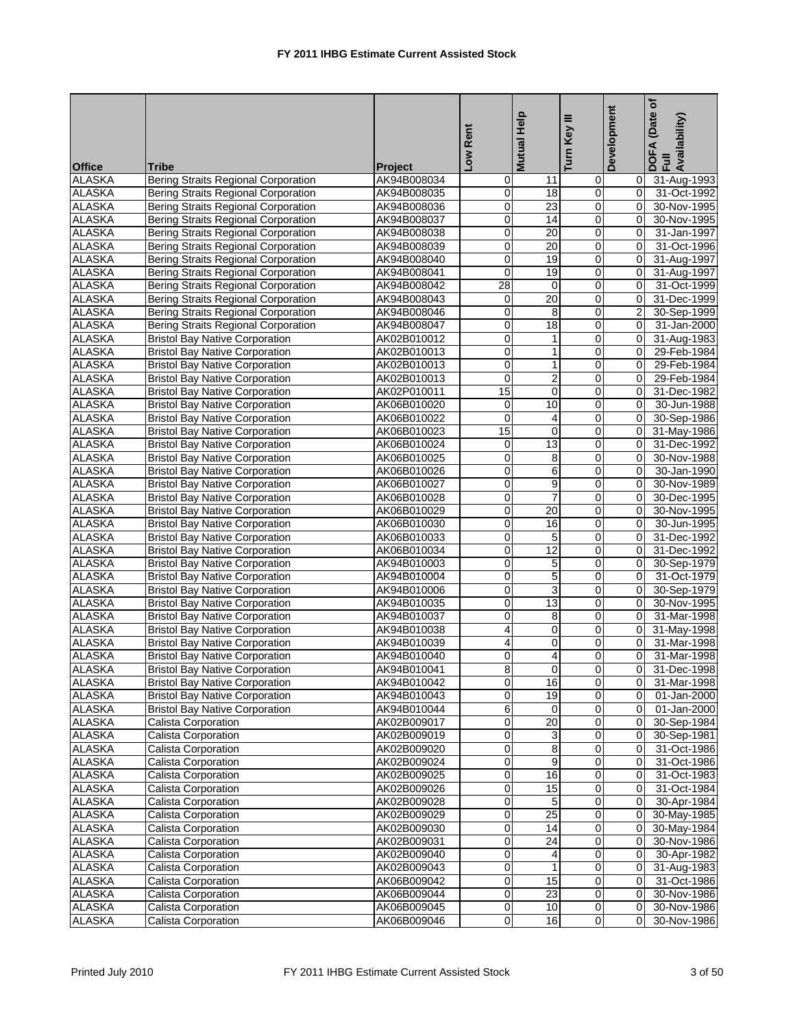| <b>Office</b> | <b>Tribe</b>                               | <b>Project</b> | Low Rent                | <b>Mutual Help</b> | Ξ<br>Turn Key  | Development    | (Date of<br>DOFA (Date<br>Full<br>Availability) |
|---------------|--------------------------------------------|----------------|-------------------------|--------------------|----------------|----------------|-------------------------------------------------|
| <b>ALASKA</b> | <b>Bering Straits Regional Corporation</b> | AK94B008034    | 0                       | 11                 | $\overline{0}$ | 0              | 31-Aug-1993                                     |
| <b>ALASKA</b> | <b>Bering Straits Regional Corporation</b> | AK94B008035    | 0                       | 18                 | $\mathbf 0$    | 0              | 31-Oct-1992                                     |
| <b>ALASKA</b> | <b>Bering Straits Regional Corporation</b> | AK94B008036    | 0                       | $\overline{23}$    | 0              | $\Omega$       | 30-Nov-1995                                     |
| <b>ALASKA</b> | <b>Bering Straits Regional Corporation</b> | AK94B008037    | 0                       | 14                 | $\mathbf 0$    | $\Omega$       | 30-Nov-1995                                     |
| <b>ALASKA</b> | <b>Bering Straits Regional Corporation</b> | AK94B008038    | 0                       | 20                 | $\mathbf 0$    | $\mathbf 0$    | 31-Jan-1997                                     |
| <b>ALASKA</b> | Bering Straits Regional Corporation        | AK94B008039    | 0                       | $\overline{20}$    | $\mathbf 0$    | $\mathbf 0$    | 31-Oct-1996                                     |
| <b>ALASKA</b> | <b>Bering Straits Regional Corporation</b> | AK94B008040    | 0                       | 19                 | $\overline{0}$ | $\Omega$       | 31-Aug-1997                                     |
| <b>ALASKA</b> | Bering Straits Regional Corporation        | AK94B008041    | $\mathbf 0$             | 19                 | $\mathbf 0$    | $\Omega$       | 31-Aug-1997                                     |
| <b>ALASKA</b> | Bering Straits Regional Corporation        | AK94B008042    | 28                      | 0                  | $\mathbf 0$    | 0              | 31-Oct-1999                                     |
| <b>ALASKA</b> | <b>Bering Straits Regional Corporation</b> | AK94B008043    | 0                       | 20                 | 0              | 0              | 31-Dec-1999                                     |
| <b>ALASKA</b> | <b>Bering Straits Regional Corporation</b> | AK94B008046    | 0                       | 8                  | $\overline{0}$ | $\overline{2}$ | 30-Sep-1999                                     |
| <b>ALASKA</b> | <b>Bering Straits Regional Corporation</b> | AK94B008047    | 0                       | 18                 | $\mathbf 0$    | 0              | 31-Jan-2000                                     |
| <b>ALASKA</b> | <b>Bristol Bay Native Corporation</b>      | AK02B010012    | $\mathbf 0$             | $\mathbf{1}$       | 0              | 0              | 31-Aug-1983                                     |
| <b>ALASKA</b> | <b>Bristol Bay Native Corporation</b>      | AK02B010013    | 0                       | $\mathbf{1}$       | $\mathbf 0$    | $\Omega$       | 29-Feb-1984                                     |
| <b>ALASKA</b> | <b>Bristol Bay Native Corporation</b>      | AK02B010013    | 0                       | $\mathbf{1}$       | $\mathbf 0$    | 0              | 29-Feb-1984                                     |
| <b>ALASKA</b> | <b>Bristol Bay Native Corporation</b>      | AK02B010013    | $\mathbf 0$             | $\overline{2}$     | $\mathbf 0$    | $\mathbf 0$    | 29-Feb-1984                                     |
| <b>ALASKA</b> | <b>Bristol Bay Native Corporation</b>      | AK02P010011    | 15                      | 0                  | 0              | $\Omega$       | 31-Dec-1982                                     |
| <b>ALASKA</b> | <b>Bristol Bay Native Corporation</b>      | AK06B010020    | 0                       | 10                 | $\mathbf 0$    | $\Omega$       | 30-Jun-1988                                     |
| <b>ALASKA</b> | <b>Bristol Bay Native Corporation</b>      | AK06B010022    | 0                       | 4                  | $\mathbf 0$    | 0              | 30-Sep-1986                                     |
| <b>ALASKA</b> | <b>Bristol Bay Native Corporation</b>      | AK06B010023    | 15                      | $\mathbf 0$        | $\mathbf 0$    | 0              | 31-May-1986                                     |
| <b>ALASKA</b> | <b>Bristol Bay Native Corporation</b>      | AK06B010024    | 0                       | $\overline{13}$    | $\overline{0}$ | 0              | 31-Dec-1992                                     |
| <b>ALASKA</b> | <b>Bristol Bay Native Corporation</b>      | AK06B010025    | 0                       | 8                  | $\overline{0}$ | 0              | 30-Nov-1988                                     |
| <b>ALASKA</b> | <b>Bristol Bay Native Corporation</b>      | AK06B010026    | $\mathbf 0$             | 6                  | 0              | $\Omega$       | 30-Jan-1990                                     |
| <b>ALASKA</b> | <b>Bristol Bay Native Corporation</b>      | AK06B010027    | 0                       | 9                  | $\mathbf 0$    | $\Omega$       | 30-Nov-1989                                     |
| <b>ALASKA</b> | <b>Bristol Bay Native Corporation</b>      | AK06B010028    | 0                       | $\overline{7}$     | $\overline{0}$ | $\mathbf 0$    | 30-Dec-1995                                     |
| <b>ALASKA</b> | <b>Bristol Bay Native Corporation</b>      | AK06B010029    | 0                       | $\overline{20}$    | 0              | $\mathbf 0$    | 30-Nov-1995                                     |
| <b>ALASKA</b> | <b>Bristol Bay Native Corporation</b>      | AK06B010030    | 0                       | 16                 | $\overline{0}$ | $\Omega$       | 30-Jun-1995                                     |
| <b>ALASKA</b> | <b>Bristol Bay Native Corporation</b>      | AK06B010033    | 0                       | 5                  | 0              | $\Omega$       | 31-Dec-1992                                     |
| <b>ALASKA</b> | <b>Bristol Bay Native Corporation</b>      | AK06B010034    | 0                       | 12                 | $\mathbf 0$    | 0              | 31-Dec-1992                                     |
| <b>ALASKA</b> | <b>Bristol Bay Native Corporation</b>      | AK94B010003    | 0                       | 5                  | $\mathbf 0$    | 0              | 30-Sep-1979                                     |
| <b>ALASKA</b> | <b>Bristol Bay Native Corporation</b>      | AK94B010004    | 0                       | $\overline{5}$     | 0              | $\Omega$       | 31-Oct-1979                                     |
| <b>ALASKA</b> | <b>Bristol Bay Native Corporation</b>      | AK94B010006    | 0                       | 3                  | $\mathbf 0$    | 0              | 30-Sep-1979                                     |
| <b>ALASKA</b> | <b>Bristol Bay Native Corporation</b>      | AK94B010035    | $\mathbf 0$             | $\overline{13}$    | 0              | $\Omega$       | 30-Nov-1995                                     |
| <b>ALASKA</b> | <b>Bristol Bay Native Corporation</b>      | AK94B010037    | 0                       | 8                  | $\mathbf 0$    | $\Omega$       | 31-Mar-1998                                     |
| <b>ALASKA</b> | <b>Bristol Bay Native Corporation</b>      | AK94B010038    | 4                       | 0                  | $\mathbf 0$    | 0              | 31-May-1998                                     |
| <b>ALASKA</b> | <b>Bristol Bay Native Corporation</b>      | AK94B010039    | 4                       | $\mathbf 0$        | $\mathbf 0$    | $\mathbf 0$    | 31-Mar-1998                                     |
| <b>ALASKA</b> | <b>Bristol Bay Native Corporation</b>      | AK94B010040    | 0                       | 4                  | $\overline{0}$ | $\Omega$       | 31-Mar-1998                                     |
| <b>ALASKA</b> | <b>Bristol Bay Native Corporation</b>      | AK94B010041    | 8                       | $\overline{0}$     | $\Omega$       | $\Omega$       | 31-Dec-1998                                     |
| <b>ALASKA</b> | <b>Bristol Bay Native Corporation</b>      | AK94B010042    | 0                       | 16                 | $\overline{0}$ | 0              | 31-Mar-1998                                     |
| <b>ALASKA</b> | <b>Bristol Bay Native Corporation</b>      | AK94B010043    | 0                       | 19                 | $\mathbf 0$    | 0              | 01-Jan-2000                                     |
| <b>ALASKA</b> | <b>Bristol Bay Native Corporation</b>      | AK94B010044    | 6                       | $\mathbf 0$        | $\overline{0}$ | 0              | 01-Jan-2000                                     |
| <b>ALASKA</b> | Calista Corporation                        | AK02B009017    | $\pmb{0}$               | $\overline{20}$    | $\pmb{0}$      | 0              | 30-Sep-1984                                     |
| <b>ALASKA</b> | Calista Corporation                        | AK02B009019    | $\mathbf 0$             | 3                  | $\mathbf 0$    | 0              | 30-Sep-1981                                     |
| <b>ALASKA</b> | Calista Corporation                        | AK02B009020    | $\pmb{0}$               | 8                  | $\overline{0}$ | 0              | 31-Oct-1986                                     |
| <b>ALASKA</b> | Calista Corporation                        | AK02B009024    | $\pmb{0}$               | 9                  | 0              | 0              | 31-Oct-1986                                     |
| <b>ALASKA</b> | Calista Corporation                        | AK02B009025    | $\overline{0}$          | 16                 | O              | 0              | 31-Oct-1983                                     |
| <b>ALASKA</b> | Calista Corporation                        | AK02B009026    | 0                       | 15                 | $\pmb{0}$      | $\mathbf 0$    | 31-Oct-1984                                     |
| <b>ALASKA</b> | Calista Corporation                        | AK02B009028    | 0                       | 5                  | 0              | 0              | 30-Apr-1984                                     |
| <b>ALASKA</b> | Calista Corporation                        | AK02B009029    | $\overline{0}$          | $\overline{25}$    | $\pmb{0}$      | 0              | 30-May-1985                                     |
| <b>ALASKA</b> | Calista Corporation                        | AK02B009030    | 0                       | $\overline{14}$    | $\pmb{0}$      | 0              | 30-May-1984                                     |
| <b>ALASKA</b> | Calista Corporation                        | AK02B009031    | 0                       | $\overline{24}$    | $\overline{0}$ | 0              | 30-Nov-1986                                     |
| <b>ALASKA</b> | Calista Corporation                        | AK02B009040    | $\overline{0}$          | 4                  | $\overline{0}$ | 0              | 30-Apr-1982                                     |
| <b>ALASKA</b> | Calista Corporation                        | AK02B009043    | $\mathbf 0$             | 1                  | $\mathbf 0$    | 0              | 31-Aug-1983                                     |
| <b>ALASKA</b> | Calista Corporation                        | AK06B009042    | $\pmb{0}$               | 15                 | $\pmb{0}$      | 0              | 31-Oct-1986                                     |
| <b>ALASKA</b> | Calista Corporation                        | AK06B009044    | 0                       | 23                 | 0              | 0              | 30-Nov-1986                                     |
| <b>ALASKA</b> | Calista Corporation                        | AK06B009045    | $\overline{\mathbf{0}}$ | $\overline{10}$    | $\overline{0}$ | 0              | 30-Nov-1986                                     |
| <b>ALASKA</b> | Calista Corporation                        | AK06B009046    | $\overline{0}$          | 16                 | $\overline{0}$ | $\overline{0}$ | 30-Nov-1986                                     |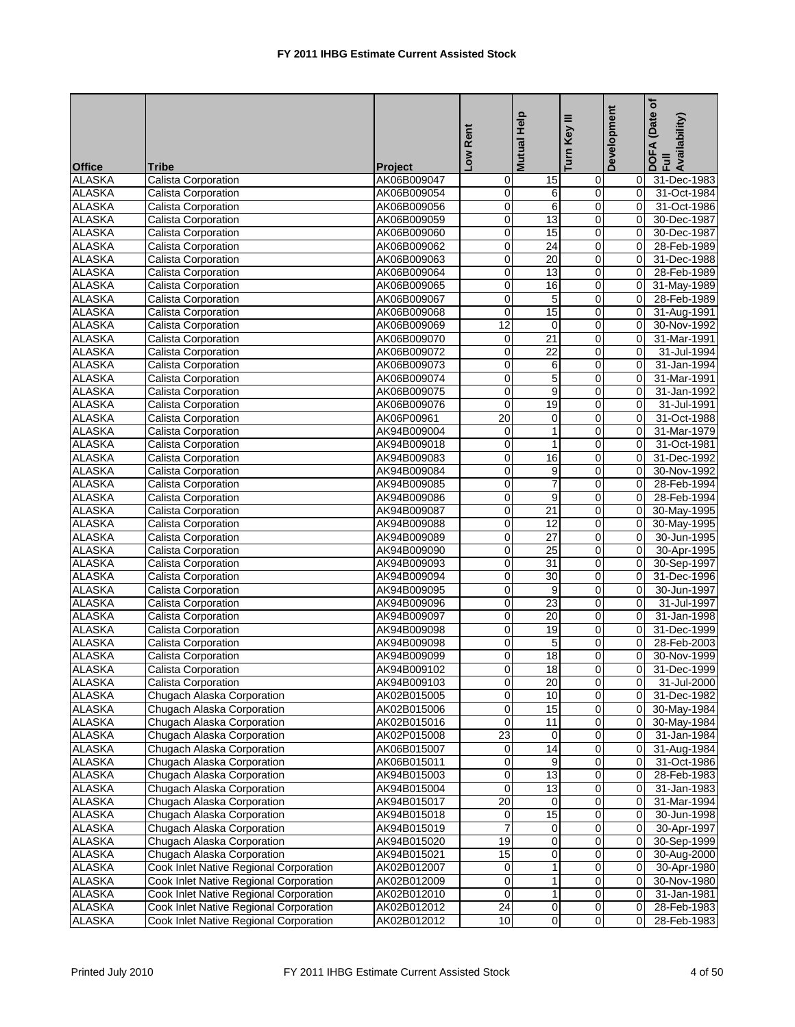| <b>Office</b> | Tribe                                  | <b>Project</b> | Low Rent            | <b>Mutual Help</b> | ≡<br>Turn Key    | Development         | (Date of<br>DOFA (Date<br>Full<br>Availability) |
|---------------|----------------------------------------|----------------|---------------------|--------------------|------------------|---------------------|-------------------------------------------------|
| <b>ALASKA</b> | <b>Calista Corporation</b>             | AK06B009047    | 0                   | 15                 | 0                | 0                   | 31-Dec-1983                                     |
| <b>ALASKA</b> | Calista Corporation                    | AK06B009054    | $\mathsf{O}\xspace$ | 6                  | 0                | $\overline{0}$      | 31-Oct-1984                                     |
| <b>ALASKA</b> | Calista Corporation                    | AK06B009056    | $\mathbf 0$         | 6                  | 0                | $\Omega$            | 31-Oct-1986                                     |
| <b>ALASKA</b> | Calista Corporation                    | AK06B009059    | $\overline{0}$      | 13                 | $\mathsf 0$      | $\Omega$            | 30-Dec-1987                                     |
| <b>ALASKA</b> | Calista Corporation                    | AK06B009060    | $\mathbf 0$         | 15                 | 0                | $\mathbf 0$         | 30-Dec-1987                                     |
| <b>ALASKA</b> | Calista Corporation                    | AK06B009062    | $\pmb{0}$           | $\overline{24}$    | $\overline{0}$   | 0                   | 28-Feb-1989                                     |
| <b>ALASKA</b> | Calista Corporation                    | AK06B009063    | $\mathbf 0$         | 20                 | $\mathbf 0$      | $\Omega$            | 31-Dec-1988                                     |
| ALASKA        | Calista Corporation                    | AK06B009064    | $\mathbf 0$         | 13                 | $\mathbf 0$      | $\mathbf 0$         | 28-Feb-1989                                     |
| <b>ALASKA</b> | Calista Corporation                    | AK06B009065    | $\mathsf{O}\xspace$ | 16                 | $\mathbf 0$      | $\mathbf 0$         | 31-May-1989                                     |
| <b>ALASKA</b> | Calista Corporation                    | AK06B009067    | $\mathbf 0$         | 5                  | $\pmb{0}$        | 0                   | 28-Feb-1989                                     |
| <b>ALASKA</b> | Calista Corporation                    | AK06B009068    | $\mathbf 0$         | 15                 | $\pmb{0}$        | $\mathbf 0$         | 31-Aug-1991                                     |
| <b>ALASKA</b> | Calista Corporation                    | AK06B009069    | 12                  | $\mathbf 0$        | $\mathbf 0$      | 0                   | 30-Nov-1992                                     |
| <b>ALASKA</b> | Calista Corporation                    | AK06B009070    | $\mathbf 0$         | $\overline{21}$    | 0                | $\Omega$            | 31-Mar-1991                                     |
| <b>ALASKA</b> | Calista Corporation                    | AK06B009072    | $\mathbf 0$         | $\overline{22}$    | $\mathsf 0$      | $\Omega$            | 31-Jul-1994                                     |
| <b>ALASKA</b> | Calista Corporation                    | AK06B009073    | $\mathbf 0$         | 6                  | $\mathbf 0$      | 0                   | 31-Jan-1994                                     |
| <b>ALASKA</b> | Calista Corporation                    | AK06B009074    | $\pmb{0}$           | $\overline{5}$     | $\overline{0}$   | $\mathbf 0$         | 31-Mar-1991                                     |
| <b>ALASKA</b> | Calista Corporation                    | AK06B009075    | $\mathbf 0$         | 9                  | $\mathbf 0$      | 0                   | 31-Jan-1992                                     |
| <b>ALASKA</b> | <b>Calista Corporation</b>             | AK06B009076    | 0                   | $\overline{19}$    | $\mathbf 0$      | $\Omega$            | 31-Jul-1991                                     |
| <b>ALASKA</b> | Calista Corporation                    | AK06P00961     | $\overline{20}$     | 0                  | $\mathbf 0$      | $\mathbf 0$         | 31-Oct-1988                                     |
| <b>ALASKA</b> | Calista Corporation                    | AK94B009004    | 0                   | 1                  | 0                | 0                   | 31-Mar-1979                                     |
| <b>ALASKA</b> | Calista Corporation                    | AK94B009018    | $\mathbf 0$         | 1                  | 0                | $\Omega$            | 31-Oct-1981                                     |
| <b>ALASKA</b> | <b>Calista Corporation</b>             | AK94B009083    | $\overline{0}$      | 16                 | $\mathbf 0$      | $\mathbf 0$         | 31-Dec-1992                                     |
| <b>ALASKA</b> | Calista Corporation                    | AK94B009084    | $\mathbf 0$         | 9                  | 0                | $\Omega$            | 30-Nov-1992                                     |
| <b>ALASKA</b> | Calista Corporation                    | AK94B009085    | $\mathbf 0$         | 7                  | $\mathbf 0$      | 0                   | 28-Feb-1994                                     |
| <b>ALASKA</b> | Calista Corporation                    | AK94B009086    | $\mathbf 0$         | 9                  | 0                | $\mathbf 0$         | 28-Feb-1994                                     |
| <b>ALASKA</b> | Calista Corporation                    | AK94B009087    | $\pmb{0}$           | $\overline{21}$    | $\boldsymbol{0}$ | $\mathbf 0$         | 30-May-1995                                     |
| <b>ALASKA</b> | Calista Corporation                    | AK94B009088    | $\mathbf 0$         | 12                 | $\mathbf 0$      | $\Omega$            | 30-May-1995                                     |
| <b>ALASKA</b> | Calista Corporation                    | AK94B009089    | $\mathbf 0$         | $\overline{27}$    | $\mathbf 0$      | $\mathbf 0$         | 30-Jun-1995                                     |
| <b>ALASKA</b> | Calista Corporation                    | AK94B009090    | $\overline{0}$      | $\overline{25}$    | $\overline{0}$   | 0                   | 30-Apr-1995                                     |
| <b>ALASKA</b> | Calista Corporation                    | AK94B009093    | $\mathbf 0$         | 31                 | $\mathbf 0$      | 0                   | 30-Sep-1997                                     |
| <b>ALASKA</b> | Calista Corporation                    | AK94B009094    | $\mathbf 0$         | 30                 | 0                | 0                   | 31-Dec-1996                                     |
| <b>ALASKA</b> | Calista Corporation                    | AK94B009095    | $\mathsf{O}\xspace$ | 9                  | $\mathbf 0$      | 0                   | 30-Jun-1997                                     |
| <b>ALASKA</b> | Calista Corporation                    | AK94B009096    | $\mathbf 0$         | 23                 | 0                | $\Omega$            | 31-Jul-1997                                     |
| <b>ALASKA</b> | Calista Corporation                    | AK94B009097    | $\mathbf 0$         | 20                 | $\mathsf 0$      | $\Omega$            | 31-Jan-1998                                     |
| <b>ALASKA</b> | Calista Corporation                    | AK94B009098    | 0                   | 19                 | 0                | 0                   | 31-Dec-1999                                     |
| <b>ALASKA</b> | Calista Corporation                    | AK94B009098    | $\overline{0}$      | 5                  | $\overline{0}$   | $\mathbf 0$         | 28-Feb-2003                                     |
| <b>ALASKA</b> | Calista Corporation                    | AK94B009099    | $\mathbf 0$         | 18                 | 0                | $\Omega$            | 30-Nov-1999                                     |
| <b>ALASKA</b> | Calista Corporation                    | AK94B009102    | $\overline{0}$      | 18                 | $\overline{0}$   | $\Omega$            | 31-Dec-1999                                     |
| <b>ALASKA</b> | Calista Corporation                    | AK94B009103    | $\overline{0}$      | 20                 | $\pmb{0}$        | $\overline{0}$      | 31-Jul-2000                                     |
| <b>ALASKA</b> | Chugach Alaska Corporation             | AK02B015005    | $\pmb{0}$           | 10                 | $\pmb{0}$        | $\Omega$            | 31-Dec-1982                                     |
| <b>ALASKA</b> | Chugach Alaska Corporation             | AK02B015006    | 0                   | $\overline{15}$    | 0                | $\overline{0}$      | 30-May-1984                                     |
| <b>ALASKA</b> | Chugach Alaska Corporation             | AK02B015016    | $\mathsf{O}\xspace$ | 11                 | 0                | $\mathbf 0$         | 30-May-1984                                     |
| <b>ALASKA</b> | Chugach Alaska Corporation             | AK02P015008    | 23                  | 0                  | 0                | $\mathbf 0$         | 31-Jan-1984                                     |
| <b>ALASKA</b> | Chugach Alaska Corporation             | AK06B015007    | $\overline{0}$      | 14                 | 0                | $\overline{0}$      | 31-Aug-1984                                     |
| <b>ALASKA</b> | Chugach Alaska Corporation             | AK06B015011    | $\overline{0}$      | 9                  | 0                | $\mathbf 0$         | 31-Oct-1986                                     |
| <b>ALASKA</b> | Chugach Alaska Corporation             | AK94B015003    | $\overline{0}$      | 13                 | $\overline{0}$   | $\mathsf{O}\xspace$ | 28-Feb-1983                                     |
| <b>ALASKA</b> | Chugach Alaska Corporation             | AK94B015004    | $\mathbf 0$         | 13                 | $\pmb{0}$        | $\overline{0}$      | 31-Jan-1983                                     |
| <b>ALASKA</b> | Chugach Alaska Corporation             | AK94B015017    | $\overline{20}$     | 0                  | 0                | 0                   | 31-Mar-1994                                     |
| <b>ALASKA</b> | Chugach Alaska Corporation             | AK94B015018    | $\mathbf 0$         | 15                 | $\overline{0}$   | $\mathbf 0$         | 30-Jun-1998                                     |
| <b>ALASKA</b> | Chugach Alaska Corporation             | AK94B015019    | $\overline{7}$      | 0                  | 0                | $\overline{0}$      | 30-Apr-1997                                     |
| <b>ALASKA</b> | Chugach Alaska Corporation             | AK94B015020    | 19                  | 0                  | 0                | $\overline{0}$      | 30-Sep-1999                                     |
| ALASKA        | Chugach Alaska Corporation             | AK94B015021    | 15                  | 0                  | 0                | $\mathbf 0$         | 30-Aug-2000                                     |
| <b>ALASKA</b> | Cook Inlet Native Regional Corporation | AK02B012007    | $\mathbf 0$         | 1                  | 0                | $\mathbf 0$         | 30-Apr-1980                                     |
| <b>ALASKA</b> | Cook Inlet Native Regional Corporation | AK02B012009    | $\overline{0}$      | 1                  | $\mathbf 0$      | $\overline{0}$      | 30-Nov-1980                                     |
| <b>ALASKA</b> | Cook Inlet Native Regional Corporation | AK02B012010    | $\mathbf 0$         | 1                  | 0                | 0                   | 31-Jan-1981                                     |
| <b>ALASKA</b> | Cook Inlet Native Regional Corporation | AK02B012012    | 24                  | 0                  | $\pmb{0}$        | $\mathbf 0$         | 28-Feb-1983                                     |
| <b>ALASKA</b> | Cook Inlet Native Regional Corporation | AK02B012012    | 10                  | $\mathbf 0$        | 0                | $\Omega$            | 28-Feb-1983                                     |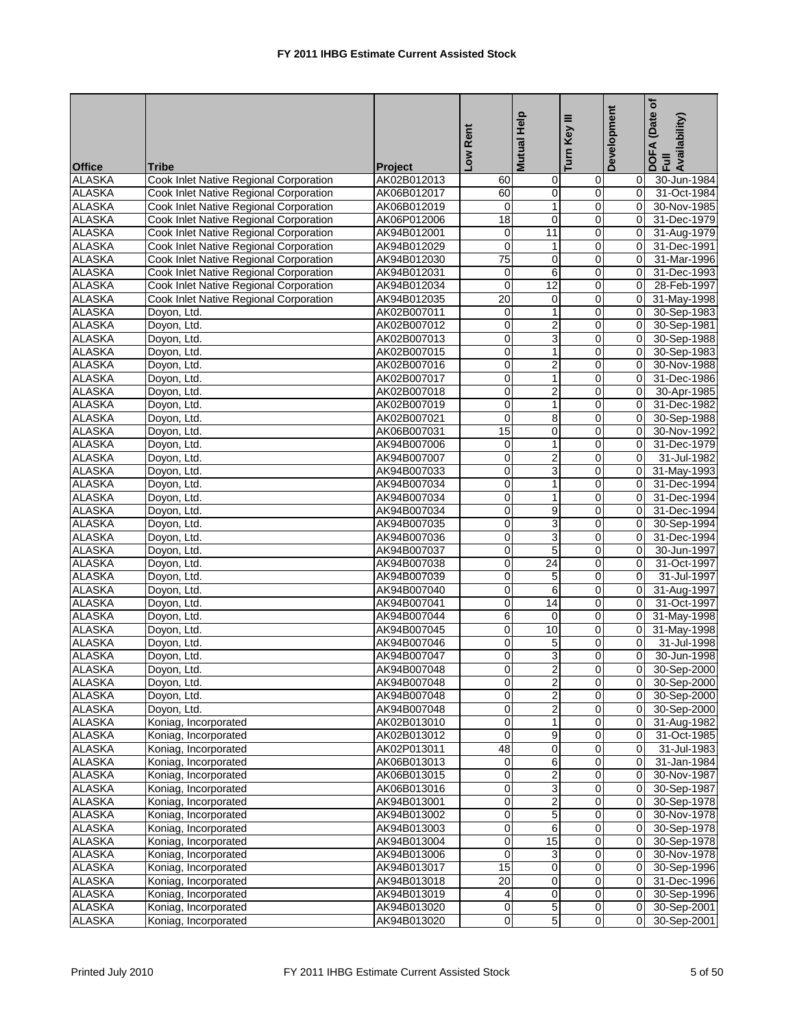| <b>ALASKA</b><br>Cook Inlet Native Regional Corporation<br>AK02B012013<br>30-Jun-1984<br>0<br>60<br>0<br>0<br>0<br><b>ALASKA</b><br>0<br>Cook Inlet Native Regional Corporation<br>AK06B012017<br>60<br>$\Omega$<br>31-Oct-1984<br><b>ALASKA</b><br>Cook Inlet Native Regional Corporation<br>$\mathbf 0$<br>$\mathbf{1}$<br>$\mathbf 0$<br>AK06B012019<br>$\Omega$<br><b>ALASKA</b><br>$\mathsf 0$<br>$\mathbf 0$<br>Cook Inlet Native Regional Corporation<br>18<br>$\Omega$<br>31-Dec-1979<br>AK06P012006<br><b>ALASKA</b><br>Cook Inlet Native Regional Corporation<br>11<br>AK94B012001<br>0<br>$\overline{0}$<br>0<br>$\mathbf 0$<br>$\mathbf 0$<br><b>ALASKA</b><br>AK94B012029<br>$\mathbf{0}$<br>Cook Inlet Native Regional Corporation<br>1<br><b>ALASKA</b><br>Cook Inlet Native Regional Corporation<br>75<br>0<br>$\mathbf 0$<br>$\Omega$<br>AK94B012030<br><b>ALASKA</b><br>6<br>0<br>Cook Inlet Native Regional Corporation<br>AK94B012031<br>0<br>$\Omega$<br>$\overline{12}$<br>$\mathbf 0$<br><b>ALASKA</b><br>$\mathsf{O}\xspace$<br>Cook Inlet Native Regional Corporation<br>AK94B012034<br>$\overline{0}$<br><b>ALASKA</b><br>20<br>Cook Inlet Native Regional Corporation<br>AK94B012035<br>0<br>0<br>$\Omega$<br><b>ALASKA</b><br>AK02B007011<br>1<br>0<br>$\Omega$<br>Doyon, Ltd.<br>$\mathbf 0$<br>$\overline{2}$<br><b>ALASKA</b><br>Doyon, Ltd.<br>$\mathsf{O}\xspace$<br>0<br>AK02B007012<br>$\mathbf 0$<br>$\overline{3}$<br><b>ALASKA</b><br>$\mathbf 0$<br>0<br>$\Omega$<br>Doyon, Ltd.<br>AK02B007013<br><b>ALASKA</b><br>$\mathbf 0$<br>Doyon, Ltd.<br>AK02B007015<br>$\mathbf 0$<br>1<br>$\mathbf{0}$<br><b>ALASKA</b><br>$\mathbf 0$<br>$\overline{c}$<br>Doyon, Ltd.<br>AK02B007016<br>0<br>$\mathbf 0$<br>$\overline{1}$<br>$\pmb{0}$<br>$\boldsymbol{0}$<br><b>ALASKA</b><br>AK02B007017<br>$\mathbf 0$<br>Doyon, Ltd.<br><b>ALASKA</b><br>$\overline{c}$<br>$\mathbf 0$<br>$\mathbf 0$<br>$\Omega$<br>Doyon, Ltd.<br>AK02B007018<br><b>ALASKA</b><br>Doyon, Ltd.<br>AK02B007019<br>0<br>1<br>0<br>$\Omega$<br><b>ALASKA</b><br>$\overline{\mathsf{o}}$<br>8<br>$\mathbf 0$<br>Doyon, Ltd.<br>AK02B007021<br>$\mathbf 0$<br><b>ALASKA</b><br>15<br>0<br>0<br>Doyon, Ltd.<br>AK06B007031<br>0<br><b>ALASKA</b><br>1<br>$\mathbf 0$<br>$\Omega$<br>Doyon, Ltd.<br>AK94B007006<br>0<br>$\overline{2}$<br><b>ALASKA</b><br>Doyon, Ltd.<br>$\mathsf{O}\xspace$<br>$\mathbf 0$<br>AK94B007007<br>$\overline{0}$<br>3<br><b>ALASKA</b><br>$\mathbf 0$<br>$\mathbf 0$<br>Doyon, Ltd.<br>AK94B007033<br>$\Omega$<br><b>ALASKA</b><br>Doyon, Ltd.<br>AK94B007034<br>$\mathbf 0$<br>1<br>$\mathbf 0$<br>$\Omega$<br><b>ALASKA</b><br>$\mathbf 0$<br>Doyon, Ltd.<br>AK94B007034<br>1<br>0<br>$\mathbf 0$<br>$\overline{9}$<br>$\mathbf 0$<br><b>ALASKA</b><br>$\mathbf 0$<br>$\mathbf 0$<br>Doyon, Ltd.<br>AK94B007034<br>3<br><b>ALASKA</b><br>Doyon, Ltd.<br>$\mathbf 0$<br>0<br>$\Omega$<br>AK94B007035<br>$\overline{3}$<br><b>ALASKA</b><br>$\mathbf 0$<br>Doyon, Ltd.<br>AK94B007036<br>0<br>$\Omega$<br>$\overline{5}$<br><b>ALASKA</b><br>$\mathbf 0$<br>Doyon, Ltd.<br>$\mathsf{O}\xspace$<br>0<br>AK94B007037<br><b>ALASKA</b><br>$\mathbf 0$<br>24<br>$\mathbf 0$<br>Doyon, Ltd.<br>AK94B007038<br>0<br><b>ALASKA</b><br>$\mathbf 0$<br>5<br>0<br>$\Omega$<br>Doyon, Ltd.<br>AK94B007039<br>6<br><b>ALASKA</b><br>$\mathsf{O}\xspace$<br>0<br>Doyon, Ltd.<br>AK94B007040<br>$\mathbf 0$<br><b>ALASKA</b><br>$\mathbf 0$<br>$\overline{14}$<br>0<br>Doyon, Ltd.<br>AK94B007041<br>$\Omega$<br>31-Oct-1997<br><b>ALASKA</b><br>AK94B007044<br>6<br>0<br>0<br>$\Omega$<br>31-May-1998<br>Doyon, Ltd.<br><b>ALASKA</b><br>10<br>Doyon, Ltd.<br>AK94B007045<br>0<br>0<br>$\mathbf 0$<br>31-May-1998<br>$\pmb{0}$<br>$\overline{5}$<br>$\mathbf 0$<br><b>ALASKA</b><br>AK94B007046<br>$\Omega$<br>Doyon, Ltd.<br>31-Jul-1998<br><b>ALASKA</b><br>3<br>$\mathbf 0$<br>0<br>$\Omega$<br>30-Jun-1998<br>Doyon, Ltd.<br>AK94B007047<br>$\overline{2}$<br>$\overline{0}$<br><b>ALASKA</b><br>$\overline{0}$<br>$\Omega$<br>30-Sep-2000<br>Doyon, Ltd.<br>AK94B007048<br>$\overline{c}$<br><b>ALASKA</b><br>$\mathsf{O}\xspace$<br>0<br>30-Sep-2000<br>Doyon, Ltd.<br>AK94B007048<br>$\overline{0}$<br><b>ALASKA</b><br>0<br>$\overline{c}$<br>Doyon, Ltd.<br>AK94B007048<br>0<br>$\Omega$<br>30-Sep-2000<br>$\overline{2}$<br><b>ALASKA</b><br>$\overline{0}$<br>0<br>30-Sep-2000<br>Dovon. Ltd.<br>AK94B007048<br>$\overline{0}$<br><b>ALASKA</b><br>Koniag, Incorporated<br>$\overline{0}$<br>0<br>AK02B013010<br>1<br>31-Aug-1982<br>0<br><b>ALASKA</b><br>$\mathbf 0$<br>9<br>0<br>Koniag, Incorporated<br>AK02B013012<br>$\mathbf 0$<br>31-Oct-1985<br><b>ALASKA</b><br>Koniag, Incorporated<br>AK02P013011<br>48<br>0<br>0<br>$\overline{0}$<br>31-Jul-1983<br><b>ALASKA</b><br>Koniag, Incorporated<br>AK06B013013<br>0<br>6<br>0<br>31-Jan-1984<br>0<br>$\overline{\mathbf{c}}$<br>$\overline{0}$<br>$\overline{0}$<br><b>ALASKA</b><br>AK06B013015<br>Koniag, Incorporated<br>$\overline{0}$<br>30-Nov-1987<br><b>ALASKA</b><br>3<br>Koniag, Incorporated<br>$\pmb{0}$<br>0<br>AK06B013016<br>$\Omega$<br>30-Sep-1987<br><b>ALASKA</b><br>$\overline{c}$<br>Koniag, Incorporated<br>AK94B013001<br>0<br>0<br>30-Sep-1978<br>0<br>5<br>$\overline{0}$<br><b>ALASKA</b><br>$\overline{0}$<br>Koniag, Incorporated<br>AK94B013002<br>$\mathbf 0$<br>30-Nov-1978<br><b>ALASKA</b><br>$\pmb{0}$<br>Koniag, Incorporated<br>AK94B013003<br>6<br>0<br>$\overline{0}$<br>30-Sep-1978<br><b>ALASKA</b><br>AK94B013004<br>$\overline{0}$<br>$\overline{15}$<br>$\pmb{0}$<br>Koniag, Incorporated<br>$\overline{0}$<br>30-Sep-1978<br><b>ALASKA</b><br>$\mathsf{O}\xspace$<br>3<br>0<br>Koniag, Incorporated<br>AK94B013006<br>$\mathbf 0$<br>30-Nov-1978<br>15<br><b>ALASKA</b><br>0<br>0<br>Koniag, Incorporated<br>AK94B013017<br>$\mathbf 0$<br>30-Sep-1996<br><b>ALASKA</b><br>20<br>Koniag, Incorporated<br>0<br>0<br>AK94B013018<br>$\Omega$<br>31-Dec-1996<br><b>ALASKA</b><br>Koniag, Incorporated<br>AK94B013019<br>$\overline{\mathbf{4}}$<br>0<br>0<br>30-Sep-1996<br>$\mathbf 0$ | <b>Office</b> | Tribe                | Project     | Low Rent            | <b>Mutual Help</b> | ≡<br>Turn Key | Development    | (Date of<br>DOFA (Date<br>Full<br>Availability) |
|------------------------------------------------------------------------------------------------------------------------------------------------------------------------------------------------------------------------------------------------------------------------------------------------------------------------------------------------------------------------------------------------------------------------------------------------------------------------------------------------------------------------------------------------------------------------------------------------------------------------------------------------------------------------------------------------------------------------------------------------------------------------------------------------------------------------------------------------------------------------------------------------------------------------------------------------------------------------------------------------------------------------------------------------------------------------------------------------------------------------------------------------------------------------------------------------------------------------------------------------------------------------------------------------------------------------------------------------------------------------------------------------------------------------------------------------------------------------------------------------------------------------------------------------------------------------------------------------------------------------------------------------------------------------------------------------------------------------------------------------------------------------------------------------------------------------------------------------------------------------------------------------------------------------------------------------------------------------------------------------------------------------------------------------------------------------------------------------------------------------------------------------------------------------------------------------------------------------------------------------------------------------------------------------------------------------------------------------------------------------------------------------------------------------------------------------------------------------------------------------------------------------------------------------------------------------------------------------------------------------------------------------------------------------------------------------------------------------------------------------------------------------------------------------------------------------------------------------------------------------------------------------------------------------------------------------------------------------------------------------------------------------------------------------------------------------------------------------------------------------------------------------------------------------------------------------------------------------------------------------------------------------------------------------------------------------------------------------------------------------------------------------------------------------------------------------------------------------------------------------------------------------------------------------------------------------------------------------------------------------------------------------------------------------------------------------------------------------------------------------------------------------------------------------------------------------------------------------------------------------------------------------------------------------------------------------------------------------------------------------------------------------------------------------------------------------------------------------------------------------------------------------------------------------------------------------------------------------------------------------------------------------------------------------------------------------------------------------------------------------------------------------------------------------------------------------------------------------------------------------------------------------------------------------------------------------------------------------------------------------------------------------------------------------------------------------------------------------------------------------------------------------------------------------------------------------------------------------------------------------------------------------------------------------------------------------------------------------------------------------------------------------------------------------------------------------------------------------------------------------------------------------------------------------------------------------------------------------------------------------------------------------------------------------------------------------------------------------------------------------------------------------------------------------------------------------------------------------------------------------------------------------------------------------------------------------------------------------------------------------------------------------------------------------------------------------------------------------------------------------------------------------------------------------------------------------------------------------------------------------------------------------------------------------------------------------------------------------------------------------------------------------------------------------------------------------------------------------------------------------|---------------|----------------------|-------------|---------------------|--------------------|---------------|----------------|-------------------------------------------------|
|                                                                                                                                                                                                                                                                                                                                                                                                                                                                                                                                                                                                                                                                                                                                                                                                                                                                                                                                                                                                                                                                                                                                                                                                                                                                                                                                                                                                                                                                                                                                                                                                                                                                                                                                                                                                                                                                                                                                                                                                                                                                                                                                                                                                                                                                                                                                                                                                                                                                                                                                                                                                                                                                                                                                                                                                                                                                                                                                                                                                                                                                                                                                                                                                                                                                                                                                                                                                                                                                                                                                                                                                                                                                                                                                                                                                                                                                                                                                                                                                                                                                                                                                                                                                                                                                                                                                                                                                                                                                                                                                                                                                                                                                                                                                                                                                                                                                                                                                                                                                                                                                                                                                                                                                                                                                                                                                                                                                                                                                                                                                                                                                                                                                                                                                                                                                                                                                                                                                                                                                                                                                                                                        |               |                      |             |                     |                    |               |                |                                                 |
|                                                                                                                                                                                                                                                                                                                                                                                                                                                                                                                                                                                                                                                                                                                                                                                                                                                                                                                                                                                                                                                                                                                                                                                                                                                                                                                                                                                                                                                                                                                                                                                                                                                                                                                                                                                                                                                                                                                                                                                                                                                                                                                                                                                                                                                                                                                                                                                                                                                                                                                                                                                                                                                                                                                                                                                                                                                                                                                                                                                                                                                                                                                                                                                                                                                                                                                                                                                                                                                                                                                                                                                                                                                                                                                                                                                                                                                                                                                                                                                                                                                                                                                                                                                                                                                                                                                                                                                                                                                                                                                                                                                                                                                                                                                                                                                                                                                                                                                                                                                                                                                                                                                                                                                                                                                                                                                                                                                                                                                                                                                                                                                                                                                                                                                                                                                                                                                                                                                                                                                                                                                                                                                        |               |                      |             |                     |                    |               |                |                                                 |
|                                                                                                                                                                                                                                                                                                                                                                                                                                                                                                                                                                                                                                                                                                                                                                                                                                                                                                                                                                                                                                                                                                                                                                                                                                                                                                                                                                                                                                                                                                                                                                                                                                                                                                                                                                                                                                                                                                                                                                                                                                                                                                                                                                                                                                                                                                                                                                                                                                                                                                                                                                                                                                                                                                                                                                                                                                                                                                                                                                                                                                                                                                                                                                                                                                                                                                                                                                                                                                                                                                                                                                                                                                                                                                                                                                                                                                                                                                                                                                                                                                                                                                                                                                                                                                                                                                                                                                                                                                                                                                                                                                                                                                                                                                                                                                                                                                                                                                                                                                                                                                                                                                                                                                                                                                                                                                                                                                                                                                                                                                                                                                                                                                                                                                                                                                                                                                                                                                                                                                                                                                                                                                                        |               |                      |             |                     |                    |               |                | 30-Nov-1985                                     |
|                                                                                                                                                                                                                                                                                                                                                                                                                                                                                                                                                                                                                                                                                                                                                                                                                                                                                                                                                                                                                                                                                                                                                                                                                                                                                                                                                                                                                                                                                                                                                                                                                                                                                                                                                                                                                                                                                                                                                                                                                                                                                                                                                                                                                                                                                                                                                                                                                                                                                                                                                                                                                                                                                                                                                                                                                                                                                                                                                                                                                                                                                                                                                                                                                                                                                                                                                                                                                                                                                                                                                                                                                                                                                                                                                                                                                                                                                                                                                                                                                                                                                                                                                                                                                                                                                                                                                                                                                                                                                                                                                                                                                                                                                                                                                                                                                                                                                                                                                                                                                                                                                                                                                                                                                                                                                                                                                                                                                                                                                                                                                                                                                                                                                                                                                                                                                                                                                                                                                                                                                                                                                                                        |               |                      |             |                     |                    |               |                |                                                 |
|                                                                                                                                                                                                                                                                                                                                                                                                                                                                                                                                                                                                                                                                                                                                                                                                                                                                                                                                                                                                                                                                                                                                                                                                                                                                                                                                                                                                                                                                                                                                                                                                                                                                                                                                                                                                                                                                                                                                                                                                                                                                                                                                                                                                                                                                                                                                                                                                                                                                                                                                                                                                                                                                                                                                                                                                                                                                                                                                                                                                                                                                                                                                                                                                                                                                                                                                                                                                                                                                                                                                                                                                                                                                                                                                                                                                                                                                                                                                                                                                                                                                                                                                                                                                                                                                                                                                                                                                                                                                                                                                                                                                                                                                                                                                                                                                                                                                                                                                                                                                                                                                                                                                                                                                                                                                                                                                                                                                                                                                                                                                                                                                                                                                                                                                                                                                                                                                                                                                                                                                                                                                                                                        |               |                      |             |                     |                    |               |                | 31-Aug-1979                                     |
|                                                                                                                                                                                                                                                                                                                                                                                                                                                                                                                                                                                                                                                                                                                                                                                                                                                                                                                                                                                                                                                                                                                                                                                                                                                                                                                                                                                                                                                                                                                                                                                                                                                                                                                                                                                                                                                                                                                                                                                                                                                                                                                                                                                                                                                                                                                                                                                                                                                                                                                                                                                                                                                                                                                                                                                                                                                                                                                                                                                                                                                                                                                                                                                                                                                                                                                                                                                                                                                                                                                                                                                                                                                                                                                                                                                                                                                                                                                                                                                                                                                                                                                                                                                                                                                                                                                                                                                                                                                                                                                                                                                                                                                                                                                                                                                                                                                                                                                                                                                                                                                                                                                                                                                                                                                                                                                                                                                                                                                                                                                                                                                                                                                                                                                                                                                                                                                                                                                                                                                                                                                                                                                        |               |                      |             |                     |                    |               |                | 31-Dec-1991                                     |
|                                                                                                                                                                                                                                                                                                                                                                                                                                                                                                                                                                                                                                                                                                                                                                                                                                                                                                                                                                                                                                                                                                                                                                                                                                                                                                                                                                                                                                                                                                                                                                                                                                                                                                                                                                                                                                                                                                                                                                                                                                                                                                                                                                                                                                                                                                                                                                                                                                                                                                                                                                                                                                                                                                                                                                                                                                                                                                                                                                                                                                                                                                                                                                                                                                                                                                                                                                                                                                                                                                                                                                                                                                                                                                                                                                                                                                                                                                                                                                                                                                                                                                                                                                                                                                                                                                                                                                                                                                                                                                                                                                                                                                                                                                                                                                                                                                                                                                                                                                                                                                                                                                                                                                                                                                                                                                                                                                                                                                                                                                                                                                                                                                                                                                                                                                                                                                                                                                                                                                                                                                                                                                                        |               |                      |             |                     |                    |               |                | 31-Mar-1996                                     |
|                                                                                                                                                                                                                                                                                                                                                                                                                                                                                                                                                                                                                                                                                                                                                                                                                                                                                                                                                                                                                                                                                                                                                                                                                                                                                                                                                                                                                                                                                                                                                                                                                                                                                                                                                                                                                                                                                                                                                                                                                                                                                                                                                                                                                                                                                                                                                                                                                                                                                                                                                                                                                                                                                                                                                                                                                                                                                                                                                                                                                                                                                                                                                                                                                                                                                                                                                                                                                                                                                                                                                                                                                                                                                                                                                                                                                                                                                                                                                                                                                                                                                                                                                                                                                                                                                                                                                                                                                                                                                                                                                                                                                                                                                                                                                                                                                                                                                                                                                                                                                                                                                                                                                                                                                                                                                                                                                                                                                                                                                                                                                                                                                                                                                                                                                                                                                                                                                                                                                                                                                                                                                                                        |               |                      |             |                     |                    |               |                | 31-Dec-1993                                     |
|                                                                                                                                                                                                                                                                                                                                                                                                                                                                                                                                                                                                                                                                                                                                                                                                                                                                                                                                                                                                                                                                                                                                                                                                                                                                                                                                                                                                                                                                                                                                                                                                                                                                                                                                                                                                                                                                                                                                                                                                                                                                                                                                                                                                                                                                                                                                                                                                                                                                                                                                                                                                                                                                                                                                                                                                                                                                                                                                                                                                                                                                                                                                                                                                                                                                                                                                                                                                                                                                                                                                                                                                                                                                                                                                                                                                                                                                                                                                                                                                                                                                                                                                                                                                                                                                                                                                                                                                                                                                                                                                                                                                                                                                                                                                                                                                                                                                                                                                                                                                                                                                                                                                                                                                                                                                                                                                                                                                                                                                                                                                                                                                                                                                                                                                                                                                                                                                                                                                                                                                                                                                                                                        |               |                      |             |                     |                    |               |                | 28-Feb-1997                                     |
|                                                                                                                                                                                                                                                                                                                                                                                                                                                                                                                                                                                                                                                                                                                                                                                                                                                                                                                                                                                                                                                                                                                                                                                                                                                                                                                                                                                                                                                                                                                                                                                                                                                                                                                                                                                                                                                                                                                                                                                                                                                                                                                                                                                                                                                                                                                                                                                                                                                                                                                                                                                                                                                                                                                                                                                                                                                                                                                                                                                                                                                                                                                                                                                                                                                                                                                                                                                                                                                                                                                                                                                                                                                                                                                                                                                                                                                                                                                                                                                                                                                                                                                                                                                                                                                                                                                                                                                                                                                                                                                                                                                                                                                                                                                                                                                                                                                                                                                                                                                                                                                                                                                                                                                                                                                                                                                                                                                                                                                                                                                                                                                                                                                                                                                                                                                                                                                                                                                                                                                                                                                                                                                        |               |                      |             |                     |                    |               |                | 31-May-1998                                     |
|                                                                                                                                                                                                                                                                                                                                                                                                                                                                                                                                                                                                                                                                                                                                                                                                                                                                                                                                                                                                                                                                                                                                                                                                                                                                                                                                                                                                                                                                                                                                                                                                                                                                                                                                                                                                                                                                                                                                                                                                                                                                                                                                                                                                                                                                                                                                                                                                                                                                                                                                                                                                                                                                                                                                                                                                                                                                                                                                                                                                                                                                                                                                                                                                                                                                                                                                                                                                                                                                                                                                                                                                                                                                                                                                                                                                                                                                                                                                                                                                                                                                                                                                                                                                                                                                                                                                                                                                                                                                                                                                                                                                                                                                                                                                                                                                                                                                                                                                                                                                                                                                                                                                                                                                                                                                                                                                                                                                                                                                                                                                                                                                                                                                                                                                                                                                                                                                                                                                                                                                                                                                                                                        |               |                      |             |                     |                    |               |                | 30-Sep-1983                                     |
|                                                                                                                                                                                                                                                                                                                                                                                                                                                                                                                                                                                                                                                                                                                                                                                                                                                                                                                                                                                                                                                                                                                                                                                                                                                                                                                                                                                                                                                                                                                                                                                                                                                                                                                                                                                                                                                                                                                                                                                                                                                                                                                                                                                                                                                                                                                                                                                                                                                                                                                                                                                                                                                                                                                                                                                                                                                                                                                                                                                                                                                                                                                                                                                                                                                                                                                                                                                                                                                                                                                                                                                                                                                                                                                                                                                                                                                                                                                                                                                                                                                                                                                                                                                                                                                                                                                                                                                                                                                                                                                                                                                                                                                                                                                                                                                                                                                                                                                                                                                                                                                                                                                                                                                                                                                                                                                                                                                                                                                                                                                                                                                                                                                                                                                                                                                                                                                                                                                                                                                                                                                                                                                        |               |                      |             |                     |                    |               |                | 30-Sep-1981                                     |
|                                                                                                                                                                                                                                                                                                                                                                                                                                                                                                                                                                                                                                                                                                                                                                                                                                                                                                                                                                                                                                                                                                                                                                                                                                                                                                                                                                                                                                                                                                                                                                                                                                                                                                                                                                                                                                                                                                                                                                                                                                                                                                                                                                                                                                                                                                                                                                                                                                                                                                                                                                                                                                                                                                                                                                                                                                                                                                                                                                                                                                                                                                                                                                                                                                                                                                                                                                                                                                                                                                                                                                                                                                                                                                                                                                                                                                                                                                                                                                                                                                                                                                                                                                                                                                                                                                                                                                                                                                                                                                                                                                                                                                                                                                                                                                                                                                                                                                                                                                                                                                                                                                                                                                                                                                                                                                                                                                                                                                                                                                                                                                                                                                                                                                                                                                                                                                                                                                                                                                                                                                                                                                                        |               |                      |             |                     |                    |               |                | 30-Sep-1988                                     |
|                                                                                                                                                                                                                                                                                                                                                                                                                                                                                                                                                                                                                                                                                                                                                                                                                                                                                                                                                                                                                                                                                                                                                                                                                                                                                                                                                                                                                                                                                                                                                                                                                                                                                                                                                                                                                                                                                                                                                                                                                                                                                                                                                                                                                                                                                                                                                                                                                                                                                                                                                                                                                                                                                                                                                                                                                                                                                                                                                                                                                                                                                                                                                                                                                                                                                                                                                                                                                                                                                                                                                                                                                                                                                                                                                                                                                                                                                                                                                                                                                                                                                                                                                                                                                                                                                                                                                                                                                                                                                                                                                                                                                                                                                                                                                                                                                                                                                                                                                                                                                                                                                                                                                                                                                                                                                                                                                                                                                                                                                                                                                                                                                                                                                                                                                                                                                                                                                                                                                                                                                                                                                                                        |               |                      |             |                     |                    |               |                | 30-Sep-1983                                     |
|                                                                                                                                                                                                                                                                                                                                                                                                                                                                                                                                                                                                                                                                                                                                                                                                                                                                                                                                                                                                                                                                                                                                                                                                                                                                                                                                                                                                                                                                                                                                                                                                                                                                                                                                                                                                                                                                                                                                                                                                                                                                                                                                                                                                                                                                                                                                                                                                                                                                                                                                                                                                                                                                                                                                                                                                                                                                                                                                                                                                                                                                                                                                                                                                                                                                                                                                                                                                                                                                                                                                                                                                                                                                                                                                                                                                                                                                                                                                                                                                                                                                                                                                                                                                                                                                                                                                                                                                                                                                                                                                                                                                                                                                                                                                                                                                                                                                                                                                                                                                                                                                                                                                                                                                                                                                                                                                                                                                                                                                                                                                                                                                                                                                                                                                                                                                                                                                                                                                                                                                                                                                                                                        |               |                      |             |                     |                    |               |                | 30-Nov-1988                                     |
|                                                                                                                                                                                                                                                                                                                                                                                                                                                                                                                                                                                                                                                                                                                                                                                                                                                                                                                                                                                                                                                                                                                                                                                                                                                                                                                                                                                                                                                                                                                                                                                                                                                                                                                                                                                                                                                                                                                                                                                                                                                                                                                                                                                                                                                                                                                                                                                                                                                                                                                                                                                                                                                                                                                                                                                                                                                                                                                                                                                                                                                                                                                                                                                                                                                                                                                                                                                                                                                                                                                                                                                                                                                                                                                                                                                                                                                                                                                                                                                                                                                                                                                                                                                                                                                                                                                                                                                                                                                                                                                                                                                                                                                                                                                                                                                                                                                                                                                                                                                                                                                                                                                                                                                                                                                                                                                                                                                                                                                                                                                                                                                                                                                                                                                                                                                                                                                                                                                                                                                                                                                                                                                        |               |                      |             |                     |                    |               |                | 31-Dec-1986                                     |
|                                                                                                                                                                                                                                                                                                                                                                                                                                                                                                                                                                                                                                                                                                                                                                                                                                                                                                                                                                                                                                                                                                                                                                                                                                                                                                                                                                                                                                                                                                                                                                                                                                                                                                                                                                                                                                                                                                                                                                                                                                                                                                                                                                                                                                                                                                                                                                                                                                                                                                                                                                                                                                                                                                                                                                                                                                                                                                                                                                                                                                                                                                                                                                                                                                                                                                                                                                                                                                                                                                                                                                                                                                                                                                                                                                                                                                                                                                                                                                                                                                                                                                                                                                                                                                                                                                                                                                                                                                                                                                                                                                                                                                                                                                                                                                                                                                                                                                                                                                                                                                                                                                                                                                                                                                                                                                                                                                                                                                                                                                                                                                                                                                                                                                                                                                                                                                                                                                                                                                                                                                                                                                                        |               |                      |             |                     |                    |               |                | 30-Apr-1985                                     |
|                                                                                                                                                                                                                                                                                                                                                                                                                                                                                                                                                                                                                                                                                                                                                                                                                                                                                                                                                                                                                                                                                                                                                                                                                                                                                                                                                                                                                                                                                                                                                                                                                                                                                                                                                                                                                                                                                                                                                                                                                                                                                                                                                                                                                                                                                                                                                                                                                                                                                                                                                                                                                                                                                                                                                                                                                                                                                                                                                                                                                                                                                                                                                                                                                                                                                                                                                                                                                                                                                                                                                                                                                                                                                                                                                                                                                                                                                                                                                                                                                                                                                                                                                                                                                                                                                                                                                                                                                                                                                                                                                                                                                                                                                                                                                                                                                                                                                                                                                                                                                                                                                                                                                                                                                                                                                                                                                                                                                                                                                                                                                                                                                                                                                                                                                                                                                                                                                                                                                                                                                                                                                                                        |               |                      |             |                     |                    |               |                | 31-Dec-1982                                     |
|                                                                                                                                                                                                                                                                                                                                                                                                                                                                                                                                                                                                                                                                                                                                                                                                                                                                                                                                                                                                                                                                                                                                                                                                                                                                                                                                                                                                                                                                                                                                                                                                                                                                                                                                                                                                                                                                                                                                                                                                                                                                                                                                                                                                                                                                                                                                                                                                                                                                                                                                                                                                                                                                                                                                                                                                                                                                                                                                                                                                                                                                                                                                                                                                                                                                                                                                                                                                                                                                                                                                                                                                                                                                                                                                                                                                                                                                                                                                                                                                                                                                                                                                                                                                                                                                                                                                                                                                                                                                                                                                                                                                                                                                                                                                                                                                                                                                                                                                                                                                                                                                                                                                                                                                                                                                                                                                                                                                                                                                                                                                                                                                                                                                                                                                                                                                                                                                                                                                                                                                                                                                                                                        |               |                      |             |                     |                    |               |                | 30-Sep-1988                                     |
|                                                                                                                                                                                                                                                                                                                                                                                                                                                                                                                                                                                                                                                                                                                                                                                                                                                                                                                                                                                                                                                                                                                                                                                                                                                                                                                                                                                                                                                                                                                                                                                                                                                                                                                                                                                                                                                                                                                                                                                                                                                                                                                                                                                                                                                                                                                                                                                                                                                                                                                                                                                                                                                                                                                                                                                                                                                                                                                                                                                                                                                                                                                                                                                                                                                                                                                                                                                                                                                                                                                                                                                                                                                                                                                                                                                                                                                                                                                                                                                                                                                                                                                                                                                                                                                                                                                                                                                                                                                                                                                                                                                                                                                                                                                                                                                                                                                                                                                                                                                                                                                                                                                                                                                                                                                                                                                                                                                                                                                                                                                                                                                                                                                                                                                                                                                                                                                                                                                                                                                                                                                                                                                        |               |                      |             |                     |                    |               |                | 30-Nov-1992                                     |
|                                                                                                                                                                                                                                                                                                                                                                                                                                                                                                                                                                                                                                                                                                                                                                                                                                                                                                                                                                                                                                                                                                                                                                                                                                                                                                                                                                                                                                                                                                                                                                                                                                                                                                                                                                                                                                                                                                                                                                                                                                                                                                                                                                                                                                                                                                                                                                                                                                                                                                                                                                                                                                                                                                                                                                                                                                                                                                                                                                                                                                                                                                                                                                                                                                                                                                                                                                                                                                                                                                                                                                                                                                                                                                                                                                                                                                                                                                                                                                                                                                                                                                                                                                                                                                                                                                                                                                                                                                                                                                                                                                                                                                                                                                                                                                                                                                                                                                                                                                                                                                                                                                                                                                                                                                                                                                                                                                                                                                                                                                                                                                                                                                                                                                                                                                                                                                                                                                                                                                                                                                                                                                                        |               |                      |             |                     |                    |               |                | 31-Dec-1979                                     |
|                                                                                                                                                                                                                                                                                                                                                                                                                                                                                                                                                                                                                                                                                                                                                                                                                                                                                                                                                                                                                                                                                                                                                                                                                                                                                                                                                                                                                                                                                                                                                                                                                                                                                                                                                                                                                                                                                                                                                                                                                                                                                                                                                                                                                                                                                                                                                                                                                                                                                                                                                                                                                                                                                                                                                                                                                                                                                                                                                                                                                                                                                                                                                                                                                                                                                                                                                                                                                                                                                                                                                                                                                                                                                                                                                                                                                                                                                                                                                                                                                                                                                                                                                                                                                                                                                                                                                                                                                                                                                                                                                                                                                                                                                                                                                                                                                                                                                                                                                                                                                                                                                                                                                                                                                                                                                                                                                                                                                                                                                                                                                                                                                                                                                                                                                                                                                                                                                                                                                                                                                                                                                                                        |               |                      |             |                     |                    |               |                | 31-Jul-1982                                     |
|                                                                                                                                                                                                                                                                                                                                                                                                                                                                                                                                                                                                                                                                                                                                                                                                                                                                                                                                                                                                                                                                                                                                                                                                                                                                                                                                                                                                                                                                                                                                                                                                                                                                                                                                                                                                                                                                                                                                                                                                                                                                                                                                                                                                                                                                                                                                                                                                                                                                                                                                                                                                                                                                                                                                                                                                                                                                                                                                                                                                                                                                                                                                                                                                                                                                                                                                                                                                                                                                                                                                                                                                                                                                                                                                                                                                                                                                                                                                                                                                                                                                                                                                                                                                                                                                                                                                                                                                                                                                                                                                                                                                                                                                                                                                                                                                                                                                                                                                                                                                                                                                                                                                                                                                                                                                                                                                                                                                                                                                                                                                                                                                                                                                                                                                                                                                                                                                                                                                                                                                                                                                                                                        |               |                      |             |                     |                    |               |                | 31-May-1993                                     |
|                                                                                                                                                                                                                                                                                                                                                                                                                                                                                                                                                                                                                                                                                                                                                                                                                                                                                                                                                                                                                                                                                                                                                                                                                                                                                                                                                                                                                                                                                                                                                                                                                                                                                                                                                                                                                                                                                                                                                                                                                                                                                                                                                                                                                                                                                                                                                                                                                                                                                                                                                                                                                                                                                                                                                                                                                                                                                                                                                                                                                                                                                                                                                                                                                                                                                                                                                                                                                                                                                                                                                                                                                                                                                                                                                                                                                                                                                                                                                                                                                                                                                                                                                                                                                                                                                                                                                                                                                                                                                                                                                                                                                                                                                                                                                                                                                                                                                                                                                                                                                                                                                                                                                                                                                                                                                                                                                                                                                                                                                                                                                                                                                                                                                                                                                                                                                                                                                                                                                                                                                                                                                                                        |               |                      |             |                     |                    |               |                | 31-Dec-1994                                     |
|                                                                                                                                                                                                                                                                                                                                                                                                                                                                                                                                                                                                                                                                                                                                                                                                                                                                                                                                                                                                                                                                                                                                                                                                                                                                                                                                                                                                                                                                                                                                                                                                                                                                                                                                                                                                                                                                                                                                                                                                                                                                                                                                                                                                                                                                                                                                                                                                                                                                                                                                                                                                                                                                                                                                                                                                                                                                                                                                                                                                                                                                                                                                                                                                                                                                                                                                                                                                                                                                                                                                                                                                                                                                                                                                                                                                                                                                                                                                                                                                                                                                                                                                                                                                                                                                                                                                                                                                                                                                                                                                                                                                                                                                                                                                                                                                                                                                                                                                                                                                                                                                                                                                                                                                                                                                                                                                                                                                                                                                                                                                                                                                                                                                                                                                                                                                                                                                                                                                                                                                                                                                                                                        |               |                      |             |                     |                    |               |                | 31-Dec-1994                                     |
|                                                                                                                                                                                                                                                                                                                                                                                                                                                                                                                                                                                                                                                                                                                                                                                                                                                                                                                                                                                                                                                                                                                                                                                                                                                                                                                                                                                                                                                                                                                                                                                                                                                                                                                                                                                                                                                                                                                                                                                                                                                                                                                                                                                                                                                                                                                                                                                                                                                                                                                                                                                                                                                                                                                                                                                                                                                                                                                                                                                                                                                                                                                                                                                                                                                                                                                                                                                                                                                                                                                                                                                                                                                                                                                                                                                                                                                                                                                                                                                                                                                                                                                                                                                                                                                                                                                                                                                                                                                                                                                                                                                                                                                                                                                                                                                                                                                                                                                                                                                                                                                                                                                                                                                                                                                                                                                                                                                                                                                                                                                                                                                                                                                                                                                                                                                                                                                                                                                                                                                                                                                                                                                        |               |                      |             |                     |                    |               |                | 31-Dec-1994                                     |
|                                                                                                                                                                                                                                                                                                                                                                                                                                                                                                                                                                                                                                                                                                                                                                                                                                                                                                                                                                                                                                                                                                                                                                                                                                                                                                                                                                                                                                                                                                                                                                                                                                                                                                                                                                                                                                                                                                                                                                                                                                                                                                                                                                                                                                                                                                                                                                                                                                                                                                                                                                                                                                                                                                                                                                                                                                                                                                                                                                                                                                                                                                                                                                                                                                                                                                                                                                                                                                                                                                                                                                                                                                                                                                                                                                                                                                                                                                                                                                                                                                                                                                                                                                                                                                                                                                                                                                                                                                                                                                                                                                                                                                                                                                                                                                                                                                                                                                                                                                                                                                                                                                                                                                                                                                                                                                                                                                                                                                                                                                                                                                                                                                                                                                                                                                                                                                                                                                                                                                                                                                                                                                                        |               |                      |             |                     |                    |               |                | 30-Sep-1994                                     |
|                                                                                                                                                                                                                                                                                                                                                                                                                                                                                                                                                                                                                                                                                                                                                                                                                                                                                                                                                                                                                                                                                                                                                                                                                                                                                                                                                                                                                                                                                                                                                                                                                                                                                                                                                                                                                                                                                                                                                                                                                                                                                                                                                                                                                                                                                                                                                                                                                                                                                                                                                                                                                                                                                                                                                                                                                                                                                                                                                                                                                                                                                                                                                                                                                                                                                                                                                                                                                                                                                                                                                                                                                                                                                                                                                                                                                                                                                                                                                                                                                                                                                                                                                                                                                                                                                                                                                                                                                                                                                                                                                                                                                                                                                                                                                                                                                                                                                                                                                                                                                                                                                                                                                                                                                                                                                                                                                                                                                                                                                                                                                                                                                                                                                                                                                                                                                                                                                                                                                                                                                                                                                                                        |               |                      |             |                     |                    |               |                | 31-Dec-1994                                     |
|                                                                                                                                                                                                                                                                                                                                                                                                                                                                                                                                                                                                                                                                                                                                                                                                                                                                                                                                                                                                                                                                                                                                                                                                                                                                                                                                                                                                                                                                                                                                                                                                                                                                                                                                                                                                                                                                                                                                                                                                                                                                                                                                                                                                                                                                                                                                                                                                                                                                                                                                                                                                                                                                                                                                                                                                                                                                                                                                                                                                                                                                                                                                                                                                                                                                                                                                                                                                                                                                                                                                                                                                                                                                                                                                                                                                                                                                                                                                                                                                                                                                                                                                                                                                                                                                                                                                                                                                                                                                                                                                                                                                                                                                                                                                                                                                                                                                                                                                                                                                                                                                                                                                                                                                                                                                                                                                                                                                                                                                                                                                                                                                                                                                                                                                                                                                                                                                                                                                                                                                                                                                                                                        |               |                      |             |                     |                    |               |                | 30-Jun-1997                                     |
|                                                                                                                                                                                                                                                                                                                                                                                                                                                                                                                                                                                                                                                                                                                                                                                                                                                                                                                                                                                                                                                                                                                                                                                                                                                                                                                                                                                                                                                                                                                                                                                                                                                                                                                                                                                                                                                                                                                                                                                                                                                                                                                                                                                                                                                                                                                                                                                                                                                                                                                                                                                                                                                                                                                                                                                                                                                                                                                                                                                                                                                                                                                                                                                                                                                                                                                                                                                                                                                                                                                                                                                                                                                                                                                                                                                                                                                                                                                                                                                                                                                                                                                                                                                                                                                                                                                                                                                                                                                                                                                                                                                                                                                                                                                                                                                                                                                                                                                                                                                                                                                                                                                                                                                                                                                                                                                                                                                                                                                                                                                                                                                                                                                                                                                                                                                                                                                                                                                                                                                                                                                                                                                        |               |                      |             |                     |                    |               |                | 31-Oct-1997                                     |
|                                                                                                                                                                                                                                                                                                                                                                                                                                                                                                                                                                                                                                                                                                                                                                                                                                                                                                                                                                                                                                                                                                                                                                                                                                                                                                                                                                                                                                                                                                                                                                                                                                                                                                                                                                                                                                                                                                                                                                                                                                                                                                                                                                                                                                                                                                                                                                                                                                                                                                                                                                                                                                                                                                                                                                                                                                                                                                                                                                                                                                                                                                                                                                                                                                                                                                                                                                                                                                                                                                                                                                                                                                                                                                                                                                                                                                                                                                                                                                                                                                                                                                                                                                                                                                                                                                                                                                                                                                                                                                                                                                                                                                                                                                                                                                                                                                                                                                                                                                                                                                                                                                                                                                                                                                                                                                                                                                                                                                                                                                                                                                                                                                                                                                                                                                                                                                                                                                                                                                                                                                                                                                                        |               |                      |             |                     |                    |               |                | 31-Jul-1997                                     |
|                                                                                                                                                                                                                                                                                                                                                                                                                                                                                                                                                                                                                                                                                                                                                                                                                                                                                                                                                                                                                                                                                                                                                                                                                                                                                                                                                                                                                                                                                                                                                                                                                                                                                                                                                                                                                                                                                                                                                                                                                                                                                                                                                                                                                                                                                                                                                                                                                                                                                                                                                                                                                                                                                                                                                                                                                                                                                                                                                                                                                                                                                                                                                                                                                                                                                                                                                                                                                                                                                                                                                                                                                                                                                                                                                                                                                                                                                                                                                                                                                                                                                                                                                                                                                                                                                                                                                                                                                                                                                                                                                                                                                                                                                                                                                                                                                                                                                                                                                                                                                                                                                                                                                                                                                                                                                                                                                                                                                                                                                                                                                                                                                                                                                                                                                                                                                                                                                                                                                                                                                                                                                                                        |               |                      |             |                     |                    |               |                | 31-Aug-1997                                     |
|                                                                                                                                                                                                                                                                                                                                                                                                                                                                                                                                                                                                                                                                                                                                                                                                                                                                                                                                                                                                                                                                                                                                                                                                                                                                                                                                                                                                                                                                                                                                                                                                                                                                                                                                                                                                                                                                                                                                                                                                                                                                                                                                                                                                                                                                                                                                                                                                                                                                                                                                                                                                                                                                                                                                                                                                                                                                                                                                                                                                                                                                                                                                                                                                                                                                                                                                                                                                                                                                                                                                                                                                                                                                                                                                                                                                                                                                                                                                                                                                                                                                                                                                                                                                                                                                                                                                                                                                                                                                                                                                                                                                                                                                                                                                                                                                                                                                                                                                                                                                                                                                                                                                                                                                                                                                                                                                                                                                                                                                                                                                                                                                                                                                                                                                                                                                                                                                                                                                                                                                                                                                                                                        |               |                      |             |                     |                    |               |                |                                                 |
|                                                                                                                                                                                                                                                                                                                                                                                                                                                                                                                                                                                                                                                                                                                                                                                                                                                                                                                                                                                                                                                                                                                                                                                                                                                                                                                                                                                                                                                                                                                                                                                                                                                                                                                                                                                                                                                                                                                                                                                                                                                                                                                                                                                                                                                                                                                                                                                                                                                                                                                                                                                                                                                                                                                                                                                                                                                                                                                                                                                                                                                                                                                                                                                                                                                                                                                                                                                                                                                                                                                                                                                                                                                                                                                                                                                                                                                                                                                                                                                                                                                                                                                                                                                                                                                                                                                                                                                                                                                                                                                                                                                                                                                                                                                                                                                                                                                                                                                                                                                                                                                                                                                                                                                                                                                                                                                                                                                                                                                                                                                                                                                                                                                                                                                                                                                                                                                                                                                                                                                                                                                                                                                        |               |                      |             |                     |                    |               |                |                                                 |
|                                                                                                                                                                                                                                                                                                                                                                                                                                                                                                                                                                                                                                                                                                                                                                                                                                                                                                                                                                                                                                                                                                                                                                                                                                                                                                                                                                                                                                                                                                                                                                                                                                                                                                                                                                                                                                                                                                                                                                                                                                                                                                                                                                                                                                                                                                                                                                                                                                                                                                                                                                                                                                                                                                                                                                                                                                                                                                                                                                                                                                                                                                                                                                                                                                                                                                                                                                                                                                                                                                                                                                                                                                                                                                                                                                                                                                                                                                                                                                                                                                                                                                                                                                                                                                                                                                                                                                                                                                                                                                                                                                                                                                                                                                                                                                                                                                                                                                                                                                                                                                                                                                                                                                                                                                                                                                                                                                                                                                                                                                                                                                                                                                                                                                                                                                                                                                                                                                                                                                                                                                                                                                                        |               |                      |             |                     |                    |               |                |                                                 |
|                                                                                                                                                                                                                                                                                                                                                                                                                                                                                                                                                                                                                                                                                                                                                                                                                                                                                                                                                                                                                                                                                                                                                                                                                                                                                                                                                                                                                                                                                                                                                                                                                                                                                                                                                                                                                                                                                                                                                                                                                                                                                                                                                                                                                                                                                                                                                                                                                                                                                                                                                                                                                                                                                                                                                                                                                                                                                                                                                                                                                                                                                                                                                                                                                                                                                                                                                                                                                                                                                                                                                                                                                                                                                                                                                                                                                                                                                                                                                                                                                                                                                                                                                                                                                                                                                                                                                                                                                                                                                                                                                                                                                                                                                                                                                                                                                                                                                                                                                                                                                                                                                                                                                                                                                                                                                                                                                                                                                                                                                                                                                                                                                                                                                                                                                                                                                                                                                                                                                                                                                                                                                                                        |               |                      |             |                     |                    |               |                |                                                 |
|                                                                                                                                                                                                                                                                                                                                                                                                                                                                                                                                                                                                                                                                                                                                                                                                                                                                                                                                                                                                                                                                                                                                                                                                                                                                                                                                                                                                                                                                                                                                                                                                                                                                                                                                                                                                                                                                                                                                                                                                                                                                                                                                                                                                                                                                                                                                                                                                                                                                                                                                                                                                                                                                                                                                                                                                                                                                                                                                                                                                                                                                                                                                                                                                                                                                                                                                                                                                                                                                                                                                                                                                                                                                                                                                                                                                                                                                                                                                                                                                                                                                                                                                                                                                                                                                                                                                                                                                                                                                                                                                                                                                                                                                                                                                                                                                                                                                                                                                                                                                                                                                                                                                                                                                                                                                                                                                                                                                                                                                                                                                                                                                                                                                                                                                                                                                                                                                                                                                                                                                                                                                                                                        |               |                      |             |                     |                    |               |                |                                                 |
|                                                                                                                                                                                                                                                                                                                                                                                                                                                                                                                                                                                                                                                                                                                                                                                                                                                                                                                                                                                                                                                                                                                                                                                                                                                                                                                                                                                                                                                                                                                                                                                                                                                                                                                                                                                                                                                                                                                                                                                                                                                                                                                                                                                                                                                                                                                                                                                                                                                                                                                                                                                                                                                                                                                                                                                                                                                                                                                                                                                                                                                                                                                                                                                                                                                                                                                                                                                                                                                                                                                                                                                                                                                                                                                                                                                                                                                                                                                                                                                                                                                                                                                                                                                                                                                                                                                                                                                                                                                                                                                                                                                                                                                                                                                                                                                                                                                                                                                                                                                                                                                                                                                                                                                                                                                                                                                                                                                                                                                                                                                                                                                                                                                                                                                                                                                                                                                                                                                                                                                                                                                                                                                        |               |                      |             |                     |                    |               |                |                                                 |
|                                                                                                                                                                                                                                                                                                                                                                                                                                                                                                                                                                                                                                                                                                                                                                                                                                                                                                                                                                                                                                                                                                                                                                                                                                                                                                                                                                                                                                                                                                                                                                                                                                                                                                                                                                                                                                                                                                                                                                                                                                                                                                                                                                                                                                                                                                                                                                                                                                                                                                                                                                                                                                                                                                                                                                                                                                                                                                                                                                                                                                                                                                                                                                                                                                                                                                                                                                                                                                                                                                                                                                                                                                                                                                                                                                                                                                                                                                                                                                                                                                                                                                                                                                                                                                                                                                                                                                                                                                                                                                                                                                                                                                                                                                                                                                                                                                                                                                                                                                                                                                                                                                                                                                                                                                                                                                                                                                                                                                                                                                                                                                                                                                                                                                                                                                                                                                                                                                                                                                                                                                                                                                                        |               |                      |             |                     |                    |               |                |                                                 |
|                                                                                                                                                                                                                                                                                                                                                                                                                                                                                                                                                                                                                                                                                                                                                                                                                                                                                                                                                                                                                                                                                                                                                                                                                                                                                                                                                                                                                                                                                                                                                                                                                                                                                                                                                                                                                                                                                                                                                                                                                                                                                                                                                                                                                                                                                                                                                                                                                                                                                                                                                                                                                                                                                                                                                                                                                                                                                                                                                                                                                                                                                                                                                                                                                                                                                                                                                                                                                                                                                                                                                                                                                                                                                                                                                                                                                                                                                                                                                                                                                                                                                                                                                                                                                                                                                                                                                                                                                                                                                                                                                                                                                                                                                                                                                                                                                                                                                                                                                                                                                                                                                                                                                                                                                                                                                                                                                                                                                                                                                                                                                                                                                                                                                                                                                                                                                                                                                                                                                                                                                                                                                                                        |               |                      |             |                     |                    |               |                |                                                 |
|                                                                                                                                                                                                                                                                                                                                                                                                                                                                                                                                                                                                                                                                                                                                                                                                                                                                                                                                                                                                                                                                                                                                                                                                                                                                                                                                                                                                                                                                                                                                                                                                                                                                                                                                                                                                                                                                                                                                                                                                                                                                                                                                                                                                                                                                                                                                                                                                                                                                                                                                                                                                                                                                                                                                                                                                                                                                                                                                                                                                                                                                                                                                                                                                                                                                                                                                                                                                                                                                                                                                                                                                                                                                                                                                                                                                                                                                                                                                                                                                                                                                                                                                                                                                                                                                                                                                                                                                                                                                                                                                                                                                                                                                                                                                                                                                                                                                                                                                                                                                                                                                                                                                                                                                                                                                                                                                                                                                                                                                                                                                                                                                                                                                                                                                                                                                                                                                                                                                                                                                                                                                                                                        |               |                      |             |                     |                    |               |                |                                                 |
|                                                                                                                                                                                                                                                                                                                                                                                                                                                                                                                                                                                                                                                                                                                                                                                                                                                                                                                                                                                                                                                                                                                                                                                                                                                                                                                                                                                                                                                                                                                                                                                                                                                                                                                                                                                                                                                                                                                                                                                                                                                                                                                                                                                                                                                                                                                                                                                                                                                                                                                                                                                                                                                                                                                                                                                                                                                                                                                                                                                                                                                                                                                                                                                                                                                                                                                                                                                                                                                                                                                                                                                                                                                                                                                                                                                                                                                                                                                                                                                                                                                                                                                                                                                                                                                                                                                                                                                                                                                                                                                                                                                                                                                                                                                                                                                                                                                                                                                                                                                                                                                                                                                                                                                                                                                                                                                                                                                                                                                                                                                                                                                                                                                                                                                                                                                                                                                                                                                                                                                                                                                                                                                        |               |                      |             |                     |                    |               |                |                                                 |
|                                                                                                                                                                                                                                                                                                                                                                                                                                                                                                                                                                                                                                                                                                                                                                                                                                                                                                                                                                                                                                                                                                                                                                                                                                                                                                                                                                                                                                                                                                                                                                                                                                                                                                                                                                                                                                                                                                                                                                                                                                                                                                                                                                                                                                                                                                                                                                                                                                                                                                                                                                                                                                                                                                                                                                                                                                                                                                                                                                                                                                                                                                                                                                                                                                                                                                                                                                                                                                                                                                                                                                                                                                                                                                                                                                                                                                                                                                                                                                                                                                                                                                                                                                                                                                                                                                                                                                                                                                                                                                                                                                                                                                                                                                                                                                                                                                                                                                                                                                                                                                                                                                                                                                                                                                                                                                                                                                                                                                                                                                                                                                                                                                                                                                                                                                                                                                                                                                                                                                                                                                                                                                                        |               |                      |             |                     |                    |               |                |                                                 |
|                                                                                                                                                                                                                                                                                                                                                                                                                                                                                                                                                                                                                                                                                                                                                                                                                                                                                                                                                                                                                                                                                                                                                                                                                                                                                                                                                                                                                                                                                                                                                                                                                                                                                                                                                                                                                                                                                                                                                                                                                                                                                                                                                                                                                                                                                                                                                                                                                                                                                                                                                                                                                                                                                                                                                                                                                                                                                                                                                                                                                                                                                                                                                                                                                                                                                                                                                                                                                                                                                                                                                                                                                                                                                                                                                                                                                                                                                                                                                                                                                                                                                                                                                                                                                                                                                                                                                                                                                                                                                                                                                                                                                                                                                                                                                                                                                                                                                                                                                                                                                                                                                                                                                                                                                                                                                                                                                                                                                                                                                                                                                                                                                                                                                                                                                                                                                                                                                                                                                                                                                                                                                                                        |               |                      |             |                     |                    |               |                |                                                 |
|                                                                                                                                                                                                                                                                                                                                                                                                                                                                                                                                                                                                                                                                                                                                                                                                                                                                                                                                                                                                                                                                                                                                                                                                                                                                                                                                                                                                                                                                                                                                                                                                                                                                                                                                                                                                                                                                                                                                                                                                                                                                                                                                                                                                                                                                                                                                                                                                                                                                                                                                                                                                                                                                                                                                                                                                                                                                                                                                                                                                                                                                                                                                                                                                                                                                                                                                                                                                                                                                                                                                                                                                                                                                                                                                                                                                                                                                                                                                                                                                                                                                                                                                                                                                                                                                                                                                                                                                                                                                                                                                                                                                                                                                                                                                                                                                                                                                                                                                                                                                                                                                                                                                                                                                                                                                                                                                                                                                                                                                                                                                                                                                                                                                                                                                                                                                                                                                                                                                                                                                                                                                                                                        |               |                      |             |                     |                    |               |                |                                                 |
|                                                                                                                                                                                                                                                                                                                                                                                                                                                                                                                                                                                                                                                                                                                                                                                                                                                                                                                                                                                                                                                                                                                                                                                                                                                                                                                                                                                                                                                                                                                                                                                                                                                                                                                                                                                                                                                                                                                                                                                                                                                                                                                                                                                                                                                                                                                                                                                                                                                                                                                                                                                                                                                                                                                                                                                                                                                                                                                                                                                                                                                                                                                                                                                                                                                                                                                                                                                                                                                                                                                                                                                                                                                                                                                                                                                                                                                                                                                                                                                                                                                                                                                                                                                                                                                                                                                                                                                                                                                                                                                                                                                                                                                                                                                                                                                                                                                                                                                                                                                                                                                                                                                                                                                                                                                                                                                                                                                                                                                                                                                                                                                                                                                                                                                                                                                                                                                                                                                                                                                                                                                                                                                        |               |                      |             |                     |                    |               |                |                                                 |
|                                                                                                                                                                                                                                                                                                                                                                                                                                                                                                                                                                                                                                                                                                                                                                                                                                                                                                                                                                                                                                                                                                                                                                                                                                                                                                                                                                                                                                                                                                                                                                                                                                                                                                                                                                                                                                                                                                                                                                                                                                                                                                                                                                                                                                                                                                                                                                                                                                                                                                                                                                                                                                                                                                                                                                                                                                                                                                                                                                                                                                                                                                                                                                                                                                                                                                                                                                                                                                                                                                                                                                                                                                                                                                                                                                                                                                                                                                                                                                                                                                                                                                                                                                                                                                                                                                                                                                                                                                                                                                                                                                                                                                                                                                                                                                                                                                                                                                                                                                                                                                                                                                                                                                                                                                                                                                                                                                                                                                                                                                                                                                                                                                                                                                                                                                                                                                                                                                                                                                                                                                                                                                                        |               |                      |             |                     |                    |               |                |                                                 |
|                                                                                                                                                                                                                                                                                                                                                                                                                                                                                                                                                                                                                                                                                                                                                                                                                                                                                                                                                                                                                                                                                                                                                                                                                                                                                                                                                                                                                                                                                                                                                                                                                                                                                                                                                                                                                                                                                                                                                                                                                                                                                                                                                                                                                                                                                                                                                                                                                                                                                                                                                                                                                                                                                                                                                                                                                                                                                                                                                                                                                                                                                                                                                                                                                                                                                                                                                                                                                                                                                                                                                                                                                                                                                                                                                                                                                                                                                                                                                                                                                                                                                                                                                                                                                                                                                                                                                                                                                                                                                                                                                                                                                                                                                                                                                                                                                                                                                                                                                                                                                                                                                                                                                                                                                                                                                                                                                                                                                                                                                                                                                                                                                                                                                                                                                                                                                                                                                                                                                                                                                                                                                                                        |               |                      |             |                     |                    |               |                |                                                 |
|                                                                                                                                                                                                                                                                                                                                                                                                                                                                                                                                                                                                                                                                                                                                                                                                                                                                                                                                                                                                                                                                                                                                                                                                                                                                                                                                                                                                                                                                                                                                                                                                                                                                                                                                                                                                                                                                                                                                                                                                                                                                                                                                                                                                                                                                                                                                                                                                                                                                                                                                                                                                                                                                                                                                                                                                                                                                                                                                                                                                                                                                                                                                                                                                                                                                                                                                                                                                                                                                                                                                                                                                                                                                                                                                                                                                                                                                                                                                                                                                                                                                                                                                                                                                                                                                                                                                                                                                                                                                                                                                                                                                                                                                                                                                                                                                                                                                                                                                                                                                                                                                                                                                                                                                                                                                                                                                                                                                                                                                                                                                                                                                                                                                                                                                                                                                                                                                                                                                                                                                                                                                                                                        |               |                      |             |                     |                    |               |                |                                                 |
|                                                                                                                                                                                                                                                                                                                                                                                                                                                                                                                                                                                                                                                                                                                                                                                                                                                                                                                                                                                                                                                                                                                                                                                                                                                                                                                                                                                                                                                                                                                                                                                                                                                                                                                                                                                                                                                                                                                                                                                                                                                                                                                                                                                                                                                                                                                                                                                                                                                                                                                                                                                                                                                                                                                                                                                                                                                                                                                                                                                                                                                                                                                                                                                                                                                                                                                                                                                                                                                                                                                                                                                                                                                                                                                                                                                                                                                                                                                                                                                                                                                                                                                                                                                                                                                                                                                                                                                                                                                                                                                                                                                                                                                                                                                                                                                                                                                                                                                                                                                                                                                                                                                                                                                                                                                                                                                                                                                                                                                                                                                                                                                                                                                                                                                                                                                                                                                                                                                                                                                                                                                                                                                        |               |                      |             |                     |                    |               |                |                                                 |
|                                                                                                                                                                                                                                                                                                                                                                                                                                                                                                                                                                                                                                                                                                                                                                                                                                                                                                                                                                                                                                                                                                                                                                                                                                                                                                                                                                                                                                                                                                                                                                                                                                                                                                                                                                                                                                                                                                                                                                                                                                                                                                                                                                                                                                                                                                                                                                                                                                                                                                                                                                                                                                                                                                                                                                                                                                                                                                                                                                                                                                                                                                                                                                                                                                                                                                                                                                                                                                                                                                                                                                                                                                                                                                                                                                                                                                                                                                                                                                                                                                                                                                                                                                                                                                                                                                                                                                                                                                                                                                                                                                                                                                                                                                                                                                                                                                                                                                                                                                                                                                                                                                                                                                                                                                                                                                                                                                                                                                                                                                                                                                                                                                                                                                                                                                                                                                                                                                                                                                                                                                                                                                                        |               |                      |             |                     |                    |               |                |                                                 |
|                                                                                                                                                                                                                                                                                                                                                                                                                                                                                                                                                                                                                                                                                                                                                                                                                                                                                                                                                                                                                                                                                                                                                                                                                                                                                                                                                                                                                                                                                                                                                                                                                                                                                                                                                                                                                                                                                                                                                                                                                                                                                                                                                                                                                                                                                                                                                                                                                                                                                                                                                                                                                                                                                                                                                                                                                                                                                                                                                                                                                                                                                                                                                                                                                                                                                                                                                                                                                                                                                                                                                                                                                                                                                                                                                                                                                                                                                                                                                                                                                                                                                                                                                                                                                                                                                                                                                                                                                                                                                                                                                                                                                                                                                                                                                                                                                                                                                                                                                                                                                                                                                                                                                                                                                                                                                                                                                                                                                                                                                                                                                                                                                                                                                                                                                                                                                                                                                                                                                                                                                                                                                                                        |               |                      |             |                     |                    |               |                |                                                 |
|                                                                                                                                                                                                                                                                                                                                                                                                                                                                                                                                                                                                                                                                                                                                                                                                                                                                                                                                                                                                                                                                                                                                                                                                                                                                                                                                                                                                                                                                                                                                                                                                                                                                                                                                                                                                                                                                                                                                                                                                                                                                                                                                                                                                                                                                                                                                                                                                                                                                                                                                                                                                                                                                                                                                                                                                                                                                                                                                                                                                                                                                                                                                                                                                                                                                                                                                                                                                                                                                                                                                                                                                                                                                                                                                                                                                                                                                                                                                                                                                                                                                                                                                                                                                                                                                                                                                                                                                                                                                                                                                                                                                                                                                                                                                                                                                                                                                                                                                                                                                                                                                                                                                                                                                                                                                                                                                                                                                                                                                                                                                                                                                                                                                                                                                                                                                                                                                                                                                                                                                                                                                                                                        |               |                      |             |                     |                    |               |                |                                                 |
|                                                                                                                                                                                                                                                                                                                                                                                                                                                                                                                                                                                                                                                                                                                                                                                                                                                                                                                                                                                                                                                                                                                                                                                                                                                                                                                                                                                                                                                                                                                                                                                                                                                                                                                                                                                                                                                                                                                                                                                                                                                                                                                                                                                                                                                                                                                                                                                                                                                                                                                                                                                                                                                                                                                                                                                                                                                                                                                                                                                                                                                                                                                                                                                                                                                                                                                                                                                                                                                                                                                                                                                                                                                                                                                                                                                                                                                                                                                                                                                                                                                                                                                                                                                                                                                                                                                                                                                                                                                                                                                                                                                                                                                                                                                                                                                                                                                                                                                                                                                                                                                                                                                                                                                                                                                                                                                                                                                                                                                                                                                                                                                                                                                                                                                                                                                                                                                                                                                                                                                                                                                                                                                        |               |                      |             |                     |                    |               |                |                                                 |
|                                                                                                                                                                                                                                                                                                                                                                                                                                                                                                                                                                                                                                                                                                                                                                                                                                                                                                                                                                                                                                                                                                                                                                                                                                                                                                                                                                                                                                                                                                                                                                                                                                                                                                                                                                                                                                                                                                                                                                                                                                                                                                                                                                                                                                                                                                                                                                                                                                                                                                                                                                                                                                                                                                                                                                                                                                                                                                                                                                                                                                                                                                                                                                                                                                                                                                                                                                                                                                                                                                                                                                                                                                                                                                                                                                                                                                                                                                                                                                                                                                                                                                                                                                                                                                                                                                                                                                                                                                                                                                                                                                                                                                                                                                                                                                                                                                                                                                                                                                                                                                                                                                                                                                                                                                                                                                                                                                                                                                                                                                                                                                                                                                                                                                                                                                                                                                                                                                                                                                                                                                                                                                                        | <b>ALASKA</b> | Koniag, Incorporated | AK94B013020 | $\mathsf{O}\xspace$ | 5                  | 0             | $\overline{0}$ | 30-Sep-2001                                     |
| 5<br><b>ALASKA</b><br>Koniag, Incorporated<br>0<br>$\Omega$<br>AK94B013020<br>0                                                                                                                                                                                                                                                                                                                                                                                                                                                                                                                                                                                                                                                                                                                                                                                                                                                                                                                                                                                                                                                                                                                                                                                                                                                                                                                                                                                                                                                                                                                                                                                                                                                                                                                                                                                                                                                                                                                                                                                                                                                                                                                                                                                                                                                                                                                                                                                                                                                                                                                                                                                                                                                                                                                                                                                                                                                                                                                                                                                                                                                                                                                                                                                                                                                                                                                                                                                                                                                                                                                                                                                                                                                                                                                                                                                                                                                                                                                                                                                                                                                                                                                                                                                                                                                                                                                                                                                                                                                                                                                                                                                                                                                                                                                                                                                                                                                                                                                                                                                                                                                                                                                                                                                                                                                                                                                                                                                                                                                                                                                                                                                                                                                                                                                                                                                                                                                                                                                                                                                                                                        |               |                      |             |                     |                    |               |                | 30-Sep-2001                                     |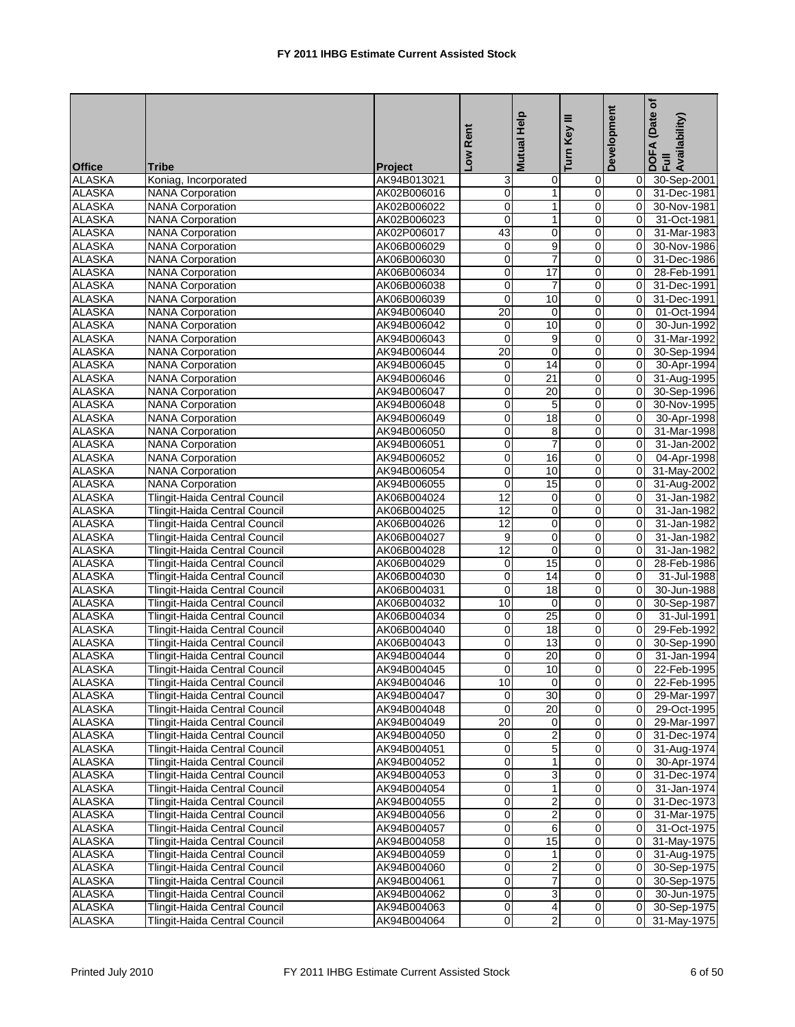|                                |                                                    |                            | Low Rent                | <b>Mutual Help</b> | Ξ<br>Turn Key           | Development | Date of<br>DOFA (Date<br>Full<br>Availability) |
|--------------------------------|----------------------------------------------------|----------------------------|-------------------------|--------------------|-------------------------|-------------|------------------------------------------------|
|                                |                                                    |                            |                         |                    |                         |             |                                                |
| <b>Office</b>                  | <b>Tribe</b>                                       | <b>Project</b>             |                         |                    |                         |             |                                                |
| <b>ALASKA</b><br><b>ALASKA</b> | Koniag, Incorporated                               | AK94B013021                | 3<br>$\pmb{0}$          | 0<br>$\mathbf{1}$  | 0<br>0                  | 0<br>0      | 30-Sep-2001<br>31-Dec-1981                     |
| <b>ALASKA</b>                  | <b>NANA Corporation</b><br><b>NANA Corporation</b> | AK02B006016<br>AK02B006022 | $\mathbf 0$             | 1                  | 0                       | $\Omega$    | 30-Nov-1981                                    |
| <b>ALASKA</b>                  | <b>NANA Corporation</b>                            | AK02B006023                | $\mathbf 0$             | $\mathbf{1}$       | 0                       | 0           | 31-Oct-1981                                    |
| <b>ALASKA</b>                  | <b>NANA Corporation</b>                            | AK02P006017                | 43                      | $\mathbf 0$        | $\mathbf 0$             | $\mathbf 0$ | 31-Mar-1983                                    |
| <b>ALASKA</b>                  | <b>NANA Corporation</b>                            | AK06B006029                | $\mathbf 0$             | 9                  | 0                       | $\Omega$    | 30-Nov-1986                                    |
| <b>ALASKA</b>                  | <b>NANA Corporation</b>                            | AK06B006030                | 0                       | $\overline{7}$     | 0                       | $\Omega$    | 31-Dec-1986                                    |
| <b>ALASKA</b>                  | <b>NANA Corporation</b>                            | AK06B006034                | $\mathbf 0$             | $\overline{17}$    | 0                       | $\mathbf 0$ | 28-Feb-1991                                    |
| <b>ALASKA</b>                  | <b>NANA Corporation</b>                            | AK06B006038                | $\mathbf 0$             | $\overline{7}$     | $\mathsf 0$             | 0           | 31-Dec-1991                                    |
| <b>ALASKA</b>                  | <b>NANA Corporation</b>                            | AK06B006039                | $\mathbf 0$             | 10                 | $\mathbf 0$             | 0           | 31-Dec-1991                                    |
| <b>ALASKA</b>                  | <b>NANA Corporation</b>                            | AK94B006040                | 20                      | 0                  | $\mathbf 0$             | 0           | 01-Oct-1994                                    |
| <b>ALASKA</b>                  | <b>NANA Corporation</b>                            | AK94B006042                | $\pmb{0}$               | 10                 | 0                       | $\mathbf 0$ | 30-Jun-1992                                    |
| <b>ALASKA</b>                  | <b>NANA Corporation</b>                            | AK94B006043                | $\mathbf 0$             | 9                  | 0                       | 0           | 31-Mar-1992                                    |
| <b>ALASKA</b>                  | <b>NANA Corporation</b>                            | AK94B006044                | $\overline{20}$         | $\mathbf 0$        | 0                       | 0           | 30-Sep-1994                                    |
| <b>ALASKA</b>                  | <b>NANA Corporation</b>                            | AK94B006045                | $\pmb{0}$               | 14                 | $\mathbf 0$             | $\mathbf 0$ | 30-Apr-1994                                    |
| <b>ALASKA</b>                  | <b>NANA Corporation</b>                            | AK94B006046                | $\mathbf 0$             | $\overline{21}$    | 0                       | 0           | 31-Aug-1995                                    |
| <b>ALASKA</b>                  | <b>NANA Corporation</b>                            | AK94B006047                | 0                       | 20                 | 0                       | $\Omega$    | 30-Sep-1996                                    |
| <b>ALASKA</b>                  | <b>NANA Corporation</b>                            | AK94B006048                | $\mathbf 0$             | 5                  | 0                       | 0           | 30-Nov-1995                                    |
| <b>ALASKA</b>                  | <b>NANA Corporation</b>                            | AK94B006049                | $\mathbf 0$             | 18                 | 0                       | 0           | 30-Apr-1998                                    |
| <b>ALASKA</b>                  | <b>NANA Corporation</b>                            | AK94B006050                | $\mathbf 0$             | 8                  | 0                       | $\Omega$    | 31-Mar-1998                                    |
| <b>ALASKA</b>                  | <b>NANA Corporation</b>                            | AK94B006051                | 0                       | $\overline{7}$     | 0                       | 0           | 31-Jan-2002                                    |
| <b>ALASKA</b>                  | <b>NANA Corporation</b>                            | AK94B006052                | 0                       | 16                 | $\mathbf 0$             | $\mathbf 0$ | 04-Apr-1998                                    |
| <b>ALASKA</b>                  | <b>NANA Corporation</b>                            | AK94B006054                | $\mathbf 0$             | 10                 | 0                       | 0           | 31-May-2002                                    |
| <b>ALASKA</b>                  | <b>NANA Corporation</b>                            | AK94B006055                | $\mathbf 0$             | 15                 | 0                       | 0           | 31-Aug-2002                                    |
| <b>ALASKA</b>                  | Tlingit-Haida Central Council                      | AK06B004024                | 12                      | 0                  | $\mathbf 0$             | 0           | 31-Jan-1982                                    |
| <b>ALASKA</b>                  | Tlingit-Haida Central Council                      | AK06B004025                | 12                      | $\mathbf 0$        | 0                       | 0           | 31-Jan-1982                                    |
| <b>ALASKA</b>                  | Tlingit-Haida Central Council                      | AK06B004026                | 12                      | $\mathbf 0$        | 0                       | 0           | 31-Jan-1982                                    |
| <b>ALASKA</b>                  | Tlingit-Haida Central Council                      | AK06B004027                | 9                       | 0                  | 0                       | $\mathbf 0$ | 31-Jan-1982                                    |
| <b>ALASKA</b>                  | Tlingit-Haida Central Council                      | AK06B004028                | 12                      | $\mathbf 0$        | $\mathsf 0$             | 0           | 31-Jan-1982                                    |
| <b>ALASKA</b>                  | Tlingit-Haida Central Council                      | AK06B004029                | $\pmb{0}$               | 15                 | $\mathbf 0$             | $\Omega$    | 28-Feb-1986                                    |
| <b>ALASKA</b>                  | Tlingit-Haida Central Council                      | AK06B004030                | 0                       | 14                 | 0                       | 0           | 31-Jul-1988                                    |
| <b>ALASKA</b>                  | Tlingit-Haida Central Council                      | AK06B004031                | $\pmb{0}$               | 18                 | 0                       | $\mathbf 0$ | 30-Jun-1988                                    |
| <b>ALASKA</b>                  | Tlingit-Haida Central Council                      | AK06B004032                | 10                      | $\mathbf 0$        | 0                       | $\mathbf 0$ | 30-Sep-1987                                    |
| <b>ALASKA</b>                  | Tlingit-Haida Central Council                      | AK06B004034                | 0                       | 25                 | 0                       | $\Omega$    | 31-Jul-1991                                    |
| <b>ALASKA</b>                  | Tlingit-Haida Central Council                      | AK06B004040                | $\overline{0}$          | 18                 | 0                       | $\mathbf 0$ | 29-Feb-1992                                    |
| <b>ALASKA</b>                  | Tlingit-Haida Central Council                      | AK06B004043                | 0                       | 13                 | $\mathbf 0$             | 0           | 30-Sep-1990                                    |
| <b>ALASKA</b>                  | Tlingit-Haida Central Council                      | AK94B004044                | 0                       | 20                 | 0                       | 0           | 31-Jan-1994                                    |
| <b>ALASKA</b>                  | Tlingit-Haida Central Council                      | AK94B004045                | $\overline{0}$          | 10                 | $\overline{0}$          | 0           | 22-Feb-1995                                    |
| <b>ALASKA</b>                  | Tlingit-Haida Central Council                      | AK94B004046                | 10                      | $\overline{0}$     | $\overline{\mathbf{0}}$ | 0           | 22-Feb-1995                                    |
| <b>ALASKA</b>                  | Tlingit-Haida Central Council                      | AK94B004047                | 0                       | 30                 | $\pmb{0}$               | 0           | 29-Mar-1997                                    |
| <b>ALASKA</b>                  | Tlingit-Haida Central Council                      | AK94B004048                | $\mathbf 0$             | 20                 | $\mathbf 0$             | 0           | 29-Oct-1995                                    |
| <b>ALASKA</b>                  | Tlingit-Haida Central Council                      | AK94B004049                | $\overline{20}$         | 0                  | $\mathbf 0$             | 0           | 29-Mar-1997                                    |
| <b>ALASKA</b>                  | <b>Tlingit-Haida Central Council</b>               | AK94B004050                | 0                       | $\overline{2}$     | 0                       | 0           | 31-Dec-1974                                    |
| <b>ALASKA</b>                  | Tlingit-Haida Central Council                      | AK94B004051                | 0                       | $\mathbf 5$        | $\pmb{0}$               | 0           | 31-Aug-1974                                    |
| <b>ALASKA</b>                  | Tlingit-Haida Central Council                      | AK94B004052                | $\overline{0}$          | $\mathbf{1}$       | $\pmb{0}$               | 0           | 30-Apr-1974                                    |
| <b>ALASKA</b>                  | <b>Tlingit-Haida Central Council</b>               | AK94B004053                | $\mathbf 0$             | $\overline{3}$     | 0                       | 0           | 31-Dec-1974                                    |
| <b>ALASKA</b>                  | Tlingit-Haida Central Council                      | AK94B004054                | 0                       | $\mathbf{1}$       | 0                       | $\mathbf 0$ | 31-Jan-1974                                    |
| <b>ALASKA</b>                  | <b>Tlingit-Haida Central Council</b>               | AK94B004055                | $\overline{0}$          | 2                  | $\overline{0}$          | $\mathbf 0$ | 31-Dec-1973                                    |
| <b>ALASKA</b>                  | Tlingit-Haida Central Council                      | AK94B004056                | $\pmb{0}$               | $\overline{2}$     | 0                       | 0           | 31-Mar-1975                                    |
| <b>ALASKA</b>                  | Tlingit-Haida Central Council                      | AK94B004057                | 0                       | 6                  | $\mathsf{O}\xspace$     | $\mathbf 0$ | 31-Oct-1975                                    |
| <b>ALASKA</b>                  | Tlingit-Haida Central Council                      | AK94B004058                | $\pmb{0}$               | $\overline{15}$    | 0                       | 0           | 31-May-1975                                    |
| <b>ALASKA</b>                  | Tlingit-Haida Central Council                      | AK94B004059                | $\overline{0}$          | $\mathbf{1}$       | $\mathbf 0$             | 0           | 31-Aug-1975                                    |
| <b>ALASKA</b>                  | Tlingit-Haida Central Council                      | AK94B004060                | 0                       | $\overline{c}$     | 0                       | $\mathbf 0$ | 30-Sep-1975                                    |
| <b>ALASKA</b>                  | Tlingit-Haida Central Council                      | AK94B004061                | 0                       | $\overline{7}$     | $\pmb{0}$               | $\mathbf 0$ | 30-Sep-1975                                    |
| <b>ALASKA</b>                  | Tlingit-Haida Central Council                      | AK94B004062                | $\pmb{0}$               | 3                  | $\mathbf 0$             | 0           | 30-Jun-1975                                    |
| <b>ALASKA</b>                  | Tlingit-Haida Central Council                      | AK94B004063                | $\mathbf 0$             | 4                  | $\mathbf 0$             | 0           | 30-Sep-1975                                    |
| <b>ALASKA</b>                  | Tlingit-Haida Central Council                      | AK94B004064                | $\overline{\mathsf{o}}$ | $\overline{2}$     | $\overline{0}$          | 0           | 31-May-1975                                    |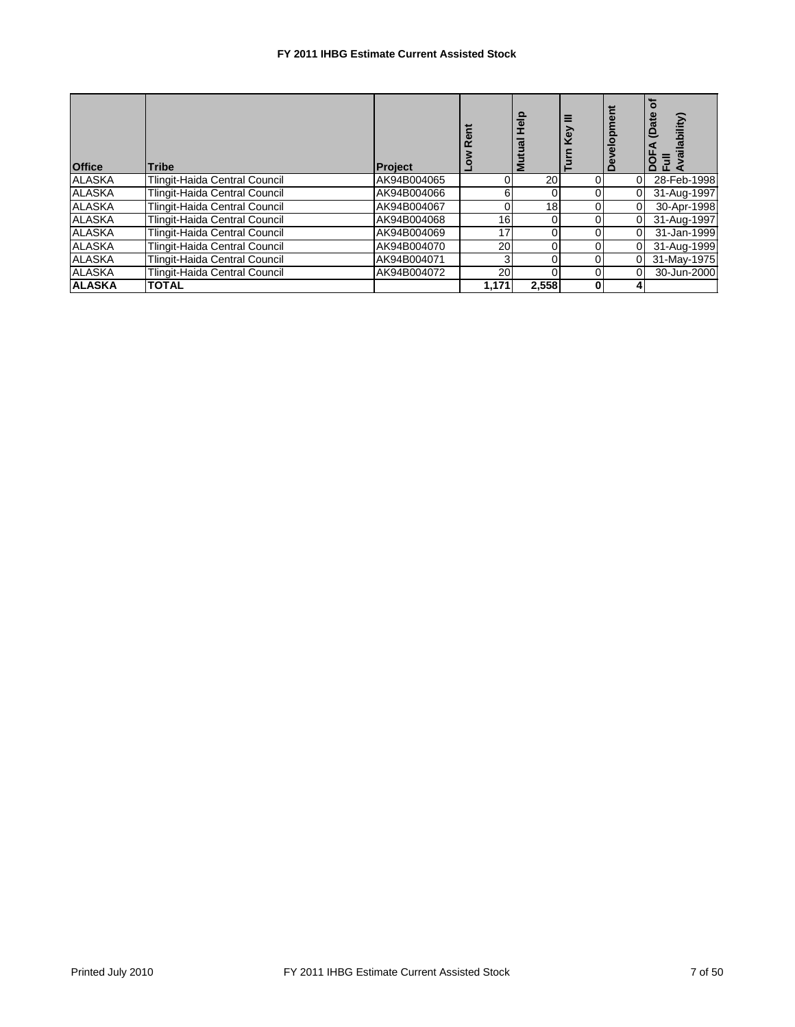| <b>Office</b> | <b>Tribe</b>                  | <b>Project</b> | ã     | 혈<br>Ξ          |  | ilability)<br>ᅀᅹ |
|---------------|-------------------------------|----------------|-------|-----------------|--|------------------|
| <b>ALASKA</b> | Tlingit-Haida Central Council | AK94B004065    | 0     | 20              |  | 28-Feb-1998      |
| <b>ALASKA</b> | Tlingit-Haida Central Council | AK94B004066    | 6     |                 |  | 31-Aug-1997      |
| <b>ALASKA</b> | Tlingit-Haida Central Council | AK94B004067    | 0     | 18 <sub>1</sub> |  | 30-Apr-1998      |
| <b>ALASKA</b> | Tlingit-Haida Central Council | AK94B004068    | 16    |                 |  | 31-Aug-1997      |
| <b>ALASKA</b> | Tlingit-Haida Central Council | AK94B004069    | 17    | 0               |  | 31-Jan-1999      |
| <b>ALASKA</b> | Tlingit-Haida Central Council | AK94B004070    | 20    |                 |  | 31-Aug-1999      |
| <b>ALASKA</b> | Tlingit-Haida Central Council | AK94B004071    | 3     |                 |  | 31-May-1975      |
| <b>ALASKA</b> | Tlingit-Haida Central Council | AK94B004072    | 20    |                 |  | 30-Jun-2000      |
| <b>ALASKA</b> | <b>TOTAL</b>                  |                | 1,171 | 2,558           |  |                  |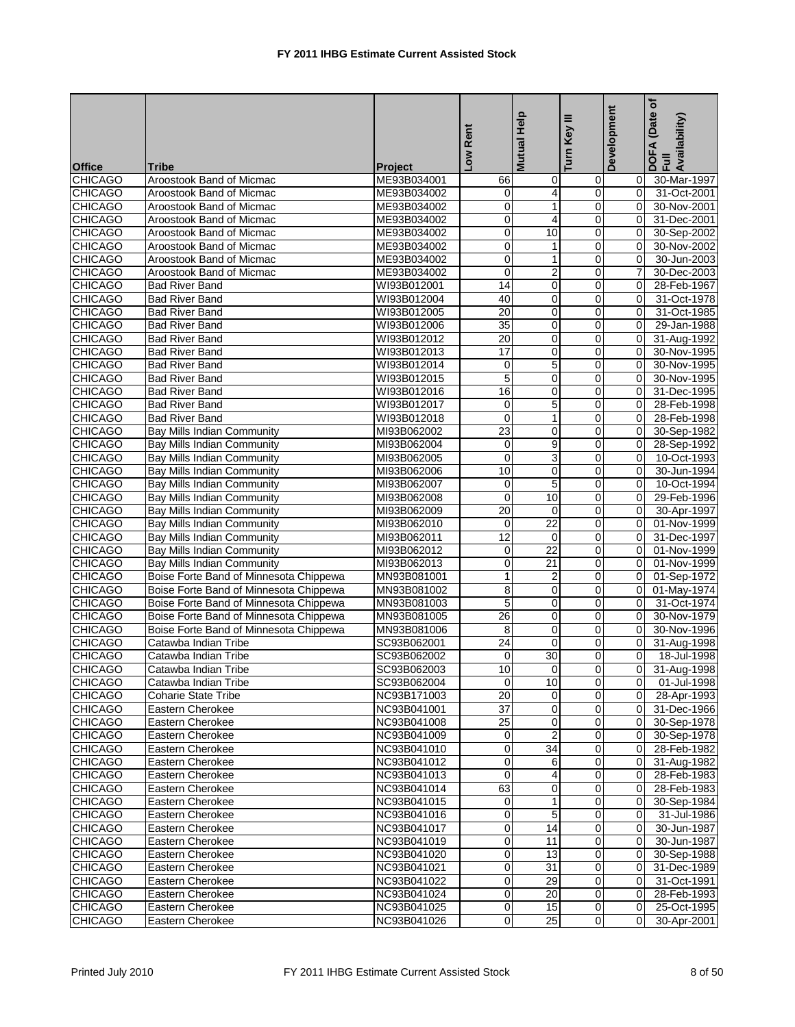|                |                                        |                | Low Rent        | Mutual Help     | ≡<br>Turn Key  | Development    | (Date of<br>DOFA (Date<br>Full<br>Availability) |
|----------------|----------------------------------------|----------------|-----------------|-----------------|----------------|----------------|-------------------------------------------------|
| <b>Office</b>  | <b>Tribe</b>                           | <b>Project</b> |                 |                 |                |                |                                                 |
| <b>CHICAGO</b> | Aroostook Band of Micmac               | ME93B034001    | 66              | 0               | $\overline{0}$ | 0              | 30-Mar-1997                                     |
| <b>CHICAGO</b> | Aroostook Band of Micmac               | ME93B034002    | 0               | $\overline{4}$  | $\mathbf 0$    | 0              | 31-Oct-2001                                     |
| <b>CHICAGO</b> | Aroostook Band of Micmac               | ME93B034002    | 0               | 1               | 0              | 0              | 30-Nov-2001                                     |
| <b>CHICAGO</b> | Aroostook Band of Micmac               | ME93B034002    | 0               | 4               | $\mathbf 0$    | $\Omega$       | 31-Dec-2001                                     |
| <b>CHICAGO</b> | Aroostook Band of Micmac               | ME93B034002    | 0               | 10              | 0              | 0              | 30-Sep-2002                                     |
| <b>CHICAGO</b> | Aroostook Band of Micmac               | ME93B034002    | $\mathbf 0$     | $\mathbf{1}$    | $\mathbf 0$    | $\mathbf 0$    | 30-Nov-2002                                     |
| <b>CHICAGO</b> | Aroostook Band of Micmac               | ME93B034002    | 0               | $\mathbf{1}$    | 0              | $\Omega$       | 30-Jun-2003                                     |
| <b>CHICAGO</b> | Aroostook Band of Micmac               | ME93B034002    | $\mathbf 0$     | 2               | 0              | 7              | 30-Dec-2003                                     |
| <b>CHICAGO</b> | <b>Bad River Band</b>                  | WI93B012001    | 14              | 0               | $\mathbf 0$    | 0              | 28-Feb-1967                                     |
| <b>CHICAGO</b> | <b>Bad River Band</b>                  | WI93B012004    | 40              | 0               | 0              | 0              | 31-Oct-1978                                     |
| <b>CHICAGO</b> | <b>Bad River Band</b>                  | WI93B012005    | 20              | 0               | $\overline{0}$ | $\Omega$       | 31-Oct-1985                                     |
| <b>CHICAGO</b> | <b>Bad River Band</b>                  | WI93B012006    | 35              | 0               | 0              | 0              | 29-Jan-1988                                     |
| <b>CHICAGO</b> | <b>Bad River Band</b>                  | WI93B012012    | 20              | $\mathbf 0$     | 0              | $\Omega$       | 31-Aug-1992                                     |
| <b>CHICAGO</b> | <b>Bad River Band</b>                  | WI93B012013    | 17              | 0               | 0              | $\Omega$       | 30-Nov-1995                                     |
| <b>CHICAGO</b> | <b>Bad River Band</b>                  | WI93B012014    | 0               | 5               | 0              | 0              | 30-Nov-1995                                     |
| <b>CHICAGO</b> | <b>Bad River Band</b>                  | WI93B012015    | 5               | $\pmb{0}$       | 0              | 0              | 30-Nov-1995                                     |
| <b>CHICAGO</b> | <b>Bad River Band</b>                  | WI93B012016    | 16              | 0               | 0              | $\Omega$       | 31-Dec-1995                                     |
| <b>CHICAGO</b> | <b>Bad River Band</b>                  | WI93B012017    | 0               | 5               | 0              | $\Omega$       | 28-Feb-1998                                     |
| <b>CHICAGO</b> | <b>Bad River Band</b>                  | WI93B012018    | 0               | $\mathbf{1}$    | 0              | 0              | 28-Feb-1998                                     |
| <b>CHICAGO</b> | <b>Bay Mills Indian Community</b>      | MI93B062002    | 23              | $\mathbf 0$     | 0              | 0              | 30-Sep-1982                                     |
| <b>CHICAGO</b> | Bay Mills Indian Community             | MI93B062004    | 0               | $\overline{9}$  | $\overline{0}$ | $\Omega$       | 28-Sep-1992                                     |
| <b>CHICAGO</b> | <b>Bay Mills Indian Community</b>      | MI93B062005    | 0               | 3               | 0              | $\mathbf 0$    | 10-Oct-1993                                     |
| <b>CHICAGO</b> | Bay Mills Indian Community             | MI93B062006    | 10              | 0               | 0              | $\Omega$       | 30-Jun-1994                                     |
| <b>CHICAGO</b> | <b>Bay Mills Indian Community</b>      | MI93B062007    | 0               | 5               | $\mathbf 0$    | $\overline{0}$ | 10-Oct-1994                                     |
| <b>CHICAGO</b> | <b>Bay Mills Indian Community</b>      | MI93B062008    | 0               | 10              | $\overline{0}$ | 0              | 29-Feb-1996                                     |
| <b>CHICAGO</b> | Bay Mills Indian Community             | MI93B062009    | $\overline{20}$ | 0               | $\mathbf 0$    | 0              | 30-Apr-1997                                     |
| <b>CHICAGO</b> | Bay Mills Indian Community             | MI93B062010    | $\mathbf 0$     | 22              | 0              | $\Omega$       | 01-Nov-1999                                     |
| <b>CHICAGO</b> | Bay Mills Indian Community             | MI93B062011    | 12              | 0               | 0              | $\Omega$       | 31-Dec-1997                                     |
| <b>CHICAGO</b> | Bay Mills Indian Community             | MI93B062012    | 0               | $\overline{22}$ | $\mathbf 0$    | 0              | 01-Nov-1999                                     |
| <b>CHICAGO</b> | Bay Mills Indian Community             | MI93B062013    | 0               | 21              | 0              | 0              | 01-Nov-1999                                     |
| <b>CHICAGO</b> | Boise Forte Band of Minnesota Chippewa | MN93B081001    | 1               | 2               | 0              | $\Omega$       | 01-Sep-1972                                     |
| <b>CHICAGO</b> | Boise Forte Band of Minnesota Chippewa | MN93B081002    | 8               | 0               | 0              | 0              | 01-May-1974                                     |
| <b>CHICAGO</b> | Boise Forte Band of Minnesota Chippewa | MN93B081003    | 5               | $\mathbf 0$     | 0              | $\Omega$       | 31-Oct-1974                                     |
| <b>CHICAGO</b> | Boise Forte Band of Minnesota Chippewa | MN93B081005    | 26              | 0               | 0              | $\Omega$       | 30-Nov-1979                                     |
| CHICAGO        | Boise Forte Band of Minnesota Chippewa | MN93B081006    | 8               | 0               | 0              | 0              | 30-Nov-1996                                     |
| <b>CHICAGO</b> | Catawba Indian Tribe                   | SC93B062001    | $\overline{24}$ | 0               | 0              | $\mathbf 0$    | 31-Aug-1998                                     |
| <b>CHICAGO</b> | Catawba Indian Tribe                   | SC93B062002    | 0               | 30              | 0              | $\Omega$       | 18-Jul-1998                                     |
| <b>CHICAGO</b> | Catawba Indian Tribe                   | SC93B062003    | $\overline{10}$ | $\Omega$        | $\Omega$       | 0              | 31-Aug-1998                                     |
| <b>CHICAGO</b> | Catawba Indian Tribe                   | SC93B062004    | $\mathbf 0$     | 10              | $\overline{0}$ | $\overline{0}$ | 01-Jul-1998                                     |
| <b>CHICAGO</b> | <b>Coharie State Tribe</b>             | NC93B171003    | 20              | 0               | $\Omega$       | 0              | 28-Apr-1993                                     |
| <b>CHICAGO</b> | Eastern Cherokee                       | NC93B041001    | $\overline{37}$ | $\mathbf 0$     | $\overline{0}$ | 0              | 31-Dec-1966                                     |
| <b>CHICAGO</b> | Eastern Cherokee                       | NC93B041008    | $\overline{25}$ | 0               | $\overline{0}$ | 0              | 30-Sep-1978                                     |
| <b>CHICAGO</b> | Eastern Cherokee                       | NC93B041009    | 0               | $\overline{2}$  | $\overline{0}$ | 0              | 30-Sep-1978                                     |
| <b>CHICAGO</b> | Eastern Cherokee                       | NC93B041010    | 0               | $\overline{34}$ | $\mathbf 0$    | $\mathbf 0$    | 28-Feb-1982                                     |
| <b>CHICAGO</b> | Eastern Cherokee                       | NC93B041012    | 0               | 6               | 0              | 0              | 31-Aug-1982                                     |
| <b>CHICAGO</b> | Eastern Cherokee                       | NC93B041013    | 0               | 4               | $\mathbf 0$    | 0              | 28-Feb-1983                                     |
| <b>CHICAGO</b> | Eastern Cherokee                       | NC93B041014    | 63              | 0               | $\mathbf 0$    | 0              | 28-Feb-1983                                     |
| <b>CHICAGO</b> | Eastern Cherokee                       | NC93B041015    | 0               | 1               | $\mathbf 0$    | 0              | 30-Sep-1984                                     |
| <b>CHICAGO</b> | Eastern Cherokee                       | NC93B041016    | 0               | 5               | $\overline{0}$ | 0              | 31-Jul-1986                                     |
| <b>CHICAGO</b> | Eastern Cherokee                       | NC93B041017    | 0               | $\overline{14}$ | $\overline{0}$ | 0              | 30-Jun-1987                                     |
| <b>CHICAGO</b> | Eastern Cherokee                       | NC93B041019    | 0               | 11              | $\overline{0}$ | 0              | 30-Jun-1987                                     |
| <b>CHICAGO</b> | Eastern Cherokee                       | NC93B041020    | $\pmb{0}$       | 13              | $\overline{0}$ | 0              | 30-Sep-1988                                     |
| <b>CHICAGO</b> | Eastern Cherokee                       | NC93B041021    | 0               | $\overline{31}$ | $\overline{0}$ | 0              | 31-Dec-1989                                     |
| <b>CHICAGO</b> | Eastern Cherokee                       | NC93B041022    | 0               | 29              | $\overline{0}$ | $\mathbf 0$    | 31-Oct-1991                                     |
| <b>CHICAGO</b> | Eastern Cherokee                       | NC93B041024    | 0               | 20              | $\overline{0}$ | 0              | 28-Feb-1993                                     |
| <b>CHICAGO</b> | Eastern Cherokee                       | NC93B041025    | 0               | 15              | $\overline{0}$ | 0              | 25-Oct-1995                                     |
| <b>CHICAGO</b> | Eastern Cherokee                       | NC93B041026    | 0               | 25              | $\overline{0}$ | 0              | 30-Apr-2001                                     |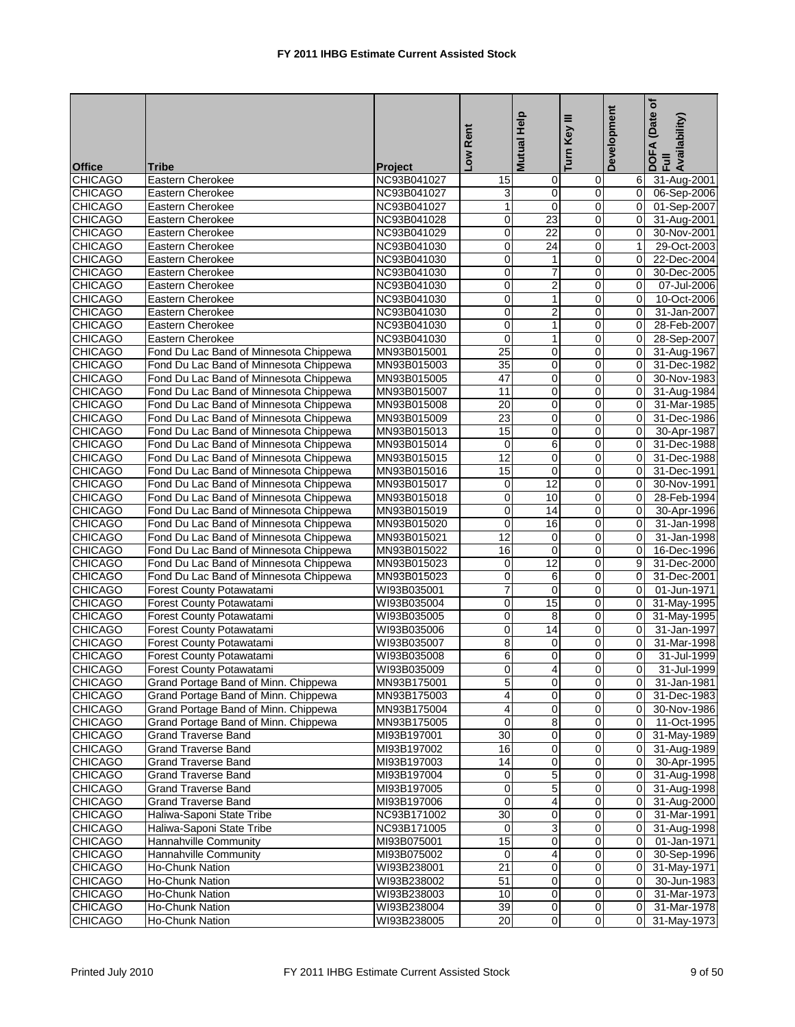| <b>Office</b>                    | <b>Tribe</b>                                                                     | Project                    | Low Rent                               | Mutual Help             | Ξ<br>Turn Key       | Development      | (Date of<br>DOFA (Date<br>Full<br>Availability) |
|----------------------------------|----------------------------------------------------------------------------------|----------------------------|----------------------------------------|-------------------------|---------------------|------------------|-------------------------------------------------|
| <b>CHICAGO</b>                   | Eastern Cherokee                                                                 | NC93B041027                | 15                                     | 0                       | 0                   | 6                | 31-Aug-2001                                     |
| <b>CHICAGO</b>                   | Eastern Cherokee                                                                 | NC93B041027                | 3                                      | 0                       | $\mathbf 0$         | $\mathbf 0$      | 06-Sep-2006                                     |
| <b>CHICAGO</b>                   | Eastern Cherokee                                                                 | NC93B041027                | 1                                      | $\mathbf 0$             | 0                   | 0                | 01-Sep-2007                                     |
| <b>CHICAGO</b>                   | Eastern Cherokee                                                                 | NC93B041028                | 0                                      | 23                      | 0                   | $\overline{0}$   | 31-Aug-2001                                     |
| <b>CHICAGO</b>                   | Eastern Cherokee                                                                 | NC93B041029                | 0                                      | 22                      | 0                   | 0                | 30-Nov-2001                                     |
| <b>CHICAGO</b>                   | Eastern Cherokee                                                                 | NC93B041030                | $\mathbf 0$                            | $\overline{24}$         | 0                   | $\mathbf{1}$     | 29-Oct-2003                                     |
| <b>CHICAGO</b>                   | Eastern Cherokee                                                                 | NC93B041030                | 0                                      | $\mathbf{1}$            | 0                   | $\Omega$         | 22-Dec-2004                                     |
| <b>CHICAGO</b>                   | Eastern Cherokee                                                                 | NC93B041030                | 0                                      | 7                       | 0                   | $\mathbf 0$      | 30-Dec-2005                                     |
| <b>CHICAGO</b>                   | <b>Eastern Cherokee</b>                                                          | NC93B041030                | $\overline{0}$                         | $\overline{2}$          | $\overline{0}$      | 0                | 07-Jul-2006                                     |
| <b>CHICAGO</b>                   | Eastern Cherokee                                                                 | NC93B041030                | 0                                      | 1                       | 0                   | 0                | 10-Oct-2006                                     |
| <b>CHICAGO</b>                   | Eastern Cherokee                                                                 | NC93B041030                | 0                                      | $\overline{2}$          | 0                   | $\Omega$         | 31-Jan-2007                                     |
| <b>CHICAGO</b>                   | Eastern Cherokee                                                                 | NC93B041030                | $\pmb{0}$                              | $\mathbf{1}$            | 0                   | 0                | 28-Feb-2007                                     |
| <b>CHICAGO</b>                   | Eastern Cherokee                                                                 | NC93B041030                | $\mathbf 0$                            | 1                       | 0                   | $\Omega$         | 28-Sep-2007                                     |
| <b>CHICAGO</b>                   | Fond Du Lac Band of Minnesota Chippewa                                           | MN93B015001                | 25                                     | $\pmb{0}$               | 0                   | $\Omega$         | 31-Aug-1967                                     |
| <b>CHICAGO</b>                   | Fond Du Lac Band of Minnesota Chippewa                                           | MN93B015003                | 35                                     | 0                       | 0                   | $\mathbf 0$      | 31-Dec-1982                                     |
| <b>CHICAGO</b>                   | Fond Du Lac Band of Minnesota Chippewa                                           | MN93B015005                | 47                                     | $\pmb{0}$               | 0                   | $\mathbf 0$      | 30-Nov-1983                                     |
| <b>CHICAGO</b>                   | Fond Du Lac Band of Minnesota Chippewa                                           | MN93B015007                | 11                                     | $\pmb{0}$               | 0                   | $\mathbf 0$      | 31-Aug-1984                                     |
| <b>CHICAGO</b>                   | Fond Du Lac Band of Minnesota Chippewa                                           | MN93B015008                | $\overline{20}$                        | 0                       | 0                   | 0                | 31-Mar-1985                                     |
| <b>CHICAGO</b>                   | Fond Du Lac Band of Minnesota Chippewa                                           | MN93B015009                | 23                                     | $\pmb{0}$               | 0                   | 0                | 31-Dec-1986                                     |
| <b>CHICAGO</b>                   | Fond Du Lac Band of Minnesota Chippewa                                           | MN93B015013                | 15                                     | 0                       | 0                   | $\mathbf 0$      | 30-Apr-1987                                     |
| <b>CHICAGO</b>                   | Fond Du Lac Band of Minnesota Chippewa                                           | MN93B015014                | 0                                      | $\overline{6}$          | 0                   | $\Omega$         | 31-Dec-1988                                     |
| <b>CHICAGO</b>                   | Fond Du Lac Band of Minnesota Chippewa                                           | MN93B015015                | 12                                     | 0                       | 0                   | $\mathbf 0$      | 31-Dec-1988                                     |
| <b>CHICAGO</b>                   | Fond Du Lac Band of Minnesota Chippewa                                           | MN93B015016                | 15                                     | $\mathbf 0$             | 0                   | $\Omega$         | 31-Dec-1991                                     |
| <b>CHICAGO</b>                   |                                                                                  |                            |                                        | 12                      |                     | $\Omega$         |                                                 |
|                                  | Fond Du Lac Band of Minnesota Chippewa                                           | MN93B015017                | 0                                      |                         | 0                   |                  | 30-Nov-1991                                     |
| <b>CHICAGO</b>                   | Fond Du Lac Band of Minnesota Chippewa<br>Fond Du Lac Band of Minnesota Chippewa | MN93B015018                | 0<br>$\mathbf 0$                       | 10<br>$\overline{14}$   | 0<br>0              | $\mathbf 0$<br>0 | 28-Feb-1994                                     |
| <b>CHICAGO</b><br><b>CHICAGO</b> | Fond Du Lac Band of Minnesota Chippewa                                           | MN93B015019                | 0                                      | 16                      | 0                   | $\Omega$         | 30-Apr-1996                                     |
|                                  |                                                                                  | MN93B015020                | $\overline{12}$                        |                         | 0                   | $\Omega$         | 31-Jan-1998<br>31-Jan-1998                      |
| <b>CHICAGO</b>                   | Fond Du Lac Band of Minnesota Chippewa                                           | MN93B015021                | 16                                     | 0                       |                     |                  |                                                 |
| <b>CHICAGO</b><br><b>CHICAGO</b> | Fond Du Lac Band of Minnesota Chippewa                                           | MN93B015022<br>MN93B015023 | 0                                      | $\pmb{0}$<br>12         | $\overline{0}$<br>0 | 0<br>9           | 16-Dec-1996<br>31-Dec-2000                      |
| <b>CHICAGO</b>                   | Fond Du Lac Band of Minnesota Chippewa                                           |                            | 0                                      | 6                       | 0                   | $\mathbf 0$      | 31-Dec-2001                                     |
| <b>CHICAGO</b>                   | Fond Du Lac Band of Minnesota Chippewa<br>Forest County Potawatami               | MN93B015023<br>WI93B035001 | $\overline{7}$                         | 0                       | 0                   | 0                | 01-Jun-1971                                     |
| <b>CHICAGO</b>                   | Forest County Potawatami                                                         | WI93B035004                | 0                                      | 15                      | 0                   | $\Omega$         | 31-May-1995                                     |
| <b>CHICAGO</b>                   |                                                                                  |                            |                                        |                         |                     | $\mathbf 0$      |                                                 |
|                                  | Forest County Potawatami                                                         | WI93B035005                | 0                                      | 8                       | 0                   |                  | 31-May-1995                                     |
| <b>CHICAGO</b><br><b>CHICAGO</b> | Forest County Potawatami<br>Forest County Potawatami                             | WI93B035006                | 0<br>$\overline{8}$                    | 14<br>0                 | 0<br>0              | 0<br>$\mathbf 0$ | 31-Jan-1997<br>31-Mar-1998                      |
| <b>CHICAGO</b>                   |                                                                                  | WI93B035007<br>WI93B035008 |                                        | 0                       | 0                   | 0                | 31-Jul-1999                                     |
| <b>CHICAGO</b>                   | Forest County Potawatami                                                         |                            | 6<br>0                                 | $\overline{4}$          | $\overline{0}$      | 0                | 31-Jul-1999                                     |
|                                  | Forest County Potawatami                                                         | WI93B035009                |                                        | $\overline{0}$          | $\overline{0}$      |                  |                                                 |
| <b>CHICAGO</b><br><b>CHICAGO</b> | Grand Portage Band of Minn. Chippewa                                             | MN93B175001                | 5                                      |                         | $\mathbf 0$         | $\mathbf 0$      | 31-Jan-1981                                     |
|                                  | Grand Portage Band of Minn. Chippewa                                             | MN93B175003                | 4                                      | 0                       |                     | 0<br>0           | 31-Dec-1983<br>30-Nov-1986                      |
| <b>CHICAGO</b>                   | Grand Portage Band of Minn. Chippewa<br>Grand Portage Band of Minn. Chippewa     | MN93B175004                | $\overline{\mathbf{4}}$<br>$\mathbf 0$ | $\pmb{0}$               | $\overline{0}$      |                  |                                                 |
| <b>CHICAGO</b><br><b>CHICAGO</b> | <b>Grand Traverse Band</b>                                                       | MN93B175005<br>MI93B197001 | $\overline{30}$                        | 8<br>0                  | $\overline{0}$<br>0 | 0<br>0           | 11-Oct-1995<br>31-May-1989                      |
| <b>CHICAGO</b>                   | <b>Grand Traverse Band</b>                                                       | MI93B197002                | 16                                     |                         | $\mathbf 0$         | 0                |                                                 |
|                                  |                                                                                  |                            |                                        | 0                       |                     | 0                | 31-Aug-1989<br>30-Apr-1995                      |
| <b>CHICAGO</b><br><b>CHICAGO</b> | <b>Grand Traverse Band</b>                                                       | MI93B197003                | 14<br>0                                | 0<br>$\overline{5}$     | 0<br>$\mathbf 0$    | 0                |                                                 |
| <b>CHICAGO</b>                   | <b>Grand Traverse Band</b><br><b>Grand Traverse Band</b>                         | MI93B197004<br>MI93B197005 | 0                                      | 5                       | $\mathbf 0$         | 0                | 31-Aug-1998<br>31-Aug-1998                      |
| <b>CHICAGO</b>                   | <b>Grand Traverse Band</b>                                                       |                            | 0                                      |                         | $\overline{0}$      | 0                | 31-Aug-2000                                     |
| <b>CHICAGO</b>                   | Haliwa-Saponi State Tribe                                                        | MI93B197006                | 30                                     | 4                       |                     |                  |                                                 |
|                                  |                                                                                  | NC93B171002                |                                        | $\pmb{0}$               | $\pmb{0}$           | 0                | 31-Mar-1991                                     |
| <b>CHICAGO</b>                   | Haliwa-Saponi State Tribe                                                        | NC93B171005                | 0                                      | 3                       | $\overline{0}$      | 0                | 31-Aug-1998                                     |
| <b>CHICAGO</b>                   | Hannahville Community                                                            | MI93B075001                | 15                                     | $\overline{\mathbf{0}}$ | 0                   | $\mathbf 0$      | 01-Jan-1971                                     |
| <b>CHICAGO</b>                   | Hannahville Community                                                            | MI93B075002                | 0                                      | 4                       | 0                   | 0                | 30-Sep-1996                                     |
| <b>CHICAGO</b>                   | Ho-Chunk Nation                                                                  | WI93B238001                | $\overline{21}$                        | 0                       | 0                   | 0                | 31-May-1971                                     |
| <b>CHICAGO</b>                   | Ho-Chunk Nation                                                                  | WI93B238002                | $\overline{51}$                        | 0                       | $\mathbf 0$         | 0                | 30-Jun-1983                                     |
| <b>CHICAGO</b>                   | Ho-Chunk Nation                                                                  | WI93B238003                | 10                                     | 0                       | 0                   | 0                | 31-Mar-1973                                     |
| <b>CHICAGO</b>                   | Ho-Chunk Nation                                                                  | WI93B238004                | 39                                     | $\overline{\mathbf{0}}$ | $\overline{0}$      | $\mathbf 0$      | 31-Mar-1978                                     |
| <b>CHICAGO</b>                   | Ho-Chunk Nation                                                                  | WI93B238005                | $\overline{20}$                        | $\overline{0}$          | $\overline{0}$      | $\overline{0}$   | 31-May-1973                                     |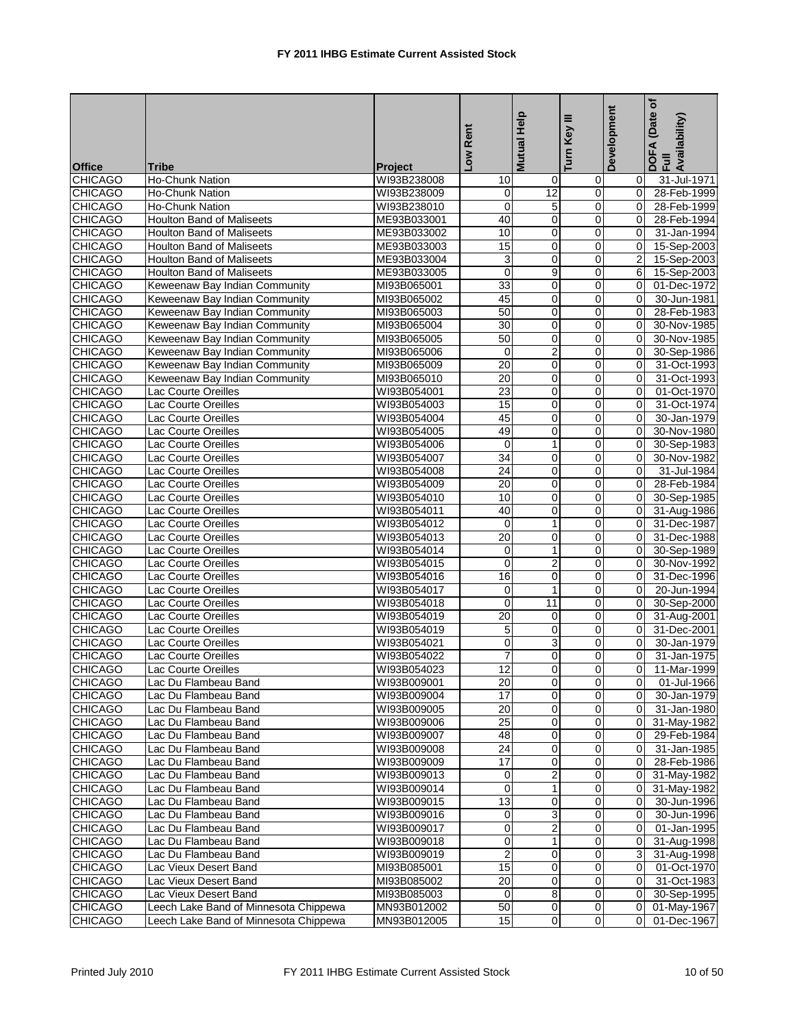| <b>Office</b>                    | <b>Tribe</b>                                                   |                               | Low Rent          | Mutual Help             | ≡<br>Key<br>Turn I  | Development      | (Date of<br>DOFA (Date<br>Full<br>Availability) |
|----------------------------------|----------------------------------------------------------------|-------------------------------|-------------------|-------------------------|---------------------|------------------|-------------------------------------------------|
| <b>CHICAGO</b>                   | Ho-Chunk Nation                                                | <b>Project</b><br>WI93B238008 |                   |                         |                     |                  |                                                 |
|                                  |                                                                |                               | 10<br>$\mathbf 0$ | 0<br>12                 | 0<br>$\overline{0}$ | 0<br>$\mathbf 0$ | 31-Jul-1971                                     |
| <b>CHICAGO</b><br><b>CHICAGO</b> | Ho-Chunk Nation<br>Ho-Chunk Nation                             | WI93B238009                   | $\mathbf 0$       | 5                       | 0                   | $\Omega$         | 28-Feb-1999                                     |
| <b>CHICAGO</b>                   | <b>Houlton Band of Maliseets</b>                               | WI93B238010<br>ME93B033001    | 40                | 0                       | $\mathbf 0$         | $\Omega$         | 28-Feb-1999<br>28-Feb-1994                      |
|                                  | <b>Houlton Band of Maliseets</b>                               |                               | 10                |                         | $\overline{0}$      | 0                | 31-Jan-1994                                     |
| <b>CHICAGO</b><br><b>CHICAGO</b> | Houlton Band of Maliseets                                      | ME93B033002<br>ME93B033003    | 15                | 0<br>$\pmb{0}$          | 0                   | $\mathbf 0$      | 15-Sep-2003                                     |
| <b>CHICAGO</b>                   | Houlton Band of Maliseets                                      | ME93B033004                   | 3                 | 0                       | 0                   | $\overline{2}$   | 15-Sep-2003                                     |
| <b>CHICAGO</b>                   | <b>Houlton Band of Maliseets</b>                               | ME93B033005                   | $\mathbf 0$       | 9                       | 0                   | 6                | 15-Sep-2003                                     |
| <b>CHICAGO</b>                   |                                                                |                               | 33                | 0                       | $\mathbf 0$         | $\mathbf 0$      |                                                 |
| <b>CHICAGO</b>                   | Keweenaw Bay Indian Community<br>Keweenaw Bay Indian Community | MI93B065001<br>MI93B065002    | 45                | 0                       | 0                   | 0                | 01-Dec-1972<br>30-Jun-1981                      |
| <b>CHICAGO</b>                   | Keweenaw Bay Indian Community                                  | MI93B065003                   | 50                | $\pmb{0}$               | $\mathbf 0$         | 0                | 28-Feb-1983                                     |
| <b>CHICAGO</b>                   | Keweenaw Bay Indian Community                                  | MI93B065004                   | 30                | 0                       | $\mathbf 0$         | $\mathbf 0$      | 30-Nov-1985                                     |
| <b>CHICAGO</b>                   | Keweenaw Bay Indian Community                                  | MI93B065005                   | 50                | $\mathbf 0$             | 0                   | $\Omega$         | 30-Nov-1985                                     |
| <b>CHICAGO</b>                   | Keweenaw Bay Indian Community                                  | MI93B065006                   | 0                 | $\overline{2}$          | 0                   | $\Omega$         | 30-Sep-1986                                     |
| <b>CHICAGO</b>                   | Keweenaw Bay Indian Community                                  | MI93B065009                   | 20                |                         | 0                   | $\mathbf 0$      | 31-Oct-1993                                     |
| <b>CHICAGO</b>                   |                                                                |                               | $\overline{20}$   | 0<br>$\pmb{0}$          | 0                   | $\mathbf 0$      | 31-Oct-1993                                     |
| <b>CHICAGO</b>                   | Keweenaw Bay Indian Community                                  | MI93B065010                   | 23                | 0                       | 0                   | $\Omega$         | 01-Oct-1970                                     |
|                                  | Lac Courte Oreilles<br><b>Lac Courte Oreilles</b>              | WI93B054001<br>WI93B054003    | 15                |                         |                     | $\Omega$         | 31-Oct-1974                                     |
| <b>CHICAGO</b>                   | <b>Lac Courte Oreilles</b>                                     |                               | 45                | 0                       | 0                   |                  |                                                 |
| <b>CHICAGO</b>                   |                                                                | WI93B054004                   |                   | 0                       | $\mathbf 0$         | 0                | 30-Jan-1979                                     |
| <b>CHICAGO</b>                   | <b>Lac Courte Oreilles</b>                                     | WI93B054005                   | 49                | $\mathbf 0$             | 0                   | 0                | 30-Nov-1980                                     |
| <b>CHICAGO</b>                   | Lac Courte Oreilles                                            | WI93B054006                   | $\mathbf 0$       | $\mathbf{1}$            | $\overline{0}$      | 0                | 30-Sep-1983                                     |
| <b>CHICAGO</b>                   | Lac Courte Oreilles                                            | WI93B054007                   | 34                | $\mathbf 0$             | 0                   | 0                | 30-Nov-1982                                     |
| <b>CHICAGO</b>                   | Lac Courte Oreilles                                            | WI93B054008                   | $\overline{24}$   | $\mathbf 0$             | 0                   | $\Omega$         | 31-Jul-1984                                     |
| <b>CHICAGO</b>                   | Lac Courte Oreilles                                            | WI93B054009                   | 20                | $\mathbf 0$             | 0                   | $\Omega$         | 28-Feb-1984                                     |
| <b>CHICAGO</b>                   | <b>Lac Courte Oreilles</b>                                     | WI93B054010                   | 10                | 0                       | $\overline{0}$      | 0                | 30-Sep-1985                                     |
| <b>CHICAGO</b>                   | Lac Courte Oreilles                                            | WI93B054011                   | 40                | $\pmb{0}$               | 0                   | $\mathbf 0$      | 31-Aug-1986                                     |
| <b>CHICAGO</b>                   | Lac Courte Oreilles                                            | WI93B054012                   | $\mathbf 0$       | $\mathbf{1}$            | 0                   | $\Omega$         | 31-Dec-1987                                     |
| <b>CHICAGO</b>                   | <b>Lac Courte Oreilles</b>                                     | WI93B054013                   | 20                | 0                       | 0                   | $\Omega$         | 31-Dec-1988                                     |
| <b>CHICAGO</b>                   | <b>Lac Courte Oreilles</b>                                     | WI93B054014                   | 0                 | $\mathbf{1}$            | $\mathbf 0$         | 0                | 30-Sep-1989                                     |
| <b>CHICAGO</b>                   | <b>Lac Courte Oreilles</b>                                     | WI93B054015                   | 0                 | $\overline{\mathbf{c}}$ | 0                   | 0                | 30-Nov-1992                                     |
| <b>CHICAGO</b>                   | Lac Courte Oreilles                                            | WI93B054016                   | $\overline{16}$   | $\overline{0}$          | 0                   | 0                | 31-Dec-1996                                     |
| <b>CHICAGO</b>                   | Lac Courte Oreilles                                            | WI93B054017                   | $\mathbf 0$       | $\mathbf{1}$            | $\overline{0}$      | $\mathbf 0$      | 20-Jun-1994                                     |
| <b>CHICAGO</b>                   | <b>Lac Courte Oreilles</b>                                     | WI93B054018                   | $\mathbf 0$       | 11                      | 0                   | $\Omega$         | 30-Sep-2000                                     |
| <b>CHICAGO</b>                   | Lac Courte Oreilles                                            | WI93B054019                   | 20                | $\mathbf 0$             | $\mathbf 0$         | $\overline{0}$   | 31-Aug-2001                                     |
| <b>CHICAGO</b>                   | Lac Courte Oreilles                                            | WI93B054019                   | 5                 | 0                       | $\overline{0}$      | 0                | 31-Dec-2001                                     |
| <b>CHICAGO</b>                   | Lac Courte Oreilles                                            | WI93B054021                   | 0                 | $\overline{3}$          | 0                   | $\mathbf 0$      | 30-Jan-1979                                     |
| <b>CHICAGO</b>                   | Lac Courte Oreilles                                            | WI93B054022                   | $\overline{7}$    | 0                       | 0                   | $\Omega$         | 31-Jan-1975                                     |
| <b>CHICAGO</b>                   | Lac Courte Oreilles                                            | WI93B054023                   | $\overline{12}$   | $\overline{0}$          | $\Omega$            | $\overline{0}$   | 11-Mar-1999                                     |
| <b>CHICAGO</b>                   | Lac Du Flambeau Band                                           | WI93B009001                   | $\overline{20}$   | $\overline{0}$          | $\overline{0}$      | $\overline{0}$   | 01-Jul-1966                                     |
| <b>CHICAGO</b>                   | Lac Du Flambeau Band                                           | WI93B009004                   | 17                | 0                       | $\mathbf 0$         | 0                | 30-Jan-1979                                     |
| <b>CHICAGO</b>                   | Lac Du Flambeau Band                                           | WI93B009005                   | $\overline{20}$   | $\overline{\mathbf{0}}$ | $\overline{0}$      | 0                | 31-Jan-1980                                     |
| <b>CHICAGO</b>                   | Lac Du Flambeau Band                                           | WI93B009006                   | $\overline{25}$   | 0                       | 0                   | 0                | 31-May-1982                                     |
| <b>CHICAGO</b>                   | Lac Du Flambeau Band                                           | WI93B009007                   | 48                | 0                       | 0                   | 0                | 29-Feb-1984                                     |
| <b>CHICAGO</b>                   | Lac Du Flambeau Band                                           | WI93B009008                   | $\overline{24}$   | 0                       | $\mathbf 0$         | 0                | 31-Jan-1985                                     |
| <b>CHICAGO</b>                   | Lac Du Flambeau Band                                           | WI93B009009                   | 17                | 0                       | 0                   | 0                | 28-Feb-1986                                     |
| <b>CHICAGO</b>                   | Lac Du Flambeau Band                                           | WI93B009013                   | 0                 | $\overline{2}$          | $\mathsf{O}\xspace$ | 0                | 31-May-1982                                     |
| <b>CHICAGO</b>                   | Lac Du Flambeau Band                                           | WI93B009014                   | 0                 | $\mathbf{1}$            | 0                   | 0                | 31-May-1982                                     |
| <b>CHICAGO</b>                   | Lac Du Flambeau Band                                           | WI93B009015                   | 13                | 0                       | $\mathbf 0$         | 0                | 30-Jun-1996                                     |
| <b>CHICAGO</b>                   | Lac Du Flambeau Band                                           | WI93B009016                   | 0                 | 3                       | $\mathsf 0$         | 0                | 30-Jun-1996                                     |
| <b>CHICAGO</b>                   | Lac Du Flambeau Band                                           | WI93B009017                   | 0                 | $\overline{\mathbf{c}}$ | 0                   | 0                | 01-Jan-1995                                     |
| <b>CHICAGO</b>                   | Lac Du Flambeau Band                                           | WI93B009018                   | 0                 | $\mathbf{1}$            | $\overline{0}$      | 0                | 31-Aug-1998                                     |
| <b>CHICAGO</b>                   | Lac Du Flambeau Band                                           | WI93B009019                   | $\boldsymbol{2}$  | 0                       | 0                   | 3                | 31-Aug-1998                                     |
| <b>CHICAGO</b>                   | Lac Vieux Desert Band                                          | MI93B085001                   | 15                | $\pmb{0}$               | 0                   | 0                | 01-Oct-1970                                     |
| <b>CHICAGO</b>                   | Lac Vieux Desert Band                                          | MI93B085002                   | $\overline{20}$   | 0                       | $\mathbf 0$         | $\mathbf 0$      | 31-Oct-1983                                     |
| <b>CHICAGO</b>                   | Lac Vieux Desert Band                                          | MI93B085003                   | 0                 | 8                       | 0                   | 0                | 30-Sep-1995                                     |
| <b>CHICAGO</b>                   | Leech Lake Band of Minnesota Chippewa                          | MN93B012002                   | 50                | $\overline{\mathbf{0}}$ | $\pmb{0}$           | 0                | 01-May-1967                                     |
| <b>CHICAGO</b>                   | Leech Lake Band of Minnesota Chippewa                          | MN93B012005                   | 15                | $\overline{0}$          | $\overline{0}$      | $\mathbf 0$      | 01-Dec-1967                                     |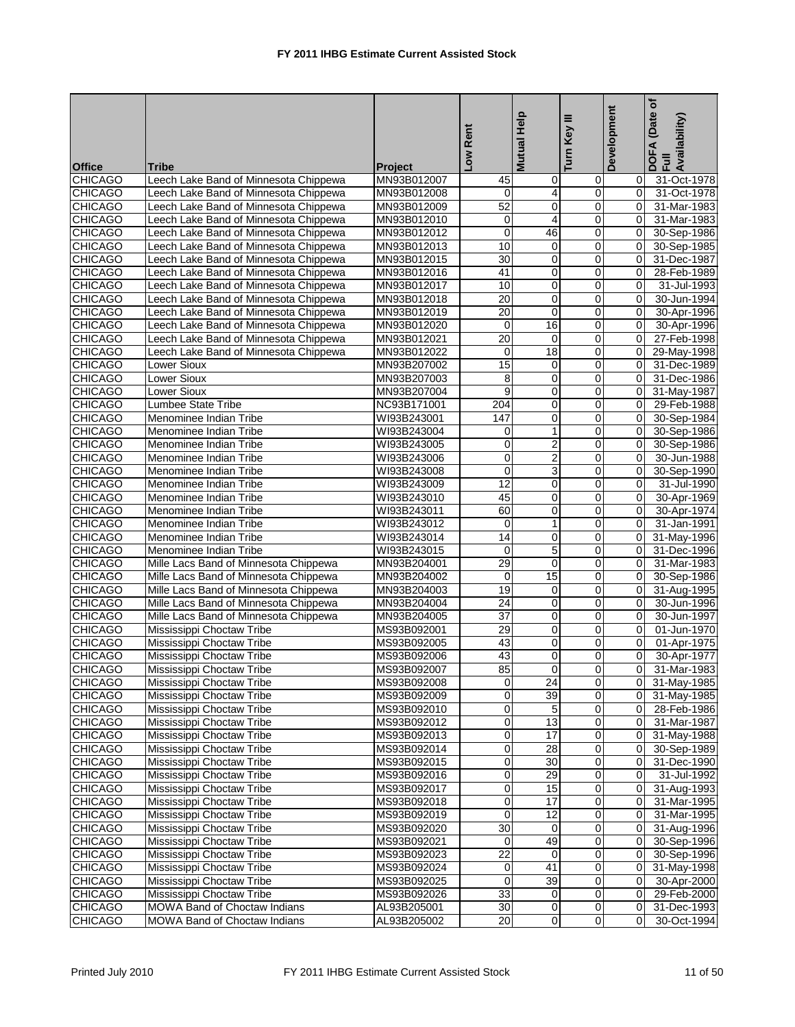|                |                                       |                |                  | <b>Mutual Help</b>      | ≡              | Development    | (Date of<br>DOFA (Date<br>Full<br>Availability) |
|----------------|---------------------------------------|----------------|------------------|-------------------------|----------------|----------------|-------------------------------------------------|
|                |                                       |                | Low Rent         |                         | Turn Key       |                |                                                 |
| <b>Office</b>  | <b>Tribe</b>                          | <b>Project</b> |                  |                         |                |                |                                                 |
| <b>CHICAGO</b> | Leech Lake Band of Minnesota Chippewa | MN93B012007    | 45               | 0                       | 0              | 0              | 31-Oct-1978                                     |
| <b>CHICAGO</b> | Leech Lake Band of Minnesota Chippewa | MN93B012008    | $\Omega$         | $\overline{4}$          | $\overline{0}$ | $\mathbf 0$    | 31-Oct-1978                                     |
| <b>CHICAGO</b> | Leech Lake Band of Minnesota Chippewa | MN93B012009    | 52               | 0                       | 0              | $\Omega$       | 31-Mar-1983                                     |
| <b>CHICAGO</b> | Leech Lake Band of Minnesota Chippewa | MN93B012010    | $\overline{0}$   | 4                       | 0              | $\Omega$       | 31-Mar-1983                                     |
| <b>CHICAGO</b> | Leech Lake Band of Minnesota Chippewa | MN93B012012    | 0                | 46                      | 0              | $\mathbf 0$    | 30-Sep-1986                                     |
| <b>CHICAGO</b> | Leech Lake Band of Minnesota Chippewa | MN93B012013    | 10               | 0                       | 0              | $\mathbf 0$    | 30-Sep-1985                                     |
| <b>CHICAGO</b> | Leech Lake Band of Minnesota Chippewa | MN93B012015    | 30               | 0                       | 0              | $\Omega$       | 31-Dec-1987                                     |
| <b>CHICAGO</b> | Leech Lake Band of Minnesota Chippewa | MN93B012016    | 41               | 0                       | 0              | $\mathbf 0$    | 28-Feb-1989                                     |
| <b>CHICAGO</b> | Leech Lake Band of Minnesota Chippewa | MN93B012017    | 10               | 0                       | $\mathbf 0$    | 0              | 31-Jul-1993                                     |
| <b>CHICAGO</b> | Leech Lake Band of Minnesota Chippewa | MN93B012018    | 20               | 0                       | 0              | $\mathbf 0$    | 30-Jun-1994                                     |
| <b>CHICAGO</b> | Leech Lake Band of Minnesota Chippewa | MN93B012019    | $\overline{20}$  | 0                       | 0              | $\Omega$       | 30-Apr-1996                                     |
| <b>CHICAGO</b> | Leech Lake Band of Minnesota Chippewa | MN93B012020    | 0                | 16                      | 0              | 0              | 30-Apr-1996                                     |
| <b>CHICAGO</b> | Leech Lake Band of Minnesota Chippewa | MN93B012021    | $\overline{20}$  | $\mathbf 0$             | 0              | $\Omega$       | 27-Feb-1998                                     |
| <b>CHICAGO</b> | Leech Lake Band of Minnesota Chippewa | MN93B012022    | 0                | 18                      | 0              | 0              | 29-May-1998                                     |
| <b>CHICAGO</b> | <b>Lower Sioux</b>                    | MN93B207002    | 15               | 0                       | 0              | $\mathbf 0$    | 31-Dec-1989                                     |
| <b>CHICAGO</b> | <b>Lower Sioux</b>                    | MN93B207003    | 8                | 0                       | 0              | 0              | 31-Dec-1986                                     |
| <b>CHICAGO</b> | Lower Sioux                           | MN93B207004    | 9                | 0                       | 0              | $\mathbf 0$    | 31-May-1987                                     |
| <b>CHICAGO</b> | <b>Lumbee State Tribe</b>             | NC93B171001    | 204              | 0                       | 0              | $\mathbf 0$    | 29-Feb-1988                                     |
| <b>CHICAGO</b> | Menominee Indian Tribe                | WI93B243001    | 147              | $\mathbf 0$             | 0              | 0              | 30-Sep-1984                                     |
| <b>CHICAGO</b> | Menominee Indian Tribe                | WI93B243004    | 0                | $\mathbf{1}$            | 0              | 0              | 30-Sep-1986                                     |
| <b>CHICAGO</b> | Menominee Indian Tribe                | WI93B243005    | 0                | 2                       | 0              | $\overline{0}$ | 30-Sep-1986                                     |
| <b>CHICAGO</b> | Menominee Indian Tribe                | WI93B243006    | 0                | $\overline{2}$          | 0              | 0              | 30-Jun-1988                                     |
| <b>CHICAGO</b> | Menominee Indian Tribe                | WI93B243008    | $\mathbf 0$      | $\overline{3}$          | 0              | 0              | 30-Sep-1990                                     |
| <b>CHICAGO</b> | Menominee Indian Tribe                | WI93B243009    | 12               | $\pmb{0}$               | 0              | $\overline{0}$ | 31-Jul-1990                                     |
| <b>CHICAGO</b> | Menominee Indian Tribe                | WI93B243010    | 45               | 0                       | 0              | $\mathbf 0$    | 30-Apr-1969                                     |
| <b>CHICAGO</b> | Menominee Indian Tribe                | WI93B243011    | 60               | $\pmb{0}$               | 0              | $\mathbf 0$    | 30-Apr-1974                                     |
| <b>CHICAGO</b> | Menominee Indian Tribe                | WI93B243012    | $\mathbf 0$      | $\mathbf{1}$            | 0              | $\Omega$       | 31-Jan-1991                                     |
| <b>CHICAGO</b> | Menominee Indian Tribe                | WI93B243014    | 14               | 0                       | 0              | $\Omega$       | 31-May-1996                                     |
| <b>CHICAGO</b> | Menominee Indian Tribe                | WI93B243015    | $\mathbf 0$      | 5                       | $\mathbf 0$    | 0              | 31-Dec-1996                                     |
| <b>CHICAGO</b> | Mille Lacs Band of Minnesota Chippewa | MN93B204001    | $\overline{29}$  | $\mathbf 0$             | 0              | 0              | 31-Mar-1983                                     |
| <b>CHICAGO</b> | Mille Lacs Band of Minnesota Chippewa | MN93B204002    | 0                | 15                      | 0              | 0              | 30-Sep-1986                                     |
| <b>CHICAGO</b> | Mille Lacs Band of Minnesota Chippewa | MN93B204003    | 19               | 0                       | 0              | 0              | 31-Aug-1995                                     |
| <b>CHICAGO</b> | Mille Lacs Band of Minnesota Chippewa | MN93B204004    | $\overline{24}$  | $\mathbf 0$             | 0              | 0              | 30-Jun-1996                                     |
| <b>CHICAGO</b> | Mille Lacs Band of Minnesota Chippewa | MN93B204005    | $\overline{37}$  | 0                       | 0              | $\Omega$       | 30-Jun-1997                                     |
| <b>CHICAGO</b> | Mississippi Choctaw Tribe             | MS93B092001    | 29               | 0                       | 0              | $\mathbf 0$    | 01-Jun-1970                                     |
| <b>CHICAGO</b> | Mississippi Choctaw Tribe             | MS93B092005    | 43               | $\pmb{0}$               | 0              | $\mathbf 0$    | 01-Apr-1975                                     |
| <b>CHICAGO</b> | Mississippi Choctaw Tribe             | MS93B092006    | 43               | $\mathbf 0$             | 0              | 0              | 30-Apr-1977                                     |
| <b>CHICAGO</b> | Mississippi Choctaw Tribe             | MS93B092007    | 85               | $\overline{0}$          | $\Omega$       | 0              | 31-Mar-1983                                     |
| <b>CHICAGO</b> | Mississippi Choctaw Tribe             | MS93B092008    | 0                | 24                      | $\overline{0}$ | $\overline{0}$ | 31-May-1985                                     |
| <b>CHICAGO</b> | Mississippi Choctaw Tribe             | MS93B092009    | 0                | 39                      | $\mathbf 0$    | 0              | 31-May-1985                                     |
| <b>CHICAGO</b> | Mississippi Choctaw Tribe             | MS93B092010    | 0                | 5                       | $\overline{0}$ | 0              | 28-Feb-1986                                     |
| <b>CHICAGO</b> | Mississippi Choctaw Tribe             | MS93B092012    | $\overline{0}$   | $\overline{13}$         | 0              | 0              | 31-Mar-1987                                     |
| <b>CHICAGO</b> | Mississippi Choctaw Tribe             | MS93B092013    | 0                | $\overline{17}$         | $\mathbf 0$    | 0              | 31-May-1988                                     |
| <b>CHICAGO</b> | Mississippi Choctaw Tribe             | MS93B092014    | $\pmb{0}$        | $\overline{28}$         | $\pmb{0}$      | 0              | 30-Sep-1989                                     |
| <b>CHICAGO</b> | Mississippi Choctaw Tribe             | MS93B092015    | $\pmb{0}$        | 30                      | 0              | 0              | 31-Dec-1990                                     |
| <b>CHICAGO</b> | Mississippi Choctaw Tribe             | MS93B092016    | $\overline{0}$   | 29                      | O              | 0              | 31-Jul-1992                                     |
| <b>CHICAGO</b> | Mississippi Choctaw Tribe             | MS93B092017    | $\boldsymbol{0}$ | 15                      | $\pmb{0}$      | 0              | 31-Aug-1993                                     |
| <b>CHICAGO</b> | Mississippi Choctaw Tribe             | MS93B092018    | $\pmb{0}$        | 17                      | 0              | 0              | 31-Mar-1995                                     |
| <b>CHICAGO</b> | Mississippi Choctaw Tribe             | MS93B092019    | $\pmb{0}$        | 12                      | $\pmb{0}$      | 0              | 31-Mar-1995                                     |
| <b>CHICAGO</b> | Mississippi Choctaw Tribe             | MS93B092020    | $\overline{30}$  | 0                       | $\mathbf 0$    | 0              | 31-Aug-1996                                     |
| <b>CHICAGO</b> | Mississippi Choctaw Tribe             | MS93B092021    | 0                | 49                      | $\pmb{0}$      | 0              | 30-Sep-1996                                     |
| <b>CHICAGO</b> | Mississippi Choctaw Tribe             | MS93B092023    | $\overline{22}$  | 0                       | 0              | 0              | 30-Sep-1996                                     |
| <b>CHICAGO</b> | Mississippi Choctaw Tribe             | MS93B092024    | $\pmb{0}$        | 41                      | $\mathbf 0$    | 0              | 31-May-1998                                     |
| <b>CHICAGO</b> | Mississippi Choctaw Tribe             | MS93B092025    | 0                | $\overline{39}$         | $\pmb{0}$      | 0              | 30-Apr-2000                                     |
| <b>CHICAGO</b> | Mississippi Choctaw Tribe             | MS93B092026    | 33               | 0                       | 0              | 0              | 29-Feb-2000                                     |
| <b>CHICAGO</b> | MOWA Band of Choctaw Indians          | AL93B205001    | 30               | $\overline{\mathbf{0}}$ | $\overline{0}$ | 0              | 31-Dec-1993                                     |
| <b>CHICAGO</b> | MOWA Band of Choctaw Indians          | AL93B205002    | $\overline{20}$  | $\overline{0}$          | $\overline{0}$ | 0              | 30-Oct-1994                                     |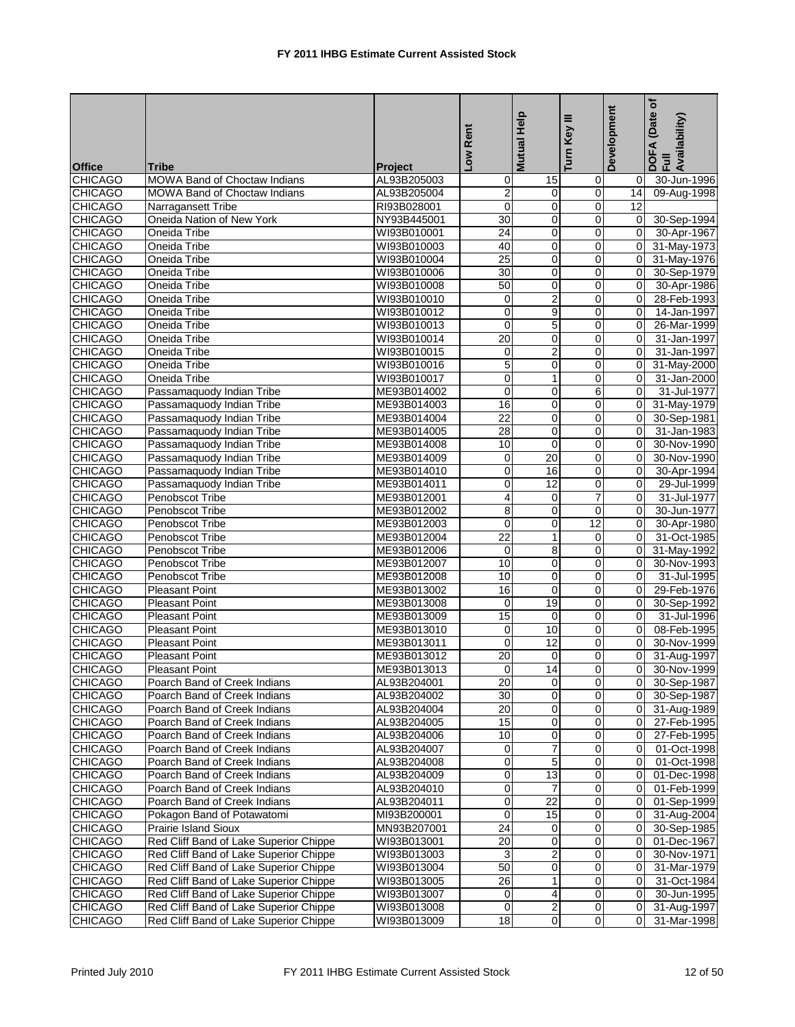|                |                                        |                |                  | <b>Mutual Help</b>      | ≡<br>Key       | Development    | (Date of<br>DOFA (Date<br>Full<br>Availability) |
|----------------|----------------------------------------|----------------|------------------|-------------------------|----------------|----------------|-------------------------------------------------|
|                |                                        |                | Low Rent         |                         | Turn I         |                |                                                 |
| <b>Office</b>  | <b>Tribe</b>                           | <b>Project</b> |                  |                         |                |                |                                                 |
| <b>CHICAGO</b> | MOWA Band of Choctaw Indians           | AL93B205003    | 0                | 15                      | $\overline{0}$ | 0              | 30-Jun-1996                                     |
| <b>CHICAGO</b> | <b>MOWA Band of Choctaw Indians</b>    | AL93B205004    | $\overline{2}$   | $\mathbf 0$             | $\mathbf 0$    | 14             | 09-Aug-1998                                     |
| <b>CHICAGO</b> | Narragansett Tribe                     | RI93B028001    | $\Omega$         | $\mathbf 0$             | 0              | 12             |                                                 |
| <b>CHICAGO</b> | Oneida Nation of New York              | NY93B445001    | 30               | 0                       | $\mathbf 0$    | $\mathbf 0$    | 30-Sep-1994                                     |
| <b>CHICAGO</b> | Oneida Tribe                           | WI93B010001    | 24               | 0                       | $\overline{0}$ | $\mathbf 0$    | 30-Apr-1967                                     |
| <b>CHICAGO</b> | Oneida Tribe                           | WI93B010003    | 40               | 0                       | 0              | $\mathbf 0$    | 31-May-1973                                     |
| <b>CHICAGO</b> | Oneida Tribe                           | WI93B010004    | 25               | 0                       | 0              | $\Omega$       | 31-May-1976                                     |
| <b>CHICAGO</b> | Oneida Tribe                           | WI93B010006    | 30               | 0                       | 0              | $\mathbf 0$    | 30-Sep-1979                                     |
| <b>CHICAGO</b> | Oneida Tribe                           | WI93B010008    | $\overline{50}$  | 0                       | $\mathbf 0$    | 0              | 30-Apr-1986                                     |
| <b>CHICAGO</b> | Oneida Tribe                           | WI93B010010    | 0                | $\overline{2}$          | 0              | 0              | 28-Feb-1993                                     |
| <b>CHICAGO</b> | Oneida Tribe                           | WI93B010012    | $\mathbf 0$      | 9                       | $\mathbf 0$    | $\Omega$       | 14-Jan-1997                                     |
| <b>CHICAGO</b> | Oneida Tribe                           | WI93B010013    | $\mathbf 0$      | 5                       | $\mathbf 0$    | $\mathbf 0$    | 26-Mar-1999                                     |
| <b>CHICAGO</b> | Oneida Tribe                           | WI93B010014    | $\overline{20}$  | $\mathbf 0$             | 0              | $\Omega$       | 31-Jan-1997                                     |
| <b>CHICAGO</b> | Oneida Tribe                           | WI93B010015    | 0                | $\overline{2}$          | $\overline{0}$ | $\Omega$       | 31-Jan-1997                                     |
| <b>CHICAGO</b> | Oneida Tribe                           | WI93B010016    | 5                | 0                       | $\overline{0}$ | 0              | 31-May-2000                                     |
| <b>CHICAGO</b> | Oneida Tribe                           | WI93B010017    | $\mathbf 0$      | $\mathbf{1}$            | 0              | $\mathbf 0$    | 31-Jan-2000                                     |
| <b>CHICAGO</b> | Passamaquody Indian Tribe              | ME93B014002    | $\mathbf 0$      | 0                       | 6              | $\Omega$       | 31-Jul-1977                                     |
| <b>CHICAGO</b> | Passamaquody Indian Tribe              | ME93B014003    | 16               | $\mathbf 0$             | 0              | $\mathbf 0$    | 31-May-1979                                     |
| <b>CHICAGO</b> | Passamaquody Indian Tribe              | ME93B014004    | $\overline{22}$  | 0                       | $\mathbf 0$    | 0              | 30-Sep-1981                                     |
| <b>CHICAGO</b> | Passamaquody Indian Tribe              | ME93B014005    | 28               | 0                       | 0              | 0              | 31-Jan-1983                                     |
| <b>CHICAGO</b> | Passamaquody Indian Tribe              | ME93B014008    | 10               | $\mathbf 0$             | $\overline{0}$ | $\Omega$       | 30-Nov-1990                                     |
| <b>CHICAGO</b> | Passamaquody Indian Tribe              | ME93B014009    | 0                | 20                      | $\overline{0}$ | 0              | 30-Nov-1990                                     |
| <b>CHICAGO</b> | Passamaquody Indian Tribe              | ME93B014010    | $\mathbf 0$      | 16                      | 0              | $\Omega$       | 30-Apr-1994                                     |
| <b>CHICAGO</b> | Passamaquody Indian Tribe              | ME93B014011    | 0                | 12                      | $\mathbf 0$    | $\overline{0}$ | 29-Jul-1999                                     |
| <b>CHICAGO</b> | Penobscot Tribe                        | ME93B012001    | 4                | 0                       | 7              | $\mathbf 0$    | 31-Jul-1977                                     |
| <b>CHICAGO</b> | Penobscot Tribe                        | ME93B012002    | 8                | 0                       | $\mathbf 0$    | $\mathbf 0$    | 30-Jun-1977                                     |
| <b>CHICAGO</b> | Penobscot Tribe                        | ME93B012003    | $\mathbf 0$      | 0                       | 12             | $\Omega$       | 30-Apr-1980                                     |
| <b>CHICAGO</b> | Penobscot Tribe                        | ME93B012004    | $\overline{22}$  | $\mathbf{1}$            | 0              | $\Omega$       | 31-Oct-1985                                     |
| <b>CHICAGO</b> | Penobscot Tribe                        | ME93B012006    | $\mathbf 0$      | 8                       | $\mathbf 0$    | 0              | 31-May-1992                                     |
| <b>CHICAGO</b> | Penobscot Tribe                        | ME93B012007    | 10               | 0                       | 0              | 0              | 30-Nov-1993                                     |
| <b>CHICAGO</b> | Penobscot Tribe                        | ME93B012008    | 10               | 0                       | 0              | 0              | 31-Jul-1995                                     |
| <b>CHICAGO</b> | <b>Pleasant Point</b>                  | ME93B013002    | 16               | 0                       | $\overline{0}$ | 0              | 29-Feb-1976                                     |
| <b>CHICAGO</b> | <b>Pleasant Point</b>                  | ME93B013008    | $\mathbf 0$      | 19                      | 0              | 0              | 30-Sep-1992                                     |
| <b>CHICAGO</b> | <b>Pleasant Point</b>                  | ME93B013009    | 15               | $\mathbf 0$             | $\mathbf 0$    | $\Omega$       | 31-Jul-1996                                     |
| <b>CHICAGO</b> | <b>Pleasant Point</b>                  | ME93B013010    |                  | 10                      | $\overline{0}$ | $\mathbf 0$    | 08-Feb-1995                                     |
| <b>CHICAGO</b> | <b>Pleasant Point</b>                  | ME93B013011    | 0<br>$\mathbf 0$ | 12                      | $\mathbf 0$    | $\mathbf 0$    | 30-Nov-1999                                     |
| <b>CHICAGO</b> | <b>Pleasant Point</b>                  | ME93B013012    | 20               | $\mathbf 0$             | $\Omega$       | $\Omega$       | 31-Aug-1997                                     |
|                |                                        |                | $\overline{0}$   | $\overline{14}$         | $\Omega$       | $\Omega$       | 30-Nov-1999                                     |
| <b>CHICAGO</b> | <b>Pleasant Point</b>                  | ME93B013013    |                  |                         |                |                |                                                 |
| <b>CHICAGO</b> | Poarch Band of Creek Indians           | AL93B204001    | $\overline{20}$  | $\overline{\mathbf{0}}$ | $\overline{0}$ | $\mathbf 0$    | 30-Sep-1987                                     |
| <b>CHICAGO</b> | Poarch Band of Creek Indians           | AL93B204002    | 30               | 0                       | $\overline{0}$ | 0              | 30-Sep-1987                                     |
| <b>CHICAGO</b> | Poarch Band of Creek Indians           | AL93B204004    | $\overline{20}$  | $\pmb{0}$               | $\overline{0}$ | 0              | 31-Aug-1989                                     |
| <b>CHICAGO</b> | Poarch Band of Creek Indians           | AL93B204005    | 15               | 0                       | $\overline{0}$ | 0              | 27-Feb-1995                                     |
| <b>CHICAGO</b> | Poarch Band of Creek Indians           | AL93B204006    | 10               | 0                       | $\overline{0}$ | 0              | 27-Feb-1995                                     |
| <b>CHICAGO</b> | Poarch Band of Creek Indians           | AL93B204007    | 0                | 7                       | $\mathbf 0$    | 0              | 01-Oct-1998                                     |
| <b>CHICAGO</b> | Poarch Band of Creek Indians           | AL93B204008    | 0                | 5                       | 0              | 0              | 01-Oct-1998                                     |
| <b>CHICAGO</b> | Poarch Band of Creek Indians           | AL93B204009    | 0                | 13                      | $\mathbf 0$    | 0              | 01-Dec-1998                                     |
| <b>CHICAGO</b> | Poarch Band of Creek Indians           | AL93B204010    | 0                | $\overline{7}$          | $\overline{0}$ | 0              | 01-Feb-1999                                     |
| <b>CHICAGO</b> | Poarch Band of Creek Indians           | AL93B204011    | 0                | $\overline{22}$         | $\overline{0}$ | 0              | 01-Sep-1999                                     |
| <b>CHICAGO</b> | Pokagon Band of Potawatomi             | MI93B200001    | $\pmb{0}$        | 15                      | 0              | 0              | 31-Aug-2004                                     |
| <b>CHICAGO</b> | <b>Prairie Island Sioux</b>            | MN93B207001    | 24               | 0                       | $\overline{0}$ | 0              | 30-Sep-1985                                     |
| <b>CHICAGO</b> | Red Cliff Band of Lake Superior Chippe | WI93B013001    | $\overline{20}$  | 0                       | $\overline{0}$ | 0              | 01-Dec-1967                                     |
| <b>CHICAGO</b> | Red Cliff Band of Lake Superior Chippe | WI93B013003    | 3                | $\boldsymbol{2}$        | $\overline{0}$ | 0              | 30-Nov-1971                                     |
| <b>CHICAGO</b> | Red Cliff Band of Lake Superior Chippe | WI93B013004    | 50               | 0                       | 0              | 0              | 31-Mar-1979                                     |
| <b>CHICAGO</b> | Red Cliff Band of Lake Superior Chippe | WI93B013005    | $\overline{26}$  | 1                       | $\mathbf 0$    | $\mathbf 0$    | 31-Oct-1984                                     |
| <b>CHICAGO</b> | Red Cliff Band of Lake Superior Chippe | WI93B013007    | 0                | 4                       | 0              | 0              | 30-Jun-1995                                     |
| <b>CHICAGO</b> | Red Cliff Band of Lake Superior Chippe | WI93B013008    | 0                | $\overline{2}$          | $\overline{0}$ | 0              | 31-Aug-1997                                     |
| <b>CHICAGO</b> | Red Cliff Band of Lake Superior Chippe | WI93B013009    | 18               | $\overline{0}$          | $\overline{0}$ | 0              | 31-Mar-1998                                     |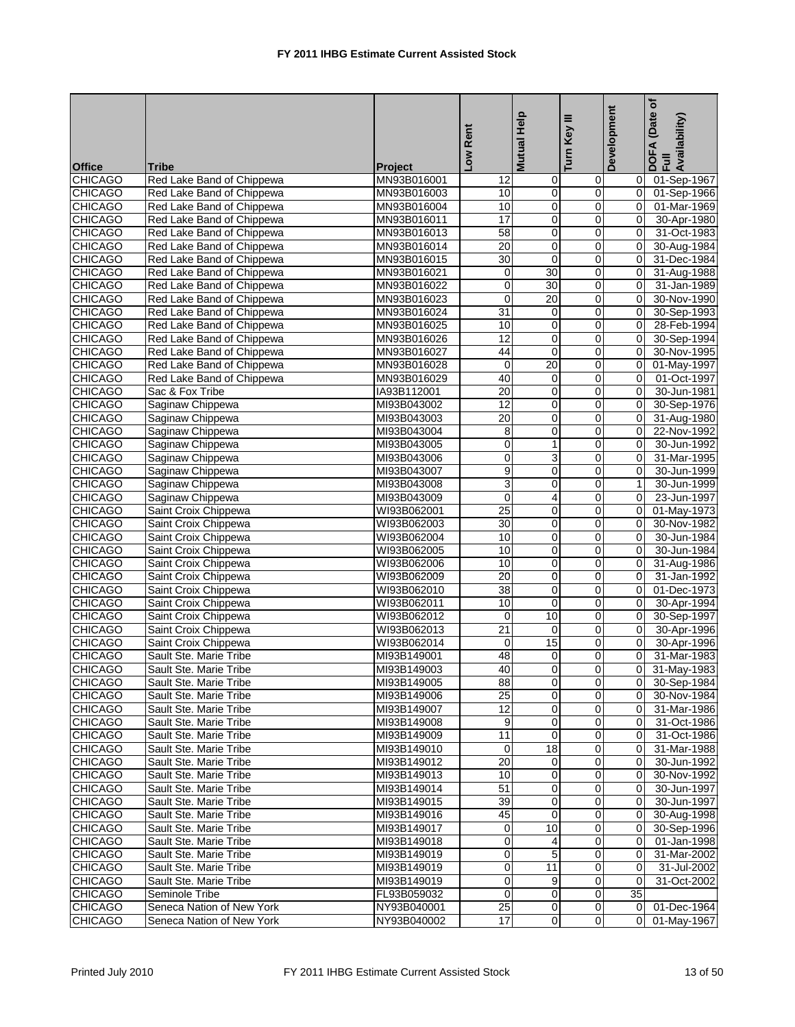| <b>Office</b>  | Tribe                     | Project     | Low Rent            | <b>Mutual Help</b> | Turn Key III     | Development    | ٔة<br>(Date<br>DOFA (Date<br>Full<br>Availability) |
|----------------|---------------------------|-------------|---------------------|--------------------|------------------|----------------|----------------------------------------------------|
| <b>CHICAGO</b> | Red Lake Band of Chippewa | MN93B016001 | 12                  | 0                  | 0                | 0              | 01-Sep-1967                                        |
| <b>CHICAGO</b> | Red Lake Band of Chippewa | MN93B016003 | 10                  | $\mathbf 0$        | $\pmb{0}$        | $\overline{0}$ | 01-Sep-1966                                        |
| <b>CHICAGO</b> | Red Lake Band of Chippewa | MN93B016004 | 10                  | $\overline{0}$     | $\mathbf 0$      | $\overline{0}$ | 01-Mar-1969                                        |
| <b>CHICAGO</b> | Red Lake Band of Chippewa | MN93B016011 | 17                  | $\mathbf 0$        | $\mathbf 0$      | 0              | 30-Apr-1980                                        |
| <b>CHICAGO</b> | Red Lake Band of Chippewa | MN93B016013 | 58                  | 0                  | $\mathbf 0$      | 0              | 31-Oct-1983                                        |
| <b>CHICAGO</b> | Red Lake Band of Chippewa | MN93B016014 | 20                  | $\mathbf 0$        | $\pmb{0}$        | 0              | 30-Aug-1984                                        |
| <b>CHICAGO</b> | Red Lake Band of Chippewa | MN93B016015 | 30                  | $\mathbf 0$        | $\mathbf 0$      | 0              | 31-Dec-1984                                        |
| <b>CHICAGO</b> | Red Lake Band of Chippewa | MN93B016021 | 0                   | $\overline{30}$    | $\mathbf 0$      | 0              | 31-Aug-1988                                        |
| <b>CHICAGO</b> | Red Lake Band of Chippewa | MN93B016022 | $\overline{0}$      | 30                 | $\pmb{0}$        | 0              | 31-Jan-1989                                        |
| <b>CHICAGO</b> | Red Lake Band of Chippewa | MN93B016023 | 0                   | $\overline{20}$    | $\mathbf 0$      | 0              | 30-Nov-1990                                        |
| <b>CHICAGO</b> | Red Lake Band of Chippewa | MN93B016024 | 31                  | 0                  | $\mathbf 0$      | 0              | 30-Sep-1993                                        |
| CHICAGO        | Red Lake Band of Chippewa | MN93B016025 | 10                  | $\mathbf 0$        | $\mathbf 0$      | 0              | 28-Feb-1994                                        |
| <b>CHICAGO</b> | Red Lake Band of Chippewa | MN93B016026 | 12                  | $\mathbf 0$        | $\mathbf 0$      | $\overline{0}$ | 30-Sep-1994                                        |
| <b>CHICAGO</b> | Red Lake Band of Chippewa | MN93B016027 | 44                  | 0                  | $\mathbf 0$      | 0              | 30-Nov-1995                                        |
| <b>CHICAGO</b> | Red Lake Band of Chippewa | MN93B016028 | $\mathbf 0$         | 20                 | $\mathbf 0$      | 0              | 01-May-1997                                        |
| <b>CHICAGO</b> | Red Lake Band of Chippewa | MN93B016029 | 40                  | $\mathbf 0$        | $\pmb{0}$        | $\pmb{0}$      | 01-Oct-1997                                        |
| <b>CHICAGO</b> | Sac & Fox Tribe           | IA93B112001 | 20                  | 0                  | $\mathbf 0$      | $\overline{0}$ | 30-Jun-1981                                        |
| <b>CHICAGO</b> | Saginaw Chippewa          | MI93B043002 | $\overline{12}$     | 0                  | $\mathbf 0$      | 0              | 30-Sep-1976                                        |
| <b>CHICAGO</b> | Saginaw Chippewa          | MI93B043003 | $\overline{20}$     | $\mathbf 0$        | $\mathbf 0$      | 0              | 31-Aug-1980                                        |
| <b>CHICAGO</b> | Saginaw Chippewa          | MI93B043004 | 8                   | 0                  | $\mathbf 0$      | 0              | 22-Nov-1992                                        |
| <b>CHICAGO</b> | Saginaw Chippewa          | MI93B043005 | 0                   | 1                  | $\mathbf 0$      | 0              | 30-Jun-1992                                        |
| <b>CHICAGO</b> | Saginaw Chippewa          | MI93B043006 | $\overline{0}$      | 3                  | $\pmb{0}$        | 0              | 31-Mar-1995                                        |
| <b>CHICAGO</b> | Saginaw Chippewa          | MI93B043007 | 9                   | $\overline{0}$     | $\mathbf 0$      | $\overline{0}$ | 30-Jun-1999                                        |
| <b>CHICAGO</b> | Saginaw Chippewa          | MI93B043008 | 3                   | 0                  | $\mathbf 0$      | $\mathbf{1}$   | 30-Jun-1999                                        |
| <b>CHICAGO</b> | Saginaw Chippewa          | MI93B043009 | 0                   | 4                  | $\mathbf 0$      | 0              | 23-Jun-1997                                        |
| <b>CHICAGO</b> | Saint Croix Chippewa      | WI93B062001 | $\overline{25}$     | 0                  | $\pmb{0}$        | 0              | 01-May-1973                                        |
| <b>CHICAGO</b> | Saint Croix Chippewa      | WI93B062003 | 30                  | 0                  | $\mathbf 0$      | $\overline{0}$ | 30-Nov-1982                                        |
| <b>CHICAGO</b> | Saint Croix Chippewa      | WI93B062004 | 10                  | 0                  | $\mathbf 0$      | $\overline{0}$ | 30-Jun-1984                                        |
| <b>CHICAGO</b> | Saint Croix Chippewa      | WI93B062005 | 10                  | 0                  | $\boldsymbol{0}$ | 0              | 30-Jun-1984                                        |
| <b>CHICAGO</b> | Saint Croix Chippewa      | WI93B062006 | 10                  | 0                  | $\mathbf 0$      | 0              | 31-Aug-1986                                        |
| <b>CHICAGO</b> | Saint Croix Chippewa      | WI93B062009 | $\overline{20}$     | 0                  | $\mathbf 0$      | 0              | 31-Jan-1992                                        |
| <b>CHICAGO</b> | Saint Croix Chippewa      | WI93B062010 | 38                  | 0                  | $\mathbf 0$      | 0              | 01-Dec-1973                                        |
| <b>CHICAGO</b> | Saint Croix Chippewa      | WI93B062011 | 10                  | $\overline{0}$     | $\overline{0}$   | $\overline{0}$ | 30-Apr-1994                                        |
| <b>CHICAGO</b> | Saint Croix Chippewa      | WI93B062012 | 0                   | 10                 | $\mathbf 0$      | 0              | 30-Sep-1997                                        |
| CHICAGO        | Saint Croix Chippewa      | WI93B062013 | 21                  | 0                  | $\mathbf 0$      | 0              | 30-Apr-1996                                        |
| <b>CHICAGO</b> | Saint Croix Chippewa      | WI93B062014 | 0                   | 15                 | $\pmb{0}$        | $\mathbf 0$    | 30-Apr-1996                                        |
| <b>CHICAGO</b> | Sault Ste. Marie Tribe    | MI93B149001 | 48                  | 0                  | $\mathbf 0$      | 0              | 31-Mar-1983                                        |
| <b>CHICAGO</b> | Sault Ste. Marie Tribe    | MI93B149003 | 40                  | $\overline{0}$     | $\overline{0}$   | $\overline{0}$ | 31-May-1983                                        |
| <b>CHICAGO</b> | Sault Ste. Marie Tribe    | MI93B149005 | 88                  | 0                  | $\overline{0}$   | 0              | 30-Sep-1984                                        |
| <b>CHICAGO</b> | Sault Ste. Marie Tribe    | MI93B149006 | $\overline{25}$     | 0                  | $\mathbf 0$      | 0l             | 30-Nov-1984                                        |
| <b>CHICAGO</b> | Sault Ste. Marie Tribe    | MI93B149007 | $\overline{12}$     | 0                  | $\mathbf 0$      | $\overline{0}$ | 31-Mar-1986                                        |
| <b>CHICAGO</b> | Sault Ste. Marie Tribe    | MI93B149008 | 9                   | 0                  | $\overline{0}$   | 0              | 31-Oct-1986                                        |
| <b>CHICAGO</b> | Sault Ste. Marie Tribe    | MI93B149009 | 11                  | $\mathbf 0$        | $\mathbf 0$      | 0              | 31-Oct-1986                                        |
| <b>CHICAGO</b> | Sault Ste. Marie Tribe    | MI93B149010 | 0                   | 18                 | $\mathbf 0$      | $\overline{0}$ | 31-Mar-1988                                        |
| <b>CHICAGO</b> | Sault Ste. Marie Tribe    | MI93B149012 | 20                  | 0                  | 0                | $\overline{0}$ | 30-Jun-1992                                        |
| <b>CHICAGO</b> | Sault Ste. Marie Tribe    | MI93B149013 | 10                  | 0                  | $\mathbf 0$      | $\overline{0}$ | 30-Nov-1992                                        |
| <b>CHICAGO</b> | Sault Ste. Marie Tribe    | MI93B149014 | 51                  | $\mathbf 0$        | $\mathbf 0$      | $\overline{0}$ | 30-Jun-1997                                        |
| <b>CHICAGO</b> | Sault Ste. Marie Tribe    | MI93B149015 | 39                  | 0                  | $\mathbf 0$      | 0              | 30-Jun-1997                                        |
| <b>CHICAGO</b> | Sault Ste. Marie Tribe    | MI93B149016 | 45                  | $\mathbf 0$        | $\pmb{0}$        | 0              | 30-Aug-1998                                        |
| <b>CHICAGO</b> | Sault Ste. Marie Tribe    | MI93B149017 | 0                   | 10                 | $\mathbf 0$      | $\overline{0}$ | 30-Sep-1996                                        |
| <b>CHICAGO</b> | Sault Ste. Marie Tribe    | MI93B149018 | 0                   | 4                  | $\mathbf 0$      | 0              | 01-Jan-1998                                        |
| CHICAGO        | Sault Ste. Marie Tribe    | MI93B149019 | 0                   | 5                  | $\mathbf 0$      | 0              | 31-Mar-2002                                        |
| <b>CHICAGO</b> | Sault Ste. Marie Tribe    | MI93B149019 | 0                   | $\overline{11}$    | 0                | $\mathbf 0$    | 31-Jul-2002                                        |
| <b>CHICAGO</b> | Sault Ste. Marie Tribe    | MI93B149019 | 0                   | 9                  | $\mathbf 0$      | 0              | 31-Oct-2002                                        |
| <b>CHICAGO</b> | Seminole Tribe            | FL93B059032 | $\mathsf{O}\xspace$ | 0                  | $\mathbf 0$      | 35             |                                                    |
| <b>CHICAGO</b> | Seneca Nation of New York | NY93B040001 | 25                  | $\mathbf 0$        | $\mathbf 0$      | 0              | 01-Dec-1964                                        |
| <b>CHICAGO</b> | Seneca Nation of New York | NY93B040002 | $\overline{17}$     | 0                  | $\overline{0}$   | $\overline{0}$ | 01-May-1967                                        |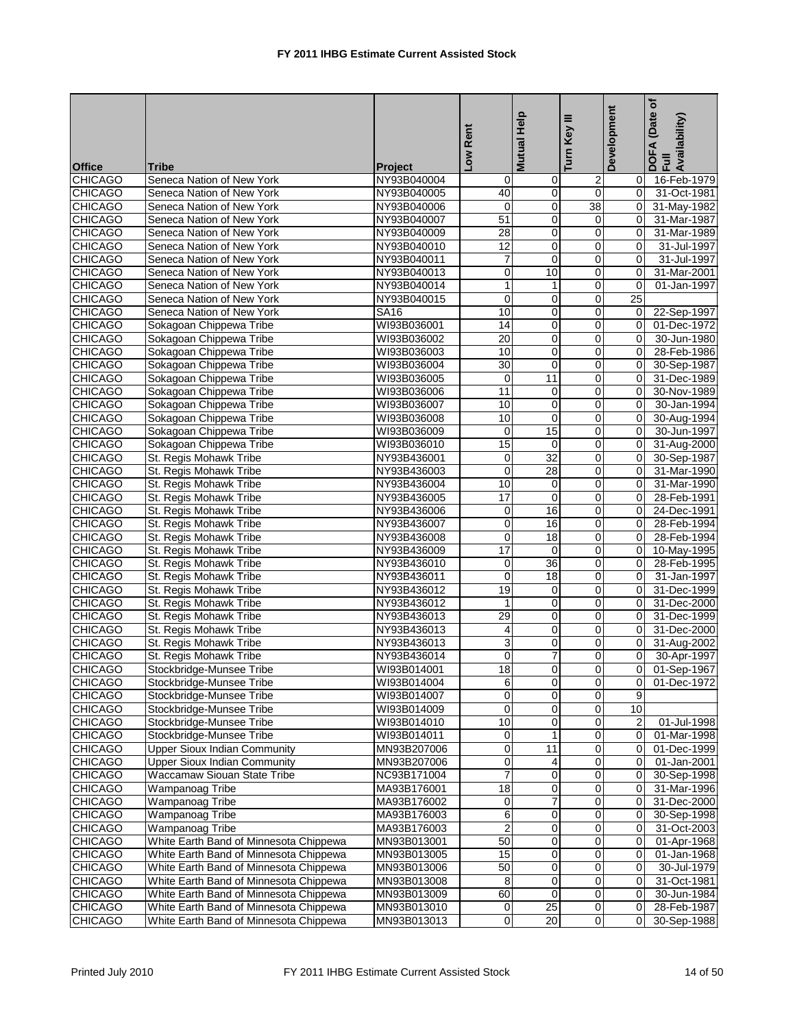|                |                                        |                |                          | Mutual Help     |                 | Development      | (Date of<br>DOFA (Date<br>Full<br>Availability) |
|----------------|----------------------------------------|----------------|--------------------------|-----------------|-----------------|------------------|-------------------------------------------------|
|                |                                        |                |                          |                 |                 |                  |                                                 |
|                |                                        |                | Low Rent                 |                 | Turn Key III    |                  |                                                 |
| <b>Office</b>  | <b>Tribe</b>                           | <b>Project</b> |                          |                 |                 |                  |                                                 |
| <b>CHICAGO</b> | Seneca Nation of New York              | NY93B040004    | 0                        | 0               | 2               | 0                | 16-Feb-1979                                     |
| <b>CHICAGO</b> | Seneca Nation of New York              | NY93B040005    | 40                       | $\pmb{0}$       | $\overline{0}$  | $\mathbf 0$      | 31-Oct-1981                                     |
| <b>CHICAGO</b> | Seneca Nation of New York              | NY93B040006    | $\mathbf 0$              | 0               | $\overline{38}$ | 0                | 31-May-1982                                     |
| <b>CHICAGO</b> | Seneca Nation of New York              | NY93B040007    | 51                       | 0               | $\mathbf 0$     | $\Omega$         | 31-Mar-1987                                     |
| <b>CHICAGO</b> | Seneca Nation of New York              | NY93B040009    | 28                       | $\mathbf 0$     | 0               | $\Omega$         | 31-Mar-1989                                     |
| <b>CHICAGO</b> | Seneca Nation of New York              | NY93B040010    | 12                       | 0               | 0               | 0                | 31-Jul-1997                                     |
| <b>CHICAGO</b> | Seneca Nation of New York              | NY93B040011    | $\overline{7}$           | $\mathbf 0$     | $\mathbf 0$     | $\Omega$         | 31-Jul-1997                                     |
| <b>CHICAGO</b> | Seneca Nation of New York              | NY93B040013    | 0                        | 10              | 0               | $\Omega$         | 31-Mar-2001                                     |
| <b>CHICAGO</b> | Seneca Nation of New York              | NY93B040014    | $\mathbf{1}$             | $\mathbf{1}$    | $\overline{0}$  | $\mathbf 0$      | 01-Jan-1997                                     |
| <b>CHICAGO</b> | Seneca Nation of New York              | NY93B040015    | $\mathbf 0$              | $\mathbf 0$     | 0               | 25               |                                                 |
| <b>CHICAGO</b> | Seneca Nation of New York              | <b>SA16</b>    | 10                       | 0               | 0               | $\mathbf 0$      | 22-Sep-1997                                     |
| <b>CHICAGO</b> | Sokagoan Chippewa Tribe                | WI93B036001    | 14                       | 0               | $\mathbf 0$     | $\mathbf 0$      | 01-Dec-1972                                     |
| <b>CHICAGO</b> | Sokagoan Chippewa Tribe                | WI93B036002    | $\overline{20}$          | 0               | 0               | 0                | 30-Jun-1980                                     |
| <b>CHICAGO</b> | Sokagoan Chippewa Tribe                | WI93B036003    | 10                       | 0               | $\mathbf 0$     | $\Omega$         | 28-Feb-1986                                     |
| <b>CHICAGO</b> | Sokagoan Chippewa Tribe                | WI93B036004    | 30                       | 0               | 0               | $\Omega$         | 30-Sep-1987                                     |
| <b>CHICAGO</b> | Sokagoan Chippewa Tribe                | WI93B036005    | $\mathbf 0$              | 11              | 0               | 0                | 31-Dec-1989                                     |
| <b>CHICAGO</b> | Sokagoan Chippewa Tribe                | WI93B036006    | 11                       | 0               | $\mathbf 0$     | $\mathbf 0$      | 30-Nov-1989                                     |
| <b>CHICAGO</b> | Sokagoan Chippewa Tribe                | WI93B036007    | 10                       | $\mathbf 0$     | 0               | $\Omega$         | 30-Jan-1994                                     |
| <b>CHICAGO</b> | Sokagoan Chippewa Tribe                | WI93B036008    | 10                       | 0               | $\overline{0}$  | 0                | 30-Aug-1994                                     |
| <b>CHICAGO</b> | Sokagoan Chippewa Tribe                | WI93B036009    | 0                        | 15              | 0               | $\Omega$         | 30-Jun-1997                                     |
| <b>CHICAGO</b> | Sokagoan Chippewa Tribe                | WI93B036010    | 15                       | 0               | $\mathbf 0$     | 0                | 31-Aug-2000                                     |
| <b>CHICAGO</b> | St. Regis Mohawk Tribe                 | NY93B436001    | $\mathbf 0$              | 32              | $\mathbf 0$     | 0                | 30-Sep-1987                                     |
| <b>CHICAGO</b> | St. Regis Mohawk Tribe                 | NY93B436003    | $\mathbf 0$              | $\overline{28}$ | 0               | $\mathbf 0$      | 31-Mar-1990                                     |
| <b>CHICAGO</b> | St. Regis Mohawk Tribe                 | NY93B436004    | 10                       | 0               | $\mathbf 0$     | $\Omega$         | 31-Mar-1990                                     |
| <b>CHICAGO</b> | St. Regis Mohawk Tribe                 | NY93B436005    | 17                       | $\mathbf 0$     | 0               | $\Omega$         | 28-Feb-1991                                     |
| <b>CHICAGO</b> | St. Regis Mohawk Tribe                 | NY93B436006    | 0                        | 16              | 0               | 0                | 24-Dec-1991                                     |
| <b>CHICAGO</b> | St. Regis Mohawk Tribe                 | NY93B436007    | $\mathbf 0$              | 16              | $\mathbf 0$     | $\mathbf 0$      | 28-Feb-1994                                     |
| <b>CHICAGO</b> | St. Regis Mohawk Tribe                 | NY93B436008    | $\mathbf 0$              | 18              | 0               | $\Omega$         | 28-Feb-1994                                     |
| <b>CHICAGO</b> | St. Regis Mohawk Tribe                 | NY93B436009    | 17                       | $\mathbf 0$     | $\overline{0}$  | 0                | 10-May-1995                                     |
| <b>CHICAGO</b> | St. Regis Mohawk Tribe                 | NY93B436010    | $\mathbf 0$              | 36              | 0               | 0                | 28-Feb-1995                                     |
| <b>CHICAGO</b> | St. Regis Mohawk Tribe                 | NY93B436011    | 0                        | 18              | 0               | 0                | 31-Jan-1997                                     |
| <b>CHICAGO</b> | St. Regis Mohawk Tribe                 | NY93B436012    | 19                       | 0               | $\mathbf 0$     | $\mathbf 0$      | 31-Dec-1999                                     |
| <b>CHICAGO</b> | St. Regis Mohawk Tribe                 | NY93B436012    | $\mathbf{1}$             | 0               | 0               | $\mathbf 0$      | 31-Dec-2000                                     |
| <b>CHICAGO</b> | St. Regis Mohawk Tribe                 | NY93B436013    | 29                       | 0               | $\mathbf 0$     | $\Omega$         | 31-Dec-1999                                     |
| <b>CHICAGO</b> | St. Regis Mohawk Tribe                 | NY93B436013    | 4                        | 0               | $\overline{0}$  | 0                | 31-Dec-2000                                     |
| <b>CHICAGO</b> | St. Regis Mohawk Tribe                 | NY93B436013    | 3                        | 0               | 0               | 0                | 31-Aug-2002                                     |
| <b>CHICAGO</b> | St. Regis Mohawk Tribe                 | NY93B436014    | 0                        | $\overline{7}$  | $\mathbf 0$     | 0                | 30-Apr-1997                                     |
| <b>CHICAGO</b> | Stockbridge-Munsee Tribe               | WI93B014001    | 18                       | $\Omega$        | $\Omega$        | $\Omega$         | 01-Sep-1967                                     |
| <b>CHICAGO</b> | Stockbridge-Munsee Tribe               | WI93B014004    | 6                        | $\pmb{0}$       | $\mathbf 0$     | 0                | 01-Dec-1972                                     |
| <b>CHICAGO</b> | Stockbridge-Munsee Tribe               | WI93B014007    | $\mathbf 0$              | $\mathbf 0$     | $\mathbf 0$     | 9                |                                                 |
| <b>CHICAGO</b> | Stockbridge-Munsee Tribe               | WI93B014009    | 0                        | 0               | $\pmb{0}$       | 10               |                                                 |
| <b>CHICAGO</b> | Stockbridge-Munsee Tribe               | WI93B014010    | 10                       | 0               | $\pmb{0}$       | $\boldsymbol{2}$ | 01-Jul-1998                                     |
| <b>CHICAGO</b> | Stockbridge-Munsee Tribe               | WI93B014011    | $\pmb{0}$                | $\mathbf{1}$    | $\pmb{0}$       | 0                | 01-Mar-1998                                     |
| <b>CHICAGO</b> | <b>Upper Sioux Indian Community</b>    | MN93B207006    | 0                        | 11              | $\mathbf 0$     | $\mathbf 0$      | 01-Dec-1999                                     |
| <b>CHICAGO</b> | <b>Upper Sioux Indian Community</b>    | MN93B207006    | 0                        | 4               | 0               | 0                | 01-Jan-2001                                     |
| <b>CHICAGO</b> | Waccamaw Siouan State Tribe            | NC93B171004    | $\overline{\mathcal{I}}$ | 0               | $\pmb{0}$       | 0                | 30-Sep-1998                                     |
| <b>CHICAGO</b> | <b>Wampanoag Tribe</b>                 | MA93B176001    | $\overline{18}$          | $\overline{0}$  | O               | 0                | 31-Mar-1996                                     |
| <b>CHICAGO</b> | <b>Wampanoag Tribe</b>                 | MA93B176002    | 0                        | 7               | $\mathbf 0$     | $\mathbf 0$      | 31-Dec-2000                                     |
| <b>CHICAGO</b> | <b>Wampanoag Tribe</b>                 | MA93B176003    | 6                        | 0               | 0               | 0                | 30-Sep-1998                                     |
| <b>CHICAGO</b> | <b>Wampanoag Tribe</b>                 | MA93B176003    | $\overline{c}$           | $\mathbf 0$     | $\mathbf 0$     | 0                | 31-Oct-2003                                     |
| <b>CHICAGO</b> | White Earth Band of Minnesota Chippewa | MN93B013001    | 50                       | 0               | $\pmb{0}$       | 0                | 01-Apr-1968                                     |
| <b>CHICAGO</b> | White Earth Band of Minnesota Chippewa | MN93B013005    | 15                       | 0               | $\pmb{0}$       | 0                | 01-Jan-1968                                     |
| <b>CHICAGO</b> | White Earth Band of Minnesota Chippewa | MN93B013006    | 50                       | 0               | $\pmb{0}$       | 0                | 30-Jul-1979                                     |
| <b>CHICAGO</b> | White Earth Band of Minnesota Chippewa | MN93B013008    | 8                        | 0               | $\mathbf 0$     | $\mathbf 0$      | 31-Oct-1981                                     |
| <b>CHICAGO</b> | White Earth Band of Minnesota Chippewa | MN93B013009    | 60                       | 0               | $\overline{0}$  | 0                | 30-Jun-1984                                     |
| <b>CHICAGO</b> | White Earth Band of Minnesota Chippewa | MN93B013010    | $\pmb{0}$                | 25              | $\pmb{0}$       | 0                | 28-Feb-1987                                     |
| <b>CHICAGO</b> | White Earth Band of Minnesota Chippewa | MN93B013013    | $\pmb{0}$                | 20              | $\overline{0}$  | 0                | 30-Sep-1988                                     |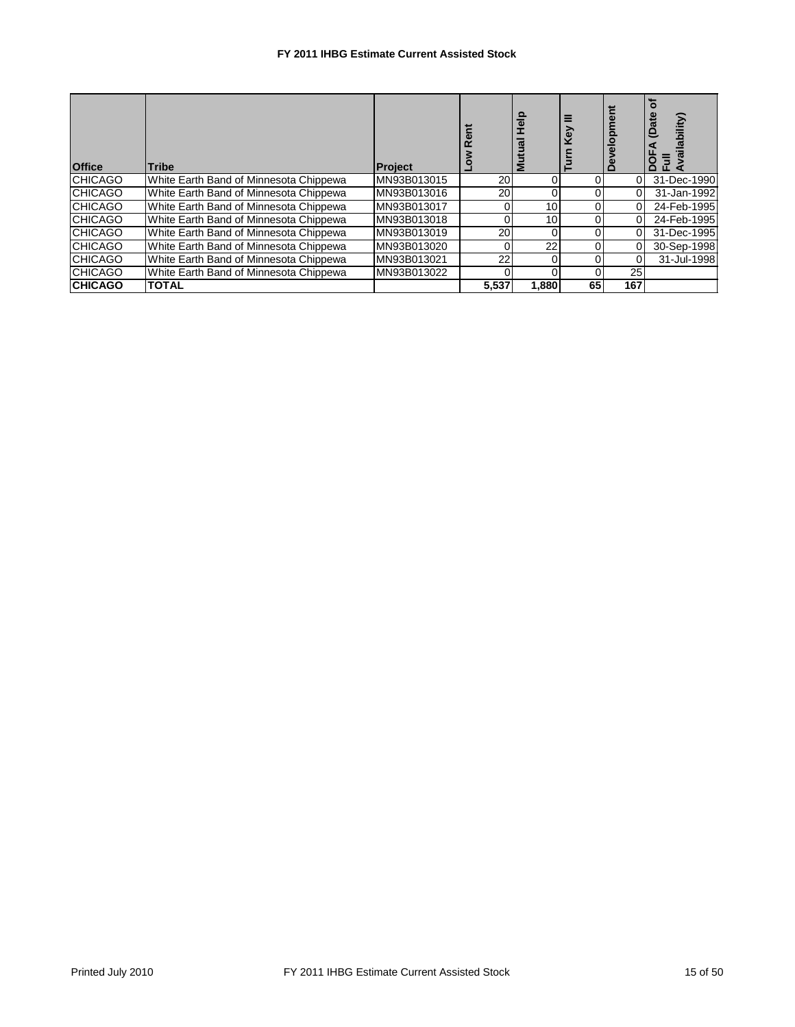| <b>Office</b>  | <b>Tribe</b>                           | <b>Project</b> | ទី    | Σ     |    |     | <b>ilability</b><br>≏<br>≏<br>ட |
|----------------|----------------------------------------|----------------|-------|-------|----|-----|---------------------------------|
| <b>CHICAGO</b> | White Earth Band of Minnesota Chippewa | MN93B013015    | 20    |       |    | 0   | 31-Dec-1990                     |
| <b>CHICAGO</b> | White Earth Band of Minnesota Chippewa | MN93B013016    | 20    |       |    |     | 31-Jan-1992                     |
| <b>CHICAGO</b> | White Earth Band of Minnesota Chippewa | MN93B013017    | 0     | 10    |    |     | 24-Feb-1995                     |
| <b>CHICAGO</b> | White Earth Band of Minnesota Chippewa | MN93B013018    | 0     | 10    |    |     | 24-Feb-1995                     |
| <b>CHICAGO</b> | White Earth Band of Minnesota Chippewa | MN93B013019    | 20    |       |    |     | 31-Dec-1995                     |
| <b>CHICAGO</b> | White Earth Band of Minnesota Chippewa | MN93B013020    | 0     | 22    |    |     | 30-Sep-1998                     |
| <b>CHICAGO</b> | White Earth Band of Minnesota Chippewa | MN93B013021    | 22    |       |    |     | 31-Jul-1998                     |
| <b>CHICAGO</b> | White Earth Band of Minnesota Chippewa | MN93B013022    |       |       |    | 25  |                                 |
| <b>CHICAGO</b> | <b>TOTAL</b>                           |                | 5,537 | 1,880 | 65 | 167 |                                 |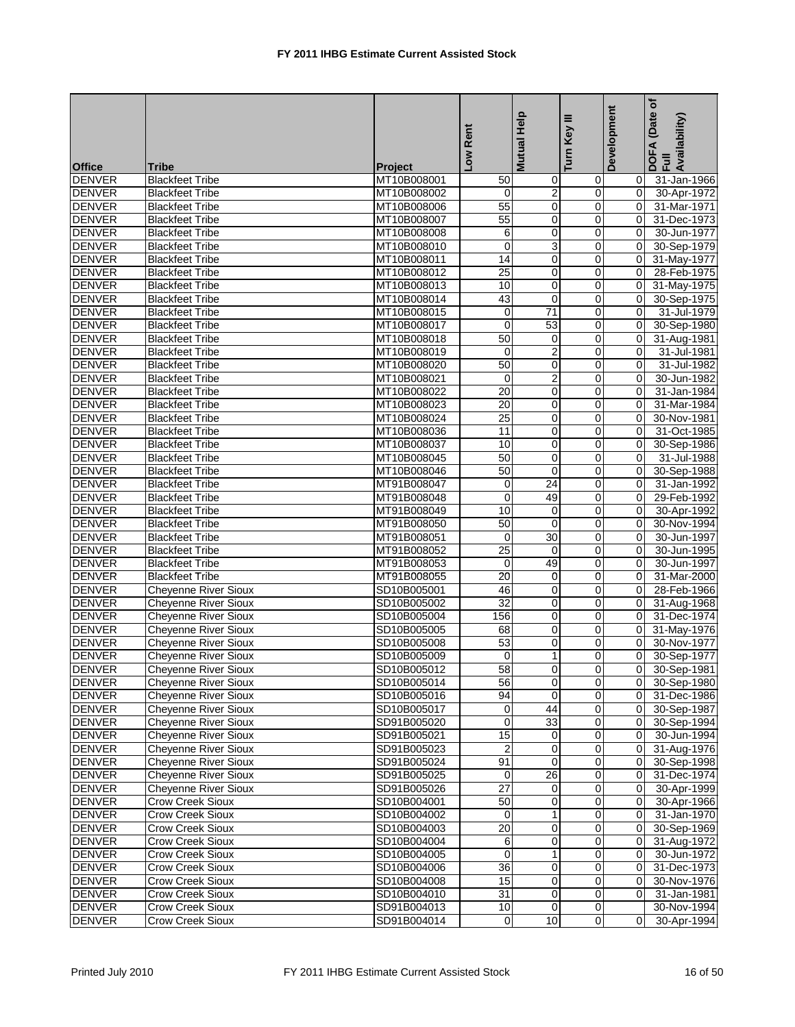|               |                             |                | Low Rent         | Mutual Help                    | ≡<br>Turn Key           | Development | Date of<br>DOFA (Date<br>Full<br>Availability) |
|---------------|-----------------------------|----------------|------------------|--------------------------------|-------------------------|-------------|------------------------------------------------|
|               |                             |                |                  |                                |                         |             |                                                |
| <b>Office</b> | <b>Tribe</b>                | <b>Project</b> |                  |                                |                         |             |                                                |
| <b>DENVER</b> | <b>Blackfeet Tribe</b>      | MT10B008001    | 50               | 0                              | 0                       | 0           | 31-Jan-1966                                    |
| <b>DENVER</b> | <b>Blackfeet Tribe</b>      | MT10B008002    | 0                | $\overline{c}$                 | 0                       | $\mathbf 0$ | 30-Apr-1972                                    |
| <b>DENVER</b> | <b>Blackfeet Tribe</b>      | MT10B008006    | 55               | 0                              | 0                       | $\Omega$    | 31-Mar-1971                                    |
| <b>DENVER</b> | <b>Blackfeet Tribe</b>      | MT10B008007    | 55               | $\mathbf 0$                    | $\mathbf 0$             | $\mathbf 0$ | 31-Dec-1973                                    |
| <b>DENVER</b> | <b>Blackfeet Tribe</b>      | MT10B008008    | 6                | 0                              | $\mathbf 0$             | 0           | 30-Jun-1977                                    |
| <b>DENVER</b> | <b>Blackfeet Tribe</b>      | MT10B008010    | $\mathbf 0$      | 3                              | 0                       | 0           | 30-Sep-1979                                    |
| <b>DENVER</b> | <b>Blackfeet Tribe</b>      | MT10B008011    | 14               | $\mathbf 0$                    | 0                       | $\Omega$    | 31-May-1977                                    |
| <b>DENVER</b> | <b>Blackfeet Tribe</b>      | MT10B008012    | $\overline{25}$  | 0                              | 0                       | 0           | 28-Feb-1975                                    |
| <b>DENVER</b> | <b>Blackfeet Tribe</b>      | MT10B008013    | 10               | $\mathbf 0$                    | 0                       | 0           | 31-May-1975                                    |
| <b>DENVER</b> | <b>Blackfeet Tribe</b>      | MT10B008014    | 43               | $\mathbf 0$                    | $\mathbf 0$             | $\mathbf 0$ | 30-Sep-1975                                    |
| <b>DENVER</b> | <b>Blackfeet Tribe</b>      | MT10B008015    | $\mathbf 0$      | 71                             | 0                       | $\Omega$    | 31-Jul-1979                                    |
| <b>DENVER</b> | <b>Blackfeet Tribe</b>      | MT10B008017    | $\mathbf 0$      | 53                             | 0                       | $\mathbf 0$ | 30-Sep-1980                                    |
| <b>DENVER</b> | <b>Blackfeet Tribe</b>      | MT10B008018    | 50               | 0                              | 0                       | $\mathbf 0$ | 31-Aug-1981                                    |
| <b>DENVER</b> | <b>Blackfeet Tribe</b>      | MT10B008019    | $\mathbf 0$      | $\overline{\mathbf{c}}$        | 0                       | 0           | 31-Jul-1981                                    |
| <b>DENVER</b> | <b>Blackfeet Tribe</b>      | MT10B008020    | 50               | $\mathbf 0$                    | $\mathbf 0$             | 0           | 31-Jul-1982                                    |
| <b>DENVER</b> | <b>Blackfeet Tribe</b>      | MT10B008021    | $\mathbf 0$      | $\overline{c}$                 | 0                       | 0           | 30-Jun-1982                                    |
| <b>DENVER</b> | <b>Blackfeet Tribe</b>      | MT10B008022    | 20               | $\mathbf 0$                    | 0                       | $\Omega$    | 31-Jan-1984                                    |
| <b>DENVER</b> | <b>Blackfeet Tribe</b>      | MT10B008023    | 20               | 0                              | 0                       | 0           | 31-Mar-1984                                    |
| <b>DENVER</b> | <b>Blackfeet Tribe</b>      | MT10B008024    | $\overline{25}$  | $\mathbf 0$                    | 0                       | 0           | 30-Nov-1981                                    |
| <b>DENVER</b> | <b>Blackfeet Tribe</b>      | MT10B008036    | 11               | $\mathbf 0$                    | $\mathbf 0$             | $\Omega$    | 31-Oct-1985                                    |
| <b>DENVER</b> | <b>Blackfeet Tribe</b>      | MT10B008037    | 10               | 0                              | 0                       | $\Omega$    | 30-Sep-1986                                    |
| <b>DENVER</b> | <b>Blackfeet Tribe</b>      | MT10B008045    | 50               | $\mathbf 0$                    | 0                       | $\mathbf 0$ | 31-Jul-1988                                    |
| <b>DENVER</b> | <b>Blackfeet Tribe</b>      | MT10B008046    | 50               | $\mathbf 0$                    | 0                       | 0           | 30-Sep-1988                                    |
| <b>DENVER</b> | <b>Blackfeet Tribe</b>      | MT91B008047    | $\mathbf 0$      | 24                             | $\mathbf 0$             | 0           | 31-Jan-1992                                    |
| <b>DENVER</b> | <b>Blackfeet Tribe</b>      | MT91B008048    | $\pmb{0}$        | 49                             | $\mathbf 0$             | $\mathbf 0$ | 29-Feb-1992                                    |
| <b>DENVER</b> | <b>Blackfeet Tribe</b>      | MT91B008049    | 10               | 0                              | 0                       | 0           | 30-Apr-1992                                    |
| <b>DENVER</b> | <b>Blackfeet Tribe</b>      | MT91B008050    | 50               | $\mathbf 0$                    | 0                       | 0           | 30-Nov-1994                                    |
| <b>DENVER</b> | <b>Blackfeet Tribe</b>      | MT91B008051    | 0                | 30                             | 0                       | $\mathbf 0$ | 30-Jun-1997                                    |
| <b>DENVER</b> | <b>Blackfeet Tribe</b>      | MT91B008052    | $\overline{25}$  | $\mathbf 0$                    | 0                       | 0           | 30-Jun-1995                                    |
| <b>DENVER</b> | <b>Blackfeet Tribe</b>      | MT91B008053    | $\mathbf 0$      | 49                             | $\mathbf 0$             | $\Omega$    | 30-Jun-1997                                    |
| <b>DENVER</b> | <b>Blackfeet Tribe</b>      | MT91B008055    | 20               | 0                              | $\mathbf 0$             | $\Omega$    | 31-Mar-2000                                    |
| <b>DENVER</b> | Cheyenne River Sioux        | SD10B005001    | 46               | 0                              | 0                       | 0           | 28-Feb-1966                                    |
| <b>DENVER</b> | <b>Cheyenne River Sioux</b> | SD10B005002    | 32               | $\mathbf 0$                    | 0                       | $\Omega$    | 31-Aug-1968                                    |
| <b>DENVER</b> | <b>Cheyenne River Sioux</b> | SD10B005004    | 156              | $\mathbf 0$                    | 0                       | 0           | 31-Dec-1974                                    |
| <b>DENVER</b> | Cheyenne River Sioux        | SD10B005005    | 68               | 0                              | 0                       | 0           | 31-May-1976                                    |
| <b>DENVER</b> | <b>Cheyenne River Sioux</b> | SD10B005008    | 53               | 0                              | 0                       | $\Omega$    | 30-Nov-1977                                    |
| <b>DENVER</b> | <b>Cheyenne River Sioux</b> | SD10B005009    | $\mathbf 0$      | $\mathbf{1}$<br>$\overline{0}$ | 0<br>$\overline{0}$     | 0<br>0      | 30-Sep-1977                                    |
| <b>DENVER</b> | <b>Cheyenne River Sioux</b> | SD10B005012    | 58               |                                |                         |             | 30-Sep-1981                                    |
| <b>DENVER</b> | <b>Cheyenne River Sioux</b> | SD10B005014    | 56<br>94         | $\overline{0}$                 | $\overline{\mathbf{0}}$ | 0           | 30-Sep-1980                                    |
| <b>DENVER</b> | <b>Cheyenne River Sioux</b> | SD10B005016    |                  | $\mathbf 0$                    | $\mathbf 0$             | 0           | 31-Dec-1986                                    |
| <b>DENVER</b> | <b>Cheyenne River Sioux</b> | SD10B005017    | 0                | 44                             | 0                       | 0           | 30-Sep-1987                                    |
| <b>DENVER</b> | Cheyenne River Sioux        | SD91B005020    | $\pmb{0}$        | 33                             | $\mathbf 0$             | 0           | 30-Sep-1994                                    |
| <b>DENVER</b> | Cheyenne River Sioux        | SD91B005021    | 15               | 0                              | 0                       | $\mathbf 0$ | 30-Jun-1994                                    |
| <b>DENVER</b> | <b>Cheyenne River Sioux</b> | SD91B005023    | $\boldsymbol{2}$ | 0                              | 0                       | 0           | 31-Aug-1976                                    |
| <b>DENVER</b> | <b>Cheyenne River Sioux</b> | SD91B005024    | 91               | $\mathbf 0$                    | $\overline{\mathbf{0}}$ | 0           | 30-Sep-1998                                    |
| <b>DENVER</b> | <b>Cheyenne River Sioux</b> | SD91B005025    | 0                | 26                             | 0                       | $\mathbf 0$ | 31-Dec-1974                                    |
| <b>DENVER</b> | <b>Cheyenne River Sioux</b> | SD91B005026    | $\overline{27}$  | $\mathbf 0$                    | 0                       | $\mathbf 0$ | 30-Apr-1999                                    |
| <b>DENVER</b> | Crow Creek Sioux            | SD10B004001    | 50               | 0                              | $\mathbf 0$             | $\mathbf 0$ | 30-Apr-1966                                    |
| <b>DENVER</b> | <b>Crow Creek Sioux</b>     | SD10B004002    | $\mathbf 0$      | $\mathbf{1}$                   | 0                       | 0           | 31-Jan-1970                                    |
| <b>DENVER</b> | <b>Crow Creek Sioux</b>     | SD10B004003    | $\overline{20}$  | 0                              | $\mathbf 0$             | $\mathbf 0$ | 30-Sep-1969                                    |
| <b>DENVER</b> | Crow Creek Sioux            | SD10B004004    | 6                | 0                              | 0                       | $\mathbf 0$ | 31-Aug-1972                                    |
| <b>DENVER</b> | Crow Creek Sioux            | SD10B004005    | $\pmb{0}$        | $\mathbf{1}$                   | $\mathbf 0$             | 0           | 30-Jun-1972                                    |
| <b>DENVER</b> | <b>Crow Creek Sioux</b>     | SD10B004006    | $\overline{36}$  | 0                              | 0                       | $\mathbf 0$ | 31-Dec-1973                                    |
| <b>DENVER</b> | <b>Crow Creek Sioux</b>     | SD10B004008    | 15               | 0                              | $\mathbf 0$             | 0           | 30-Nov-1976                                    |
| <b>DENVER</b> | Crow Creek Sioux            | SD10B004010    | $\overline{31}$  | 0                              | $\pmb{0}$               | 0           | 31-Jan-1981                                    |
| <b>DENVER</b> | Crow Creek Sioux            | SD91B004013    | 10               | $\mathbf 0$                    | 0<br>$\overline{0}$     |             | 30-Nov-1994                                    |
| <b>DENVER</b> | Crow Creek Sioux            | SD91B004014    | 0                | 10                             |                         | 0           | 30-Apr-1994                                    |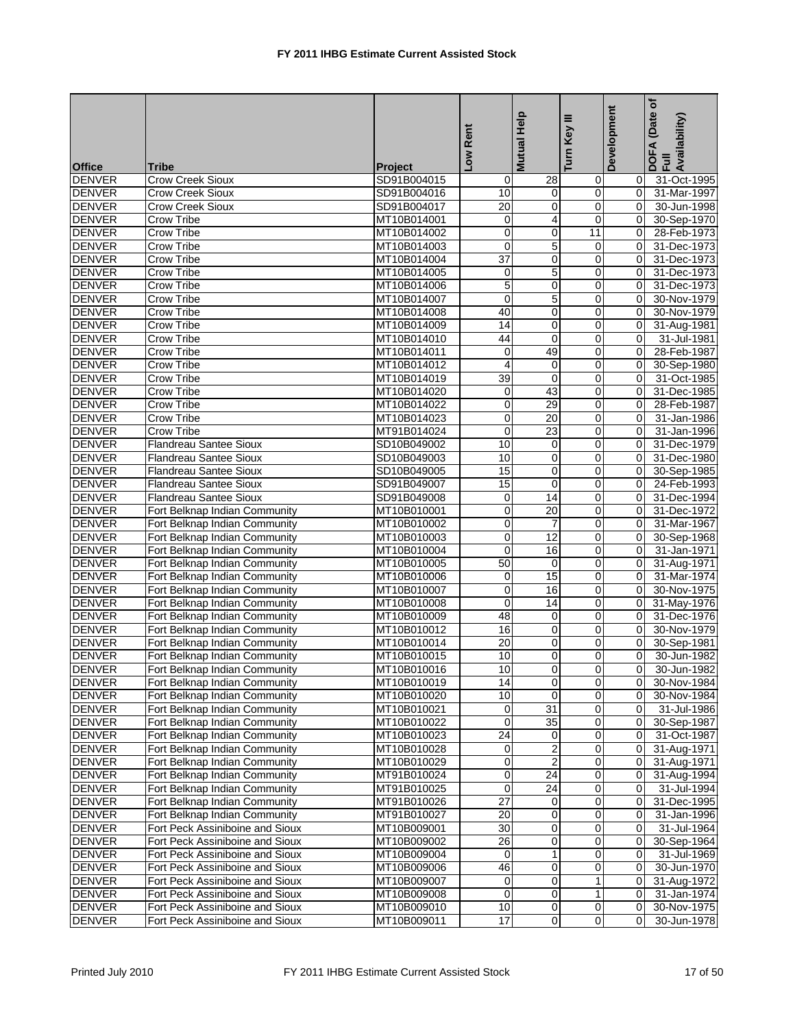|               |                                 |                |                         | <b>Mutual Help</b>      | ≡              | Development | Date of<br>DOFA (Date<br>Full<br>Availability) |
|---------------|---------------------------------|----------------|-------------------------|-------------------------|----------------|-------------|------------------------------------------------|
|               |                                 |                | Low Rent                |                         | Turn Key       |             |                                                |
| <b>Office</b> | <b>Tribe</b>                    | <b>Project</b> |                         |                         |                |             |                                                |
| <b>DENVER</b> | Crow Creek Sioux                | SD91B004015    | 0                       | 28                      | 0              | 0           | 31-Oct-1995                                    |
| <b>DENVER</b> | <b>Crow Creek Sioux</b>         | SD91B004016    | 10                      | 0                       | 0              | 0           | 31-Mar-1997                                    |
| <b>DENVER</b> | <b>Crow Creek Sioux</b>         | SD91B004017    | $\overline{20}$         | $\mathbf 0$             | 0              | $\Omega$    | 30-Jun-1998                                    |
| <b>DENVER</b> | Crow Tribe                      | MT10B014001    | 0                       | 4                       | $\mathbf 0$    |             | 30-Sep-1970                                    |
| <b>DENVER</b> | <b>Crow Tribe</b>               | MT10B014002    | $\pmb{0}$               | $\mathbf 0$             | 11             | $\mathbf 0$ | 28-Feb-1973                                    |
| <b>DENVER</b> | Crow Tribe                      | MT10B014003    | $\mathbf 0$             | 5                       | $\mathbf 0$    | 0           | 31-Dec-1973                                    |
| <b>DENVER</b> | Crow Tribe                      | MT10B014004    | 37                      | $\mathbf 0$             | 0              | 0           | 31-Dec-1973                                    |
| <b>DENVER</b> | <b>Crow Tribe</b>               | MT10B014005    | 0                       | 5                       | 0              | 0           | 31-Dec-1973                                    |
| <b>DENVER</b> | <b>Crow Tribe</b>               | MT10B014006    | 5                       | 0                       | 0              | 0           | 31-Dec-1973                                    |
| <b>DENVER</b> | <b>Crow Tribe</b>               | MT10B014007    | $\mathbf 0$             | 5                       | $\mathbf 0$    | $\Omega$    | 30-Nov-1979                                    |
| <b>DENVER</b> | Crow Tribe                      | MT10B014008    | 40                      | 0                       | 0              | 0           | 30-Nov-1979                                    |
| <b>DENVER</b> | <b>Crow Tribe</b>               | MT10B014009    | 14                      | 0                       | 0              | 0           | 31-Aug-1981                                    |
| <b>DENVER</b> | Crow Tribe                      | MT10B014010    | 44                      | $\mathbf 0$             | 0              | 0           | 31-Jul-1981                                    |
| <b>DENVER</b> | <b>Crow Tribe</b>               | MT10B014011    | 0                       | 49                      | 0              | 0           | 28-Feb-1987                                    |
| <b>DENVER</b> | <b>Crow Tribe</b>               | MT10B014012    | $\overline{\mathbf{4}}$ | $\mathbf 0$             | 0              | $\mathbf 0$ | 30-Sep-1980                                    |
| <b>DENVER</b> | Crow Tribe                      | MT10B014019    | 39                      | $\mathbf 0$             | 0              | 0           | 31-Oct-1985                                    |
| <b>DENVER</b> | Crow Tribe                      | MT10B014020    | 0                       | 43                      | 0              | 0           | 31-Dec-1985                                    |
| <b>DENVER</b> | <b>Crow Tribe</b>               | MT10B014022    | 0                       | 29                      | 0              | $\mathbf 0$ | 28-Feb-1987                                    |
| <b>DENVER</b> | <b>Crow Tribe</b>               | MT10B014023    | $\mathbf 0$             | 20                      | 0              | 0           | 31-Jan-1986                                    |
| <b>DENVER</b> | Crow Tribe                      | MT91B014024    | $\mathbf 0$             | 23                      | $\mathbf 0$    | $\Omega$    | 31-Jan-1996                                    |
| <b>DENVER</b> | Flandreau Santee Sioux          | SD10B049002    | 10                      | 0                       | $\mathbf 0$    | $\Omega$    | 31-Dec-1979                                    |
| <b>DENVER</b> | <b>Flandreau Santee Sioux</b>   | SD10B049003    | 10                      | 0                       | 0              | 0           | 31-Dec-1980                                    |
| <b>DENVER</b> | <b>Flandreau Santee Sioux</b>   | SD10B049005    | 15                      | $\mathbf 0$             | 0              | $\Omega$    | 30-Sep-1985                                    |
| <b>DENVER</b> | <b>Flandreau Santee Sioux</b>   | SD91B049007    | 15                      | $\mathbf 0$             | 0              | 0           | 24-Feb-1993                                    |
| <b>DENVER</b> | <b>Flandreau Santee Sioux</b>   | SD91B049008    | 0                       | 14                      | 0              | 0           | 31-Dec-1994                                    |
| <b>DENVER</b> | Fort Belknap Indian Community   | MT10B010001    | $\mathbf 0$             | 20                      | 0              | 0           | 31-Dec-1972                                    |
| <b>DENVER</b> | Fort Belknap Indian Community   | MT10B010002    | 0                       | $\overline{7}$          | 0              | 0           | 31-Mar-1967                                    |
| <b>DENVER</b> | Fort Belknap Indian Community   | MT10B010003    | 0                       | $\overline{12}$         | 0              | $\mathbf 0$ | 30-Sep-1968                                    |
| <b>DENVER</b> | Fort Belknap Indian Community   | MT10B010004    | $\mathbf 0$             | 16                      | 0              | 0           | 31-Jan-1971                                    |
| <b>DENVER</b> | Fort Belknap Indian Community   | MT10B010005    | 50                      | $\mathbf 0$             | $\mathbf 0$    | $\Omega$    | 31-Aug-1971                                    |
| <b>DENVER</b> | Fort Belknap Indian Community   | MT10B010006    | 0                       | 15                      | $\mathbf 0$    | 0           | 31-Mar-1974                                    |
| <b>DENVER</b> | Fort Belknap Indian Community   | MT10B010007    | 0                       | 16                      | 0              | $\mathbf 0$ | 30-Nov-1975                                    |
| DENVER        | Fort Belknap Indian Community   | MT10B010008    | $\mathbf 0$             | 14                      | 0              | $\Omega$    | 31-May-1976                                    |
| <b>DENVER</b> | Fort Belknap Indian Community   | MT10B010009    | 48                      | 0                       | 0              | 0           | 31-Dec-1976                                    |
| DENVER        | Fort Belknap Indian Community   | MT10B010012    | 16                      | 0                       | 0              | 0           | 30-Nov-1979                                    |
| <b>DENVER</b> | Fort Belknap Indian Community   | MT10B010014    | 20                      | 0                       | 0              | 0           | 30-Sep-1981                                    |
| <b>DENVER</b> | Fort Belknap Indian Community   | MT10B010015    | 10                      | 0                       | 0              | 0           | 30-Jun-1982                                    |
| <b>DENVER</b> | Fort Belknap Indian Community   | MT10B010016    | $\overline{10}$         | $\overline{0}$          | $\overline{0}$ | $\Omega$    | 30-Jun-1982                                    |
| <b>DENVER</b> | Fort Belknap Indian Community   | MT10B010019    | 14                      | $\overline{0}$          | $\pmb{0}$      | 0           | 30-Nov-1984                                    |
| <b>DENVER</b> | Fort Belknap Indian Community   | MT10B010020    | 10                      | $\mathbf 0$             | $\mathbf 0$    | 0           | 30-Nov-1984                                    |
| <b>DENVER</b> | Fort Belknap Indian Community   | MT10B010021    | 0                       | 31                      | 0              | 0           | 31-Jul-1986                                    |
| <b>DENVER</b> | Fort Belknap Indian Community   | MT10B010022    | $\mathbf 0$             | $\overline{35}$         | 0              | 0           | 30-Sep-1987                                    |
| <b>DENVER</b> | Fort Belknap Indian Community   | MT10B010023    | 24                      | 0                       | 0              | 0           | 31-Oct-1987                                    |
| <b>DENVER</b> | Fort Belknap Indian Community   | MT10B010028    | 0                       | $\overline{\mathbf{c}}$ | 0              | $\mathbf 0$ | 31-Aug-1971                                    |
| <b>DENVER</b> | Fort Belknap Indian Community   | MT10B010029    | $\overline{0}$          | $\overline{2}$          | 0              | 0           | 31-Aug-1971                                    |
| <b>DENVER</b> | Fort Belknap Indian Community   | MT91B010024    | $\pmb{0}$               | 24                      | 0              | 0           | 31-Aug-1994                                    |
| <b>DENVER</b> | Fort Belknap Indian Community   | MT91B010025    | 0                       | 24                      | 0              | 0           | 31-Jul-1994                                    |
| <b>DENVER</b> | Fort Belknap Indian Community   | MT91B010026    | $\overline{27}$         | 0                       | 0              | 0           | 31-Dec-1995                                    |
| <b>DENVER</b> | Fort Belknap Indian Community   | MT91B010027    | $\overline{20}$         | 0                       | 0              | 0           | 31-Jan-1996                                    |
| <b>DENVER</b> | Fort Peck Assiniboine and Sioux | MT10B009001    | $\overline{30}$         | $\mathbf 0$             | 0              | 0           | 31-Jul-1964                                    |
| <b>DENVER</b> | Fort Peck Assiniboine and Sioux | MT10B009002    | 26                      | 0                       | 0              | 0           | 30-Sep-1964                                    |
| <b>DENVER</b> | Fort Peck Assiniboine and Sioux | MT10B009004    | 0                       | $\mathbf{1}$            | 0              | 0           | $31 -$ Jul-1969                                |
| <b>DENVER</b> | Fort Peck Assiniboine and Sioux | MT10B009006    | 46                      | 0                       | 0              | $\mathbf 0$ | 30-Jun-1970                                    |
| <b>DENVER</b> | Fort Peck Assiniboine and Sioux | MT10B009007    | 0                       | 0                       | $\mathbf{1}$   | 0           | 31-Aug-1972                                    |
| <b>DENVER</b> | Fort Peck Assiniboine and Sioux | MT10B009008    | $\pmb{0}$               | 0                       | $\mathbf{1}$   | 0           | 31-Jan-1974                                    |
| <b>DENVER</b> | Fort Peck Assiniboine and Sioux | MT10B009010    | 10                      | 0                       | 0              | 0           | 30-Nov-1975                                    |
| <b>DENVER</b> | Fort Peck Assiniboine and Sioux | MT10B009011    | $\overline{17}$         | $\overline{0}$          | $\mathbf 0$    | 0           | 30-Jun-1978                                    |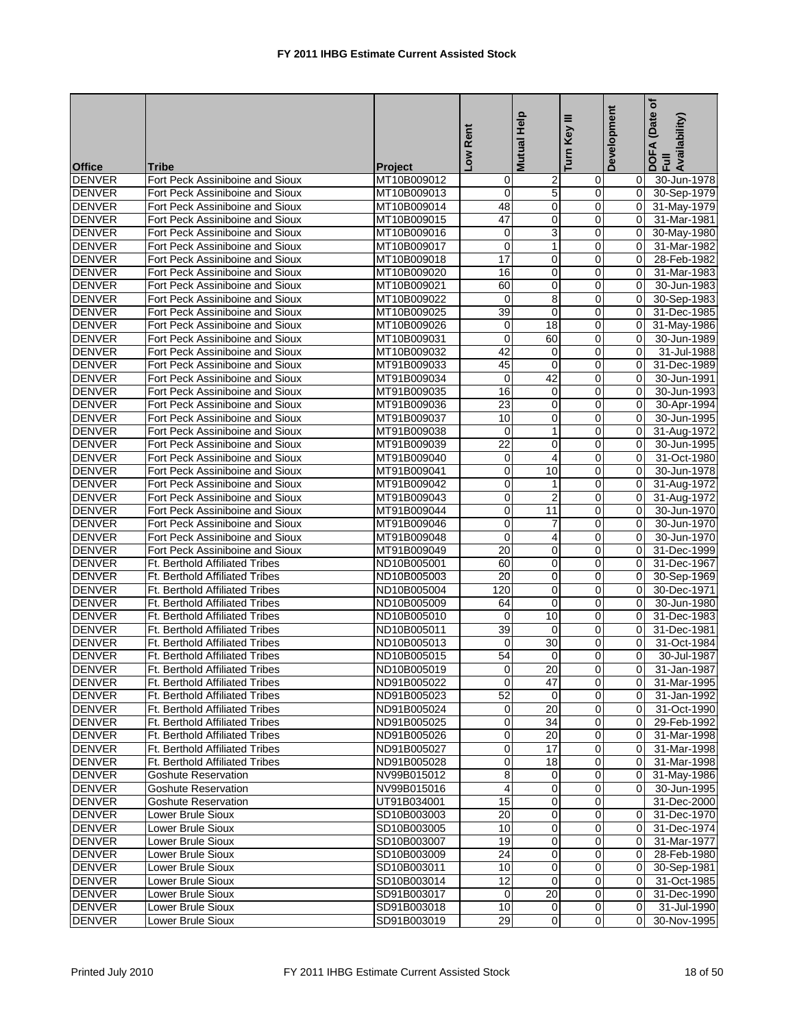| <b>Office</b> | Tribe                                 | <b>Project</b> | Low Rent                | <b>Mutual Help</b>      | Ξ<br>Turn Key  | Development    | ځ<br>(Date<br>DOFA (Date<br>Full<br>Availability) |
|---------------|---------------------------------------|----------------|-------------------------|-------------------------|----------------|----------------|---------------------------------------------------|
| <b>DENVER</b> | Fort Peck Assiniboine and Sioux       | MT10B009012    | 0                       | $\overline{\mathbf{c}}$ | $\mathbf 0$    | $\overline{0}$ | 30-Jun-1978                                       |
| <b>DENVER</b> | Fort Peck Assiniboine and Sioux       | MT10B009013    | 0                       | $\overline{5}$          | $\mathbf 0$    | $\overline{0}$ | 30-Sep-1979                                       |
| <b>DENVER</b> | Fort Peck Assiniboine and Sioux       | MT10B009014    | 48                      | $\overline{0}$          | $\mathbf 0$    | $\overline{0}$ | 31-May-1979                                       |
| <b>DENVER</b> | Fort Peck Assiniboine and Sioux       | MT10B009015    | 47                      | 0                       | $\mathbf 0$    | 0              | 31-Mar-1981                                       |
| <b>DENVER</b> | Fort Peck Assiniboine and Sioux       | MT10B009016    | 0                       | 3                       | $\mathbf 0$    | 0              | 30-May-1980                                       |
| <b>DENVER</b> | Fort Peck Assiniboine and Sioux       | MT10B009017    | $\mathbf 0$             | $\mathbf 1$             | $\mathbf 0$    | 0              | 31-Mar-1982                                       |
| <b>DENVER</b> | Fort Peck Assiniboine and Sioux       | MT10B009018    | 17                      | $\mathbf 0$             | $\mathbf 0$    | $\Omega$       | 28-Feb-1982                                       |
| <b>DENVER</b> | Fort Peck Assiniboine and Sioux       | MT10B009020    | 16                      | 0                       | 0              | 0              | 31-Mar-1983                                       |
| <b>DENVER</b> | Fort Peck Assiniboine and Sioux       | MT10B009021    | 60                      | $\mathbf 0$             | $\mathbf 0$    | 0              | 30-Jun-1983                                       |
| <b>DENVER</b> | Fort Peck Assiniboine and Sioux       | MT10B009022    | 0                       | 8                       | $\mathbf 0$    | 0              | 30-Sep-1983                                       |
| <b>DENVER</b> | Fort Peck Assiniboine and Sioux       | MT10B009025    | 39                      | $\mathbf 0$             | $\mathbf 0$    | 0              | 31-Dec-1985                                       |
| <b>DENVER</b> | Fort Peck Assiniboine and Sioux       | MT10B009026    | 0                       | $\overline{18}$         | $\mathbf 0$    | 0              | 31-May-1986                                       |
| <b>DENVER</b> | Fort Peck Assiniboine and Sioux       | MT10B009031    | 0                       | 60                      | $\mathbf 0$    | 0              | 30-Jun-1989                                       |
| <b>DENVER</b> | Fort Peck Assiniboine and Sioux       | MT10B009032    | 42                      | $\mathbf 0$             | $\mathbf 0$    | 0              | 31-Jul-1988                                       |
| <b>DENVER</b> | Fort Peck Assiniboine and Sioux       | MT91B009033    | 45                      | 0                       | $\mathbf 0$    | 0              | 31-Dec-1989                                       |
| <b>DENVER</b> | Fort Peck Assiniboine and Sioux       | MT91B009034    | 0                       | 42                      | $\mathbf 0$    | 0              | 30-Jun-1991                                       |
| <b>DENVER</b> | Fort Peck Assiniboine and Sioux       | MT91B009035    | 16                      | $\mathbf 0$             | $\mathbf 0$    | 0              | 30-Jun-1993                                       |
| <b>DENVER</b> | Fort Peck Assiniboine and Sioux       | MT91B009036    | $\overline{23}$         | $\mathbf 0$             | 0              | 0              | 30-Apr-1994                                       |
| <b>DENVER</b> | Fort Peck Assiniboine and Sioux       | MT91B009037    | 10                      | 0                       | $\mathbf 0$    | 0              | 30-Jun-1995                                       |
| <b>DENVER</b> | Fort Peck Assiniboine and Sioux       | MT91B009038    | 0                       | 1                       | $\mathbf 0$    | 0              | 31-Aug-1972                                       |
| <b>DENVER</b> | Fort Peck Assiniboine and Sioux       | MT91B009039    | $\overline{22}$         | 0                       | $\mathbf 0$    | 0              | 30-Jun-1995                                       |
| <b>DENVER</b> | Fort Peck Assiniboine and Sioux       | MT91B009040    | 0                       | $\overline{\mathbf{4}}$ | $\mathbf 0$    | 0              | 31-Oct-1980                                       |
| <b>DENVER</b> | Fort Peck Assiniboine and Sioux       | MT91B009041    | 0                       | 10                      | $\mathbf 0$    | $\Omega$       | 30-Jun-1978                                       |
| <b>DENVER</b> | Fort Peck Assiniboine and Sioux       | MT91B009042    | $\overline{0}$          | 1                       | $\mathbf 0$    | 0              | 31-Aug-1972                                       |
| <b>DENVER</b> | Fort Peck Assiniboine and Sioux       | MT91B009043    | 0                       | $\overline{\mathbf{c}}$ | $\mathbf 0$    | 0              | 31-Aug-1972                                       |
| <b>DENVER</b> | Fort Peck Assiniboine and Sioux       | MT91B009044    | 0                       | $\overline{11}$         | $\mathbf 0$    | 0              | 30-Jun-1970                                       |
| <b>DENVER</b> | Fort Peck Assiniboine and Sioux       | MT91B009046    | 0                       | $\overline{7}$          | $\mathbf 0$    | $\overline{0}$ | 30-Jun-1970                                       |
| <b>DENVER</b> | Fort Peck Assiniboine and Sioux       | MT91B009048    | 0                       | 4                       | 0              | 0              | 30-Jun-1970                                       |
| <b>DENVER</b> | Fort Peck Assiniboine and Sioux       | MT91B009049    | $\overline{20}$         | 0                       | $\mathbf 0$    | 0              | 31-Dec-1999                                       |
| <b>DENVER</b> | Ft. Berthold Affiliated Tribes        | ND10B005001    | 60                      | 0                       | 0              | 0              | 31-Dec-1967                                       |
| <b>DENVER</b> | Ft. Berthold Affiliated Tribes        | ND10B005003    | 20                      | 0                       | 0              | 0              | 30-Sep-1969                                       |
| <b>DENVER</b> | Ft. Berthold Affiliated Tribes        | ND10B005004    | 120                     | $\mathbf 0$             | $\mathbf 0$    | 0              | 30-Dec-1971                                       |
| <b>DENVER</b> | Ft. Berthold Affiliated Tribes        | ND10B005009    | 64                      | $\overline{0}$          | $\mathbf 0$    | $\overline{0}$ | 30-Jun-1980                                       |
| <b>DENVER</b> | Ft. Berthold Affiliated Tribes        | ND10B005010    | 0                       | 10                      | $\mathbf 0$    | 0              | 31-Dec-1983                                       |
| <b>DENVER</b> | Ft. Berthold Affiliated Tribes        | ND10B005011    | 39                      | 0                       | 0              | 0              | 31-Dec-1981                                       |
| <b>DENVER</b> | Ft. Berthold Affiliated Tribes        | ND10B005013    | 0                       | 30                      | $\mathbf 0$    | 0              | 31-Oct-1984                                       |
| <b>DENVER</b> | Ft. Berthold Affiliated Tribes        | ND10B005015    | 54                      | $\mathbf 0$             | $\mathbf 0$    | $\overline{0}$ | 30-Jul-1987                                       |
| <b>DENVER</b> | Ft. Berthold Affiliated Tribes        | ND10B005019    | $\overline{0}$          | 20                      | $\overline{0}$ | $\overline{0}$ | 31-Jan-1987                                       |
| <b>DENVER</b> | Ft. Berthold Affiliated Tribes        | ND91B005022    | $\overline{\mathsf{o}}$ | 47                      | $\mathbf 0$    | 0              | 31-Mar-1995                                       |
| <b>DENVER</b> | Ft. Berthold Affiliated Tribes        | ND91B005023    | 52                      | $\mathbf 0$             | $\mathbf 0$    | $\overline{0}$ | 31-Jan-1992                                       |
| <b>DENVER</b> | Ft. Berthold Affiliated Tribes        | ND91B005024    | 0                       | 20                      | $\mathbf 0$    | $\overline{0}$ | 31-Oct-1990                                       |
| <b>DENVER</b> | Ft. Berthold Affiliated Tribes        | ND91B005025    | 0                       | 34                      | $\overline{0}$ | $\overline{0}$ | 29-Feb-1992                                       |
| <b>DENVER</b> | Ft. Berthold Affiliated Tribes        | ND91B005026    | 0                       | $\overline{20}$         | $\mathbf 0$    | 0              | 31-Mar-1998                                       |
| <b>DENVER</b> | <b>Ft. Berthold Affiliated Tribes</b> | ND91B005027    | 0                       | 17                      | $\mathbf 0$    | $\overline{0}$ | 31-Mar-1998                                       |
| <b>DENVER</b> | Ft. Berthold Affiliated Tribes        | ND91B005028    | 0                       | 18                      | $\mathbf 0$    | 0              | 31-Mar-1998                                       |
| <b>DENVER</b> | <b>Goshute Reservation</b>            | NV99B015012    | $\overline{8}$          | $\mathbf 0$             | $\mathbf 0$    | $\overline{0}$ | 31-May-1986                                       |
| <b>DENVER</b> | <b>Goshute Reservation</b>            | NV99B015016    | 4                       | $\mathbf 0$             | $\mathbf 0$    | $\Omega$       | 30-Jun-1995                                       |
| <b>DENVER</b> | <b>Goshute Reservation</b>            | UT91B034001    | 15                      | 0                       | $\mathbf 0$    |                | 31-Dec-2000                                       |
| <b>DENVER</b> | Lower Brule Sioux                     | SD10B003003    | $\overline{20}$         | $\mathbf 0$             | $\mathbf 0$    | 0              | 31-Dec-1970                                       |
| <b>DENVER</b> | Lower Brule Sioux                     | SD10B003005    | 10                      | 0                       | $\mathbf 0$    | 0l             | 31-Dec-1974                                       |
| <b>DENVER</b> | Lower Brule Sioux                     | SD10B003007    | 19                      | 0                       | $\mathbf 0$    | $\overline{0}$ | 31-Mar-1977                                       |
| <b>DENVER</b> | Lower Brule Sioux                     | SD10B003009    | 24                      | 0                       | $\mathbf 0$    | 0              | 28-Feb-1980                                       |
| <b>DENVER</b> | Lower Brule Sioux                     | SD10B003011    | $\overline{10}$         | 0                       | 0              | $\Omega$       | 30-Sep-1981                                       |
| <b>DENVER</b> | Lower Brule Sioux                     | SD10B003014    | $\overline{12}$         | $\mathbf 0$             | $\mathbf 0$    | $\overline{0}$ | 31-Oct-1985                                       |
| <b>DENVER</b> | Lower Brule Sioux                     | SD91B003017    | 0                       | 20                      | $\mathbf 0$    | 0              | 31-Dec-1990                                       |
| <b>DENVER</b> | Lower Brule Sioux                     | SD91B003018    | 10                      | 0                       | $\mathbf 0$    | 0              | 31-Jul-1990                                       |
| <b>DENVER</b> | Lower Brule Sioux                     | SD91B003019    | $\overline{29}$         | 0                       | $\mathbf 0$    | $\Omega$       | 30-Nov-1995                                       |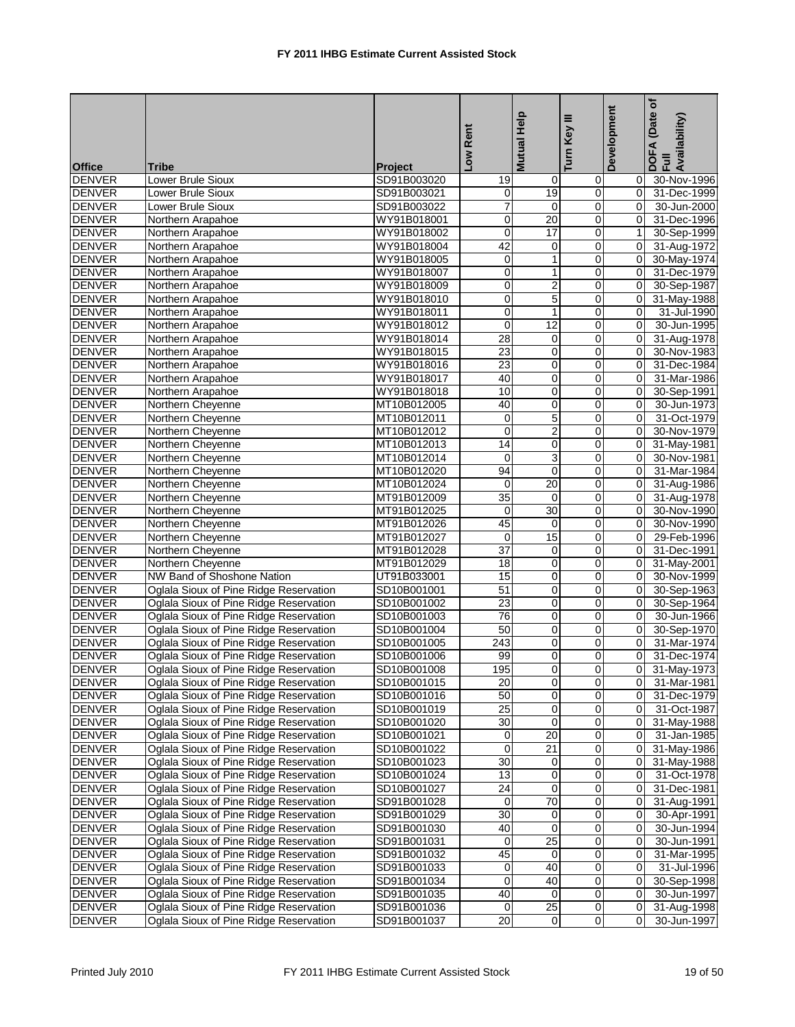| Mutual Help<br>Ξ                                                                                                                                                            | Development | Date of<br>DOFA (Date<br>Full<br>Availability) |
|-----------------------------------------------------------------------------------------------------------------------------------------------------------------------------|-------------|------------------------------------------------|
|                                                                                                                                                                             |             |                                                |
| Low Rent<br>Turn Key                                                                                                                                                        |             |                                                |
| <b>Office</b><br><b>Tribe</b><br><b>Project</b><br><b>DENVER</b><br>SD91B003020<br><b>Lower Brule Sioux</b><br>19<br>0<br>0                                                 | 0           | 30-Nov-1996                                    |
| 19<br>0<br><b>DENVER</b><br>Lower Brule Sioux<br>SD91B003021<br>0                                                                                                           | $\mathbf 0$ | 31-Dec-1999                                    |
| <b>DENVER</b><br>$\overline{7}$<br>0<br>Lower Brule Sioux<br>SD91B003022<br>$\mathbf 0$                                                                                     | $\Omega$    | 30-Jun-2000                                    |
| <b>DENVER</b><br>WY91B018001<br>0<br>20<br>$\mathbf 0$<br>Northern Arapahoe                                                                                                 | 0           | 31-Dec-1996                                    |
| $\overline{0}$<br><b>DENVER</b><br>17<br>$\mathbf 0$<br>Northern Arapahoe<br>WY91B018002                                                                                    | 1           | 30-Sep-1999                                    |
| 42<br>0<br><b>DENVER</b><br>Northern Arapahoe<br>WY91B018004<br>0                                                                                                           | 0           | 31-Aug-1972                                    |
| <b>DENVER</b><br>0<br>1<br>0<br>Northern Arapahoe<br>WY91B018005                                                                                                            | $\Omega$    | 30-May-1974                                    |
| $\mathbf 0$<br><b>DENVER</b><br>WY91B018007<br>0<br>Northern Arapahoe<br>1                                                                                                  | $\mathbf 0$ | 31-Dec-1979                                    |
| $\overline{2}$<br>$\mathsf 0$<br><b>DENVER</b><br>WY91B018009<br>$\mathbf 0$<br>Northern Arapahoe                                                                           | 0           | 30-Sep-1987                                    |
| $\pmb{0}$<br>5<br><b>DENVER</b><br>WY91B018010<br>$\mathbf 0$<br>Northern Arapahoe                                                                                          | 0           | 31-May-1988                                    |
| $\mathbf 0$<br><b>DENVER</b><br>Northern Arapahoe<br>WY91B018011<br>$\mathbf{1}$<br>0                                                                                       | $\Omega$    | 31-Jul-1990                                    |
| 12<br>$\pmb{0}$<br>0<br><b>DENVER</b><br>WY91B018012<br>Northern Arapahoe                                                                                                   | $\mathbf 0$ | 30-Jun-1995                                    |
| $\overline{28}$<br>0<br><b>DENVER</b><br>WY91B018014<br>$\mathbf 0$<br>Northern Arapahoe                                                                                    | $\mathbf 0$ | 31-Aug-1978                                    |
| <b>DENVER</b><br>WY91B018015<br>23<br>$\mathbf 0$<br>0<br>Northern Arapahoe                                                                                                 | 0           | 30-Nov-1983                                    |
| <b>DENVER</b><br>WY91B018016<br>23<br>0<br>$\mathbf 0$<br>Northern Arapahoe                                                                                                 | 0           | 31-Dec-1984                                    |
| <b>DENVER</b><br>40<br>$\mathbf 0$<br>0<br>Northern Arapahoe<br>WY91B018017                                                                                                 | 0           | 31-Mar-1986                                    |
| <b>DENVER</b><br>10<br>0<br>0<br>Northern Arapahoe<br>WY91B018018                                                                                                           | $\Omega$    | 30-Sep-1991                                    |
| 40<br><b>DENVER</b><br>Northern Cheyenne<br>0<br>0<br>MT10B012005                                                                                                           | 0           | 30-Jun-1973                                    |
| $\overline{5}$<br>$\mathsf 0$<br><b>DENVER</b><br>$\mathbf 0$<br>Northern Cheyenne<br>MT10B012011                                                                           | 0           | 31-Oct-1979                                    |
| $\overline{c}$<br><b>DENVER</b><br>Northern Cheyenne<br>MT10B012012<br>$\mathbf 0$<br>$\mathbf 0$                                                                           | $\Omega$    | 30-Nov-1979                                    |
| <b>DENVER</b><br>Northern Cheyenne<br>MT10B012013<br>14<br>0<br>0                                                                                                           | $\mathbf 0$ | 31-May-1981                                    |
| $\overline{3}$<br><b>DENVER</b><br>0<br>Northern Cheyenne<br>MT10B012014<br>$\mathbf 0$                                                                                     | $\mathbf 0$ | 30-Nov-1981                                    |
| 94<br>$\mathbf 0$<br>0<br><b>DENVER</b><br>Northern Cheyenne<br>MT10B012020                                                                                                 | 0           | 31-Mar-1984                                    |
| <b>DENVER</b><br>20<br>0<br>Northern Cheyenne<br>MT10B012024<br>0                                                                                                           | 0           | 31-Aug-1986                                    |
| $\overline{35}$<br>$\mathbf 0$<br><b>DENVER</b><br>Northern Cheyenne<br>MT91B012009<br>$\mathbf 0$                                                                          | 0           | 31-Aug-1978                                    |
| 30<br>0<br><b>DENVER</b><br>Northern Cheyenne<br>MT91B012025<br>$\mathbf 0$                                                                                                 | 0           | 30-Nov-1990                                    |
| <b>DENVER</b><br>45<br>0<br>Northern Cheyenne<br>MT91B012026<br>$\mathbf 0$                                                                                                 | $\Omega$    | 30-Nov-1990                                    |
| 15<br><b>DENVER</b><br>Northern Cheyenne<br>MT91B012027<br>0<br>0                                                                                                           | $\mathbf 0$ | 29-Feb-1996                                    |
| $\overline{37}$<br><b>DENVER</b><br>0<br>Northern Cheyenne<br>MT91B012028<br>0                                                                                              | 0           | 31-Dec-1991                                    |
| <b>DENVER</b><br>Northern Cheyenne<br>MT91B012029<br>18<br>$\mathbf 0$<br>$\mathbf 0$                                                                                       | 0           | 31-May-2001                                    |
| NW Band of Shoshone Nation<br>15<br><b>DENVER</b><br>UT91B033001<br>0<br>0                                                                                                  | $\mathbf 0$ | 30-Nov-1999                                    |
| 51<br>0<br>0<br><b>DENVER</b><br>Oglala Sioux of Pine Ridge Reservation<br>SD10B001001                                                                                      | 0           | 30-Sep-1963                                    |
| Oglala Sioux of Pine Ridge Reservation<br>$\overline{23}$<br>$\mathbf 0$<br>0<br><b>DENVER</b><br>SD10B001002                                                               | $\mathbf 0$ | 30-Sep-1964                                    |
| <b>DENVER</b><br>Oglala Sioux of Pine Ridge Reservation<br>76<br>$\mathbf 0$<br>0<br>SD10B001003                                                                            | 0           | 30-Jun-1966                                    |
| Oglala Sioux of Pine Ridge Reservation<br>50<br>0<br>0<br><b>DENVER</b><br>SD10B001004                                                                                      | 0           | 30-Sep-1970                                    |
| 243<br>Oglala Sioux of Pine Ridge Reservation<br>SD10B001005<br>$\mathbf 0$<br>0<br><b>DENVER</b>                                                                           | 0           | 31-Mar-1974                                    |
| <b>DENVER</b><br>99<br>0<br>0<br>Oglala Sioux of Pine Ridge Reservation<br>SD10B001006                                                                                      | $\Omega$    | 31-Dec-1974                                    |
| 195<br>$\overline{0}$<br>$\overline{0}$<br><b>DENVER</b><br>Oglala Sioux of Pine Ridge Reservation<br>SD10B001008                                                           | 0           | 31-May-1973                                    |
| Oglala Sioux of Pine Ridge Reservation<br>$\overline{0}$<br><b>DENVER</b><br>20<br>0<br>SD10B001015                                                                         | 0           | 31-Mar-1981                                    |
| 50<br>0<br>$\mathbf 0$<br><b>DENVER</b><br>Oglala Sioux of Pine Ridge Reservation<br>SD10B001016                                                                            | 0           | 31-Dec-1979                                    |
| <b>DENVER</b><br>Oglala Sioux of Pine Ridge Reservation<br>SD10B001019<br>25<br>0<br>0                                                                                      | 0           | 31-Oct-1987                                    |
| 30<br>0<br>0<br><b>DENVER</b><br>Oglala Sioux of Pine Ridge Reservation<br>SD10B001020                                                                                      | 0           | 31-May-1988                                    |
| Oglala Sioux of Pine Ridge Reservation<br>0<br>20<br>0<br><b>DENVER</b><br>SD10B001021                                                                                      | $\mathbf 0$ | 31-Jan-1985                                    |
| Oglala Sioux of Pine Ridge Reservation<br><b>DENVER</b><br>SD10B001022<br>0<br>21<br>0                                                                                      | 0           | 31-May-1986                                    |
| <b>DENVER</b><br>Oglala Sioux of Pine Ridge Reservation<br>SD10B001023<br>30<br>0<br>0                                                                                      | 0           | 31-May-1988                                    |
| $\overline{13}$<br><b>DENVER</b><br>Oglala Sioux of Pine Ridge Reservation<br>SD10B001024<br>0<br>0                                                                         | 0           | 31-Oct-1978                                    |
| $\overline{24}$<br>$\mathbf 0$<br><b>DENVER</b><br>Oglala Sioux of Pine Ridge Reservation<br>0<br>SD10B001027                                                               | $\mathbf 0$ | 31-Dec-1981                                    |
| 70<br>0<br><b>DENVER</b><br>Oglala Sioux of Pine Ridge Reservation<br>SD91B001028<br>0                                                                                      | 0           | 31-Aug-1991                                    |
| 30<br>0<br><b>DENVER</b><br>Oglala Sioux of Pine Ridge Reservation<br>SD91B001029<br>0<br>$\mathbf 0$                                                                       | 0           | 30-Apr-1991                                    |
| Oglala Sioux of Pine Ridge Reservation<br>40<br>0<br><b>DENVER</b><br>SD91B001030                                                                                           | 0           | 30-Jun-1994<br>30-Jun-1991                     |
| <b>DENVER</b><br>Oglala Sioux of Pine Ridge Reservation<br>SD91B001031<br>25<br>0<br>0<br>45<br>0<br><b>DENVER</b><br>Oglala Sioux of Pine Ridge Reservation<br>$\mathbf 0$ | 0<br>0      |                                                |
| SD91B001032<br>40<br>Oglala Sioux of Pine Ridge Reservation<br>$\mathbf 0$<br>0<br><b>DENVER</b>                                                                            | 0           | 31-Mar-1995<br>31-Jul-1996                     |
| SD91B001033<br><b>DENVER</b><br>Oglala Sioux of Pine Ridge Reservation<br>SD91B001034<br>0<br>40<br>0                                                                       | 0           | 30-Sep-1998                                    |
| <b>DENVER</b><br>Oglala Sioux of Pine Ridge Reservation<br>40<br>$\mathbf 0$<br>0<br>SD91B001035                                                                            | 0           | 30-Jun-1997                                    |
| <b>DENVER</b><br>Oglala Sioux of Pine Ridge Reservation<br>SD91B001036<br>25<br>0<br>0                                                                                      | 0           | 31-Aug-1998                                    |
| $\overline{20}$<br>$\mathbf 0$<br><b>DENVER</b><br>Oglala Sioux of Pine Ridge Reservation<br>SD91B001037<br>$\overline{0}$                                                  | 0           | 30-Jun-1997                                    |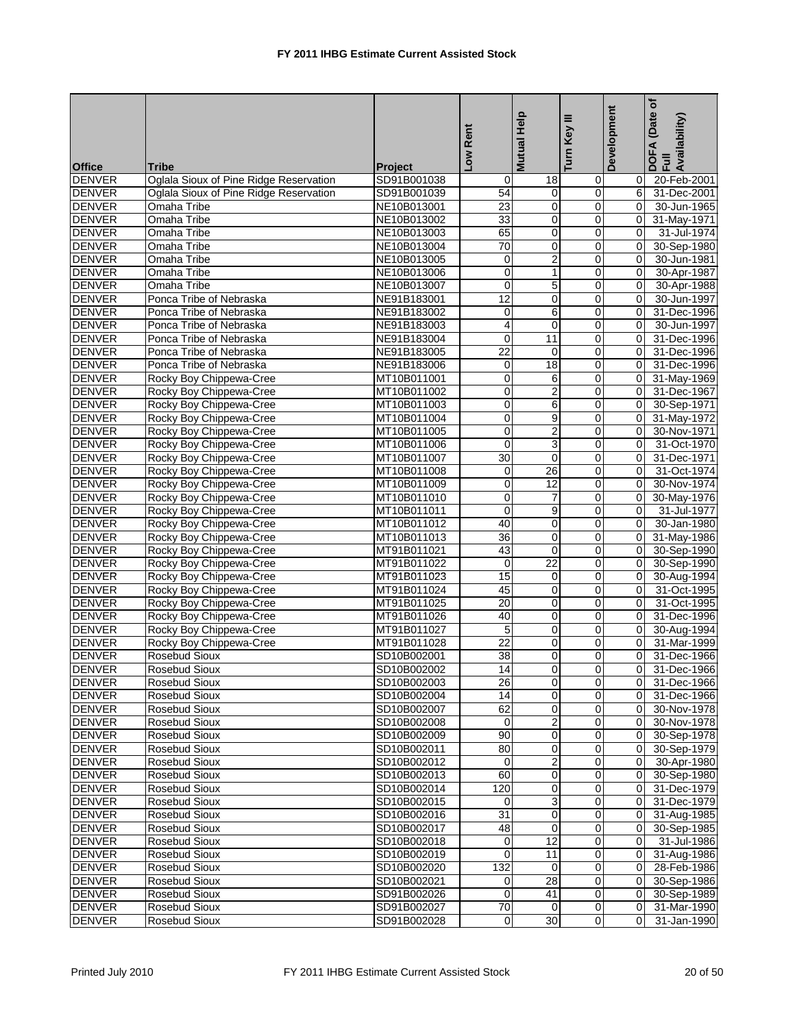|               |                                        |                | Low Rent         | <b>Mutual Help</b> | Ξ<br>Key<br>Turn l | Development    | Date of<br>DOFA (Date<br>Full<br>Availability) |
|---------------|----------------------------------------|----------------|------------------|--------------------|--------------------|----------------|------------------------------------------------|
| <b>Office</b> | <b>Tribe</b>                           | <b>Project</b> |                  |                    |                    |                |                                                |
| <b>DENVER</b> | Oglala Sioux of Pine Ridge Reservation | SD91B001038    | 0                | 18                 | 0                  | 0              | 20-Feb-2001                                    |
| <b>DENVER</b> | Oglala Sioux of Pine Ridge Reservation | SD91B001039    | 54               | 0                  | 0                  | 6              | 31-Dec-2001                                    |
| <b>DENVER</b> | Omaha Tribe                            | NE10B013001    | 23               | $\mathbf 0$        | 0                  | 0              | 30-Jun-1965                                    |
| <b>DENVER</b> | Omaha Tribe                            | NE10B013002    | 33               | 0                  | 0                  | $\overline{0}$ | 31-May-1971                                    |
| <b>DENVER</b> | Omaha Tribe                            | NE10B013003    | 65               | 0                  | 0                  | $\mathbf 0$    | 31-Jul-1974                                    |
| <b>DENVER</b> | Omaha Tribe                            | NE10B013004    | 70               | $\pmb{0}$          | $\mathsf 0$        | $\mathbf 0$    | 30-Sep-1980                                    |
| <b>DENVER</b> | Omaha Tribe                            | NE10B013005    | 0                | $\overline{c}$     | 0                  | $\Omega$       | 30-Jun-1981                                    |
| <b>DENVER</b> | Omaha Tribe                            | NE10B013006    | $\mathbf 0$      | 1                  | 0                  | $\Omega$       | 30-Apr-1987                                    |
| <b>DENVER</b> | Omaha Tribe                            | NE10B013007    | 0                | 5                  | $\mathsf 0$        | $\mathbf 0$    | 30-Apr-1988                                    |
| <b>DENVER</b> | Ponca Tribe of Nebraska                | NE91B183001    | 12               | $\mathbf 0$        | 0                  | 0              | 30-Jun-1997                                    |
| <b>DENVER</b> | Ponca Tribe of Nebraska                | NE91B183002    | 0                | 6                  | 0                  | $\Omega$       | 31-Dec-1996                                    |
| <b>DENVER</b> | Ponca Tribe of Nebraska                | NE91B183003    | 4                | $\mathbf 0$        | 0                  | 0              | 30-Jun-1997                                    |
| <b>DENVER</b> | Ponca Tribe of Nebraska                | NE91B183004    | $\mathbf 0$      | $\overline{11}$    | 0                  | 0              | 31-Dec-1996                                    |
| <b>DENVER</b> | Ponca Tribe of Nebraska                | NE91B183005    | $\overline{22}$  | $\mathbf 0$        | 0                  | 0              | 31-Dec-1996                                    |
| <b>DENVER</b> | Ponca Tribe of Nebraska                | NE91B183006    | 0                | 18                 | 0                  | 0              | 31-Dec-1996                                    |
| <b>DENVER</b> | Rocky Boy Chippewa-Cree                | MT10B011001    | $\boldsymbol{0}$ | 6                  | 0                  | 0              | 31-May-1969                                    |
| <b>DENVER</b> | Rocky Boy Chippewa-Cree                | MT10B011002    | $\mathbf 0$      | $\overline{2}$     | 0                  | $\Omega$       | 31-Dec-1967                                    |
| <b>DENVER</b> | Rocky Boy Chippewa-Cree                | MT10B011003    | 0                | 6                  | $\mathbf 0$        | 0              | 30-Sep-1971                                    |
| <b>DENVER</b> | Rocky Boy Chippewa-Cree                | MT10B011004    | $\mathbf 0$      | 9                  | $\mathsf 0$        | 0              | 31-May-1972                                    |
| <b>DENVER</b> | Rocky Boy Chippewa-Cree                | MT10B011005    | 0                | $\overline{2}$     | 0                  | 0              | 30-Nov-1971                                    |
| <b>DENVER</b> | Rocky Boy Chippewa-Cree                | MT10B011006    | 0                | $\overline{3}$     | 0                  | $\overline{0}$ | 31-Oct-1970                                    |
| <b>DENVER</b> | Rocky Boy Chippewa-Cree                | MT10B011007    | 30               | $\mathbf 0$        | 0                  | 0              | 31-Dec-1971                                    |
| <b>DENVER</b> | Rocky Boy Chippewa-Cree                | MT10B011008    | $\mathbf 0$      | 26                 | 0                  | 0              | 31-Oct-1974                                    |
| <b>DENVER</b> | Rocky Boy Chippewa-Cree                | MT10B011009    | 0                | 12                 | 0                  | $\Omega$       | 30-Nov-1974                                    |
| <b>DENVER</b> | Rocky Boy Chippewa-Cree                | MT10B011010    | 0                | 7                  | 0                  | 0              | 30-May-1976                                    |
| <b>DENVER</b> | Rocky Boy Chippewa-Cree                | MT10B011011    | $\mathbf 0$      | 9                  | 0                  | 0              | 31-Jul-1977                                    |
| <b>DENVER</b> | Rocky Boy Chippewa-Cree                | MT10B011012    | 40               | 0                  | 0                  | $\Omega$       | 30-Jan-1980                                    |
| <b>DENVER</b> | Rocky Boy Chippewa-Cree                | MT10B011013    | 36               | 0                  | 0                  | $\Omega$       | 31-May-1986                                    |
| <b>DENVER</b> | Rocky Boy Chippewa-Cree                | MT91B011021    | 43               | 0                  | 0                  | 0              | 30-Sep-1990                                    |
| <b>DENVER</b> | Rocky Boy Chippewa-Cree                | MT91B011022    | $\mathbf 0$      | $\overline{22}$    | 0                  | 0              | 30-Sep-1990                                    |
| <b>DENVER</b> | Rocky Boy Chippewa-Cree                | MT91B011023    | 15               | 0                  | 0                  | 0              | 30-Aug-1994                                    |
| <b>DENVER</b> | Rocky Boy Chippewa-Cree                | MT91B011024    | 45               | 0                  | 0                  | 0              | 31-Oct-1995                                    |
| <b>DENVER</b> | Rocky Boy Chippewa-Cree                | MT91B011025    | 20               | $\mathbf 0$        | 0                  | 0              | 31-Oct-1995                                    |
| <b>DENVER</b> | Rocky Boy Chippewa-Cree                | MT91B011026    | 40               | 0                  | 0                  | 0              | 31-Dec-1996                                    |
| <b>DENVER</b> | Rocky Boy Chippewa-Cree                | MT91B011027    | 5                | 0                  | 0                  | 0              | 30-Aug-1994                                    |
| <b>DENVER</b> | Rocky Boy Chippewa-Cree                | MT91B011028    | $\overline{22}$  | 0                  | 0                  | $\mathbf 0$    | 31-Mar-1999                                    |
| <b>DENVER</b> | Rosebud Sioux                          | SD10B002001    | 38               | 0                  | 0                  | 0              | 31-Dec-1966                                    |
| <b>DENVER</b> | <b>Rosebud Sioux</b>                   | SD10B002002    | $\overline{14}$  | $\Omega$           | $\Omega$           | $\overline{0}$ | 31-Dec-1966                                    |
| <b>DENVER</b> | Rosebud Sioux                          | SD10B002003    | 26               | $\overline{0}$     | $\mathbf 0$        | $\overline{0}$ | 31-Dec-1966                                    |
| <b>DENVER</b> | Rosebud Sioux                          | SD10B002004    | 14               | $\mathbf 0$        | 0                  | 0              | 31-Dec-1966                                    |
| <b>DENVER</b> | Rosebud Sioux                          | SD10B002007    | 62               | $\overline{0}$     | $\overline{0}$     | 0              | 30-Nov-1978                                    |
| <b>DENVER</b> | Rosebud Sioux                          | SD10B002008    | 0                | $\overline{2}$     | $\overline{0}$     | 0              | 30-Nov-1978                                    |
| <b>DENVER</b> | Rosebud Sioux                          | SD10B002009    | 90               | 0                  | 0                  | 0              | 30-Sep-1978                                    |
| <b>DENVER</b> | Rosebud Sioux                          | SD10B002011    | 80               | 0                  | 0                  | 0              | 30-Sep-1979                                    |
| <b>DENVER</b> | Rosebud Sioux                          | SD10B002012    | 0                | $\overline{c}$     | $\mathbf 0$        | 0              | 30-Apr-1980                                    |
| <b>DENVER</b> | Rosebud Sioux                          | SD10B002013    | 60               | 0                  | $\mathbf 0$        | 0              | 30-Sep-1980                                    |
| <b>DENVER</b> | <b>Rosebud Sioux</b>                   | SD10B002014    | 120              | 0                  | 0                  | 0              | 31-Dec-1979                                    |
| <b>DENVER</b> | Rosebud Sioux                          | SD10B002015    | 0                | 3                  | 0                  | 0              | 31-Dec-1979                                    |
| <b>DENVER</b> | Rosebud Sioux                          | SD10B002016    | 31               | 0                  | $\mathbf 0$        | 0              | 31-Aug-1985                                    |
| <b>DENVER</b> | Rosebud Sioux                          | SD10B002017    | 48               | $\mathbf 0$        | 0                  | 0              | 30-Sep-1985                                    |
| <b>DENVER</b> | Rosebud Sioux                          | SD10B002018    | $\mathbf 0$      | $\overline{12}$    | $\overline{0}$     | 0              | 31-Jul-1986                                    |
| <b>DENVER</b> | Rosebud Sioux                          | SD10B002019    | $\mathbf 0$      | 11                 | 0                  | 0              | 31-Aug-1986                                    |
| <b>DENVER</b> | Rosebud Sioux                          | SD10B002020    | 132              | $\mathbf 0$        | 0                  | 0              | 28-Feb-1986                                    |
| <b>DENVER</b> | Rosebud Sioux                          | SD10B002021    | $\pmb{0}$        | 28                 | $\mathbf 0$        | 0              | 30-Sep-1986                                    |
| <b>DENVER</b> | Rosebud Sioux                          | SD91B002026    | 0                | 41                 | $\mathbf 0$        | 0              | 30-Sep-1989                                    |
| <b>DENVER</b> | Rosebud Sioux                          | SD91B002027    | $\overline{70}$  | $\mathbf 0$        | $\mathbf 0$        | 0              | 31-Mar-1990                                    |
| <b>DENVER</b> | Rosebud Sioux                          | SD91B002028    | $\pmb{0}$        | $\overline{30}$    | $\mathbf 0$        | 0              | 31-Jan-1990                                    |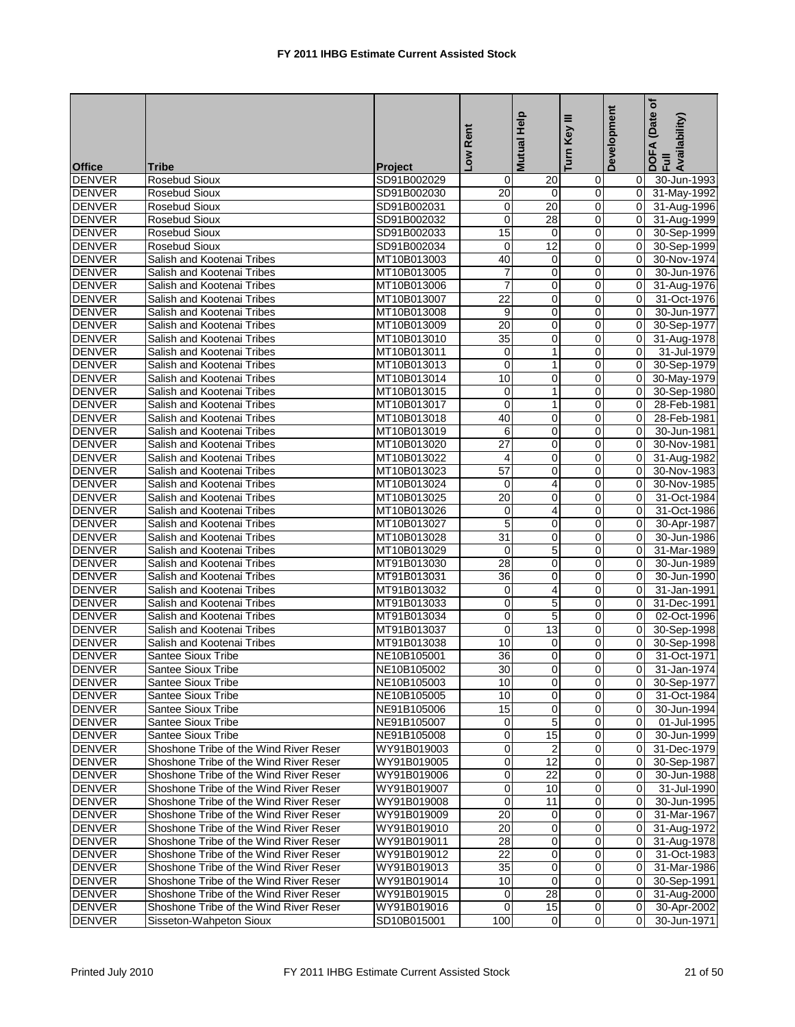|                                |                                                          |                            | Low Rent        | <b>Mutual Help</b>   | ≡<br>Turn Key       | Development    | Date of<br>DOFA (Date<br>Full<br>Availability) |
|--------------------------------|----------------------------------------------------------|----------------------------|-----------------|----------------------|---------------------|----------------|------------------------------------------------|
|                                |                                                          |                            |                 |                      |                     |                |                                                |
| <b>Office</b>                  | <b>Tribe</b>                                             | <b>Project</b>             |                 |                      |                     |                |                                                |
| <b>DENVER</b>                  | Rosebud Sioux                                            | SD91B002029                | 0               | 20                   | 0                   | 0              | 30-Jun-1993                                    |
| <b>DENVER</b>                  | Rosebud Sioux                                            | SD91B002030                | 20              | $\mathbf 0$          | 0                   | 0              | 31-May-1992                                    |
| <b>DENVER</b>                  | Rosebud Sioux                                            | SD91B002031                | 0               | $\overline{20}$      | 0                   | $\mathbf 0$    | 31-Aug-1996                                    |
| <b>DENVER</b>                  | Rosebud Sioux                                            | SD91B002032                | $\mathbf 0$     | 28                   | $\mathbf 0$         | $\mathbf 0$    | 31-Aug-1999                                    |
| <b>DENVER</b>                  | <b>Rosebud Sioux</b>                                     | SD91B002033                | 15              | $\mathbf 0$          | 0                   | 0              | 30-Sep-1999                                    |
| <b>DENVER</b>                  | Rosebud Sioux                                            | SD91B002034                | $\mathbf 0$     | 12                   | 0                   | 0              | 30-Sep-1999                                    |
| <b>DENVER</b>                  | Salish and Kootenai Tribes                               | MT10B013003                | 40              | $\mathbf 0$          | 0                   | $\Omega$       | 30-Nov-1974                                    |
| <b>DENVER</b>                  | Salish and Kootenai Tribes                               | MT10B013005                | 7               | $\mathbf 0$          | 0                   | 0              | 30-Jun-1976                                    |
| <b>DENVER</b>                  | Salish and Kootenai Tribes                               | MT10B013006                | $\overline{7}$  | 0                    | 0                   | 0              | 31-Aug-1976                                    |
| <b>DENVER</b>                  | Salish and Kootenai Tribes                               | MT10B013007                | 22              | 0                    | $\mathbf 0$         | $\Omega$       | 31-Oct-1976                                    |
| <b>DENVER</b>                  | Salish and Kootenai Tribes                               | MT10B013008                | 9               | 0                    | 0                   | $\Omega$       | 30-Jun-1977                                    |
| <b>DENVER</b>                  | Salish and Kootenai Tribes                               | MT10B013009                | 20              | 0                    | 0                   | 0              | 30-Sep-1977                                    |
| <b>DENVER</b>                  | Salish and Kootenai Tribes                               | MT10B013010                | $\overline{35}$ | $\mathbf 0$          | 0                   | 0              | 31-Aug-1978                                    |
| <b>DENVER</b>                  | Salish and Kootenai Tribes                               | MT10B013011                | 0               | $\mathbf{1}$         | 0                   | $\overline{0}$ | 31-Jul-1979                                    |
| <b>DENVER</b>                  | Salish and Kootenai Tribes                               | MT10B013013                | $\mathbf 0$     | $\mathbf{1}$         | 0                   | 0              | 30-Sep-1979                                    |
| <b>DENVER</b><br><b>DENVER</b> | Salish and Kootenai Tribes                               | MT10B013014<br>MT10B013015 | 10              | 0<br>$\mathbf{1}$    | 0<br>0              | 0<br>$\Omega$  | 30-May-1979                                    |
|                                | Salish and Kootenai Tribes<br>Salish and Kootenai Tribes | MT10B013017                | 0<br>0          | 1                    | 0                   | 0              | 30-Sep-1980                                    |
| <b>DENVER</b><br><b>DENVER</b> | Salish and Kootenai Tribes                               | MT10B013018                | 40              | 0                    | 0                   | 0              | 28-Feb-1981<br>28-Feb-1981                     |
| <b>DENVER</b>                  |                                                          | MT10B013019                | 6               | $\mathbf 0$          | $\mathbf 0$         | $\Omega$       | 30-Jun-1981                                    |
| <b>DENVER</b>                  | Salish and Kootenai Tribes<br>Salish and Kootenai Tribes | MT10B013020                | 27              | $\mathbf 0$          | $\mathbf 0$         | $\Omega$       | 30-Nov-1981                                    |
| <b>DENVER</b>                  | Salish and Kootenai Tribes                               | MT10B013022                | 4               | 0                    | 0                   | 0              | 31-Aug-1982                                    |
| <b>DENVER</b>                  | Salish and Kootenai Tribes                               | MT10B013023                | 57              | $\mathbf 0$          | 0                   | $\Omega$       | 30-Nov-1983                                    |
| <b>DENVER</b>                  | Salish and Kootenai Tribes                               | MT10B013024                | 0               | 4                    | 0                   | 0              | 30-Nov-1985                                    |
| <b>DENVER</b>                  | Salish and Kootenai Tribes                               | MT10B013025                | 20              | 0                    | $\mathbf 0$         | 0              | 31-Oct-1984                                    |
| <b>DENVER</b>                  | Salish and Kootenai Tribes                               | MT10B013026                | $\mathbf 0$     | $\overline{4}$       | 0                   | 0              | 31-Oct-1986                                    |
| <b>DENVER</b>                  | Salish and Kootenai Tribes                               | MT10B013027                | 5               | $\mathbf 0$          | 0                   | $\Omega$       | 30-Apr-1987                                    |
| <b>DENVER</b>                  | Salish and Kootenai Tribes                               | MT10B013028                | $\overline{31}$ | 0                    | 0                   | $\mathbf 0$    | 30-Jun-1986                                    |
| <b>DENVER</b>                  | Salish and Kootenai Tribes                               | MT10B013029                | $\mathbf 0$     | 5                    | 0                   | 0              | 31-Mar-1989                                    |
| <b>DENVER</b>                  | Salish and Kootenai Tribes                               | MT91B013030                | 28              | $\mathbf 0$          | $\mathbf 0$         | 0              | 30-Jun-1989                                    |
| <b>DENVER</b>                  | Salish and Kootenai Tribes                               | MT91B013031                | 36              | 0                    | $\mathbf 0$         | 0              | 30-Jun-1990                                    |
| <b>DENVER</b>                  | Salish and Kootenai Tribes                               | MT91B013032                | $\mathbf 0$     | $\overline{4}$       | 0                   | 0              | 31-Jan-1991                                    |
| <b>DENVER</b>                  | Salish and Kootenai Tribes                               | MT91B013033                | $\mathbf 0$     | 5                    | 0                   | $\Omega$       | 31-Dec-1991                                    |
| <b>DENVER</b>                  | Salish and Kootenai Tribes                               | MT91B013034                | 0               | 5                    | 0                   | 0              | 02-Oct-1996                                    |
| <b>DENVER</b>                  | Salish and Kootenai Tribes                               | MT91B013037                | 0               | $\overline{13}$      | 0                   | 0              | 30-Sep-1998                                    |
| <b>DENVER</b>                  | Salish and Kootenai Tribes                               | MT91B013038                | 10              | 0                    | 0                   | 0              | 30-Sep-1998                                    |
| <b>DENVER</b>                  | Santee Sioux Tribe                                       | NE10B105001                | 36              | 0                    | 0                   | 0              | 31-Oct-1971                                    |
| <b>DENVER</b>                  | <b>Santee Sioux Tribe</b>                                | NE10B105002                | 30              | $\overline{0}$       | $\overline{0}$      | 0              | 31-Jan-1974                                    |
| <b>DENVER</b>                  | Santee Sioux Tribe                                       | NE10B105003                | 10              | $\overline{0}$       | $\mathbf 0$         | 0              | 30-Sep-1977                                    |
| <b>DENVER</b>                  | Santee Sioux Tribe                                       | NE10B105005                | 10              | 0                    | 0                   | 0              | 31-Oct-1984                                    |
| <b>DENVER</b>                  | Santee Sioux Tribe                                       | NE91B105006                | 15              | 0                    | 0                   | 0              | 30-Jun-1994                                    |
| <b>DENVER</b>                  | Santee Sioux Tribe                                       | NE91B105007                | 0               | 5                    | $\mathbf 0$         | 0              | 01-Jul-1995                                    |
| <b>DENVER</b>                  | Santee Sioux Tribe                                       | NE91B105008                | 0               | 15                   | 0                   | 0              | 30-Jun-1999                                    |
| <b>DENVER</b>                  | Shoshone Tribe of the Wind River Reser                   | WY91B019003                | 0               | $\overline{c}$       | 0                   | 0              | 31-Dec-1979                                    |
| <b>DENVER</b>                  | Shoshone Tribe of the Wind River Reser                   | WY91B019005                | $\overline{0}$  | 12                   | $\mathbf 0$         | 0              | 30-Sep-1987                                    |
| <b>DENVER</b>                  | Shoshone Tribe of the Wind River Reser                   | WY91B019006                | 0               | 22                   | 0                   | 0              | 30-Jun-1988                                    |
| <b>DENVER</b>                  | Shoshone Tribe of the Wind River Reser                   | WY91B019007                | $\mathbf 0$     | 10                   | 0                   | $\Omega$       | 31-Jul-1990                                    |
| <b>DENVER</b>                  | Shoshone Tribe of the Wind River Reser                   | WY91B019008                | $\mathbf 0$     | 11                   | 0                   | $\mathbf 0$    | 30-Jun-1995                                    |
| <b>DENVER</b>                  | Shoshone Tribe of the Wind River Reser                   | WY91B019009                | 20              | 0                    | 0                   | 0              | 31-Mar-1967                                    |
| <b>DENVER</b>                  | Shoshone Tribe of the Wind River Reser                   | WY91B019010                | 20              | 0                    | $\mathbf 0$         | 0              | 31-Aug-1972                                    |
| <b>DENVER</b>                  | Shoshone Tribe of the Wind River Reser                   | WY91B019011                | 28              | 0                    | 0                   | 0              | 31-Aug-1978                                    |
| <b>DENVER</b>                  | Shoshone Tribe of the Wind River Reser                   | WY91B019012                | 22              | 0                    | $\mathbf 0$         | 0              | 31-Oct-1983                                    |
| <b>DENVER</b>                  | Shoshone Tribe of the Wind River Reser                   | WY91B019013                | $\overline{35}$ | $\mathbf 0$          | 0                   | 0              | 31-Mar-1986                                    |
| <b>DENVER</b>                  | Shoshone Tribe of the Wind River Reser                   | WY91B019014                | 10              | 0                    | 0                   | 0              | 30-Sep-1991                                    |
| <b>DENVER</b>                  | Shoshone Tribe of the Wind River Reser                   | WY91B019015                | 0               | $\overline{28}$      | $\mathbf 0$         | 0              | 31-Aug-2000                                    |
| <b>DENVER</b>                  | Shoshone Tribe of the Wind River Reser                   | WY91B019016                | $\mathbf 0$     | 15<br>$\overline{0}$ | 0<br>$\overline{0}$ | 0<br>0         | 30-Apr-2002                                    |
| <b>DENVER</b>                  | Sisseton-Wahpeton Sioux                                  | SD10B015001                | 100             |                      |                     |                | 30-Jun-1971                                    |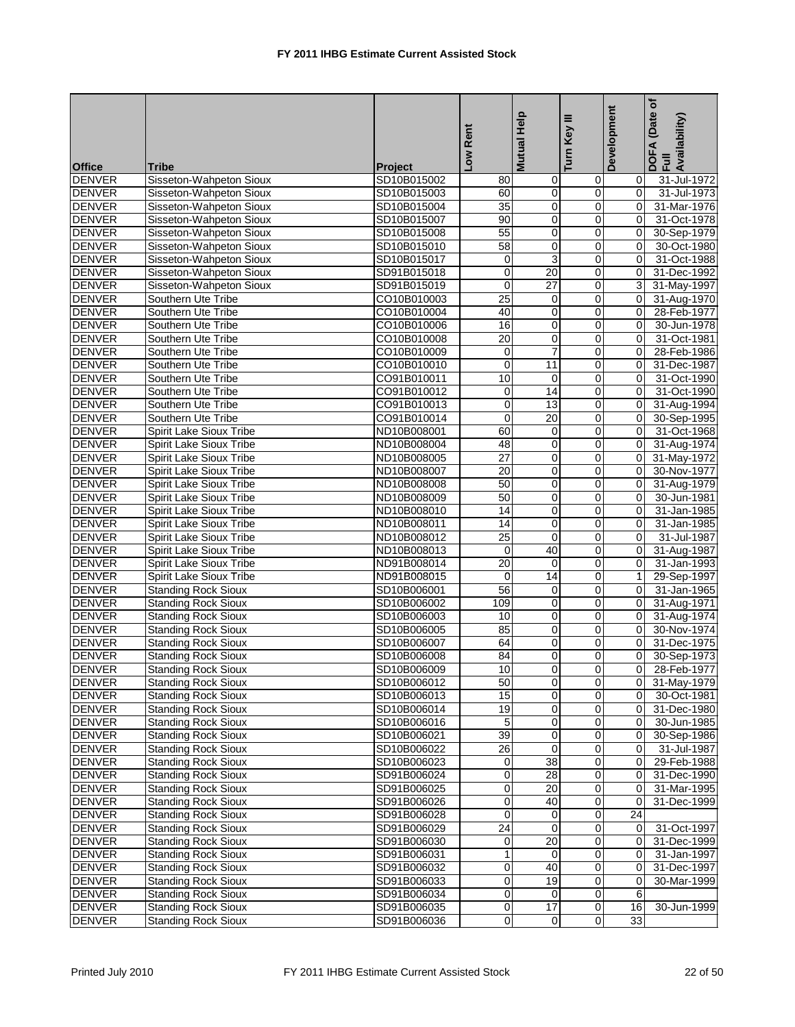|               |                            |                | Low Rent        | <b>Mutual Help</b> | Ξ<br>Turn Key           | Development    | Date of<br>DOFA (Date<br>Full<br>Availability) |
|---------------|----------------------------|----------------|-----------------|--------------------|-------------------------|----------------|------------------------------------------------|
| <b>Office</b> | <b>Tribe</b>               | <b>Project</b> |                 |                    |                         |                |                                                |
| <b>DENVER</b> | Sisseton-Wahpeton Sioux    | SD10B015002    | 80              | 0                  | 0                       | 0              | 31-Jul-1972                                    |
| <b>DENVER</b> | Sisseton-Wahpeton Sioux    | SD10B015003    | 60              | 0                  | 0                       | 0              | 31-Jul-1973                                    |
| <b>DENVER</b> | Sisseton-Wahpeton Sioux    | SD10B015004    | $\overline{35}$ | $\mathbf 0$        | 0                       | 0              | 31-Mar-1976                                    |
| <b>DENVER</b> | Sisseton-Wahpeton Sioux    | SD10B015007    | 90              | 0                  | 0                       | 0              | 31-Oct-1978                                    |
| <b>DENVER</b> | Sisseton-Wahpeton Sioux    | SD10B015008    | 55              | 0                  | 0                       | $\mathbf 0$    | 30-Sep-1979                                    |
| <b>DENVER</b> | Sisseton-Wahpeton Sioux    | SD10B015010    | 58              | $\pmb{0}$          | 0                       | $\mathbf 0$    | 30-Oct-1980                                    |
| <b>DENVER</b> | Sisseton-Wahpeton Sioux    | SD10B015017    | 0               | 3                  | 0                       | $\Omega$       | 31-Oct-1988                                    |
| <b>DENVER</b> | Sisseton-Wahpeton Sioux    | SD91B015018    | $\mathbf 0$     | 20                 | $\mathbf 0$             | $\Omega$       | 31-Dec-1992                                    |
| <b>DENVER</b> | Sisseton-Wahpeton Sioux    | SD91B015019    | $\mathbf 0$     | $\overline{27}$    | 0                       | 3              | 31-May-1997                                    |
| <b>DENVER</b> | Southern Ute Tribe         | CO10B010003    | $\overline{25}$ | 0                  | 0                       | $\mathbf 0$    | 31-Aug-1970                                    |
| <b>DENVER</b> | Southern Ute Tribe         | CO10B010004    | 40              | 0                  | 0                       | 0              | 28-Feb-1977                                    |
| <b>DENVER</b> | Southern Ute Tribe         | CO10B010006    | 16              | 0                  | $\mathbf 0$             | 0              | 30-Jun-1978                                    |
| <b>DENVER</b> | Southern Ute Tribe         | CO10B010008    | 20              | $\mathbf 0$        | 0                       | 0              | 31-Oct-1981                                    |
| <b>DENVER</b> | Southern Ute Tribe         | CO10B010009    | $\mathbf 0$     | $\overline{7}$     | 0                       | $\Omega$       | 28-Feb-1986                                    |
| <b>DENVER</b> | Southern Ute Tribe         | CO10B010010    | $\mathbf 0$     | 11                 | 0                       | $\mathbf 0$    | 31-Dec-1987                                    |
| <b>DENVER</b> | Southern Ute Tribe         | CO91B010011    | 10              | $\mathbf 0$        | 0                       | $\mathbf 0$    | 31-Oct-1990                                    |
| <b>DENVER</b> | Southern Ute Tribe         | CO91B010012    | 0               | 14                 | $\mathbf 0$             | $\Omega$       | 31-Oct-1990                                    |
| <b>DENVER</b> | Southern Ute Tribe         | CO91B010013    | $\mathbf 0$     | 13                 | 0                       | $\mathbf 0$    | 31-Aug-1994                                    |
| <b>DENVER</b> | Southern Ute Tribe         | CO91B010014    | $\pmb{0}$       | $\overline{20}$    | 0                       | $\mathbf 0$    | 30-Sep-1995                                    |
| <b>DENVER</b> | Spirit Lake Sioux Tribe    | ND10B008001    | 60              | 0                  | 0                       | 0              | 31-Oct-1968                                    |
| <b>DENVER</b> | Spirit Lake Sioux Tribe    | ND10B008004    | 48              | 0                  | 0                       | $\Omega$       | 31-Aug-1974                                    |
| <b>DENVER</b> | Spirit Lake Sioux Tribe    | ND10B008005    | 27              | 0                  | 0                       | 0              | 31-May-1972                                    |
| <b>DENVER</b> | Spirit Lake Sioux Tribe    | ND10B008007    | $\overline{20}$ | $\mathbf 0$        | 0                       | $\Omega$       | 30-Nov-1977                                    |
| <b>DENVER</b> | Spirit Lake Sioux Tribe    | ND10B008008    | 50              | 0                  | 0                       | $\Omega$       | 31-Aug-1979                                    |
| <b>DENVER</b> | Spirit Lake Sioux Tribe    | ND10B008009    | 50              | 0                  | 0                       | $\mathbf 0$    | 30-Jun-1981                                    |
| <b>DENVER</b> | Spirit Lake Sioux Tribe    | ND10B008010    | 14              | 0                  | 0                       | 0              | 31-Jan-1985                                    |
| <b>DENVER</b> | Spirit Lake Sioux Tribe    | ND10B008011    | 14              | $\mathbf 0$        | $\mathbf 0$             | $\Omega$       | 31-Jan-1985                                    |
| <b>DENVER</b> | Spirit Lake Sioux Tribe    | ND10B008012    | $\overline{25}$ | $\mathbf 0$        | 0                       | 0              | 31-Jul-1987                                    |
| <b>DENVER</b> | Spirit Lake Sioux Tribe    | ND10B008013    | $\pmb{0}$       | 40                 | 0                       | 0              | 31-Aug-1987                                    |
| <b>DENVER</b> | Spirit Lake Sioux Tribe    | ND91B008014    | 20              | $\mathbf 0$        | 0                       | $\mathbf 0$    | 31-Jan-1993                                    |
| <b>DENVER</b> | Spirit Lake Sioux Tribe    | ND91B008015    | $\mathbf 0$     | 14                 | 0                       | $\mathbf{1}$   | 29-Sep-1997                                    |
| <b>DENVER</b> | <b>Standing Rock Sioux</b> | SD10B006001    | 56              | 0                  | 0                       | 0              | 31-Jan-1965                                    |
| <b>DENVER</b> | <b>Standing Rock Sioux</b> | SD10B006002    | 109             | $\mathbf 0$        | 0                       | $\Omega$       | 31-Aug-1971                                    |
| <b>DENVER</b> | <b>Standing Rock Sioux</b> | SD10B006003    | 10              | 0                  | 0                       | $\Omega$       | 31-Aug-1974                                    |
| <b>DENVER</b> | <b>Standing Rock Sioux</b> | SD10B006005    | 85              | 0                  | 0                       | $\mathbf 0$    | 30-Nov-1974                                    |
| <b>DENVER</b> | <b>Standing Rock Sioux</b> | SD10B006007    | 64              | $\pmb{0}$          | 0                       | 0              | 31-Dec-1975                                    |
| <b>DENVER</b> | <b>Standing Rock Sioux</b> | SD10B006008    | 84              | 0                  | 0                       | $\Omega$       | 30-Sep-1973                                    |
| <b>DENVER</b> | <b>Standing Rock Sioux</b> | SD10B006009    | $\overline{10}$ | $\Omega$           | $\Omega$                | 0              | 28-Feb-1977                                    |
| <b>DENVER</b> | <b>Standing Rock Sioux</b> | SD10B006012    | 50              | $\overline{0}$     | $\overline{0}$          | $\overline{0}$ | 31-May-1979                                    |
| <b>DENVER</b> | <b>Standing Rock Sioux</b> | SD10B006013    | 15              | 0                  | 0                       | 0              | 30-Oct-1981                                    |
| <b>DENVER</b> | <b>Standing Rock Sioux</b> | SD10B006014    | 19              | 0                  | $\pmb{0}$               | 0              | 31-Dec-1980                                    |
| <b>DENVER</b> | <b>Standing Rock Sioux</b> | SD10B006016    | 5               | 0                  | 0                       | 0              | 30-Jun-1985                                    |
| <b>DENVER</b> | <b>Standing Rock Sioux</b> | SD10B006021    | $\overline{39}$ | 0                  | 0                       | 0              | 30-Sep-1986                                    |
| <b>DENVER</b> | <b>Standing Rock Sioux</b> | SD10B006022    | $\overline{26}$ | $\mathbf 0$        | 0                       | 0              | 31-Jul-1987                                    |
| <b>DENVER</b> | <b>Standing Rock Sioux</b> | SD10B006023    | 0               | 38                 | $\pmb{0}$               | 0              | 29-Feb-1988                                    |
| <b>DENVER</b> | <b>Standing Rock Sioux</b> | SD91B006024    | $\overline{0}$  | 28                 | $\overline{0}$          | 0              | 31-Dec-1990                                    |
| <b>DENVER</b> | <b>Standing Rock Sioux</b> | SD91B006025    | $\overline{0}$  | 20                 | $\mathbf 0$             | 0              | 31-Mar-1995                                    |
| <b>DENVER</b> | <b>Standing Rock Sioux</b> | SD91B006026    | 0               | 40                 | 0                       | $\mathbf 0$    | 31-Dec-1999                                    |
| <b>DENVER</b> | <b>Standing Rock Sioux</b> | SD91B006028    | $\pmb{0}$       | 0                  | $\pmb{0}$               | 24             |                                                |
| <b>DENVER</b> | <b>Standing Rock Sioux</b> | SD91B006029    | $\overline{24}$ | 0                  | 0                       | 0              | 31-Oct-1997                                    |
| <b>DENVER</b> | <b>Standing Rock Sioux</b> | SD91B006030    | $\pmb{0}$       | $\overline{20}$    | $\pmb{0}$               | 0              | 31-Dec-1999                                    |
| <b>DENVER</b> | <b>Standing Rock Sioux</b> | SD91B006031    | $\mathbf{1}$    | $\mathbf 0$        | 0                       | 0              | 31-Jan-1997                                    |
| <b>DENVER</b> | <b>Standing Rock Sioux</b> | SD91B006032    | $\pmb{0}$       | 40                 | 0                       | 0              | 31-Dec-1997                                    |
| <b>DENVER</b> | <b>Standing Rock Sioux</b> | SD91B006033    | $\overline{0}$  | 19                 | 0                       | $\mathbf 0$    | 30-Mar-1999                                    |
| <b>DENVER</b> | <b>Standing Rock Sioux</b> | SD91B006034    | $\pmb{0}$       | 0                  | $\mathbf 0$             | 6              |                                                |
| <b>DENVER</b> | <b>Standing Rock Sioux</b> | SD91B006035    | $\overline{0}$  | 17                 | $\overline{\mathbf{0}}$ | 16             | 30-Jun-1999                                    |
| <b>DENVER</b> | <b>Standing Rock Sioux</b> | SD91B006036    | $\overline{0}$  | $\overline{0}$     | $\overline{0}$          | 33             |                                                |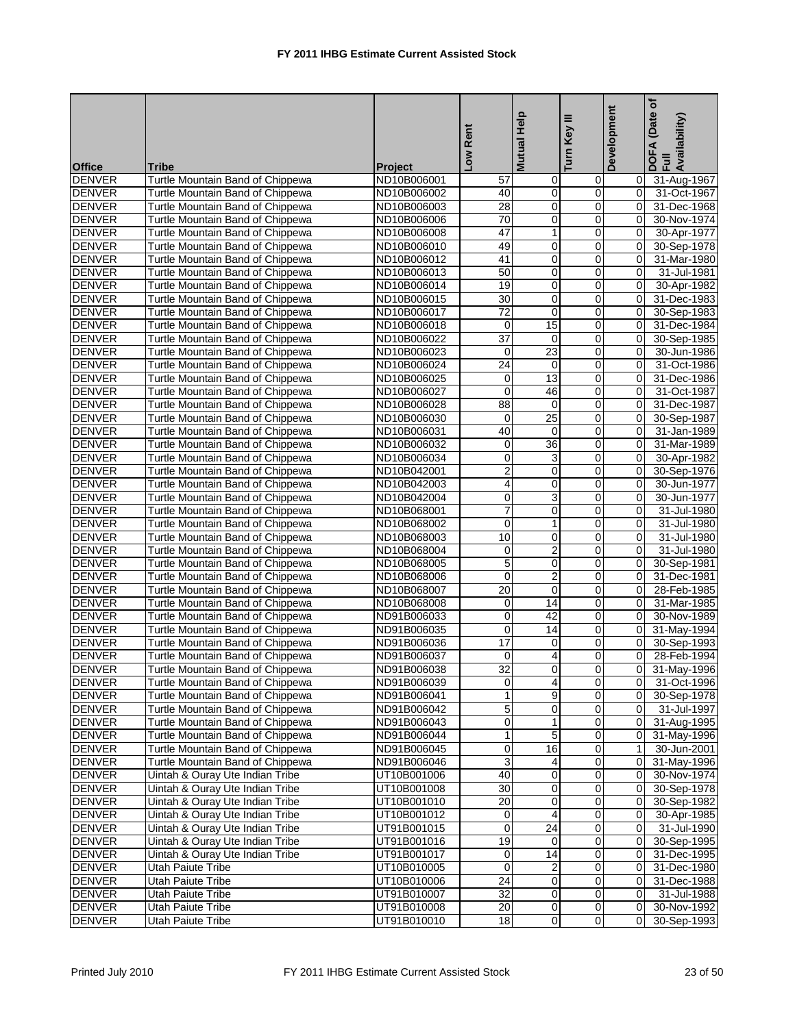|               |                                  |                | Low Rent        | Mutual Help             | Ξ<br>Turn Key  | Development    | (Date of<br>DOFA (Date<br>Full<br>Availability) |
|---------------|----------------------------------|----------------|-----------------|-------------------------|----------------|----------------|-------------------------------------------------|
| <b>Office</b> | <b>Tribe</b>                     | <b>Project</b> |                 |                         |                |                |                                                 |
| <b>DENVER</b> | Turtle Mountain Band of Chippewa | ND10B006001    | 57              | 0                       | 0              | 0              | 31-Aug-1967                                     |
| <b>DENVER</b> | Turtle Mountain Band of Chippewa | ND10B006002    | 40              | 0                       | $\overline{0}$ | 0              | 31-Oct-1967                                     |
| <b>DENVER</b> | Turtle Mountain Band of Chippewa | ND10B006003    | $\overline{28}$ | $\mathbf 0$             | 0              | $\Omega$       | 31-Dec-1968                                     |
| <b>DENVER</b> | Turtle Mountain Band of Chippewa | ND10B006006    | 70              | 0                       | 0              | $\overline{0}$ | 30-Nov-1974                                     |
| <b>DENVER</b> | Turtle Mountain Band of Chippewa | ND10B006008    | 47              | 1                       | 0              | $\mathbf 0$    | 30-Apr-1977                                     |
| <b>DENVER</b> | Turtle Mountain Band of Chippewa | ND10B006010    | 49              | 0                       | 0              | $\mathbf 0$    | 30-Sep-1978                                     |
| <b>DENVER</b> | Turtle Mountain Band of Chippewa | ND10B006012    | 41              | $\mathbf 0$             | 0              | $\Omega$       | 31-Mar-1980                                     |
| <b>DENVER</b> | Turtle Mountain Band of Chippewa | ND10B006013    | $\overline{50}$ | 0                       | 0              | $\Omega$       | 31-Jul-1981                                     |
| <b>DENVER</b> | Turtle Mountain Band of Chippewa | ND10B006014    | 19              | 0                       | $\mathbf 0$    | 0              | 30-Apr-1982                                     |
| <b>DENVER</b> | Turtle Mountain Band of Chippewa | ND10B006015    | 30              | $\mathbf 0$             | 0              | 0              | 31-Dec-1983                                     |
| DENVER        | Turtle Mountain Band of Chippewa | ND10B006017    | $\overline{72}$ | 0                       | $\mathbf 0$    | 0              | 30-Sep-1983                                     |
| <b>DENVER</b> | Turtle Mountain Band of Chippewa | ND10B006018    | $\mathbf 0$     | 15                      | 0              | 0              | 31-Dec-1984                                     |
| <b>DENVER</b> | Turtle Mountain Band of Chippewa | ND10B006022    | $\overline{37}$ | $\mathbf 0$             | 0              | 0              | 30-Sep-1985                                     |
| <b>DENVER</b> | Turtle Mountain Band of Chippewa | ND10B006023    | 0               | 23                      | 0              | $\Omega$       | 30-Jun-1986                                     |
| <b>DENVER</b> | Turtle Mountain Band of Chippewa | ND10B006024    | 24              | 0                       | 0              | $\mathbf 0$    | 31-Oct-1986                                     |
| <b>DENVER</b> | Turtle Mountain Band of Chippewa | ND10B006025    | $\mathbf 0$     | 13                      | 0              | $\mathbf 0$    | 31-Dec-1986                                     |
| <b>DENVER</b> | Turtle Mountain Band of Chippewa | ND10B006027    | 0               | 46                      | 0              | $\Omega$       | 31-Oct-1987                                     |
| <b>DENVER</b> | Turtle Mountain Band of Chippewa | ND10B006028    | 88              | $\mathbf 0$             | 0              | 0              | 31-Dec-1987                                     |
| <b>DENVER</b> | Turtle Mountain Band of Chippewa | ND10B006030    | 0               | $\overline{25}$         | 0              | 0              | 30-Sep-1987                                     |
| <b>DENVER</b> | Turtle Mountain Band of Chippewa | ND10B006031    | 40              | $\mathbf 0$             | 0              | 0              | 31-Jan-1989                                     |
| <b>DENVER</b> | Turtle Mountain Band of Chippewa | ND10B006032    | 0               | $\overline{36}$         | $\overline{0}$ | $\Omega$       | 31-Mar-1989                                     |
| <b>DENVER</b> | Turtle Mountain Band of Chippewa | ND10B006034    | 0               | 3                       | 0              | 0              | 30-Apr-1982                                     |
| <b>DENVER</b> | Turtle Mountain Band of Chippewa | ND10B042001    | $\overline{2}$  | $\mathbf 0$             | 0              | $\Omega$       | 30-Sep-1976                                     |
| <b>DENVER</b> | Turtle Mountain Band of Chippewa | ND10B042003    | 4               | 0                       | 0              | $\overline{0}$ | 30-Jun-1977                                     |
| <b>DENVER</b> | Turtle Mountain Band of Chippewa | ND10B042004    | 0               | 3                       | 0              | 0              | 30-Jun-1977                                     |
| <b>DENVER</b> | Turtle Mountain Band of Chippewa | ND10B068001    | $\overline{7}$  | $\pmb{0}$               | 0              | 0              | 31-Jul-1980                                     |
| <b>DENVER</b> | Turtle Mountain Band of Chippewa | ND10B068002    | 0               | $\mathbf{1}$            | 0              | $\Omega$       | 31-Jul-1980                                     |
| <b>DENVER</b> | Turtle Mountain Band of Chippewa | ND10B068003    | 10              | 0                       | 0              | 0              | 31-Jul-1980                                     |
| <b>DENVER</b> | Turtle Mountain Band of Chippewa | ND10B068004    | 0               | $\overline{2}$          | $\mathbf 0$    | 0              | 31-Jul-1980                                     |
| <b>DENVER</b> | Turtle Mountain Band of Chippewa | ND10B068005    | 5               | 0                       | 0              | 0              | 30-Sep-1981                                     |
| DENVER        | Turtle Mountain Band of Chippewa | ND10B068006    | 0               | $\overline{2}$          | 0              | 0              | 31-Dec-1981                                     |
| <b>DENVER</b> | Turtle Mountain Band of Chippewa | ND10B068007    | 20              | 0                       | 0              | 0              | 28-Feb-1985                                     |
| DENVER        | Turtle Mountain Band of Chippewa | ND10B068008    | $\mathbf 0$     | $\overline{14}$         | 0              | $\Omega$       | 31-Mar-1985                                     |
| <b>DENVER</b> | Turtle Mountain Band of Chippewa | ND91B006033    | 0               | 42                      | 0              | $\Omega$       | 30-Nov-1989                                     |
| <b>DENVER</b> | Turtle Mountain Band of Chippewa | ND91B006035    | 0               | 14                      | 0              | 0              | 31-May-1994                                     |
| <b>DENVER</b> | Turtle Mountain Band of Chippewa | ND91B006036    | 17              | 0                       | 0              | $\mathbf 0$    | 30-Sep-1993                                     |
| <b>DENVER</b> | Turtle Mountain Band of Chippewa | ND91B006037    | 0               | 4                       | 0              | $\Omega$       | 28-Feb-1994                                     |
| <b>DENVER</b> | Turtle Mountain Band of Chippewa | ND91B006038    | 32              | Ō                       | $\Omega$       | 0              | 31-May-1996                                     |
| <b>DENVER</b> | Turtle Mountain Band of Chippewa | ND91B006039    | 0               | $\overline{\mathbf{r}}$ | $\overline{0}$ | $\overline{0}$ | 31-Oct-1996                                     |
| <b>DENVER</b> | Turtle Mountain Band of Chippewa | ND91B006041    | $\mathbf{1}$    | 9                       | $\mathbf 0$    | 0              | 30-Sep-1978                                     |
| <b>DENVER</b> | Turtle Mountain Band of Chippewa | ND91B006042    | $\overline{5}$  | $\pmb{0}$               | $\overline{0}$ | 0              | 31-Jul-1997                                     |
| <b>DENVER</b> | Turtle Mountain Band of Chippewa | ND91B006043    | $\pmb{0}$       | 1                       | $\overline{0}$ | 0              | 31-Aug-1995                                     |
| <b>DENVER</b> | Turtle Mountain Band of Chippewa | ND91B006044    | $\mathbf{1}$    | 5                       | $\mathbf 0$    | 0              | 31-May-1996                                     |
| <b>DENVER</b> | Turtle Mountain Band of Chippewa | ND91B006045    | 0               | 16                      | $\mathbf 0$    | $\mathbf{1}$   | 30-Jun-2001                                     |
| <b>DENVER</b> | Turtle Mountain Band of Chippewa | ND91B006046    | 3               | 4                       | 0              | 0              | 31-May-1996                                     |
| <b>DENVER</b> | Uintah & Ouray Ute Indian Tribe  | UT10B001006    | 40              | 0                       | $\mathbf 0$    | 0              | 30-Nov-1974                                     |
| DENVER        | Uintah & Ouray Ute Indian Tribe  | UT10B001008    | $\overline{30}$ | 0                       | $\mathbf 0$    | $\mathbf 0$    | 30-Sep-1978                                     |
| <b>DENVER</b> | Uintah & Ouray Ute Indian Tribe  | UT10B001010    | 20              | 0                       | $\overline{0}$ | 0              | 30-Sep-1982                                     |
| <b>DENVER</b> | Uintah & Ouray Ute Indian Tribe  | UT10B001012    | $\pmb{0}$       | 4                       | $\pmb{0}$      | 0              | 30-Apr-1985                                     |
| DENVER        | Uintah & Ouray Ute Indian Tribe  | UT91B001015    | 0               | $\overline{24}$         | $\overline{0}$ | 0              | 31-Jul-1990                                     |
| <b>DENVER</b> | Uintah & Ouray Ute Indian Tribe  | UT91B001016    | 19              | $\mathbf 0$             | $\overline{0}$ | 0              | 30-Sep-1995                                     |
| <b>DENVER</b> | Uintah & Ouray Ute Indian Tribe  | UT91B001017    | $\pmb{0}$       | $\overline{14}$         | 0              | 0              | 31-Dec-1995                                     |
| <b>DENVER</b> | Utah Paiute Tribe                | UT10B010005    | 0               | $\overline{\mathbf{c}}$ | $\mathbf 0$    | 0              | 31-Dec-1980                                     |
| <b>DENVER</b> | Utah Paiute Tribe                | UT10B010006    | $\overline{24}$ | 0                       | $\mathbf 0$    | 0              | 31-Dec-1988                                     |
| DENVER        | Utah Paiute Tribe                | UT91B010007    | 32              | 0                       | 0              | 0              | 31-Jul-1988                                     |
| <b>DENVER</b> | Utah Paiute Tribe                | UT91B010008    | $\overline{20}$ | $\overline{\mathbf{0}}$ | $\overline{0}$ | 0              | 30-Nov-1992                                     |
| DENVER        | Utah Paiute Tribe                | UT91B010010    | $\overline{18}$ | $\overline{\mathbf{0}}$ | $\overline{0}$ | 0              | 30-Sep-1993                                     |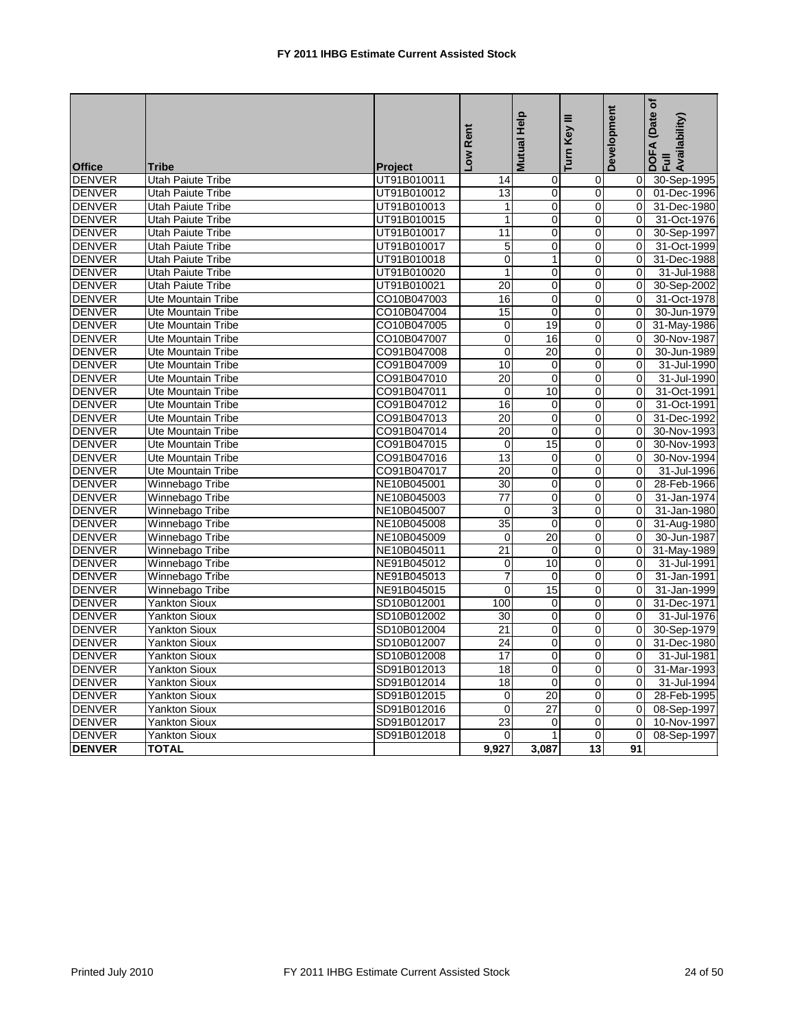| <b>Office</b> | Tribe                     | Project     | Low Rent        | Mutual Help     | Ξ<br>Turn Key    | Development    | (Date of<br>Availability)<br>DOFA |
|---------------|---------------------------|-------------|-----------------|-----------------|------------------|----------------|-----------------------------------|
| <b>DENVER</b> | Utah Paiute Tribe         | UT91B010011 | 14              | $\mathbf 0$     | 0                | 0              | 30-Sep-1995                       |
| <b>DENVER</b> | <b>Utah Paiute Tribe</b>  | UT91B010012 | 13              | $\mathbf 0$     | $\overline{0}$   | 0              | 01-Dec-1996                       |
| <b>DENVER</b> | <b>Utah Paiute Tribe</b>  | UT91B010013 | $\mathbf{1}$    | $\mathbf 0$     | $\mathbf 0$      | 0              | 31-Dec-1980                       |
| <b>DENVER</b> | <b>Utah Paiute Tribe</b>  | UT91B010015 | $\mathbf{1}$    | $\mathbf 0$     | $\mathsf 0$      | $\overline{0}$ | 31-Oct-1976                       |
| <b>DENVER</b> | <b>Utah Paiute Tribe</b>  | UT91B010017 | 11              | $\mathbf 0$     | $\mathsf 0$      | 0              | 30-Sep-1997                       |
| <b>DENVER</b> | <b>Utah Paiute Tribe</b>  | UT91B010017 | $\,$ 5 $\,$     | $\mathbf 0$     | 0                | 0              | 31-Oct-1999                       |
| <b>DENVER</b> | <b>Utah Paiute Tribe</b>  | UT91B010018 | $\Omega$        | $\mathbf{1}$    | $\Omega$         | $\Omega$       | 31-Dec-1988                       |
| <b>DENVER</b> | <b>Utah Paiute Tribe</b>  | UT91B010020 | $\mathbf{1}$    | $\mathbf 0$     | 0                | 0              | 31-Jul-1988                       |
| <b>DENVER</b> | <b>Utah Paiute Tribe</b>  | UT91B010021 | 20              | $\Omega$        | $\Omega$         | $\Omega$       | 30-Sep-2002                       |
| <b>DENVER</b> | Ute Mountain Tribe        | CO10B047003 | 16              | $\mathbf 0$     | 0                | $\mathbf 0$    | 31-Oct-1978                       |
| <b>DENVER</b> | <b>Ute Mountain Tribe</b> | CO10B047004 | 15              | $\mathbf 0$     | $\mathbf 0$      | $\Omega$       | 30-Jun-1979                       |
| <b>DENVER</b> | <b>Ute Mountain Tribe</b> | CO10B047005 | $\mathbf 0$     | 19              | $\mathbf 0$      | $\Omega$       | 31-May-1986                       |
| <b>DENVER</b> | <b>Ute Mountain Tribe</b> | CO10B047007 | $\overline{0}$  | 16              | $\overline{0}$   | $\mathbf 0$    | 30-Nov-1987                       |
| <b>DENVER</b> | <b>Ute Mountain Tribe</b> | CO91B047008 | $\mathbf 0$     | 20              | $\mathbf 0$      | $\Omega$       | 30-Jun-1989                       |
| <b>DENVER</b> | Ute Mountain Tribe        | CO91B047009 | 10              | $\mathbf 0$     | $\boldsymbol{0}$ | $\Omega$       | 31-Jul-1990                       |
| <b>DENVER</b> | Ute Mountain Tribe        | CO91B047010 | 20              | $\mathbf 0$     | $\mathbf 0$      | 0              | 31-Jul-1990                       |
| <b>DENVER</b> | Ute Mountain Tribe        | CO91B047011 | $\mathbf 0$     | 10              | 0                | $\Omega$       | 31-Oct-1991                       |
| <b>DENVER</b> | <b>Ute Mountain Tribe</b> | CO91B047012 | 16              | $\mathbf 0$     | $\overline{0}$   | 0              | 31-Oct-1991                       |
| <b>DENVER</b> | Ute Mountain Tribe        | CO91B047013 | 20              | $\mathbf 0$     | 0                | 0              | 31-Dec-1992                       |
| <b>DENVER</b> | Ute Mountain Tribe        | CO91B047014 | 20              | $\mathbf 0$     | 0                | 0              | 30-Nov-1993                       |
| <b>DENVER</b> | Ute Mountain Tribe        | CO91B047015 | $\mathbf 0$     | 15              | $\overline{0}$   | $\Omega$       | 30-Nov-1993                       |
| <b>DENVER</b> | <b>Ute Mountain Tribe</b> | CO91B047016 | 13              | $\mathbf 0$     | 0                | 0              | 30-Nov-1994                       |
| <b>DENVER</b> | Ute Mountain Tribe        | CO91B047017 | $\overline{20}$ | $\overline{0}$  | $\overline{0}$   | $\overline{0}$ | 31-Jul-1996                       |
| <b>DENVER</b> | Winnebago Tribe           | NE10B045001 | 30              | $\mathbf 0$     | 0                | 0              | 28-Feb-1966                       |
| <b>DENVER</b> | Winnebago Tribe           | NE10B045003 | $\overline{77}$ | $\overline{0}$  | $\overline{0}$   | $\Omega$       | 31-Jan-1974                       |
| <b>DENVER</b> | Winnebago Tribe           | NE10B045007 | $\pmb{0}$       | 3               | $\overline{0}$   | 0              | 31-Jan-1980                       |
| <b>DENVER</b> | Winnebago Tribe           | NE10B045008 | $\overline{35}$ | $\mathbf 0$     | 0                | $\Omega$       | 31-Aug-1980                       |
| <b>DENVER</b> | Winnebago Tribe           | NE10B045009 | $\mathbf 0$     | $\overline{20}$ | 0                | $\overline{0}$ | 30-Jun-1987                       |
| <b>DENVER</b> | Winnebago Tribe           | NE10B045011 | $\overline{21}$ | $\mathbf 0$     | 0                | $\Omega$       | 31-May-1989                       |
| <b>DENVER</b> | Winnebago Tribe           | NE91B045012 | 0               | 10              | 0                | $\overline{0}$ | 31-Jul-1991                       |
| <b>DENVER</b> | Winnebago Tribe           | NE91B045013 | $\overline{7}$  | $\Omega$        | 0                | $\Omega$       | 31-Jan-1991                       |
| <b>DENVER</b> | Winnebago Tribe           | NE91B045015 | $\mathbf 0$     | 15              | 0                | $\mathbf 0$    | 31-Jan-1999                       |
| <b>DENVER</b> | Yankton Sioux             | SD10B012001 | 100             | $\mathbf 0$     | 0                | 0              | 31-Dec-1971                       |
| <b>DENVER</b> | <b>Yankton Sioux</b>      | SD10B012002 | 30              | $\mathbf 0$     | $\mathsf 0$      | $\mathbf 0$    | 31-Jul-1976                       |
| <b>DENVER</b> | <b>Yankton Sioux</b>      | SD10B012004 | $\overline{21}$ | $\overline{0}$  | $\overline{0}$   | $\mathbf 0$    | 30-Sep-1979                       |
| <b>DENVER</b> | Yankton Sioux             | SD10B012007 | 24              | $\overline{0}$  | 0                | 0              | 31-Dec-1980                       |
| <b>DENVER</b> | Yankton Sioux             | SD10B012008 | 17              | $\mathbf 0$     | $\mathsf 0$      | 0              | 31-Jul-1981                       |
| <b>DENVER</b> | Yankton Sioux             | SD91B012013 | 18              | $\mathbf 0$     | 0                | 0              | 31-Mar-1993                       |
| <b>DENVER</b> | <b>Yankton Sioux</b>      | SD91B012014 | 18              | $\mathbf 0$     | $\mathbf 0$      | 0              | 31-Jul-1994                       |
| <b>DENVER</b> | Yankton Sioux             | SD91B012015 | $\mathbf 0$     | 20              | 0                | $\mathbf 0$    | 28-Feb-1995                       |
| <b>DENVER</b> | <b>Yankton Sioux</b>      | SD91B012016 | $\mathbf 0$     | 27              | 0                | $\overline{0}$ | 08-Sep-1997                       |
| <b>DENVER</b> | <b>Yankton Sioux</b>      | SD91B012017 | 23              | $\mathbf 0$     | $\mathsf 0$      | 0              | 10-Nov-1997                       |
| <b>DENVER</b> | <b>Yankton Sioux</b>      | SD91B012018 | $\mathbf 0$     | $\mathbf{1}$    | $\mathbf 0$      | $\Omega$       | 08-Sep-1997                       |
| <b>DENVER</b> | <b>TOTAL</b>              |             | 9,927           | 3,087           | 13               | 91             |                                   |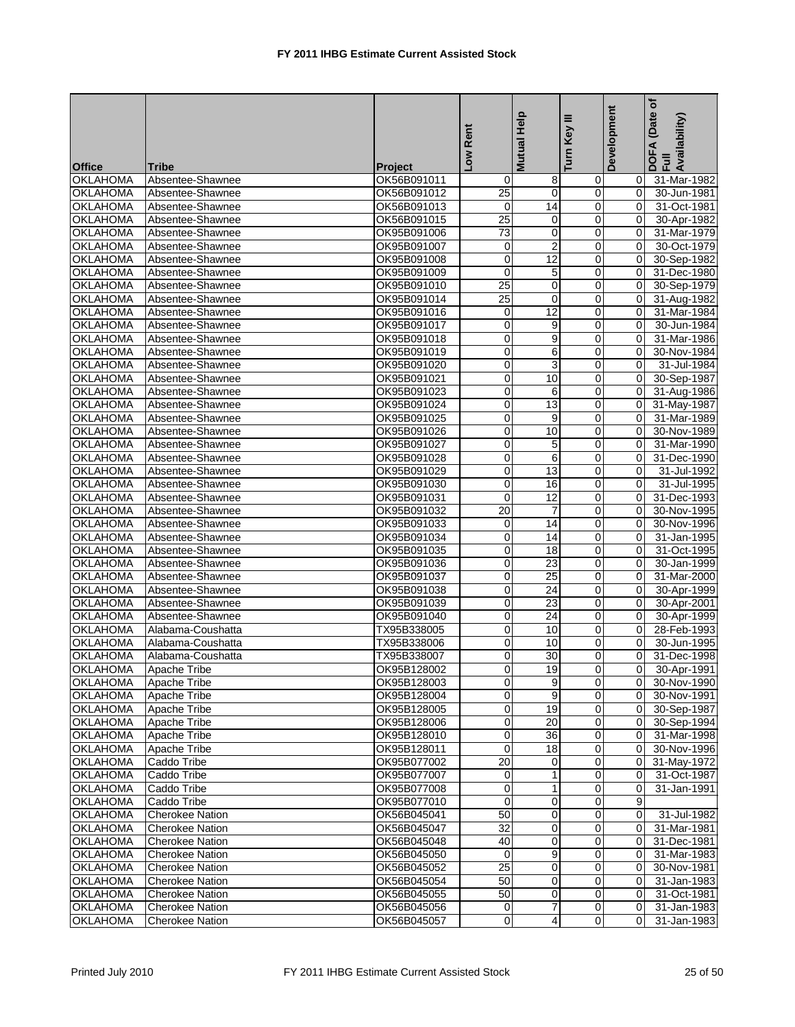| <b>Office</b>   | Tribe                  | Project     | Low Rent        | Mutual Help     | ≡<br>Turn Key    | Development    | ð<br>(Date<br>DOFA (Date<br>Full<br>Availability) |
|-----------------|------------------------|-------------|-----------------|-----------------|------------------|----------------|---------------------------------------------------|
| <b>OKLAHOMA</b> | Absentee-Shawnee       | OK56B091011 | 0               | 8               | $\mathbf 0$      | 0              | 31-Mar-1982                                       |
| <b>OKLAHOMA</b> | Absentee-Shawnee       | OK56B091012 | 25              | $\mathbf 0$     | $\overline{0}$   | 0              | 30-Jun-1981                                       |
| <b>OKLAHOMA</b> | Absentee-Shawnee       | OK56B091013 | 0               | $\overline{14}$ | $\mathbf 0$      | $\overline{0}$ | 31-Oct-1981                                       |
| <b>OKLAHOMA</b> | Absentee-Shawnee       | OK56B091015 | $\overline{25}$ | $\mathbf 0$     | $\mathbf 0$      | 0              | 30-Apr-1982                                       |
| <b>OKLAHOMA</b> | Absentee-Shawnee       | OK95B091006 | 73              | $\pmb{0}$       | $\pmb{0}$        | 0              | 31-Mar-1979                                       |
| <b>OKLAHOMA</b> | Absentee-Shawnee       | OK95B091007 | 0               | $\overline{2}$  | $\mathbf 0$      | $\mathbf 0$    | 30-Oct-1979                                       |
| <b>OKLAHOMA</b> | Absentee-Shawnee       | OK95B091008 | 0               | 12              | $\mathbf 0$      | 0              | 30-Sep-1982                                       |
| <b>OKLAHOMA</b> | Absentee-Shawnee       | OK95B091009 | 0               | 5               | $\mathbf 0$      | 0              | 31-Dec-1980                                       |
| <b>OKLAHOMA</b> | Absentee-Shawnee       | OK95B091010 | 25              | $\mathbf 0$     | $\mathbf 0$      | 0              | 30-Sep-1979                                       |
| <b>OKLAHOMA</b> | Absentee-Shawnee       | OK95B091014 | 25              | $\mathbf 0$     | $\pmb{0}$        | $\overline{0}$ | 31-Aug-1982                                       |
| <b>OKLAHOMA</b> | Absentee-Shawnee       | OK95B091016 | 0               | 12              | 0                | 0              | 31-Mar-1984                                       |
| <b>OKLAHOMA</b> | Absentee-Shawnee       | OK95B091017 | 0               | 9               | $\pmb{0}$        | 0              | 30-Jun-1984                                       |
| <b>OKLAHOMA</b> | Absentee-Shawnee       | OK95B091018 | $\overline{0}$  | $\overline{9}$  | $\mathbf 0$      | 0              | 31-Mar-1986                                       |
| <b>OKLAHOMA</b> | Absentee-Shawnee       | OK95B091019 | 0               | 6               | $\mathbf 0$      | 0              | 30-Nov-1984                                       |
| <b>OKLAHOMA</b> | Absentee-Shawnee       | OK95B091020 | $\overline{0}$  | $\overline{3}$  | $\pmb{0}$        | 0              | 31-Jul-1984                                       |
| <b>OKLAHOMA</b> | Absentee-Shawnee       | OK95B091021 | $\overline{0}$  | 10              | $\mathbf 0$      | 0              | 30-Sep-1987                                       |
| <b>OKLAHOMA</b> | Absentee-Shawnee       | OK95B091023 | $\overline{0}$  | 6               | $\mathbf 0$      | 0              | 31-Aug-1986                                       |
| <b>OKLAHOMA</b> | Absentee-Shawnee       | OK95B091024 | 0               | $\overline{13}$ | $\mathbf 0$      | 0              | 31-May-1987                                       |
| <b>OKLAHOMA</b> | Absentee-Shawnee       | OK95B091025 | $\overline{0}$  | 9               | $\mathbf 0$      | 0              | 31-Mar-1989                                       |
| <b>OKLAHOMA</b> | Absentee-Shawnee       | OK95B091026 | 0               | 10              | $\pmb{0}$        | 0              | 30-Nov-1989                                       |
| <b>OKLAHOMA</b> | Absentee-Shawnee       | OK95B091027 | 0               | 5               | 0                | 0              | 31-Mar-1990                                       |
| <b>OKLAHOMA</b> | Absentee-Shawnee       | OK95B091028 | $\overline{0}$  | 6               | $\pmb{0}$        | 0              | 31-Dec-1990                                       |
| <b>OKLAHOMA</b> | Absentee-Shawnee       | OK95B091029 | $\overline{0}$  | $\overline{13}$ | $\mathbf 0$      | 0              | 31-Jul-1992                                       |
| <b>OKLAHOMA</b> | Absentee-Shawnee       | OK95B091030 | $\overline{0}$  | 16              | $\mathbf 0$      | 0              | 31-Jul-1995                                       |
| <b>OKLAHOMA</b> | Absentee-Shawnee       | OK95B091031 | 0               | 12              | $\pmb{0}$        | 0              | 31-Dec-1993                                       |
| <b>OKLAHOMA</b> | Absentee-Shawnee       | OK95B091032 | $\overline{20}$ | $\overline{7}$  | $\mathbf 0$      | 0              | 30-Nov-1995                                       |
| <b>OKLAHOMA</b> | Absentee-Shawnee       | OK95B091033 | 0               | 14              | $\mathbf 0$      | 0              | 30-Nov-1996                                       |
| <b>OKLAHOMA</b> | Absentee-Shawnee       | OK95B091034 | 0               | $\overline{14}$ | $\mathbf 0$      | 0              | 31-Jan-1995                                       |
| <b>OKLAHOMA</b> | Absentee-Shawnee       | OK95B091035 | $\overline{0}$  | 18              | $\boldsymbol{0}$ | 0              | 31-Oct-1995                                       |
| <b>OKLAHOMA</b> | Absentee-Shawnee       | OK95B091036 | $\overline{0}$  | 23              | $\mathbf 0$      | $\overline{0}$ | 30-Jan-1999                                       |
| <b>OKLAHOMA</b> | Absentee-Shawnee       | OK95B091037 | 0               | 25              | $\mathbf 0$      | 0              | 31-Mar-2000                                       |
| <b>OKLAHOMA</b> | Absentee-Shawnee       | OK95B091038 | $\overline{0}$  | $\overline{24}$ | $\pmb{0}$        | 0              | 30-Apr-1999                                       |
| <b>OKLAHOMA</b> | Absentee-Shawnee       | OK95B091039 | $\overline{0}$  | 23              | $\mathbf 0$      | $\overline{0}$ | 30-Apr-2001                                       |
| <b>OKLAHOMA</b> | Absentee-Shawnee       | OK95B091040 | 0               | 24              | $\mathbf 0$      | 0              | 30-Apr-1999                                       |
| OKLAHOMA        | Alabama-Coushatta      | TX95B338005 | 0               | 10              | $\pmb{0}$        | 0              | 28-Feb-1993                                       |
| <b>OKLAHOMA</b> | Alabama-Coushatta      | TX95B338006 | 0               | 10              | $\mathbf 0$      | 0              | 30-Jun-1995                                       |
| <b>OKLAHOMA</b> | Alabama-Coushatta      | TX95B338007 | 0               | 30              | $\mathbf 0$      | 0              | 31-Dec-1998                                       |
| <b>OKLAHOMA</b> | Apache Tribe           | OK95B128002 | Ō               | 19              | $\overline{0}$   | 0              | 30-Apr-1991                                       |
| <b>OKLAHOMA</b> | Apache Tribe           | OK95B128003 | 0               | 9               | $\overline{0}$   | 01             | 30-Nov-1990                                       |
| <b>OKLAHOMA</b> | Apache Tribe           | OK95B128004 | 0               | 9               | $\mathbf 0$      | $\overline{0}$ | 30-Nov-1991                                       |
| <b>OKLAHOMA</b> | Apache Tribe           | OK95B128005 | 0               | 19              | $\mathbf 0$      | $\overline{0}$ | 30-Sep-1987                                       |
| <b>OKLAHOMA</b> | Apache Tribe           | OK95B128006 | $\mathbf 0$     | 20              | $\mathbf 0$      | $\overline{0}$ | 30-Sep-1994                                       |
| <b>OKLAHOMA</b> | Apache Tribe           | OK95B128010 | 0               | 36              | $\mathbf 0$      | $\overline{0}$ | 31-Mar-1998                                       |
| <b>OKLAHOMA</b> | Apache Tribe           | OK95B128011 | 0               | 18              | $\mathbf 0$      | 0              | 30-Nov-1996                                       |
| <b>OKLAHOMA</b> | Caddo Tribe            | OK95B077002 | $\overline{20}$ | 0               | $\overline{0}$   | $\overline{0}$ | 31-May-1972                                       |
| <b>OKLAHOMA</b> | Caddo Tribe            | OK95B077007 | 0               | 1               | $\mathbf 0$      | $\mathbf 0$    | 31-Oct-1987                                       |
| <b>OKLAHOMA</b> | Caddo Tribe            | OK95B077008 | 0               | 1               | $\mathbf 0$      | $\Omega$       | 31-Jan-1991                                       |
| <b>OKLAHOMA</b> | Caddo Tribe            | OK95B077010 | 0               | $\overline{0}$  | $\mathbf 0$      | 9              |                                                   |
| <b>OKLAHOMA</b> | Cherokee Nation        | OK56B045041 | 50              | $\mathbf 0$     | $\mathbf 0$      | $\overline{0}$ | 31-Jul-1982                                       |
| <b>OKLAHOMA</b> | <b>Cherokee Nation</b> | OK56B045047 | 32              | $\mathbf 0$     | $\mathbf 0$      | $\overline{0}$ | 31-Mar-1981                                       |
| <b>OKLAHOMA</b> | <b>Cherokee Nation</b> | OK56B045048 | 40              | 0               | $\mathbf 0$      | 0              | 31-Dec-1981                                       |
| <b>OKLAHOMA</b> | Cherokee Nation        | OK56B045050 | 0               | 9               | $\mathbf 0$      | $\overline{0}$ | 31-Mar-1983                                       |
| <b>OKLAHOMA</b> | <b>Cherokee Nation</b> | OK56B045052 | 25              | 0               | $\mathbf 0$      | $\overline{0}$ | 30-Nov-1981                                       |
| <b>OKLAHOMA</b> | <b>Cherokee Nation</b> | OK56B045054 | 50              | 0               | $\mathbf 0$      | 0              | 31-Jan-1983                                       |
| <b>OKLAHOMA</b> | <b>Cherokee Nation</b> | OK56B045055 | 50              | $\mathbf 0$     | $\overline{0}$   | $\overline{0}$ | 31-Oct-1981                                       |
| <b>OKLAHOMA</b> | <b>Cherokee Nation</b> | OK56B045056 | 0               | $\overline{7}$  | $\mathbf 0$      | 0              | 31-Jan-1983                                       |
| <b>OKLAHOMA</b> | <b>Cherokee Nation</b> | OK56B045057 | $\overline{0}$  | 4               | $\overline{0}$   | $\overline{0}$ | 31-Jan-1983                                       |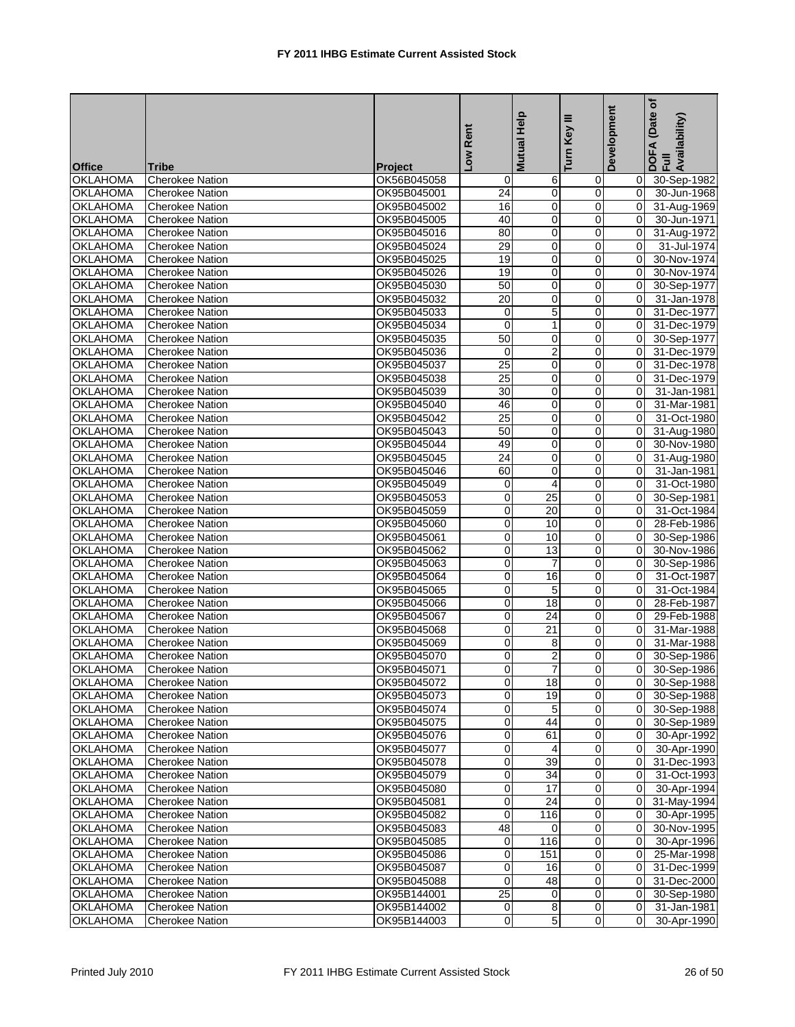| <b>Office</b>   | Tribe                  | Project     | Low Rent        | <b>Mutual Help</b>      | Ξ<br>Turn Key  | Development    | ð<br>(Date<br>DOFA (Date<br>Full<br>Availability) |
|-----------------|------------------------|-------------|-----------------|-------------------------|----------------|----------------|---------------------------------------------------|
| <b>OKLAHOMA</b> | <b>Cherokee Nation</b> | OK56B045058 | 0               | 6                       | $\mathbf 0$    | 0              | 30-Sep-1982                                       |
| <b>OKLAHOMA</b> | <b>Cherokee Nation</b> | OK95B045001 | 24              | $\mathbf 0$             | $\overline{0}$ | $\mathbf 0$    | 30-Jun-1968                                       |
| <b>OKLAHOMA</b> | <b>Cherokee Nation</b> | OK95B045002 | $\overline{16}$ | 0                       | $\mathbf 0$    | 0              | 31-Aug-1969                                       |
| <b>OKLAHOMA</b> | <b>Cherokee Nation</b> | OK95B045005 | 40              | 0                       | $\mathbf 0$    | 0              | 30-Jun-1971                                       |
| <b>OKLAHOMA</b> | <b>Cherokee Nation</b> | OK95B045016 | 80              | $\pmb{0}$               | $\pmb{0}$      | 0              | 31-Aug-1972                                       |
| <b>OKLAHOMA</b> | <b>Cherokee Nation</b> | OK95B045024 | 29              | 0                       | $\mathbf 0$    | $\mathbf 0$    | 31-Jul-1974                                       |
| <b>OKLAHOMA</b> | Cherokee Nation        | OK95B045025 | 19              | 0                       | $\mathbf 0$    | 0              | 30-Nov-1974                                       |
| <b>OKLAHOMA</b> | <b>Cherokee Nation</b> | OK95B045026 | 19              | 0                       | $\mathbf 0$    | 0              | 30-Nov-1974                                       |
| <b>OKLAHOMA</b> | <b>Cherokee Nation</b> | OK95B045030 | 50              | 0                       | $\mathbf 0$    | 0              | 30-Sep-1977                                       |
| <b>OKLAHOMA</b> | <b>Cherokee Nation</b> | OK95B045032 | 20              | $\mathbf 0$             | $\mathbf 0$    | $\overline{0}$ | 31-Jan-1978                                       |
| <b>OKLAHOMA</b> | <b>Cherokee Nation</b> | OK95B045033 | 0               | 5                       | 0              | 0              | 31-Dec-1977                                       |
| <b>OKLAHOMA</b> | Cherokee Nation        | OK95B045034 | 0               | 1                       | $\pmb{0}$      | 0              | 31-Dec-1979                                       |
| <b>OKLAHOMA</b> | <b>Cherokee Nation</b> | OK95B045035 | 50              | 0                       | $\mathbf 0$    | 0              | 30-Sep-1977                                       |
| <b>OKLAHOMA</b> | <b>Cherokee Nation</b> | OK95B045036 | 0               | $\overline{\mathbf{c}}$ | $\mathbf 0$    | 0              | 31-Dec-1979                                       |
| <b>OKLAHOMA</b> | <b>Cherokee Nation</b> | OK95B045037 | 25              | 0                       | $\pmb{0}$      | 0              | 31-Dec-1978                                       |
| <b>OKLAHOMA</b> | <b>Cherokee Nation</b> | OK95B045038 | $\overline{25}$ | $\overline{0}$          | $\mathbf 0$    | $\mathbf 0$    | 31-Dec-1979                                       |
| <b>OKLAHOMA</b> | <b>Cherokee Nation</b> | OK95B045039 | 30              | 0                       | $\mathbf 0$    | 0              | 31-Jan-1981                                       |
| <b>OKLAHOMA</b> | <b>Cherokee Nation</b> | OK95B045040 | 46              | 0                       | $\mathbf 0$    | 0              | 31-Mar-1981                                       |
| <b>OKLAHOMA</b> | <b>Cherokee Nation</b> | OK95B045042 | $\overline{25}$ | 0                       | $\mathbf 0$    | 0              | 31-Oct-1980                                       |
| <b>OKLAHOMA</b> | <b>Cherokee Nation</b> | OK95B045043 | 50              | $\mathbf 0$             | $\mathbf 0$    | $\overline{0}$ | 31-Aug-1980                                       |
| <b>OKLAHOMA</b> | <b>Cherokee Nation</b> | OK95B045044 | 49              | 0                       | 0              | 0              | 30-Nov-1980                                       |
| <b>OKLAHOMA</b> | Cherokee Nation        | OK95B045045 | $\overline{24}$ | $\overline{0}$          | $\pmb{0}$      | 0              | 31-Aug-1980                                       |
| <b>OKLAHOMA</b> | <b>Cherokee Nation</b> | OK95B045046 | 60              | $\overline{0}$          | $\mathbf 0$    | 0              | 31-Jan-1981                                       |
| <b>OKLAHOMA</b> | <b>Cherokee Nation</b> | OK95B045049 | 0               | 4                       | $\mathbf 0$    | 0              | 31-Oct-1980                                       |
| <b>OKLAHOMA</b> | <b>Cherokee Nation</b> | OK95B045053 | 0               | 25                      | $\pmb{0}$      | 0              | 30-Sep-1981                                       |
| <b>OKLAHOMA</b> | <b>Cherokee Nation</b> | OK95B045059 | 0               | $\overline{20}$         | $\mathbf 0$    | 0              | 31-Oct-1984                                       |
| <b>OKLAHOMA</b> | <b>Cherokee Nation</b> | OK95B045060 | 0               | 10                      | $\overline{0}$ | 0              | 28-Feb-1986                                       |
| <b>OKLAHOMA</b> | <b>Cherokee Nation</b> | OK95B045061 | 0               | 10                      | $\mathbf 0$    | 0              | 30-Sep-1986                                       |
| <b>OKLAHOMA</b> | Cherokee Nation        | OK95B045062 | $\overline{0}$  | 13                      | $\pmb{0}$      | 0              | 30-Nov-1986                                       |
| <b>OKLAHOMA</b> | <b>Cherokee Nation</b> | OK95B045063 | $\mathbf 0$     | $\overline{7}$          | $\mathbf 0$    | $\mathbf 0$    | 30-Sep-1986                                       |
| OKLAHOMA        | <b>Cherokee Nation</b> | OK95B045064 | 0               | 16                      | $\mathbf 0$    | 0              | 31-Oct-1987                                       |
| <b>OKLAHOMA</b> | Cherokee Nation        | OK95B045065 | 0               | 5                       | $\pmb{0}$      | 0              | 31-Oct-1984                                       |
| <b>OKLAHOMA</b> | <b>Cherokee Nation</b> | OK95B045066 | $\overline{0}$  | $\overline{18}$         | $\mathbf 0$    | 0              | 28-Feb-1987                                       |
| <b>OKLAHOMA</b> | <b>Cherokee Nation</b> | OK95B045067 | 0               | 24                      | $\mathbf 0$    | 0              | 29-Feb-1988                                       |
| OKLAHOMA        | <b>Cherokee Nation</b> | OK95B045068 | 0               | 21                      | $\mathbf 0$    | 0              | 31-Mar-1988                                       |
| <b>OKLAHOMA</b> | <b>Cherokee Nation</b> | OK95B045069 | 0               | 8                       | $\mathbf 0$    | $\mathbf 0$    | 31-Mar-1988                                       |
| <b>OKLAHOMA</b> | <b>Cherokee Nation</b> | OK95B045070 | 0               | $\overline{\mathbf{c}}$ | $\mathbf 0$    | 0              | 30-Sep-1986                                       |
| <b>OKLAHOMA</b> | <b>Cherokee Nation</b> | OK95B045071 | $\overline{0}$  | 7                       | $\overline{0}$ | $\overline{0}$ | 30-Sep-1986                                       |
| <b>OKLAHOMA</b> | <b>Cherokee Nation</b> | OK95B045072 | 0               | 18                      | $\mathbf 0$    | 01             | 30-Sep-1988                                       |
| <b>OKLAHOMA</b> | <b>Cherokee Nation</b> | OK95B045073 | 0               | 19                      | $\mathbf 0$    | $\Omega$       | 30-Sep-1988                                       |
| <b>OKLAHOMA</b> | <b>Cherokee Nation</b> | OK95B045074 | 0               | 5                       | 0              | $\overline{0}$ | 30-Sep-1988                                       |
| <b>OKLAHOMA</b> | <b>Cherokee Nation</b> | OK95B045075 | 0               | 44                      | $\mathbf 0$    | 0              | 30-Sep-1989                                       |
| <b>OKLAHOMA</b> | <b>Cherokee Nation</b> | OK95B045076 | 0               | 61                      | $\mathbf 0$    | $\overline{0}$ | 30-Apr-1992                                       |
| <b>OKLAHOMA</b> | <b>Cherokee Nation</b> | OK95B045077 | 0               | 4                       | $\mathbf 0$    | 0              | 30-Apr-1990                                       |
| <b>OKLAHOMA</b> | <b>Cherokee Nation</b> | OK95B045078 | 0               | $\overline{39}$         | $\overline{0}$ | $\overline{0}$ | 31-Dec-1993                                       |
| <b>OKLAHOMA</b> | <b>Cherokee Nation</b> | OK95B045079 | 0               | 34                      | $\mathbf 0$    | $\mathbf 0$    | 31-Oct-1993                                       |
| <b>OKLAHOMA</b> | <b>Cherokee Nation</b> | OK95B045080 | 0               | 17                      | $\mathbf 0$    | 0              | 30-Apr-1994                                       |
| <b>OKLAHOMA</b> | <b>Cherokee Nation</b> | OK95B045081 | 0               | 24                      | $\mathbf 0$    | $\overline{0}$ | 31-May-1994                                       |
| <b>OKLAHOMA</b> | <b>Cherokee Nation</b> | OK95B045082 | 0               | 116                     | $\mathbf 0$    | 0              | 30-Apr-1995                                       |
| <b>OKLAHOMA</b> | <b>Cherokee Nation</b> | OK95B045083 | 48              | $\Omega$                | $\mathbf 0$    | $\overline{0}$ | 30-Nov-1995                                       |
| <b>OKLAHOMA</b> | <b>Cherokee Nation</b> | OK95B045085 | 0               | 116                     | 0              | 0              | 30-Apr-1996                                       |
| <b>OKLAHOMA</b> | <b>Cherokee Nation</b> | OK95B045086 | 0               | 151                     | $\pmb{0}$      | $\overline{0}$ | 25-Mar-1998                                       |
| <b>OKLAHOMA</b> | <b>Cherokee Nation</b> | OK95B045087 | 0               | 16                      | $\mathbf 0$    | $\overline{0}$ | 31-Dec-1999                                       |
| <b>OKLAHOMA</b> | <b>Cherokee Nation</b> | OK95B045088 | 0               | 48                      | 0              | 0              | 31-Dec-2000                                       |
| <b>OKLAHOMA</b> | <b>Cherokee Nation</b> | OK95B144001 | 25              | 0                       | $\overline{0}$ | $\overline{0}$ | 30-Sep-1980                                       |
| <b>OKLAHOMA</b> | <b>Cherokee Nation</b> | OK95B144002 | 0               | 8                       | $\mathbf 0$    | 0              | 31-Jan-1981                                       |
| <b>OKLAHOMA</b> | <b>Cherokee Nation</b> | OK95B144003 | $\overline{0}$  | 5                       | $\overline{0}$ | $\overline{0}$ | 30-Apr-1990                                       |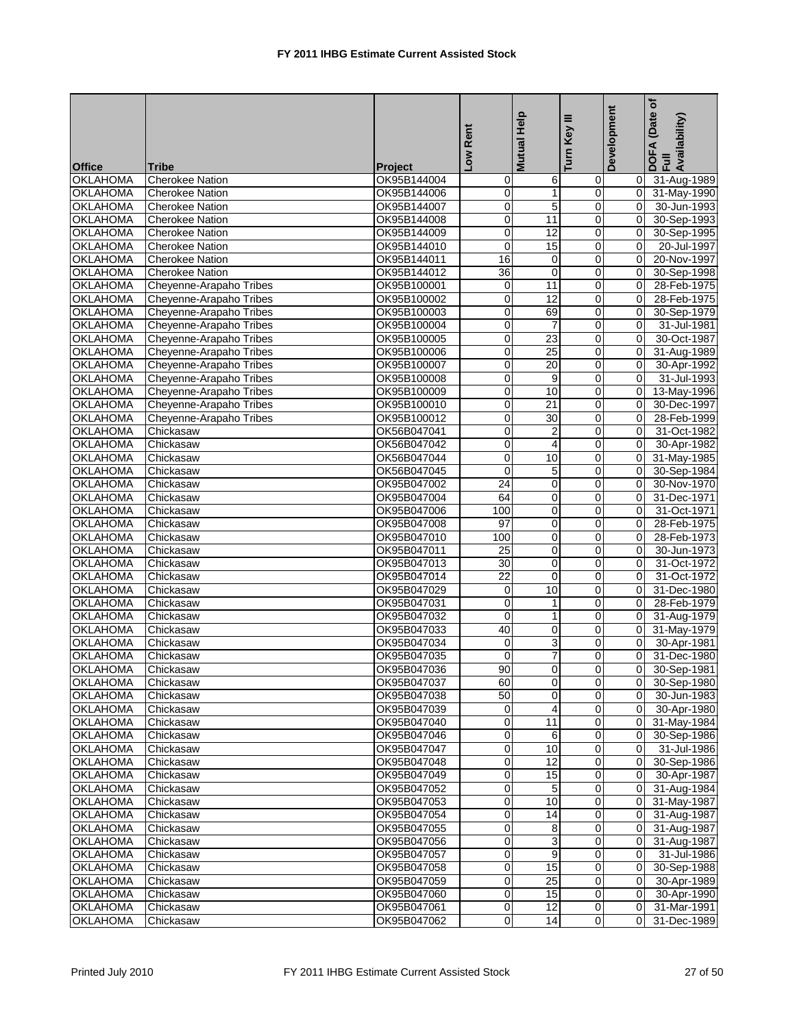| <b>Office</b>   | Tribe                   | <b>Project</b> | Low Rent        | <b>Mutual Help</b>      | Ξ<br>Turn Key    | Development    | (Date of<br>DOFA (Date<br>Full<br>Availability) |
|-----------------|-------------------------|----------------|-----------------|-------------------------|------------------|----------------|-------------------------------------------------|
| <b>OKLAHOMA</b> | <b>Cherokee Nation</b>  | OK95B144004    | 0               | 6                       | $\mathbf 0$      | $\overline{0}$ | 31-Aug-1989                                     |
| <b>OKLAHOMA</b> | <b>Cherokee Nation</b>  | OK95B144006    | 0               | $\mathbf{1}$            | $\overline{0}$   | $\overline{0}$ | 31-May-1990                                     |
| <b>OKLAHOMA</b> | <b>Cherokee Nation</b>  | OK95B144007    | $\overline{0}$  | 5                       | $\mathbf 0$      | $\overline{0}$ | 30-Jun-1993                                     |
| <b>OKLAHOMA</b> | <b>Cherokee Nation</b>  | OK95B144008    | 0               | 11                      | $\mathbf 0$      | 0              | 30-Sep-1993                                     |
| <b>OKLAHOMA</b> | <b>Cherokee Nation</b>  | OK95B144009    | 0               | $\overline{12}$         | $\pmb{0}$        | $\pmb{0}$      | 30-Sep-1995                                     |
| <b>OKLAHOMA</b> | <b>Cherokee Nation</b>  | OK95B144010    | $\overline{0}$  | 15                      | $\mathbf 0$      | $\mathbf 0$    | 20-Jul-1997                                     |
| <b>OKLAHOMA</b> | <b>Cherokee Nation</b>  | OK95B144011    | 16              | $\mathbf 0$             | $\mathbf 0$      | 0              | 20-Nov-1997                                     |
| <b>OKLAHOMA</b> | <b>Cherokee Nation</b>  | OK95B144012    | $\overline{36}$ | 0                       | $\mathbf 0$      | 0              | 30-Sep-1998                                     |
| <b>OKLAHOMA</b> | Cheyenne-Arapaho Tribes | OK95B100001    | 0               | 11                      | $\mathbf 0$      | 0              | 28-Feb-1975                                     |
| <b>OKLAHOMA</b> | Cheyenne-Arapaho Tribes | OK95B100002    | 0               | $\overline{12}$         | $\pmb{0}$        | $\mathbf 0$    | 28-Feb-1975                                     |
| <b>OKLAHOMA</b> | Cheyenne-Arapaho Tribes | OK95B100003    | 0               | 69                      | 0                | 0              | 30-Sep-1979                                     |
| OKLAHOMA        | Cheyenne-Arapaho Tribes | OK95B100004    | 0               | $\overline{7}$          | $\pmb{0}$        | 0              | 31-Jul-1981                                     |
| <b>OKLAHOMA</b> | Cheyenne-Arapaho Tribes | OK95B100005    | 0               | $\overline{23}$         | $\mathbf 0$      | $\overline{0}$ | 30-Oct-1987                                     |
| <b>OKLAHOMA</b> | Cheyenne-Arapaho Tribes | OK95B100006    | 0               | 25                      | $\mathbf 0$      | 0              | 31-Aug-1989                                     |
| <b>OKLAHOMA</b> | Cheyenne-Arapaho Tribes | OK95B100007    | 0               | 20                      | $\overline{0}$   | $\overline{0}$ | 30-Apr-1992                                     |
| <b>OKLAHOMA</b> | Cheyenne-Arapaho Tribes | OK95B100008    | 0               | 9                       | $\boldsymbol{0}$ | $\overline{0}$ | 31-Jul-1993                                     |
| <b>OKLAHOMA</b> | Cheyenne-Arapaho Tribes | OK95B100009    | 0               | 10                      | $\mathbf 0$      | 0              | 13-May-1996                                     |
| <b>OKLAHOMA</b> | Cheyenne-Arapaho Tribes | OK95B100010    | 0               | $\overline{21}$         | $\mathbf 0$      | 0              | 30-Dec-1997                                     |
| <b>OKLAHOMA</b> | Cheyenne-Arapaho Tribes | OK95B100012    | 0               | 30                      | $\mathbf 0$      | 0              | 28-Feb-1999                                     |
| <b>OKLAHOMA</b> | Chickasaw               | OK56B047041    | 0               | $\overline{\mathbf{c}}$ | $\pmb{0}$        | $\mathbf 0$    | 31-Oct-1982                                     |
| <b>OKLAHOMA</b> | Chickasaw               | OK56B047042    | 0               | $\overline{4}$          | 0                | 0              | 30-Apr-1982                                     |
| <b>OKLAHOMA</b> | Chickasaw               | OK56B047044    | 0               | 10                      | $\pmb{0}$        | $\overline{0}$ | 31-May-1985                                     |
| <b>OKLAHOMA</b> | Chickasaw               | OK56B047045    | 0               | 5                       | $\mathbf 0$      | $\overline{0}$ | 30-Sep-1984                                     |
| <b>OKLAHOMA</b> | Chickasaw               | OK95B047002    | $\overline{24}$ | 0                       | $\mathbf 0$      | 0              | 30-Nov-1970                                     |
| <b>OKLAHOMA</b> | Chickasaw               | OK95B047004    | 64              | 0                       | $\pmb{0}$        | 0              | 31-Dec-1971                                     |
| <b>OKLAHOMA</b> | Chickasaw               | OK95B047006    | 100             | 0                       | $\mathbf 0$      | 0              | 31-Oct-1971                                     |
| <b>OKLAHOMA</b> | Chickasaw               | OK95B047008    | 97              | 0                       | $\mathbf 0$      | 0              | 28-Feb-1975                                     |
| <b>OKLAHOMA</b> | Chickasaw               | OK95B047010    | 100             | 0                       | $\mathbf 0$      | 0              | 28-Feb-1973                                     |
| <b>OKLAHOMA</b> | Chickasaw               | OK95B047011    | $\overline{25}$ | 0                       | $\boldsymbol{0}$ | 0              | 30-Jun-1973                                     |
| <b>OKLAHOMA</b> | Chickasaw               | OK95B047013    | 30              | $\mathbf 0$             | $\mathbf 0$      | $\mathbf 0$    | 31-Oct-1972                                     |
| OKLAHOMA        | Chickasaw               | OK95B047014    | 22              | $\mathbf 0$             | $\mathbf 0$      | 0              | 31-Oct-1972                                     |
| <b>OKLAHOMA</b> | Chickasaw               | OK95B047029    | 0               | 10                      | $\pmb{0}$        | 0              | 31-Dec-1980                                     |
| <b>OKLAHOMA</b> | Chickasaw               | OK95B047031    | 0               | $\mathbf{1}$            | $\mathbf 0$      | $\overline{0}$ | 28-Feb-1979                                     |
| <b>OKLAHOMA</b> | Chickasaw               | OK95B047032    | 0               | 1                       | $\mathbf 0$      | 0              | 31-Aug-1979                                     |
| OKLAHOMA        | Chickasaw               | OK95B047033    | 40              | $\pmb{0}$               | $\pmb{0}$        | $\overline{0}$ | 31-May-1979                                     |
| <b>OKLAHOMA</b> | Chickasaw               | OK95B047034    | 0               | 3                       | $\mathbf 0$      | $\mathbf 0$    | 30-Apr-1981                                     |
| <b>OKLAHOMA</b> | Chickasaw               | OK95B047035    | 0               | 7                       | $\mathbf 0$      | 0              | 31-Dec-1980                                     |
| <b>OKLAHOMA</b> | Chickasaw               | OK95B047036    | 90              | 0                       | $\overline{0}$   | $\overline{0}$ | 30-Sep-1981                                     |
| <b>OKLAHOMA</b> | Chickasaw               | OK95B047037    | 60              | 0                       | $\overline{0}$   | 0              | 30-Sep-1980                                     |
| <b>OKLAHOMA</b> | Chickasaw               | OK95B047038    | 50              | $\mathbf 0$             | $\mathbf 0$      | $\overline{0}$ | 30-Jun-1983                                     |
| <b>OKLAHOMA</b> | Chickasaw               | OK95B047039    | 0               | 4                       | 0                | $\overline{0}$ | 30-Apr-1980                                     |
| <b>OKLAHOMA</b> | Chickasaw               | OK95B047040    | 0               | 11                      | $\mathbf 0$      | $\overline{0}$ | 31-May-1984                                     |
| <b>OKLAHOMA</b> | Chickasaw               | OK95B047046    | 0               | 6                       | $\mathbf 0$      | $\overline{0}$ | 30-Sep-1986                                     |
| <b>OKLAHOMA</b> | Chickasaw               | OK95B047047    | 0               | 10                      | $\mathbf 0$      | 0              | 31-Jul-1986                                     |
| <b>OKLAHOMA</b> | Chickasaw               | OK95B047048    | 0               | 12                      | $\overline{0}$   | $\overline{0}$ | 30-Sep-1986                                     |
| <b>OKLAHOMA</b> | Chickasaw               | OK95B047049    | 0               | 15                      | $\mathbf 0$      | $\mathbf 0$    | 30-Apr-1987                                     |
| <b>OKLAHOMA</b> | Chickasaw               | OK95B047052    | 0               | 5                       | $\mathbf 0$      | $\Omega$       | 31-Aug-1984                                     |
| <b>OKLAHOMA</b> | Chickasaw               | OK95B047053    | 0               | 10                      | $\mathbf 0$      | $\overline{0}$ | 31-May-1987                                     |
| <b>OKLAHOMA</b> | Chickasaw               | OK95B047054    | 0               | 14                      | $\mathbf 0$      | 0              | 31-Aug-1987                                     |
| <b>OKLAHOMA</b> | Chickasaw               | OK95B047055    | 0               | 8                       | $\mathbf 0$      | $\overline{0}$ | 31-Aug-1987                                     |
| <b>OKLAHOMA</b> | Chickasaw               | OK95B047056    | 0               | 3                       | 0                | 0              | 31-Aug-1987                                     |
| <b>OKLAHOMA</b> | Chickasaw               | OK95B047057    | 0               | $\overline{9}$          | $\mathbf 0$      | $\overline{0}$ | 31-Jul-1986                                     |
| <b>OKLAHOMA</b> | Chickasaw               | OK95B047058    | 0               | 15                      | $\mathbf 0$      | $\overline{0}$ | 30-Sep-1988                                     |
| <b>OKLAHOMA</b> | Chickasaw               | OK95B047059    | 0               | 25                      | $\mathbf 0$      | 0              | 30-Apr-1989                                     |
| <b>OKLAHOMA</b> | Chickasaw               | OK95B047060    | 0               | 15                      | $\overline{0}$   | $\overline{0}$ | 30-Apr-1990                                     |
| <b>OKLAHOMA</b> | Chickasaw               | OK95B047061    | 0               | 12                      | $\mathbf 0$      | 0              | 31-Mar-1991                                     |
| <b>OKLAHOMA</b> | Chickasaw               | OK95B047062    | 0               | 14                      | $\overline{0}$   | $\overline{0}$ | 31-Dec-1989                                     |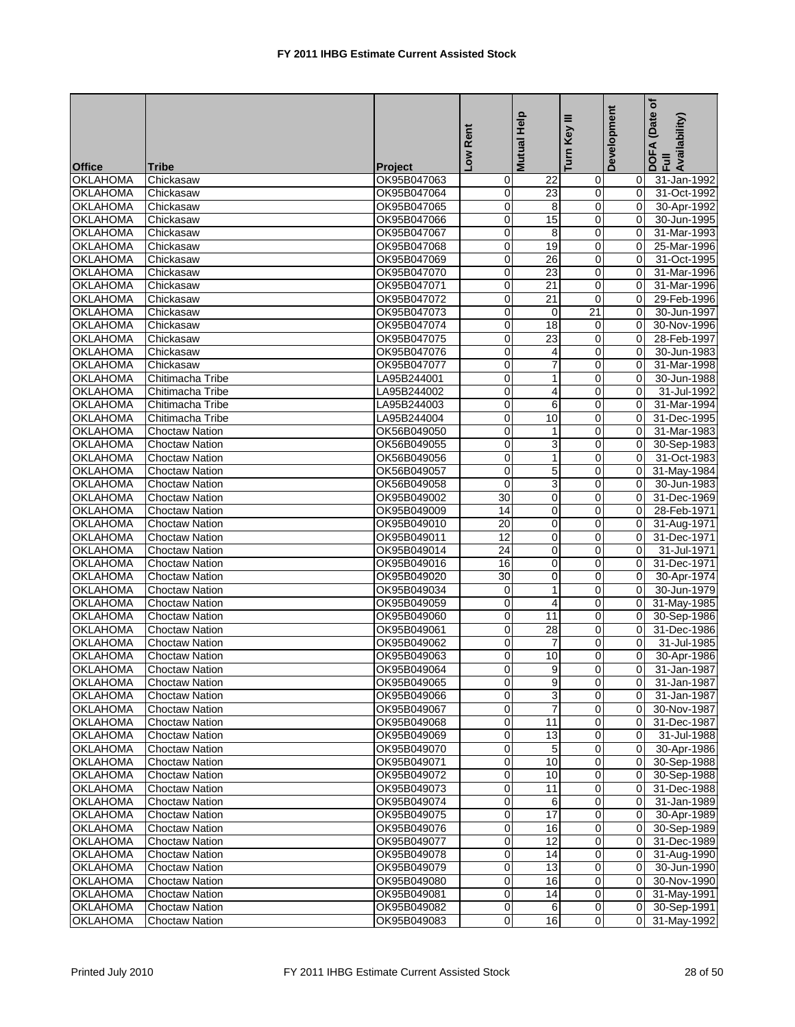| <b>OKLAHOMA</b><br>Chickasaw<br>OK95B047063<br>31-Jan-1992<br>0<br>22<br>$\mathbf 0$<br>0<br>0<br>23<br>$\mathbf 0$<br>0<br><b>OKLAHOMA</b><br>OK95B047064<br>31-Oct-1992<br>Chickasaw<br>0<br>0<br><b>OKLAHOMA</b><br>OK95B047065<br>8<br>$\overline{0}$<br>30-Apr-1992<br>Chickasaw<br>0<br>15<br>$\mathbf 0$<br>0<br><b>OKLAHOMA</b><br>Chickasaw<br>OK95B047066<br>30-Jun-1995<br>0<br>8<br>$\mathbf 0$<br>0<br><b>OKLAHOMA</b><br>Chickasaw<br>OK95B047067<br>31-Mar-1993<br>0<br>19<br><b>OKLAHOMA</b><br>$\mathbf 0$<br>0<br>Chickasaw<br>OK95B047068<br>25-Mar-1996<br>0<br>$\mathbf 0$<br>0<br><b>OKLAHOMA</b><br>Chickasaw<br>OK95B047069<br>26<br>31-Oct-1995<br>$\overline{23}$<br><b>OKLAHOMA</b><br>OK95B047070<br>0<br>$\mathbf 0$<br>0<br>31-Mar-1996<br>Chickasaw<br>$\overline{0}$<br>$\overline{21}$<br>$\pmb{0}$<br><b>OKLAHOMA</b><br>OK95B047071<br>0<br>Chickasaw<br>31-Mar-1996<br>0<br>$\overline{0}$<br><b>OKLAHOMA</b><br>21<br>$\overline{0}$<br>29-Feb-1996<br>Chickasaw<br>OK95B047072<br>0<br>0<br><b>OKLAHOMA</b><br>OK95B047073<br>21<br>30-Jun-1997<br>Chickasaw<br>$\mathbf 0$<br>0<br>18<br><b>OKLAHOMA</b><br>OK95B047074<br>$\mathbf 0$<br>0<br>30-Nov-1996<br>Chickasaw<br><b>OKLAHOMA</b><br>0<br>$\overline{23}$<br>0<br>OK95B047075<br>$\mathbf 0$<br>28-Feb-1997<br>Chickasaw<br>0<br>$\mathbf 0$<br>0<br><b>OKLAHOMA</b><br>OK95B047076<br>30-Jun-1983<br>Chickasaw<br>4<br>0<br>7<br>$\mathbf 0$<br><b>OKLAHOMA</b><br>Chickasaw<br>OK95B047077<br>0<br>31-Mar-1998<br>0<br>0<br><b>OKLAHOMA</b><br>$\mathbf 0$<br>Chitimacha Tribe<br>LA95B244001<br>1<br>30-Jun-1988<br>0<br>4<br>$\mathbf 0$<br>0<br><b>OKLAHOMA</b><br>LA95B244002<br>31-Jul-1992<br>Chitimacha Tribe<br>0<br>6<br>$\mathbf 0$<br><b>OKLAHOMA</b><br>LA95B244003<br>0<br>31-Mar-1994<br>Chitimacha Tribe<br>0<br>10<br>$\mathbf 0$<br><b>OKLAHOMA</b><br>LA95B244004<br>0<br>Chitimacha Tribe<br>31-Dec-1995<br>0<br>$\overline{0}$<br>$\Omega$<br><b>OKLAHOMA</b><br><b>Choctaw Nation</b><br>OK56B049050<br>$\mathbf{1}$<br>31-Mar-1983<br>0<br>3<br>0<br><b>OKLAHOMA</b><br><b>Choctaw Nation</b><br>OK56B049055<br>$\mathbf 0$<br>30-Sep-1983<br>$\overline{0}$<br>1<br>$\mathbf 0$<br>0<br><b>OKLAHOMA</b><br>OK56B049056<br>Choctaw Nation<br>31-Oct-1983<br>$\overline{0}$<br><b>OKLAHOMA</b><br>0<br>5<br>$\mathbf 0$<br>OK56B049057<br>31-May-1984<br><b>Choctaw Nation</b><br>3<br>0<br>$\mathbf 0$<br>0<br><b>OKLAHOMA</b><br><b>Choctaw Nation</b><br>OK56B049058<br>30-Jun-1983<br>30<br>$\mathbf 0$<br>$\mathbf 0$<br><b>OKLAHOMA</b><br><b>Choctaw Nation</b><br>OK95B049002<br>0<br>31-Dec-1969<br>$\overline{14}$<br>0<br><b>OKLAHOMA</b><br>$\overline{0}$<br>$\mathbf 0$<br>28-Feb-1971<br>OK95B049009<br><b>Choctaw Nation</b><br>20<br>0<br>$\mathbf 0$<br>0<br><b>OKLAHOMA</b><br><b>Choctaw Nation</b><br>OK95B049010<br>31-Aug-1971<br>$\overline{12}$<br>0<br>$\mathbf 0$<br>0<br><b>OKLAHOMA</b><br><b>Choctaw Nation</b><br>OK95B049011<br>31-Dec-1971<br>$\overline{24}$<br>$\overline{0}$<br>$\pmb{0}$<br><b>OKLAHOMA</b><br>OK95B049014<br>0<br>31-Jul-1971<br>Choctaw Nation<br>16<br>0<br>$\mathbf 0$<br>0<br><b>OKLAHOMA</b><br>Choctaw Nation<br>OK95B049016<br>31-Dec-1971<br>30<br>0<br>OKLAHOMA<br>0<br>0<br>Choctaw Nation<br>OK95B049020<br>30-Apr-1974<br>1<br>$\mathbf 0$<br>0<br><b>OKLAHOMA</b><br>0<br>30-Jun-1979<br><b>Choctaw Nation</b><br>OK95B049034<br><b>OKLAHOMA</b><br>0<br>$\mathbf 0$<br>0<br>OK95B049059<br>4<br>31-May-1985<br><b>Choctaw Nation</b><br>0<br>$\mathbf 0$<br>0<br><b>OKLAHOMA</b><br><b>Choctaw Nation</b><br>OK95B049060<br>11<br>30-Sep-1986<br>28<br>0<br>$\mathbf 0$<br>0<br>OKLAHOMA<br><b>Choctaw Nation</b><br>OK95B049061<br>31-Dec-1986<br>0<br><b>OKLAHOMA</b><br>$\overline{7}$<br>$\mathbf 0$<br>$\overline{0}$<br>OK95B049062<br><b>Choctaw Nation</b><br>0<br><b>OKLAHOMA</b><br><b>Choctaw Nation</b><br>OK95B049063<br>10<br>0<br>0<br>30-Apr-1986<br>$\overline{0}$<br>9<br>$\overline{0}$<br>$\overline{0}$<br><b>OKLAHOMA</b><br>OK95B049064<br><b>Choctaw Nation</b><br><b>OKLAHOMA</b><br><b>Choctaw Nation</b><br>OK95B049065<br>$\overline{0}$<br>9<br>$\overline{0}$<br>31-Jan-1987<br>01<br>0<br>3<br><b>OKLAHOMA</b><br>OK95B049066<br>$\mathbf 0$<br>$\overline{0}$<br>31-Jan-1987<br><b>Choctaw Nation</b><br>0<br>$\overline{7}$<br><b>OKLAHOMA</b><br>$\mathbf 0$<br>$\overline{0}$<br><b>Choctaw Nation</b><br>OK95B049067<br>0<br>11<br>$\mathbf 0$<br><b>OKLAHOMA</b><br>31-Dec-1987<br><b>Choctaw Nation</b><br>OK95B049068<br>0<br><b>OKLAHOMA</b><br>0<br>13<br>$\mathbf 0$<br>0<br><b>Choctaw Nation</b><br>OK95B049069<br>0<br>5<br>$\mathbf 0$<br><b>OKLAHOMA</b><br><b>Choctaw Nation</b><br>OK95B049070<br>0<br>$\overline{0}$<br><b>OKLAHOMA</b><br><b>Choctaw Nation</b><br>OK95B049071<br>0<br>10<br>$\overline{0}$<br>30-Sep-1988<br>0<br>10<br>$\mathbf 0$<br>$\overline{0}$<br><b>OKLAHOMA</b><br>OK95B049072<br>30-Sep-1988<br><b>Choctaw Nation</b><br>0<br><b>OKLAHOMA</b><br>11<br>$\mathbf 0$<br>0<br>31-Dec-1988<br><b>Choctaw Nation</b><br>OK95B049073<br><b>OKLAHOMA</b><br>0<br>$\overline{0}$<br><b>Choctaw Nation</b><br>OK95B049074<br>6<br>0<br>17<br>0<br>$\mathbf 0$<br><b>OKLAHOMA</b><br>OK95B049075<br>$\mathbf 0$<br>30-Apr-1989<br><b>Choctaw Nation</b><br>0<br>$\Omega$<br><b>OKLAHOMA</b><br><b>Choctaw Nation</b><br>OK95B049076<br>16<br>$\mathbf 0$<br>30-Sep-1989<br>0<br><b>OKLAHOMA</b><br>12<br>$\mathbf 0$<br>$\overline{0}$<br><b>Choctaw Nation</b><br>OK95B049077<br>0<br>14<br>$\mathbf 0$<br><b>OKLAHOMA</b><br>0<br><b>Choctaw Nation</b><br>OK95B049078<br>31-Aug-1990<br><b>OKLAHOMA</b><br>0<br>13<br>$\mathbf 0$<br>0<br><b>Choctaw Nation</b><br>OK95B049079<br>0<br><b>OKLAHOMA</b><br><b>Choctaw Nation</b><br>OK95B049080<br>16<br>$\mathbf 0$<br>$\overline{0}$<br>30-Nov-1990<br>14<br><b>OKLAHOMA</b><br><b>Choctaw Nation</b><br>$\overline{0}$<br>$\overline{0}$<br>$\overline{0}$<br>31-May-1991<br>OK95B049081 | <b>Office</b> | <b>Tribe</b> | Project | Low Rent | <b>Mutual Help</b> | Turn Key III | Development | ځ<br>(Date<br>DOFA (Date<br>Full<br>Availability) |
|--------------------------------------------------------------------------------------------------------------------------------------------------------------------------------------------------------------------------------------------------------------------------------------------------------------------------------------------------------------------------------------------------------------------------------------------------------------------------------------------------------------------------------------------------------------------------------------------------------------------------------------------------------------------------------------------------------------------------------------------------------------------------------------------------------------------------------------------------------------------------------------------------------------------------------------------------------------------------------------------------------------------------------------------------------------------------------------------------------------------------------------------------------------------------------------------------------------------------------------------------------------------------------------------------------------------------------------------------------------------------------------------------------------------------------------------------------------------------------------------------------------------------------------------------------------------------------------------------------------------------------------------------------------------------------------------------------------------------------------------------------------------------------------------------------------------------------------------------------------------------------------------------------------------------------------------------------------------------------------------------------------------------------------------------------------------------------------------------------------------------------------------------------------------------------------------------------------------------------------------------------------------------------------------------------------------------------------------------------------------------------------------------------------------------------------------------------------------------------------------------------------------------------------------------------------------------------------------------------------------------------------------------------------------------------------------------------------------------------------------------------------------------------------------------------------------------------------------------------------------------------------------------------------------------------------------------------------------------------------------------------------------------------------------------------------------------------------------------------------------------------------------------------------------------------------------------------------------------------------------------------------------------------------------------------------------------------------------------------------------------------------------------------------------------------------------------------------------------------------------------------------------------------------------------------------------------------------------------------------------------------------------------------------------------------------------------------------------------------------------------------------------------------------------------------------------------------------------------------------------------------------------------------------------------------------------------------------------------------------------------------------------------------------------------------------------------------------------------------------------------------------------------------------------------------------------------------------------------------------------------------------------------------------------------------------------------------------------------------------------------------------------------------------------------------------------------------------------------------------------------------------------------------------------------------------------------------------------------------------------------------------------------------------------------------------------------------------------------------------------------------------------------------------------------------------------------------------------------------------------------------------------------------------------------------------------------------------------------------------------------------------------------------------------------------------------------------------------------------------------------------------------------------------------------------------------------------------------------------------------------------------------------------------------------------------------------------------------------------------------------------------------------------------------------------------------------------------------------------------------------------------------------------------------------------------------------------------------------------------------------------------------------------------------------------------------------------------------------------------------------------------------------------------------------------------------------------------------------------------------------------------------------------------------------------------------------------------------------------------------------------------|---------------|--------------|---------|----------|--------------------|--------------|-------------|---------------------------------------------------|
|                                                                                                                                                                                                                                                                                                                                                                                                                                                                                                                                                                                                                                                                                                                                                                                                                                                                                                                                                                                                                                                                                                                                                                                                                                                                                                                                                                                                                                                                                                                                                                                                                                                                                                                                                                                                                                                                                                                                                                                                                                                                                                                                                                                                                                                                                                                                                                                                                                                                                                                                                                                                                                                                                                                                                                                                                                                                                                                                                                                                                                                                                                                                                                                                                                                                                                                                                                                                                                                                                                                                                                                                                                                                                                                                                                                                                                                                                                                                                                                                                                                                                                                                                                                                                                                                                                                                                                                                                                                                                                                                                                                                                                                                                                                                                                                                                                                                                                                                                                                                                                                                                                                                                                                                                                                                                                                                                                                                                                                                                                                                                                                                                                                                                                                                                                                                                                                                                                                                                                                                              |               |              |         |          |                    |              |             |                                                   |
|                                                                                                                                                                                                                                                                                                                                                                                                                                                                                                                                                                                                                                                                                                                                                                                                                                                                                                                                                                                                                                                                                                                                                                                                                                                                                                                                                                                                                                                                                                                                                                                                                                                                                                                                                                                                                                                                                                                                                                                                                                                                                                                                                                                                                                                                                                                                                                                                                                                                                                                                                                                                                                                                                                                                                                                                                                                                                                                                                                                                                                                                                                                                                                                                                                                                                                                                                                                                                                                                                                                                                                                                                                                                                                                                                                                                                                                                                                                                                                                                                                                                                                                                                                                                                                                                                                                                                                                                                                                                                                                                                                                                                                                                                                                                                                                                                                                                                                                                                                                                                                                                                                                                                                                                                                                                                                                                                                                                                                                                                                                                                                                                                                                                                                                                                                                                                                                                                                                                                                                                              |               |              |         |          |                    |              |             |                                                   |
|                                                                                                                                                                                                                                                                                                                                                                                                                                                                                                                                                                                                                                                                                                                                                                                                                                                                                                                                                                                                                                                                                                                                                                                                                                                                                                                                                                                                                                                                                                                                                                                                                                                                                                                                                                                                                                                                                                                                                                                                                                                                                                                                                                                                                                                                                                                                                                                                                                                                                                                                                                                                                                                                                                                                                                                                                                                                                                                                                                                                                                                                                                                                                                                                                                                                                                                                                                                                                                                                                                                                                                                                                                                                                                                                                                                                                                                                                                                                                                                                                                                                                                                                                                                                                                                                                                                                                                                                                                                                                                                                                                                                                                                                                                                                                                                                                                                                                                                                                                                                                                                                                                                                                                                                                                                                                                                                                                                                                                                                                                                                                                                                                                                                                                                                                                                                                                                                                                                                                                                                              |               |              |         |          |                    |              |             |                                                   |
|                                                                                                                                                                                                                                                                                                                                                                                                                                                                                                                                                                                                                                                                                                                                                                                                                                                                                                                                                                                                                                                                                                                                                                                                                                                                                                                                                                                                                                                                                                                                                                                                                                                                                                                                                                                                                                                                                                                                                                                                                                                                                                                                                                                                                                                                                                                                                                                                                                                                                                                                                                                                                                                                                                                                                                                                                                                                                                                                                                                                                                                                                                                                                                                                                                                                                                                                                                                                                                                                                                                                                                                                                                                                                                                                                                                                                                                                                                                                                                                                                                                                                                                                                                                                                                                                                                                                                                                                                                                                                                                                                                                                                                                                                                                                                                                                                                                                                                                                                                                                                                                                                                                                                                                                                                                                                                                                                                                                                                                                                                                                                                                                                                                                                                                                                                                                                                                                                                                                                                                                              |               |              |         |          |                    |              |             |                                                   |
|                                                                                                                                                                                                                                                                                                                                                                                                                                                                                                                                                                                                                                                                                                                                                                                                                                                                                                                                                                                                                                                                                                                                                                                                                                                                                                                                                                                                                                                                                                                                                                                                                                                                                                                                                                                                                                                                                                                                                                                                                                                                                                                                                                                                                                                                                                                                                                                                                                                                                                                                                                                                                                                                                                                                                                                                                                                                                                                                                                                                                                                                                                                                                                                                                                                                                                                                                                                                                                                                                                                                                                                                                                                                                                                                                                                                                                                                                                                                                                                                                                                                                                                                                                                                                                                                                                                                                                                                                                                                                                                                                                                                                                                                                                                                                                                                                                                                                                                                                                                                                                                                                                                                                                                                                                                                                                                                                                                                                                                                                                                                                                                                                                                                                                                                                                                                                                                                                                                                                                                                              |               |              |         |          |                    |              |             |                                                   |
|                                                                                                                                                                                                                                                                                                                                                                                                                                                                                                                                                                                                                                                                                                                                                                                                                                                                                                                                                                                                                                                                                                                                                                                                                                                                                                                                                                                                                                                                                                                                                                                                                                                                                                                                                                                                                                                                                                                                                                                                                                                                                                                                                                                                                                                                                                                                                                                                                                                                                                                                                                                                                                                                                                                                                                                                                                                                                                                                                                                                                                                                                                                                                                                                                                                                                                                                                                                                                                                                                                                                                                                                                                                                                                                                                                                                                                                                                                                                                                                                                                                                                                                                                                                                                                                                                                                                                                                                                                                                                                                                                                                                                                                                                                                                                                                                                                                                                                                                                                                                                                                                                                                                                                                                                                                                                                                                                                                                                                                                                                                                                                                                                                                                                                                                                                                                                                                                                                                                                                                                              |               |              |         |          |                    |              |             |                                                   |
|                                                                                                                                                                                                                                                                                                                                                                                                                                                                                                                                                                                                                                                                                                                                                                                                                                                                                                                                                                                                                                                                                                                                                                                                                                                                                                                                                                                                                                                                                                                                                                                                                                                                                                                                                                                                                                                                                                                                                                                                                                                                                                                                                                                                                                                                                                                                                                                                                                                                                                                                                                                                                                                                                                                                                                                                                                                                                                                                                                                                                                                                                                                                                                                                                                                                                                                                                                                                                                                                                                                                                                                                                                                                                                                                                                                                                                                                                                                                                                                                                                                                                                                                                                                                                                                                                                                                                                                                                                                                                                                                                                                                                                                                                                                                                                                                                                                                                                                                                                                                                                                                                                                                                                                                                                                                                                                                                                                                                                                                                                                                                                                                                                                                                                                                                                                                                                                                                                                                                                                                              |               |              |         |          |                    |              |             |                                                   |
|                                                                                                                                                                                                                                                                                                                                                                                                                                                                                                                                                                                                                                                                                                                                                                                                                                                                                                                                                                                                                                                                                                                                                                                                                                                                                                                                                                                                                                                                                                                                                                                                                                                                                                                                                                                                                                                                                                                                                                                                                                                                                                                                                                                                                                                                                                                                                                                                                                                                                                                                                                                                                                                                                                                                                                                                                                                                                                                                                                                                                                                                                                                                                                                                                                                                                                                                                                                                                                                                                                                                                                                                                                                                                                                                                                                                                                                                                                                                                                                                                                                                                                                                                                                                                                                                                                                                                                                                                                                                                                                                                                                                                                                                                                                                                                                                                                                                                                                                                                                                                                                                                                                                                                                                                                                                                                                                                                                                                                                                                                                                                                                                                                                                                                                                                                                                                                                                                                                                                                                                              |               |              |         |          |                    |              |             |                                                   |
|                                                                                                                                                                                                                                                                                                                                                                                                                                                                                                                                                                                                                                                                                                                                                                                                                                                                                                                                                                                                                                                                                                                                                                                                                                                                                                                                                                                                                                                                                                                                                                                                                                                                                                                                                                                                                                                                                                                                                                                                                                                                                                                                                                                                                                                                                                                                                                                                                                                                                                                                                                                                                                                                                                                                                                                                                                                                                                                                                                                                                                                                                                                                                                                                                                                                                                                                                                                                                                                                                                                                                                                                                                                                                                                                                                                                                                                                                                                                                                                                                                                                                                                                                                                                                                                                                                                                                                                                                                                                                                                                                                                                                                                                                                                                                                                                                                                                                                                                                                                                                                                                                                                                                                                                                                                                                                                                                                                                                                                                                                                                                                                                                                                                                                                                                                                                                                                                                                                                                                                                              |               |              |         |          |                    |              |             |                                                   |
|                                                                                                                                                                                                                                                                                                                                                                                                                                                                                                                                                                                                                                                                                                                                                                                                                                                                                                                                                                                                                                                                                                                                                                                                                                                                                                                                                                                                                                                                                                                                                                                                                                                                                                                                                                                                                                                                                                                                                                                                                                                                                                                                                                                                                                                                                                                                                                                                                                                                                                                                                                                                                                                                                                                                                                                                                                                                                                                                                                                                                                                                                                                                                                                                                                                                                                                                                                                                                                                                                                                                                                                                                                                                                                                                                                                                                                                                                                                                                                                                                                                                                                                                                                                                                                                                                                                                                                                                                                                                                                                                                                                                                                                                                                                                                                                                                                                                                                                                                                                                                                                                                                                                                                                                                                                                                                                                                                                                                                                                                                                                                                                                                                                                                                                                                                                                                                                                                                                                                                                                              |               |              |         |          |                    |              |             |                                                   |
|                                                                                                                                                                                                                                                                                                                                                                                                                                                                                                                                                                                                                                                                                                                                                                                                                                                                                                                                                                                                                                                                                                                                                                                                                                                                                                                                                                                                                                                                                                                                                                                                                                                                                                                                                                                                                                                                                                                                                                                                                                                                                                                                                                                                                                                                                                                                                                                                                                                                                                                                                                                                                                                                                                                                                                                                                                                                                                                                                                                                                                                                                                                                                                                                                                                                                                                                                                                                                                                                                                                                                                                                                                                                                                                                                                                                                                                                                                                                                                                                                                                                                                                                                                                                                                                                                                                                                                                                                                                                                                                                                                                                                                                                                                                                                                                                                                                                                                                                                                                                                                                                                                                                                                                                                                                                                                                                                                                                                                                                                                                                                                                                                                                                                                                                                                                                                                                                                                                                                                                                              |               |              |         |          |                    |              |             |                                                   |
|                                                                                                                                                                                                                                                                                                                                                                                                                                                                                                                                                                                                                                                                                                                                                                                                                                                                                                                                                                                                                                                                                                                                                                                                                                                                                                                                                                                                                                                                                                                                                                                                                                                                                                                                                                                                                                                                                                                                                                                                                                                                                                                                                                                                                                                                                                                                                                                                                                                                                                                                                                                                                                                                                                                                                                                                                                                                                                                                                                                                                                                                                                                                                                                                                                                                                                                                                                                                                                                                                                                                                                                                                                                                                                                                                                                                                                                                                                                                                                                                                                                                                                                                                                                                                                                                                                                                                                                                                                                                                                                                                                                                                                                                                                                                                                                                                                                                                                                                                                                                                                                                                                                                                                                                                                                                                                                                                                                                                                                                                                                                                                                                                                                                                                                                                                                                                                                                                                                                                                                                              |               |              |         |          |                    |              |             |                                                   |
|                                                                                                                                                                                                                                                                                                                                                                                                                                                                                                                                                                                                                                                                                                                                                                                                                                                                                                                                                                                                                                                                                                                                                                                                                                                                                                                                                                                                                                                                                                                                                                                                                                                                                                                                                                                                                                                                                                                                                                                                                                                                                                                                                                                                                                                                                                                                                                                                                                                                                                                                                                                                                                                                                                                                                                                                                                                                                                                                                                                                                                                                                                                                                                                                                                                                                                                                                                                                                                                                                                                                                                                                                                                                                                                                                                                                                                                                                                                                                                                                                                                                                                                                                                                                                                                                                                                                                                                                                                                                                                                                                                                                                                                                                                                                                                                                                                                                                                                                                                                                                                                                                                                                                                                                                                                                                                                                                                                                                                                                                                                                                                                                                                                                                                                                                                                                                                                                                                                                                                                                              |               |              |         |          |                    |              |             |                                                   |
|                                                                                                                                                                                                                                                                                                                                                                                                                                                                                                                                                                                                                                                                                                                                                                                                                                                                                                                                                                                                                                                                                                                                                                                                                                                                                                                                                                                                                                                                                                                                                                                                                                                                                                                                                                                                                                                                                                                                                                                                                                                                                                                                                                                                                                                                                                                                                                                                                                                                                                                                                                                                                                                                                                                                                                                                                                                                                                                                                                                                                                                                                                                                                                                                                                                                                                                                                                                                                                                                                                                                                                                                                                                                                                                                                                                                                                                                                                                                                                                                                                                                                                                                                                                                                                                                                                                                                                                                                                                                                                                                                                                                                                                                                                                                                                                                                                                                                                                                                                                                                                                                                                                                                                                                                                                                                                                                                                                                                                                                                                                                                                                                                                                                                                                                                                                                                                                                                                                                                                                                              |               |              |         |          |                    |              |             |                                                   |
|                                                                                                                                                                                                                                                                                                                                                                                                                                                                                                                                                                                                                                                                                                                                                                                                                                                                                                                                                                                                                                                                                                                                                                                                                                                                                                                                                                                                                                                                                                                                                                                                                                                                                                                                                                                                                                                                                                                                                                                                                                                                                                                                                                                                                                                                                                                                                                                                                                                                                                                                                                                                                                                                                                                                                                                                                                                                                                                                                                                                                                                                                                                                                                                                                                                                                                                                                                                                                                                                                                                                                                                                                                                                                                                                                                                                                                                                                                                                                                                                                                                                                                                                                                                                                                                                                                                                                                                                                                                                                                                                                                                                                                                                                                                                                                                                                                                                                                                                                                                                                                                                                                                                                                                                                                                                                                                                                                                                                                                                                                                                                                                                                                                                                                                                                                                                                                                                                                                                                                                                              |               |              |         |          |                    |              |             |                                                   |
|                                                                                                                                                                                                                                                                                                                                                                                                                                                                                                                                                                                                                                                                                                                                                                                                                                                                                                                                                                                                                                                                                                                                                                                                                                                                                                                                                                                                                                                                                                                                                                                                                                                                                                                                                                                                                                                                                                                                                                                                                                                                                                                                                                                                                                                                                                                                                                                                                                                                                                                                                                                                                                                                                                                                                                                                                                                                                                                                                                                                                                                                                                                                                                                                                                                                                                                                                                                                                                                                                                                                                                                                                                                                                                                                                                                                                                                                                                                                                                                                                                                                                                                                                                                                                                                                                                                                                                                                                                                                                                                                                                                                                                                                                                                                                                                                                                                                                                                                                                                                                                                                                                                                                                                                                                                                                                                                                                                                                                                                                                                                                                                                                                                                                                                                                                                                                                                                                                                                                                                                              |               |              |         |          |                    |              |             |                                                   |
|                                                                                                                                                                                                                                                                                                                                                                                                                                                                                                                                                                                                                                                                                                                                                                                                                                                                                                                                                                                                                                                                                                                                                                                                                                                                                                                                                                                                                                                                                                                                                                                                                                                                                                                                                                                                                                                                                                                                                                                                                                                                                                                                                                                                                                                                                                                                                                                                                                                                                                                                                                                                                                                                                                                                                                                                                                                                                                                                                                                                                                                                                                                                                                                                                                                                                                                                                                                                                                                                                                                                                                                                                                                                                                                                                                                                                                                                                                                                                                                                                                                                                                                                                                                                                                                                                                                                                                                                                                                                                                                                                                                                                                                                                                                                                                                                                                                                                                                                                                                                                                                                                                                                                                                                                                                                                                                                                                                                                                                                                                                                                                                                                                                                                                                                                                                                                                                                                                                                                                                                              |               |              |         |          |                    |              |             |                                                   |
|                                                                                                                                                                                                                                                                                                                                                                                                                                                                                                                                                                                                                                                                                                                                                                                                                                                                                                                                                                                                                                                                                                                                                                                                                                                                                                                                                                                                                                                                                                                                                                                                                                                                                                                                                                                                                                                                                                                                                                                                                                                                                                                                                                                                                                                                                                                                                                                                                                                                                                                                                                                                                                                                                                                                                                                                                                                                                                                                                                                                                                                                                                                                                                                                                                                                                                                                                                                                                                                                                                                                                                                                                                                                                                                                                                                                                                                                                                                                                                                                                                                                                                                                                                                                                                                                                                                                                                                                                                                                                                                                                                                                                                                                                                                                                                                                                                                                                                                                                                                                                                                                                                                                                                                                                                                                                                                                                                                                                                                                                                                                                                                                                                                                                                                                                                                                                                                                                                                                                                                                              |               |              |         |          |                    |              |             |                                                   |
|                                                                                                                                                                                                                                                                                                                                                                                                                                                                                                                                                                                                                                                                                                                                                                                                                                                                                                                                                                                                                                                                                                                                                                                                                                                                                                                                                                                                                                                                                                                                                                                                                                                                                                                                                                                                                                                                                                                                                                                                                                                                                                                                                                                                                                                                                                                                                                                                                                                                                                                                                                                                                                                                                                                                                                                                                                                                                                                                                                                                                                                                                                                                                                                                                                                                                                                                                                                                                                                                                                                                                                                                                                                                                                                                                                                                                                                                                                                                                                                                                                                                                                                                                                                                                                                                                                                                                                                                                                                                                                                                                                                                                                                                                                                                                                                                                                                                                                                                                                                                                                                                                                                                                                                                                                                                                                                                                                                                                                                                                                                                                                                                                                                                                                                                                                                                                                                                                                                                                                                                              |               |              |         |          |                    |              |             |                                                   |
|                                                                                                                                                                                                                                                                                                                                                                                                                                                                                                                                                                                                                                                                                                                                                                                                                                                                                                                                                                                                                                                                                                                                                                                                                                                                                                                                                                                                                                                                                                                                                                                                                                                                                                                                                                                                                                                                                                                                                                                                                                                                                                                                                                                                                                                                                                                                                                                                                                                                                                                                                                                                                                                                                                                                                                                                                                                                                                                                                                                                                                                                                                                                                                                                                                                                                                                                                                                                                                                                                                                                                                                                                                                                                                                                                                                                                                                                                                                                                                                                                                                                                                                                                                                                                                                                                                                                                                                                                                                                                                                                                                                                                                                                                                                                                                                                                                                                                                                                                                                                                                                                                                                                                                                                                                                                                                                                                                                                                                                                                                                                                                                                                                                                                                                                                                                                                                                                                                                                                                                                              |               |              |         |          |                    |              |             |                                                   |
|                                                                                                                                                                                                                                                                                                                                                                                                                                                                                                                                                                                                                                                                                                                                                                                                                                                                                                                                                                                                                                                                                                                                                                                                                                                                                                                                                                                                                                                                                                                                                                                                                                                                                                                                                                                                                                                                                                                                                                                                                                                                                                                                                                                                                                                                                                                                                                                                                                                                                                                                                                                                                                                                                                                                                                                                                                                                                                                                                                                                                                                                                                                                                                                                                                                                                                                                                                                                                                                                                                                                                                                                                                                                                                                                                                                                                                                                                                                                                                                                                                                                                                                                                                                                                                                                                                                                                                                                                                                                                                                                                                                                                                                                                                                                                                                                                                                                                                                                                                                                                                                                                                                                                                                                                                                                                                                                                                                                                                                                                                                                                                                                                                                                                                                                                                                                                                                                                                                                                                                                              |               |              |         |          |                    |              |             |                                                   |
|                                                                                                                                                                                                                                                                                                                                                                                                                                                                                                                                                                                                                                                                                                                                                                                                                                                                                                                                                                                                                                                                                                                                                                                                                                                                                                                                                                                                                                                                                                                                                                                                                                                                                                                                                                                                                                                                                                                                                                                                                                                                                                                                                                                                                                                                                                                                                                                                                                                                                                                                                                                                                                                                                                                                                                                                                                                                                                                                                                                                                                                                                                                                                                                                                                                                                                                                                                                                                                                                                                                                                                                                                                                                                                                                                                                                                                                                                                                                                                                                                                                                                                                                                                                                                                                                                                                                                                                                                                                                                                                                                                                                                                                                                                                                                                                                                                                                                                                                                                                                                                                                                                                                                                                                                                                                                                                                                                                                                                                                                                                                                                                                                                                                                                                                                                                                                                                                                                                                                                                                              |               |              |         |          |                    |              |             |                                                   |
|                                                                                                                                                                                                                                                                                                                                                                                                                                                                                                                                                                                                                                                                                                                                                                                                                                                                                                                                                                                                                                                                                                                                                                                                                                                                                                                                                                                                                                                                                                                                                                                                                                                                                                                                                                                                                                                                                                                                                                                                                                                                                                                                                                                                                                                                                                                                                                                                                                                                                                                                                                                                                                                                                                                                                                                                                                                                                                                                                                                                                                                                                                                                                                                                                                                                                                                                                                                                                                                                                                                                                                                                                                                                                                                                                                                                                                                                                                                                                                                                                                                                                                                                                                                                                                                                                                                                                                                                                                                                                                                                                                                                                                                                                                                                                                                                                                                                                                                                                                                                                                                                                                                                                                                                                                                                                                                                                                                                                                                                                                                                                                                                                                                                                                                                                                                                                                                                                                                                                                                                              |               |              |         |          |                    |              |             |                                                   |
|                                                                                                                                                                                                                                                                                                                                                                                                                                                                                                                                                                                                                                                                                                                                                                                                                                                                                                                                                                                                                                                                                                                                                                                                                                                                                                                                                                                                                                                                                                                                                                                                                                                                                                                                                                                                                                                                                                                                                                                                                                                                                                                                                                                                                                                                                                                                                                                                                                                                                                                                                                                                                                                                                                                                                                                                                                                                                                                                                                                                                                                                                                                                                                                                                                                                                                                                                                                                                                                                                                                                                                                                                                                                                                                                                                                                                                                                                                                                                                                                                                                                                                                                                                                                                                                                                                                                                                                                                                                                                                                                                                                                                                                                                                                                                                                                                                                                                                                                                                                                                                                                                                                                                                                                                                                                                                                                                                                                                                                                                                                                                                                                                                                                                                                                                                                                                                                                                                                                                                                                              |               |              |         |          |                    |              |             |                                                   |
|                                                                                                                                                                                                                                                                                                                                                                                                                                                                                                                                                                                                                                                                                                                                                                                                                                                                                                                                                                                                                                                                                                                                                                                                                                                                                                                                                                                                                                                                                                                                                                                                                                                                                                                                                                                                                                                                                                                                                                                                                                                                                                                                                                                                                                                                                                                                                                                                                                                                                                                                                                                                                                                                                                                                                                                                                                                                                                                                                                                                                                                                                                                                                                                                                                                                                                                                                                                                                                                                                                                                                                                                                                                                                                                                                                                                                                                                                                                                                                                                                                                                                                                                                                                                                                                                                                                                                                                                                                                                                                                                                                                                                                                                                                                                                                                                                                                                                                                                                                                                                                                                                                                                                                                                                                                                                                                                                                                                                                                                                                                                                                                                                                                                                                                                                                                                                                                                                                                                                                                                              |               |              |         |          |                    |              |             |                                                   |
|                                                                                                                                                                                                                                                                                                                                                                                                                                                                                                                                                                                                                                                                                                                                                                                                                                                                                                                                                                                                                                                                                                                                                                                                                                                                                                                                                                                                                                                                                                                                                                                                                                                                                                                                                                                                                                                                                                                                                                                                                                                                                                                                                                                                                                                                                                                                                                                                                                                                                                                                                                                                                                                                                                                                                                                                                                                                                                                                                                                                                                                                                                                                                                                                                                                                                                                                                                                                                                                                                                                                                                                                                                                                                                                                                                                                                                                                                                                                                                                                                                                                                                                                                                                                                                                                                                                                                                                                                                                                                                                                                                                                                                                                                                                                                                                                                                                                                                                                                                                                                                                                                                                                                                                                                                                                                                                                                                                                                                                                                                                                                                                                                                                                                                                                                                                                                                                                                                                                                                                                              |               |              |         |          |                    |              |             |                                                   |
|                                                                                                                                                                                                                                                                                                                                                                                                                                                                                                                                                                                                                                                                                                                                                                                                                                                                                                                                                                                                                                                                                                                                                                                                                                                                                                                                                                                                                                                                                                                                                                                                                                                                                                                                                                                                                                                                                                                                                                                                                                                                                                                                                                                                                                                                                                                                                                                                                                                                                                                                                                                                                                                                                                                                                                                                                                                                                                                                                                                                                                                                                                                                                                                                                                                                                                                                                                                                                                                                                                                                                                                                                                                                                                                                                                                                                                                                                                                                                                                                                                                                                                                                                                                                                                                                                                                                                                                                                                                                                                                                                                                                                                                                                                                                                                                                                                                                                                                                                                                                                                                                                                                                                                                                                                                                                                                                                                                                                                                                                                                                                                                                                                                                                                                                                                                                                                                                                                                                                                                                              |               |              |         |          |                    |              |             |                                                   |
|                                                                                                                                                                                                                                                                                                                                                                                                                                                                                                                                                                                                                                                                                                                                                                                                                                                                                                                                                                                                                                                                                                                                                                                                                                                                                                                                                                                                                                                                                                                                                                                                                                                                                                                                                                                                                                                                                                                                                                                                                                                                                                                                                                                                                                                                                                                                                                                                                                                                                                                                                                                                                                                                                                                                                                                                                                                                                                                                                                                                                                                                                                                                                                                                                                                                                                                                                                                                                                                                                                                                                                                                                                                                                                                                                                                                                                                                                                                                                                                                                                                                                                                                                                                                                                                                                                                                                                                                                                                                                                                                                                                                                                                                                                                                                                                                                                                                                                                                                                                                                                                                                                                                                                                                                                                                                                                                                                                                                                                                                                                                                                                                                                                                                                                                                                                                                                                                                                                                                                                                              |               |              |         |          |                    |              |             |                                                   |
|                                                                                                                                                                                                                                                                                                                                                                                                                                                                                                                                                                                                                                                                                                                                                                                                                                                                                                                                                                                                                                                                                                                                                                                                                                                                                                                                                                                                                                                                                                                                                                                                                                                                                                                                                                                                                                                                                                                                                                                                                                                                                                                                                                                                                                                                                                                                                                                                                                                                                                                                                                                                                                                                                                                                                                                                                                                                                                                                                                                                                                                                                                                                                                                                                                                                                                                                                                                                                                                                                                                                                                                                                                                                                                                                                                                                                                                                                                                                                                                                                                                                                                                                                                                                                                                                                                                                                                                                                                                                                                                                                                                                                                                                                                                                                                                                                                                                                                                                                                                                                                                                                                                                                                                                                                                                                                                                                                                                                                                                                                                                                                                                                                                                                                                                                                                                                                                                                                                                                                                                              |               |              |         |          |                    |              |             |                                                   |
|                                                                                                                                                                                                                                                                                                                                                                                                                                                                                                                                                                                                                                                                                                                                                                                                                                                                                                                                                                                                                                                                                                                                                                                                                                                                                                                                                                                                                                                                                                                                                                                                                                                                                                                                                                                                                                                                                                                                                                                                                                                                                                                                                                                                                                                                                                                                                                                                                                                                                                                                                                                                                                                                                                                                                                                                                                                                                                                                                                                                                                                                                                                                                                                                                                                                                                                                                                                                                                                                                                                                                                                                                                                                                                                                                                                                                                                                                                                                                                                                                                                                                                                                                                                                                                                                                                                                                                                                                                                                                                                                                                                                                                                                                                                                                                                                                                                                                                                                                                                                                                                                                                                                                                                                                                                                                                                                                                                                                                                                                                                                                                                                                                                                                                                                                                                                                                                                                                                                                                                                              |               |              |         |          |                    |              |             |                                                   |
|                                                                                                                                                                                                                                                                                                                                                                                                                                                                                                                                                                                                                                                                                                                                                                                                                                                                                                                                                                                                                                                                                                                                                                                                                                                                                                                                                                                                                                                                                                                                                                                                                                                                                                                                                                                                                                                                                                                                                                                                                                                                                                                                                                                                                                                                                                                                                                                                                                                                                                                                                                                                                                                                                                                                                                                                                                                                                                                                                                                                                                                                                                                                                                                                                                                                                                                                                                                                                                                                                                                                                                                                                                                                                                                                                                                                                                                                                                                                                                                                                                                                                                                                                                                                                                                                                                                                                                                                                                                                                                                                                                                                                                                                                                                                                                                                                                                                                                                                                                                                                                                                                                                                                                                                                                                                                                                                                                                                                                                                                                                                                                                                                                                                                                                                                                                                                                                                                                                                                                                                              |               |              |         |          |                    |              |             |                                                   |
|                                                                                                                                                                                                                                                                                                                                                                                                                                                                                                                                                                                                                                                                                                                                                                                                                                                                                                                                                                                                                                                                                                                                                                                                                                                                                                                                                                                                                                                                                                                                                                                                                                                                                                                                                                                                                                                                                                                                                                                                                                                                                                                                                                                                                                                                                                                                                                                                                                                                                                                                                                                                                                                                                                                                                                                                                                                                                                                                                                                                                                                                                                                                                                                                                                                                                                                                                                                                                                                                                                                                                                                                                                                                                                                                                                                                                                                                                                                                                                                                                                                                                                                                                                                                                                                                                                                                                                                                                                                                                                                                                                                                                                                                                                                                                                                                                                                                                                                                                                                                                                                                                                                                                                                                                                                                                                                                                                                                                                                                                                                                                                                                                                                                                                                                                                                                                                                                                                                                                                                                              |               |              |         |          |                    |              |             |                                                   |
|                                                                                                                                                                                                                                                                                                                                                                                                                                                                                                                                                                                                                                                                                                                                                                                                                                                                                                                                                                                                                                                                                                                                                                                                                                                                                                                                                                                                                                                                                                                                                                                                                                                                                                                                                                                                                                                                                                                                                                                                                                                                                                                                                                                                                                                                                                                                                                                                                                                                                                                                                                                                                                                                                                                                                                                                                                                                                                                                                                                                                                                                                                                                                                                                                                                                                                                                                                                                                                                                                                                                                                                                                                                                                                                                                                                                                                                                                                                                                                                                                                                                                                                                                                                                                                                                                                                                                                                                                                                                                                                                                                                                                                                                                                                                                                                                                                                                                                                                                                                                                                                                                                                                                                                                                                                                                                                                                                                                                                                                                                                                                                                                                                                                                                                                                                                                                                                                                                                                                                                                              |               |              |         |          |                    |              |             |                                                   |
|                                                                                                                                                                                                                                                                                                                                                                                                                                                                                                                                                                                                                                                                                                                                                                                                                                                                                                                                                                                                                                                                                                                                                                                                                                                                                                                                                                                                                                                                                                                                                                                                                                                                                                                                                                                                                                                                                                                                                                                                                                                                                                                                                                                                                                                                                                                                                                                                                                                                                                                                                                                                                                                                                                                                                                                                                                                                                                                                                                                                                                                                                                                                                                                                                                                                                                                                                                                                                                                                                                                                                                                                                                                                                                                                                                                                                                                                                                                                                                                                                                                                                                                                                                                                                                                                                                                                                                                                                                                                                                                                                                                                                                                                                                                                                                                                                                                                                                                                                                                                                                                                                                                                                                                                                                                                                                                                                                                                                                                                                                                                                                                                                                                                                                                                                                                                                                                                                                                                                                                                              |               |              |         |          |                    |              |             |                                                   |
|                                                                                                                                                                                                                                                                                                                                                                                                                                                                                                                                                                                                                                                                                                                                                                                                                                                                                                                                                                                                                                                                                                                                                                                                                                                                                                                                                                                                                                                                                                                                                                                                                                                                                                                                                                                                                                                                                                                                                                                                                                                                                                                                                                                                                                                                                                                                                                                                                                                                                                                                                                                                                                                                                                                                                                                                                                                                                                                                                                                                                                                                                                                                                                                                                                                                                                                                                                                                                                                                                                                                                                                                                                                                                                                                                                                                                                                                                                                                                                                                                                                                                                                                                                                                                                                                                                                                                                                                                                                                                                                                                                                                                                                                                                                                                                                                                                                                                                                                                                                                                                                                                                                                                                                                                                                                                                                                                                                                                                                                                                                                                                                                                                                                                                                                                                                                                                                                                                                                                                                                              |               |              |         |          |                    |              |             |                                                   |
|                                                                                                                                                                                                                                                                                                                                                                                                                                                                                                                                                                                                                                                                                                                                                                                                                                                                                                                                                                                                                                                                                                                                                                                                                                                                                                                                                                                                                                                                                                                                                                                                                                                                                                                                                                                                                                                                                                                                                                                                                                                                                                                                                                                                                                                                                                                                                                                                                                                                                                                                                                                                                                                                                                                                                                                                                                                                                                                                                                                                                                                                                                                                                                                                                                                                                                                                                                                                                                                                                                                                                                                                                                                                                                                                                                                                                                                                                                                                                                                                                                                                                                                                                                                                                                                                                                                                                                                                                                                                                                                                                                                                                                                                                                                                                                                                                                                                                                                                                                                                                                                                                                                                                                                                                                                                                                                                                                                                                                                                                                                                                                                                                                                                                                                                                                                                                                                                                                                                                                                                              |               |              |         |          |                    |              |             | 31-Jul-1985                                       |
|                                                                                                                                                                                                                                                                                                                                                                                                                                                                                                                                                                                                                                                                                                                                                                                                                                                                                                                                                                                                                                                                                                                                                                                                                                                                                                                                                                                                                                                                                                                                                                                                                                                                                                                                                                                                                                                                                                                                                                                                                                                                                                                                                                                                                                                                                                                                                                                                                                                                                                                                                                                                                                                                                                                                                                                                                                                                                                                                                                                                                                                                                                                                                                                                                                                                                                                                                                                                                                                                                                                                                                                                                                                                                                                                                                                                                                                                                                                                                                                                                                                                                                                                                                                                                                                                                                                                                                                                                                                                                                                                                                                                                                                                                                                                                                                                                                                                                                                                                                                                                                                                                                                                                                                                                                                                                                                                                                                                                                                                                                                                                                                                                                                                                                                                                                                                                                                                                                                                                                                                              |               |              |         |          |                    |              |             |                                                   |
|                                                                                                                                                                                                                                                                                                                                                                                                                                                                                                                                                                                                                                                                                                                                                                                                                                                                                                                                                                                                                                                                                                                                                                                                                                                                                                                                                                                                                                                                                                                                                                                                                                                                                                                                                                                                                                                                                                                                                                                                                                                                                                                                                                                                                                                                                                                                                                                                                                                                                                                                                                                                                                                                                                                                                                                                                                                                                                                                                                                                                                                                                                                                                                                                                                                                                                                                                                                                                                                                                                                                                                                                                                                                                                                                                                                                                                                                                                                                                                                                                                                                                                                                                                                                                                                                                                                                                                                                                                                                                                                                                                                                                                                                                                                                                                                                                                                                                                                                                                                                                                                                                                                                                                                                                                                                                                                                                                                                                                                                                                                                                                                                                                                                                                                                                                                                                                                                                                                                                                                                              |               |              |         |          |                    |              |             | 31-Jan-1987                                       |
|                                                                                                                                                                                                                                                                                                                                                                                                                                                                                                                                                                                                                                                                                                                                                                                                                                                                                                                                                                                                                                                                                                                                                                                                                                                                                                                                                                                                                                                                                                                                                                                                                                                                                                                                                                                                                                                                                                                                                                                                                                                                                                                                                                                                                                                                                                                                                                                                                                                                                                                                                                                                                                                                                                                                                                                                                                                                                                                                                                                                                                                                                                                                                                                                                                                                                                                                                                                                                                                                                                                                                                                                                                                                                                                                                                                                                                                                                                                                                                                                                                                                                                                                                                                                                                                                                                                                                                                                                                                                                                                                                                                                                                                                                                                                                                                                                                                                                                                                                                                                                                                                                                                                                                                                                                                                                                                                                                                                                                                                                                                                                                                                                                                                                                                                                                                                                                                                                                                                                                                                              |               |              |         |          |                    |              |             |                                                   |
|                                                                                                                                                                                                                                                                                                                                                                                                                                                                                                                                                                                                                                                                                                                                                                                                                                                                                                                                                                                                                                                                                                                                                                                                                                                                                                                                                                                                                                                                                                                                                                                                                                                                                                                                                                                                                                                                                                                                                                                                                                                                                                                                                                                                                                                                                                                                                                                                                                                                                                                                                                                                                                                                                                                                                                                                                                                                                                                                                                                                                                                                                                                                                                                                                                                                                                                                                                                                                                                                                                                                                                                                                                                                                                                                                                                                                                                                                                                                                                                                                                                                                                                                                                                                                                                                                                                                                                                                                                                                                                                                                                                                                                                                                                                                                                                                                                                                                                                                                                                                                                                                                                                                                                                                                                                                                                                                                                                                                                                                                                                                                                                                                                                                                                                                                                                                                                                                                                                                                                                                              |               |              |         |          |                    |              |             |                                                   |
|                                                                                                                                                                                                                                                                                                                                                                                                                                                                                                                                                                                                                                                                                                                                                                                                                                                                                                                                                                                                                                                                                                                                                                                                                                                                                                                                                                                                                                                                                                                                                                                                                                                                                                                                                                                                                                                                                                                                                                                                                                                                                                                                                                                                                                                                                                                                                                                                                                                                                                                                                                                                                                                                                                                                                                                                                                                                                                                                                                                                                                                                                                                                                                                                                                                                                                                                                                                                                                                                                                                                                                                                                                                                                                                                                                                                                                                                                                                                                                                                                                                                                                                                                                                                                                                                                                                                                                                                                                                                                                                                                                                                                                                                                                                                                                                                                                                                                                                                                                                                                                                                                                                                                                                                                                                                                                                                                                                                                                                                                                                                                                                                                                                                                                                                                                                                                                                                                                                                                                                                              |               |              |         |          |                    |              |             | 30-Nov-1987                                       |
|                                                                                                                                                                                                                                                                                                                                                                                                                                                                                                                                                                                                                                                                                                                                                                                                                                                                                                                                                                                                                                                                                                                                                                                                                                                                                                                                                                                                                                                                                                                                                                                                                                                                                                                                                                                                                                                                                                                                                                                                                                                                                                                                                                                                                                                                                                                                                                                                                                                                                                                                                                                                                                                                                                                                                                                                                                                                                                                                                                                                                                                                                                                                                                                                                                                                                                                                                                                                                                                                                                                                                                                                                                                                                                                                                                                                                                                                                                                                                                                                                                                                                                                                                                                                                                                                                                                                                                                                                                                                                                                                                                                                                                                                                                                                                                                                                                                                                                                                                                                                                                                                                                                                                                                                                                                                                                                                                                                                                                                                                                                                                                                                                                                                                                                                                                                                                                                                                                                                                                                                              |               |              |         |          |                    |              |             |                                                   |
|                                                                                                                                                                                                                                                                                                                                                                                                                                                                                                                                                                                                                                                                                                                                                                                                                                                                                                                                                                                                                                                                                                                                                                                                                                                                                                                                                                                                                                                                                                                                                                                                                                                                                                                                                                                                                                                                                                                                                                                                                                                                                                                                                                                                                                                                                                                                                                                                                                                                                                                                                                                                                                                                                                                                                                                                                                                                                                                                                                                                                                                                                                                                                                                                                                                                                                                                                                                                                                                                                                                                                                                                                                                                                                                                                                                                                                                                                                                                                                                                                                                                                                                                                                                                                                                                                                                                                                                                                                                                                                                                                                                                                                                                                                                                                                                                                                                                                                                                                                                                                                                                                                                                                                                                                                                                                                                                                                                                                                                                                                                                                                                                                                                                                                                                                                                                                                                                                                                                                                                                              |               |              |         |          |                    |              |             | 31-Jul-1988                                       |
|                                                                                                                                                                                                                                                                                                                                                                                                                                                                                                                                                                                                                                                                                                                                                                                                                                                                                                                                                                                                                                                                                                                                                                                                                                                                                                                                                                                                                                                                                                                                                                                                                                                                                                                                                                                                                                                                                                                                                                                                                                                                                                                                                                                                                                                                                                                                                                                                                                                                                                                                                                                                                                                                                                                                                                                                                                                                                                                                                                                                                                                                                                                                                                                                                                                                                                                                                                                                                                                                                                                                                                                                                                                                                                                                                                                                                                                                                                                                                                                                                                                                                                                                                                                                                                                                                                                                                                                                                                                                                                                                                                                                                                                                                                                                                                                                                                                                                                                                                                                                                                                                                                                                                                                                                                                                                                                                                                                                                                                                                                                                                                                                                                                                                                                                                                                                                                                                                                                                                                                                              |               |              |         |          |                    |              |             | 30-Apr-1986                                       |
|                                                                                                                                                                                                                                                                                                                                                                                                                                                                                                                                                                                                                                                                                                                                                                                                                                                                                                                                                                                                                                                                                                                                                                                                                                                                                                                                                                                                                                                                                                                                                                                                                                                                                                                                                                                                                                                                                                                                                                                                                                                                                                                                                                                                                                                                                                                                                                                                                                                                                                                                                                                                                                                                                                                                                                                                                                                                                                                                                                                                                                                                                                                                                                                                                                                                                                                                                                                                                                                                                                                                                                                                                                                                                                                                                                                                                                                                                                                                                                                                                                                                                                                                                                                                                                                                                                                                                                                                                                                                                                                                                                                                                                                                                                                                                                                                                                                                                                                                                                                                                                                                                                                                                                                                                                                                                                                                                                                                                                                                                                                                                                                                                                                                                                                                                                                                                                                                                                                                                                                                              |               |              |         |          |                    |              |             |                                                   |
|                                                                                                                                                                                                                                                                                                                                                                                                                                                                                                                                                                                                                                                                                                                                                                                                                                                                                                                                                                                                                                                                                                                                                                                                                                                                                                                                                                                                                                                                                                                                                                                                                                                                                                                                                                                                                                                                                                                                                                                                                                                                                                                                                                                                                                                                                                                                                                                                                                                                                                                                                                                                                                                                                                                                                                                                                                                                                                                                                                                                                                                                                                                                                                                                                                                                                                                                                                                                                                                                                                                                                                                                                                                                                                                                                                                                                                                                                                                                                                                                                                                                                                                                                                                                                                                                                                                                                                                                                                                                                                                                                                                                                                                                                                                                                                                                                                                                                                                                                                                                                                                                                                                                                                                                                                                                                                                                                                                                                                                                                                                                                                                                                                                                                                                                                                                                                                                                                                                                                                                                              |               |              |         |          |                    |              |             |                                                   |
|                                                                                                                                                                                                                                                                                                                                                                                                                                                                                                                                                                                                                                                                                                                                                                                                                                                                                                                                                                                                                                                                                                                                                                                                                                                                                                                                                                                                                                                                                                                                                                                                                                                                                                                                                                                                                                                                                                                                                                                                                                                                                                                                                                                                                                                                                                                                                                                                                                                                                                                                                                                                                                                                                                                                                                                                                                                                                                                                                                                                                                                                                                                                                                                                                                                                                                                                                                                                                                                                                                                                                                                                                                                                                                                                                                                                                                                                                                                                                                                                                                                                                                                                                                                                                                                                                                                                                                                                                                                                                                                                                                                                                                                                                                                                                                                                                                                                                                                                                                                                                                                                                                                                                                                                                                                                                                                                                                                                                                                                                                                                                                                                                                                                                                                                                                                                                                                                                                                                                                                                              |               |              |         |          |                    |              |             |                                                   |
|                                                                                                                                                                                                                                                                                                                                                                                                                                                                                                                                                                                                                                                                                                                                                                                                                                                                                                                                                                                                                                                                                                                                                                                                                                                                                                                                                                                                                                                                                                                                                                                                                                                                                                                                                                                                                                                                                                                                                                                                                                                                                                                                                                                                                                                                                                                                                                                                                                                                                                                                                                                                                                                                                                                                                                                                                                                                                                                                                                                                                                                                                                                                                                                                                                                                                                                                                                                                                                                                                                                                                                                                                                                                                                                                                                                                                                                                                                                                                                                                                                                                                                                                                                                                                                                                                                                                                                                                                                                                                                                                                                                                                                                                                                                                                                                                                                                                                                                                                                                                                                                                                                                                                                                                                                                                                                                                                                                                                                                                                                                                                                                                                                                                                                                                                                                                                                                                                                                                                                                                              |               |              |         |          |                    |              |             | 31-Jan-1989                                       |
|                                                                                                                                                                                                                                                                                                                                                                                                                                                                                                                                                                                                                                                                                                                                                                                                                                                                                                                                                                                                                                                                                                                                                                                                                                                                                                                                                                                                                                                                                                                                                                                                                                                                                                                                                                                                                                                                                                                                                                                                                                                                                                                                                                                                                                                                                                                                                                                                                                                                                                                                                                                                                                                                                                                                                                                                                                                                                                                                                                                                                                                                                                                                                                                                                                                                                                                                                                                                                                                                                                                                                                                                                                                                                                                                                                                                                                                                                                                                                                                                                                                                                                                                                                                                                                                                                                                                                                                                                                                                                                                                                                                                                                                                                                                                                                                                                                                                                                                                                                                                                                                                                                                                                                                                                                                                                                                                                                                                                                                                                                                                                                                                                                                                                                                                                                                                                                                                                                                                                                                                              |               |              |         |          |                    |              |             |                                                   |
|                                                                                                                                                                                                                                                                                                                                                                                                                                                                                                                                                                                                                                                                                                                                                                                                                                                                                                                                                                                                                                                                                                                                                                                                                                                                                                                                                                                                                                                                                                                                                                                                                                                                                                                                                                                                                                                                                                                                                                                                                                                                                                                                                                                                                                                                                                                                                                                                                                                                                                                                                                                                                                                                                                                                                                                                                                                                                                                                                                                                                                                                                                                                                                                                                                                                                                                                                                                                                                                                                                                                                                                                                                                                                                                                                                                                                                                                                                                                                                                                                                                                                                                                                                                                                                                                                                                                                                                                                                                                                                                                                                                                                                                                                                                                                                                                                                                                                                                                                                                                                                                                                                                                                                                                                                                                                                                                                                                                                                                                                                                                                                                                                                                                                                                                                                                                                                                                                                                                                                                                              |               |              |         |          |                    |              |             |                                                   |
|                                                                                                                                                                                                                                                                                                                                                                                                                                                                                                                                                                                                                                                                                                                                                                                                                                                                                                                                                                                                                                                                                                                                                                                                                                                                                                                                                                                                                                                                                                                                                                                                                                                                                                                                                                                                                                                                                                                                                                                                                                                                                                                                                                                                                                                                                                                                                                                                                                                                                                                                                                                                                                                                                                                                                                                                                                                                                                                                                                                                                                                                                                                                                                                                                                                                                                                                                                                                                                                                                                                                                                                                                                                                                                                                                                                                                                                                                                                                                                                                                                                                                                                                                                                                                                                                                                                                                                                                                                                                                                                                                                                                                                                                                                                                                                                                                                                                                                                                                                                                                                                                                                                                                                                                                                                                                                                                                                                                                                                                                                                                                                                                                                                                                                                                                                                                                                                                                                                                                                                                              |               |              |         |          |                    |              |             | 31-Dec-1989                                       |
|                                                                                                                                                                                                                                                                                                                                                                                                                                                                                                                                                                                                                                                                                                                                                                                                                                                                                                                                                                                                                                                                                                                                                                                                                                                                                                                                                                                                                                                                                                                                                                                                                                                                                                                                                                                                                                                                                                                                                                                                                                                                                                                                                                                                                                                                                                                                                                                                                                                                                                                                                                                                                                                                                                                                                                                                                                                                                                                                                                                                                                                                                                                                                                                                                                                                                                                                                                                                                                                                                                                                                                                                                                                                                                                                                                                                                                                                                                                                                                                                                                                                                                                                                                                                                                                                                                                                                                                                                                                                                                                                                                                                                                                                                                                                                                                                                                                                                                                                                                                                                                                                                                                                                                                                                                                                                                                                                                                                                                                                                                                                                                                                                                                                                                                                                                                                                                                                                                                                                                                                              |               |              |         |          |                    |              |             |                                                   |
|                                                                                                                                                                                                                                                                                                                                                                                                                                                                                                                                                                                                                                                                                                                                                                                                                                                                                                                                                                                                                                                                                                                                                                                                                                                                                                                                                                                                                                                                                                                                                                                                                                                                                                                                                                                                                                                                                                                                                                                                                                                                                                                                                                                                                                                                                                                                                                                                                                                                                                                                                                                                                                                                                                                                                                                                                                                                                                                                                                                                                                                                                                                                                                                                                                                                                                                                                                                                                                                                                                                                                                                                                                                                                                                                                                                                                                                                                                                                                                                                                                                                                                                                                                                                                                                                                                                                                                                                                                                                                                                                                                                                                                                                                                                                                                                                                                                                                                                                                                                                                                                                                                                                                                                                                                                                                                                                                                                                                                                                                                                                                                                                                                                                                                                                                                                                                                                                                                                                                                                                              |               |              |         |          |                    |              |             | 30-Jun-1990                                       |
|                                                                                                                                                                                                                                                                                                                                                                                                                                                                                                                                                                                                                                                                                                                                                                                                                                                                                                                                                                                                                                                                                                                                                                                                                                                                                                                                                                                                                                                                                                                                                                                                                                                                                                                                                                                                                                                                                                                                                                                                                                                                                                                                                                                                                                                                                                                                                                                                                                                                                                                                                                                                                                                                                                                                                                                                                                                                                                                                                                                                                                                                                                                                                                                                                                                                                                                                                                                                                                                                                                                                                                                                                                                                                                                                                                                                                                                                                                                                                                                                                                                                                                                                                                                                                                                                                                                                                                                                                                                                                                                                                                                                                                                                                                                                                                                                                                                                                                                                                                                                                                                                                                                                                                                                                                                                                                                                                                                                                                                                                                                                                                                                                                                                                                                                                                                                                                                                                                                                                                                                              |               |              |         |          |                    |              |             |                                                   |
|                                                                                                                                                                                                                                                                                                                                                                                                                                                                                                                                                                                                                                                                                                                                                                                                                                                                                                                                                                                                                                                                                                                                                                                                                                                                                                                                                                                                                                                                                                                                                                                                                                                                                                                                                                                                                                                                                                                                                                                                                                                                                                                                                                                                                                                                                                                                                                                                                                                                                                                                                                                                                                                                                                                                                                                                                                                                                                                                                                                                                                                                                                                                                                                                                                                                                                                                                                                                                                                                                                                                                                                                                                                                                                                                                                                                                                                                                                                                                                                                                                                                                                                                                                                                                                                                                                                                                                                                                                                                                                                                                                                                                                                                                                                                                                                                                                                                                                                                                                                                                                                                                                                                                                                                                                                                                                                                                                                                                                                                                                                                                                                                                                                                                                                                                                                                                                                                                                                                                                                                              |               |              |         |          |                    |              |             |                                                   |
| 0<br>$\Omega$<br><b>OKLAHOMA</b><br>6<br>$\overline{0}$<br><b>Choctaw Nation</b><br>OK95B049082                                                                                                                                                                                                                                                                                                                                                                                                                                                                                                                                                                                                                                                                                                                                                                                                                                                                                                                                                                                                                                                                                                                                                                                                                                                                                                                                                                                                                                                                                                                                                                                                                                                                                                                                                                                                                                                                                                                                                                                                                                                                                                                                                                                                                                                                                                                                                                                                                                                                                                                                                                                                                                                                                                                                                                                                                                                                                                                                                                                                                                                                                                                                                                                                                                                                                                                                                                                                                                                                                                                                                                                                                                                                                                                                                                                                                                                                                                                                                                                                                                                                                                                                                                                                                                                                                                                                                                                                                                                                                                                                                                                                                                                                                                                                                                                                                                                                                                                                                                                                                                                                                                                                                                                                                                                                                                                                                                                                                                                                                                                                                                                                                                                                                                                                                                                                                                                                                                              |               |              |         |          |                    |              |             | 30-Sep-1991                                       |
| $\Omega$<br><b>OKLAHOMA</b><br><b>Choctaw Nation</b><br>OK95B049083<br>0<br>16<br>$\mathbf 0$                                                                                                                                                                                                                                                                                                                                                                                                                                                                                                                                                                                                                                                                                                                                                                                                                                                                                                                                                                                                                                                                                                                                                                                                                                                                                                                                                                                                                                                                                                                                                                                                                                                                                                                                                                                                                                                                                                                                                                                                                                                                                                                                                                                                                                                                                                                                                                                                                                                                                                                                                                                                                                                                                                                                                                                                                                                                                                                                                                                                                                                                                                                                                                                                                                                                                                                                                                                                                                                                                                                                                                                                                                                                                                                                                                                                                                                                                                                                                                                                                                                                                                                                                                                                                                                                                                                                                                                                                                                                                                                                                                                                                                                                                                                                                                                                                                                                                                                                                                                                                                                                                                                                                                                                                                                                                                                                                                                                                                                                                                                                                                                                                                                                                                                                                                                                                                                                                                                |               |              |         |          |                    |              |             | 31-May-1992                                       |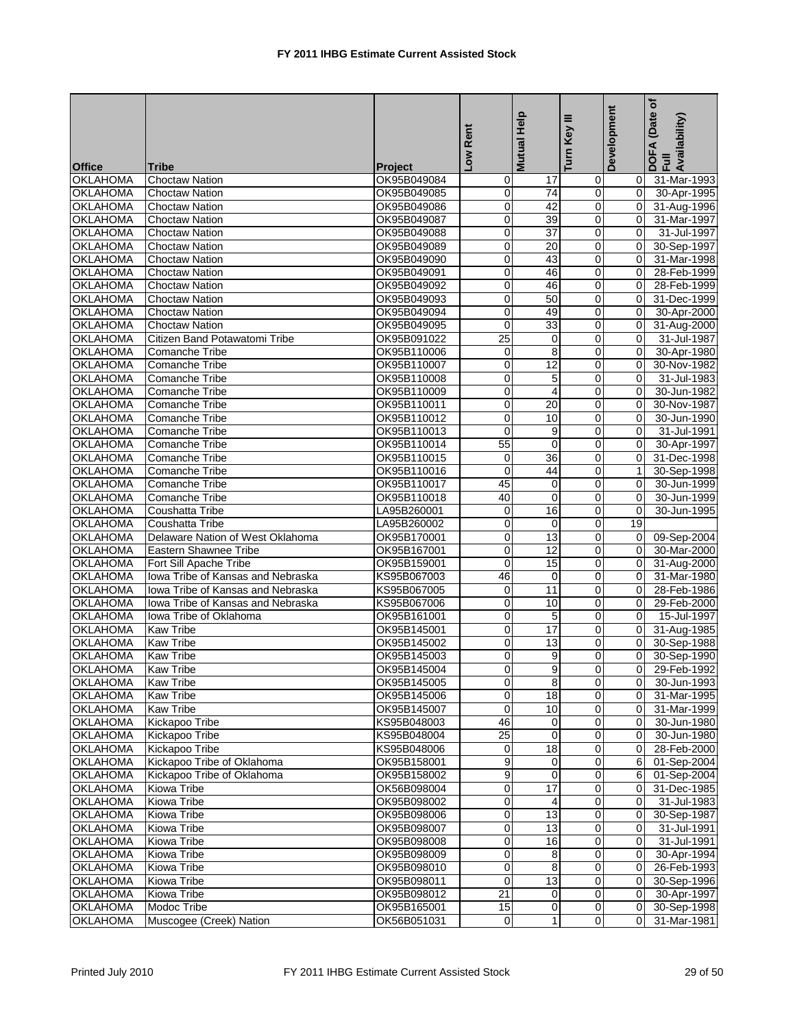|                 |                                   |                | Low Rent        | Mutual Help             | ≡<br>Turn Key  | Development    | Date of<br>DOFA (Date<br>Full<br>Availability) |
|-----------------|-----------------------------------|----------------|-----------------|-------------------------|----------------|----------------|------------------------------------------------|
| <b>Office</b>   | <b>Tribe</b>                      | <b>Project</b> |                 |                         |                |                |                                                |
| <b>OKLAHOMA</b> | <b>Choctaw Nation</b>             | OK95B049084    | 0               | 17                      | $\overline{0}$ | 0              | 31-Mar-1993                                    |
| <b>OKLAHOMA</b> | Choctaw Nation                    | OK95B049085    | 0               | $\overline{74}$         | $\overline{0}$ | $\mathbf 0$    | 30-Apr-1995                                    |
| <b>OKLAHOMA</b> | <b>Choctaw Nation</b>             | OK95B049086    | 0               | 42                      | 0              | $\mathbf 0$    | 31-Aug-1996                                    |
| <b>OKLAHOMA</b> | <b>Choctaw Nation</b>             | OK95B049087    | 0               | 39                      | 0              | 0              | 31-Mar-1997                                    |
| <b>OKLAHOMA</b> | Choctaw Nation                    | OK95B049088    | $\pmb{0}$       | 37                      | $\overline{0}$ | 0              | 31-Jul-1997                                    |
| <b>OKLAHOMA</b> | <b>Choctaw Nation</b>             | OK95B049089    | 0               | 20                      | 0              | $\mathbf 0$    | 30-Sep-1997                                    |
| <b>OKLAHOMA</b> | <b>Choctaw Nation</b>             | OK95B049090    | 0               | 43                      | $\overline{0}$ | $\Omega$       | 31-Mar-1998                                    |
| <b>OKLAHOMA</b> | Choctaw Nation                    | OK95B049091    | $\mathbf 0$     | 46                      | $\overline{0}$ | 0              | 28-Feb-1999                                    |
| <b>OKLAHOMA</b> | <b>Choctaw Nation</b>             | OK95B049092    | $\mathbf 0$     | 46                      | 0              | 0              | 28-Feb-1999                                    |
| <b>OKLAHOMA</b> | <b>Choctaw Nation</b>             | OK95B049093    | $\mathbf 0$     | 50                      | 0              | $\Omega$       | 31-Dec-1999                                    |
| <b>OKLAHOMA</b> | <b>Choctaw Nation</b>             | OK95B049094    | 0               | 49                      | 0              | $\Omega$       | 30-Apr-2000                                    |
| <b>OKLAHOMA</b> | Choctaw Nation                    | OK95B049095    | $\mathbf 0$     | 33                      | $\mathbf 0$    | 0              | 31-Aug-2000                                    |
| <b>OKLAHOMA</b> | Citizen Band Potawatomi Tribe     | OK95B091022    | $\overline{25}$ | $\mathbf 0$             | 0              | $\Omega$       | 31-Jul-1987                                    |
| <b>OKLAHOMA</b> | Comanche Tribe                    | OK95B110006    | 0               | 8                       | 0              | $\overline{0}$ | 30-Apr-1980                                    |
| <b>OKLAHOMA</b> | Comanche Tribe                    | OK95B110007    | $\pmb{0}$       | 12                      | 0              | 0              | 30-Nov-1982                                    |
| <b>OKLAHOMA</b> | Comanche Tribe                    | OK95B110008    | 0               | 5                       | 0              | $\Omega$       | 31-Jul-1983                                    |
| <b>OKLAHOMA</b> | Comanche Tribe                    | OK95B110009    | 0               | $\overline{\mathbf{4}}$ | $\overline{0}$ | $\Omega$       | 30-Jun-1982                                    |
| <b>OKLAHOMA</b> | Comanche Tribe                    | OK95B110011    | $\mathbf 0$     | 20                      | $\overline{0}$ | 0              | 30-Nov-1987                                    |
| <b>OKLAHOMA</b> | Comanche Tribe                    | OK95B110012    | 0               | 10                      | 0              | 0              | 30-Jun-1990                                    |
| <b>OKLAHOMA</b> | Comanche Tribe                    | OK95B110013    | $\mathbf 0$     | 9                       | 0              | $\Omega$       | 31-Jul-1991                                    |
| <b>OKLAHOMA</b> | Comanche Tribe                    | OK95B110014    | 55              | 0                       | 0              | $\Omega$       | 30-Apr-1997                                    |
| <b>OKLAHOMA</b> | Comanche Tribe                    | OK95B110015    | $\mathbf 0$     | 36                      | 0              | 0              | 31-Dec-1998                                    |
| <b>OKLAHOMA</b> | Comanche Tribe                    | OK95B110016    | $\mathbf 0$     | 44                      | 0              | 1              | 30-Sep-1998                                    |
| <b>OKLAHOMA</b> | Comanche Tribe                    | OK95B110017    | 45              | 0                       | 0              | 0              | 30-Jun-1999                                    |
| <b>OKLAHOMA</b> | Comanche Tribe                    | OK95B110018    | 40              | 0                       | $\overline{0}$ | 0              | 30-Jun-1999                                    |
| <b>OKLAHOMA</b> | Coushatta Tribe                   | LA95B260001    | $\mathbf 0$     | 16                      | 0              | $\Omega$       | 30-Jun-1995                                    |
| <b>OKLAHOMA</b> | Coushatta Tribe                   | LA95B260002    | $\mathbf 0$     | $\mathbf 0$             | $\overline{0}$ | 19             |                                                |
| <b>OKLAHOMA</b> | Delaware Nation of West Oklahoma  | OK95B170001    | 0               | 13                      | $\overline{0}$ | 0              | 09-Sep-2004                                    |
| <b>OKLAHOMA</b> | <b>Eastern Shawnee Tribe</b>      | OK95B167001    | 0               | 12                      | 0              | 0              | 30-Mar-2000                                    |
| <b>OKLAHOMA</b> | Fort Sill Apache Tribe            | OK95B159001    | $\mathbf 0$     | 15                      | 0              | $\Omega$       | 31-Aug-2000                                    |
| <b>OKLAHOMA</b> | Iowa Tribe of Kansas and Nebraska | KS95B067003    | 46              | 0                       | 0              | $\Omega$       | 31-Mar-1980                                    |
| <b>OKLAHOMA</b> | Iowa Tribe of Kansas and Nebraska | KS95B067005    | $\pmb{0}$       | 11                      | 0              | $\mathbf 0$    | 28-Feb-1986                                    |
| <b>OKLAHOMA</b> | Iowa Tribe of Kansas and Nebraska | KS95B067006    | 0               | 10                      | 0              | 0              | 29-Feb-2000                                    |
| <b>OKLAHOMA</b> | Iowa Tribe of Oklahoma            | OK95B161001    | 0               | 5                       | 0              | $\overline{0}$ | 15-Jul-1997                                    |
| <b>OKLAHOMA</b> | Kaw Tribe                         | OK95B145001    | $\mathbf 0$     | 17                      | $\overline{0}$ | 0              | 31-Aug-1985                                    |
| <b>OKLAHOMA</b> | <b>Kaw Tribe</b>                  | OK95B145002    | 0               | $\overline{13}$         | 0              | $\Omega$       | 30-Sep-1988                                    |
| <b>OKLAHOMA</b> | <b>Kaw Tribe</b>                  | OK95B145003    | 0               | 9                       | $\overline{0}$ | 0              | 30-Sep-1990                                    |
| <b>OKLAHOMA</b> | <b>Kaw Tribe</b>                  | OK95B145004    | $\overline{0}$  | 9                       | $\overline{0}$ | 0              | 29-Feb-1992                                    |
| <b>OKLAHOMA</b> | <b>Kaw Tribe</b>                  | OK95B145005    | $\mathbf 0$     | 8                       | $\overline{0}$ | 0              | 30-Jun-1993                                    |
| <b>OKLAHOMA</b> | Kaw Tribe                         | OK95B145006    | 0               | 18                      | $\overline{0}$ | 0              | 31-Mar-1995                                    |
| <b>OKLAHOMA</b> | <b>Kaw Tribe</b>                  | OK95B145007    | $\mathbf 0$     | 10                      | $\mathbf 0$    | 0              | 31-Mar-1999                                    |
| <b>OKLAHOMA</b> | Kickapoo Tribe                    | KS95B048003    | 46              | 0                       | $\mathbf 0$    | 0              | 30-Jun-1980                                    |
| <b>OKLAHOMA</b> | Kickapoo Tribe                    | KS95B048004    | $\overline{25}$ | $\mathbf 0$             | 0              | 0              | 30-Jun-1980                                    |
| <b>OKLAHOMA</b> | Kickapoo Tribe                    | KS95B048006    | 0               | 18                      | $\mathbf 0$    | 0              | 28-Feb-2000                                    |
| <b>OKLAHOMA</b> | Kickapoo Tribe of Oklahoma        | OK95B158001    | $\overline{9}$  | 0                       | $\mathbf 0$    | 6              | 01-Sep-2004                                    |
| <b>OKLAHOMA</b> | Kickapoo Tribe of Oklahoma        | OK95B158002    | 9               | $\mathbf 0$             | $\mathbf 0$    | 6              | 01-Sep-2004                                    |
| <b>OKLAHOMA</b> | Kiowa Tribe                       | OK56B098004    | 0               | $\overline{17}$         | $\mathbf 0$    | 0              | 31-Dec-1985                                    |
| <b>OKLAHOMA</b> | Kiowa Tribe                       | OK95B098002    | $\overline{0}$  | 4                       | $\overline{0}$ | $\overline{0}$ | 31-Jul-1983                                    |
|                 |                                   |                |                 |                         |                |                |                                                |
| <b>OKLAHOMA</b> | Kiowa Tribe                       | OK95B098006    | $\pmb{0}$       | 13                      | $\mathbf 0$    | 0              | 30-Sep-1987                                    |
| <b>OKLAHOMA</b> | Kiowa Tribe                       | OK95B098007    | 0               | 13                      | $\mathbf 0$    | $\overline{0}$ | 31-Jul-1991                                    |
| <b>OKLAHOMA</b> | Kiowa Tribe                       | OK95B098008    | $\mathbf 0$     | 16                      | $\overline{0}$ | 0              | 31-Jul-1991                                    |
| <b>OKLAHOMA</b> | Kiowa Tribe                       | OK95B098009    | $\overline{0}$  | 8                       | $\mathbf 0$    | $\mathbf 0$    | 30-Apr-1994                                    |
| <b>OKLAHOMA</b> | Kiowa Tribe                       | OK95B098010    | 0               | 8                       | 0              | 0              | 26-Feb-1993                                    |
| <b>OKLAHOMA</b> | Kiowa Tribe                       | OK95B098011    | $\mathbf 0$     | 13                      | $\mathbf 0$    | $\mathbf 0$    | 30-Sep-1996                                    |
| <b>OKLAHOMA</b> | Kiowa Tribe                       | OK95B098012    | 21              | 0                       | $\overline{0}$ | 0              | 30-Apr-1997                                    |
| <b>OKLAHOMA</b> | Modoc Tribe                       | OK95B165001    | 15              | $\mathbf 0$             | $\overline{0}$ | 0              | 30-Sep-1998                                    |
| <b>OKLAHOMA</b> | Muscogee (Creek) Nation           | OK56B051031    | $\mathbf 0$     | $\mathbf{1}$            | $\overline{0}$ | $\overline{0}$ | 31-Mar-1981                                    |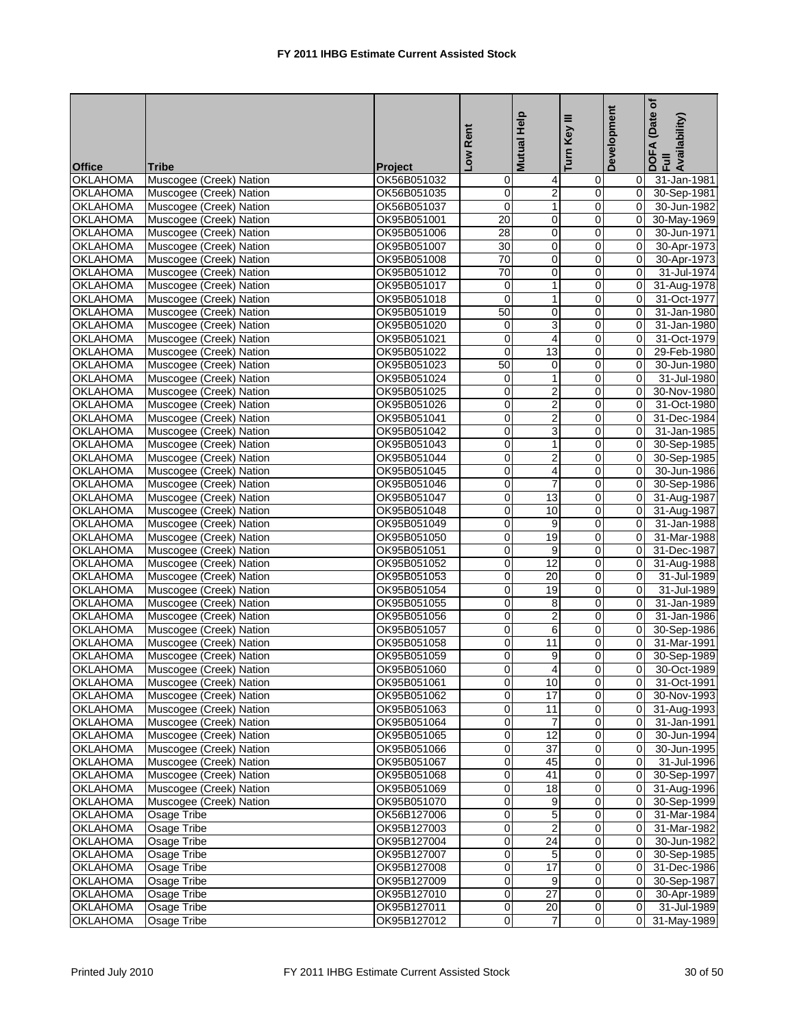| <b>Office</b>   | <b>Tribe</b>            | <b>Project</b> | Low Rent            | <b>Mutual Help</b> | Turn Key III   | Development    | ð<br>(Date<br>DOFA (Date<br>Full<br>Availability) |
|-----------------|-------------------------|----------------|---------------------|--------------------|----------------|----------------|---------------------------------------------------|
| <b>OKLAHOMA</b> | Muscogee (Creek) Nation | OK56B051032    | 0                   | 4                  | $\mathbf 0$    | 0              | 31-Jan-1981                                       |
| <b>OKLAHOMA</b> | Muscogee (Creek) Nation | OK56B051035    | 0                   | $\overline{2}$     | $\overline{0}$ | $\overline{0}$ | 30-Sep-1981                                       |
| <b>OKLAHOMA</b> | Muscogee (Creek) Nation | OK56B051037    | $\overline{0}$      | $\overline{1}$     | $\mathbf 0$    | $\overline{0}$ | 30-Jun-1982                                       |
| <b>OKLAHOMA</b> | Muscogee (Creek) Nation | OK95B051001    | 20                  | 0                  | $\mathbf 0$    | $\overline{0}$ | 30-May-1969                                       |
| <b>OKLAHOMA</b> | Muscogee (Creek) Nation | OK95B051006    | 28                  | 0                  | $\mathbf 0$    | $\overline{0}$ | 30-Jun-1971                                       |
| <b>OKLAHOMA</b> | Muscogee (Creek) Nation | OK95B051007    | 30                  | $\overline{0}$     | $\pmb{0}$      | $\overline{0}$ | 30-Apr-1973                                       |
| <b>OKLAHOMA</b> | Muscogee (Creek) Nation | OK95B051008    | 70                  | $\mathbf 0$        | $\overline{0}$ | $\overline{0}$ | 30-Apr-1973                                       |
| <b>OKLAHOMA</b> | Muscogee (Creek) Nation | OK95B051012    | $\overline{70}$     | $\mathbf 0$        | $\mathbf 0$    | $\overline{0}$ | 31-Jul-1974                                       |
| <b>OKLAHOMA</b> | Muscogee (Creek) Nation | OK95B051017    | 0                   | $\mathbf 1$        | $\pmb{0}$      | $\overline{0}$ | 31-Aug-1978                                       |
| <b>OKLAHOMA</b> | Muscogee (Creek) Nation | OK95B051018    | 0                   | $\mathbf{1}$       | $\mathbf 0$    | $\overline{0}$ | 31-Oct-1977                                       |
| <b>OKLAHOMA</b> | Muscogee (Creek) Nation | OK95B051019    | 50                  | 0                  | $\mathbf 0$    | $\overline{0}$ | 31-Jan-1980                                       |
| <b>OKLAHOMA</b> | Muscogee (Creek) Nation | OK95B051020    | 0                   | 3                  | $\mathbf 0$    | $\overline{0}$ | 31-Jan-1980                                       |
| <b>OKLAHOMA</b> | Muscogee (Creek) Nation | OK95B051021    | 0                   | 4                  | $\mathbf 0$    | $\overline{0}$ | 31-Oct-1979                                       |
| <b>OKLAHOMA</b> | Muscogee (Creek) Nation | OK95B051022    | 0                   | 13                 | $\mathbf 0$    | 0              | 29-Feb-1980                                       |
| <b>OKLAHOMA</b> | Muscogee (Creek) Nation | OK95B051023    | 50                  | 0                  | $\mathbf 0$    | $\overline{0}$ | 30-Jun-1980                                       |
| <b>OKLAHOMA</b> | Muscogee (Creek) Nation | OK95B051024    | 0                   | $\mathbf 1$        | $\pmb{0}$      | $\overline{0}$ | 31-Jul-1980                                       |
| <b>OKLAHOMA</b> | Muscogee (Creek) Nation | OK95B051025    | 0                   | $\overline{2}$     | $\mathbf 0$    | $\overline{0}$ | 30-Nov-1980                                       |
| <b>OKLAHOMA</b> | Muscogee (Creek) Nation | OK95B051026    | 0                   | $\overline{2}$     | $\mathbf 0$    | 0              | 31-Oct-1980                                       |
| <b>OKLAHOMA</b> | Muscogee (Creek) Nation | OK95B051041    | 0                   | $\overline{2}$     | $\pmb{0}$      | $\overline{0}$ | 31-Dec-1984                                       |
| <b>OKLAHOMA</b> | Muscogee (Creek) Nation | OK95B051042    | 0                   | 3                  | $\mathbf 0$    | $\overline{0}$ | 31-Jan-1985                                       |
| <b>OKLAHOMA</b> | Muscogee (Creek) Nation | OK95B051043    | 0                   | 1                  | $\mathbf 0$    | $\overline{0}$ | 30-Sep-1985                                       |
| OKLAHOMA        | Muscogee (Creek) Nation | OK95B051044    | 0                   | $\overline{2}$     | $\mathbf 0$    | $\overline{0}$ | 30-Sep-1985                                       |
| <b>OKLAHOMA</b> | Muscogee (Creek) Nation | OK95B051045    | 0                   | $\overline{4}$     | $\mathbf 0$    | $\overline{0}$ | 30-Jun-1986                                       |
| <b>OKLAHOMA</b> | Muscogee (Creek) Nation | OK95B051046    | 0                   | $\overline{7}$     | $\mathbf 0$    | 0              | 30-Sep-1986                                       |
| <b>OKLAHOMA</b> | Muscogee (Creek) Nation | OK95B051047    | 0                   | 13                 | $\mathbf 0$    | $\overline{0}$ | 31-Aug-1987                                       |
| <b>OKLAHOMA</b> | Muscogee (Creek) Nation | OK95B051048    | 0                   | 10                 | $\pmb{0}$      | $\overline{0}$ | 31-Aug-1987                                       |
| <b>OKLAHOMA</b> | Muscogee (Creek) Nation | OK95B051049    | 0                   | 9                  | $\overline{0}$ | $\overline{0}$ | 31-Jan-1988                                       |
| <b>OKLAHOMA</b> | Muscogee (Creek) Nation | OK95B051050    | 0                   | 19                 | $\mathbf 0$    | 0              | 31-Mar-1988                                       |
| OKLAHOMA        | Muscogee (Creek) Nation | OK95B051051    | 0                   | 9                  | $\pmb{0}$      | 0              | 31-Dec-1987                                       |
| <b>OKLAHOMA</b> | Muscogee (Creek) Nation | OK95B051052    | 0                   | 12                 | $\mathbf 0$    | $\overline{0}$ | 31-Aug-1988                                       |
| <b>OKLAHOMA</b> | Muscogee (Creek) Nation | OK95B051053    | 0                   | 20                 | $\mathbf 0$    | $\overline{0}$ | 31-Jul-1989                                       |
| <b>OKLAHOMA</b> | Muscogee (Creek) Nation | OK95B051054    | 0                   | 19                 | $\overline{0}$ | $\overline{0}$ | 31-Jul-1989                                       |
| <b>OKLAHOMA</b> | Muscogee (Creek) Nation | OK95B051055    | 0                   | 8                  | $\overline{0}$ | $\overline{0}$ | 31-Jan-1989                                       |
| <b>OKLAHOMA</b> | Muscogee (Creek) Nation | OK95B051056    | 0                   | $\overline{2}$     | $\mathbf 0$    | 0              | 31-Jan-1986                                       |
| <b>OKLAHOMA</b> | Muscogee (Creek) Nation | OK95B051057    | 0                   | 6                  | $\mathbf 0$    | $\overline{0}$ | 30-Sep-1986                                       |
| <b>OKLAHOMA</b> | Muscogee (Creek) Nation | OK95B051058    | $\mathsf{O}\xspace$ | 11                 | $\pmb{0}$      | $\pmb{0}$      | 31-Mar-1991                                       |
| <b>OKLAHOMA</b> | Muscogee (Creek) Nation | OK95B051059    | 0                   | 9                  | $\overline{0}$ | 0              | 30-Sep-1989                                       |
| <b>OKLAHOMA</b> | Muscogee (Creek) Nation | OK95B051060    | $\overline{0}$      | $\overline{4}$     | $\overline{0}$ | $\overline{0}$ | 30-Oct-1989                                       |
| <b>OKLAHOMA</b> | Muscogee (Creek) Nation | OK95B051061    | 0                   | 10                 | $\pmb{0}$      | 0              | 31-Oct-1991                                       |
| <b>OKLAHOMA</b> | Muscogee (Creek) Nation | OK95B051062    | 0                   | 17                 | $\pmb{0}$      | $\overline{0}$ | 30-Nov-1993                                       |
| <b>OKLAHOMA</b> | Muscogee (Creek) Nation | OK95B051063    | 0                   | 11                 | $\mathbf 0$    | $\overline{0}$ | 31-Aug-1993                                       |
| <b>OKLAHOMA</b> | Muscogee (Creek) Nation | OK95B051064    | 0                   | $\overline{7}$     | $\overline{0}$ | $\overline{0}$ | 31-Jan-1991                                       |
| <b>OKLAHOMA</b> | Muscogee (Creek) Nation | OK95B051065    | 0                   | $\overline{12}$    | $\mathbf 0$    | 0              | 30-Jun-1994                                       |
| <b>OKLAHOMA</b> | Muscogee (Creek) Nation | OK95B051066    | 0                   | 37                 | $\mathbf 0$    | 0              | 30-Jun-1995                                       |
| <b>OKLAHOMA</b> | Muscogee (Creek) Nation | OK95B051067    | 0                   | 45                 | $\pmb{0}$      | $\overline{0}$ | 31-Jul-1996                                       |
| <b>OKLAHOMA</b> | Muscogee (Creek) Nation | OK95B051068    | $\overline{0}$      | 41                 | $\pmb{0}$      | $\overline{0}$ | 30-Sep-1997                                       |
| <b>OKLAHOMA</b> | Muscogee (Creek) Nation | OK95B051069    | 0                   | 18                 | $\mathbf 0$    | $\overline{0}$ | 31-Aug-1996                                       |
| <b>OKLAHOMA</b> | Muscogee (Creek) Nation | OK95B051070    | 0                   | 9                  | $\mathbf 0$    | 0              | 30-Sep-1999                                       |
| <b>OKLAHOMA</b> | Osage Tribe             | OK56B127006    | $\overline{0}$      | $\overline{5}$     | $\pmb{0}$      | $\overline{0}$ | 31-Mar-1984                                       |
| <b>OKLAHOMA</b> | <b>Osage Tribe</b>      | OK95B127003    | 0                   | $\overline{2}$     | $\mathbf 0$    | $\overline{0}$ | 31-Mar-1982                                       |
| <b>OKLAHOMA</b> | Osage Tribe             | OK95B127004    | 0                   | $\overline{24}$    | $\pmb{0}$      | 0              | 30-Jun-1982                                       |
| OKLAHOMA        | Osage Tribe             | OK95B127007    | 0                   | $\sqrt{5}$         | $\pmb{0}$      | $\overline{0}$ | 30-Sep-1985                                       |
| <b>OKLAHOMA</b> | <b>Osage Tribe</b>      | OK95B127008    | 0                   | $\overline{17}$    | $\mathbf 0$    | 0              | 31-Dec-1986                                       |
| <b>OKLAHOMA</b> | Osage Tribe             | OK95B127009    | 0                   | 9                  | $\mathbf 0$    | 0              | 30-Sep-1987                                       |
| <b>OKLAHOMA</b> | Osage Tribe             | OK95B127010    | 0                   | 27                 | $\mathbf 0$    | $\overline{0}$ | 30-Apr-1989                                       |
| <b>OKLAHOMA</b> | Osage Tribe             | OK95B127011    | 0                   | 20                 | $\overline{0}$ | $\overline{0}$ | 31-Jul-1989                                       |
| <b>OKLAHOMA</b> | <b>Osage Tribe</b>      | OK95B127012    | 0                   | $\overline{7}$     | $\overline{0}$ | $\overline{0}$ | 31-May-1989                                       |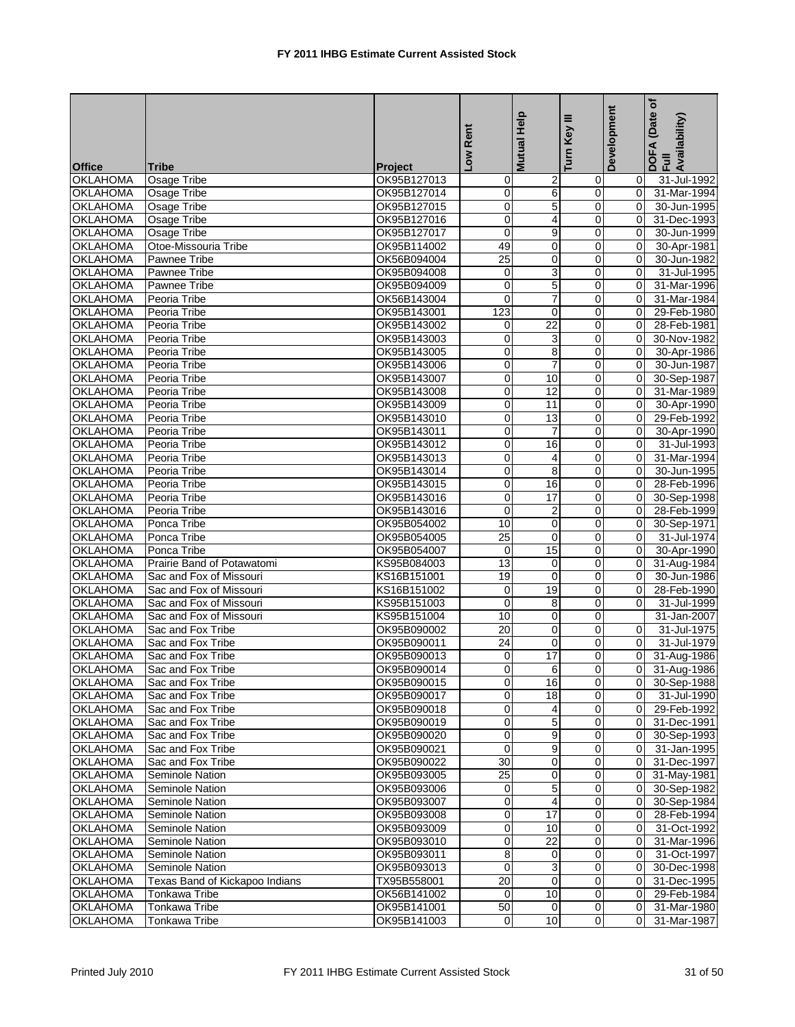| <b>Office</b>   | Tribe                          | Project     | Low Rent        | <b>Mutual Help</b> | Ξ<br>Turn Key    | Development    | ð<br>(Date<br>DOFA (Date<br>Full<br>Availability) |
|-----------------|--------------------------------|-------------|-----------------|--------------------|------------------|----------------|---------------------------------------------------|
| <b>OKLAHOMA</b> | Osage Tribe                    | OK95B127013 | 0               | $\overline{c}$     | $\mathbf 0$      | $\overline{0}$ | 31-Jul-1992                                       |
| <b>OKLAHOMA</b> | Osage Tribe                    | OK95B127014 | 0               | 6                  | $\overline{0}$   | 0              | 31-Mar-1994                                       |
| <b>OKLAHOMA</b> | Osage Tribe                    | OK95B127015 | $\overline{0}$  | $\overline{5}$     | $\mathbf 0$      | 0              | 30-Jun-1995                                       |
| <b>OKLAHOMA</b> | Osage Tribe                    | OK95B127016 | $\overline{0}$  | 4                  | $\mathbf 0$      | 0              | 31-Dec-1993                                       |
| <b>OKLAHOMA</b> | Osage Tribe                    | OK95B127017 | 0               | 9                  | $\pmb{0}$        | 0              | 30-Jun-1999                                       |
| <b>OKLAHOMA</b> | Otoe-Missouria Tribe           | OK95B114002 | 49              | $\mathbf 0$        | $\mathbf 0$      | $\mathbf 0$    | 30-Apr-1981                                       |
| <b>OKLAHOMA</b> | Pawnee Tribe                   | OK56B094004 | 25              | 0                  | $\mathbf 0$      | 0              | 30-Jun-1982                                       |
| <b>OKLAHOMA</b> | Pawnee Tribe                   | OK95B094008 | 0               | 3                  | $\mathbf 0$      | 0              | 31-Jul-1995                                       |
| <b>OKLAHOMA</b> | Pawnee Tribe                   | OK95B094009 | 0               | $\overline{5}$     | $\pmb{0}$        | 0              | 31-Mar-1996                                       |
| <b>OKLAHOMA</b> | Peoria Tribe                   | OK56B143004 | $\overline{0}$  | $\overline{7}$     | $\pmb{0}$        | 0              | 31-Mar-1984                                       |
| <b>OKLAHOMA</b> | Peoria Tribe                   | OK95B143001 | 123             | $\mathbf 0$        | 0                | 0              | 29-Feb-1980                                       |
| <b>OKLAHOMA</b> | Peoria Tribe                   | OK95B143002 | 0               | $\overline{22}$    | $\mathbf 0$      | 0              | 28-Feb-1981                                       |
| <b>OKLAHOMA</b> | Peoria Tribe                   | OK95B143003 | 0               | 3                  | $\mathbf 0$      | $\overline{0}$ | 30-Nov-1982                                       |
| <b>OKLAHOMA</b> | Peoria Tribe                   | OK95B143005 | 0               | 8                  | $\mathbf 0$      | 0              | 30-Apr-1986                                       |
| <b>OKLAHOMA</b> | Peoria Tribe                   | OK95B143006 | 0               | $\overline{7}$     | $\pmb{0}$        | $\overline{0}$ | 30-Jun-1987                                       |
| <b>OKLAHOMA</b> | Peoria Tribe                   | OK95B143007 | 0               | 10                 | $\boldsymbol{0}$ | $\overline{0}$ | 30-Sep-1987                                       |
| <b>OKLAHOMA</b> | Peoria Tribe                   | OK95B143008 | 0               | 12                 | $\mathbf 0$      | 0              | 31-Mar-1989                                       |
| <b>OKLAHOMA</b> | Peoria Tribe                   | OK95B143009 | 0               | 11                 | $\mathbf 0$      | 0              | 30-Apr-1990                                       |
| <b>OKLAHOMA</b> | Peoria Tribe                   | OK95B143010 | 0               | 13                 | $\mathbf 0$      | 0              | 29-Feb-1992                                       |
| <b>OKLAHOMA</b> | Peoria Tribe                   |             | 0               |                    |                  | $\overline{0}$ |                                                   |
|                 |                                | OK95B143011 |                 | $\overline{7}$     | $\pmb{0}$        |                | 30-Apr-1990                                       |
| <b>OKLAHOMA</b> | Peoria Tribe                   | OK95B143012 | 0               | 16                 | 0                | 0              | 31-Jul-1993                                       |
| <b>OKLAHOMA</b> | Peoria Tribe                   | OK95B143013 | 0               | 4                  | $\pmb{0}$        | 0              | 31-Mar-1994                                       |
| <b>OKLAHOMA</b> | Peoria Tribe                   | OK95B143014 | $\overline{0}$  | 8                  | $\mathbf 0$      | 0              | 30-Jun-1995                                       |
| <b>OKLAHOMA</b> | Peoria Tribe                   | OK95B143015 | 0               | 16                 | $\mathbf 0$      | 0              | 28-Feb-1996                                       |
| <b>OKLAHOMA</b> | Peoria Tribe                   | OK95B143016 | 0               | 17                 | $\pmb{0}$        | 0              | 30-Sep-1998                                       |
| <b>OKLAHOMA</b> | Peoria Tribe                   | OK95B143016 | $\mathbf 0$     | $\overline{2}$     | $\mathbf 0$      | $\overline{0}$ | 28-Feb-1999                                       |
| <b>OKLAHOMA</b> | Ponca Tribe                    | OK95B054002 | 10              | $\mathbf 0$        | $\mathbf 0$      | 0              | 30-Sep-1971                                       |
| <b>OKLAHOMA</b> | Ponca Tribe                    | OK95B054005 | $\overline{25}$ | $\mathbf 0$        | $\mathbf 0$      | $\overline{0}$ | 31-Jul-1974                                       |
| <b>OKLAHOMA</b> | Ponca Tribe                    | OK95B054007 | 0               | 15                 | $\boldsymbol{0}$ | 0              | 30-Apr-1990                                       |
| <b>OKLAHOMA</b> | Prairie Band of Potawatomi     | KS95B084003 | 13              | 0                  | $\mathbf 0$      | 0              | 31-Aug-1984                                       |
| <b>OKLAHOMA</b> | Sac and Fox of Missouri        | KS16B151001 | 19              | $\mathbf 0$        | 0                | 0              | 30-Jun-1986                                       |
| <b>OKLAHOMA</b> | Sac and Fox of Missouri        | KS16B151002 | 0               | $\overline{19}$    | $\mathbf 0$      | 0              | 28-Feb-1990                                       |
| <b>OKLAHOMA</b> | Sac and Fox of Missouri        | KS95B151003 | 0               | 8                  | $\mathbf 0$      | $\overline{0}$ | 31-Jul-1999                                       |
| <b>OKLAHOMA</b> | Sac and Fox of Missouri        | KS95B151004 | 10              | 0                  | $\mathbf 0$      |                | 31-Jan-2007                                       |
| OKLAHOMA        | Sac and Fox Tribe              | OK95B090002 | $\overline{20}$ | $\mathbf 0$        | $\mathbf 0$      | 0              | 31-Jul-1975                                       |
| <b>OKLAHOMA</b> | Sac and Fox Tribe              | OK95B090011 | $\overline{24}$ | $\Omega$           | $\mathbf 0$      | $\Omega$       | 31-Jul-1979                                       |
| <b>OKLAHOMA</b> | Sac and Fox Tribe              | OK95B090013 | 0               | 17                 | $\mathbf 0$      | 0              | 31-Aug-1986                                       |
| <b>OKLAHOMA</b> | Sac and Fox Tribe              | OK95B090014 | Ō               | 6                  | $\overline{0}$   | $\overline{0}$ | 31-Aug-1986                                       |
| <b>OKLAHOMA</b> | Sac and Fox Tribe              | OK95B090015 | 0               | 16                 | $\overline{0}$   | 0              | 30-Sep-1988                                       |
| <b>OKLAHOMA</b> | Sac and Fox Tribe              | OK95B090017 | 0               | 18                 | $\mathbf 0$      | $\overline{0}$ | 31-Jul-1990                                       |
| <b>OKLAHOMA</b> | Sac and Fox Tribe              | OK95B090018 | 0               | 4                  | $\mathbf 0$      | $\overline{0}$ | 29-Feb-1992                                       |
| <b>OKLAHOMA</b> | Sac and Fox Tribe              | OK95B090019 | 0               | $\overline{5}$     | $\mathbf 0$      | $\overline{0}$ | 31-Dec-1991                                       |
| <b>OKLAHOMA</b> | Sac and Fox Tribe              | OK95B090020 | 0               | $\overline{9}$     | $\mathbf 0$      | $\overline{0}$ | 30-Sep-1993                                       |
| <b>OKLAHOMA</b> | Sac and Fox Tribe              | OK95B090021 | 0               | 9                  | $\mathbf 0$      | 0              | 31-Jan-1995                                       |
| <b>OKLAHOMA</b> | Sac and Fox Tribe              | OK95B090022 | $\overline{30}$ | $\mathbf 0$        | $\overline{0}$   | $\overline{0}$ | 31-Dec-1997                                       |
| <b>OKLAHOMA</b> | Seminole Nation                | OK95B093005 | $\overline{25}$ | 0                  | $\mathbf 0$      | 0              | 31-May-1981                                       |
| <b>OKLAHOMA</b> | Seminole Nation                | OK95B093006 | 0               | 5                  | $\mathbf 0$      | $\overline{0}$ | 30-Sep-1982                                       |
| <b>OKLAHOMA</b> | Seminole Nation                | OK95B093007 | 0               | 4                  | $\mathbf 0$      | $\overline{0}$ | 30-Sep-1984                                       |
| <b>OKLAHOMA</b> | Seminole Nation                | OK95B093008 | 0               | 17                 | $\mathbf 0$      | 0              | 28-Feb-1994                                       |
| <b>OKLAHOMA</b> | Seminole Nation                | OK95B093009 | 0               | 10                 | $\mathbf 0$      | $\overline{0}$ | 31-Oct-1992                                       |
| <b>OKLAHOMA</b> | Seminole Nation                | OK95B093010 | 0               | 22                 | 0                | 0              | 31-Mar-1996                                       |
| <b>OKLAHOMA</b> | Seminole Nation                | OK95B093011 | 8               | $\mathbf 0$        | $\pmb{0}$        | $\overline{0}$ | 31-Oct-1997                                       |
| <b>OKLAHOMA</b> | <b>Seminole Nation</b>         | OK95B093013 | 0               | 3                  | $\mathbf 0$      | $\overline{0}$ | 30-Dec-1998                                       |
| <b>OKLAHOMA</b> | Texas Band of Kickapoo Indians | TX95B558001 | $\overline{20}$ | 0                  | $\mathbf 0$      | 0              | 31-Dec-1995                                       |
| <b>OKLAHOMA</b> | Tonkawa Tribe                  | OK56B141002 | $\mathbf 0$     | 10                 | $\overline{0}$   | $\overline{0}$ | 29-Feb-1984                                       |
| <b>OKLAHOMA</b> | Tonkawa Tribe                  | OK95B141001 | 50              | $\mathbf 0$        | $\mathbf 0$      | 0              | 31-Mar-1980                                       |
| <b>OKLAHOMA</b> | Tonkawa Tribe                  | OK95B141003 | $\overline{0}$  | 10                 | $\overline{0}$   | $\overline{0}$ | 31-Mar-1987                                       |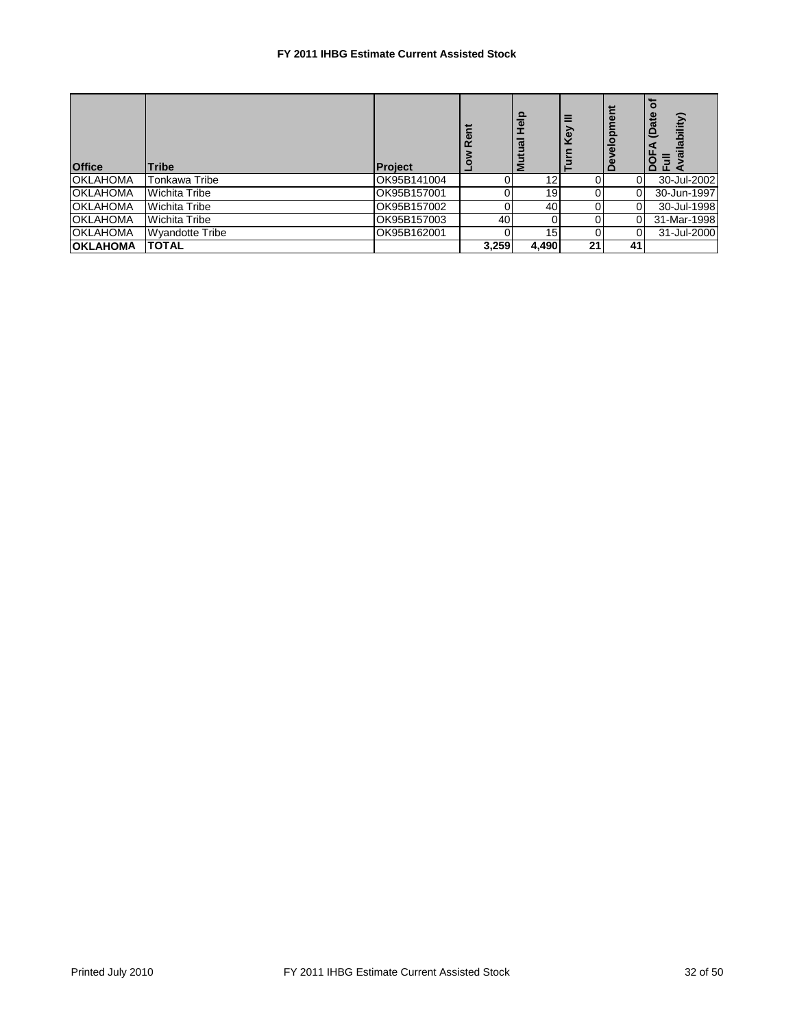| <b>Office</b>   | <b>Tribe</b>           | <b>Project</b> | Rent<br>ō | Help<br><u>nai</u><br>Σ | δ  | velopr | ailability)<br>ದ<br>$\mathbf{P}$<br>$\circ$<br>$\Box$ $\Box$ $\triangle$ |
|-----------------|------------------------|----------------|-----------|-------------------------|----|--------|--------------------------------------------------------------------------|
| <b>OKLAHOMA</b> | Tonkawa Tribe          | OK95B141004    | 0         | 12                      |    |        | 30-Jul-2002                                                              |
| <b>OKLAHOMA</b> | Wichita Tribe          | OK95B157001    | 0         | 19                      |    |        | 30-Jun-1997                                                              |
| <b>OKLAHOMA</b> | Wichita Tribe          | OK95B157002    | 0         | 40                      |    |        | 30-Jul-1998                                                              |
| <b>OKLAHOMA</b> | Wichita Tribe          | OK95B157003    | 40        | 0                       |    |        | 31-Mar-1998                                                              |
| <b>OKLAHOMA</b> | <b>Wyandotte Tribe</b> | OK95B162001    | 0         | 15                      |    |        | 31-Jul-2000                                                              |
| <b>OKLAHOMA</b> | <b>TOTAL</b>           |                | 3,259     | 4,490                   | 21 | 41     |                                                                          |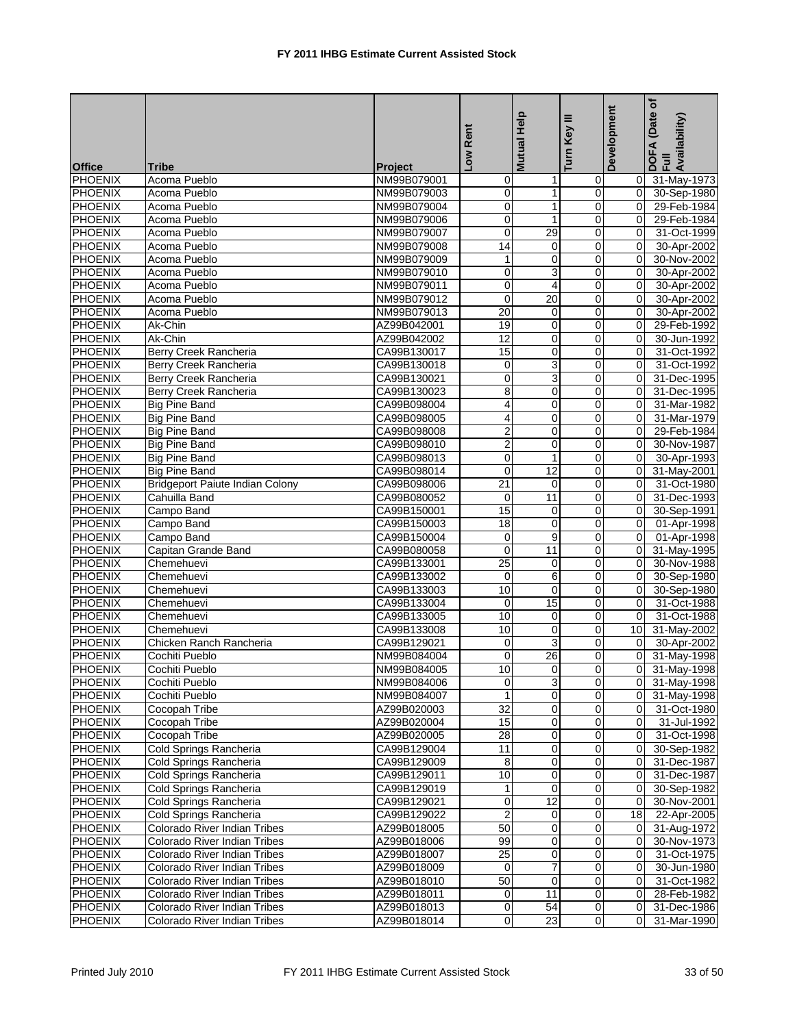|                                  |                                        |                            | Low Rent         | Mutual Help       | ≡<br>Turn Key           | Development                | (Date of<br>DOFA (Date<br>Full<br>Availability) |
|----------------------------------|----------------------------------------|----------------------------|------------------|-------------------|-------------------------|----------------------------|-------------------------------------------------|
|                                  |                                        |                            |                  |                   |                         |                            |                                                 |
| <b>Office</b>                    | <b>Tribe</b>                           | <b>Project</b>             |                  |                   |                         |                            |                                                 |
| <b>PHOENIX</b>                   | Acoma Pueblo                           | NM99B079001                | 0                | 1                 | 0                       | 0                          | 31-May-1973                                     |
| <b>PHOENIX</b><br><b>PHOENIX</b> | Acoma Pueblo<br>Acoma Pueblo           | NM99B079003                | 0<br>$\mathbf 0$ | $\mathbf{1}$<br>1 | 0<br>0                  | $\mathbf 0$<br>$\mathbf 0$ | 30-Sep-1980                                     |
| <b>PHOENIX</b>                   | Acoma Pueblo                           | NM99B079004<br>NM99B079006 | $\mathbf 0$      | $\mathbf{1}$      | $\mathbf 0$             | 0                          | 29-Feb-1984                                     |
| <b>PHOENIX</b>                   | Acoma Pueblo                           |                            | $\overline{0}$   | 29                | 0                       | $\mathbf 0$                | 29-Feb-1984                                     |
| <b>PHOENIX</b>                   | Acoma Pueblo                           | NM99B079007<br>NM99B079008 | 14               | $\mathbf 0$       | 0                       | 0                          | 31-Oct-1999<br>30-Apr-2002                      |
| <b>PHOENIX</b>                   | Acoma Pueblo                           | NM99B079009                | 1                | 0                 | 0                       | 0                          | 30-Nov-2002                                     |
| <b>PHOENIX</b>                   | Acoma Pueblo                           | NM99B079010                | 0                | 3                 | 0                       | $\mathbf 0$                | 30-Apr-2002                                     |
| <b>PHOENIX</b>                   | Acoma Pueblo                           | NM99B079011                | 0                | $\overline{4}$    | 0                       | 0                          | 30-Apr-2002                                     |
| <b>PHOENIX</b>                   | Acoma Pueblo                           | NM99B079012                | $\mathbf 0$      | $\overline{20}$   | $\mathbf 0$             | $\Omega$                   | 30-Apr-2002                                     |
| <b>PHOENIX</b>                   | Acoma Pueblo                           | NM99B079013                | 20               | 0                 | $\mathbf 0$             | 0                          | 30-Apr-2002                                     |
| <b>PHOENIX</b>                   | Ak-Chin                                | AZ99B042001                | 19               | 0                 | 0                       | 0                          | 29-Feb-1992                                     |
| <b>PHOENIX</b>                   | Ak-Chin                                | AZ99B042002                | 12               | $\mathbf 0$       | 0                       | $\Omega$                   | 30-Jun-1992                                     |
| <b>PHOENIX</b>                   | Berry Creek Rancheria                  | CA99B130017                | 15               | $\mathbf 0$       | 0                       | 0                          | 31-Oct-1992                                     |
| <b>PHOENIX</b>                   | Berry Creek Rancheria                  | CA99B130018                | 0                | $\overline{3}$    | $\mathbf 0$             | $\mathbf 0$                | 31-Oct-1992                                     |
| <b>PHOENIX</b>                   | Berry Creek Rancheria                  | CA99B130021                | $\mathbf 0$      | 3                 | 0                       | 0                          | 31-Dec-1995                                     |
| <b>PHOENIX</b>                   | <b>Berry Creek Rancheria</b>           | CA99B130023                | 8                | 0                 | 0                       | 0                          | 31-Dec-1995                                     |
| <b>PHOENIX</b>                   | <b>Big Pine Band</b>                   | CA99B098004                | 4                | 0                 | 0                       | 0                          | 31-Mar-1982                                     |
| <b>PHOENIX</b>                   | <b>Big Pine Band</b>                   | CA99B098005                | 4                | $\mathbf 0$       | 0                       | 0                          | 31-Mar-1979                                     |
| <b>PHOENIX</b>                   | <b>Big Pine Band</b>                   | CA99B098008                | $\overline{2}$   | 0                 | $\mathbf 0$             | $\Omega$                   | 29-Feb-1984                                     |
| <b>PHOENIX</b>                   | <b>Big Pine Band</b>                   | CA99B098010                | $\overline{2}$   | 0                 | 0                       | $\Omega$                   | 30-Nov-1987                                     |
| <b>PHOENIX</b>                   | <b>Big Pine Band</b>                   | CA99B098013                | $\pmb{0}$        | $\mathbf{1}$      | 0                       | 0                          | 30-Apr-1993                                     |
| <b>PHOENIX</b>                   | <b>Big Pine Band</b>                   | CA99B098014                | $\mathbf 0$      | $\overline{12}$   | 0                       | 0                          | 31-May-2001                                     |
| <b>PHOENIX</b>                   | <b>Bridgeport Paiute Indian Colony</b> | CA99B098006                | 21               | $\mathbf 0$       | $\mathbf 0$             | 0                          | 31-Oct-1980                                     |
| <b>PHOENIX</b>                   | Cahuilla Band                          | CA99B080052                | $\mathbf 0$      | 11                | $\mathbf 0$             | 0                          | 31-Dec-1993                                     |
| <b>PHOENIX</b>                   | Campo Band                             | CA99B150001                | 15               | 0                 | 0                       | 0                          | 30-Sep-1991                                     |
| <b>PHOENIX</b>                   | Campo Band                             | CA99B150003                | 18               | 0                 | 0                       | $\Omega$                   | 01-Apr-1998                                     |
| <b>PHOENIX</b>                   | Campo Band                             | CA99B150004                | 0                | 9                 | 0                       | $\mathbf 0$                | 01-Apr-1998                                     |
| <b>PHOENIX</b>                   | Capitan Grande Band                    | CA99B080058                | $\mathbf 0$      | 11                | 0                       | 0                          | 31-May-1995                                     |
| <b>PHOENIX</b>                   | Chemehuevi                             | CA99B133001                | $\overline{25}$  | $\pmb{0}$         | $\mathbf 0$             | $\Omega$                   | 30-Nov-1988                                     |
| <b>PHOENIX</b>                   | Chemehuevi                             | CA99B133002                | $\mathbf 0$      | 6                 | 0                       | $\mathbf 0$                | 30-Sep-1980                                     |
| <b>PHOENIX</b>                   | Chemehuevi                             | CA99B133003                | 10               | 0                 | 0                       | 0                          | 30-Sep-1980                                     |
| <b>PHOENIX</b>                   | Chemehuevi                             | CA99B133004                | $\mathbf 0$      | 15                | 0                       | $\Omega$                   | 31-Oct-1988                                     |
| <b>PHOENIX</b>                   | Chemehuevi                             | CA99B133005                | 10               | 0                 | 0                       | $\Omega$                   | 31-Oct-1988                                     |
| <b>PHOENIX</b>                   | Chemehuevi                             | CA99B133008                | 10               | 0                 | $\mathbf 0$             | 10                         | 31-May-2002                                     |
| <b>PHOENIX</b>                   | Chicken Ranch Rancheria                | CA99B129021                | $\mathbf 0$      | 3                 | 0                       | $\Omega$                   | 30-Apr-2002                                     |
| <b>PHOENIX</b>                   | Cochiti Pueblo                         | NM99B084004                | 0                | 26                | 0                       | $\Omega$                   | 31-May-1998                                     |
| PHOENIX                          | Cochiti Pueblo                         | NM99B084005                | $\overline{10}$  | $\Omega$          | $\overline{0}$          | $\overline{0}$             | 31-May-1998                                     |
| PHOENIX                          | Cochiti Pueblo                         | NM99B084006                | $\overline{0}$   | 3                 | $\overline{\mathbf{0}}$ | 0                          | 31-May-1998                                     |
| <b>PHOENIX</b>                   | Cochiti Pueblo                         | NM99B084007                | $\mathbf{1}$     | $\mathbf 0$       | $\pmb{0}$               | $\mathbf 0$                | 31-May-1998                                     |
| <b>PHOENIX</b>                   | Cocopah Tribe                          | AZ99B020003                | 32               | 0                 | 0                       | $\mathbf 0$                | 31-Oct-1980                                     |
| <b>PHOENIX</b>                   | Cocopah Tribe                          | AZ99B020004                | 15               | $\mathbf 0$       | $\mathbf 0$             | 0                          | 31-Jul-1992                                     |
| PHOENIX                          | <b>Cocopah Tribe</b>                   | AZ99B020005                | $\overline{28}$  | 0                 | 0                       | $\mathbf 0$                | 31-Oct-1998                                     |
| <b>PHOENIX</b>                   | Cold Springs Rancheria                 | CA99B129004                | 11               | $\mathbf 0$       | 0                       | 0                          | 30-Sep-1982                                     |
| <b>PHOENIX</b>                   | Cold Springs Rancheria                 | CA99B129009                | 8                | 0                 | 0                       | 0                          | 31-Dec-1987                                     |
| <b>PHOENIX</b>                   | Cold Springs Rancheria                 | CA99B129011                | 10               | 0                 | $\mathbf 0$             | 0                          | 31-Dec-1987                                     |
| <b>PHOENIX</b>                   | Cold Springs Rancheria                 | CA99B129019                | 1                | 0                 | 0                       | $\mathbf 0$                | 30-Sep-1982                                     |
| <b>PHOENIX</b>                   | Cold Springs Rancheria                 | CA99B129021                | $\mathbf 0$      | 12                | 0                       | $\mathbf 0$                | 30-Nov-2001                                     |
| <b>PHOENIX</b>                   | Cold Springs Rancheria                 | CA99B129022                | $\overline{2}$   | 0                 | 0                       | 18                         | 22-Apr-2005                                     |
| <b>PHOENIX</b>                   | Colorado River Indian Tribes           | AZ99B018005                | 50               | 0                 | 0                       | 0                          | 31-Aug-1972                                     |
| PHOENIX                          | Colorado River Indian Tribes           | AZ99B018006                | 99               | 0                 | 0                       | 0                          | 30-Nov-1973                                     |
| <b>PHOENIX</b>                   | Colorado River Indian Tribes           | AZ99B018007                | $\overline{25}$  | 0                 | $\mathbf 0$             | 0                          | 31-Oct-1975                                     |
| <b>PHOENIX</b>                   | Colorado River Indian Tribes           | AZ99B018009                | $\mathbf 0$      | $\overline{7}$    | 0                       | 0                          | 30-Jun-1980                                     |
| <b>PHOENIX</b>                   | Colorado River Indian Tribes           | AZ99B018010                | 50               | $\boldsymbol{0}$  | 0                       | 0                          | 31-Oct-1982                                     |
| <b>PHOENIX</b>                   | Colorado River Indian Tribes           | AZ99B018011                | 0                | 11                | $\pmb{0}$               | 0                          | 28-Feb-1982                                     |
| <b>PHOENIX</b>                   | Colorado River Indian Tribes           | AZ99B018013                | 0                | 54                | 0                       | 0                          | 31-Dec-1986                                     |
| <b>PHOENIX</b>                   | Colorado River Indian Tribes           | AZ99B018014                | 0                | $\overline{23}$   | $\overline{0}$          | 0                          | 31-Mar-1990                                     |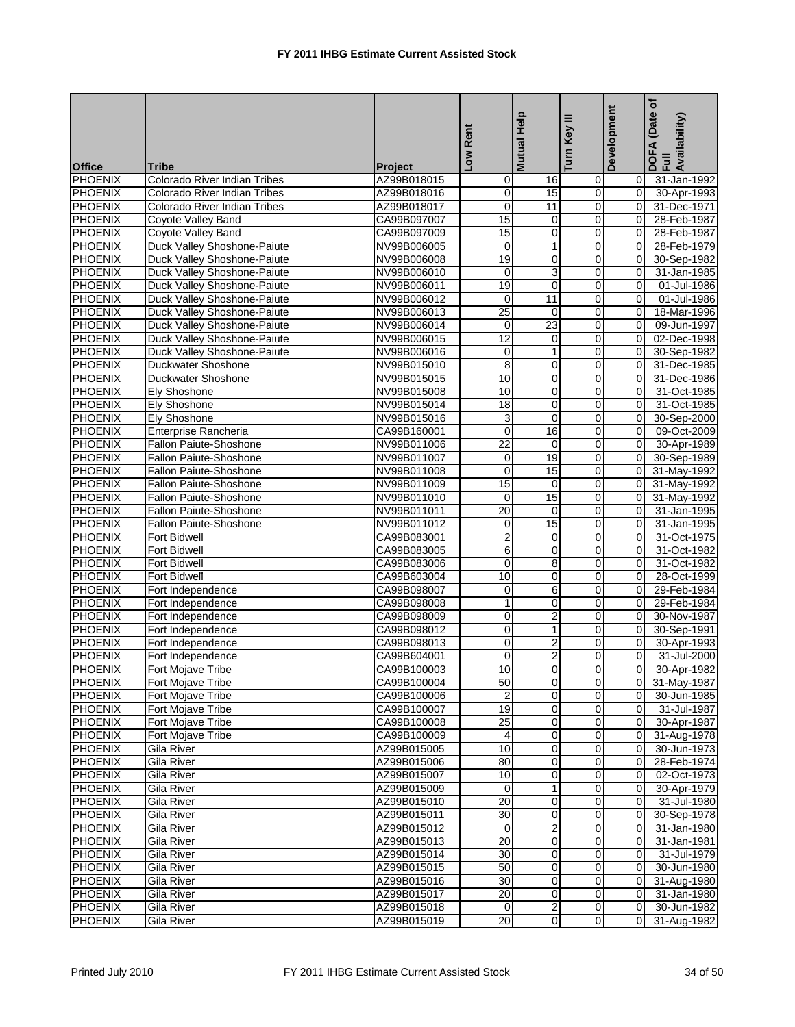| <b>Office</b>  | <b>Tribe</b>                                      | <b>Project</b>             | Low Rent             | <b>Mutual Help</b>      | ≡<br>Turn Key       | Development    | Date of<br>DOFA (Date<br>Full<br>Availability) |
|----------------|---------------------------------------------------|----------------------------|----------------------|-------------------------|---------------------|----------------|------------------------------------------------|
| PHOENIX        | <b>Colorado River Indian Tribes</b>               | AZ99B018015                | 0                    | 16                      | 0                   | 0              | 31-Jan-1992                                    |
| PHOENIX        | Colorado River Indian Tribes                      | AZ99B018016                | $\pmb{0}$            | 15                      | $\overline{0}$      | $\mathbf 0$    | 30-Apr-1993                                    |
| <b>PHOENIX</b> | Colorado River Indian Tribes                      | AZ99B018017                | $\mathbf 0$          | $\overline{11}$         | 0                   | $\Omega$       | 31-Dec-1971                                    |
| <b>PHOENIX</b> | Coyote Valley Band                                | CA99B097007                | 15                   | 0                       | $\mathbf 0$         | 0              | 28-Feb-1987                                    |
| <b>PHOENIX</b> |                                                   |                            | 15                   | 0                       | 0                   | 0              | 28-Feb-1987                                    |
| <b>PHOENIX</b> | Coyote Valley Band<br>Duck Valley Shoshone-Paiute | CA99B097009<br>NV99B006005 | $\mathbf 0$          | $\mathbf{1}$            | 0                   | 0              | 28-Feb-1979                                    |
| PHOENIX        | Duck Valley Shoshone-Paiute                       | NV99B006008                | 19                   | 0                       | 0                   | $\Omega$       | 30-Sep-1982                                    |
| <b>PHOENIX</b> | Duck Valley Shoshone-Paiute                       | NV99B006010                | 0                    | 3                       | 0                   | $\Omega$       | 31-Jan-1985                                    |
| <b>PHOENIX</b> | Duck Valley Shoshone-Paiute                       | NV99B006011                | 19                   | $\pmb{0}$               | $\mathbf 0$         | 0              | 01-Jul-1986                                    |
| PHOENIX        | Duck Valley Shoshone-Paiute                       | NV99B006012                | 0                    | 11                      | 0                   | 0              | 01-Jul-1986                                    |
| <b>PHOENIX</b> | Duck Valley Shoshone-Paiute                       | NV99B006013                | $\overline{25}$      | $\mathbf 0$             | $\mathbf 0$         | $\Omega$       | 18-Mar-1996                                    |
| PHOENIX        | Duck Valley Shoshone-Paiute                       | NV99B006014                | $\mathbf 0$          | 23                      | $\mathbf 0$         | 0              | 09-Jun-1997                                    |
| PHOENIX        | Duck Valley Shoshone-Paiute                       | NV99B006015                | 12                   | 0                       | 0                   | $\Omega$       | 02-Dec-1998                                    |
| <b>PHOENIX</b> | Duck Valley Shoshone-Paiute                       | NV99B006016                | 0                    | $\mathbf{1}$            | 0                   | $\Omega$       | 30-Sep-1982                                    |
| PHOENIX        | Duckwater Shoshone                                | NV99B015010                | 8                    | 0                       | 0                   | $\mathbf 0$    | 31-Dec-1985                                    |
| PHOENIX        | Duckwater Shoshone                                | NV99B015015                | 10                   | $\pmb{0}$               | 0                   | $\mathbf 0$    | 31-Dec-1986                                    |
| PHOENIX        | Ely Shoshone                                      | NV99B015008                | 10                   | 0                       | 0                   | $\Omega$       | 31-Oct-1985                                    |
| <b>PHOENIX</b> | <b>Ely Shoshone</b>                               | NV99B015014                | $\overline{18}$      | 0                       | 0                   | $\Omega$       | 31-Oct-1985                                    |
| <b>PHOENIX</b> | Ely Shoshone                                      | NV99B015016                | $\overline{3}$       | $\pmb{0}$               | $\mathbf 0$         | 0              | 30-Sep-2000                                    |
| PHOENIX        | Enterprise Rancheria                              | CA99B160001                | $\mathbf 0$          | 16                      | $\mathbf 0$         | 0              | 09-Oct-2009                                    |
| <b>PHOENIX</b> | Fallon Paiute-Shoshone                            | NV99B011006                | 22                   | $\mathbf 0$             | $\mathbf 0$         | $\overline{0}$ | 30-Apr-1989                                    |
| PHOENIX        | Fallon Paiute-Shoshone                            | NV99B011007                | 0                    | 19                      | $\mathbf 0$         | 0              | 30-Sep-1989                                    |
| <b>PHOENIX</b> | Fallon Paiute-Shoshone                            | NV99B011008                | $\mathbf 0$          | 15                      | 0                   | 0              | 31-May-1992                                    |
| PHOENIX        | Fallon Paiute-Shoshone                            | NV99B011009                | 15                   | 0                       | $\mathbf 0$         | 0              | 31-May-1992                                    |
| PHOENIX        | Fallon Paiute-Shoshone                            |                            |                      | 15                      |                     |                |                                                |
| <b>PHOENIX</b> |                                                   | NV99B011010                | 0<br>$\overline{20}$ | 0                       | $\overline{0}$<br>0 | 0<br>0         | 31-May-1992<br>31-Jan-1995                     |
| PHOENIX        | Fallon Paiute-Shoshone<br>Fallon Paiute-Shoshone  | NV99B011011<br>NV99B011012 | 0                    | 15                      | 0                   | $\Omega$       | 31-Jan-1995                                    |
| <b>PHOENIX</b> | Fort Bidwell                                      | CA99B083001                | $\overline{2}$       | 0                       | 0                   | $\Omega$       | 31-Oct-1975                                    |
| <b>PHOENIX</b> | Fort Bidwell                                      |                            | $\overline{6}$       | 0                       | $\mathbf 0$         | $\mathbf 0$    | 31-Oct-1982                                    |
| PHOENIX        | Fort Bidwell                                      | CA99B083005<br>CA99B083006 | 0                    | 8                       | 0                   | 0              | 31-Oct-1982                                    |
| <b>PHOENIX</b> | <b>Fort Bidwell</b>                               | CA99B603004                | 10                   | 0                       | 0                   | 0              | 28-Oct-1999                                    |
| PHOENIX        | Fort Independence                                 | CA99B098007                | 0                    | 6                       | $\mathbf 0$         | $\mathbf 0$    | 29-Feb-1984                                    |
| <b>PHOENIX</b> | Fort Independence                                 | CA99B098008                | $\mathbf{1}$         | $\mathbf 0$             | 0                   | $\Omega$       | 29-Feb-1984                                    |
| <b>PHOENIX</b> | Fort Independence                                 | CA99B098009                | 0                    | $\overline{2}$          | $\mathbf 0$         | $\Omega$       | 30-Nov-1987                                    |
| PHOENIX        | Fort Independence                                 |                            | 0                    | 1                       | $\overline{0}$      | $\mathbf 0$    | 30-Sep-1991                                    |
| PHOENIX        | Fort Independence                                 | CA99B098012<br>CA99B098013 | $\pmb{0}$            | $\overline{2}$          | 0                   | $\mathbf 0$    | 30-Apr-1993                                    |
| PHOENIX        | Fort Independence                                 | CA99B604001                | $\mathbf 0$          | $\overline{c}$          | $\mathbf 0$         | $\Omega$       | 31-Jul-2000                                    |
| PHOENIX        |                                                   | CA99B100003                | $\overline{10}$      | Ō                       | $\Omega$            | 0              | 30-Apr-1982                                    |
| <b>PHOENIX</b> | Fort Mojave Tribe<br>Fort Mojave Tribe            | CA99B100004                | 50                   | $\pmb{0}$               | $\overline{0}$      | $\overline{0}$ | 31-May-1987                                    |
| <b>PHOENIX</b> | Fort Mojave Tribe                                 | CA99B100006                | $\overline{2}$       | 0                       | $\mathbf 0$         | 0              | 30-Jun-1985                                    |
| <b>PHOENIX</b> | Fort Mojave Tribe                                 | CA99B100007                | 19                   | $\overline{\mathbf{0}}$ | $\overline{0}$      | $\Omega$       | 31-Jul-1987                                    |
| PHOENIX        | Fort Mojave Tribe                                 | CA99B100008                | $\overline{25}$      | $\mathbf 0$             | $\overline{0}$      | 0              | 30-Apr-1987                                    |
| <b>PHOENIX</b> | Fort Mojave Tribe                                 | CA99B100009                | 4                    | 0                       | $\overline{0}$      | 0              | 31-Aug-1978                                    |
| <b>PHOENIX</b> | Gila River                                        | AZ99B015005                | 10                   | 0                       | $\mathbf 0$         | $\mathbf 0$    | 30-Jun-1973                                    |
| PHOENIX        | Gila River                                        | AZ99B015006                | 80                   | 0                       | $\mathbf 0$         | 0              | 28-Feb-1974                                    |
| <b>PHOENIX</b> | Gila River                                        | AZ99B015007                | 10                   | $\overline{\mathbf{0}}$ | $\mathbf 0$         | 0              | 02-Oct-1973                                    |
| PHOENIX        | Gila River                                        | AZ99B015009                | $\mathbf 0$          | $\mathbf{1}$            | $\mathbf 0$         | 0              | 30-Apr-1979                                    |
| PHOENIX        | Gila River                                        | AZ99B015010                | 20                   | 0                       | $\mathbf 0$         | $\mathbf 0$    | 31-Jul-1980                                    |
| <b>PHOENIX</b> | Gila River                                        | AZ99B015011                | 30                   | $\pmb{0}$               | $\overline{0}$      | 0              | 30-Sep-1978                                    |
| <b>PHOENIX</b> | Gila River                                        | AZ99B015012                | 0                    | $\boldsymbol{2}$        | $\overline{0}$      | 0              | 31-Jan-1980                                    |
| <b>PHOENIX</b> |                                                   | AZ99B015013                |                      | $\overline{\mathbf{0}}$ |                     | 0              |                                                |
| PHOENIX        | Gila River<br>Gila River                          | AZ99B015014                | 20<br>30             | $\pmb{0}$               | $\overline{0}$<br>0 | $\mathbf 0$    | 31-Jan-1981<br>31-Jul-1979                     |
| PHOENIX        | Gila River                                        | AZ99B015015                | 50                   | 0                       | $\mathbf 0$         | 0              | 30-Jun-1980                                    |
| <b>PHOENIX</b> | Gila River                                        | AZ99B015016                | $\overline{30}$      | $\pmb{0}$               | $\mathbf 0$         | $\mathbf 0$    | 31-Aug-1980                                    |
| PHOENIX        | Gila River                                        | AZ99B015017                | 20                   | 0                       | 0                   | 0              | 31-Jan-1980                                    |
| <b>PHOENIX</b> | Gila River                                        | AZ99B015018                | $\mathbf 0$          | $\overline{a}$          | $\overline{0}$      | $\mathbf 0$    | 30-Jun-1982                                    |
| PHOENIX        | Gila River                                        | AZ99B015019                | $\overline{20}$      | 0                       | $\overline{0}$      |                | 0 31-Aug-1982                                  |
|                |                                                   |                            |                      |                         |                     |                |                                                |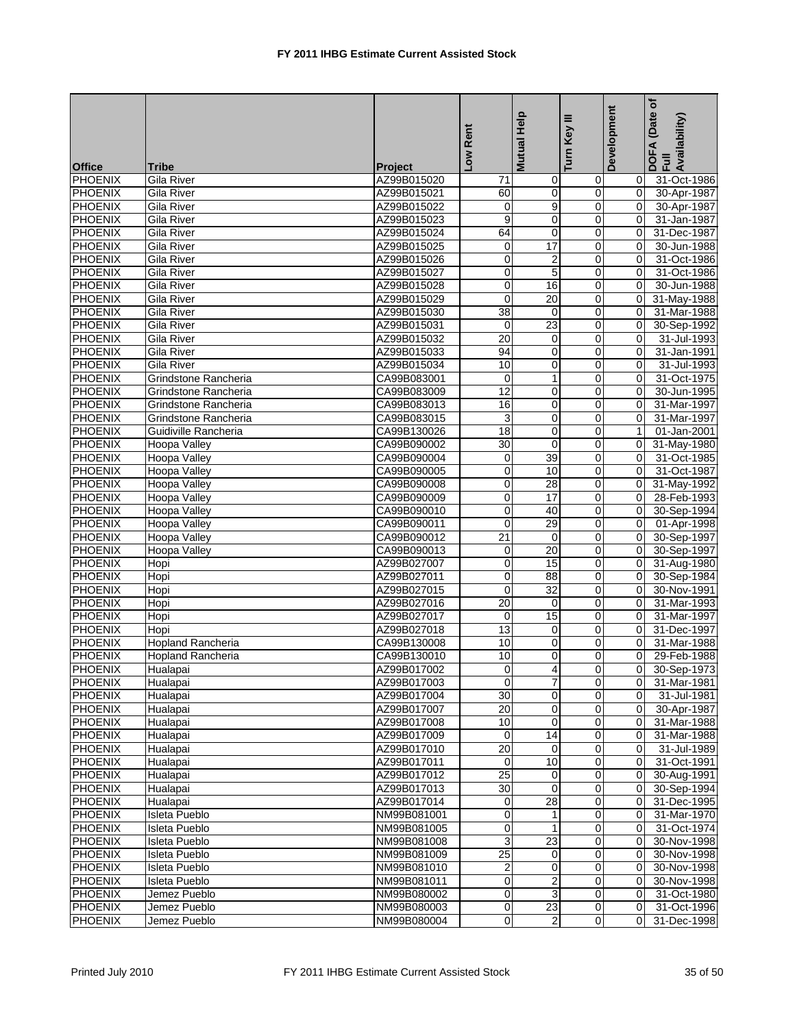|                          |                              |                               | Low Rent        | Mutual Help             | ≡<br>Turn Key           | Development      | (Date of<br>DOFA (Date<br>Full<br>Availability) |
|--------------------------|------------------------------|-------------------------------|-----------------|-------------------------|-------------------------|------------------|-------------------------------------------------|
|                          |                              |                               |                 |                         |                         |                  |                                                 |
| <b>Office</b><br>PHOENIX | <b>Tribe</b><br>Gila River   | <b>Project</b><br>AZ99B015020 |                 |                         |                         |                  | 31-Oct-1986                                     |
| <b>PHOENIX</b>           | Gila River                   | AZ99B015021                   | 71<br>60        | 0<br>$\mathbf 0$        | 0<br>0                  | 0<br>$\mathbf 0$ | 30-Apr-1987                                     |
| <b>PHOENIX</b>           | Gila River                   | AZ99B015022                   | $\mathbf 0$     | 9                       | 0                       | $\Omega$         | 30-Apr-1987                                     |
| <b>PHOENIX</b>           | <b>Gila River</b>            | AZ99B015023                   | 9               | 0                       | $\mathbf 0$             | 0                | 31-Jan-1987                                     |
| <b>PHOENIX</b>           | <b>Gila River</b>            | AZ99B015024                   | 64              | 0                       | $\mathbf 0$             | 0                | 31-Dec-1987                                     |
| <b>PHOENIX</b>           | <b>Gila River</b>            | AZ99B015025                   | $\mathbf 0$     | 17                      | 0                       | 0                | 30-Jun-1988                                     |
| PHOENIX                  | <b>Gila River</b>            | AZ99B015026                   | $\mathbf 0$     | $\overline{2}$          | 0                       | 0                | 31-Oct-1986                                     |
| <b>PHOENIX</b>           | <b>Gila River</b>            | AZ99B015027                   | 0               | 5                       | 0                       | 0                | 31-Oct-1986                                     |
| <b>PHOENIX</b>           | Gila River                   | AZ99B015028                   | $\mathbf 0$     | 16                      | 0                       | 0                | 30-Jun-1988                                     |
| <b>PHOENIX</b>           | <b>Gila River</b>            | AZ99B015029                   | $\mathbf 0$     | 20                      | $\mathbf 0$             | $\Omega$         | 31-May-1988                                     |
| <b>PHOENIX</b>           | <b>Gila River</b>            | AZ99B015030                   | $\overline{38}$ | 0                       | 0                       | 0                | 31-Mar-1988                                     |
| <b>PHOENIX</b>           | Gila River                   | AZ99B015031                   | $\mathbf 0$     | 23                      | 0                       | 0                | 30-Sep-1992                                     |
| <b>PHOENIX</b>           | <b>Gila River</b>            | AZ99B015032                   | $\overline{20}$ | $\mathbf 0$             | 0                       | $\Omega$         | 31-Jul-1993                                     |
| <b>PHOENIX</b>           | <b>Gila River</b>            | AZ99B015033                   | 94              | $\mathbf 0$             | 0                       | 0                | 31-Jan-1991                                     |
| <b>PHOENIX</b>           | Gila River                   | AZ99B015034                   | 10              | $\mathbf 0$             | $\mathbf 0$             | 0                | 31-Jul-1993                                     |
| <b>PHOENIX</b>           | Grindstone Rancheria         | CA99B083001                   | $\mathbf 0$     | $\mathbf{1}$            | 0                       | 0                | 31-Oct-1975                                     |
| PHOENIX                  | Grindstone Rancheria         | CA99B083009                   | 12              | 0                       | 0                       | 0                | 30-Jun-1995                                     |
| <b>PHOENIX</b>           | Grindstone Rancheria         | CA99B083013                   | 16              | 0                       | 0                       | 0                | 31-Mar-1997                                     |
| <b>PHOENIX</b>           | Grindstone Rancheria         | CA99B083015                   | $\mathsf 3$     | $\mathbf 0$             | 0                       | 0                | 31-Mar-1997                                     |
| <b>PHOENIX</b>           | Guidiville Rancheria         | CA99B130026                   | 18              | $\mathbf 0$             | $\mathbf 0$             | 1                | 01-Jan-2001                                     |
| <b>PHOENIX</b>           | Hoopa Valley                 | CA99B090002                   | $\overline{30}$ | 0                       | 0                       | $\mathbf 0$      | 31-May-1980                                     |
| <b>PHOENIX</b>           | Hoopa Valley                 | CA99B090004                   | $\mathbf 0$     | 39                      | 0                       | $\mathbf 0$      | 31-Oct-1985                                     |
| <b>PHOENIX</b>           | Hoopa Valley                 | CA99B090005                   | $\mathbf 0$     | 10                      | 0                       | $\Omega$         | 31-Oct-1987                                     |
| <b>PHOENIX</b>           | Hoopa Valley                 | CA99B090008                   | $\mathbf 0$     | 28                      | $\mathbf 0$             | $\mathbf 0$      | 31-May-1992                                     |
| <b>PHOENIX</b>           | Hoopa Valley                 | CA99B090009                   | $\overline{0}$  | 17                      | $\mathbf 0$             | 0                | 28-Feb-1993                                     |
| <b>PHOENIX</b>           | <b>Hoopa Valley</b>          | CA99B090010                   | $\mathbf 0$     | 40                      | 0                       | 0                | 30-Sep-1994                                     |
| PHOENIX                  | <b>Hoopa Valley</b>          | CA99B090011                   | 0               | 29                      | 0                       | $\Omega$         | 01-Apr-1998                                     |
| <b>PHOENIX</b>           | Hoopa Valley                 | CA99B090012                   | $\overline{21}$ | 0                       | 0                       | $\mathbf 0$      | 30-Sep-1997                                     |
| <b>PHOENIX</b>           | <b>Hoopa Valley</b>          | CA99B090013                   | $\pmb{0}$       | 20                      | 0                       | 0                | 30-Sep-1997                                     |
| <b>PHOENIX</b>           | Hopi                         | AZ99B027007                   | $\pmb{0}$       | 15                      | $\mathbf 0$             | $\Omega$         | 31-Aug-1980                                     |
| <b>PHOENIX</b>           | Hopi                         | AZ99B027011                   | 0               | 88                      | 0                       | 0                | 30-Sep-1984                                     |
| <b>PHOENIX</b>           | Hopi                         | AZ99B027015                   | $\pmb{0}$       | $\overline{32}$         | 0                       | $\mathbf 0$      | 30-Nov-1991                                     |
| <b>PHOENIX</b>           | Hopi                         | AZ99B027016                   | $\overline{20}$ | $\mathbf 0$             | 0                       | $\Omega$         | 31-Mar-1993                                     |
| <b>PHOENIX</b>           | Hopi                         | AZ99B027017                   | 0               | 15                      | 0                       | 0                | 31-Mar-1997                                     |
| <b>PHOENIX</b>           | Hopi                         | AZ99B027018                   | $\overline{13}$ | 0                       | 0                       | 0                | 31-Dec-1997                                     |
| PHOENIX                  | <b>Hopland Rancheria</b>     | CA99B130008                   | 10              | 0                       | 0                       | 0                | 31-Mar-1988                                     |
| <b>PHOENIX</b>           | <b>Hopland Rancheria</b>     | CA99B130010                   | 10              | 0                       | 0                       | 0                | 29-Feb-1988                                     |
| PHOENIX                  | Hualapai                     | AZ99B017002                   | $\Omega$        | $\overline{4}$          | $\overline{0}$          | $\Omega$         | 30-Sep-1973                                     |
| <b>PHOENIX</b>           | Hualapai                     | AZ99B017003                   | $\mathbf 0$     | $\overline{7}$          | $\overline{\mathbf{0}}$ | 0                | 31-Mar-1981                                     |
| <b>PHOENIX</b>           | Hualapai                     | AZ99B017004                   | 30              | $\overline{0}$          | 0                       | 0                | 31-Jul-1981                                     |
| <b>PHOENIX</b>           | Hualapai                     | AZ99B017007                   | 20              | 0                       | 0                       | 0                | 30-Apr-1987                                     |
| PHOENIX                  | Hualapai                     | AZ99B017008                   | 10              | 0                       | 0                       | 0                | 31-Mar-1988                                     |
| PHOENIX                  | Hualapai                     | AZ99B017009                   | $\mathbf 0$     | 14                      | 0                       | 0                | 31-Mar-1988                                     |
| <b>PHOENIX</b>           | Hualapai                     | AZ99B017010                   | $\overline{20}$ | $\mathbf 0$             | 0                       | 0                | 31-Jul-1989                                     |
| <b>PHOENIX</b>           | Hualapai                     | AZ99B017011                   | 0               | 10                      | 0                       | 0                | 31-Oct-1991                                     |
| <b>PHOENIX</b>           | Hualapai                     | AZ99B017012                   | $\overline{25}$ | 0                       | 0                       | 0                | 30-Aug-1991                                     |
| <b>PHOENIX</b>           | Hualapai                     | AZ99B017013                   | $\overline{30}$ | $\mathbf 0$             | 0                       | $\mathbf 0$      | 30-Sep-1994                                     |
| <b>PHOENIX</b>           | Hualapai                     | AZ99B017014                   | 0               | 28                      | 0                       | $\mathbf 0$      | 31-Dec-1995                                     |
| <b>PHOENIX</b>           | Isleta Pueblo                | NM99B081001                   | $\pmb{0}$       | 1                       | 0                       | 0                | 31-Mar-1970                                     |
| <b>PHOENIX</b>           | Isleta Pueblo                | NM99B081005                   | 0               | $\mathbf{1}$            | $\mathbf 0$             | $\mathbf 0$      | 31-Oct-1974                                     |
| <b>PHOENIX</b>           | Isleta Pueblo                | NM99B081008                   | 3               | 23                      | 0                       | 0                | 30-Nov-1998                                     |
| <b>PHOENIX</b>           | Isleta Pueblo                | NM99B081009                   | $\overline{25}$ | 0                       | $\mathbf 0$             | 0                | 30-Nov-1998                                     |
| <b>PHOENIX</b>           | Isleta Pueblo                | NM99B081010                   | $\overline{2}$  | $\mathbf 0$             | 0                       | 0                | 30-Nov-1998                                     |
| <b>PHOENIX</b>           | Isleta Pueblo                | NM99B081011                   |                 |                         | 0                       | 0                |                                                 |
| <b>PHOENIX</b>           |                              |                               | 0<br>$\pmb{0}$  | $\overline{\mathbf{c}}$ | $\mathbf 0$             |                  | 30-Nov-1998                                     |
| <b>PHOENIX</b>           | Jemez Pueblo<br>Jemez Pueblo | NM99B080002<br>NM99B080003    | 0               | 3<br>$\overline{23}$    | $\overline{0}$          | 0<br>0           | 31-Oct-1980<br>31-Oct-1996                      |
| <b>PHOENIX</b>           | Jemez Pueblo                 | NM99B080004                   | 0               | $\overline{2}$          | $\overline{0}$          | $\Omega$         | 31-Dec-1998                                     |
|                          |                              |                               |                 |                         |                         |                  |                                                 |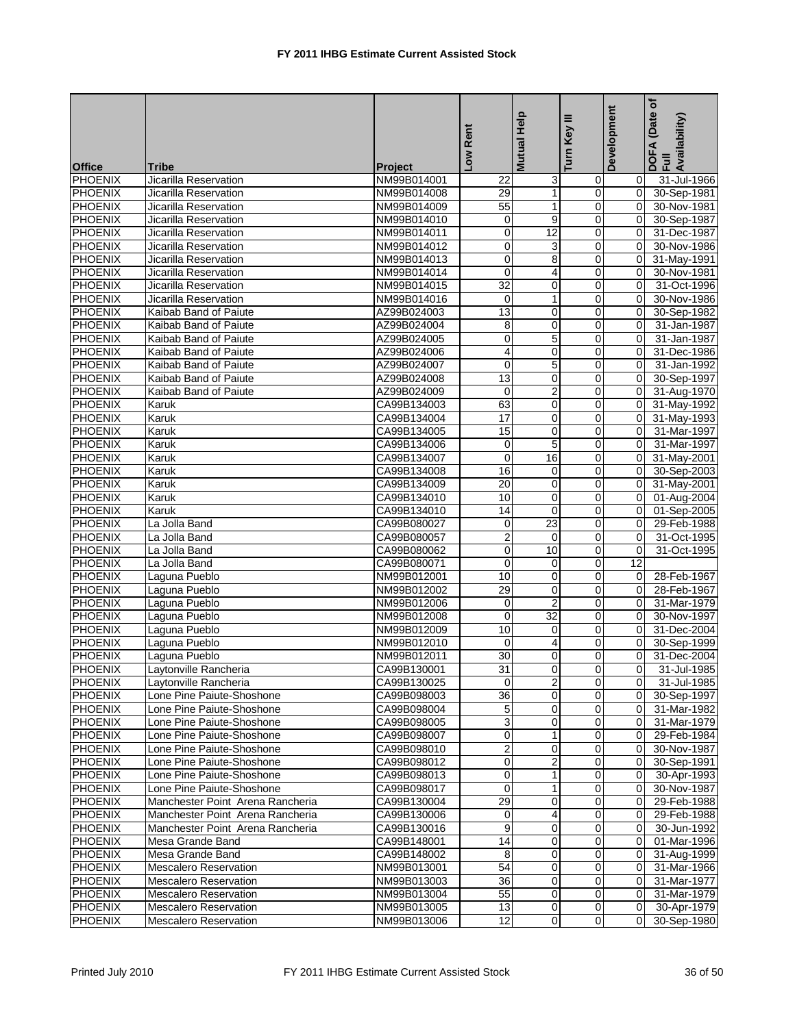| Low Rent<br>Turn Key<br><b>Office</b><br><b>Tribe</b><br><b>Project</b><br><b>PHOENIX</b><br>NM99B014001<br>31-Jul-1966<br>Jicarilla Reservation<br>3<br>22<br>0<br>0<br><b>PHOENIX</b><br>29<br>$\mathbf{1}$<br>0<br>0<br>Jicarilla Reservation<br>NM99B014008<br>30-Sep-1981<br><b>PHOENIX</b><br>$\overline{55}$<br>Jicarilla Reservation<br>NM99B014009<br>1<br>0<br>$\Omega$<br>30-Nov-1981<br><b>PHOENIX</b><br>9<br>$\mathbf 0$<br>Jicarilla Reservation<br>NM99B014010<br>0<br>0<br>30-Sep-1987<br>$\overline{0}$<br>12<br><b>PHOENIX</b><br>$\mathbf 0$<br>Jicarilla Reservation<br>NM99B014011<br>$\mathbf 0$<br>31-Dec-1987<br>3<br><b>PHOENIX</b><br>$\mathbf 0$<br>0<br>30-Nov-1986<br>Jicarilla Reservation<br>NM99B014012<br>0<br>PHOENIX<br>$\mathbf 0$<br>8<br>0<br>31-May-1991<br>Jicarilla Reservation<br>NM99B014013<br>0<br><b>PHOENIX</b><br>Jicarilla Reservation<br>0<br>0<br>$\mathbf 0$<br>30-Nov-1981<br>NM99B014014<br>4<br>$\overline{32}$<br><b>PHOENIX</b><br>Jicarilla Reservation<br>0<br>0<br>31-Oct-1996<br>NM99B014015<br>0<br><b>PHOENIX</b><br>Jicarilla Reservation<br>$\mathbf 0$<br>$\mathbf{1}$<br>$\mathbf 0$<br>30-Nov-1986<br>NM99B014016<br>$\Omega$<br><b>PHOENIX</b><br>13<br>Kaibab Band of Paiute<br>AZ99B024003<br>0<br>0<br>$\mathbf 0$<br>30-Sep-1982<br><b>PHOENIX</b><br>8<br>0<br>0<br>Kaibab Band of Paiute<br>AZ99B024004<br>$\mathbf 0$<br>31-Jan-1987<br>$\overline{5}$<br><b>PHOENIX</b><br>0<br>0<br>Kaibab Band of Paiute<br>AZ99B024005<br>0<br>31-Jan-1987<br><b>PHOENIX</b><br>4<br>$\mathbf 0$<br>0<br>Kaibab Band of Paiute<br>AZ99B024006<br>0<br>31-Dec-1986<br>$\overline{5}$<br>$\pmb{0}$<br><b>PHOENIX</b><br>AZ99B024007<br>0<br>Kaibab Band of Paiute<br>$\mathbf 0$<br>31-Jan-1992<br><b>PHOENIX</b><br>13<br>Kaibab Band of Paiute<br>AZ99B024008<br>0<br>0<br>0<br>30-Sep-1997<br><b>PHOENIX</b><br>$\overline{c}$<br>AZ99B024009<br>0<br>$\Omega$<br>31-Aug-1970<br>Kaibab Band of Paiute<br>$\mathbf 0$<br><b>PHOENIX</b><br>63<br>0<br>0<br>$\mathbf 0$<br>31-May-1992<br>Karuk<br>CA99B134003<br>17<br><b>PHOENIX</b><br>$\mathbf 0$<br>0<br>Karuk<br>CA99B134004<br>0<br>31-May-1993<br><b>PHOENIX</b><br>15<br>0<br>$\mathbf 0$<br>Karuk<br>CA99B134005<br>$\Omega$<br>31-Mar-1997<br><b>PHOENIX</b><br>5<br>31-Mar-1997<br>Karuk<br>CA99B134006<br>0<br>0<br>0<br><b>PHOENIX</b><br>$\pmb{0}$<br>16<br>0<br>Karuk<br>CA99B134007<br>0<br>31-May-2001<br><b>PHOENIX</b><br>16<br>0<br>Karuk<br>CA99B134008<br>$\mathbf 0$<br>$\mathbf 0$<br>30-Sep-2003<br><b>PHOENIX</b><br>20<br>$\mathbf 0$<br>0<br>0<br>31-May-2001<br>Karuk<br>CA99B134009<br><b>PHOENIX</b><br>10<br>0<br>0<br>Karuk<br>CA99B134010<br>0<br>01-Aug-2004<br><b>PHOENIX</b><br>Karuk<br>CA99B134010<br>14<br>$\mathbf 0$<br>0<br>0<br>01-Sep-2005<br><b>PHOENIX</b><br>23<br>0<br>$\Omega$<br>29-Feb-1988<br>La Jolla Band<br>CA99B080027<br>0<br><b>PHOENIX</b><br>$\overline{2}$<br>CA99B080057<br>0<br>$\mathbf 0$<br>31-Oct-1995<br>La Jolla Band<br>0<br>$\pmb{0}$<br>10<br><b>PHOENIX</b><br>0<br>31-Oct-1995<br>La Jolla Band<br>CA99B080062<br>$\mathbf 0$<br><b>PHOENIX</b><br>$\mathbf 0$<br>0<br>$\mathbf 0$<br>12<br>La Jolla Band<br>CA99B080071<br><b>PHOENIX</b><br>Laguna Pueblo<br>NM99B012001<br>10<br>0<br>0<br>28-Feb-1967<br>0<br>29<br>0<br>0<br><b>PHOENIX</b><br>Laguna Pueblo<br>NM99B012002<br>$\mathbf 0$<br>28-Feb-1967<br><b>PHOENIX</b><br>$\overline{2}$<br>Laguna Pueblo<br>NM99B012006<br>$\mathbf 0$<br>0<br>0<br>31-Mar-1979<br><b>PHOENIX</b><br>Laguna Pueblo<br>$\mathbf 0$<br>32<br>0<br>NM99B012008<br>0<br>30-Nov-1997<br><b>PHOENIX</b><br>Laguna Pueblo<br>NM99B012009<br>10<br>0<br>0<br>31-Dec-2004<br>0<br><b>PHOENIX</b><br>$\mathbf 0$<br>Laguna Pueblo<br>NM99B012010<br>4<br>0<br>0<br>30-Sep-1999<br><b>PHOENIX</b><br>30<br>0<br>0<br>31-Dec-2004<br>Laguna Pueblo<br>NM99B012011<br>0<br><b>PHOENIX</b><br>31<br>$\overline{0}$<br>$\overline{0}$<br>0<br>31-Jul-1985<br>Laytonville Rancheria<br>CA99B130001<br><b>PHOENIX</b><br>$\boldsymbol{2}$<br>Laytonville Rancheria<br>CA99B130025<br>$\mathbf 0$<br>$\pmb{0}$<br>31-Jul-1985<br>0<br>PHOENIX<br>$\overline{36}$<br>0<br>0<br>Lone Pine Paiute-Shoshone<br>CA99B098003<br>30-Sep-1997<br>0<br><b>PHOENIX</b><br>Lone Pine Paiute-Shoshone<br>CA99B098004<br>5<br>31-Mar-1982<br>0<br>0<br>0<br>3<br>$\mathbf 0$<br>PHOENIX<br>0<br>31-Mar-1979<br>Lone Pine Paiute-Shoshone<br>CA99B098005<br>0<br>$\mathbf 0$<br>PHOENIX<br>Lone Pine Paiute-Shoshone<br>0<br>CA99B098007<br>0<br>29-Feb-1984<br>$\overline{2}$<br><b>PHOENIX</b><br>Lone Pine Paiute-Shoshone<br>CA99B098010<br>0<br>0<br>0<br>30-Nov-1987<br><b>PHOENIX</b><br>$\boldsymbol{2}$<br>Lone Pine Paiute-Shoshone<br>CA99B098012<br>$\pmb{0}$<br>0<br>30-Sep-1991<br>0<br>$\mathbf{1}$<br><b>PHOENIX</b><br>$\mathbf 0$<br>Lone Pine Paiute-Shoshone<br>CA99B098013<br>0<br>30-Apr-1993<br>0<br><b>PHOENIX</b><br>$\mathbf{1}$<br>0<br>Lone Pine Paiute-Shoshone<br>CA99B098017<br>0<br>30-Nov-1987<br>0<br><b>PHOENIX</b><br>29<br>Manchester Point Arena Rancheria<br>0<br>CA99B130004<br>0<br>0<br>29-Feb-1988<br>0<br><b>PHOENIX</b><br>Manchester Point Arena Rancheria<br>CA99B130006<br>$\mathbf 0$<br>29-Feb-1988<br>4<br>0<br><b>PHOENIX</b><br>9<br>0<br>0<br>Manchester Point Arena Rancheria<br>CA99B130016<br>30-Jun-1992<br>0<br><b>PHOENIX</b><br>Mesa Grande Band<br>CA99B148001<br>14<br>01-Mar-1996<br>0<br>0<br>0<br>$\mathbf 0$<br>PHOENIX<br>8<br>0<br>31-Aug-1999<br>Mesa Grande Band<br>CA99B148002<br>0<br>54<br><b>PHOENIX</b><br>$\mathbf 0$<br>0<br>31-Mar-1966<br><b>Mescalero Reservation</b><br>NM99B013001<br>0<br><b>PHOENIX</b><br>31-Mar-1977<br><b>Mescalero Reservation</b><br>NM99B013003<br>36<br>0<br>0<br>$\mathbf 0$<br><b>PHOENIX</b><br>NM99B013004<br>55<br>0<br>$\mathbf 0$<br>31-Mar-1979<br><b>Mescalero Reservation</b><br>0<br>13<br><b>PHOENIX</b><br><b>Mescalero Reservation</b><br>NM99B013005<br>0<br>$\overline{0}$<br>30-Apr-1979<br>0<br><b>PHOENIX</b><br>$\overline{12}$<br>$\overline{0}$<br>$\overline{0}$<br>30-Sep-1980<br><b>Mescalero Reservation</b><br>NM99B013006 |  |  | Mutual Help | ≡ | Development | (Date of<br>DOFA (Date<br>Full<br>Availability) |
|---------------------------------------------------------------------------------------------------------------------------------------------------------------------------------------------------------------------------------------------------------------------------------------------------------------------------------------------------------------------------------------------------------------------------------------------------------------------------------------------------------------------------------------------------------------------------------------------------------------------------------------------------------------------------------------------------------------------------------------------------------------------------------------------------------------------------------------------------------------------------------------------------------------------------------------------------------------------------------------------------------------------------------------------------------------------------------------------------------------------------------------------------------------------------------------------------------------------------------------------------------------------------------------------------------------------------------------------------------------------------------------------------------------------------------------------------------------------------------------------------------------------------------------------------------------------------------------------------------------------------------------------------------------------------------------------------------------------------------------------------------------------------------------------------------------------------------------------------------------------------------------------------------------------------------------------------------------------------------------------------------------------------------------------------------------------------------------------------------------------------------------------------------------------------------------------------------------------------------------------------------------------------------------------------------------------------------------------------------------------------------------------------------------------------------------------------------------------------------------------------------------------------------------------------------------------------------------------------------------------------------------------------------------------------------------------------------------------------------------------------------------------------------------------------------------------------------------------------------------------------------------------------------------------------------------------------------------------------------------------------------------------------------------------------------------------------------------------------------------------------------------------------------------------------------------------------------------------------------------------------------------------------------------------------------------------------------------------------------------------------------------------------------------------------------------------------------------------------------------------------------------------------------------------------------------------------------------------------------------------------------------------------------------------------------------------------------------------------------------------------------------------------------------------------------------------------------------------------------------------------------------------------------------------------------------------------------------------------------------------------------------------------------------------------------------------------------------------------------------------------------------------------------------------------------------------------------------------------------------------------------------------------------------------------------------------------------------------------------------------------------------------------------------------------------------------------------------------------------------------------------------------------------------------------------------------------------------------------------------------------------------------------------------------------------------------------------------------------------------------------------------------------------------------------------------------------------------------------------------------------------------------------------------------------------------------------------------------------------------------------------------------------------------------------------------------------------------------------------------------------------------------------------------------------------------------------------------------------------------------------------------------------------------------------------------------------------------------------------------------------------------------------------------------------------------------------------------------------------------------------------------------------------------------------------------------------------------------------------------------------------------------------------------------------------------------------------------------------------------------------------------------------------------------------------------------------------------------------------------------------------------------------------------------------------------------------------------------------------------------------------------------------------------------------------------------------------------------------------------------------------------------------------------------------|--|--|-------------|---|-------------|-------------------------------------------------|
|                                                                                                                                                                                                                                                                                                                                                                                                                                                                                                                                                                                                                                                                                                                                                                                                                                                                                                                                                                                                                                                                                                                                                                                                                                                                                                                                                                                                                                                                                                                                                                                                                                                                                                                                                                                                                                                                                                                                                                                                                                                                                                                                                                                                                                                                                                                                                                                                                                                                                                                                                                                                                                                                                                                                                                                                                                                                                                                                                                                                                                                                                                                                                                                                                                                                                                                                                                                                                                                                                                                                                                                                                                                                                                                                                                                                                                                                                                                                                                                                                                                                                                                                                                                                                                                                                                                                                                                                                                                                                                                                                                                                                                                                                                                                                                                                                                                                                                                                                                                                                                                                                                                                                                                                                                                                                                                                                                                                                                                                                                                                                                                                                                                                                                                                                                                                                                                                                                                                                                                                                                                                                                                                                                           |  |  |             |   |             |                                                 |
|                                                                                                                                                                                                                                                                                                                                                                                                                                                                                                                                                                                                                                                                                                                                                                                                                                                                                                                                                                                                                                                                                                                                                                                                                                                                                                                                                                                                                                                                                                                                                                                                                                                                                                                                                                                                                                                                                                                                                                                                                                                                                                                                                                                                                                                                                                                                                                                                                                                                                                                                                                                                                                                                                                                                                                                                                                                                                                                                                                                                                                                                                                                                                                                                                                                                                                                                                                                                                                                                                                                                                                                                                                                                                                                                                                                                                                                                                                                                                                                                                                                                                                                                                                                                                                                                                                                                                                                                                                                                                                                                                                                                                                                                                                                                                                                                                                                                                                                                                                                                                                                                                                                                                                                                                                                                                                                                                                                                                                                                                                                                                                                                                                                                                                                                                                                                                                                                                                                                                                                                                                                                                                                                                                           |  |  |             |   |             |                                                 |
|                                                                                                                                                                                                                                                                                                                                                                                                                                                                                                                                                                                                                                                                                                                                                                                                                                                                                                                                                                                                                                                                                                                                                                                                                                                                                                                                                                                                                                                                                                                                                                                                                                                                                                                                                                                                                                                                                                                                                                                                                                                                                                                                                                                                                                                                                                                                                                                                                                                                                                                                                                                                                                                                                                                                                                                                                                                                                                                                                                                                                                                                                                                                                                                                                                                                                                                                                                                                                                                                                                                                                                                                                                                                                                                                                                                                                                                                                                                                                                                                                                                                                                                                                                                                                                                                                                                                                                                                                                                                                                                                                                                                                                                                                                                                                                                                                                                                                                                                                                                                                                                                                                                                                                                                                                                                                                                                                                                                                                                                                                                                                                                                                                                                                                                                                                                                                                                                                                                                                                                                                                                                                                                                                                           |  |  |             |   |             |                                                 |
|                                                                                                                                                                                                                                                                                                                                                                                                                                                                                                                                                                                                                                                                                                                                                                                                                                                                                                                                                                                                                                                                                                                                                                                                                                                                                                                                                                                                                                                                                                                                                                                                                                                                                                                                                                                                                                                                                                                                                                                                                                                                                                                                                                                                                                                                                                                                                                                                                                                                                                                                                                                                                                                                                                                                                                                                                                                                                                                                                                                                                                                                                                                                                                                                                                                                                                                                                                                                                                                                                                                                                                                                                                                                                                                                                                                                                                                                                                                                                                                                                                                                                                                                                                                                                                                                                                                                                                                                                                                                                                                                                                                                                                                                                                                                                                                                                                                                                                                                                                                                                                                                                                                                                                                                                                                                                                                                                                                                                                                                                                                                                                                                                                                                                                                                                                                                                                                                                                                                                                                                                                                                                                                                                                           |  |  |             |   |             |                                                 |
|                                                                                                                                                                                                                                                                                                                                                                                                                                                                                                                                                                                                                                                                                                                                                                                                                                                                                                                                                                                                                                                                                                                                                                                                                                                                                                                                                                                                                                                                                                                                                                                                                                                                                                                                                                                                                                                                                                                                                                                                                                                                                                                                                                                                                                                                                                                                                                                                                                                                                                                                                                                                                                                                                                                                                                                                                                                                                                                                                                                                                                                                                                                                                                                                                                                                                                                                                                                                                                                                                                                                                                                                                                                                                                                                                                                                                                                                                                                                                                                                                                                                                                                                                                                                                                                                                                                                                                                                                                                                                                                                                                                                                                                                                                                                                                                                                                                                                                                                                                                                                                                                                                                                                                                                                                                                                                                                                                                                                                                                                                                                                                                                                                                                                                                                                                                                                                                                                                                                                                                                                                                                                                                                                                           |  |  |             |   |             |                                                 |
|                                                                                                                                                                                                                                                                                                                                                                                                                                                                                                                                                                                                                                                                                                                                                                                                                                                                                                                                                                                                                                                                                                                                                                                                                                                                                                                                                                                                                                                                                                                                                                                                                                                                                                                                                                                                                                                                                                                                                                                                                                                                                                                                                                                                                                                                                                                                                                                                                                                                                                                                                                                                                                                                                                                                                                                                                                                                                                                                                                                                                                                                                                                                                                                                                                                                                                                                                                                                                                                                                                                                                                                                                                                                                                                                                                                                                                                                                                                                                                                                                                                                                                                                                                                                                                                                                                                                                                                                                                                                                                                                                                                                                                                                                                                                                                                                                                                                                                                                                                                                                                                                                                                                                                                                                                                                                                                                                                                                                                                                                                                                                                                                                                                                                                                                                                                                                                                                                                                                                                                                                                                                                                                                                                           |  |  |             |   |             |                                                 |
|                                                                                                                                                                                                                                                                                                                                                                                                                                                                                                                                                                                                                                                                                                                                                                                                                                                                                                                                                                                                                                                                                                                                                                                                                                                                                                                                                                                                                                                                                                                                                                                                                                                                                                                                                                                                                                                                                                                                                                                                                                                                                                                                                                                                                                                                                                                                                                                                                                                                                                                                                                                                                                                                                                                                                                                                                                                                                                                                                                                                                                                                                                                                                                                                                                                                                                                                                                                                                                                                                                                                                                                                                                                                                                                                                                                                                                                                                                                                                                                                                                                                                                                                                                                                                                                                                                                                                                                                                                                                                                                                                                                                                                                                                                                                                                                                                                                                                                                                                                                                                                                                                                                                                                                                                                                                                                                                                                                                                                                                                                                                                                                                                                                                                                                                                                                                                                                                                                                                                                                                                                                                                                                                                                           |  |  |             |   |             |                                                 |
|                                                                                                                                                                                                                                                                                                                                                                                                                                                                                                                                                                                                                                                                                                                                                                                                                                                                                                                                                                                                                                                                                                                                                                                                                                                                                                                                                                                                                                                                                                                                                                                                                                                                                                                                                                                                                                                                                                                                                                                                                                                                                                                                                                                                                                                                                                                                                                                                                                                                                                                                                                                                                                                                                                                                                                                                                                                                                                                                                                                                                                                                                                                                                                                                                                                                                                                                                                                                                                                                                                                                                                                                                                                                                                                                                                                                                                                                                                                                                                                                                                                                                                                                                                                                                                                                                                                                                                                                                                                                                                                                                                                                                                                                                                                                                                                                                                                                                                                                                                                                                                                                                                                                                                                                                                                                                                                                                                                                                                                                                                                                                                                                                                                                                                                                                                                                                                                                                                                                                                                                                                                                                                                                                                           |  |  |             |   |             |                                                 |
|                                                                                                                                                                                                                                                                                                                                                                                                                                                                                                                                                                                                                                                                                                                                                                                                                                                                                                                                                                                                                                                                                                                                                                                                                                                                                                                                                                                                                                                                                                                                                                                                                                                                                                                                                                                                                                                                                                                                                                                                                                                                                                                                                                                                                                                                                                                                                                                                                                                                                                                                                                                                                                                                                                                                                                                                                                                                                                                                                                                                                                                                                                                                                                                                                                                                                                                                                                                                                                                                                                                                                                                                                                                                                                                                                                                                                                                                                                                                                                                                                                                                                                                                                                                                                                                                                                                                                                                                                                                                                                                                                                                                                                                                                                                                                                                                                                                                                                                                                                                                                                                                                                                                                                                                                                                                                                                                                                                                                                                                                                                                                                                                                                                                                                                                                                                                                                                                                                                                                                                                                                                                                                                                                                           |  |  |             |   |             |                                                 |
|                                                                                                                                                                                                                                                                                                                                                                                                                                                                                                                                                                                                                                                                                                                                                                                                                                                                                                                                                                                                                                                                                                                                                                                                                                                                                                                                                                                                                                                                                                                                                                                                                                                                                                                                                                                                                                                                                                                                                                                                                                                                                                                                                                                                                                                                                                                                                                                                                                                                                                                                                                                                                                                                                                                                                                                                                                                                                                                                                                                                                                                                                                                                                                                                                                                                                                                                                                                                                                                                                                                                                                                                                                                                                                                                                                                                                                                                                                                                                                                                                                                                                                                                                                                                                                                                                                                                                                                                                                                                                                                                                                                                                                                                                                                                                                                                                                                                                                                                                                                                                                                                                                                                                                                                                                                                                                                                                                                                                                                                                                                                                                                                                                                                                                                                                                                                                                                                                                                                                                                                                                                                                                                                                                           |  |  |             |   |             |                                                 |
|                                                                                                                                                                                                                                                                                                                                                                                                                                                                                                                                                                                                                                                                                                                                                                                                                                                                                                                                                                                                                                                                                                                                                                                                                                                                                                                                                                                                                                                                                                                                                                                                                                                                                                                                                                                                                                                                                                                                                                                                                                                                                                                                                                                                                                                                                                                                                                                                                                                                                                                                                                                                                                                                                                                                                                                                                                                                                                                                                                                                                                                                                                                                                                                                                                                                                                                                                                                                                                                                                                                                                                                                                                                                                                                                                                                                                                                                                                                                                                                                                                                                                                                                                                                                                                                                                                                                                                                                                                                                                                                                                                                                                                                                                                                                                                                                                                                                                                                                                                                                                                                                                                                                                                                                                                                                                                                                                                                                                                                                                                                                                                                                                                                                                                                                                                                                                                                                                                                                                                                                                                                                                                                                                                           |  |  |             |   |             |                                                 |
|                                                                                                                                                                                                                                                                                                                                                                                                                                                                                                                                                                                                                                                                                                                                                                                                                                                                                                                                                                                                                                                                                                                                                                                                                                                                                                                                                                                                                                                                                                                                                                                                                                                                                                                                                                                                                                                                                                                                                                                                                                                                                                                                                                                                                                                                                                                                                                                                                                                                                                                                                                                                                                                                                                                                                                                                                                                                                                                                                                                                                                                                                                                                                                                                                                                                                                                                                                                                                                                                                                                                                                                                                                                                                                                                                                                                                                                                                                                                                                                                                                                                                                                                                                                                                                                                                                                                                                                                                                                                                                                                                                                                                                                                                                                                                                                                                                                                                                                                                                                                                                                                                                                                                                                                                                                                                                                                                                                                                                                                                                                                                                                                                                                                                                                                                                                                                                                                                                                                                                                                                                                                                                                                                                           |  |  |             |   |             |                                                 |
|                                                                                                                                                                                                                                                                                                                                                                                                                                                                                                                                                                                                                                                                                                                                                                                                                                                                                                                                                                                                                                                                                                                                                                                                                                                                                                                                                                                                                                                                                                                                                                                                                                                                                                                                                                                                                                                                                                                                                                                                                                                                                                                                                                                                                                                                                                                                                                                                                                                                                                                                                                                                                                                                                                                                                                                                                                                                                                                                                                                                                                                                                                                                                                                                                                                                                                                                                                                                                                                                                                                                                                                                                                                                                                                                                                                                                                                                                                                                                                                                                                                                                                                                                                                                                                                                                                                                                                                                                                                                                                                                                                                                                                                                                                                                                                                                                                                                                                                                                                                                                                                                                                                                                                                                                                                                                                                                                                                                                                                                                                                                                                                                                                                                                                                                                                                                                                                                                                                                                                                                                                                                                                                                                                           |  |  |             |   |             |                                                 |
|                                                                                                                                                                                                                                                                                                                                                                                                                                                                                                                                                                                                                                                                                                                                                                                                                                                                                                                                                                                                                                                                                                                                                                                                                                                                                                                                                                                                                                                                                                                                                                                                                                                                                                                                                                                                                                                                                                                                                                                                                                                                                                                                                                                                                                                                                                                                                                                                                                                                                                                                                                                                                                                                                                                                                                                                                                                                                                                                                                                                                                                                                                                                                                                                                                                                                                                                                                                                                                                                                                                                                                                                                                                                                                                                                                                                                                                                                                                                                                                                                                                                                                                                                                                                                                                                                                                                                                                                                                                                                                                                                                                                                                                                                                                                                                                                                                                                                                                                                                                                                                                                                                                                                                                                                                                                                                                                                                                                                                                                                                                                                                                                                                                                                                                                                                                                                                                                                                                                                                                                                                                                                                                                                                           |  |  |             |   |             |                                                 |
|                                                                                                                                                                                                                                                                                                                                                                                                                                                                                                                                                                                                                                                                                                                                                                                                                                                                                                                                                                                                                                                                                                                                                                                                                                                                                                                                                                                                                                                                                                                                                                                                                                                                                                                                                                                                                                                                                                                                                                                                                                                                                                                                                                                                                                                                                                                                                                                                                                                                                                                                                                                                                                                                                                                                                                                                                                                                                                                                                                                                                                                                                                                                                                                                                                                                                                                                                                                                                                                                                                                                                                                                                                                                                                                                                                                                                                                                                                                                                                                                                                                                                                                                                                                                                                                                                                                                                                                                                                                                                                                                                                                                                                                                                                                                                                                                                                                                                                                                                                                                                                                                                                                                                                                                                                                                                                                                                                                                                                                                                                                                                                                                                                                                                                                                                                                                                                                                                                                                                                                                                                                                                                                                                                           |  |  |             |   |             |                                                 |
|                                                                                                                                                                                                                                                                                                                                                                                                                                                                                                                                                                                                                                                                                                                                                                                                                                                                                                                                                                                                                                                                                                                                                                                                                                                                                                                                                                                                                                                                                                                                                                                                                                                                                                                                                                                                                                                                                                                                                                                                                                                                                                                                                                                                                                                                                                                                                                                                                                                                                                                                                                                                                                                                                                                                                                                                                                                                                                                                                                                                                                                                                                                                                                                                                                                                                                                                                                                                                                                                                                                                                                                                                                                                                                                                                                                                                                                                                                                                                                                                                                                                                                                                                                                                                                                                                                                                                                                                                                                                                                                                                                                                                                                                                                                                                                                                                                                                                                                                                                                                                                                                                                                                                                                                                                                                                                                                                                                                                                                                                                                                                                                                                                                                                                                                                                                                                                                                                                                                                                                                                                                                                                                                                                           |  |  |             |   |             |                                                 |
|                                                                                                                                                                                                                                                                                                                                                                                                                                                                                                                                                                                                                                                                                                                                                                                                                                                                                                                                                                                                                                                                                                                                                                                                                                                                                                                                                                                                                                                                                                                                                                                                                                                                                                                                                                                                                                                                                                                                                                                                                                                                                                                                                                                                                                                                                                                                                                                                                                                                                                                                                                                                                                                                                                                                                                                                                                                                                                                                                                                                                                                                                                                                                                                                                                                                                                                                                                                                                                                                                                                                                                                                                                                                                                                                                                                                                                                                                                                                                                                                                                                                                                                                                                                                                                                                                                                                                                                                                                                                                                                                                                                                                                                                                                                                                                                                                                                                                                                                                                                                                                                                                                                                                                                                                                                                                                                                                                                                                                                                                                                                                                                                                                                                                                                                                                                                                                                                                                                                                                                                                                                                                                                                                                           |  |  |             |   |             |                                                 |
|                                                                                                                                                                                                                                                                                                                                                                                                                                                                                                                                                                                                                                                                                                                                                                                                                                                                                                                                                                                                                                                                                                                                                                                                                                                                                                                                                                                                                                                                                                                                                                                                                                                                                                                                                                                                                                                                                                                                                                                                                                                                                                                                                                                                                                                                                                                                                                                                                                                                                                                                                                                                                                                                                                                                                                                                                                                                                                                                                                                                                                                                                                                                                                                                                                                                                                                                                                                                                                                                                                                                                                                                                                                                                                                                                                                                                                                                                                                                                                                                                                                                                                                                                                                                                                                                                                                                                                                                                                                                                                                                                                                                                                                                                                                                                                                                                                                                                                                                                                                                                                                                                                                                                                                                                                                                                                                                                                                                                                                                                                                                                                                                                                                                                                                                                                                                                                                                                                                                                                                                                                                                                                                                                                           |  |  |             |   |             |                                                 |
|                                                                                                                                                                                                                                                                                                                                                                                                                                                                                                                                                                                                                                                                                                                                                                                                                                                                                                                                                                                                                                                                                                                                                                                                                                                                                                                                                                                                                                                                                                                                                                                                                                                                                                                                                                                                                                                                                                                                                                                                                                                                                                                                                                                                                                                                                                                                                                                                                                                                                                                                                                                                                                                                                                                                                                                                                                                                                                                                                                                                                                                                                                                                                                                                                                                                                                                                                                                                                                                                                                                                                                                                                                                                                                                                                                                                                                                                                                                                                                                                                                                                                                                                                                                                                                                                                                                                                                                                                                                                                                                                                                                                                                                                                                                                                                                                                                                                                                                                                                                                                                                                                                                                                                                                                                                                                                                                                                                                                                                                                                                                                                                                                                                                                                                                                                                                                                                                                                                                                                                                                                                                                                                                                                           |  |  |             |   |             |                                                 |
|                                                                                                                                                                                                                                                                                                                                                                                                                                                                                                                                                                                                                                                                                                                                                                                                                                                                                                                                                                                                                                                                                                                                                                                                                                                                                                                                                                                                                                                                                                                                                                                                                                                                                                                                                                                                                                                                                                                                                                                                                                                                                                                                                                                                                                                                                                                                                                                                                                                                                                                                                                                                                                                                                                                                                                                                                                                                                                                                                                                                                                                                                                                                                                                                                                                                                                                                                                                                                                                                                                                                                                                                                                                                                                                                                                                                                                                                                                                                                                                                                                                                                                                                                                                                                                                                                                                                                                                                                                                                                                                                                                                                                                                                                                                                                                                                                                                                                                                                                                                                                                                                                                                                                                                                                                                                                                                                                                                                                                                                                                                                                                                                                                                                                                                                                                                                                                                                                                                                                                                                                                                                                                                                                                           |  |  |             |   |             |                                                 |
|                                                                                                                                                                                                                                                                                                                                                                                                                                                                                                                                                                                                                                                                                                                                                                                                                                                                                                                                                                                                                                                                                                                                                                                                                                                                                                                                                                                                                                                                                                                                                                                                                                                                                                                                                                                                                                                                                                                                                                                                                                                                                                                                                                                                                                                                                                                                                                                                                                                                                                                                                                                                                                                                                                                                                                                                                                                                                                                                                                                                                                                                                                                                                                                                                                                                                                                                                                                                                                                                                                                                                                                                                                                                                                                                                                                                                                                                                                                                                                                                                                                                                                                                                                                                                                                                                                                                                                                                                                                                                                                                                                                                                                                                                                                                                                                                                                                                                                                                                                                                                                                                                                                                                                                                                                                                                                                                                                                                                                                                                                                                                                                                                                                                                                                                                                                                                                                                                                                                                                                                                                                                                                                                                                           |  |  |             |   |             |                                                 |
|                                                                                                                                                                                                                                                                                                                                                                                                                                                                                                                                                                                                                                                                                                                                                                                                                                                                                                                                                                                                                                                                                                                                                                                                                                                                                                                                                                                                                                                                                                                                                                                                                                                                                                                                                                                                                                                                                                                                                                                                                                                                                                                                                                                                                                                                                                                                                                                                                                                                                                                                                                                                                                                                                                                                                                                                                                                                                                                                                                                                                                                                                                                                                                                                                                                                                                                                                                                                                                                                                                                                                                                                                                                                                                                                                                                                                                                                                                                                                                                                                                                                                                                                                                                                                                                                                                                                                                                                                                                                                                                                                                                                                                                                                                                                                                                                                                                                                                                                                                                                                                                                                                                                                                                                                                                                                                                                                                                                                                                                                                                                                                                                                                                                                                                                                                                                                                                                                                                                                                                                                                                                                                                                                                           |  |  |             |   |             |                                                 |
|                                                                                                                                                                                                                                                                                                                                                                                                                                                                                                                                                                                                                                                                                                                                                                                                                                                                                                                                                                                                                                                                                                                                                                                                                                                                                                                                                                                                                                                                                                                                                                                                                                                                                                                                                                                                                                                                                                                                                                                                                                                                                                                                                                                                                                                                                                                                                                                                                                                                                                                                                                                                                                                                                                                                                                                                                                                                                                                                                                                                                                                                                                                                                                                                                                                                                                                                                                                                                                                                                                                                                                                                                                                                                                                                                                                                                                                                                                                                                                                                                                                                                                                                                                                                                                                                                                                                                                                                                                                                                                                                                                                                                                                                                                                                                                                                                                                                                                                                                                                                                                                                                                                                                                                                                                                                                                                                                                                                                                                                                                                                                                                                                                                                                                                                                                                                                                                                                                                                                                                                                                                                                                                                                                           |  |  |             |   |             |                                                 |
|                                                                                                                                                                                                                                                                                                                                                                                                                                                                                                                                                                                                                                                                                                                                                                                                                                                                                                                                                                                                                                                                                                                                                                                                                                                                                                                                                                                                                                                                                                                                                                                                                                                                                                                                                                                                                                                                                                                                                                                                                                                                                                                                                                                                                                                                                                                                                                                                                                                                                                                                                                                                                                                                                                                                                                                                                                                                                                                                                                                                                                                                                                                                                                                                                                                                                                                                                                                                                                                                                                                                                                                                                                                                                                                                                                                                                                                                                                                                                                                                                                                                                                                                                                                                                                                                                                                                                                                                                                                                                                                                                                                                                                                                                                                                                                                                                                                                                                                                                                                                                                                                                                                                                                                                                                                                                                                                                                                                                                                                                                                                                                                                                                                                                                                                                                                                                                                                                                                                                                                                                                                                                                                                                                           |  |  |             |   |             |                                                 |
|                                                                                                                                                                                                                                                                                                                                                                                                                                                                                                                                                                                                                                                                                                                                                                                                                                                                                                                                                                                                                                                                                                                                                                                                                                                                                                                                                                                                                                                                                                                                                                                                                                                                                                                                                                                                                                                                                                                                                                                                                                                                                                                                                                                                                                                                                                                                                                                                                                                                                                                                                                                                                                                                                                                                                                                                                                                                                                                                                                                                                                                                                                                                                                                                                                                                                                                                                                                                                                                                                                                                                                                                                                                                                                                                                                                                                                                                                                                                                                                                                                                                                                                                                                                                                                                                                                                                                                                                                                                                                                                                                                                                                                                                                                                                                                                                                                                                                                                                                                                                                                                                                                                                                                                                                                                                                                                                                                                                                                                                                                                                                                                                                                                                                                                                                                                                                                                                                                                                                                                                                                                                                                                                                                           |  |  |             |   |             |                                                 |
|                                                                                                                                                                                                                                                                                                                                                                                                                                                                                                                                                                                                                                                                                                                                                                                                                                                                                                                                                                                                                                                                                                                                                                                                                                                                                                                                                                                                                                                                                                                                                                                                                                                                                                                                                                                                                                                                                                                                                                                                                                                                                                                                                                                                                                                                                                                                                                                                                                                                                                                                                                                                                                                                                                                                                                                                                                                                                                                                                                                                                                                                                                                                                                                                                                                                                                                                                                                                                                                                                                                                                                                                                                                                                                                                                                                                                                                                                                                                                                                                                                                                                                                                                                                                                                                                                                                                                                                                                                                                                                                                                                                                                                                                                                                                                                                                                                                                                                                                                                                                                                                                                                                                                                                                                                                                                                                                                                                                                                                                                                                                                                                                                                                                                                                                                                                                                                                                                                                                                                                                                                                                                                                                                                           |  |  |             |   |             |                                                 |
|                                                                                                                                                                                                                                                                                                                                                                                                                                                                                                                                                                                                                                                                                                                                                                                                                                                                                                                                                                                                                                                                                                                                                                                                                                                                                                                                                                                                                                                                                                                                                                                                                                                                                                                                                                                                                                                                                                                                                                                                                                                                                                                                                                                                                                                                                                                                                                                                                                                                                                                                                                                                                                                                                                                                                                                                                                                                                                                                                                                                                                                                                                                                                                                                                                                                                                                                                                                                                                                                                                                                                                                                                                                                                                                                                                                                                                                                                                                                                                                                                                                                                                                                                                                                                                                                                                                                                                                                                                                                                                                                                                                                                                                                                                                                                                                                                                                                                                                                                                                                                                                                                                                                                                                                                                                                                                                                                                                                                                                                                                                                                                                                                                                                                                                                                                                                                                                                                                                                                                                                                                                                                                                                                                           |  |  |             |   |             |                                                 |
|                                                                                                                                                                                                                                                                                                                                                                                                                                                                                                                                                                                                                                                                                                                                                                                                                                                                                                                                                                                                                                                                                                                                                                                                                                                                                                                                                                                                                                                                                                                                                                                                                                                                                                                                                                                                                                                                                                                                                                                                                                                                                                                                                                                                                                                                                                                                                                                                                                                                                                                                                                                                                                                                                                                                                                                                                                                                                                                                                                                                                                                                                                                                                                                                                                                                                                                                                                                                                                                                                                                                                                                                                                                                                                                                                                                                                                                                                                                                                                                                                                                                                                                                                                                                                                                                                                                                                                                                                                                                                                                                                                                                                                                                                                                                                                                                                                                                                                                                                                                                                                                                                                                                                                                                                                                                                                                                                                                                                                                                                                                                                                                                                                                                                                                                                                                                                                                                                                                                                                                                                                                                                                                                                                           |  |  |             |   |             |                                                 |
|                                                                                                                                                                                                                                                                                                                                                                                                                                                                                                                                                                                                                                                                                                                                                                                                                                                                                                                                                                                                                                                                                                                                                                                                                                                                                                                                                                                                                                                                                                                                                                                                                                                                                                                                                                                                                                                                                                                                                                                                                                                                                                                                                                                                                                                                                                                                                                                                                                                                                                                                                                                                                                                                                                                                                                                                                                                                                                                                                                                                                                                                                                                                                                                                                                                                                                                                                                                                                                                                                                                                                                                                                                                                                                                                                                                                                                                                                                                                                                                                                                                                                                                                                                                                                                                                                                                                                                                                                                                                                                                                                                                                                                                                                                                                                                                                                                                                                                                                                                                                                                                                                                                                                                                                                                                                                                                                                                                                                                                                                                                                                                                                                                                                                                                                                                                                                                                                                                                                                                                                                                                                                                                                                                           |  |  |             |   |             |                                                 |
|                                                                                                                                                                                                                                                                                                                                                                                                                                                                                                                                                                                                                                                                                                                                                                                                                                                                                                                                                                                                                                                                                                                                                                                                                                                                                                                                                                                                                                                                                                                                                                                                                                                                                                                                                                                                                                                                                                                                                                                                                                                                                                                                                                                                                                                                                                                                                                                                                                                                                                                                                                                                                                                                                                                                                                                                                                                                                                                                                                                                                                                                                                                                                                                                                                                                                                                                                                                                                                                                                                                                                                                                                                                                                                                                                                                                                                                                                                                                                                                                                                                                                                                                                                                                                                                                                                                                                                                                                                                                                                                                                                                                                                                                                                                                                                                                                                                                                                                                                                                                                                                                                                                                                                                                                                                                                                                                                                                                                                                                                                                                                                                                                                                                                                                                                                                                                                                                                                                                                                                                                                                                                                                                                                           |  |  |             |   |             |                                                 |
|                                                                                                                                                                                                                                                                                                                                                                                                                                                                                                                                                                                                                                                                                                                                                                                                                                                                                                                                                                                                                                                                                                                                                                                                                                                                                                                                                                                                                                                                                                                                                                                                                                                                                                                                                                                                                                                                                                                                                                                                                                                                                                                                                                                                                                                                                                                                                                                                                                                                                                                                                                                                                                                                                                                                                                                                                                                                                                                                                                                                                                                                                                                                                                                                                                                                                                                                                                                                                                                                                                                                                                                                                                                                                                                                                                                                                                                                                                                                                                                                                                                                                                                                                                                                                                                                                                                                                                                                                                                                                                                                                                                                                                                                                                                                                                                                                                                                                                                                                                                                                                                                                                                                                                                                                                                                                                                                                                                                                                                                                                                                                                                                                                                                                                                                                                                                                                                                                                                                                                                                                                                                                                                                                                           |  |  |             |   |             |                                                 |
|                                                                                                                                                                                                                                                                                                                                                                                                                                                                                                                                                                                                                                                                                                                                                                                                                                                                                                                                                                                                                                                                                                                                                                                                                                                                                                                                                                                                                                                                                                                                                                                                                                                                                                                                                                                                                                                                                                                                                                                                                                                                                                                                                                                                                                                                                                                                                                                                                                                                                                                                                                                                                                                                                                                                                                                                                                                                                                                                                                                                                                                                                                                                                                                                                                                                                                                                                                                                                                                                                                                                                                                                                                                                                                                                                                                                                                                                                                                                                                                                                                                                                                                                                                                                                                                                                                                                                                                                                                                                                                                                                                                                                                                                                                                                                                                                                                                                                                                                                                                                                                                                                                                                                                                                                                                                                                                                                                                                                                                                                                                                                                                                                                                                                                                                                                                                                                                                                                                                                                                                                                                                                                                                                                           |  |  |             |   |             |                                                 |
|                                                                                                                                                                                                                                                                                                                                                                                                                                                                                                                                                                                                                                                                                                                                                                                                                                                                                                                                                                                                                                                                                                                                                                                                                                                                                                                                                                                                                                                                                                                                                                                                                                                                                                                                                                                                                                                                                                                                                                                                                                                                                                                                                                                                                                                                                                                                                                                                                                                                                                                                                                                                                                                                                                                                                                                                                                                                                                                                                                                                                                                                                                                                                                                                                                                                                                                                                                                                                                                                                                                                                                                                                                                                                                                                                                                                                                                                                                                                                                                                                                                                                                                                                                                                                                                                                                                                                                                                                                                                                                                                                                                                                                                                                                                                                                                                                                                                                                                                                                                                                                                                                                                                                                                                                                                                                                                                                                                                                                                                                                                                                                                                                                                                                                                                                                                                                                                                                                                                                                                                                                                                                                                                                                           |  |  |             |   |             |                                                 |
|                                                                                                                                                                                                                                                                                                                                                                                                                                                                                                                                                                                                                                                                                                                                                                                                                                                                                                                                                                                                                                                                                                                                                                                                                                                                                                                                                                                                                                                                                                                                                                                                                                                                                                                                                                                                                                                                                                                                                                                                                                                                                                                                                                                                                                                                                                                                                                                                                                                                                                                                                                                                                                                                                                                                                                                                                                                                                                                                                                                                                                                                                                                                                                                                                                                                                                                                                                                                                                                                                                                                                                                                                                                                                                                                                                                                                                                                                                                                                                                                                                                                                                                                                                                                                                                                                                                                                                                                                                                                                                                                                                                                                                                                                                                                                                                                                                                                                                                                                                                                                                                                                                                                                                                                                                                                                                                                                                                                                                                                                                                                                                                                                                                                                                                                                                                                                                                                                                                                                                                                                                                                                                                                                                           |  |  |             |   |             |                                                 |
|                                                                                                                                                                                                                                                                                                                                                                                                                                                                                                                                                                                                                                                                                                                                                                                                                                                                                                                                                                                                                                                                                                                                                                                                                                                                                                                                                                                                                                                                                                                                                                                                                                                                                                                                                                                                                                                                                                                                                                                                                                                                                                                                                                                                                                                                                                                                                                                                                                                                                                                                                                                                                                                                                                                                                                                                                                                                                                                                                                                                                                                                                                                                                                                                                                                                                                                                                                                                                                                                                                                                                                                                                                                                                                                                                                                                                                                                                                                                                                                                                                                                                                                                                                                                                                                                                                                                                                                                                                                                                                                                                                                                                                                                                                                                                                                                                                                                                                                                                                                                                                                                                                                                                                                                                                                                                                                                                                                                                                                                                                                                                                                                                                                                                                                                                                                                                                                                                                                                                                                                                                                                                                                                                                           |  |  |             |   |             |                                                 |
|                                                                                                                                                                                                                                                                                                                                                                                                                                                                                                                                                                                                                                                                                                                                                                                                                                                                                                                                                                                                                                                                                                                                                                                                                                                                                                                                                                                                                                                                                                                                                                                                                                                                                                                                                                                                                                                                                                                                                                                                                                                                                                                                                                                                                                                                                                                                                                                                                                                                                                                                                                                                                                                                                                                                                                                                                                                                                                                                                                                                                                                                                                                                                                                                                                                                                                                                                                                                                                                                                                                                                                                                                                                                                                                                                                                                                                                                                                                                                                                                                                                                                                                                                                                                                                                                                                                                                                                                                                                                                                                                                                                                                                                                                                                                                                                                                                                                                                                                                                                                                                                                                                                                                                                                                                                                                                                                                                                                                                                                                                                                                                                                                                                                                                                                                                                                                                                                                                                                                                                                                                                                                                                                                                           |  |  |             |   |             |                                                 |
|                                                                                                                                                                                                                                                                                                                                                                                                                                                                                                                                                                                                                                                                                                                                                                                                                                                                                                                                                                                                                                                                                                                                                                                                                                                                                                                                                                                                                                                                                                                                                                                                                                                                                                                                                                                                                                                                                                                                                                                                                                                                                                                                                                                                                                                                                                                                                                                                                                                                                                                                                                                                                                                                                                                                                                                                                                                                                                                                                                                                                                                                                                                                                                                                                                                                                                                                                                                                                                                                                                                                                                                                                                                                                                                                                                                                                                                                                                                                                                                                                                                                                                                                                                                                                                                                                                                                                                                                                                                                                                                                                                                                                                                                                                                                                                                                                                                                                                                                                                                                                                                                                                                                                                                                                                                                                                                                                                                                                                                                                                                                                                                                                                                                                                                                                                                                                                                                                                                                                                                                                                                                                                                                                                           |  |  |             |   |             |                                                 |
|                                                                                                                                                                                                                                                                                                                                                                                                                                                                                                                                                                                                                                                                                                                                                                                                                                                                                                                                                                                                                                                                                                                                                                                                                                                                                                                                                                                                                                                                                                                                                                                                                                                                                                                                                                                                                                                                                                                                                                                                                                                                                                                                                                                                                                                                                                                                                                                                                                                                                                                                                                                                                                                                                                                                                                                                                                                                                                                                                                                                                                                                                                                                                                                                                                                                                                                                                                                                                                                                                                                                                                                                                                                                                                                                                                                                                                                                                                                                                                                                                                                                                                                                                                                                                                                                                                                                                                                                                                                                                                                                                                                                                                                                                                                                                                                                                                                                                                                                                                                                                                                                                                                                                                                                                                                                                                                                                                                                                                                                                                                                                                                                                                                                                                                                                                                                                                                                                                                                                                                                                                                                                                                                                                           |  |  |             |   |             |                                                 |
|                                                                                                                                                                                                                                                                                                                                                                                                                                                                                                                                                                                                                                                                                                                                                                                                                                                                                                                                                                                                                                                                                                                                                                                                                                                                                                                                                                                                                                                                                                                                                                                                                                                                                                                                                                                                                                                                                                                                                                                                                                                                                                                                                                                                                                                                                                                                                                                                                                                                                                                                                                                                                                                                                                                                                                                                                                                                                                                                                                                                                                                                                                                                                                                                                                                                                                                                                                                                                                                                                                                                                                                                                                                                                                                                                                                                                                                                                                                                                                                                                                                                                                                                                                                                                                                                                                                                                                                                                                                                                                                                                                                                                                                                                                                                                                                                                                                                                                                                                                                                                                                                                                                                                                                                                                                                                                                                                                                                                                                                                                                                                                                                                                                                                                                                                                                                                                                                                                                                                                                                                                                                                                                                                                           |  |  |             |   |             |                                                 |
|                                                                                                                                                                                                                                                                                                                                                                                                                                                                                                                                                                                                                                                                                                                                                                                                                                                                                                                                                                                                                                                                                                                                                                                                                                                                                                                                                                                                                                                                                                                                                                                                                                                                                                                                                                                                                                                                                                                                                                                                                                                                                                                                                                                                                                                                                                                                                                                                                                                                                                                                                                                                                                                                                                                                                                                                                                                                                                                                                                                                                                                                                                                                                                                                                                                                                                                                                                                                                                                                                                                                                                                                                                                                                                                                                                                                                                                                                                                                                                                                                                                                                                                                                                                                                                                                                                                                                                                                                                                                                                                                                                                                                                                                                                                                                                                                                                                                                                                                                                                                                                                                                                                                                                                                                                                                                                                                                                                                                                                                                                                                                                                                                                                                                                                                                                                                                                                                                                                                                                                                                                                                                                                                                                           |  |  |             |   |             |                                                 |
|                                                                                                                                                                                                                                                                                                                                                                                                                                                                                                                                                                                                                                                                                                                                                                                                                                                                                                                                                                                                                                                                                                                                                                                                                                                                                                                                                                                                                                                                                                                                                                                                                                                                                                                                                                                                                                                                                                                                                                                                                                                                                                                                                                                                                                                                                                                                                                                                                                                                                                                                                                                                                                                                                                                                                                                                                                                                                                                                                                                                                                                                                                                                                                                                                                                                                                                                                                                                                                                                                                                                                                                                                                                                                                                                                                                                                                                                                                                                                                                                                                                                                                                                                                                                                                                                                                                                                                                                                                                                                                                                                                                                                                                                                                                                                                                                                                                                                                                                                                                                                                                                                                                                                                                                                                                                                                                                                                                                                                                                                                                                                                                                                                                                                                                                                                                                                                                                                                                                                                                                                                                                                                                                                                           |  |  |             |   |             |                                                 |
|                                                                                                                                                                                                                                                                                                                                                                                                                                                                                                                                                                                                                                                                                                                                                                                                                                                                                                                                                                                                                                                                                                                                                                                                                                                                                                                                                                                                                                                                                                                                                                                                                                                                                                                                                                                                                                                                                                                                                                                                                                                                                                                                                                                                                                                                                                                                                                                                                                                                                                                                                                                                                                                                                                                                                                                                                                                                                                                                                                                                                                                                                                                                                                                                                                                                                                                                                                                                                                                                                                                                                                                                                                                                                                                                                                                                                                                                                                                                                                                                                                                                                                                                                                                                                                                                                                                                                                                                                                                                                                                                                                                                                                                                                                                                                                                                                                                                                                                                                                                                                                                                                                                                                                                                                                                                                                                                                                                                                                                                                                                                                                                                                                                                                                                                                                                                                                                                                                                                                                                                                                                                                                                                                                           |  |  |             |   |             |                                                 |
|                                                                                                                                                                                                                                                                                                                                                                                                                                                                                                                                                                                                                                                                                                                                                                                                                                                                                                                                                                                                                                                                                                                                                                                                                                                                                                                                                                                                                                                                                                                                                                                                                                                                                                                                                                                                                                                                                                                                                                                                                                                                                                                                                                                                                                                                                                                                                                                                                                                                                                                                                                                                                                                                                                                                                                                                                                                                                                                                                                                                                                                                                                                                                                                                                                                                                                                                                                                                                                                                                                                                                                                                                                                                                                                                                                                                                                                                                                                                                                                                                                                                                                                                                                                                                                                                                                                                                                                                                                                                                                                                                                                                                                                                                                                                                                                                                                                                                                                                                                                                                                                                                                                                                                                                                                                                                                                                                                                                                                                                                                                                                                                                                                                                                                                                                                                                                                                                                                                                                                                                                                                                                                                                                                           |  |  |             |   |             |                                                 |
|                                                                                                                                                                                                                                                                                                                                                                                                                                                                                                                                                                                                                                                                                                                                                                                                                                                                                                                                                                                                                                                                                                                                                                                                                                                                                                                                                                                                                                                                                                                                                                                                                                                                                                                                                                                                                                                                                                                                                                                                                                                                                                                                                                                                                                                                                                                                                                                                                                                                                                                                                                                                                                                                                                                                                                                                                                                                                                                                                                                                                                                                                                                                                                                                                                                                                                                                                                                                                                                                                                                                                                                                                                                                                                                                                                                                                                                                                                                                                                                                                                                                                                                                                                                                                                                                                                                                                                                                                                                                                                                                                                                                                                                                                                                                                                                                                                                                                                                                                                                                                                                                                                                                                                                                                                                                                                                                                                                                                                                                                                                                                                                                                                                                                                                                                                                                                                                                                                                                                                                                                                                                                                                                                                           |  |  |             |   |             |                                                 |
|                                                                                                                                                                                                                                                                                                                                                                                                                                                                                                                                                                                                                                                                                                                                                                                                                                                                                                                                                                                                                                                                                                                                                                                                                                                                                                                                                                                                                                                                                                                                                                                                                                                                                                                                                                                                                                                                                                                                                                                                                                                                                                                                                                                                                                                                                                                                                                                                                                                                                                                                                                                                                                                                                                                                                                                                                                                                                                                                                                                                                                                                                                                                                                                                                                                                                                                                                                                                                                                                                                                                                                                                                                                                                                                                                                                                                                                                                                                                                                                                                                                                                                                                                                                                                                                                                                                                                                                                                                                                                                                                                                                                                                                                                                                                                                                                                                                                                                                                                                                                                                                                                                                                                                                                                                                                                                                                                                                                                                                                                                                                                                                                                                                                                                                                                                                                                                                                                                                                                                                                                                                                                                                                                                           |  |  |             |   |             |                                                 |
|                                                                                                                                                                                                                                                                                                                                                                                                                                                                                                                                                                                                                                                                                                                                                                                                                                                                                                                                                                                                                                                                                                                                                                                                                                                                                                                                                                                                                                                                                                                                                                                                                                                                                                                                                                                                                                                                                                                                                                                                                                                                                                                                                                                                                                                                                                                                                                                                                                                                                                                                                                                                                                                                                                                                                                                                                                                                                                                                                                                                                                                                                                                                                                                                                                                                                                                                                                                                                                                                                                                                                                                                                                                                                                                                                                                                                                                                                                                                                                                                                                                                                                                                                                                                                                                                                                                                                                                                                                                                                                                                                                                                                                                                                                                                                                                                                                                                                                                                                                                                                                                                                                                                                                                                                                                                                                                                                                                                                                                                                                                                                                                                                                                                                                                                                                                                                                                                                                                                                                                                                                                                                                                                                                           |  |  |             |   |             |                                                 |
|                                                                                                                                                                                                                                                                                                                                                                                                                                                                                                                                                                                                                                                                                                                                                                                                                                                                                                                                                                                                                                                                                                                                                                                                                                                                                                                                                                                                                                                                                                                                                                                                                                                                                                                                                                                                                                                                                                                                                                                                                                                                                                                                                                                                                                                                                                                                                                                                                                                                                                                                                                                                                                                                                                                                                                                                                                                                                                                                                                                                                                                                                                                                                                                                                                                                                                                                                                                                                                                                                                                                                                                                                                                                                                                                                                                                                                                                                                                                                                                                                                                                                                                                                                                                                                                                                                                                                                                                                                                                                                                                                                                                                                                                                                                                                                                                                                                                                                                                                                                                                                                                                                                                                                                                                                                                                                                                                                                                                                                                                                                                                                                                                                                                                                                                                                                                                                                                                                                                                                                                                                                                                                                                                                           |  |  |             |   |             |                                                 |
|                                                                                                                                                                                                                                                                                                                                                                                                                                                                                                                                                                                                                                                                                                                                                                                                                                                                                                                                                                                                                                                                                                                                                                                                                                                                                                                                                                                                                                                                                                                                                                                                                                                                                                                                                                                                                                                                                                                                                                                                                                                                                                                                                                                                                                                                                                                                                                                                                                                                                                                                                                                                                                                                                                                                                                                                                                                                                                                                                                                                                                                                                                                                                                                                                                                                                                                                                                                                                                                                                                                                                                                                                                                                                                                                                                                                                                                                                                                                                                                                                                                                                                                                                                                                                                                                                                                                                                                                                                                                                                                                                                                                                                                                                                                                                                                                                                                                                                                                                                                                                                                                                                                                                                                                                                                                                                                                                                                                                                                                                                                                                                                                                                                                                                                                                                                                                                                                                                                                                                                                                                                                                                                                                                           |  |  |             |   |             |                                                 |
|                                                                                                                                                                                                                                                                                                                                                                                                                                                                                                                                                                                                                                                                                                                                                                                                                                                                                                                                                                                                                                                                                                                                                                                                                                                                                                                                                                                                                                                                                                                                                                                                                                                                                                                                                                                                                                                                                                                                                                                                                                                                                                                                                                                                                                                                                                                                                                                                                                                                                                                                                                                                                                                                                                                                                                                                                                                                                                                                                                                                                                                                                                                                                                                                                                                                                                                                                                                                                                                                                                                                                                                                                                                                                                                                                                                                                                                                                                                                                                                                                                                                                                                                                                                                                                                                                                                                                                                                                                                                                                                                                                                                                                                                                                                                                                                                                                                                                                                                                                                                                                                                                                                                                                                                                                                                                                                                                                                                                                                                                                                                                                                                                                                                                                                                                                                                                                                                                                                                                                                                                                                                                                                                                                           |  |  |             |   |             |                                                 |
|                                                                                                                                                                                                                                                                                                                                                                                                                                                                                                                                                                                                                                                                                                                                                                                                                                                                                                                                                                                                                                                                                                                                                                                                                                                                                                                                                                                                                                                                                                                                                                                                                                                                                                                                                                                                                                                                                                                                                                                                                                                                                                                                                                                                                                                                                                                                                                                                                                                                                                                                                                                                                                                                                                                                                                                                                                                                                                                                                                                                                                                                                                                                                                                                                                                                                                                                                                                                                                                                                                                                                                                                                                                                                                                                                                                                                                                                                                                                                                                                                                                                                                                                                                                                                                                                                                                                                                                                                                                                                                                                                                                                                                                                                                                                                                                                                                                                                                                                                                                                                                                                                                                                                                                                                                                                                                                                                                                                                                                                                                                                                                                                                                                                                                                                                                                                                                                                                                                                                                                                                                                                                                                                                                           |  |  |             |   |             |                                                 |
|                                                                                                                                                                                                                                                                                                                                                                                                                                                                                                                                                                                                                                                                                                                                                                                                                                                                                                                                                                                                                                                                                                                                                                                                                                                                                                                                                                                                                                                                                                                                                                                                                                                                                                                                                                                                                                                                                                                                                                                                                                                                                                                                                                                                                                                                                                                                                                                                                                                                                                                                                                                                                                                                                                                                                                                                                                                                                                                                                                                                                                                                                                                                                                                                                                                                                                                                                                                                                                                                                                                                                                                                                                                                                                                                                                                                                                                                                                                                                                                                                                                                                                                                                                                                                                                                                                                                                                                                                                                                                                                                                                                                                                                                                                                                                                                                                                                                                                                                                                                                                                                                                                                                                                                                                                                                                                                                                                                                                                                                                                                                                                                                                                                                                                                                                                                                                                                                                                                                                                                                                                                                                                                                                                           |  |  |             |   |             |                                                 |
|                                                                                                                                                                                                                                                                                                                                                                                                                                                                                                                                                                                                                                                                                                                                                                                                                                                                                                                                                                                                                                                                                                                                                                                                                                                                                                                                                                                                                                                                                                                                                                                                                                                                                                                                                                                                                                                                                                                                                                                                                                                                                                                                                                                                                                                                                                                                                                                                                                                                                                                                                                                                                                                                                                                                                                                                                                                                                                                                                                                                                                                                                                                                                                                                                                                                                                                                                                                                                                                                                                                                                                                                                                                                                                                                                                                                                                                                                                                                                                                                                                                                                                                                                                                                                                                                                                                                                                                                                                                                                                                                                                                                                                                                                                                                                                                                                                                                                                                                                                                                                                                                                                                                                                                                                                                                                                                                                                                                                                                                                                                                                                                                                                                                                                                                                                                                                                                                                                                                                                                                                                                                                                                                                                           |  |  |             |   |             |                                                 |
|                                                                                                                                                                                                                                                                                                                                                                                                                                                                                                                                                                                                                                                                                                                                                                                                                                                                                                                                                                                                                                                                                                                                                                                                                                                                                                                                                                                                                                                                                                                                                                                                                                                                                                                                                                                                                                                                                                                                                                                                                                                                                                                                                                                                                                                                                                                                                                                                                                                                                                                                                                                                                                                                                                                                                                                                                                                                                                                                                                                                                                                                                                                                                                                                                                                                                                                                                                                                                                                                                                                                                                                                                                                                                                                                                                                                                                                                                                                                                                                                                                                                                                                                                                                                                                                                                                                                                                                                                                                                                                                                                                                                                                                                                                                                                                                                                                                                                                                                                                                                                                                                                                                                                                                                                                                                                                                                                                                                                                                                                                                                                                                                                                                                                                                                                                                                                                                                                                                                                                                                                                                                                                                                                                           |  |  |             |   |             |                                                 |
|                                                                                                                                                                                                                                                                                                                                                                                                                                                                                                                                                                                                                                                                                                                                                                                                                                                                                                                                                                                                                                                                                                                                                                                                                                                                                                                                                                                                                                                                                                                                                                                                                                                                                                                                                                                                                                                                                                                                                                                                                                                                                                                                                                                                                                                                                                                                                                                                                                                                                                                                                                                                                                                                                                                                                                                                                                                                                                                                                                                                                                                                                                                                                                                                                                                                                                                                                                                                                                                                                                                                                                                                                                                                                                                                                                                                                                                                                                                                                                                                                                                                                                                                                                                                                                                                                                                                                                                                                                                                                                                                                                                                                                                                                                                                                                                                                                                                                                                                                                                                                                                                                                                                                                                                                                                                                                                                                                                                                                                                                                                                                                                                                                                                                                                                                                                                                                                                                                                                                                                                                                                                                                                                                                           |  |  |             |   |             |                                                 |
|                                                                                                                                                                                                                                                                                                                                                                                                                                                                                                                                                                                                                                                                                                                                                                                                                                                                                                                                                                                                                                                                                                                                                                                                                                                                                                                                                                                                                                                                                                                                                                                                                                                                                                                                                                                                                                                                                                                                                                                                                                                                                                                                                                                                                                                                                                                                                                                                                                                                                                                                                                                                                                                                                                                                                                                                                                                                                                                                                                                                                                                                                                                                                                                                                                                                                                                                                                                                                                                                                                                                                                                                                                                                                                                                                                                                                                                                                                                                                                                                                                                                                                                                                                                                                                                                                                                                                                                                                                                                                                                                                                                                                                                                                                                                                                                                                                                                                                                                                                                                                                                                                                                                                                                                                                                                                                                                                                                                                                                                                                                                                                                                                                                                                                                                                                                                                                                                                                                                                                                                                                                                                                                                                                           |  |  |             |   |             |                                                 |
|                                                                                                                                                                                                                                                                                                                                                                                                                                                                                                                                                                                                                                                                                                                                                                                                                                                                                                                                                                                                                                                                                                                                                                                                                                                                                                                                                                                                                                                                                                                                                                                                                                                                                                                                                                                                                                                                                                                                                                                                                                                                                                                                                                                                                                                                                                                                                                                                                                                                                                                                                                                                                                                                                                                                                                                                                                                                                                                                                                                                                                                                                                                                                                                                                                                                                                                                                                                                                                                                                                                                                                                                                                                                                                                                                                                                                                                                                                                                                                                                                                                                                                                                                                                                                                                                                                                                                                                                                                                                                                                                                                                                                                                                                                                                                                                                                                                                                                                                                                                                                                                                                                                                                                                                                                                                                                                                                                                                                                                                                                                                                                                                                                                                                                                                                                                                                                                                                                                                                                                                                                                                                                                                                                           |  |  |             |   |             |                                                 |
|                                                                                                                                                                                                                                                                                                                                                                                                                                                                                                                                                                                                                                                                                                                                                                                                                                                                                                                                                                                                                                                                                                                                                                                                                                                                                                                                                                                                                                                                                                                                                                                                                                                                                                                                                                                                                                                                                                                                                                                                                                                                                                                                                                                                                                                                                                                                                                                                                                                                                                                                                                                                                                                                                                                                                                                                                                                                                                                                                                                                                                                                                                                                                                                                                                                                                                                                                                                                                                                                                                                                                                                                                                                                                                                                                                                                                                                                                                                                                                                                                                                                                                                                                                                                                                                                                                                                                                                                                                                                                                                                                                                                                                                                                                                                                                                                                                                                                                                                                                                                                                                                                                                                                                                                                                                                                                                                                                                                                                                                                                                                                                                                                                                                                                                                                                                                                                                                                                                                                                                                                                                                                                                                                                           |  |  |             |   |             |                                                 |
|                                                                                                                                                                                                                                                                                                                                                                                                                                                                                                                                                                                                                                                                                                                                                                                                                                                                                                                                                                                                                                                                                                                                                                                                                                                                                                                                                                                                                                                                                                                                                                                                                                                                                                                                                                                                                                                                                                                                                                                                                                                                                                                                                                                                                                                                                                                                                                                                                                                                                                                                                                                                                                                                                                                                                                                                                                                                                                                                                                                                                                                                                                                                                                                                                                                                                                                                                                                                                                                                                                                                                                                                                                                                                                                                                                                                                                                                                                                                                                                                                                                                                                                                                                                                                                                                                                                                                                                                                                                                                                                                                                                                                                                                                                                                                                                                                                                                                                                                                                                                                                                                                                                                                                                                                                                                                                                                                                                                                                                                                                                                                                                                                                                                                                                                                                                                                                                                                                                                                                                                                                                                                                                                                                           |  |  |             |   |             |                                                 |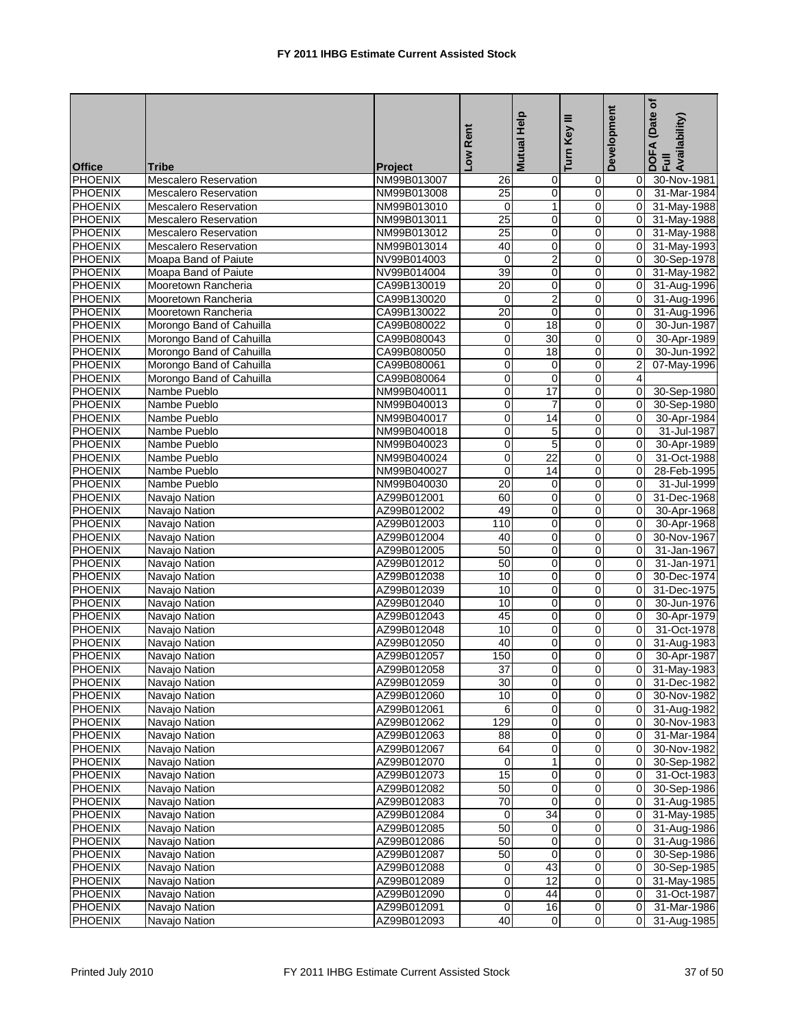| <b>Office</b>  | Tribe                        | <b>Project</b> | Low Rent            | <b>Mutual Help</b>      | Ξ<br>Turn Key  | Development             | ځ<br>(Date<br>DOFA (Date<br>Full<br>Availability) |
|----------------|------------------------------|----------------|---------------------|-------------------------|----------------|-------------------------|---------------------------------------------------|
| <b>PHOENIX</b> | <b>Mescalero Reservation</b> | NM99B013007    | 26                  | 0                       | $\mathbf 0$    | 0                       | 30-Nov-1981                                       |
| <b>PHOENIX</b> | <b>Mescalero Reservation</b> | NM99B013008    | 25                  | $\mathbf 0$             | $\mathbf 0$    | $\overline{0}$          | 31-Mar-1984                                       |
| <b>PHOENIX</b> | <b>Mescalero Reservation</b> | NM99B013010    | $\mathbf 0$         | $\mathbf{1}$            | $\mathbf 0$    | $\overline{0}$          | 31-May-1988                                       |
| <b>PHOENIX</b> | <b>Mescalero Reservation</b> | NM99B013011    | 25                  | 0                       | $\mathbf 0$    | $\overline{0}$          | 31-May-1988                                       |
| <b>PHOENIX</b> | <b>Mescalero Reservation</b> | NM99B013012    | 25                  | 0                       | $\mathbf 0$    | $\overline{0}$          | 31-May-1988                                       |
| <b>PHOENIX</b> | <b>Mescalero Reservation</b> | NM99B013014    | 40                  | $\mathbf 0$             | $\mathbf 0$    | $\overline{0}$          | 31-May-1993                                       |
| <b>PHOENIX</b> | Moapa Band of Paiute         | NV99B014003    | $\mathbf 0$         | $\overline{2}$          | $\overline{0}$ | $\overline{0}$          | 30-Sep-1978                                       |
| <b>PHOENIX</b> | Moapa Band of Paiute         | NV99B014004    | 39                  | $\mathbf 0$             | 0              | 0                       | 31-May-1982                                       |
| <b>PHOENIX</b> | Mooretown Rancheria          | CA99B130019    | 20                  | $\pmb{0}$               | $\pmb{0}$      | $\overline{0}$          | 31-Aug-1996                                       |
| <b>PHOENIX</b> | Mooretown Rancheria          | CA99B130020    | $\mathbf 0$         | $\overline{\mathbf{c}}$ | $\mathbf 0$    | $\overline{0}$          | 31-Aug-1996                                       |
| <b>PHOENIX</b> | Mooretown Rancheria          | CA99B130022    | 20                  | $\mathbf 0$             | $\mathbf 0$    | $\mathbf 0$             | 31-Aug-1996                                       |
| <b>PHOENIX</b> | Morongo Band of Cahuilla     | CA99B080022    | 0                   | 18                      | $\mathbf 0$    | 0                       | 30-Jun-1987                                       |
| <b>PHOENIX</b> | Morongo Band of Cahuilla     | CA99B080043    | 0                   | 30                      | $\mathbf 0$    | $\overline{0}$          | 30-Apr-1989                                       |
| <b>PHOENIX</b> | Morongo Band of Cahuilla     | CA99B080050    | 0                   | 18                      | $\mathbf 0$    | 0                       | 30-Jun-1992                                       |
| <b>PHOENIX</b> | Morongo Band of Cahuilla     | CA99B080061    | 0                   | 0                       | $\mathbf 0$    | 2                       | 07-May-1996                                       |
| <b>PHOENIX</b> | Morongo Band of Cahuilla     | CA99B080064    | 0                   | $\mathbf 0$             | $\pmb{0}$      | $\overline{\mathbf{4}}$ |                                                   |
| <b>PHOENIX</b> | Nambe Pueblo                 | NM99B040011    | 0                   | 17                      | $\mathbf 0$    | $\mathbf 0$             | 30-Sep-1980                                       |
| <b>PHOENIX</b> | Nambe Pueblo                 | NM99B040013    | 0                   | $\overline{7}$          | 0              | 0                       | 30-Sep-1980                                       |
| <b>PHOENIX</b> | Nambe Pueblo                 | NM99B040017    | 0                   | 14                      | $\pmb{0}$      | $\overline{0}$          | 30-Apr-1984                                       |
| <b>PHOENIX</b> | Nambe Pueblo                 | NM99B040018    | 0                   | 5                       | $\mathbf 0$    | 0                       | 31-Jul-1987                                       |
| <b>PHOENIX</b> | Nambe Pueblo                 | NM99B040023    | 0                   | $\overline{5}$          | $\mathbf 0$    | 0                       | 30-Apr-1989                                       |
| <b>PHOENIX</b> | Nambe Pueblo                 | NM99B040024    | 0                   | $\overline{22}$         | $\mathbf 0$    | 0                       | 31-Oct-1988                                       |
| <b>PHOENIX</b> | Nambe Pueblo                 | NM99B040027    | 0                   | $\overline{14}$         | $\mathbf 0$    | $\overline{0}$          | 28-Feb-1995                                       |
| <b>PHOENIX</b> | Nambe Pueblo                 | NM99B040030    | 20                  | 0                       | $\mathbf 0$    | 0                       | 31-Jul-1999                                       |
| <b>PHOENIX</b> | Navajo Nation                | AZ99B012001    | 60                  | 0                       | $\mathbf 0$    | 0                       | 31-Dec-1968                                       |
| <b>PHOENIX</b> | Navajo Nation                | AZ99B012002    | 49                  | $\mathbf 0$             | $\pmb{0}$      | 0                       | 30-Apr-1968                                       |
| <b>PHOENIX</b> | Navajo Nation                | AZ99B012003    | 110                 | $\mathbf 0$             | $\mathbf 0$    | $\mathbf 0$             | 30-Apr-1968                                       |
| <b>PHOENIX</b> | Navajo Nation                | AZ99B012004    | 40                  | $\mathbf 0$             | 0              | 0                       | 30-Nov-1967                                       |
| PHOENIX        | Navajo Nation                | AZ99B012005    | 50                  | 0                       | $\pmb{0}$      | 0                       | 31-Jan-1967                                       |
| <b>PHOENIX</b> | Navajo Nation                | AZ99B012012    | 50                  | 0                       | $\mathbf 0$    | 0                       | 31-Jan-1971                                       |
| <b>PHOENIX</b> | Navajo Nation                | AZ99B012038    | 10                  | 0                       | $\mathbf 0$    | 0                       | 30-Dec-1974                                       |
| <b>PHOENIX</b> | Navajo Nation                | AZ99B012039    | 10                  | $\mathbf 0$             | $\mathbf 0$    | 0                       | 31-Dec-1975                                       |
| <b>PHOENIX</b> | Navajo Nation                | AZ99B012040    | 10                  | 0                       | $\mathbf 0$    | $\overline{0}$          | 30-Jun-1976                                       |
| <b>PHOENIX</b> | Navajo Nation                | AZ99B012043    | 45                  | 0                       | $\mathbf 0$    | 0                       | 30-Apr-1979                                       |
| PHOENIX        | Navajo Nation                | AZ99B012048    | 10                  | 0                       | $\mathbf 0$    | $\overline{0}$          | 31-Oct-1978                                       |
| <b>PHOENIX</b> | Navajo Nation                | AZ99B012050    | 40                  | $\pmb{0}$               | $\pmb{0}$      | 0                       | 31-Aug-1983                                       |
| <b>PHOENIX</b> | Navajo Nation                | AZ99B012057    | 150                 | 0                       | $\mathbf 0$    | 0                       | 30-Apr-1987                                       |
| <b>PHOENIX</b> | Navajo Nation                | AZ99B012058    | $\overline{37}$     | $\overline{0}$          | $\overline{0}$ | $\overline{0}$          | 31-May-1983                                       |
| <b>PHOENIX</b> | Navajo Nation                | AZ99B012059    | 30                  | 0                       | $\pmb{0}$      | 0                       | 31-Dec-1982                                       |
| <b>PHOENIX</b> | Navajo Nation                | AZ99B012060    | 10                  | 0                       | $\pmb{0}$      | $\overline{0}$          | 30-Nov-1982                                       |
| <b>PHOENIX</b> | Navajo Nation                | AZ99B012061    | 6                   | 0                       | $\mathbf 0$    | 0                       | 31-Aug-1982                                       |
| <b>PHOENIX</b> | Navajo Nation                | AZ99B012062    | 129                 | $\boldsymbol{0}$        | $\Omega$       | $\overline{0}$          | 30-Nov-1983                                       |
| <b>PHOENIX</b> | Navajo Nation                | AZ99B012063    | $\overline{88}$     | 0                       | $\mathbf 0$    | 0                       | 31-Mar-1984                                       |
| <b>PHOENIX</b> | Navajo Nation                | AZ99B012067    | 64                  | 0                       | $\pmb{0}$      | 0                       | 30-Nov-1982                                       |
| <b>PHOENIX</b> | Navajo Nation                | AZ99B012070    | 0                   | 1                       | $\pmb{0}$      | 0                       | 30-Sep-1982                                       |
| <b>PHOENIX</b> | Navajo Nation                | AZ99B012073    | 15                  | $\mathbf 0$             | $\pmb{0}$      | 0                       | 31-Oct-1983                                       |
| <b>PHOENIX</b> | Navajo Nation                | AZ99B012082    | 50                  | 0                       | $\mathbf 0$    | 0                       | 30-Sep-1986                                       |
| <b>PHOENIX</b> | Navajo Nation                | AZ99B012083    | 70                  | $\mathbf 0$             | $\mathbf 0$    | 0                       | 31-Aug-1985                                       |
| <b>PHOENIX</b> | Navajo Nation                | AZ99B012084    | 0                   | 34                      | $\pmb{0}$      | 0                       | 31-May-1985                                       |
| <b>PHOENIX</b> | Navajo Nation                | AZ99B012085    | 50                  | 0                       | $\pmb{0}$      | $\overline{0}$          | 31-Aug-1986                                       |
| <b>PHOENIX</b> | Navajo Nation                | AZ99B012086    | 50                  | 0                       | $\pmb{0}$      | 0                       | 31-Aug-1986                                       |
| <b>PHOENIX</b> | Navajo Nation                | AZ99B012087    | 50                  | 0                       | $\pmb{0}$      | 0                       | 30-Sep-1986                                       |
| <b>PHOENIX</b> | Navajo Nation                | AZ99B012088    | 0                   | 43                      | $\mathbf 0$    | 0                       | 30-Sep-1985                                       |
| <b>PHOENIX</b> | Navajo Nation                | AZ99B012089    | 0                   | 12                      | $\mathbf 0$    | 0                       | 31-May-1985                                       |
| <b>PHOENIX</b> | Navajo Nation                | AZ99B012090    | 0                   | 44                      | $\mathbf 0$    | $\overline{0}$          | 31-Oct-1987                                       |
| <b>PHOENIX</b> | Navajo Nation                | AZ99B012091    | $\mathsf{O}\xspace$ | 16                      | $\pmb{0}$      | $\overline{0}$          | 31-Mar-1986                                       |
| <b>PHOENIX</b> | Navajo Nation                | AZ99B012093    | 40                  | 0                       | $\Omega$       | $\overline{0}$          | 31-Aug-1985                                       |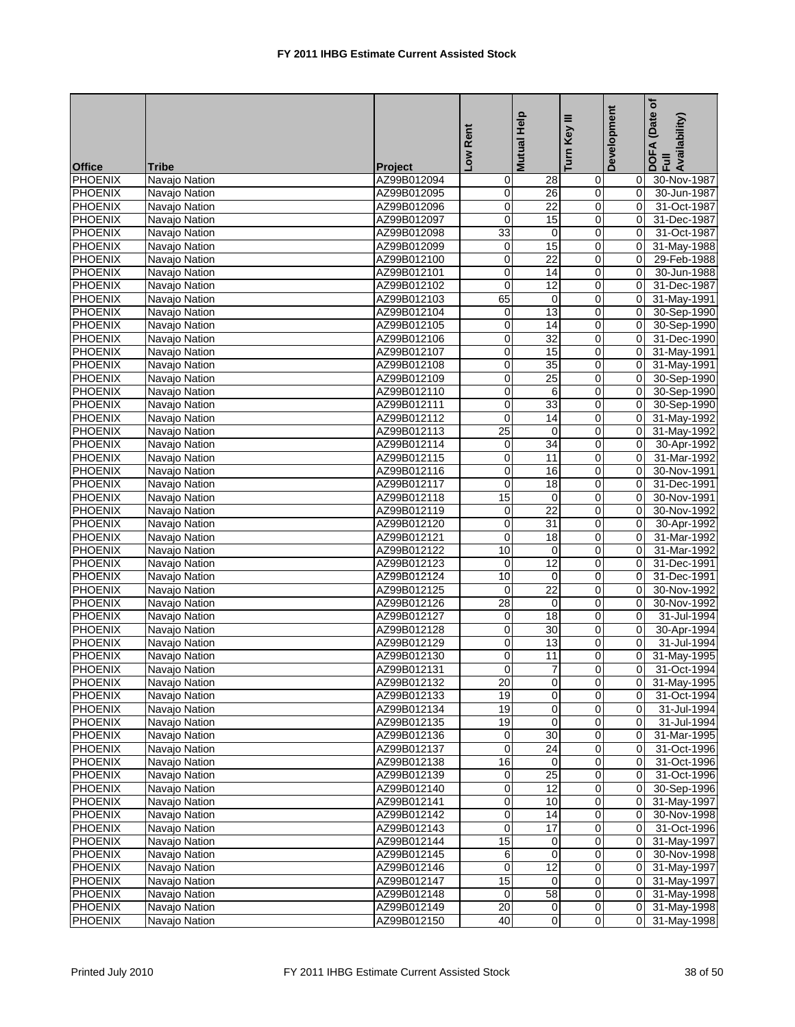|                |               |             | Low Rent         | <b>Mutual Help</b> | Turn Key III            | Development         | Date of<br>DOFA (Date<br>Full<br>Availability) |
|----------------|---------------|-------------|------------------|--------------------|-------------------------|---------------------|------------------------------------------------|
| <b>Office</b>  | <b>Tribe</b>  | Project     |                  |                    |                         |                     |                                                |
| <b>PHOENIX</b> | Navajo Nation | AZ99B012094 | 0                | 28                 | 0                       | 0                   | 30-Nov-1987                                    |
| <b>PHOENIX</b> | Navajo Nation | AZ99B012095 | $\mathbf 0$      | 26                 | 0                       | 0                   | 30-Jun-1987                                    |
| <b>PHOENIX</b> | Navajo Nation | AZ99B012096 | 0                | $\overline{22}$    | 0                       | $\Omega$            | 31-Oct-1987                                    |
| <b>PHOENIX</b> | Navajo Nation | AZ99B012097 | $\pmb{0}$        | 15                 | 0                       | $\mathbf 0$         | 31-Dec-1987                                    |
| <b>PHOENIX</b> | Navajo Nation | AZ99B012098 | 33               | $\mathbf 0$        | 0                       | 0                   | 31-Oct-1987                                    |
| <b>PHOENIX</b> | Navajo Nation | AZ99B012099 | $\mathbf 0$      | 15                 | 0                       | $\mathbf 0$         | 31-May-1988                                    |
| <b>PHOENIX</b> | Navajo Nation | AZ99B012100 | 0                | 22                 | 0                       | 0                   | 29-Feb-1988                                    |
| <b>PHOENIX</b> | Navajo Nation | AZ99B012101 | 0                | 14                 | 0                       | 0                   | 30-Jun-1988                                    |
| <b>PHOENIX</b> | Navajo Nation | AZ99B012102 | $\boldsymbol{0}$ | 12                 | $\pmb{0}$               | $\mathbf 0$         | 31-Dec-1987                                    |
| <b>PHOENIX</b> | Navajo Nation | AZ99B012103 | 65               | $\mathbf 0$        | 0                       | 0                   | 31-May-1991                                    |
| <b>PHOENIX</b> | Navajo Nation | AZ99B012104 | 0                | 13                 | 0                       | 0                   | 30-Sep-1990                                    |
| <b>PHOENIX</b> | Navajo Nation | AZ99B012105 | $\,0\,$          | 14                 | 0                       | 0                   | 30-Sep-1990                                    |
| <b>PHOENIX</b> | Navajo Nation | AZ99B012106 | 0                | 32                 | 0                       | 0                   | 31-Dec-1990                                    |
| <b>PHOENIX</b> | Navajo Nation | AZ99B012107 | $\,0\,$          | 15                 | 0                       | 0                   | 31-May-1991                                    |
| <b>PHOENIX</b> | Navajo Nation | AZ99B012108 | $\overline{0}$   | 35                 | 0                       | 0                   | 31-May-1991                                    |
| <b>PHOENIX</b> | Navajo Nation | AZ99B012109 | $\mathbf 0$      | $\overline{25}$    | 0                       | 0                   | 30-Sep-1990                                    |
| <b>PHOENIX</b> | Navajo Nation | AZ99B012110 | $\pmb{0}$        | 6                  | 0                       | 0                   | 30-Sep-1990                                    |
| <b>PHOENIX</b> | Navajo Nation | AZ99B012111 | 0                | 33                 | 0                       | 0                   | 30-Sep-1990                                    |
| <b>PHOENIX</b> | Navajo Nation | AZ99B012112 | $\overline{0}$   | $\overline{14}$    | 0                       | 0                   | 31-May-1992                                    |
| <b>PHOENIX</b> | Navajo Nation | AZ99B012113 | $\overline{25}$  | $\mathbf 0$        | 0                       | 0                   | 31-May-1992                                    |
| <b>PHOENIX</b> | Navajo Nation | AZ99B012114 | 0                | 34                 | 0                       | 0                   | 30-Apr-1992                                    |
| <b>PHOENIX</b> | Navajo Nation | AZ99B012115 | $\overline{0}$   | 11                 | 0                       | 0                   | 31-Mar-1992                                    |
| <b>PHOENIX</b> | Navajo Nation | AZ99B012116 | 0                | 16                 | 0                       | 0                   | 30-Nov-1991                                    |
| <b>PHOENIX</b> | Navajo Nation | AZ99B012117 | $\mathbf 0$      | 18                 | 0                       | $\mathbf 0$         | 31-Dec-1991                                    |
| <b>PHOENIX</b> | Navajo Nation | AZ99B012118 | 15               | $\mathbf 0$        | 0                       | 0                   | 30-Nov-1991                                    |
| <b>PHOENIX</b> | Navajo Nation | AZ99B012119 | $\mathbf 0$      | $\overline{22}$    | 0                       | $\Omega$            | 30-Nov-1992                                    |
| <b>PHOENIX</b> | Navajo Nation | AZ99B012120 | 0                | 31                 | 0                       | 0                   | 30-Apr-1992                                    |
| <b>PHOENIX</b> | Navajo Nation | AZ99B012121 | 0                | 18                 | 0                       | 0                   | 31-Mar-1992                                    |
| <b>PHOENIX</b> | Navajo Nation | AZ99B012122 | 10               | $\pmb{0}$          | $\overline{0}$          | 0                   | 31-Mar-1992                                    |
| <b>PHOENIX</b> | Navajo Nation | AZ99B012123 | $\pmb{0}$        | 12                 | 0                       | $\Omega$            | 31-Dec-1991                                    |
| <b>PHOENIX</b> | Navajo Nation | AZ99B012124 | 10               | 0                  | 0                       | 0                   | 31-Dec-1991                                    |
| <b>PHOENIX</b> | Navajo Nation | AZ99B012125 | 0                | $\overline{22}$    | 0                       | 0                   | 30-Nov-1992                                    |
| <b>PHOENIX</b> | Navajo Nation | AZ99B012126 | 28               | 0                  | 0                       | 0                   | 30-Nov-1992                                    |
| <b>PHOENIX</b> | Navajo Nation | AZ99B012127 | 0                | $\overline{18}$    | $\mathbf 0$             | $\Omega$            | 31-Jul-1994                                    |
| <b>PHOENIX</b> | Navajo Nation | AZ99B012128 | $\overline{0}$   | $\overline{30}$    | 0                       | 0                   | 30-Apr-1994                                    |
| PHOENIX        | Navajo Nation | AZ99B012129 | $\pmb{0}$        | $\overline{13}$    | 0                       | 0                   | 31-Jul-1994                                    |
| PHOENIX        | Navajo Nation | AZ99B012130 | 0                | 11                 | 0                       | 0                   | 31-May-1995                                    |
| <b>PHOENIX</b> | Navajo Nation | AZ99B012131 | 0                | $\overline{7}$     | $\overline{0}$          | 0                   | 31-Oct-1994                                    |
| <b>PHOENIX</b> | Navajo Nation | AZ99B012132 | 20               | $\overline{0}$     | $\overline{0}$          | 0                   | 31-May-1995                                    |
| <b>PHOENIX</b> | Navajo Nation | AZ99B012133 | 19               | 0                  | $\mathbf 0$             | 0                   | 31-Oct-1994                                    |
| PHOENIX        | Navajo Nation | AZ99B012134 | 19               | 0                  | $\overline{0}$          | 0                   | 31-Jul-1994                                    |
| <b>PHOENIX</b> | Navajo Nation | AZ99B012135 | 19               | 0                  | $\pmb{0}$               | 0                   | 31-Jul-1994                                    |
| <b>PHOENIX</b> | Navajo Nation | AZ99B012136 | 0                | 30                 | $\overline{0}$          | 0                   | 31-Mar-1995                                    |
| <b>PHOENIX</b> | Navajo Nation | AZ99B012137 | 0                | $\overline{24}$    | $\pmb{0}$               | $\mathbf 0$         | 31-Oct-1996                                    |
| <b>PHOENIX</b> | Navajo Nation | AZ99B012138 | 16               | 0                  | 0                       | 0                   | 31-Oct-1996                                    |
| <b>PHOENIX</b> | Navajo Nation | AZ99B012139 | 0                | $\overline{25}$    | 0                       | $\mathbf 0$         | 31-Oct-1996                                    |
| <b>PHOENIX</b> | Navajo Nation | AZ99B012140 | 0                | 12                 | 0                       | $\mathbf 0$         | 30-Sep-1996                                    |
| <b>PHOENIX</b> | Navajo Nation | AZ99B012141 | $\pmb{0}$        | 10                 | 0                       | 0                   | 31-May-1997                                    |
| <b>PHOENIX</b> | Navajo Nation | AZ99B012142 | $\pmb{0}$        | 14                 | $\pmb{0}$               | 0                   | 30-Nov-1998                                    |
| PHOENIX        | Navajo Nation | AZ99B012143 | $\pmb{0}$        | 17                 | $\overline{\mathbf{0}}$ | $\mathbf 0$         | 31-Oct-1996                                    |
| PHOENIX        | Navajo Nation | AZ99B012144 | 15               | 0                  | 0                       | $\mathbf 0$         | 31-May-1997                                    |
| <b>PHOENIX</b> | Navajo Nation | AZ99B012145 | 6                | 0                  | 0                       | 0                   | 30-Nov-1998                                    |
| PHOENIX        | Navajo Nation | AZ99B012146 | 0                | 12                 | 0                       | 0                   | 31-May-1997                                    |
| <b>PHOENIX</b> | Navajo Nation | AZ99B012147 | 15               | 0                  | $\pmb{0}$               | 0                   | 31-May-1997                                    |
| <b>PHOENIX</b> | Navajo Nation | AZ99B012148 | 0                | 58                 | $\mathbf 0$             | $\mathsf{O}\xspace$ | 31-May-1998                                    |
| PHOENIX        | Navajo Nation | AZ99B012149 | 20               | 0                  | 0                       | 0                   | 31-May-1998                                    |
| <b>PHOENIX</b> | Navajo Nation | AZ99B012150 | 40               | $\overline{0}$     | $\overline{0}$          | 0                   | 31-May-1998                                    |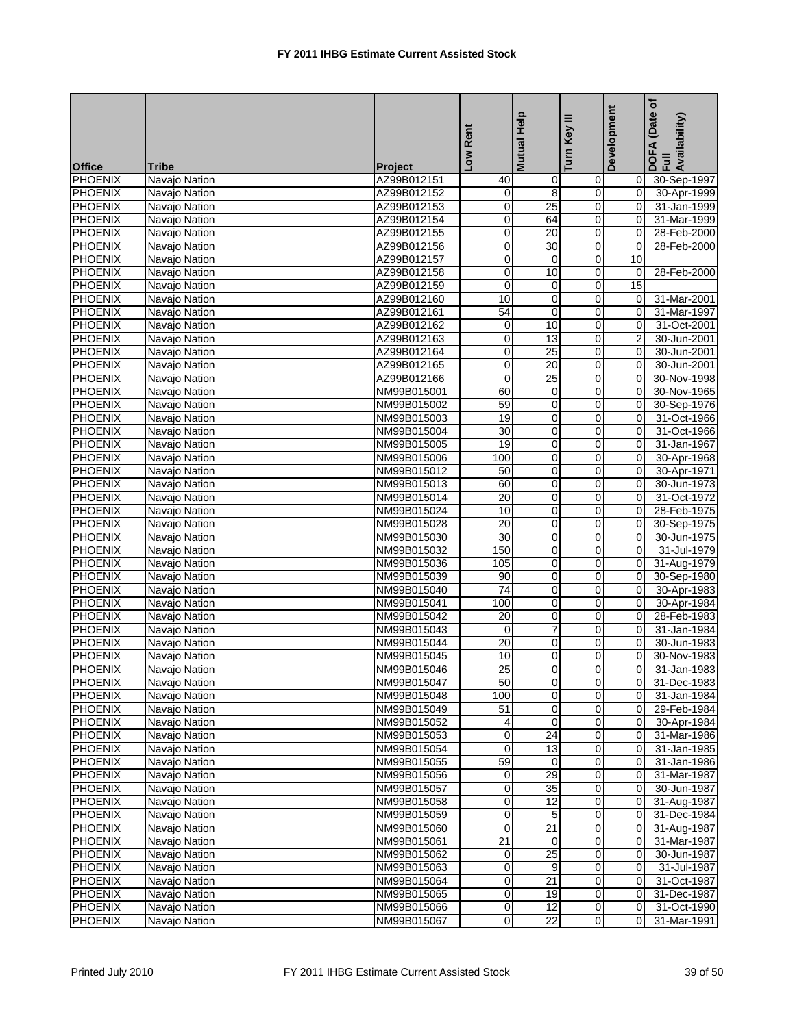|                |               |             |                         | Mutual Help             | Ξ                   | Development    | Date of<br>DOFA (Date<br>Full<br>Availability) |
|----------------|---------------|-------------|-------------------------|-------------------------|---------------------|----------------|------------------------------------------------|
|                |               |             | Low Rent                |                         | Turn Key            |                |                                                |
| <b>Office</b>  | <b>Tribe</b>  | Project     |                         |                         |                     |                |                                                |
| <b>PHOENIX</b> | Navajo Nation | AZ99B012151 | 40                      | 0                       | 0                   | 0              | 30-Sep-1997                                    |
| PHOENIX        | Navajo Nation | AZ99B012152 | 0                       | 8                       | $\mathbf 0$         | $\mathbf 0$    | 30-Apr-1999                                    |
| <b>PHOENIX</b> | Navajo Nation | AZ99B012153 | 0                       | $\overline{25}$         | 0                   | 0              | 31-Jan-1999                                    |
| PHOENIX        | Navajo Nation | AZ99B012154 | 0                       | 64                      | 0                   | 0              | 31-Mar-1999                                    |
| <b>PHOENIX</b> | Navajo Nation | AZ99B012155 | $\pmb{0}$               | 20                      | $\mathbf 0$         | 0              | 28-Feb-2000                                    |
| <b>PHOENIX</b> | Navajo Nation | AZ99B012156 | $\mathbf 0$             | 30                      | 0                   | $\mathbf 0$    | 28-Feb-2000                                    |
| <b>PHOENIX</b> | Navajo Nation | AZ99B012157 | 0                       | $\mathbf 0$             | $\mathbf 0$         | 10             |                                                |
| <b>PHOENIX</b> | Navajo Nation | AZ99B012158 | $\mathbf 0$             | 10                      | $\overline{0}$      | 0              | 28-Feb-2000                                    |
| <b>PHOENIX</b> | Navajo Nation | AZ99B012159 | $\pmb{0}$               | $\mathbf 0$             | 0                   | 15             |                                                |
| PHOENIX        | Navajo Nation | AZ99B012160 | 10                      | $\pmb{0}$               | $\pmb{0}$           | $\mathbf 0$    | 31-Mar-2001                                    |
| PHOENIX        | Navajo Nation | AZ99B012161 | $\overline{54}$         | 0                       | 0                   | $\Omega$       | 31-Mar-1997                                    |
| PHOENIX        | Navajo Nation | AZ99B012162 | 0                       | 10                      | $\mathbf 0$         | 0              | 31-Oct-2001                                    |
| <b>PHOENIX</b> | Navajo Nation | AZ99B012163 | 0                       | $\overline{13}$         | 0                   | 2              | 30-Jun-2001                                    |
| PHOENIX        | Navajo Nation | AZ99B012164 | 0                       | 25                      | 0                   | $\Omega$       | 30-Jun-2001                                    |
| PHOENIX        | Navajo Nation | AZ99B012165 | $\overline{0}$          | $\overline{20}$         | $\mathbf 0$         | 0              | 30-Jun-2001                                    |
| <b>PHOENIX</b> | Navajo Nation | AZ99B012166 | $\mathbf 0$             | $\overline{25}$         | 0                   | 0              | 30-Nov-1998                                    |
| <b>PHOENIX</b> | Navajo Nation | NM99B015001 | 60                      | $\mathbf 0$             | $\mathbf 0$         | $\overline{0}$ | 30-Nov-1965                                    |
| <b>PHOENIX</b> | Navajo Nation | NM99B015002 | 59                      | 0                       | $\overline{0}$      | 0              | 30-Sep-1976                                    |
| <b>PHOENIX</b> | Navajo Nation | NM99B015003 | 19                      | $\mathbf 0$             | 0                   | 0              | 31-Oct-1966                                    |
| PHOENIX        | Navajo Nation | NM99B015004 | 30                      | $\overline{0}$          | 0                   | $\Omega$       | 31-Oct-1966                                    |
| PHOENIX        | Navajo Nation | NM99B015005 | 19                      | 0                       | 0                   | $\Omega$       | 31-Jan-1967                                    |
| PHOENIX        | Navajo Nation | NM99B015006 | 100                     | 0                       | $\mathbf 0$         | $\mathbf 0$    | 30-Apr-1968                                    |
| <b>PHOENIX</b> | Navajo Nation | NM99B015012 | 50                      | 0                       | 0                   | 0              | 30-Apr-1971                                    |
| PHOENIX        | Navajo Nation | NM99B015013 | 60                      | 0                       | 0                   | 0              | 30-Jun-1973                                    |
| <b>PHOENIX</b> | Navajo Nation | NM99B015014 | 20                      | $\mathbf 0$             | $\mathbf 0$         | 0              | 31-Oct-1972                                    |
| <b>PHOENIX</b> | Navajo Nation | NM99B015024 | 10                      | 0                       | 0                   | 0              | 28-Feb-1975                                    |
| <b>PHOENIX</b> | Navajo Nation | NM99B015028 | 20                      | 0                       | $\mathbf 0$         | $\Omega$       | 30-Sep-1975                                    |
| <b>PHOENIX</b> | Navajo Nation | NM99B015030 | $\overline{30}$         | 0                       | $\overline{0}$      | 0              | 30-Jun-1975                                    |
| <b>PHOENIX</b> | Navajo Nation | NM99B015032 | 150                     | 0                       | 0                   | 0              | 31-Jul-1979                                    |
| PHOENIX        | Navajo Nation | NM99B015036 | 105                     | $\pmb{0}$               | 0                   | $\mathbf 0$    | 31-Aug-1979                                    |
| PHOENIX        | Navajo Nation | NM99B015039 | 90                      | 0                       | 0                   | 0              | 30-Sep-1980                                    |
| PHOENIX        | Navajo Nation | NM99B015040 | $\overline{74}$         | 0                       | $\mathbf 0$         | 0              | 30-Apr-1983                                    |
| <b>PHOENIX</b> | Navajo Nation | NM99B015041 | 100                     | 0                       | 0                   | 0              | 30-Apr-1984                                    |
| PHOENIX        | Navajo Nation | NM99B015042 | 20                      | 0                       | 0                   | $\overline{0}$ | 28-Feb-1983                                    |
| <b>PHOENIX</b> | Navajo Nation | NM99B015043 | 0                       | $\overline{7}$          | $\mathbf 0$         | 0              | 31-Jan-1984                                    |
| PHOENIX        | Navajo Nation | NM99B015044 | $\overline{20}$         | 0                       | 0                   | $\Omega$       | 30-Jun-1983                                    |
| <b>PHOENIX</b> | Navajo Nation | NM99B015045 | 10                      | $\pmb{0}$               | $\mathbf 0$         | $\Omega$       | 30-Nov-1983                                    |
| <b>PHOENIX</b> | Navajo Nation | NM99B015046 | $\overline{25}$         | $\overline{0}$          | $\overline{0}$      | 0              | 31-Jan-1983                                    |
| <b>PHOENIX</b> | Navajo Nation | NM99B015047 | 50                      | $\overline{\mathbf{0}}$ | $\overline{0}$      | 0              | 31-Dec-1983                                    |
| PHOENIX        | Navajo Nation | NM99B015048 | 100                     | $\mathbf 0$             | $\overline{0}$      | 0              | 31-Jan-1984                                    |
| <b>PHOENIX</b> | Navajo Nation | NM99B015049 | 51                      | 0                       | $\overline{0}$      | $\mathbf 0$    | 29-Feb-1984                                    |
| PHOENIX        | Navajo Nation | NM99B015052 | 4                       | 0                       | $\mathbf 0$         | 0              | 30-Apr-1984                                    |
| PHOENIX        | Navajo Nation | NM99B015053 | 0                       | 24                      | 0                   | 0              | 31-Mar-1986                                    |
| <b>PHOENIX</b> | Navajo Nation | NM99B015054 | 0                       | 13                      | $\pmb{0}$           | 0              | 31-Jan-1985                                    |
| PHOENIX        | Navajo Nation | NM99B015055 | 59                      | $\mathbf 0$             | 0                   | 0              | 31-Jan-1986                                    |
| <b>PHOENIX</b> | Navajo Nation | NM99B015056 | 0                       | 29                      | $\mathbf 0$         | 0              | 31-Mar-1987                                    |
| <b>PHOENIX</b> | Navajo Nation | NM99B015057 | 0                       | 35                      | $\mathbf 0$         | 0              | 30-Jun-1987                                    |
| <b>PHOENIX</b> | Navajo Nation | NM99B015058 | $\overline{0}$          | 12                      | $\overline{0}$      | $\mathbf 0$    | 31-Aug-1987                                    |
| <b>PHOENIX</b> | Navajo Nation | NM99B015059 | $\pmb{0}$               | 5                       | $\pmb{0}$           | 0              | 31-Dec-1984                                    |
| <b>PHOENIX</b> | Navajo Nation | NM99B015060 | 0                       | $\overline{21}$         | $\mathsf{O}\xspace$ | 0              | 31-Aug-1987                                    |
| <b>PHOENIX</b> | Navajo Nation | NM99B015061 | $\overline{21}$         | 0                       | $\overline{0}$      | 0              | 31-Mar-1987                                    |
| PHOENIX        | Navajo Nation | NM99B015062 | $\pmb{0}$               | $\overline{25}$         | $\mathbf 0$         | 0              | 30-Jun-1987                                    |
| PHOENIX        | Navajo Nation | NM99B015063 | 0                       | 9                       | 0                   | 0              | 31-Jul-1987                                    |
| <b>PHOENIX</b> | Navajo Nation | NM99B015064 | $\pmb{0}$               | 21                      | $\pmb{0}$           | 0              | 31-Oct-1987                                    |
| PHOENIX        | Navajo Nation | NM99B015065 | $\overline{0}$          | 19                      | 0                   | 0              | 31-Dec-1987                                    |
| PHOENIX        | Navajo Nation | NM99B015066 | 0                       | 12                      | $\overline{0}$      | 0              | 31-Oct-1990                                    |
| <b>PHOENIX</b> | Navajo Nation | NM99B015067 | $\overline{\mathsf{o}}$ | $\overline{22}$         | $\overline{0}$      | $\Omega$       | 31-Mar-1991                                    |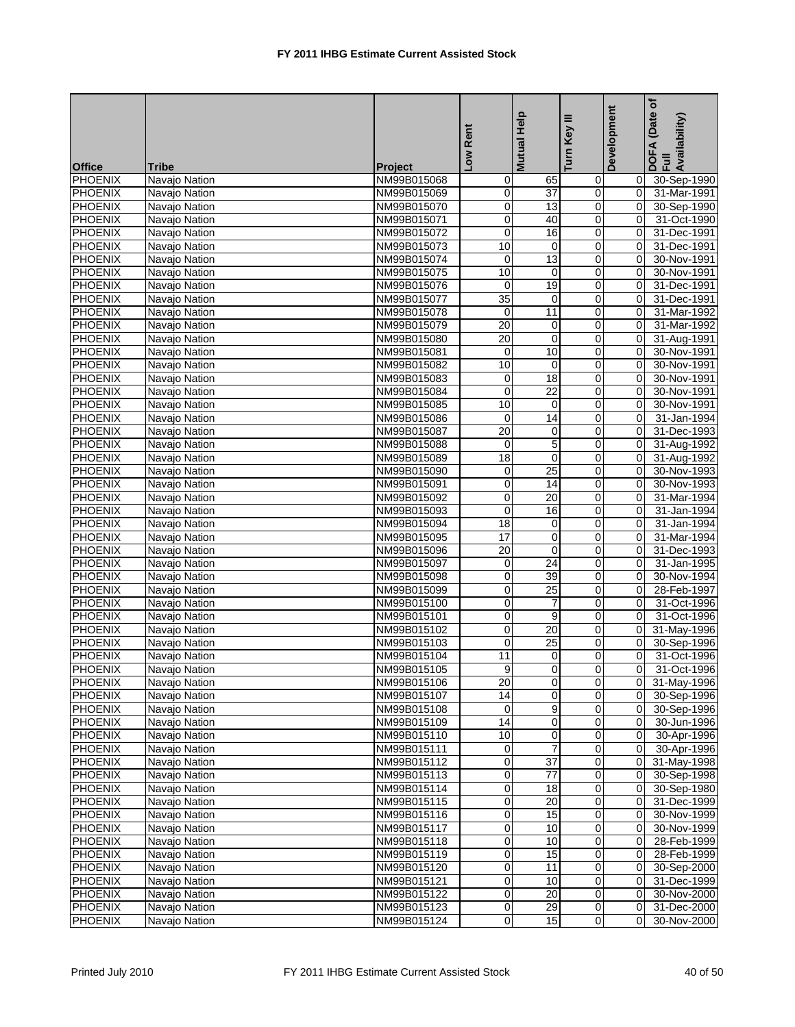|                           |                                |                            | Low Rent        | <b>Mutual Help</b> | Turn Key III   | Development | Date of<br>DOFA (Date<br>Full<br>Availability) |
|---------------------------|--------------------------------|----------------------------|-----------------|--------------------|----------------|-------------|------------------------------------------------|
|                           |                                |                            |                 |                    |                |             |                                                |
| <b>Office</b>             | <b>Tribe</b>                   | Project                    |                 |                    |                |             |                                                |
| PHOENIX<br><b>PHOENIX</b> | Navajo Nation                  | NM99B015068                | 0<br>0          | 65<br>37           | 0<br>0         | 0<br>0      | 30-Sep-1990<br>31-Mar-1991                     |
| <b>PHOENIX</b>            | Navajo Nation                  | NM99B015069                | 0               | 13                 | 0              | 0           | 30-Sep-1990                                    |
| <b>PHOENIX</b>            | Navajo Nation                  | NM99B015070                | $\overline{0}$  | 40                 |                | 0           | 31-Oct-1990                                    |
| <b>PHOENIX</b>            | Navajo Nation<br>Navajo Nation | NM99B015071<br>NM99B015072 | $\pmb{0}$       | 16                 | 0<br>$\pmb{0}$ | 0           | 31-Dec-1991                                    |
| <b>PHOENIX</b>            | Navajo Nation                  | NM99B015073                | 10              | $\mathbf 0$        | 0              | 0           | 31-Dec-1991                                    |
| <b>PHOENIX</b>            | Navajo Nation                  | NM99B015074                | 0               | 13                 | 0              | 0           | 30-Nov-1991                                    |
| <b>PHOENIX</b>            | Navajo Nation                  | NM99B015075                | 10              | 0                  | 0              | 0           | 30-Nov-1991                                    |
| <b>PHOENIX</b>            | Navajo Nation                  | NM99B015076                | $\mathbf 0$     | 19                 | $\pmb{0}$      | $\mathbf 0$ | 31-Dec-1991                                    |
| <b>PHOENIX</b>            | Navajo Nation                  | NM99B015077                | 35              | 0                  | $\mathbf 0$    | $\Omega$    | 31-Dec-1991                                    |
| <b>PHOENIX</b>            | Navajo Nation                  | NM99B015078                | 0               | 11                 | 0              | $\Omega$    | 31-Mar-1992                                    |
| <b>PHOENIX</b>            | Navajo Nation                  | NM99B015079                | $\overline{20}$ | 0                  | 0              | 0           | 31-Mar-1992                                    |
| <b>PHOENIX</b>            | Navajo Nation                  | NM99B015080                | $\overline{20}$ | $\mathbf 0$        | 0              | 0           | 31-Aug-1991                                    |
| <b>PHOENIX</b>            | Navajo Nation                  | NM99B015081                | 0               | 10                 | 0              | 0           | 30-Nov-1991                                    |
| <b>PHOENIX</b>            | Navajo Nation                  | NM99B015082                | 10              | $\mathbf 0$        | 0              | 0           | 30-Nov-1991                                    |
| <b>PHOENIX</b>            | Navajo Nation                  | NM99B015083                | $\mathbf 0$     | 18                 | 0              | 0           | 30-Nov-1991                                    |
| <b>PHOENIX</b>            | Navajo Nation                  | NM99B015084                | $\mathbf 0$     | 22                 | 0              | 0           | 30-Nov-1991                                    |
| <b>PHOENIX</b>            | Navajo Nation                  | NM99B015085                | 10              | 0                  | 0              | 0           | 30-Nov-1991                                    |
| <b>PHOENIX</b>            | Navajo Nation                  | NM99B015086                | $\mathbf 0$     | 14                 | 0              | $\mathbf 0$ | 31-Jan-1994                                    |
| <b>PHOENIX</b>            | Navajo Nation                  | NM99B015087                | 20              | $\mathbf 0$        | 0              | 0           | 31-Dec-1993                                    |
| <b>PHOENIX</b>            | Navajo Nation                  | NM99B015088                | 0               | $\overline{5}$     | 0              | $\mathbf 0$ | 31-Aug-1992                                    |
| <b>PHOENIX</b>            | Navajo Nation                  | NM99B015089                | 18              | 0                  | 0              | 0           | 31-Aug-1992                                    |
| <b>PHOENIX</b>            | Navajo Nation                  | NM99B015090                | 0               | $\overline{25}$    | 0              | 0           | 30-Nov-1993                                    |
| <b>PHOENIX</b>            | Navajo Nation                  | NM99B015091                | $\mathbf 0$     | 14                 | 0              | $\mathbf 0$ | 30-Nov-1993                                    |
| <b>PHOENIX</b>            | Navajo Nation                  | NM99B015092                | $\overline{0}$  | 20                 | 0              | 0           | 31-Mar-1994                                    |
| <b>PHOENIX</b>            | Navajo Nation                  | NM99B015093                | $\mathbf 0$     | 16                 | 0              | 0           | 31-Jan-1994                                    |
| <b>PHOENIX</b>            | Navajo Nation                  | NM99B015094                | 18              | $\mathbf 0$        | 0              | 0           | 31-Jan-1994                                    |
| <b>PHOENIX</b>            | Navajo Nation                  | NM99B015095                | 17              | 0                  | 0              | $\mathbf 0$ | 31-Mar-1994                                    |
| <b>PHOENIX</b>            | Navajo Nation                  | NM99B015096                | $\overline{20}$ | $\overline{0}$     | 0              | $\mathbf 0$ | 31-Dec-1993                                    |
| <b>PHOENIX</b>            | Navajo Nation                  | NM99B015097                | $\overline{0}$  | 24                 | 0              | 0           | 31-Jan-1995                                    |
| <b>PHOENIX</b>            | Navajo Nation                  | NM99B015098                | 0               | 39                 | 0              | 0           | 30-Nov-1994                                    |
| <b>PHOENIX</b>            | Navajo Nation                  | NM99B015099                | $\pmb{0}$       | $\overline{25}$    | 0              | 0           | 28-Feb-1997                                    |
| <b>PHOENIX</b>            | Navajo Nation                  | NM99B015100                | 0               | $\overline{7}$     | 0              | 0           | 31-Oct-1996                                    |
| <b>PHOENIX</b>            | Navajo Nation                  | NM99B015101                | 0               | 9                  | $\mathbf 0$    | $\Omega$    | 31-Oct-1996                                    |
| <b>PHOENIX</b>            | Navajo Nation                  | NM99B015102                | $\overline{0}$  | 20                 | 0              | 0           | 31-May-1996                                    |
| <b>PHOENIX</b>            | Navajo Nation                  | NM99B015103                | $\mathbf 0$     | $\overline{25}$    | 0              | 0           | 30-Sep-1996                                    |
| <b>PHOENIX</b>            | Navajo Nation                  | NM99B015104                | 11              | 0                  | 0              | 0           | 31-Oct-1996                                    |
| PHOENIX                   | Navajo Nation                  | NM99B015105                | 9               | $\overline{0}$     | $\overline{0}$ | 0           | 31-Oct-1996                                    |
| <b>PHOENIX</b>            | Navajo Nation                  | NM99B015106                | 20              | $\overline{0}$     | $\overline{0}$ | 0           | 31-May-1996                                    |
| <b>PHOENIX</b>            | Navajo Nation                  | NM99B015107                | 14              | $\mathbf 0$        | 0              | $\mathbf 0$ | 30-Sep-1996                                    |
| PHOENIX                   | Navajo Nation                  | NM99B015108                | 0               | 9                  | 0              | $\mathbf 0$ | 30-Sep-1996                                    |
| <b>PHOENIX</b>            | Navajo Nation                  | NM99B015109                | 14              | 0                  | 0              | 0           | 30-Jun-1996                                    |
| <b>PHOENIX</b>            | Navajo Nation                  | NM99B015110                | 10              | 0                  | 0              | 0           | 30-Apr-1996                                    |
| <b>PHOENIX</b>            | Navajo Nation                  | NM99B015111                | 0               | $\overline{7}$     | $\pmb{0}$      | $\mathbf 0$ | 30-Apr-1996                                    |
| <b>PHOENIX</b>            | Navajo Nation                  | NM99B015112                | $\overline{0}$  | $\overline{37}$    | 0              | $\mathbf 0$ | 31-May-1998                                    |
| <b>PHOENIX</b>            | Navajo Nation                  | NM99B015113                | $\pmb{0}$       | $\overline{77}$    | 0              | $\mathbf 0$ | 30-Sep-1998                                    |
| <b>PHOENIX</b>            | Navajo Nation                  | NM99B015114                | $\pmb{0}$       | 18                 | 0              | $\mathbf 0$ | 30-Sep-1980                                    |
| <b>PHOENIX</b>            | Navajo Nation                  | NM99B015115                | $\pmb{0}$       | 20                 | 0              | 0           | 31-Dec-1999                                    |
| <b>PHOENIX</b>            | Navajo Nation                  | NM99B015116                | $\pmb{0}$       | 15                 | $\pmb{0}$      | 0           | 30-Nov-1999                                    |
| PHOENIX                   | Navajo Nation                  | NM99B015117                | 0               | 10                 | 0              | $\mathbf 0$ | 30-Nov-1999                                    |
| PHOENIX                   | Navajo Nation                  | NM99B015118                | $\mathbf 0$     | 10                 | 0              | $\mathbf 0$ | 28-Feb-1999                                    |
| <b>PHOENIX</b>            | Navajo Nation                  | NM99B015119                | $\overline{0}$  | 15                 | 0              | 0           | 28-Feb-1999                                    |
| PHOENIX                   | Navajo Nation                  | NM99B015120                | 0               | 11                 | 0              | 0           | 30-Sep-2000                                    |
| <b>PHOENIX</b>            | Navajo Nation                  | NM99B015121                | 0               | 10                 | 0              | $\mathbf 0$ | 31-Dec-1999                                    |
| <b>PHOENIX</b>            | Navajo Nation                  | NM99B015122                | $\pmb{0}$       | 20                 | 0              | 0           | 30-Nov-2000                                    |
| PHOENIX                   | Navajo Nation                  | NM99B015123                | 0               | 29                 | 0              | 0           | 31-Dec-2000                                    |
| <b>PHOENIX</b>            | Navajo Nation                  | NM99B015124                | 0               | 15                 | $\overline{0}$ | 0           | 30-Nov-2000                                    |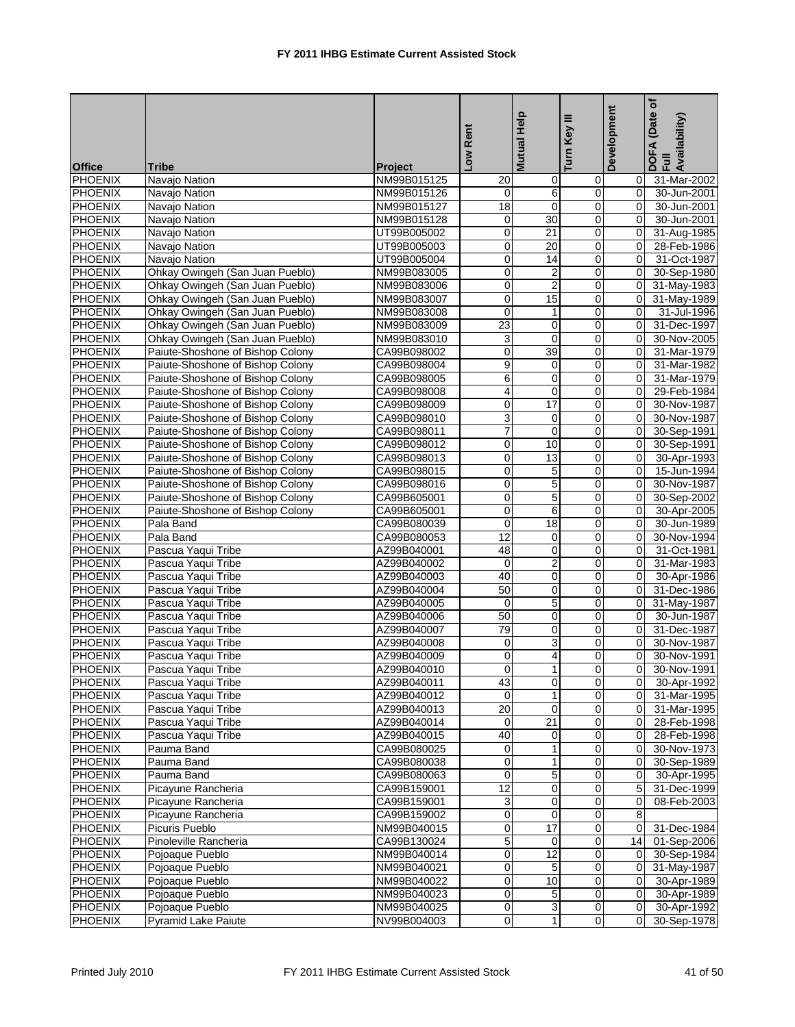|                |                                  |                | Low Rent        | <b>Mutual Help</b> | Ξ<br>Turn Key  | Development    | Date of<br>DOFA (Date<br>Full<br>Availability) |
|----------------|----------------------------------|----------------|-----------------|--------------------|----------------|----------------|------------------------------------------------|
| <b>Office</b>  | <b>Tribe</b>                     | <b>Project</b> |                 |                    |                |                |                                                |
| <b>PHOENIX</b> | Navajo Nation                    | NM99B015125    | 20              | 0                  | 0              | 0              | 31-Mar-2002                                    |
| PHOENIX        | Navajo Nation                    | NM99B015126    | $\mathbf 0$     | 6                  | 0              | $\mathbf 0$    | 30-Jun-2001                                    |
| <b>PHOENIX</b> | Navajo Nation                    | NM99B015127    | $\overline{18}$ | $\mathbf 0$        | 0              | $\Omega$       | 30-Jun-2001                                    |
| <b>PHOENIX</b> | Navajo Nation                    | NM99B015128    | 0               | 30                 | $\pmb{0}$      | $\Omega$       | 30-Jun-2001                                    |
| <b>PHOENIX</b> | Navajo Nation                    | UT99B005002    | $\overline{0}$  | 21                 | $\mathbf 0$    | 0              | 31-Aug-1985                                    |
| <b>PHOENIX</b> | Navajo Nation                    | UT99B005003    | $\mathbf 0$     | 20                 | 0              | $\mathbf 0$    | 28-Feb-1986                                    |
| <b>PHOENIX</b> | Navajo Nation                    | UT99B005004    | 0               | 14                 | 0              | 0              | 31-Oct-1987                                    |
| <b>PHOENIX</b> | Ohkay Owingeh (San Juan Pueblo)  | NM99B083005    | 0               | $\overline{2}$     | 0              | $\mathbf 0$    | 30-Sep-1980                                    |
| <b>PHOENIX</b> | Ohkay Owingeh (San Juan Pueblo)  | NM99B083006    | $\pmb{0}$       | $\overline{2}$     | $\mathsf 0$    | 0              | 31-May-1983                                    |
| <b>PHOENIX</b> | Ohkay Owingeh (San Juan Pueblo)  | NM99B083007    | $\pmb{0}$       | 15                 | $\mathbf 0$    | $\mathbf 0$    | 31-May-1989                                    |
| <b>PHOENIX</b> | Ohkay Owingeh (San Juan Pueblo)  | NM99B083008    | $\mathbf 0$     | $\mathbf{1}$       | 0              | 0              | 31-Jul-1996                                    |
| <b>PHOENIX</b> | Ohkay Owingeh (San Juan Pueblo)  | NM99B083009    | 23              | 0                  | 0              | 0              | 31-Dec-1997                                    |
| <b>PHOENIX</b> | Ohkay Owingeh (San Juan Pueblo)  | NM99B083010    | 3               | $\mathbf 0$        | 0              | $\Omega$       | 30-Nov-2005                                    |
| <b>PHOENIX</b> | Paiute-Shoshone of Bishop Colony | CA99B098002    | 0               | 39                 | 0              | 0              | 31-Mar-1979                                    |
| <b>PHOENIX</b> | Paiute-Shoshone of Bishop Colony | CA99B098004    | $\overline{9}$  | 0                  | $\mathbf 0$    | 0              | 31-Mar-1982                                    |
| <b>PHOENIX</b> | Paiute-Shoshone of Bishop Colony | CA99B098005    | 6               | 0                  | 0              | $\Omega$       | 31-Mar-1979                                    |
| <b>PHOENIX</b> | Paiute-Shoshone of Bishop Colony | CA99B098008    | 4               | $\mathbf 0$        | 0              | $\Omega$       | 29-Feb-1984                                    |
| <b>PHOENIX</b> | Paiute-Shoshone of Bishop Colony | CA99B098009    | 0               | $\overline{17}$    | 0              | 0              | 30-Nov-1987                                    |
| <b>PHOENIX</b> | Paiute-Shoshone of Bishop Colony | CA99B098010    | $\overline{3}$  | $\mathbf 0$        | $\mathsf 0$    | $\mathbf 0$    | 30-Nov-1987                                    |
| <b>PHOENIX</b> | Paiute-Shoshone of Bishop Colony | CA99B098011    | $\overline{7}$  | $\mathbf 0$        | 0              | $\Omega$       | 30-Sep-1991                                    |
| <b>PHOENIX</b> | Paiute-Shoshone of Bishop Colony | CA99B098012    | $\mathbf 0$     | 10                 | 0              | $\Omega$       | 30-Sep-1991                                    |
| <b>PHOENIX</b> | Paiute-Shoshone of Bishop Colony | CA99B098013    | $\pmb{0}$       | 13                 | 0              | 0              | 30-Apr-1993                                    |
| <b>PHOENIX</b> | Paiute-Shoshone of Bishop Colony | CA99B098015    | 0               | 5                  | 0              | $\Omega$       | 15-Jun-1994                                    |
| <b>PHOENIX</b> | Paiute-Shoshone of Bishop Colony | CA99B098016    | $\mathbf 0$     | 5                  | 0              | 0              | 30-Nov-1987                                    |
| <b>PHOENIX</b> | Paiute-Shoshone of Bishop Colony | CA99B605001    | $\overline{0}$  | $\overline{5}$     | 0              | 0              | 30-Sep-2002                                    |
| <b>PHOENIX</b> | Paiute-Shoshone of Bishop Colony | CA99B605001    | $\mathbf 0$     | 6                  | 0              | $\mathbf 0$    | 30-Apr-2005                                    |
| <b>PHOENIX</b> | Pala Band                        | CA99B080039    | $\mathbf 0$     | 18                 | 0              | $\Omega$       | 30-Jun-1989                                    |
| <b>PHOENIX</b> | Pala Band                        | CA99B080053    | $\overline{12}$ | 0                  | 0              | 0              | 30-Nov-1994                                    |
| <b>PHOENIX</b> | Pascua Yaqui Tribe               | AZ99B040001    | 48              | $\mathbf 0$        | 0              | 0              | 31-Oct-1981                                    |
| <b>PHOENIX</b> | Pascua Yaqui Tribe               | AZ99B040002    | $\mathbf 0$     | $\overline{c}$     | $\mathbf 0$    | $\Omega$       | 31-Mar-1983                                    |
| <b>PHOENIX</b> | Pascua Yaqui Tribe               | AZ99B040003    | 40              | 0                  | 0              | 0              | 30-Apr-1986                                    |
| <b>PHOENIX</b> | Pascua Yaqui Tribe               | AZ99B040004    | 50              | 0                  | $\mathsf 0$    | $\mathbf 0$    | 31-Dec-1986                                    |
| <b>PHOENIX</b> | Pascua Yaqui Tribe               | AZ99B040005    | $\mathbf 0$     | $\overline{5}$     | 0              | $\mathbf 0$    | 31-May-1987                                    |
| <b>PHOENIX</b> | Pascua Yaqui Tribe               | AZ99B040006    | 50              | $\mathbf 0$        | 0              | $\Omega$       | 30-Jun-1987                                    |
| <b>PHOENIX</b> | Pascua Yaqui Tribe               | AZ99B040007    | 79              | 0                  | 0              | 0              | 31-Dec-1987                                    |
| <b>PHOENIX</b> | Pascua Yaqui Tribe               | AZ99B040008    | 0               | 3                  | 0              | 0              | 30-Nov-1987                                    |
| <b>PHOENIX</b> | Pascua Yaqui Tribe               | AZ99B040009    | 0               | 4                  | 0              | $\Omega$       | 30-Nov-1991                                    |
| PHOENIX        | Pascua Yaqui Tribe               | AZ99B040010    | $\overline{0}$  | 1 <sup>1</sup>     | $\overline{0}$ | $\Omega$       | 30-Nov-1991                                    |
| PHOENIX        | Pascua Yaqui Tribe               | AZ99B040011    | 43              | $\overline{0}$     | $\overline{0}$ | 0              | 30-Apr-1992                                    |
| PHOENIX        | Pascua Yaqui Tribe               | AZ99B040012    | $\Omega$        | $\mathbf{1}$       | $\mathbf 0$    | $\overline{0}$ | 31-Mar-1995                                    |
| <b>PHOENIX</b> | Pascua Yaqui Tribe               | AZ99B040013    | 20              | 0                  | 0              | 0              | 31-Mar-1995                                    |
| PHOENIX        | Pascua Yaqui Tribe               | AZ99B040014    | $\mathbf 0$     | 21                 | $\mathbf 0$    | 0              | 28-Feb-1998                                    |
| PHOENIX        | Pascua Yaqui Tribe               | AZ99B040015    | 40              | 0                  | 0              | 0              | 28-Feb-1998                                    |
| <b>PHOENIX</b> | Pauma Band                       | CA99B080025    | 0               | 1                  | $\pmb{0}$      | 0              | 30-Nov-1973                                    |
| <b>PHOENIX</b> | Pauma Band                       | CA99B080038    | $\overline{0}$  | $\mathbf{1}$       | $\pmb{0}$      | 0              | 30-Sep-1989                                    |
| <b>PHOENIX</b> | Pauma Band                       | CA99B080063    | 0               | $\overline{5}$     | 0              | 0              | 30-Apr-1995                                    |
| <b>PHOENIX</b> | Picayune Rancheria               | CA99B159001    | $\overline{12}$ | 0                  | 0              | 5              | 31-Dec-1999                                    |
| <b>PHOENIX</b> | Picayune Rancheria               | CA99B159001    | 3               | 0                  | 0              | 0              | 08-Feb-2003                                    |
| <b>PHOENIX</b> | Picayune Rancheria               | CA99B159002    | $\pmb{0}$       | $\mathbf 0$        | 0              | 8              |                                                |
| <b>PHOENIX</b> | Picuris Pueblo                   | NM99B040015    | $\overline{0}$  | 17                 | $\overline{0}$ | $\mathbf 0$    | 31-Dec-1984                                    |
| PHOENIX        | Pinoleville Rancheria            | CA99B130024    | 5               | 0                  | 0              | 14             | 01-Sep-2006                                    |
| PHOENIX        | Pojoaque Pueblo                  | NM99B040014    | $\overline{0}$  | $\overline{12}$    | $\mathbf 0$    | $\pmb{0}$      | 30-Sep-1984                                    |
| PHOENIX        | Pojoaque Pueblo                  | NM99B040021    | $\mathbf 0$     | 5                  | 0              | 0              | 31-May-1987                                    |
| <b>PHOENIX</b> | Pojoaque Pueblo                  | NM99B040022    | $\overline{0}$  | 10                 | 0              | $\mathbf 0$    | 30-Apr-1989                                    |
| <b>PHOENIX</b> | Pojoaque Pueblo                  | NM99B040023    | $\pmb{0}$       | $\,$ 5 $\,$        | $\pmb{0}$      | $\mathbf 0$    | 30-Apr-1989                                    |
| <b>PHOENIX</b> | Pojoaque Pueblo                  | NM99B040025    | $\pmb{0}$       | 3                  | 0              | $\mathbf 0$    | 30-Apr-1992                                    |
| PHOENIX        | Pyramid Lake Paiute              | NV99B004003    | $\overline{0}$  | $\mathbf{1}$       | $\overline{0}$ | 0              | 30-Sep-1978                                    |
|                |                                  |                |                 |                    |                |                |                                                |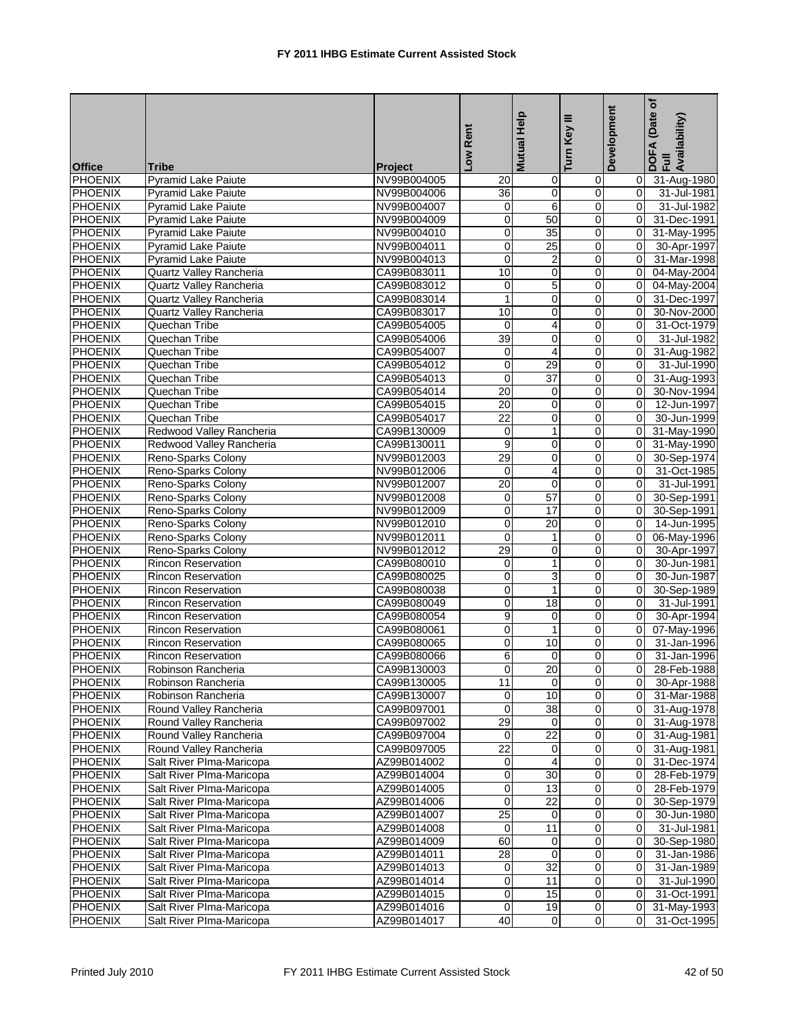|                |                            |                | Low Rent         | Mutual Help     | Ξ<br><b>Key</b>     | Development    | Date of<br>DOFA (Date<br>Full<br>Availability) |
|----------------|----------------------------|----------------|------------------|-----------------|---------------------|----------------|------------------------------------------------|
| <b>Office</b>  | <b>Tribe</b>               | <b>Project</b> |                  |                 | Turn I              |                |                                                |
| <b>PHOENIX</b> | <b>Pyramid Lake Paiute</b> | NV99B004005    | 20               | 0               | 0                   | $\mathbf 0$    | 31-Aug-1980                                    |
| <b>PHOENIX</b> | Pyramid Lake Paiute        | NV99B004006    | 36               | $\mathbf 0$     | $\mathbf 0$         | $\mathbf 0$    | 31-Jul-1981                                    |
| <b>PHOENIX</b> | Pyramid Lake Paiute        | NV99B004007    | 0                | 6               | 0                   | $\Omega$       | 31-Jul-1982                                    |
| <b>PHOENIX</b> | Pyramid Lake Paiute        | NV99B004009    | 0                | 50              | 0                   | $\overline{0}$ | 31-Dec-1991                                    |
| <b>PHOENIX</b> | <b>Pyramid Lake Paiute</b> | NV99B004010    | $\mathbf 0$      | 35              | $\mathbf 0$         | $\mathbf 0$    | 31-May-1995                                    |
| <b>PHOENIX</b> | Pyramid Lake Paiute        | NV99B004011    | $\pmb{0}$        | $\overline{25}$ | $\mathsf{O}\xspace$ | $\mathbf 0$    | 30-Apr-1997                                    |
| <b>PHOENIX</b> | <b>Pyramid Lake Paiute</b> | NV99B004013    | $\mathbf 0$      | $\overline{2}$  | 0                   | $\Omega$       | 31-Mar-1998                                    |
| <b>PHOENIX</b> | Quartz Valley Rancheria    | CA99B083011    | 10               | 0               | $\mathbf 0$         | $\mathbf 0$    | 04-May-2004                                    |
| <b>PHOENIX</b> | Quartz Valley Rancheria    | CA99B083012    | 0                | $\overline{5}$  | 0                   | $\mathbf 0$    | 04-May-2004                                    |
| <b>PHOENIX</b> | Quartz Valley Rancheria    | CA99B083014    | $\mathbf{1}$     | $\mathbf 0$     | 0                   | $\mathbf 0$    | 31-Dec-1997                                    |
| <b>PHOENIX</b> | Quartz Valley Rancheria    | CA99B083017    | 10               | 0               | $\mathbf 0$         | $\mathbf 0$    | 30-Nov-2000                                    |
| <b>PHOENIX</b> | Quechan Tribe              | CA99B054005    | $\mathbf 0$      | 4               | $\mathbf 0$         | 0              | 31-Oct-1979                                    |
| <b>PHOENIX</b> | Quechan Tribe              | CA99B054006    | 39               | $\mathbf 0$     | 0                   | $\Omega$       | 31-Jul-1982                                    |
| <b>PHOENIX</b> | Quechan Tribe              | CA99B054007    | 0                | $\overline{4}$  | 0                   | $\overline{0}$ | 31-Aug-1982                                    |
| <b>PHOENIX</b> | Quechan Tribe              | CA99B054012    | $\mathbf 0$      | 29              | 0                   | $\mathbf 0$    | 31-Jul-1990                                    |
| <b>PHOENIX</b> | Quechan Tribe              | CA99B054013    | $\mathbf 0$      | $\overline{37}$ | $\pmb{0}$           | $\mathbf 0$    | 31-Aug-1993                                    |
| <b>PHOENIX</b> | Quechan Tribe              | CA99B054014    | 20               | $\mathbf 0$     | $\mathbf 0$         | $\Omega$       | 30-Nov-1994                                    |
| <b>PHOENIX</b> | Quechan Tribe              | CA99B054015    | 20               | $\mathbf 0$     | 0                   | $\Omega$       | 12-Jun-1997                                    |
| <b>PHOENIX</b> | Quechan Tribe              | CA99B054017    | $\overline{22}$  | 0               | 0                   | 0              | 30-Jun-1999                                    |
| <b>PHOENIX</b> | Redwood Valley Rancheria   | CA99B130009    | $\mathbf 0$      | $\mathbf{1}$    | 0                   | 0              | 31-May-1990                                    |
| <b>PHOENIX</b> | Redwood Valley Rancheria   | CA99B130011    | $\boldsymbol{9}$ | 0               | 0                   | 0              | 31-May-1990                                    |
| <b>PHOENIX</b> | Reno-Sparks Colony         | NV99B012003    | 29               | 0               | $\mathbf 0$         | 0              | 30-Sep-1974                                    |
| <b>PHOENIX</b> | Reno-Sparks Colony         | NV99B012006    | $\mathbf 0$      | 4               | 0                   | $\Omega$       | 31-Oct-1985                                    |
| <b>PHOENIX</b> | Reno-Sparks Colony         | NV99B012007    | $\overline{20}$  | $\mathbf 0$     | 0                   | $\overline{0}$ | 31-Jul-1991                                    |
| <b>PHOENIX</b> | Reno-Sparks Colony         | NV99B012008    | 0                | 57              | 0                   | 0              | 30-Sep-1991                                    |
| <b>PHOENIX</b> | Reno-Sparks Colony         | NV99B012009    | $\pmb{0}$        | 17              | $\mathbf 0$         | $\mathbf 0$    | 30-Sep-1991                                    |
| <b>PHOENIX</b> | Reno-Sparks Colony         | NV99B012010    | $\mathbf 0$      | 20              | $\mathbf 0$         | $\Omega$       | 14-Jun-1995                                    |
| <b>PHOENIX</b> | Reno-Sparks Colony         | NV99B012011    | 0                | 1               | 0                   | 0              | 06-May-1996                                    |
| <b>PHOENIX</b> | Reno-Sparks Colony         | NV99B012012    | 29               | 0               | 0                   | $\mathbf 0$    | 30-Apr-1997                                    |
| PHOENIX        | <b>Rincon Reservation</b>  | CA99B080010    | $\mathbf 0$      | $\mathbf{1}$    | 0                   | 0              | 30-Jun-1981                                    |
| <b>PHOENIX</b> | <b>Rincon Reservation</b>  | CA99B080025    | $\pmb{0}$        | $\overline{3}$  | 0                   | $\Omega$       | 30-Jun-1987                                    |
| <b>PHOENIX</b> | Rincon Reservation         | CA99B080038    | $\pmb{0}$        | $\mathbf{1}$    | $\mathbf 0$         | 0              | 30-Sep-1989                                    |
| <b>PHOENIX</b> | <b>Rincon Reservation</b>  | CA99B080049    | $\mathbf 0$      | $\overline{18}$ | 0                   | $\Omega$       | 31-Jul-1991                                    |
| <b>PHOENIX</b> | <b>Rincon Reservation</b>  | CA99B080054    | 9                | 0               | $\mathbf 0$         | $\overline{0}$ | 30-Apr-1994                                    |
| <b>PHOENIX</b> | <b>Rincon Reservation</b>  | CA99B080061    | 0                | 1               | 0                   | 0              | 07-May-1996                                    |
| <b>PHOENIX</b> | <b>Rincon Reservation</b>  | CA99B080065    | $\overline{0}$   | 10              | $\mathbf 0$         | 0              | 31-Jan-1996                                    |
| PHOENIX        | <b>Rincon Reservation</b>  | CA99B080066    | 6                | $\mathbf 0$     | 0                   | $\Omega$       | 31-Jan-1996                                    |
| <b>PHOENIX</b> | Robinson Rancheria         | CA99B130003    | $\Omega$         | $\overline{20}$ | $\overline{0}$      | $\overline{0}$ | 28-Feb-1988                                    |
| <b>PHOENIX</b> | Robinson Rancheria         | CA99B130005    | 11               | $\overline{0}$  | O                   | 0              | 30-Apr-1988                                    |
| <b>PHOENIX</b> | Robinson Rancheria         | CA99B130007    | 0                | 10              | 0                   | 0              | 31-Mar-1988                                    |
| <b>PHOENIX</b> | Round Valley Rancheria     | CA99B097001    | 0                | $\overline{38}$ | 0                   | $\mathbf 0$    | 31-Aug-1978                                    |
| <b>PHOENIX</b> | Round Valley Rancheria     | CA99B097002    | $\overline{29}$  | $\mathbf 0$     | 0                   | 0              | 31-Aug-1978                                    |
| <b>PHOENIX</b> | Round Valley Rancheria     | CA99B097004    | $\mathbf 0$      | $\overline{22}$ | 0                   | 0              | 31-Aug-1981                                    |
| <b>PHOENIX</b> | Round Valley Rancheria     | CA99B097005    | $\overline{22}$  | 0               | 0                   | $\mathbf 0$    | 31-Aug-1981                                    |
| <b>PHOENIX</b> | Salt River Plma-Maricopa   | AZ99B014002    | 0                | 4               | $\pmb{0}$           | 0              | 31-Dec-1974                                    |
| <b>PHOENIX</b> | Salt River Plma-Maricopa   | AZ99B014004    | $\overline{0}$   | 30              | $\overline{0}$      | 0              | 28-Feb-1979                                    |
| <b>PHOENIX</b> | Salt River Plma-Maricopa   | AZ99B014005    | $\pmb{0}$        | 13              | 0                   | $\mathbf 0$    | 28-Feb-1979                                    |
| <b>PHOENIX</b> | Salt River Plma-Maricopa   | AZ99B014006    | 0                | $\overline{22}$ | 0                   | 0              | 30-Sep-1979                                    |
| <b>PHOENIX</b> | Salt River Plma-Maricopa   | AZ99B014007    | $\overline{25}$  | 0               | 0                   | 0              | 30-Jun-1980                                    |
| <b>PHOENIX</b> | Salt River Plma-Maricopa   | AZ99B014008    | 0                | 11              | 0                   | 0              | 31-Jul-1981                                    |
| <b>PHOENIX</b> | Salt River Plma-Maricopa   | AZ99B014009    | 60               | 0               | 0                   | 0              | 30-Sep-1980                                    |
| <b>PHOENIX</b> | Salt River Plma-Maricopa   | AZ99B014011    | $\overline{28}$  | $\mathbf 0$     | 0                   | 0              | 31-Jan-1986                                    |
| <b>PHOENIX</b> | Salt River Plma-Maricopa   | AZ99B014013    | $\mathbf 0$      | 32              | 0                   | 0              | 31-Jan-1989                                    |
| <b>PHOENIX</b> | Salt River Plma-Maricopa   | AZ99B014014    | $\pmb{0}$        | $\overline{11}$ | 0                   | 0              | 31-Jul-1990                                    |
| <b>PHOENIX</b> | Salt River Plma-Maricopa   | AZ99B014015    | $\pmb{0}$        | 15              | 0                   | 0              | 31-Oct-1991                                    |
| <b>PHOENIX</b> | Salt River Plma-Maricopa   | AZ99B014016    | $\pmb{0}$        | 19              | $\pmb{0}$           | 0              | 31-May-1993                                    |
| <b>PHOENIX</b> | Salt River Plma-Maricopa   | AZ99B014017    | 40               | 0               | 0                   | 0              | 31-Oct-1995                                    |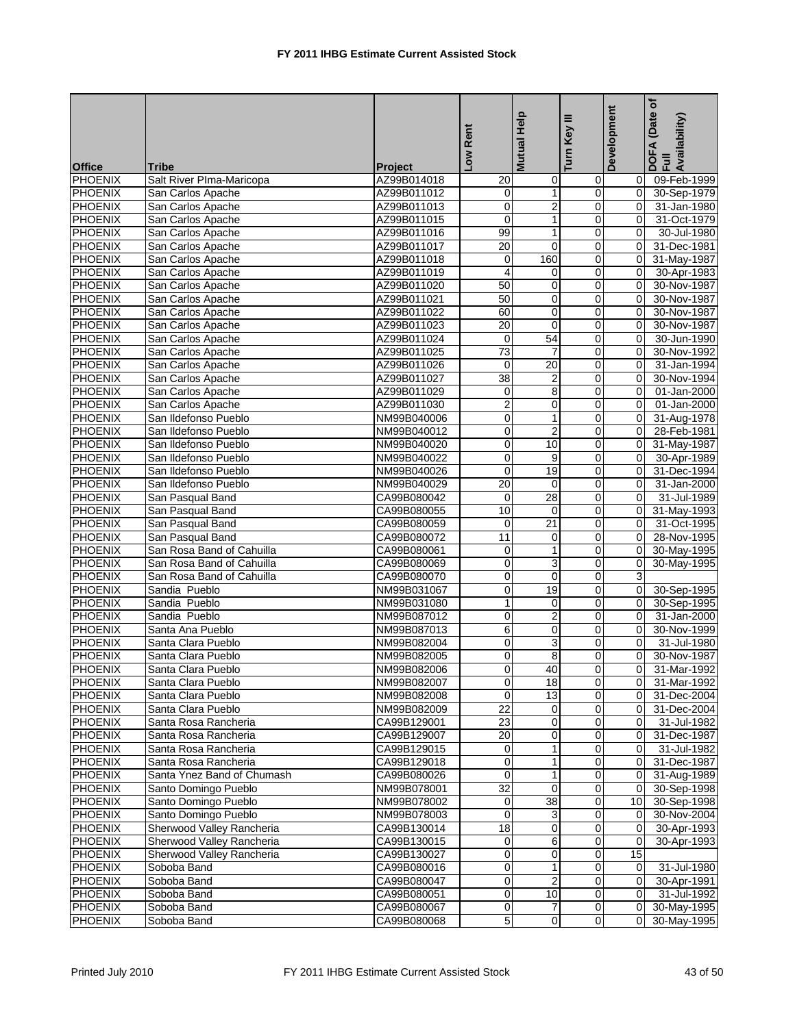| <b>Office</b>             | Tribe                      | <b>Project</b>             | Low Rent        | <b>Mutual Help</b> | Ξ<br>Turn Key  | Development    | ځ<br>(Date<br>DOFA (Date<br>Full<br>Availability) |
|---------------------------|----------------------------|----------------------------|-----------------|--------------------|----------------|----------------|---------------------------------------------------|
| <b>PHOENIX</b>            | Salt River Plma-Maricopa   | AZ99B014018                | 20              | 0                  | $\mathbf 0$    | 0              | 09-Feb-1999                                       |
| <b>PHOENIX</b>            | San Carlos Apache          | AZ99B011012                | 0               | $\mathbf{1}$       | $\mathbf 0$    | $\overline{0}$ | 30-Sep-1979                                       |
| <b>PHOENIX</b>            | San Carlos Apache          | AZ99B011013                | $\overline{0}$  | $\overline{2}$     | $\mathbf 0$    | $\overline{0}$ | 31-Jan-1980                                       |
| <b>PHOENIX</b>            | San Carlos Apache          | AZ99B011015                | $\pmb{0}$       | $\mathbf{1}$       | $\mathbf 0$    | 0              | 31-Oct-1979                                       |
| <b>PHOENIX</b>            | San Carlos Apache          | AZ99B011016                | 99              | 1                  | $\mathbf 0$    | 0              | 30-Jul-1980                                       |
| <b>PHOENIX</b>            | San Carlos Apache          | AZ99B011017                | $\overline{20}$ | $\overline{0}$     | $\mathbf 0$    | 0              | 31-Dec-1981                                       |
| <b>PHOENIX</b>            | San Carlos Apache          | AZ99B011018                | 0               | 160                | $\mathbf 0$    | 0              | 31-May-1987                                       |
| <b>PHOENIX</b>            | San Carlos Apache          | AZ99B011019                | 4               | 0                  | 0              | 0              | 30-Apr-1983                                       |
| <b>PHOENIX</b>            | San Carlos Apache          | AZ99B011020                | 50              | 0                  | $\pmb{0}$      | $\overline{0}$ | 30-Nov-1987                                       |
| <b>PHOENIX</b>            | San Carlos Apache          | AZ99B011021                | 50              | 0                  | $\mathbf 0$    | $\overline{0}$ | 30-Nov-1987                                       |
| <b>PHOENIX</b>            | San Carlos Apache          | AZ99B011022                | 60              | 0                  | $\mathbf 0$    | 0              | 30-Nov-1987                                       |
| <b>PHOENIX</b>            | San Carlos Apache          | AZ99B011023                | $\overline{20}$ | $\overline{0}$     | $\mathbf 0$    | 0              | 30-Nov-1987                                       |
| <b>PHOENIX</b>            | San Carlos Apache          | AZ99B011024                | 0               | 54                 | $\mathbf 0$    | $\overline{0}$ | 30-Jun-1990                                       |
| <b>PHOENIX</b>            | San Carlos Apache          | AZ99B011025                | $\overline{73}$ | $\overline{7}$     | $\mathbf 0$    | 0              | 30-Nov-1992                                       |
| <b>PHOENIX</b>            | San Carlos Apache          | AZ99B011026                | 0               | 20                 | $\mathbf 0$    | 0              | 31-Jan-1994                                       |
| <b>PHOENIX</b>            | San Carlos Apache          | AZ99B011027                | $\overline{38}$ | $\overline{2}$     | $\pmb{0}$      | 0              | 30-Nov-1994                                       |
| <b>PHOENIX</b>            | San Carlos Apache          | AZ99B011029                | 0               | 8                  | $\mathbf 0$    | 0              | 01-Jan-2000                                       |
| <b>PHOENIX</b>            | San Carlos Apache          | AZ99B011030                | $\overline{2}$  | $\mathbf 0$        | 0              | 0              | 01-Jan-2000                                       |
| PHOENIX                   | San Ildefonso Pueblo       | NM99B040006                | 0               | 1                  | $\pmb{0}$      | 0              | 31-Aug-1978                                       |
| <b>PHOENIX</b>            | San Ildefonso Pueblo       | NM99B040012                | 0               | $\overline{2}$     | $\mathbf 0$    | $\overline{0}$ | 28-Feb-1981                                       |
| <b>PHOENIX</b>            | San Ildefonso Pueblo       |                            |                 | 10                 | $\mathbf 0$    | $\overline{0}$ |                                                   |
|                           | San Ildefonso Pueblo       | NM99B040020<br>NM99B040022 | 0               | $\boldsymbol{9}$   | $\mathbf 0$    | $\overline{0}$ | 31-May-1987                                       |
| PHOENIX<br><b>PHOENIX</b> | San Ildefonso Pueblo       | NM99B040026                | 0<br>0          | 19                 | $\mathbf 0$    | $\overline{0}$ | 30-Apr-1989                                       |
|                           |                            |                            |                 |                    |                |                | 31-Dec-1994                                       |
| <b>PHOENIX</b>            | San Ildefonso Pueblo       | NM99B040029                | 20              | $\mathbf 0$        | $\mathbf 0$    | 0              | 31-Jan-2000                                       |
| <b>PHOENIX</b>            | San Pasqual Band           | CA99B080042                | 0               | 28                 | $\mathbf 0$    | 0              | 31-Jul-1989                                       |
| <b>PHOENIX</b>            | San Pasqual Band           | CA99B080055                | 10              | $\mathbf 0$        | $\pmb{0}$      | $\overline{0}$ | 31-May-1993                                       |
| <b>PHOENIX</b>            | San Pasqual Band           | CA99B080059                | $\mathbf 0$     | 21                 | $\mathbf 0$    | 0              | 31-Oct-1995                                       |
| <b>PHOENIX</b>            | San Pasqual Band           | CA99B080072                | 11              | 0                  | 0              | 0              | 28-Nov-1995                                       |
| PHOENIX                   | San Rosa Band of Cahuilla  | CA99B080061                | 0               | $\mathbf{1}$       | $\pmb{0}$      | 0              | 30-May-1995                                       |
| <b>PHOENIX</b>            | San Rosa Band of Cahuilla  | CA99B080069                | 0               | 3                  | $\mathbf 0$    | $\overline{0}$ | 30-May-1995                                       |
| <b>PHOENIX</b>            | San Rosa Band of Cahuilla  | CA99B080070                | $\overline{0}$  | 0                  | $\mathbf 0$    | 3              |                                                   |
| <b>PHOENIX</b>            | Sandia Pueblo              | NM99B031067                | 0               | $\overline{19}$    | $\mathbf 0$    | $\overline{0}$ | 30-Sep-1995                                       |
| <b>PHOENIX</b>            | Sandia Pueblo              | NM99B031080                | $\overline{1}$  | $\mathbf 0$        | $\mathbf 0$    | $\overline{0}$ | 30-Sep-1995                                       |
| <b>PHOENIX</b>            | Sandia Pueblo              | NM99B087012                | 0               | $\overline{2}$     | $\mathbf 0$    | 0              | 31-Jan-2000                                       |
| PHOENIX                   | Santa Ana Pueblo           | NM99B087013                | 6               | 0                  | $\mathbf 0$    | 0              | 30-Nov-1999                                       |
| <b>PHOENIX</b>            | Santa Clara Pueblo         | NM99B082004                | 0               | $\overline{3}$     | $\pmb{0}$      | $\mathbf 0$    | 31-Jul-1980                                       |
| <b>PHOENIX</b>            | Santa Clara Pueblo         | NM99B082005                | 0               | 8                  | $\overline{0}$ | $\overline{0}$ | 30-Nov-1987                                       |
| <b>PHOENIX</b>            | Santa Clara Pueblo         | NM99B082006                | Ō               | 40                 | $\overline{0}$ | $\overline{0}$ | 31-Mar-1992                                       |
| <b>PHOENIX</b>            | Santa Clara Pueblo         | NM99B082007                | O               | 18                 | $\pmb{0}$      | 0              | 31-Mar-1992                                       |
| <b>PHOENIX</b>            | Santa Clara Pueblo         | NM99B082008                | 0               | $\overline{13}$    | $\pmb{0}$      | $\overline{0}$ | 31-Dec-2004                                       |
| <b>PHOENIX</b>            | Santa Clara Pueblo         | NM99B082009                | $\overline{22}$ | $\mathbf 0$        | $\mathbf 0$    | $\overline{0}$ | 31-Dec-2004                                       |
| <b>PHOENIX</b>            | Santa Rosa Rancheria       | CA99B129001                | 23              | 0                  | $\Omega$       | $\overline{0}$ | 31-Jul-1982                                       |
| <b>PHOENIX</b>            | Santa Rosa Rancheria       | CA99B129007                | $\overline{20}$ | $\overline{0}$     | $\mathbf 0$    | 0              | 31-Dec-1987                                       |
| <b>PHOENIX</b>            | Santa Rosa Rancheria       | CA99B129015                | 0               | 1                  | $\mathbf 0$    | $\overline{0}$ | 31-Jul-1982                                       |
| <b>PHOENIX</b>            | Santa Rosa Rancheria       | CA99B129018                | 0               | 1                  | $\pmb{0}$      | $\overline{0}$ | 31-Dec-1987                                       |
| <b>PHOENIX</b>            | Santa Ynez Band of Chumash | CA99B080026                | $\pmb{0}$       | 1                  | $\pmb{0}$      | $\overline{0}$ | 31-Aug-1989                                       |
| <b>PHOENIX</b>            | Santo Domingo Pueblo       | NM99B078001                | 32              | $\mathbf 0$        | $\mathbf 0$    | $\Omega$       | 30-Sep-1998                                       |
| <b>PHOENIX</b>            | Santo Domingo Pueblo       | NM99B078002                | 0               | 38                 | $\mathbf 0$    | 10             | 30-Sep-1998                                       |
| <b>PHOENIX</b>            | Santo Domingo Pueblo       | NM99B078003                | 0               | 3                  | $\pmb{0}$      | 0              | 30-Nov-2004                                       |
| <b>PHOENIX</b>            | Sherwood Valley Rancheria  | CA99B130014                | 18              | 0                  | $\pmb{0}$      | 0              | 30-Apr-1993                                       |
| <b>PHOENIX</b>            | Sherwood Valley Rancheria  | CA99B130015                | 0               | 6                  | $\pmb{0}$      | $\mathbf 0$    | 30-Apr-1993                                       |
| PHOENIX                   | Sherwood Valley Rancheria  | CA99B130027                | 0               | 0                  | $\pmb{0}$      | 15             |                                                   |
| <b>PHOENIX</b>            | Soboba Band                | CA99B080016                | 0               | 1                  | $\mathbf 0$    | $\mathbf 0$    | 31-Jul-1980                                       |
| <b>PHOENIX</b>            | Soboba Band                | CA99B080047                | 0               | $\overline{2}$     | $\mathbf 0$    | 0              | 30-Apr-1991                                       |
| <b>PHOENIX</b>            | Soboba Band                | CA99B080051                | 0               | 10                 | $\mathbf 0$    | $\overline{0}$ | 31-Jul-1992                                       |
| <b>PHOENIX</b>            | Soboba Band                | CA99B080067                | 0               | $\overline{7}$     | $\pmb{0}$      | $\overline{0}$ | 30-May-1995                                       |
| <b>PHOENIX</b>            | Soboba Band                | CA99B080068                | 5               | $\mathbf 0$        | $\overline{0}$ | $\overline{0}$ | 30-May-1995                                       |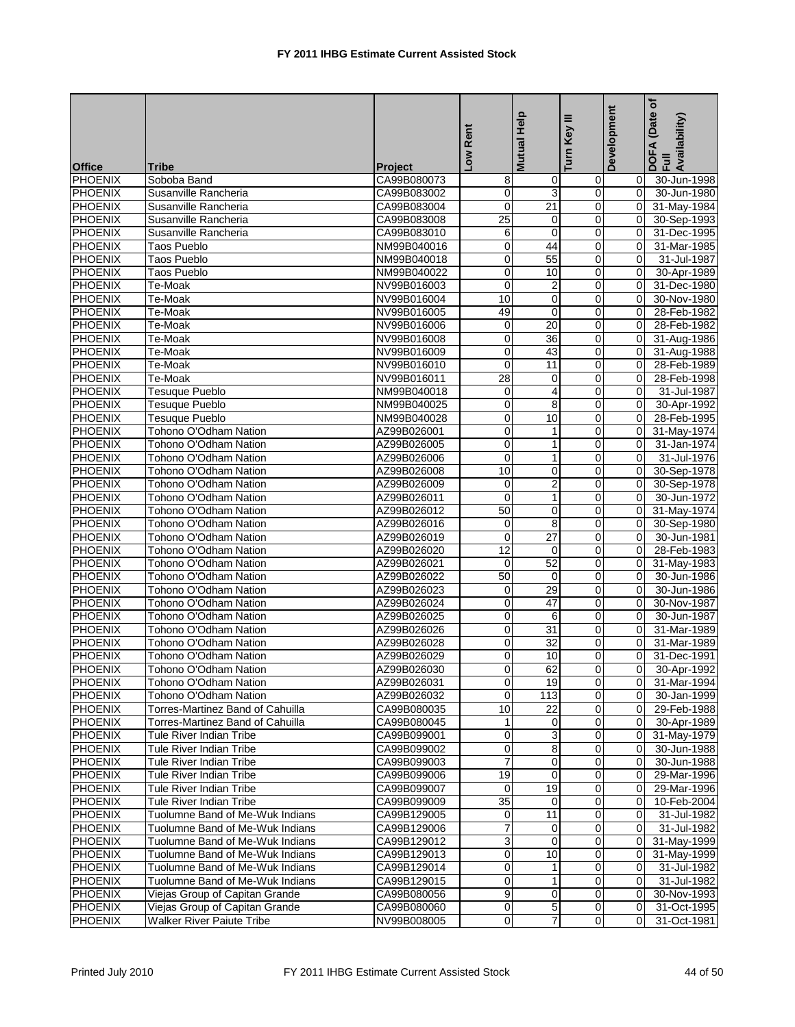| <b>PHOENIX</b><br>Soboba Band<br>CA99B080073<br>30-Jun-1998<br>8<br>0<br>0<br>0<br>$\overline{3}$<br>0<br>$\mathbf 0$<br><b>PHOENIX</b><br>$\overline{0}$<br>Susanville Rancheria<br>CA99B083002<br>$\overline{0}$<br><b>PHOENIX</b><br>0<br>$\overline{21}$<br>$\mathbf 0$<br>Susanville Rancheria<br>CA99B083004<br>31-May-1984<br>25<br><b>PHOENIX</b><br>$\mathbf 0$<br>0<br>30-Sep-1993<br>Susanville Rancheria<br>CA99B083008<br>0<br>$\mathbf 0$<br>$\pmb{0}$<br><b>PHOENIX</b><br>6<br>0<br>Susanville Rancheria<br>CA99B083010<br>31-Dec-1995<br>$\pmb{0}$<br>44<br>$\mathbf 0$<br><b>PHOENIX</b><br>$\mathbf 0$<br><b>Taos Pueblo</b><br>NM99B040016<br><b>PHOENIX</b><br>Taos Pueblo<br>0<br>55<br>$\mathbf 0$<br>0<br>NM99B040018<br><b>PHOENIX</b><br>0<br>$\mathbf 0$<br>0<br>Taos Pueblo<br>10<br>NM99B040022<br>0<br>$\overline{2}$<br>$\mathbf 0$<br><b>PHOENIX</b><br>0<br>Te-Moak<br>NV99B016003<br>10<br>$\mathbf 0$<br>$\pmb{0}$<br>$\mathbf 0$<br><b>PHOENIX</b><br>NV99B016004<br>Te-Moak<br><b>PHOENIX</b><br>49<br>0<br>Te-Moak<br>NV99B016005<br>$\mathbf 0$<br>0<br>$\overline{20}$<br>$\pmb{0}$<br>0<br>0<br><b>PHOENIX</b><br>Te-Moak<br>NV99B016006<br>36<br><b>PHOENIX</b><br>0<br>$\mathbf 0$<br>0<br>Te-Moak<br>NV99B016008<br><b>PHOENIX</b><br>NV99B016009<br>0<br>43<br>$\mathbf 0$<br>0<br>Te-Moak<br>$\pmb{0}$<br>$\pmb{0}$<br><b>PHOENIX</b><br>11<br>$\overline{0}$<br>Te-Moak<br>NV99B016010<br>28<br>$\mathbf 0$<br>$\mathbf 0$<br><b>PHOENIX</b><br>NV99B016011<br>Te-Moak<br>$\mathbf 0$<br><b>PHOENIX</b><br><b>Tesuque Pueblo</b><br>0<br>$\overline{4}$<br>$\mathbf 0$<br>0<br>NM99B040018<br><b>PHOENIX</b><br>0<br>8<br>$\mathbf 0$<br>Tesuque Pueblo<br>0<br>NM99B040025<br>0<br>10<br><b>PHOENIX</b><br><b>Tesuque Pueblo</b><br>$\mathbf 0$<br>0<br>NM99B040028<br><b>PHOENIX</b><br>0<br>$\pmb{0}$<br>$\overline{0}$<br>Tohono O'Odham Nation<br>AZ99B026001<br>1<br><b>PHOENIX</b><br>0<br>0<br>Tohono O'Odham Nation<br>AZ99B026005<br>1<br>0<br>31-Jan-1974<br>0<br>$\mathbf{1}$<br>$\pmb{0}$<br><b>PHOENIX</b><br>0<br>Tohono O'Odham Nation<br>AZ99B026006<br><b>PHOENIX</b><br>Tohono O'Odham Nation<br>10<br>0<br>$\mathbf 0$<br>0<br>AZ99B026008<br>$\overline{2}$<br><b>PHOENIX</b><br>Tohono O'Odham Nation<br>AZ99B026009<br>0<br>$\mathbf 0$<br>0<br>30-Sep-1978<br>$\pmb{0}$<br><b>PHOENIX</b><br>0<br>$\mathbf{1}$<br>0<br>30-Jun-1972<br>Tohono O'Odham Nation<br>AZ99B026011<br>50<br>$\mathbf 0$<br><b>PHOENIX</b><br>Tohono O'Odham Nation<br>AZ99B026012<br>$\mathbf 0$<br>$\mathbf 0$<br>31-May-1974<br>8<br><b>PHOENIX</b><br>Tohono O'Odham Nation<br>0<br>$\mathbf 0$<br>0<br>AZ99B026016<br><b>PHOENIX</b><br>0<br>$\overline{27}$<br>$\mathbf 0$<br>$\overline{0}$<br>Tohono O'Odham Nation<br>AZ99B026019<br>12<br>$\boldsymbol{0}$<br><b>PHOENIX</b><br>Tohono O'Odham Nation<br>AZ99B026020<br>$\mathbf 0$<br>0<br>52<br>$\mathbf 0$<br><b>PHOENIX</b><br>Tohono O'Odham Nation<br>AZ99B026021<br>0<br>$\mathbf 0$<br><b>PHOENIX</b><br>Tohono O'Odham Nation<br>50<br>0<br>0<br>AZ99B026022<br>$\mathbf 0$<br>29<br>$\pmb{0}$<br>0<br>0<br><b>PHOENIX</b><br>Tohono O'Odham Nation<br>AZ99B026023<br><b>PHOENIX</b><br>Tohono O'Odham Nation<br>0<br>47<br>$\mathbf 0$<br>0<br>AZ99B026024<br><b>PHOENIX</b><br>Tohono O'Odham Nation<br>AZ99B026025<br>0<br>6<br>$\mathbf 0$<br>0<br>$\pmb{0}$<br><b>PHOENIX</b><br>0<br>31<br>0<br>Tohono O'Odham Nation<br>AZ99B026026<br>$\overline{32}$<br><b>PHOENIX</b><br>Tohono O'Odham Nation<br>0<br>$\mathbf 0$<br>$\Omega$<br>AZ99B026028<br><b>PHOENIX</b><br>Tohono O'Odham Nation<br>AZ99B026029<br>0<br>10<br>$\mathbf 0$<br>0<br>$\overline{0}$<br>62<br><b>PHOENIX</b><br>$\overline{0}$<br>$\overline{0}$<br>Tohono O'Odham Nation<br>AZ99B026030<br><b>PHOENIX</b><br>$\overline{0}$<br>$\overline{0}$<br>Tohono O'Odham Nation<br>AZ99B026031<br>19<br>0<br><b>PHOENIX</b><br>0<br>113<br>$\mathbf 0$<br>$\overline{0}$<br>Tohono O'Odham Nation<br>AZ99B026032<br>10<br>22<br><b>PHOENIX</b><br>Torres-Martinez Band of Cahuilla<br>CA99B080035<br>$\mathbf 0$<br>0 | <b>Office</b>  | Tribe                            | Project     | Low Rent     | <b>Mutual Help</b> | Ξ<br>Turn Key | Development | (Date of<br>DOFA (Date<br>Full<br>Availability) |
|--------------------------------------------------------------------------------------------------------------------------------------------------------------------------------------------------------------------------------------------------------------------------------------------------------------------------------------------------------------------------------------------------------------------------------------------------------------------------------------------------------------------------------------------------------------------------------------------------------------------------------------------------------------------------------------------------------------------------------------------------------------------------------------------------------------------------------------------------------------------------------------------------------------------------------------------------------------------------------------------------------------------------------------------------------------------------------------------------------------------------------------------------------------------------------------------------------------------------------------------------------------------------------------------------------------------------------------------------------------------------------------------------------------------------------------------------------------------------------------------------------------------------------------------------------------------------------------------------------------------------------------------------------------------------------------------------------------------------------------------------------------------------------------------------------------------------------------------------------------------------------------------------------------------------------------------------------------------------------------------------------------------------------------------------------------------------------------------------------------------------------------------------------------------------------------------------------------------------------------------------------------------------------------------------------------------------------------------------------------------------------------------------------------------------------------------------------------------------------------------------------------------------------------------------------------------------------------------------------------------------------------------------------------------------------------------------------------------------------------------------------------------------------------------------------------------------------------------------------------------------------------------------------------------------------------------------------------------------------------------------------------------------------------------------------------------------------------------------------------------------------------------------------------------------------------------------------------------------------------------------------------------------------------------------------------------------------------------------------------------------------------------------------------------------------------------------------------------------------------------------------------------------------------------------------------------------------------------------------------------------------------------------------------------------------------------------------------------------------------------------------------------------------------------------------------------------------------------------------------------------------------------------------------------------------------------------------------------------------------------------------------------------------------------------------------------------------------------------------------|----------------|----------------------------------|-------------|--------------|--------------------|---------------|-------------|-------------------------------------------------|
|                                                                                                                                                                                                                                                                                                                                                                                                                                                                                                                                                                                                                                                                                                                                                                                                                                                                                                                                                                                                                                                                                                                                                                                                                                                                                                                                                                                                                                                                                                                                                                                                                                                                                                                                                                                                                                                                                                                                                                                                                                                                                                                                                                                                                                                                                                                                                                                                                                                                                                                                                                                                                                                                                                                                                                                                                                                                                                                                                                                                                                                                                                                                                                                                                                                                                                                                                                                                                                                                                                                                                                                                                                                                                                                                                                                                                                                                                                                                                                                                                                                                                                              |                |                                  |             |              |                    |               |             |                                                 |
|                                                                                                                                                                                                                                                                                                                                                                                                                                                                                                                                                                                                                                                                                                                                                                                                                                                                                                                                                                                                                                                                                                                                                                                                                                                                                                                                                                                                                                                                                                                                                                                                                                                                                                                                                                                                                                                                                                                                                                                                                                                                                                                                                                                                                                                                                                                                                                                                                                                                                                                                                                                                                                                                                                                                                                                                                                                                                                                                                                                                                                                                                                                                                                                                                                                                                                                                                                                                                                                                                                                                                                                                                                                                                                                                                                                                                                                                                                                                                                                                                                                                                                              |                |                                  |             |              |                    |               |             | 30-Jun-1980                                     |
|                                                                                                                                                                                                                                                                                                                                                                                                                                                                                                                                                                                                                                                                                                                                                                                                                                                                                                                                                                                                                                                                                                                                                                                                                                                                                                                                                                                                                                                                                                                                                                                                                                                                                                                                                                                                                                                                                                                                                                                                                                                                                                                                                                                                                                                                                                                                                                                                                                                                                                                                                                                                                                                                                                                                                                                                                                                                                                                                                                                                                                                                                                                                                                                                                                                                                                                                                                                                                                                                                                                                                                                                                                                                                                                                                                                                                                                                                                                                                                                                                                                                                                              |                |                                  |             |              |                    |               |             |                                                 |
|                                                                                                                                                                                                                                                                                                                                                                                                                                                                                                                                                                                                                                                                                                                                                                                                                                                                                                                                                                                                                                                                                                                                                                                                                                                                                                                                                                                                                                                                                                                                                                                                                                                                                                                                                                                                                                                                                                                                                                                                                                                                                                                                                                                                                                                                                                                                                                                                                                                                                                                                                                                                                                                                                                                                                                                                                                                                                                                                                                                                                                                                                                                                                                                                                                                                                                                                                                                                                                                                                                                                                                                                                                                                                                                                                                                                                                                                                                                                                                                                                                                                                                              |                |                                  |             |              |                    |               |             |                                                 |
|                                                                                                                                                                                                                                                                                                                                                                                                                                                                                                                                                                                                                                                                                                                                                                                                                                                                                                                                                                                                                                                                                                                                                                                                                                                                                                                                                                                                                                                                                                                                                                                                                                                                                                                                                                                                                                                                                                                                                                                                                                                                                                                                                                                                                                                                                                                                                                                                                                                                                                                                                                                                                                                                                                                                                                                                                                                                                                                                                                                                                                                                                                                                                                                                                                                                                                                                                                                                                                                                                                                                                                                                                                                                                                                                                                                                                                                                                                                                                                                                                                                                                                              |                |                                  |             |              |                    |               |             |                                                 |
|                                                                                                                                                                                                                                                                                                                                                                                                                                                                                                                                                                                                                                                                                                                                                                                                                                                                                                                                                                                                                                                                                                                                                                                                                                                                                                                                                                                                                                                                                                                                                                                                                                                                                                                                                                                                                                                                                                                                                                                                                                                                                                                                                                                                                                                                                                                                                                                                                                                                                                                                                                                                                                                                                                                                                                                                                                                                                                                                                                                                                                                                                                                                                                                                                                                                                                                                                                                                                                                                                                                                                                                                                                                                                                                                                                                                                                                                                                                                                                                                                                                                                                              |                |                                  |             |              |                    |               |             | 31-Mar-1985                                     |
|                                                                                                                                                                                                                                                                                                                                                                                                                                                                                                                                                                                                                                                                                                                                                                                                                                                                                                                                                                                                                                                                                                                                                                                                                                                                                                                                                                                                                                                                                                                                                                                                                                                                                                                                                                                                                                                                                                                                                                                                                                                                                                                                                                                                                                                                                                                                                                                                                                                                                                                                                                                                                                                                                                                                                                                                                                                                                                                                                                                                                                                                                                                                                                                                                                                                                                                                                                                                                                                                                                                                                                                                                                                                                                                                                                                                                                                                                                                                                                                                                                                                                                              |                |                                  |             |              |                    |               |             | 31-Jul-1987                                     |
|                                                                                                                                                                                                                                                                                                                                                                                                                                                                                                                                                                                                                                                                                                                                                                                                                                                                                                                                                                                                                                                                                                                                                                                                                                                                                                                                                                                                                                                                                                                                                                                                                                                                                                                                                                                                                                                                                                                                                                                                                                                                                                                                                                                                                                                                                                                                                                                                                                                                                                                                                                                                                                                                                                                                                                                                                                                                                                                                                                                                                                                                                                                                                                                                                                                                                                                                                                                                                                                                                                                                                                                                                                                                                                                                                                                                                                                                                                                                                                                                                                                                                                              |                |                                  |             |              |                    |               |             | 30-Apr-1989                                     |
|                                                                                                                                                                                                                                                                                                                                                                                                                                                                                                                                                                                                                                                                                                                                                                                                                                                                                                                                                                                                                                                                                                                                                                                                                                                                                                                                                                                                                                                                                                                                                                                                                                                                                                                                                                                                                                                                                                                                                                                                                                                                                                                                                                                                                                                                                                                                                                                                                                                                                                                                                                                                                                                                                                                                                                                                                                                                                                                                                                                                                                                                                                                                                                                                                                                                                                                                                                                                                                                                                                                                                                                                                                                                                                                                                                                                                                                                                                                                                                                                                                                                                                              |                |                                  |             |              |                    |               |             | 31-Dec-1980                                     |
|                                                                                                                                                                                                                                                                                                                                                                                                                                                                                                                                                                                                                                                                                                                                                                                                                                                                                                                                                                                                                                                                                                                                                                                                                                                                                                                                                                                                                                                                                                                                                                                                                                                                                                                                                                                                                                                                                                                                                                                                                                                                                                                                                                                                                                                                                                                                                                                                                                                                                                                                                                                                                                                                                                                                                                                                                                                                                                                                                                                                                                                                                                                                                                                                                                                                                                                                                                                                                                                                                                                                                                                                                                                                                                                                                                                                                                                                                                                                                                                                                                                                                                              |                |                                  |             |              |                    |               |             | 30-Nov-1980                                     |
|                                                                                                                                                                                                                                                                                                                                                                                                                                                                                                                                                                                                                                                                                                                                                                                                                                                                                                                                                                                                                                                                                                                                                                                                                                                                                                                                                                                                                                                                                                                                                                                                                                                                                                                                                                                                                                                                                                                                                                                                                                                                                                                                                                                                                                                                                                                                                                                                                                                                                                                                                                                                                                                                                                                                                                                                                                                                                                                                                                                                                                                                                                                                                                                                                                                                                                                                                                                                                                                                                                                                                                                                                                                                                                                                                                                                                                                                                                                                                                                                                                                                                                              |                |                                  |             |              |                    |               |             | 28-Feb-1982                                     |
|                                                                                                                                                                                                                                                                                                                                                                                                                                                                                                                                                                                                                                                                                                                                                                                                                                                                                                                                                                                                                                                                                                                                                                                                                                                                                                                                                                                                                                                                                                                                                                                                                                                                                                                                                                                                                                                                                                                                                                                                                                                                                                                                                                                                                                                                                                                                                                                                                                                                                                                                                                                                                                                                                                                                                                                                                                                                                                                                                                                                                                                                                                                                                                                                                                                                                                                                                                                                                                                                                                                                                                                                                                                                                                                                                                                                                                                                                                                                                                                                                                                                                                              |                |                                  |             |              |                    |               |             | 28-Feb-1982                                     |
|                                                                                                                                                                                                                                                                                                                                                                                                                                                                                                                                                                                                                                                                                                                                                                                                                                                                                                                                                                                                                                                                                                                                                                                                                                                                                                                                                                                                                                                                                                                                                                                                                                                                                                                                                                                                                                                                                                                                                                                                                                                                                                                                                                                                                                                                                                                                                                                                                                                                                                                                                                                                                                                                                                                                                                                                                                                                                                                                                                                                                                                                                                                                                                                                                                                                                                                                                                                                                                                                                                                                                                                                                                                                                                                                                                                                                                                                                                                                                                                                                                                                                                              |                |                                  |             |              |                    |               |             | 31-Aug-1986                                     |
|                                                                                                                                                                                                                                                                                                                                                                                                                                                                                                                                                                                                                                                                                                                                                                                                                                                                                                                                                                                                                                                                                                                                                                                                                                                                                                                                                                                                                                                                                                                                                                                                                                                                                                                                                                                                                                                                                                                                                                                                                                                                                                                                                                                                                                                                                                                                                                                                                                                                                                                                                                                                                                                                                                                                                                                                                                                                                                                                                                                                                                                                                                                                                                                                                                                                                                                                                                                                                                                                                                                                                                                                                                                                                                                                                                                                                                                                                                                                                                                                                                                                                                              |                |                                  |             |              |                    |               |             | 31-Aug-1988                                     |
|                                                                                                                                                                                                                                                                                                                                                                                                                                                                                                                                                                                                                                                                                                                                                                                                                                                                                                                                                                                                                                                                                                                                                                                                                                                                                                                                                                                                                                                                                                                                                                                                                                                                                                                                                                                                                                                                                                                                                                                                                                                                                                                                                                                                                                                                                                                                                                                                                                                                                                                                                                                                                                                                                                                                                                                                                                                                                                                                                                                                                                                                                                                                                                                                                                                                                                                                                                                                                                                                                                                                                                                                                                                                                                                                                                                                                                                                                                                                                                                                                                                                                                              |                |                                  |             |              |                    |               |             | 28-Feb-1989                                     |
|                                                                                                                                                                                                                                                                                                                                                                                                                                                                                                                                                                                                                                                                                                                                                                                                                                                                                                                                                                                                                                                                                                                                                                                                                                                                                                                                                                                                                                                                                                                                                                                                                                                                                                                                                                                                                                                                                                                                                                                                                                                                                                                                                                                                                                                                                                                                                                                                                                                                                                                                                                                                                                                                                                                                                                                                                                                                                                                                                                                                                                                                                                                                                                                                                                                                                                                                                                                                                                                                                                                                                                                                                                                                                                                                                                                                                                                                                                                                                                                                                                                                                                              |                |                                  |             |              |                    |               |             | 28-Feb-1998                                     |
|                                                                                                                                                                                                                                                                                                                                                                                                                                                                                                                                                                                                                                                                                                                                                                                                                                                                                                                                                                                                                                                                                                                                                                                                                                                                                                                                                                                                                                                                                                                                                                                                                                                                                                                                                                                                                                                                                                                                                                                                                                                                                                                                                                                                                                                                                                                                                                                                                                                                                                                                                                                                                                                                                                                                                                                                                                                                                                                                                                                                                                                                                                                                                                                                                                                                                                                                                                                                                                                                                                                                                                                                                                                                                                                                                                                                                                                                                                                                                                                                                                                                                                              |                |                                  |             |              |                    |               |             | 31-Jul-1987                                     |
|                                                                                                                                                                                                                                                                                                                                                                                                                                                                                                                                                                                                                                                                                                                                                                                                                                                                                                                                                                                                                                                                                                                                                                                                                                                                                                                                                                                                                                                                                                                                                                                                                                                                                                                                                                                                                                                                                                                                                                                                                                                                                                                                                                                                                                                                                                                                                                                                                                                                                                                                                                                                                                                                                                                                                                                                                                                                                                                                                                                                                                                                                                                                                                                                                                                                                                                                                                                                                                                                                                                                                                                                                                                                                                                                                                                                                                                                                                                                                                                                                                                                                                              |                |                                  |             |              |                    |               |             | 30-Apr-1992                                     |
|                                                                                                                                                                                                                                                                                                                                                                                                                                                                                                                                                                                                                                                                                                                                                                                                                                                                                                                                                                                                                                                                                                                                                                                                                                                                                                                                                                                                                                                                                                                                                                                                                                                                                                                                                                                                                                                                                                                                                                                                                                                                                                                                                                                                                                                                                                                                                                                                                                                                                                                                                                                                                                                                                                                                                                                                                                                                                                                                                                                                                                                                                                                                                                                                                                                                                                                                                                                                                                                                                                                                                                                                                                                                                                                                                                                                                                                                                                                                                                                                                                                                                                              |                |                                  |             |              |                    |               |             | 28-Feb-1995                                     |
|                                                                                                                                                                                                                                                                                                                                                                                                                                                                                                                                                                                                                                                                                                                                                                                                                                                                                                                                                                                                                                                                                                                                                                                                                                                                                                                                                                                                                                                                                                                                                                                                                                                                                                                                                                                                                                                                                                                                                                                                                                                                                                                                                                                                                                                                                                                                                                                                                                                                                                                                                                                                                                                                                                                                                                                                                                                                                                                                                                                                                                                                                                                                                                                                                                                                                                                                                                                                                                                                                                                                                                                                                                                                                                                                                                                                                                                                                                                                                                                                                                                                                                              |                |                                  |             |              |                    |               |             | 31-May-1974                                     |
|                                                                                                                                                                                                                                                                                                                                                                                                                                                                                                                                                                                                                                                                                                                                                                                                                                                                                                                                                                                                                                                                                                                                                                                                                                                                                                                                                                                                                                                                                                                                                                                                                                                                                                                                                                                                                                                                                                                                                                                                                                                                                                                                                                                                                                                                                                                                                                                                                                                                                                                                                                                                                                                                                                                                                                                                                                                                                                                                                                                                                                                                                                                                                                                                                                                                                                                                                                                                                                                                                                                                                                                                                                                                                                                                                                                                                                                                                                                                                                                                                                                                                                              |                |                                  |             |              |                    |               |             |                                                 |
|                                                                                                                                                                                                                                                                                                                                                                                                                                                                                                                                                                                                                                                                                                                                                                                                                                                                                                                                                                                                                                                                                                                                                                                                                                                                                                                                                                                                                                                                                                                                                                                                                                                                                                                                                                                                                                                                                                                                                                                                                                                                                                                                                                                                                                                                                                                                                                                                                                                                                                                                                                                                                                                                                                                                                                                                                                                                                                                                                                                                                                                                                                                                                                                                                                                                                                                                                                                                                                                                                                                                                                                                                                                                                                                                                                                                                                                                                                                                                                                                                                                                                                              |                |                                  |             |              |                    |               |             | 31-Jul-1976                                     |
|                                                                                                                                                                                                                                                                                                                                                                                                                                                                                                                                                                                                                                                                                                                                                                                                                                                                                                                                                                                                                                                                                                                                                                                                                                                                                                                                                                                                                                                                                                                                                                                                                                                                                                                                                                                                                                                                                                                                                                                                                                                                                                                                                                                                                                                                                                                                                                                                                                                                                                                                                                                                                                                                                                                                                                                                                                                                                                                                                                                                                                                                                                                                                                                                                                                                                                                                                                                                                                                                                                                                                                                                                                                                                                                                                                                                                                                                                                                                                                                                                                                                                                              |                |                                  |             |              |                    |               |             | 30-Sep-1978                                     |
|                                                                                                                                                                                                                                                                                                                                                                                                                                                                                                                                                                                                                                                                                                                                                                                                                                                                                                                                                                                                                                                                                                                                                                                                                                                                                                                                                                                                                                                                                                                                                                                                                                                                                                                                                                                                                                                                                                                                                                                                                                                                                                                                                                                                                                                                                                                                                                                                                                                                                                                                                                                                                                                                                                                                                                                                                                                                                                                                                                                                                                                                                                                                                                                                                                                                                                                                                                                                                                                                                                                                                                                                                                                                                                                                                                                                                                                                                                                                                                                                                                                                                                              |                |                                  |             |              |                    |               |             |                                                 |
|                                                                                                                                                                                                                                                                                                                                                                                                                                                                                                                                                                                                                                                                                                                                                                                                                                                                                                                                                                                                                                                                                                                                                                                                                                                                                                                                                                                                                                                                                                                                                                                                                                                                                                                                                                                                                                                                                                                                                                                                                                                                                                                                                                                                                                                                                                                                                                                                                                                                                                                                                                                                                                                                                                                                                                                                                                                                                                                                                                                                                                                                                                                                                                                                                                                                                                                                                                                                                                                                                                                                                                                                                                                                                                                                                                                                                                                                                                                                                                                                                                                                                                              |                |                                  |             |              |                    |               |             |                                                 |
|                                                                                                                                                                                                                                                                                                                                                                                                                                                                                                                                                                                                                                                                                                                                                                                                                                                                                                                                                                                                                                                                                                                                                                                                                                                                                                                                                                                                                                                                                                                                                                                                                                                                                                                                                                                                                                                                                                                                                                                                                                                                                                                                                                                                                                                                                                                                                                                                                                                                                                                                                                                                                                                                                                                                                                                                                                                                                                                                                                                                                                                                                                                                                                                                                                                                                                                                                                                                                                                                                                                                                                                                                                                                                                                                                                                                                                                                                                                                                                                                                                                                                                              |                |                                  |             |              |                    |               |             |                                                 |
|                                                                                                                                                                                                                                                                                                                                                                                                                                                                                                                                                                                                                                                                                                                                                                                                                                                                                                                                                                                                                                                                                                                                                                                                                                                                                                                                                                                                                                                                                                                                                                                                                                                                                                                                                                                                                                                                                                                                                                                                                                                                                                                                                                                                                                                                                                                                                                                                                                                                                                                                                                                                                                                                                                                                                                                                                                                                                                                                                                                                                                                                                                                                                                                                                                                                                                                                                                                                                                                                                                                                                                                                                                                                                                                                                                                                                                                                                                                                                                                                                                                                                                              |                |                                  |             |              |                    |               |             | 30-Sep-1980                                     |
|                                                                                                                                                                                                                                                                                                                                                                                                                                                                                                                                                                                                                                                                                                                                                                                                                                                                                                                                                                                                                                                                                                                                                                                                                                                                                                                                                                                                                                                                                                                                                                                                                                                                                                                                                                                                                                                                                                                                                                                                                                                                                                                                                                                                                                                                                                                                                                                                                                                                                                                                                                                                                                                                                                                                                                                                                                                                                                                                                                                                                                                                                                                                                                                                                                                                                                                                                                                                                                                                                                                                                                                                                                                                                                                                                                                                                                                                                                                                                                                                                                                                                                              |                |                                  |             |              |                    |               |             | 30-Jun-1981                                     |
|                                                                                                                                                                                                                                                                                                                                                                                                                                                                                                                                                                                                                                                                                                                                                                                                                                                                                                                                                                                                                                                                                                                                                                                                                                                                                                                                                                                                                                                                                                                                                                                                                                                                                                                                                                                                                                                                                                                                                                                                                                                                                                                                                                                                                                                                                                                                                                                                                                                                                                                                                                                                                                                                                                                                                                                                                                                                                                                                                                                                                                                                                                                                                                                                                                                                                                                                                                                                                                                                                                                                                                                                                                                                                                                                                                                                                                                                                                                                                                                                                                                                                                              |                |                                  |             |              |                    |               |             | 28-Feb-1983                                     |
|                                                                                                                                                                                                                                                                                                                                                                                                                                                                                                                                                                                                                                                                                                                                                                                                                                                                                                                                                                                                                                                                                                                                                                                                                                                                                                                                                                                                                                                                                                                                                                                                                                                                                                                                                                                                                                                                                                                                                                                                                                                                                                                                                                                                                                                                                                                                                                                                                                                                                                                                                                                                                                                                                                                                                                                                                                                                                                                                                                                                                                                                                                                                                                                                                                                                                                                                                                                                                                                                                                                                                                                                                                                                                                                                                                                                                                                                                                                                                                                                                                                                                                              |                |                                  |             |              |                    |               |             | 31-May-1983                                     |
|                                                                                                                                                                                                                                                                                                                                                                                                                                                                                                                                                                                                                                                                                                                                                                                                                                                                                                                                                                                                                                                                                                                                                                                                                                                                                                                                                                                                                                                                                                                                                                                                                                                                                                                                                                                                                                                                                                                                                                                                                                                                                                                                                                                                                                                                                                                                                                                                                                                                                                                                                                                                                                                                                                                                                                                                                                                                                                                                                                                                                                                                                                                                                                                                                                                                                                                                                                                                                                                                                                                                                                                                                                                                                                                                                                                                                                                                                                                                                                                                                                                                                                              |                |                                  |             |              |                    |               |             | 30-Jun-1986                                     |
|                                                                                                                                                                                                                                                                                                                                                                                                                                                                                                                                                                                                                                                                                                                                                                                                                                                                                                                                                                                                                                                                                                                                                                                                                                                                                                                                                                                                                                                                                                                                                                                                                                                                                                                                                                                                                                                                                                                                                                                                                                                                                                                                                                                                                                                                                                                                                                                                                                                                                                                                                                                                                                                                                                                                                                                                                                                                                                                                                                                                                                                                                                                                                                                                                                                                                                                                                                                                                                                                                                                                                                                                                                                                                                                                                                                                                                                                                                                                                                                                                                                                                                              |                |                                  |             |              |                    |               |             | 30-Jun-1986                                     |
|                                                                                                                                                                                                                                                                                                                                                                                                                                                                                                                                                                                                                                                                                                                                                                                                                                                                                                                                                                                                                                                                                                                                                                                                                                                                                                                                                                                                                                                                                                                                                                                                                                                                                                                                                                                                                                                                                                                                                                                                                                                                                                                                                                                                                                                                                                                                                                                                                                                                                                                                                                                                                                                                                                                                                                                                                                                                                                                                                                                                                                                                                                                                                                                                                                                                                                                                                                                                                                                                                                                                                                                                                                                                                                                                                                                                                                                                                                                                                                                                                                                                                                              |                |                                  |             |              |                    |               |             | 30-Nov-1987                                     |
|                                                                                                                                                                                                                                                                                                                                                                                                                                                                                                                                                                                                                                                                                                                                                                                                                                                                                                                                                                                                                                                                                                                                                                                                                                                                                                                                                                                                                                                                                                                                                                                                                                                                                                                                                                                                                                                                                                                                                                                                                                                                                                                                                                                                                                                                                                                                                                                                                                                                                                                                                                                                                                                                                                                                                                                                                                                                                                                                                                                                                                                                                                                                                                                                                                                                                                                                                                                                                                                                                                                                                                                                                                                                                                                                                                                                                                                                                                                                                                                                                                                                                                              |                |                                  |             |              |                    |               |             | 30-Jun-1987                                     |
|                                                                                                                                                                                                                                                                                                                                                                                                                                                                                                                                                                                                                                                                                                                                                                                                                                                                                                                                                                                                                                                                                                                                                                                                                                                                                                                                                                                                                                                                                                                                                                                                                                                                                                                                                                                                                                                                                                                                                                                                                                                                                                                                                                                                                                                                                                                                                                                                                                                                                                                                                                                                                                                                                                                                                                                                                                                                                                                                                                                                                                                                                                                                                                                                                                                                                                                                                                                                                                                                                                                                                                                                                                                                                                                                                                                                                                                                                                                                                                                                                                                                                                              |                |                                  |             |              |                    |               |             | 31-Mar-1989                                     |
|                                                                                                                                                                                                                                                                                                                                                                                                                                                                                                                                                                                                                                                                                                                                                                                                                                                                                                                                                                                                                                                                                                                                                                                                                                                                                                                                                                                                                                                                                                                                                                                                                                                                                                                                                                                                                                                                                                                                                                                                                                                                                                                                                                                                                                                                                                                                                                                                                                                                                                                                                                                                                                                                                                                                                                                                                                                                                                                                                                                                                                                                                                                                                                                                                                                                                                                                                                                                                                                                                                                                                                                                                                                                                                                                                                                                                                                                                                                                                                                                                                                                                                              |                |                                  |             |              |                    |               |             | 31-Mar-1989                                     |
|                                                                                                                                                                                                                                                                                                                                                                                                                                                                                                                                                                                                                                                                                                                                                                                                                                                                                                                                                                                                                                                                                                                                                                                                                                                                                                                                                                                                                                                                                                                                                                                                                                                                                                                                                                                                                                                                                                                                                                                                                                                                                                                                                                                                                                                                                                                                                                                                                                                                                                                                                                                                                                                                                                                                                                                                                                                                                                                                                                                                                                                                                                                                                                                                                                                                                                                                                                                                                                                                                                                                                                                                                                                                                                                                                                                                                                                                                                                                                                                                                                                                                                              |                |                                  |             |              |                    |               |             | 31-Dec-1991                                     |
|                                                                                                                                                                                                                                                                                                                                                                                                                                                                                                                                                                                                                                                                                                                                                                                                                                                                                                                                                                                                                                                                                                                                                                                                                                                                                                                                                                                                                                                                                                                                                                                                                                                                                                                                                                                                                                                                                                                                                                                                                                                                                                                                                                                                                                                                                                                                                                                                                                                                                                                                                                                                                                                                                                                                                                                                                                                                                                                                                                                                                                                                                                                                                                                                                                                                                                                                                                                                                                                                                                                                                                                                                                                                                                                                                                                                                                                                                                                                                                                                                                                                                                              |                |                                  |             |              |                    |               |             | 30-Apr-1992                                     |
|                                                                                                                                                                                                                                                                                                                                                                                                                                                                                                                                                                                                                                                                                                                                                                                                                                                                                                                                                                                                                                                                                                                                                                                                                                                                                                                                                                                                                                                                                                                                                                                                                                                                                                                                                                                                                                                                                                                                                                                                                                                                                                                                                                                                                                                                                                                                                                                                                                                                                                                                                                                                                                                                                                                                                                                                                                                                                                                                                                                                                                                                                                                                                                                                                                                                                                                                                                                                                                                                                                                                                                                                                                                                                                                                                                                                                                                                                                                                                                                                                                                                                                              |                |                                  |             |              |                    |               |             | 31-Mar-1994                                     |
|                                                                                                                                                                                                                                                                                                                                                                                                                                                                                                                                                                                                                                                                                                                                                                                                                                                                                                                                                                                                                                                                                                                                                                                                                                                                                                                                                                                                                                                                                                                                                                                                                                                                                                                                                                                                                                                                                                                                                                                                                                                                                                                                                                                                                                                                                                                                                                                                                                                                                                                                                                                                                                                                                                                                                                                                                                                                                                                                                                                                                                                                                                                                                                                                                                                                                                                                                                                                                                                                                                                                                                                                                                                                                                                                                                                                                                                                                                                                                                                                                                                                                                              |                |                                  |             |              |                    |               |             | 30-Jan-1999                                     |
|                                                                                                                                                                                                                                                                                                                                                                                                                                                                                                                                                                                                                                                                                                                                                                                                                                                                                                                                                                                                                                                                                                                                                                                                                                                                                                                                                                                                                                                                                                                                                                                                                                                                                                                                                                                                                                                                                                                                                                                                                                                                                                                                                                                                                                                                                                                                                                                                                                                                                                                                                                                                                                                                                                                                                                                                                                                                                                                                                                                                                                                                                                                                                                                                                                                                                                                                                                                                                                                                                                                                                                                                                                                                                                                                                                                                                                                                                                                                                                                                                                                                                                              |                |                                  |             |              |                    |               |             | 29-Feb-1988                                     |
|                                                                                                                                                                                                                                                                                                                                                                                                                                                                                                                                                                                                                                                                                                                                                                                                                                                                                                                                                                                                                                                                                                                                                                                                                                                                                                                                                                                                                                                                                                                                                                                                                                                                                                                                                                                                                                                                                                                                                                                                                                                                                                                                                                                                                                                                                                                                                                                                                                                                                                                                                                                                                                                                                                                                                                                                                                                                                                                                                                                                                                                                                                                                                                                                                                                                                                                                                                                                                                                                                                                                                                                                                                                                                                                                                                                                                                                                                                                                                                                                                                                                                                              | <b>PHOENIX</b> | Torres-Martinez Band of Cahuilla | CA99B080045 | $\mathbf{1}$ | $\Omega$           | $\mathbf 0$   | 0           | 30-Apr-1989                                     |
| 0<br>3<br>$\mathbf 0$<br>$\overline{0}$<br><b>PHOENIX</b><br>CA99B099001<br>Tule River Indian Tribe                                                                                                                                                                                                                                                                                                                                                                                                                                                                                                                                                                                                                                                                                                                                                                                                                                                                                                                                                                                                                                                                                                                                                                                                                                                                                                                                                                                                                                                                                                                                                                                                                                                                                                                                                                                                                                                                                                                                                                                                                                                                                                                                                                                                                                                                                                                                                                                                                                                                                                                                                                                                                                                                                                                                                                                                                                                                                                                                                                                                                                                                                                                                                                                                                                                                                                                                                                                                                                                                                                                                                                                                                                                                                                                                                                                                                                                                                                                                                                                                          |                |                                  |             |              |                    |               |             | 31-May-1979                                     |
| <b>PHOENIX</b><br>0<br>8<br>$\mathbf 0$<br>Tule River Indian Tribe<br>CA99B099002<br>0                                                                                                                                                                                                                                                                                                                                                                                                                                                                                                                                                                                                                                                                                                                                                                                                                                                                                                                                                                                                                                                                                                                                                                                                                                                                                                                                                                                                                                                                                                                                                                                                                                                                                                                                                                                                                                                                                                                                                                                                                                                                                                                                                                                                                                                                                                                                                                                                                                                                                                                                                                                                                                                                                                                                                                                                                                                                                                                                                                                                                                                                                                                                                                                                                                                                                                                                                                                                                                                                                                                                                                                                                                                                                                                                                                                                                                                                                                                                                                                                                       |                |                                  |             |              |                    |               |             | 30-Jun-1988                                     |
| 7<br>$\overline{0}$<br><b>PHOENIX</b><br>0<br>$\overline{0}$<br>Tule River Indian Tribe<br>CA99B099003                                                                                                                                                                                                                                                                                                                                                                                                                                                                                                                                                                                                                                                                                                                                                                                                                                                                                                                                                                                                                                                                                                                                                                                                                                                                                                                                                                                                                                                                                                                                                                                                                                                                                                                                                                                                                                                                                                                                                                                                                                                                                                                                                                                                                                                                                                                                                                                                                                                                                                                                                                                                                                                                                                                                                                                                                                                                                                                                                                                                                                                                                                                                                                                                                                                                                                                                                                                                                                                                                                                                                                                                                                                                                                                                                                                                                                                                                                                                                                                                       |                |                                  |             |              |                    |               |             | 30-Jun-1988                                     |
| 19<br>$\mathbf 0$<br>$\mathbf 0$<br><b>PHOENIX</b><br>Tule River Indian Tribe<br>CA99B099006<br>$\mathbf 0$                                                                                                                                                                                                                                                                                                                                                                                                                                                                                                                                                                                                                                                                                                                                                                                                                                                                                                                                                                                                                                                                                                                                                                                                                                                                                                                                                                                                                                                                                                                                                                                                                                                                                                                                                                                                                                                                                                                                                                                                                                                                                                                                                                                                                                                                                                                                                                                                                                                                                                                                                                                                                                                                                                                                                                                                                                                                                                                                                                                                                                                                                                                                                                                                                                                                                                                                                                                                                                                                                                                                                                                                                                                                                                                                                                                                                                                                                                                                                                                                  |                |                                  |             |              |                    |               |             | 29-Mar-1996                                     |
| <b>PHOENIX</b><br>19<br>$\mathbf 0$<br>Tule River Indian Tribe<br>CA99B099007<br>0<br>0                                                                                                                                                                                                                                                                                                                                                                                                                                                                                                                                                                                                                                                                                                                                                                                                                                                                                                                                                                                                                                                                                                                                                                                                                                                                                                                                                                                                                                                                                                                                                                                                                                                                                                                                                                                                                                                                                                                                                                                                                                                                                                                                                                                                                                                                                                                                                                                                                                                                                                                                                                                                                                                                                                                                                                                                                                                                                                                                                                                                                                                                                                                                                                                                                                                                                                                                                                                                                                                                                                                                                                                                                                                                                                                                                                                                                                                                                                                                                                                                                      |                |                                  |             |              |                    |               |             | 29-Mar-1996                                     |
| 35<br><b>PHOENIX</b><br>Tule River Indian Tribe<br>$\mathbf 0$<br>0<br>CA99B099009<br>0                                                                                                                                                                                                                                                                                                                                                                                                                                                                                                                                                                                                                                                                                                                                                                                                                                                                                                                                                                                                                                                                                                                                                                                                                                                                                                                                                                                                                                                                                                                                                                                                                                                                                                                                                                                                                                                                                                                                                                                                                                                                                                                                                                                                                                                                                                                                                                                                                                                                                                                                                                                                                                                                                                                                                                                                                                                                                                                                                                                                                                                                                                                                                                                                                                                                                                                                                                                                                                                                                                                                                                                                                                                                                                                                                                                                                                                                                                                                                                                                                      |                |                                  |             |              |                    |               |             | 10-Feb-2004                                     |
| 11<br>$\mathbf 0$<br><b>PHOENIX</b><br>Tuolumne Band of Me-Wuk Indians<br>CA99B129005<br>0<br>0                                                                                                                                                                                                                                                                                                                                                                                                                                                                                                                                                                                                                                                                                                                                                                                                                                                                                                                                                                                                                                                                                                                                                                                                                                                                                                                                                                                                                                                                                                                                                                                                                                                                                                                                                                                                                                                                                                                                                                                                                                                                                                                                                                                                                                                                                                                                                                                                                                                                                                                                                                                                                                                                                                                                                                                                                                                                                                                                                                                                                                                                                                                                                                                                                                                                                                                                                                                                                                                                                                                                                                                                                                                                                                                                                                                                                                                                                                                                                                                                              |                |                                  |             |              |                    |               |             | 31-Jul-1982                                     |
| $\overline{7}$<br>$\pmb{0}$<br><b>PHOENIX</b><br>$\overline{0}$<br>Tuolumne Band of Me-Wuk Indians<br>CA99B129006<br>$\mathbf 0$                                                                                                                                                                                                                                                                                                                                                                                                                                                                                                                                                                                                                                                                                                                                                                                                                                                                                                                                                                                                                                                                                                                                                                                                                                                                                                                                                                                                                                                                                                                                                                                                                                                                                                                                                                                                                                                                                                                                                                                                                                                                                                                                                                                                                                                                                                                                                                                                                                                                                                                                                                                                                                                                                                                                                                                                                                                                                                                                                                                                                                                                                                                                                                                                                                                                                                                                                                                                                                                                                                                                                                                                                                                                                                                                                                                                                                                                                                                                                                             |                |                                  |             |              |                    |               |             | 31-Jul-1982                                     |
| 3<br><b>PHOENIX</b><br>Tuolumne Band of Me-Wuk Indians<br>CA99B129012<br>$\mathbf 0$<br>0<br>0                                                                                                                                                                                                                                                                                                                                                                                                                                                                                                                                                                                                                                                                                                                                                                                                                                                                                                                                                                                                                                                                                                                                                                                                                                                                                                                                                                                                                                                                                                                                                                                                                                                                                                                                                                                                                                                                                                                                                                                                                                                                                                                                                                                                                                                                                                                                                                                                                                                                                                                                                                                                                                                                                                                                                                                                                                                                                                                                                                                                                                                                                                                                                                                                                                                                                                                                                                                                                                                                                                                                                                                                                                                                                                                                                                                                                                                                                                                                                                                                               |                |                                  |             |              |                    |               |             | 31-May-1999                                     |
| 0<br>10<br>$\mathbf 0$<br><b>PHOENIX</b><br>0<br>Tuolumne Band of Me-Wuk Indians<br>CA99B129013                                                                                                                                                                                                                                                                                                                                                                                                                                                                                                                                                                                                                                                                                                                                                                                                                                                                                                                                                                                                                                                                                                                                                                                                                                                                                                                                                                                                                                                                                                                                                                                                                                                                                                                                                                                                                                                                                                                                                                                                                                                                                                                                                                                                                                                                                                                                                                                                                                                                                                                                                                                                                                                                                                                                                                                                                                                                                                                                                                                                                                                                                                                                                                                                                                                                                                                                                                                                                                                                                                                                                                                                                                                                                                                                                                                                                                                                                                                                                                                                              |                |                                  |             |              |                    |               |             | 31-May-1999                                     |
| 0<br>$\overline{0}$<br><b>PHOENIX</b><br>Tuolumne Band of Me-Wuk Indians<br>CA99B129014<br>$\mathbf 0$<br>1                                                                                                                                                                                                                                                                                                                                                                                                                                                                                                                                                                                                                                                                                                                                                                                                                                                                                                                                                                                                                                                                                                                                                                                                                                                                                                                                                                                                                                                                                                                                                                                                                                                                                                                                                                                                                                                                                                                                                                                                                                                                                                                                                                                                                                                                                                                                                                                                                                                                                                                                                                                                                                                                                                                                                                                                                                                                                                                                                                                                                                                                                                                                                                                                                                                                                                                                                                                                                                                                                                                                                                                                                                                                                                                                                                                                                                                                                                                                                                                                  |                |                                  |             |              |                    |               |             | 31-Jul-1982                                     |
| Tuolumne Band of Me-Wuk Indians<br>0<br>$\mathbf 0$<br><b>PHOENIX</b><br>CA99B129015<br>1<br>0                                                                                                                                                                                                                                                                                                                                                                                                                                                                                                                                                                                                                                                                                                                                                                                                                                                                                                                                                                                                                                                                                                                                                                                                                                                                                                                                                                                                                                                                                                                                                                                                                                                                                                                                                                                                                                                                                                                                                                                                                                                                                                                                                                                                                                                                                                                                                                                                                                                                                                                                                                                                                                                                                                                                                                                                                                                                                                                                                                                                                                                                                                                                                                                                                                                                                                                                                                                                                                                                                                                                                                                                                                                                                                                                                                                                                                                                                                                                                                                                               |                |                                  |             |              |                    |               |             | 31-Jul-1982                                     |
| $\overline{0}$<br><b>PHOENIX</b><br>9<br>Viejas Group of Capitan Grande<br>0<br>$\overline{0}$<br>CA99B080056                                                                                                                                                                                                                                                                                                                                                                                                                                                                                                                                                                                                                                                                                                                                                                                                                                                                                                                                                                                                                                                                                                                                                                                                                                                                                                                                                                                                                                                                                                                                                                                                                                                                                                                                                                                                                                                                                                                                                                                                                                                                                                                                                                                                                                                                                                                                                                                                                                                                                                                                                                                                                                                                                                                                                                                                                                                                                                                                                                                                                                                                                                                                                                                                                                                                                                                                                                                                                                                                                                                                                                                                                                                                                                                                                                                                                                                                                                                                                                                                |                |                                  |             |              |                    |               |             | 30-Nov-1993                                     |
| 0<br>5<br>$\mathbf 0$<br><b>PHOENIX</b><br>Viejas Group of Capitan Grande<br>CA99B080060<br>$\mathbf 0$                                                                                                                                                                                                                                                                                                                                                                                                                                                                                                                                                                                                                                                                                                                                                                                                                                                                                                                                                                                                                                                                                                                                                                                                                                                                                                                                                                                                                                                                                                                                                                                                                                                                                                                                                                                                                                                                                                                                                                                                                                                                                                                                                                                                                                                                                                                                                                                                                                                                                                                                                                                                                                                                                                                                                                                                                                                                                                                                                                                                                                                                                                                                                                                                                                                                                                                                                                                                                                                                                                                                                                                                                                                                                                                                                                                                                                                                                                                                                                                                      |                |                                  |             |              |                    |               |             | 31-Oct-1995                                     |
| 7<br>$\overline{0}$<br>$\overline{0}$<br>0<br><b>PHOENIX</b><br><b>Walker River Paiute Tribe</b><br>NV99B008005                                                                                                                                                                                                                                                                                                                                                                                                                                                                                                                                                                                                                                                                                                                                                                                                                                                                                                                                                                                                                                                                                                                                                                                                                                                                                                                                                                                                                                                                                                                                                                                                                                                                                                                                                                                                                                                                                                                                                                                                                                                                                                                                                                                                                                                                                                                                                                                                                                                                                                                                                                                                                                                                                                                                                                                                                                                                                                                                                                                                                                                                                                                                                                                                                                                                                                                                                                                                                                                                                                                                                                                                                                                                                                                                                                                                                                                                                                                                                                                              |                |                                  |             |              |                    |               |             | 31-Oct-1981                                     |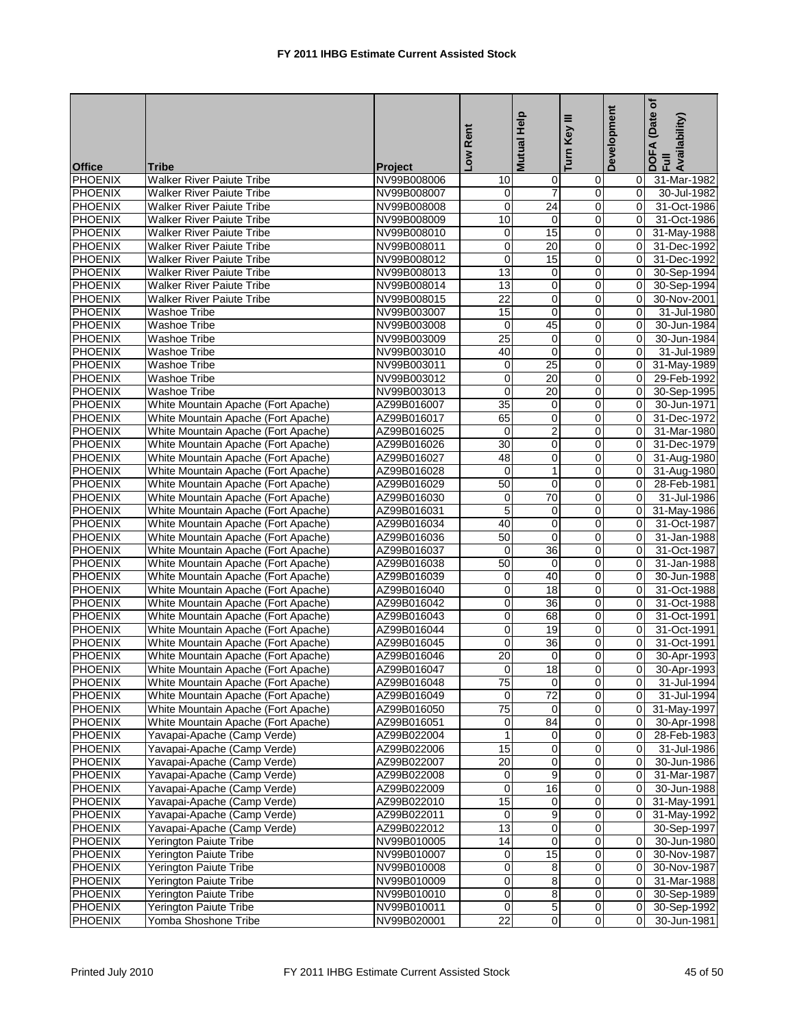|                |                                     |                | Low Rent        | <b>Mutual Help</b> | Ξ<br>Key<br>Turn | Development    | (Date of<br>DOFA (Date<br>Full<br>Availability) |
|----------------|-------------------------------------|----------------|-----------------|--------------------|------------------|----------------|-------------------------------------------------|
| <b>Office</b>  | <b>Tribe</b>                        | <b>Project</b> |                 |                    |                  |                |                                                 |
| <b>PHOENIX</b> | Walker River Paiute Tribe           | NV99B008006    | 10              | 0                  | 0                | 0              | 31-Mar-1982                                     |
| <b>PHOENIX</b> | <b>Walker River Paiute Tribe</b>    | NV99B008007    | 0               | $\overline{7}$     | 0                | 0              | 30-Jul-1982                                     |
| <b>PHOENIX</b> | <b>Walker River Paiute Tribe</b>    | NV99B008008    | $\mathbf 0$     | $\overline{24}$    | 0                | 0              | 31-Oct-1986                                     |
| <b>PHOENIX</b> | <b>Walker River Paiute Tribe</b>    | NV99B008009    | 10              | $\pmb{0}$          | 0                | 0              | 31-Oct-1986                                     |
| <b>PHOENIX</b> | <b>Walker River Paiute Tribe</b>    | NV99B008010    | 0               | 15                 | 0                | 0              | 31-May-1988                                     |
| <b>PHOENIX</b> | Walker River Paiute Tribe           | NV99B008011    | $\mathbf 0$     | $\overline{20}$    | 0                | $\mathbf 0$    | 31-Dec-1992                                     |
| <b>PHOENIX</b> | <b>Walker River Paiute Tribe</b>    | NV99B008012    | $\mathbf 0$     | 15                 | 0                | $\Omega$       | 31-Dec-1992                                     |
| <b>PHOENIX</b> | <b>Walker River Paiute Tribe</b>    | NV99B008013    | 13              | 0                  | $\mathbf 0$      | $\Omega$       | 30-Sep-1994                                     |
| <b>PHOENIX</b> | <b>Walker River Paiute Tribe</b>    | NV99B008014    | 13              | $\mathbf 0$        | 0                | $\mathbf 0$    | 30-Sep-1994                                     |
| <b>PHOENIX</b> | <b>Walker River Paiute Tribe</b>    | NV99B008015    | 22              | 0                  | 0                | 0              | 30-Nov-2001                                     |
| <b>PHOENIX</b> | <b>Washoe Tribe</b>                 | NV99B003007    | 15              | $\mathbf 0$        | $\mathbf 0$      | $\Omega$       | 31-Jul-1980                                     |
| <b>PHOENIX</b> | Washoe Tribe                        | NV99B003008    | $\mathbf 0$     | 45                 | 0                | $\mathbf 0$    | 30-Jun-1984                                     |
| PHOENIX        | <b>Washoe Tribe</b>                 | NV99B003009    | $\overline{25}$ | $\mathbf 0$        | 0                | 0              | 30-Jun-1984                                     |
| <b>PHOENIX</b> | Washoe Tribe                        | NV99B003010    | 40              | $\mathbf 0$        | 0                | $\Omega$       | 31-Jul-1989                                     |
| <b>PHOENIX</b> | <b>Washoe Tribe</b>                 | NV99B003011    | 0               | 25                 | 0                | $\mathbf 0$    | 31-May-1989                                     |
| <b>PHOENIX</b> | Washoe Tribe                        | NV99B003012    | $\mathbf 0$     | 20                 | 0                | $\mathbf 0$    | 29-Feb-1992                                     |
| PHOENIX        | <b>Washoe Tribe</b>                 | NV99B003013    | $\mathbf 0$     | 20                 | $\mathbf 0$      | $\Omega$       | 30-Sep-1995                                     |
| <b>PHOENIX</b> | White Mountain Apache (Fort Apache) | AZ99B016007    | 35              | 0                  | $\mathbf 0$      | $\Omega$       | 30-Jun-1971                                     |
| <b>PHOENIX</b> | White Mountain Apache (Fort Apache) | AZ99B016017    | 65              | 0                  | 0                | 0              | 31-Dec-1972                                     |
| <b>PHOENIX</b> | White Mountain Apache (Fort Apache) | AZ99B016025    | $\mathbf 0$     | $\overline{2}$     | 0                | 0              | 31-Mar-1980                                     |
| <b>PHOENIX</b> | White Mountain Apache (Fort Apache) | AZ99B016026    | 30              | 0                  | 0                | $\Omega$       | 31-Dec-1979                                     |
| <b>PHOENIX</b> | White Mountain Apache (Fort Apache) | AZ99B016027    | 48              | 0                  | 0                | 0              | 31-Aug-1980                                     |
| <b>PHOENIX</b> | White Mountain Apache (Fort Apache) | AZ99B016028    | $\mathbf 0$     | $\mathbf{1}$       | 0                | $\Omega$       | 31-Aug-1980                                     |
| <b>PHOENIX</b> | White Mountain Apache (Fort Apache) | AZ99B016029    | 50              | 0                  | 0                | $\Omega$       | 28-Feb-1981                                     |
| PHOENIX        | White Mountain Apache (Fort Apache) | AZ99B016030    | 0               | 70                 | 0                | $\mathbf 0$    | 31-Jul-1986                                     |
| <b>PHOENIX</b> | White Mountain Apache (Fort Apache) | AZ99B016031    | $\overline{5}$  | 0                  | 0                | 0              | 31-May-1986                                     |
| <b>PHOENIX</b> | White Mountain Apache (Fort Apache) | AZ99B016034    | 40              | $\mathbf 0$        | 0                | $\Omega$       | 31-Oct-1987                                     |
| <b>PHOENIX</b> | White Mountain Apache (Fort Apache) | AZ99B016036    | 50              | 0                  | 0                | $\Omega$       | 31-Jan-1988                                     |
| <b>PHOENIX</b> | White Mountain Apache (Fort Apache) | AZ99B016037    | $\mathbf 0$     | 36                 | 0                | $\mathbf 0$    | 31-Oct-1987                                     |
| PHOENIX        | White Mountain Apache (Fort Apache) | AZ99B016038    | 50              | $\mathbf 0$        | 0                | 0              | 31-Jan-1988                                     |
| <b>PHOENIX</b> | White Mountain Apache (Fort Apache) | AZ99B016039    | 0               | 40                 | 0                | $\Omega$       | 30-Jun-1988                                     |
| <b>PHOENIX</b> | White Mountain Apache (Fort Apache) | AZ99B016040    | $\mathbf 0$     | 18                 | 0                | $\mathbf 0$    | 31-Oct-1988                                     |
| <b>PHOENIX</b> | White Mountain Apache (Fort Apache) | AZ99B016042    | $\mathbf 0$     | $\overline{36}$    | 0                | 0              | 31-Oct-1988                                     |
| <b>PHOENIX</b> | White Mountain Apache (Fort Apache) | AZ99B016043    | 0               | 68                 | 0                | 0              | 31-Oct-1991                                     |
| <b>PHOENIX</b> | White Mountain Apache (Fort Apache) | AZ99B016044    | 0               | 19                 | 0                | 0              | 31-Oct-1991                                     |
| <b>PHOENIX</b> | White Mountain Apache (Fort Apache) | AZ99B016045    | $\mathbf 0$     | 36                 | 0                | $\Omega$       | 31-Oct-1991                                     |
| PHOENIX        | White Mountain Apache (Fort Apache) | AZ99B016046    | 20              | $\mathbf 0$        | $\Omega$         | 0              | 30-Apr-1993                                     |
| <b>PHOENIX</b> | White Mountain Apache (Fort Apache) | AZ99B016047    | $\overline{0}$  | $\overline{18}$    | $\Omega$         | $\overline{0}$ | 30-Apr-1993                                     |
| <b>PHOENIX</b> | White Mountain Apache (Fort Apache) | AZ99B016048    | $\overline{75}$ | $\overline{0}$     | $\overline{0}$   | $\overline{0}$ | 31-Jul-1994                                     |
| <b>PHOENIX</b> | White Mountain Apache (Fort Apache) | AZ99B016049    | 0               | $\overline{72}$    | 0                | 0              | 31-Jul-1994                                     |
| <b>PHOENIX</b> | White Mountain Apache (Fort Apache) | AZ99B016050    | $\overline{75}$ | 0                  | 0                | 0              | 31-May-1997                                     |
| <b>PHOENIX</b> | White Mountain Apache (Fort Apache) | AZ99B016051    | $\pmb{0}$       | 84                 | 0                | 0              | 30-Apr-1998                                     |
| <b>PHOENIX</b> | Yavapai-Apache (Camp Verde)         | AZ99B022004    | $\mathbf{1}$    | 0                  | 0                | 0              | 28-Feb-1983                                     |
| <b>PHOENIX</b> | Yavapai-Apache (Camp Verde)         | AZ99B022006    | 15              | $\mathbf 0$        | 0                | 0              | 31-Jul-1986                                     |
| <b>PHOENIX</b> | Yavapai-Apache (Camp Verde)         | AZ99B022007    | 20              | 0                  | 0                | 0              | 30-Jun-1986                                     |
| <b>PHOENIX</b> | Yavapai-Apache (Camp Verde)         | AZ99B022008    | $\,0\,$         | 9                  | $\overline{0}$   | 0              | 31-Mar-1987                                     |
| <b>PHOENIX</b> | Yavapai-Apache (Camp Verde)         | AZ99B022009    | $\mathbf 0$     | 16                 | 0                | $\mathbf 0$    | 30-Jun-1988                                     |
| <b>PHOENIX</b> | Yavapai-Apache (Camp Verde)         | AZ99B022010    | 15              | 0                  | 0                | 0              | 31-May-1991                                     |
| <b>PHOENIX</b> | Yavapai-Apache (Camp Verde)         | AZ99B022011    | $\mathbf 0$     | 9                  | $\pmb{0}$        | 0              | 31-May-1992                                     |
| <b>PHOENIX</b> | Yavapai-Apache (Camp Verde)         | AZ99B022012    | $\overline{13}$ | 0                  | 0                |                | 30-Sep-1997                                     |
| PHOENIX        | Yerington Paiute Tribe              | NV99B010005    | $\overline{14}$ | 0                  | 0                | 0              | 30-Jun-1980                                     |
| <b>PHOENIX</b> | Yerington Paiute Tribe              | NV99B010007    | $\pmb{0}$       | $\overline{15}$    | 0                | 0              | 30-Nov-1987                                     |
| <b>PHOENIX</b> | Yerington Paiute Tribe              | NV99B010008    | $\mathbf 0$     | 8                  | 0                | 0              | 30-Nov-1987                                     |
| <b>PHOENIX</b> | <b>Yerington Paiute Tribe</b>       | NV99B010009    | $\overline{0}$  | 8                  | 0                | 0              | 31-Mar-1988                                     |
| <b>PHOENIX</b> | Yerington Paiute Tribe              | NV99B010010    | $\pmb{0}$       | 8                  | 0                | 0              | 30-Sep-1989                                     |
| <b>PHOENIX</b> | Yerington Paiute Tribe              | NV99B010011    | $\overline{0}$  | $\overline{5}$     | $\pmb{0}$        | 0              | 30-Sep-1992                                     |
| <b>PHOENIX</b> | Yomba Shoshone Tribe                | NV99B020001    | $\overline{22}$ | 0                  | $\mathbf 0$      | 0              | 30-Jun-1981                                     |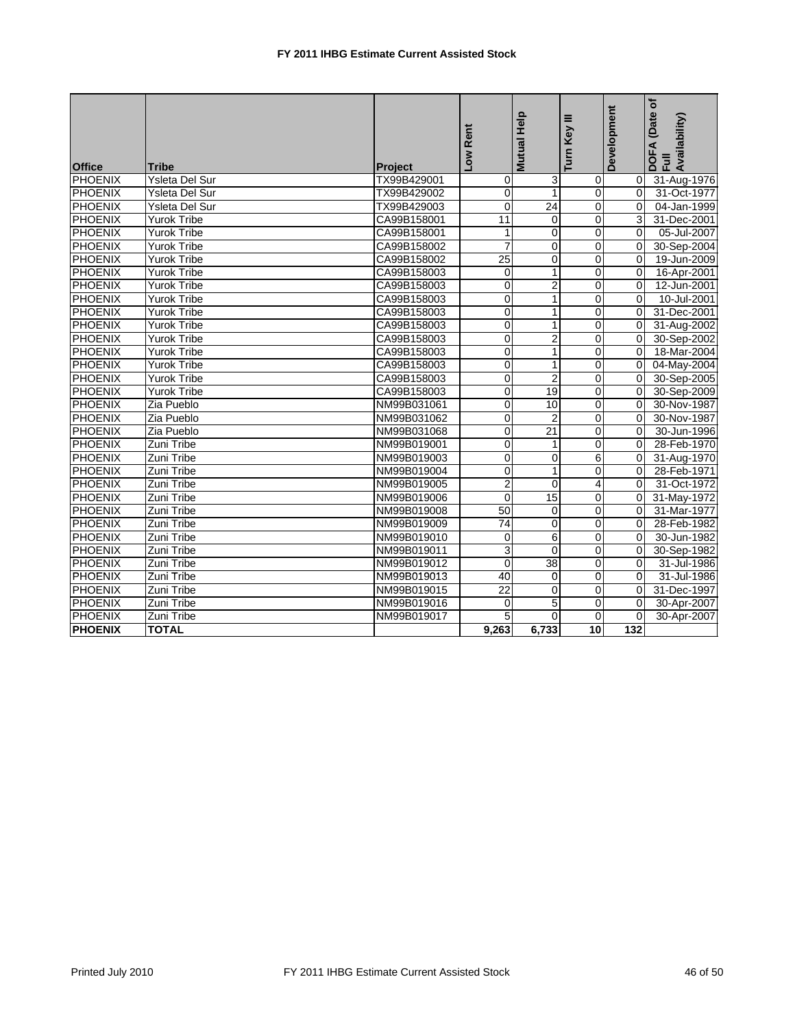| <b>Office</b>  | <b>Tribe</b>          | Project     | -ow Rent        | Mutual Help     | Turn Key III    | Development    | Date of<br>Availability)<br>DOFA<br>Full |
|----------------|-----------------------|-------------|-----------------|-----------------|-----------------|----------------|------------------------------------------|
| PHOENIX        | Ysleta Del Sur        | TX99B429001 | $\mathbf 0$     | 3               | $\overline{0}$  | 0              | 31-Aug-1976                              |
| PHOENIX        | <b>Ysleta Del Sur</b> | TX99B429002 | $\Omega$        | $\mathbf{1}$    | $\Omega$        | $\Omega$       | 31-Oct-1977                              |
| <b>PHOENIX</b> | <b>Ysleta Del Sur</b> | TX99B429003 | 0               | $\overline{24}$ | 0               | $\Omega$       | 04-Jan-1999                              |
| PHOENIX        | <b>Yurok Tribe</b>    | CA99B158001 | 11              | 0               | 0               | 3              | 31-Dec-2001                              |
| PHOENIX        | <b>Yurok Tribe</b>    | CA99B158001 | 1               | 0               | 0               | 0              | 05-Jul-2007                              |
| PHOENIX        | <b>Yurok Tribe</b>    | CA99B158002 | $\overline{7}$  | $\mathbf 0$     | 0               | $\mathbf 0$    | 30-Sep-2004                              |
| <b>PHOENIX</b> | <b>Yurok Tribe</b>    | CA99B158002 | $\overline{25}$ | $\mathbf 0$     | $\overline{0}$  | $\mathbf 0$    | 19-Jun-2009                              |
| PHOENIX        | <b>Yurok Tribe</b>    | CA99B158003 | $\overline{0}$  | $\mathbf{1}$    | 0               | $\Omega$       | 16-Apr-2001                              |
| PHOENIX        | <b>Yurok Tribe</b>    | CA99B158003 | $\pmb{0}$       | $\overline{2}$  | 0               | $\Omega$       | 12-Jun-2001                              |
| <b>PHOENIX</b> | <b>Yurok Tribe</b>    | CA99B158003 | $\mathbf 0$     | $\mathbf{1}$    | 0               | $\overline{0}$ | 10-Jul-2001                              |
| <b>PHOENIX</b> | <b>Yurok Tribe</b>    | CA99B158003 | $\mathbf 0$     | 1               | $\Omega$        | $\Omega$       | 31-Dec-2001                              |
| PHOENIX        | <b>Yurok Tribe</b>    | CA99B158003 | $\overline{0}$  | $\mathbf{1}$    | $\overline{0}$  | $\mathbf 0$    | 31-Aug-2002                              |
| <b>PHOENIX</b> | <b>Yurok Tribe</b>    | CA99B158003 | $\overline{0}$  | $\overline{2}$  | 0               | 0              | 30-Sep-2002                              |
| PHOENIX        | <b>Yurok Tribe</b>    | CA99B158003 | $\overline{0}$  | $\mathbf{1}$    | 0               | 0              | 18-Mar-2004                              |
| <b>PHOENIX</b> | <b>Yurok Tribe</b>    | CA99B158003 | 0               | $\mathbf{1}$    | 0               | $\Omega$       | 04-May-2004                              |
| PHOENIX        | <b>Yurok Tribe</b>    | CA99B158003 | $\mathbf 0$     | $\overline{2}$  | 0               | 0              | 30-Sep-2005                              |
| <b>PHOENIX</b> | <b>Yurok Tribe</b>    | CA99B158003 | $\pmb{0}$       | 19              | 0               | $\mathbf 0$    | 30-Sep-2009                              |
| <b>PHOENIX</b> | Zia Pueblo            | NM99B031061 | $\overline{0}$  | 10              | $\overline{0}$  | $\overline{0}$ | 30-Nov-1987                              |
| PHOENIX        | Zia Pueblo            | NM99B031062 | $\pmb{0}$       | $\overline{2}$  | 0               | $\Omega$       | 30-Nov-1987                              |
| PHOENIX        | Zia Pueblo            | NM99B031068 | $\mathbf 0$     | $\overline{21}$ | $\Omega$        | $\Omega$       | 30-Jun-1996                              |
| PHOENIX        | Zuni Tribe            | NM99B019001 | 0               | $\mathbf{1}$    | $\Omega$        | $\Omega$       | 28-Feb-1970                              |
| <b>PHOENIX</b> | Zuni Tribe            | NM99B019003 | 0               | $\mathbf 0$     | 6               | $\mathbf 0$    | 31-Aug-1970                              |
| <b>PHOENIX</b> | Zuni Tribe            | NM99B019004 | $\overline{0}$  | $\mathbf{1}$    | $\overline{0}$  | 0              | 28-Feb-1971                              |
| PHOENIX        | Zuni Tribe            | NM99B019005 | $\overline{2}$  | $\mathbf 0$     | $\overline{4}$  | $\overline{0}$ | 31-Oct-1972                              |
| PHOENIX        | Zuni Tribe            | NM99B019006 | $\Omega$        | 15              | 0               | $\Omega$       | 31-May-1972                              |
| <b>PHOENIX</b> | Zuni Tribe            | NM99B019008 | 50              | 0               | 0               | $\Omega$       | 31-Mar-1977                              |
| <b>PHOENIX</b> | Zuni Tribe            | NM99B019009 | 74              | 0               | 0               | $\Omega$       | 28-Feb-1982                              |
| <b>PHOENIX</b> | Zuni Tribe            | NM99B019010 | $\mathbf 0$     | 6               | 0               | $\mathbf 0$    | 30-Jun-1982                              |
| <b>PHOENIX</b> | Zuni Tribe            | NM99B019011 | 3               | $\Omega$        | 0               | 0              | 30-Sep-1982                              |
| PHOENIX        | Zuni Tribe            | NM99B019012 | $\Omega$        | 38              | $\Omega$        | 0              | 31-Jul-1986                              |
| PHOENIX        | Zuni Tribe            | NM99B019013 | 40              | $\mathbf 0$     | $\overline{0}$  | 0              | 31-Jul-1986                              |
| PHOENIX        | Zuni Tribe            | NM99B019015 | 22              | $\mathbf 0$     | 0               | 0              | 31-Dec-1997                              |
| <b>PHOENIX</b> | Zuni Tribe            | NM99B019016 | 0               | 5               | $\overline{0}$  | $\mathbf 0$    | 30-Apr-2007                              |
| PHOENIX        | Zuni Tribe            | NM99B019017 | 5               | $\Omega$        | $\Omega$        | 0              | 30-Apr-2007                              |
| <b>PHOENIX</b> | <b>TOTAL</b>          |             | 9,263           | 6,733           | $\overline{10}$ | 132            |                                          |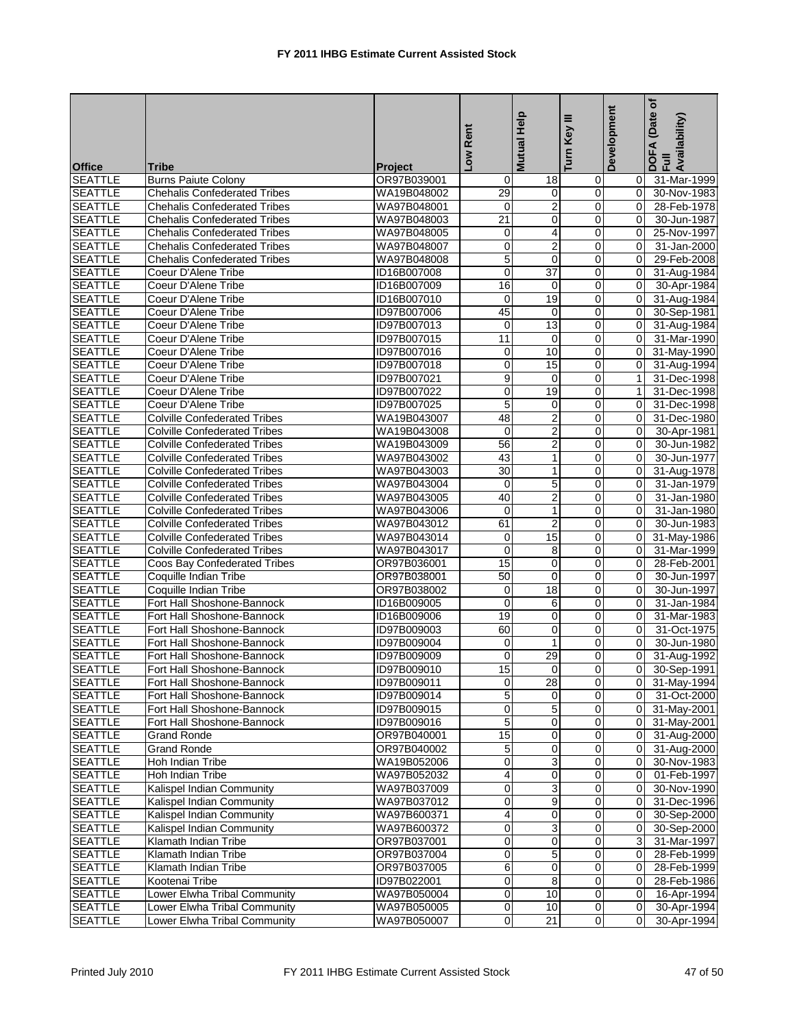| <b>Office</b>                    | Tribe                                                    | Project                    | Low Rent       | <b>Mutual Help</b>      | Ξ<br>Turn Key              | Development          | ð<br>(Date<br>DOFA (Date<br>Full<br>Availability) |
|----------------------------------|----------------------------------------------------------|----------------------------|----------------|-------------------------|----------------------------|----------------------|---------------------------------------------------|
| <b>SEATTLE</b>                   | <b>Burns Paiute Colony</b>                               | OR97B039001                | 0              | 18                      | $\mathbf 0$                | $\overline{0}$       | 31-Mar-1999                                       |
| <b>SEATTLE</b>                   | <b>Chehalis Confederated Tribes</b>                      | WA19B048002                | 29             | $\mathbf 0$             | $\overline{0}$             | 0                    | 30-Nov-1983                                       |
| <b>SEATTLE</b>                   | <b>Chehalis Confederated Tribes</b>                      | WA97B048001                | 0              | $\overline{\mathbf{c}}$ | 0                          | $\overline{0}$       | 28-Feb-1978                                       |
| <b>SEATTLE</b>                   | <b>Chehalis Confederated Tribes</b>                      | WA97B048003                | 21             | 0                       | $\mathbf 0$                | 0                    | 30-Jun-1987                                       |
| <b>SEATTLE</b>                   | <b>Chehalis Confederated Tribes</b>                      | WA97B048005                | 0              | $\overline{\mathbf{4}}$ | $\pmb{0}$                  | 0                    | 25-Nov-1997                                       |
| <b>SEATTLE</b>                   | <b>Chehalis Confederated Tribes</b>                      | WA97B048007                | 0              | $\overline{2}$          | $\mathbf 0$                | 0                    | 31-Jan-2000                                       |
| <b>SEATTLE</b>                   | <b>Chehalis Confederated Tribes</b>                      | WA97B048008                | 5              | $\mathbf 0$             | $\mathbf 0$                | 0                    | 29-Feb-2008                                       |
| <b>SEATTLE</b>                   | Coeur D'Alene Tribe                                      | ID16B007008                | 0              | $\overline{37}$         | 0                          | 0                    | 31-Aug-1984                                       |
| <b>SEATTLE</b>                   | Coeur D'Alene Tribe                                      | ID16B007009                | 16             | $\mathbf 0$             | $\mathbf 0$                | 0                    | 30-Apr-1984                                       |
| <b>SEATTLE</b>                   | Coeur D'Alene Tribe                                      | ID16B007010                | 0              | 19                      | $\mathbf 0$                | $\overline{0}$       | 31-Aug-1984                                       |
| <b>SEATTLE</b>                   | Coeur D'Alene Tribe                                      | ID97B007006                | 45             | $\mathbf 0$             | 0                          | 0                    | 30-Sep-1981                                       |
| <b>SEATTLE</b>                   | Coeur D'Alene Tribe                                      | ID97B007013                | 0              | $\overline{13}$         | $\pmb{0}$                  | 0                    | 31-Aug-1984                                       |
| <b>SEATTLE</b>                   | Coeur D'Alene Tribe                                      | ID97B007015                | 11             | $\mathbf 0$             | $\mathbf 0$                | $\overline{0}$       | 31-Mar-1990                                       |
| <b>SEATTLE</b>                   | Coeur D'Alene Tribe                                      | ID97B007016                | 0              | 10                      | $\mathbf 0$                | 0                    | 31-May-1990                                       |
| <b>SEATTLE</b>                   | Coeur D'Alene Tribe                                      | ID97B007018                | $\mathbf 0$    | 15                      | $\pmb{0}$                  | $\overline{0}$       | 31-Aug-1994                                       |
| <b>SEATTLE</b>                   | Coeur D'Alene Tribe                                      | ID97B007021                | 9              | $\mathbf 0$             | $\mathbf 0$                | $\mathbf{1}$         | 31-Dec-1998                                       |
| <b>SEATTLE</b>                   | Coeur D'Alene Tribe                                      | ID97B007022                | 0              | 19                      | $\mathbf 0$                | $\mathbf{1}$         | 31-Dec-1998                                       |
| <b>SEATTLE</b>                   | Coeur D'Alene Tribe                                      | ID97B007025                | 5              | 0                       | $\mathbf 0$                | 0                    | 31-Dec-1998                                       |
| <b>SEATTLE</b>                   | <b>Colville Confederated Tribes</b>                      | WA19B043007                | 48             | $\overline{2}$          | $\mathbf 0$                | 0                    | 31-Dec-1980                                       |
| <b>SEATTLE</b>                   | <b>Colville Confederated Tribes</b>                      | WA19B043008                | $\overline{0}$ | $\overline{2}$          | $\mathbf 0$                | $\mathbf 0$          | 30-Apr-1981                                       |
| <b>SEATTLE</b>                   | <b>Colville Confederated Tribes</b>                      | WA19B043009                | 56             | $\overline{c}$          | 0                          | 0                    | 30-Jun-1982                                       |
| <b>SEATTLE</b>                   | <b>Colville Confederated Tribes</b>                      | WA97B043002                | 43             | 1                       | $\pmb{0}$                  | 0                    | 30-Jun-1977                                       |
| <b>SEATTLE</b>                   | <b>Colville Confederated Tribes</b>                      | WA97B043003                | 30             | 1                       | $\mathbf 0$                | 0                    | 31-Aug-1978                                       |
| <b>SEATTLE</b>                   | <b>Colville Confederated Tribes</b>                      | WA97B043004                | 0              | 5                       | $\mathbf 0$                | 0                    | 31-Jan-1979                                       |
| <b>SEATTLE</b>                   | <b>Colville Confederated Tribes</b>                      | WA97B043005                | 40             | $\overline{2}$          | $\pmb{0}$                  | 0                    | 31-Jan-1980                                       |
| <b>SEATTLE</b>                   | <b>Colville Confederated Tribes</b>                      | WA97B043006                | 0              | 1                       | $\mathbf 0$                | $\mathbf 0$          | 31-Jan-1980                                       |
| <b>SEATTLE</b>                   | <b>Colville Confederated Tribes</b>                      | WA97B043012                | 61             | $\overline{c}$          | $\mathbf 0$                | 0                    | 30-Jun-1983                                       |
| <b>SEATTLE</b>                   | <b>Colville Confederated Tribes</b>                      | WA97B043014                | 0              | 15                      | $\mathbf 0$                | 0                    | 31-May-1986                                       |
| <b>SEATTLE</b>                   | <b>Colville Confederated Tribes</b>                      | WA97B043017                | 0              | 8                       | $\mathbf 0$                | 0                    | 31-Mar-1999                                       |
| <b>SEATTLE</b>                   | Coos Bay Confederated Tribes                             | OR97B036001                | 15             | $\mathbf 0$             | $\mathbf 0$                | 0                    | 28-Feb-2001                                       |
| <b>SEATTLE</b>                   | Coquille Indian Tribe                                    | OR97B038001                | 50             | $\mathbf 0$             | 0                          | 0                    | 30-Jun-1997                                       |
| <b>SEATTLE</b>                   | Coquille Indian Tribe                                    | OR97B038002                | 0              | 18                      | $\mathbf 0$                | 0                    | 30-Jun-1997                                       |
| <b>SEATTLE</b>                   | Fort Hall Shoshone-Bannock                               | ID16B009005                | 0              | 6                       | $\mathbf 0$                | 0                    | 31-Jan-1984                                       |
| <b>SEATTLE</b>                   | Fort Hall Shoshone-Bannock                               | ID16B009006                | 19             | 0                       | $\mathbf 0$                | 0                    | 31-Mar-1983                                       |
| <b>SEATTLE</b>                   | Fort Hall Shoshone-Bannock                               | ID97B009003                | 60             | $\mathbf 0$             | $\mathbf 0$                | 0                    | 31-Oct-1975                                       |
| <b>SEATTLE</b>                   | Fort Hall Shoshone-Bannock                               | ID97B009004                | 0<br>0         | 1                       | $\mathbf 0$<br>$\mathbf 0$ | $\Omega$<br>0        | 30-Jun-1980                                       |
| <b>SEATTLE</b><br><b>SEATTLE</b> | Fort Hall Shoshone-Bannock<br>Fort Hall Shoshone-Bannock | ID97B009009<br>ID97B009010 | 15             | 29<br>0                 | $\overline{0}$             | $\overline{0}$       | 31-Aug-1992<br>30-Sep-1991                        |
|                                  |                                                          | ID97B009011                |                | $\overline{28}$         | $\mathbf 0$                |                      |                                                   |
| <b>SEATTLE</b><br><b>SEATTLE</b> | Fort Hall Shoshone-Bannock<br>Fort Hall Shoshone-Bannock | ID97B009014                | 0<br>5         | $\mathbf 0$             | $\mathbf 0$                | ΟI<br>$\overline{0}$ | 31-May-1994<br>31-Oct-2000                        |
| <b>SEATTLE</b>                   | Fort Hall Shoshone-Bannock                               | ID97B009015                | 0              | 5                       | 0                          | $\overline{0}$       | 31-May-2001                                       |
| <b>SEATTLE</b>                   | Fort Hall Shoshone-Bannock                               | ID97B009016                | 5              | $\mathbf 0$             | $\mathbf 0$                | $\overline{0}$       | 31-May-2001                                       |
| <b>SEATTLE</b>                   | <b>Grand Ronde</b>                                       | OR97B040001                | 15             | 0                       | $\mathbf 0$                | $\overline{0}$       | 31-Aug-2000                                       |
| <b>SEATTLE</b>                   | <b>Grand Ronde</b>                                       | OR97B040002                | 5              | 0                       | $\mathbf 0$                | 0                    | 31-Aug-2000                                       |
| <b>SEATTLE</b>                   | Hoh Indian Tribe                                         | WA19B052006                | $\overline{0}$ | $\overline{3}$          | $\overline{0}$             | $\overline{0}$       | 30-Nov-1983                                       |
| <b>SEATTLE</b>                   | Hoh Indian Tribe                                         | WA97B052032                | 4              | 0                       | $\mathbf 0$                | $\overline{0}$       | 01-Feb-1997                                       |
| <b>SEATTLE</b>                   | Kalispel Indian Community                                | WA97B037009                | 0              | 3                       | $\mathbf 0$                | $\overline{0}$       | 30-Nov-1990                                       |
| <b>SEATTLE</b>                   | Kalispel Indian Community                                | WA97B037012                | 0              | 9                       | $\mathbf 0$                | $\overline{0}$       | 31-Dec-1996                                       |
| <b>SEATTLE</b>                   | Kalispel Indian Community                                | WA97B600371                | 4              | $\mathbf 0$             | $\mathbf 0$                | 0                    | 30-Sep-2000                                       |
| <b>SEATTLE</b>                   | Kalispel Indian Community                                | WA97B600372                | 0              | 3                       | $\pmb{0}$                  | $\overline{0}$       | 30-Sep-2000                                       |
| <b>SEATTLE</b>                   | Klamath Indian Tribe                                     | OR97B037001                | 0              | 0                       | 0                          | $\overline{3}$       | 31-Mar-1997                                       |
| <b>SEATTLE</b>                   | Klamath Indian Tribe                                     | OR97B037004                | 0              | $\overline{5}$          | $\overline{\mathbf{0}}$    | $\overline{0}$       | 28-Feb-1999                                       |
| <b>SEATTLE</b>                   | Klamath Indian Tribe                                     | OR97B037005                | 6              | 0                       | $\mathbf 0$                | $\overline{0}$       | 28-Feb-1999                                       |
| <b>SEATTLE</b>                   | Kootenai Tribe                                           | ID97B022001                | 0              | 8                       | $\mathbf 0$                | 0                    | 28-Feb-1986                                       |
| <b>SEATTLE</b>                   | Lower Elwha Tribal Community                             | WA97B050004                | $\mathbf 0$    | 10                      | $\overline{0}$             | $\overline{0}$       | 16-Apr-1994                                       |
| <b>SEATTLE</b>                   | Lower Elwha Tribal Community                             | WA97B050005                | 0              | 10                      | $\mathbf 0$                | $\mathbf 0$          | 30-Apr-1994                                       |
| <b>SEATTLE</b>                   | Lower Elwha Tribal Community                             | WA97B050007                | $\overline{0}$ | 21                      | $\overline{0}$             | $\Omega$             | 30-Apr-1994                                       |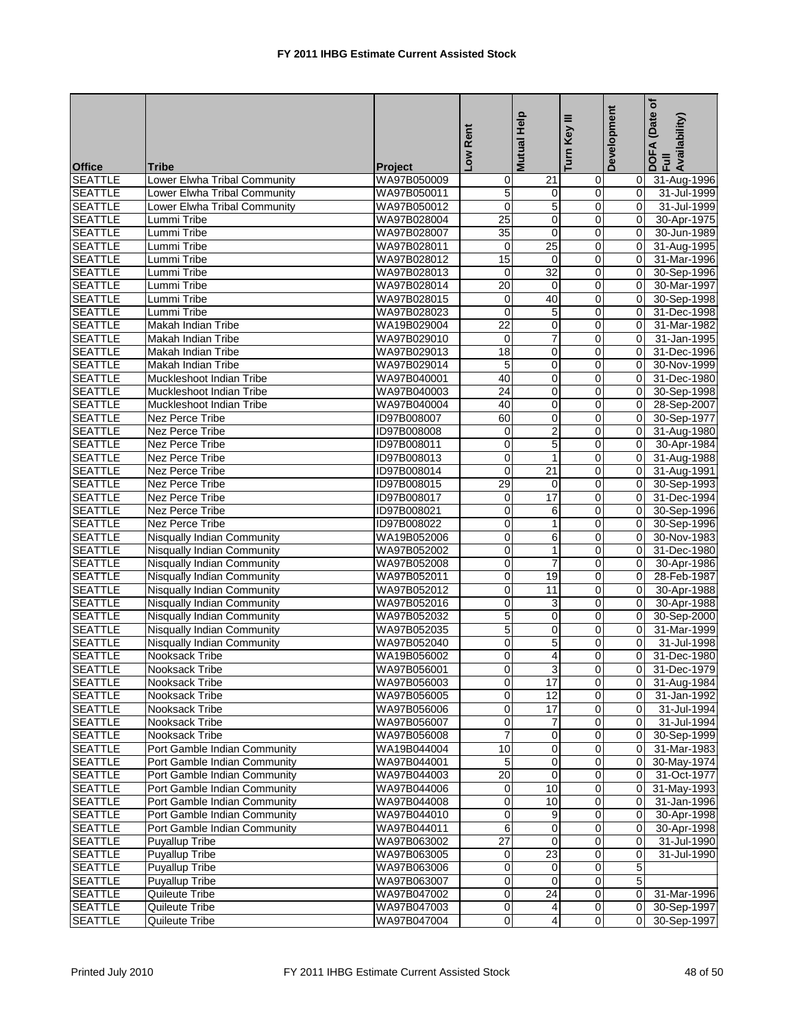| Low Rent                                                                                                          | Mutual Help                   | Turn Key III               | Development                      | ৳<br>(Date<br>DOFA (Date<br>Full<br>Availability) |
|-------------------------------------------------------------------------------------------------------------------|-------------------------------|----------------------------|----------------------------------|---------------------------------------------------|
| <b>Office</b><br>Tribe<br>Project                                                                                 |                               |                            |                                  |                                                   |
| <b>SEATTLE</b><br>Lower Elwha Tribal Community<br>WA97B050009<br>0                                                | 21                            | 0                          | $\overline{0}$<br>$\overline{0}$ | 31-Aug-1996                                       |
| 5<br><b>SEATTLE</b><br>Lower Elwha Tribal Community<br>WA97B050011<br>$\mathbf 0$<br>Lower Elwha Tribal Community | $\mathbf 0$<br>$\overline{5}$ | $\pmb{0}$<br>$\mathbf 0$   | 0                                | 31-Jul-1999                                       |
| <b>SEATTLE</b><br>WA97B050012                                                                                     | $\mathbf 0$                   |                            | $\mathbf 0$                      | 31-Jul-1999                                       |
| <b>SEATTLE</b><br>25<br>Lummi Tribe<br>WA97B028004<br>$\overline{35}$<br>Lummi Tribe                              | $\mathbf 0$                   | $\mathbf 0$<br>$\mathbf 0$ | 0                                | 30-Apr-1975<br>30-Jun-1989                        |
| <b>SEATTLE</b><br>WA97B028007<br>WA97B028011<br>0                                                                 | $\overline{25}$               | $\mathbf 0$                | 0                                |                                                   |
| <b>SEATTLE</b><br>Lummi Tribe<br>15<br><b>SEATTLE</b><br>Lummi Tribe<br>WA97B028012                               | $\mathbf 0$                   | $\pmb{0}$                  | $\overline{0}$                   | 31-Aug-1995<br>31-Mar-1996                        |
| <b>SEATTLE</b><br>Lummi Tribe<br>WA97B028013<br>0                                                                 | $\overline{32}$               | $\overline{0}$             | 0                                | 30-Sep-1996                                       |
| 20<br><b>SEATTLE</b><br>Lummi Tribe<br>WA97B028014                                                                | $\mathbf 0$                   | $\mathbf 0$                | 0                                | 30-Mar-1997                                       |
| 0<br><b>SEATTLE</b><br>Lummi Tribe<br>WA97B028015                                                                 | 40                            | $\mathbf 0$                | 0                                | 30-Sep-1998                                       |
| 0<br><b>SEATTLE</b><br>Lummi Tribe<br>WA97B028023                                                                 | 5                             | $\mathbf 0$                | 0                                | 31-Dec-1998                                       |
| $\overline{22}$<br><b>SEATTLE</b><br>Makah Indian Tribe<br>WA19B029004                                            | 0                             | $\pmb{0}$                  | $\overline{0}$                   | 31-Mar-1982                                       |
| 0<br><b>SEATTLE</b><br>Makah Indian Tribe<br>WA97B029010                                                          | $\overline{7}$                | $\mathbf 0$                | 0                                | 31-Jan-1995                                       |
| <b>SEATTLE</b><br>18<br>Makah Indian Tribe<br>WA97B029013                                                         | $\mathbf 0$                   | $\mathbf 0$                | 0                                | 31-Dec-1996                                       |
| <b>SEATTLE</b><br>5<br><b>Makah Indian Tribe</b><br>WA97B029014                                                   | $\overline{0}$                | $\mathbf 0$                | 0                                | 30-Nov-1999                                       |
| 40<br><b>SEATTLE</b><br>Muckleshoot Indian Tribe<br>WA97B040001                                                   | 0                             | $\boldsymbol{0}$           | 0                                | 31-Dec-1980                                       |
| 24<br><b>SEATTLE</b><br>WA97B040003<br>Muckleshoot Indian Tribe                                                   | $\mathbf 0$                   | $\mathbf 0$                | $\overline{0}$                   | 30-Sep-1998                                       |
| <b>SEATTLE</b><br>Muckleshoot Indian Tribe<br>WA97B040004<br>40                                                   | $\mathbf 0$                   | $\mathbf 0$                | 0                                | 28-Sep-2007                                       |
| 60<br><b>SEATTLE</b><br>Nez Perce Tribe<br>ID97B008007                                                            | $\mathbf 0$                   | $\mathbf 0$                | 0                                | 30-Sep-1977                                       |
| <b>SEATTLE</b><br>0<br>Nez Perce Tribe<br>ID97B008008                                                             | $\overline{2}$                | $\mathbf 0$                | 0                                | 31-Aug-1980                                       |
| 0<br><b>SEATTLE</b><br>ID97B008011<br>Nez Perce Tribe                                                             | 5                             | $\mathbf 0$                | 0                                | 30-Apr-1984                                       |
| 0<br><b>SEATTLE</b><br>Nez Perce Tribe<br>ID97B008013                                                             | $\mathbf{1}$                  | $\mathbf 0$                | $\overline{0}$                   | 31-Aug-1988                                       |
| 0<br><b>SEATTLE</b><br><b>Nez Perce Tribe</b><br>ID97B008014                                                      | $\overline{21}$               | $\mathbf 0$                | 0                                | 31-Aug-1991                                       |
| <b>SEATTLE</b><br>29<br>Nez Perce Tribe<br>ID97B008015                                                            | $\mathbf 0$                   | $\overline{0}$             | $\mathbf 0$                      | 30-Sep-1993                                       |
| <b>SEATTLE</b><br>Nez Perce Tribe<br>ID97B008017<br>0                                                             | 17                            | $\mathbf 0$                | 0                                | 31-Dec-1994                                       |
| 0<br><b>SEATTLE</b><br>Nez Perce Tribe<br>ID97B008021                                                             | 6                             | $\mathbf 0$                | 0                                | 30-Sep-1996                                       |
| <b>SEATTLE</b><br>0<br><b>Nez Perce Tribe</b><br>ID97B008022                                                      | $\mathbf{1}$                  | $\mathbf 0$                | $\overline{0}$                   | 30-Sep-1996                                       |
| <b>SEATTLE</b><br>WA19B052006<br>0<br>Nisqually Indian Community                                                  | 6                             | $\mathbf 0$                | 0                                | 30-Nov-1983                                       |
| 0<br><b>SEATTLE</b><br>Nisqually Indian Community<br>WA97B052002                                                  | 1                             | $\mathbf 0$                | 0                                | 31-Dec-1980                                       |
| 0<br><b>SEATTLE</b><br>Nisqually Indian Community<br>WA97B052008                                                  | $\overline{7}$                | $\mathbf 0$                | 0                                | 30-Apr-1986                                       |
| 0<br><b>SEATTLE</b><br><b>Nisqually Indian Community</b><br>WA97B052011                                           | 19                            | $\mathbf 0$                | 0                                | 28-Feb-1987                                       |
| 0<br><b>SEATTLE</b><br>WA97B052012<br>Nisqually Indian Community                                                  | 11                            | $\pmb{0}$                  | 0                                | 30-Apr-1988                                       |
| $\mathbf 0$<br><b>SEATTLE</b><br><b>Nisqually Indian Community</b><br>WA97B052016                                 | 3                             | $\mathbf 0$                | 0                                | 30-Apr-1988                                       |
| 5<br><b>SEATTLE</b><br>Nisqually Indian Community<br>WA97B052032                                                  | $\mathbf 0$                   | $\overline{0}$             | $\Omega$                         | 30-Sep-2000                                       |
| 5<br><b>SEATTLE</b><br>Nisqually Indian Community<br>WA97B052035                                                  | 0                             | $\mathbf 0$                | 0                                | 31-Mar-1999                                       |
| 0<br><b>SEATTLE</b><br><b>Nisqually Indian Community</b><br>WA97B052040                                           | 5                             | $\mathbf 0$                | 0                                | 31-Jul-1998                                       |
| 0<br><b>SEATTLE</b><br>Nooksack Tribe<br>WA19B056002                                                              | 4                             | $\mathbf 0$                | 0                                | 31-Dec-1980                                       |
| $\Omega$<br><b>SEATTLE</b><br>Nooksack Tribe<br>WA97B056001                                                       | 3                             | $\overline{0}$             | $\overline{0}$                   | 31-Dec-1979                                       |
| <b>SEATTLE</b><br>0<br>Nooksack Tribe<br>WA97B056003                                                              | 17                            | $\mathbf 0$                | $\overline{0}$                   | 31-Aug-1984                                       |
| 0<br><b>SEATTLE</b><br>Nooksack Tribe<br>WA97B056005                                                              | 12                            | $\mathbf 0$                | 0                                | 31-Jan-1992                                       |
| 0<br><b>SEATTLE</b><br>Nooksack Tribe<br>WA97B056006                                                              | $\overline{17}$               | 0                          | 0                                | 31-Jul-1994                                       |
| <b>SEATTLE</b><br>0<br>Nooksack Tribe<br>WA97B056007                                                              | $\overline{7}$                | $\overline{0}$             | $\overline{0}$                   | 31-Jul-1994                                       |
| 7<br><b>SEATTLE</b><br>Nooksack Tribe<br>WA97B056008                                                              | $\mathbf 0$                   | $\mathbf 0$                | 0                                | 30-Sep-1999                                       |
| <b>SEATTLE</b><br>10<br>Port Gamble Indian Community<br>WA19B044004                                               | $\mathbf 0$                   | $\mathbf 0$                | $\Omega$                         | 31-Mar-1983                                       |
| 5<br><b>SEATTLE</b><br>WA97B044001<br>Port Gamble Indian Community                                                | 0                             | 0                          | 0                                | 30-May-1974                                       |
| $\overline{20}$<br><b>SEATTLE</b><br>Port Gamble Indian Community<br>WA97B044003                                  | $\mathbf 0$                   | $\mathbf 0$                | 0                                | 31-Oct-1977                                       |
| <b>SEATTLE</b><br>0<br>Port Gamble Indian Community<br>WA97B044006                                                | 10                            | $\overline{\mathbf{0}}$    | $\overline{0}$                   | 31-May-1993                                       |
| <b>SEATTLE</b><br>Port Gamble Indian Community<br>WA97B044008<br>0                                                | 10                            | $\mathbf 0$                | 0                                | 31-Jan-1996                                       |
| 0<br><b>SEATTLE</b><br>Port Gamble Indian Community<br>WA97B044010                                                | 9                             | $\overline{0}$             | 0                                | 30-Apr-1998                                       |
| 6<br><b>SEATTLE</b><br>Port Gamble Indian Community<br>WA97B044011                                                | $\mathbf 0$                   | $\mathbf 0$                | 0                                | 30-Apr-1998                                       |
| $\overline{27}$<br><b>SEATTLE</b><br><b>Puyallup Tribe</b><br>WA97B063002                                         | 0                             | $\mathbf 0$                | 0                                | 31-Jul-1990                                       |
| <b>SEATTLE</b><br><b>Puyallup Tribe</b><br>WA97B063005<br>0                                                       | 23                            | $\overline{0}$             | 0                                | 31-Jul-1990                                       |
| 0<br><b>SEATTLE</b><br><b>Puyallup Tribe</b><br>WA97B063006                                                       | $\mathbf 0$                   | $\mathbf 0$                | 5                                |                                                   |
| <b>SEATTLE</b><br><b>Puyallup Tribe</b><br>0<br>WA97B063007                                                       | $\mathbf 0$                   | $\mathbf 0$                | 5                                |                                                   |
| 0<br><b>SEATTLE</b><br>Quileute Tribe<br>WA97B047002                                                              | $\overline{24}$               | $\mathbf 0$                | 0                                | 31-Mar-1996                                       |
| 0<br><b>SEATTLE</b><br>Quileute Tribe<br>WA97B047003                                                              | 4                             | $\mathbf 0$                | 0                                | 30-Sep-1997                                       |
| <b>SEATTLE</b><br>0<br>Quileute Tribe<br>WA97B047004                                                              | 4                             | $\overline{0}$             | $\overline{0}$                   | 30-Sep-1997                                       |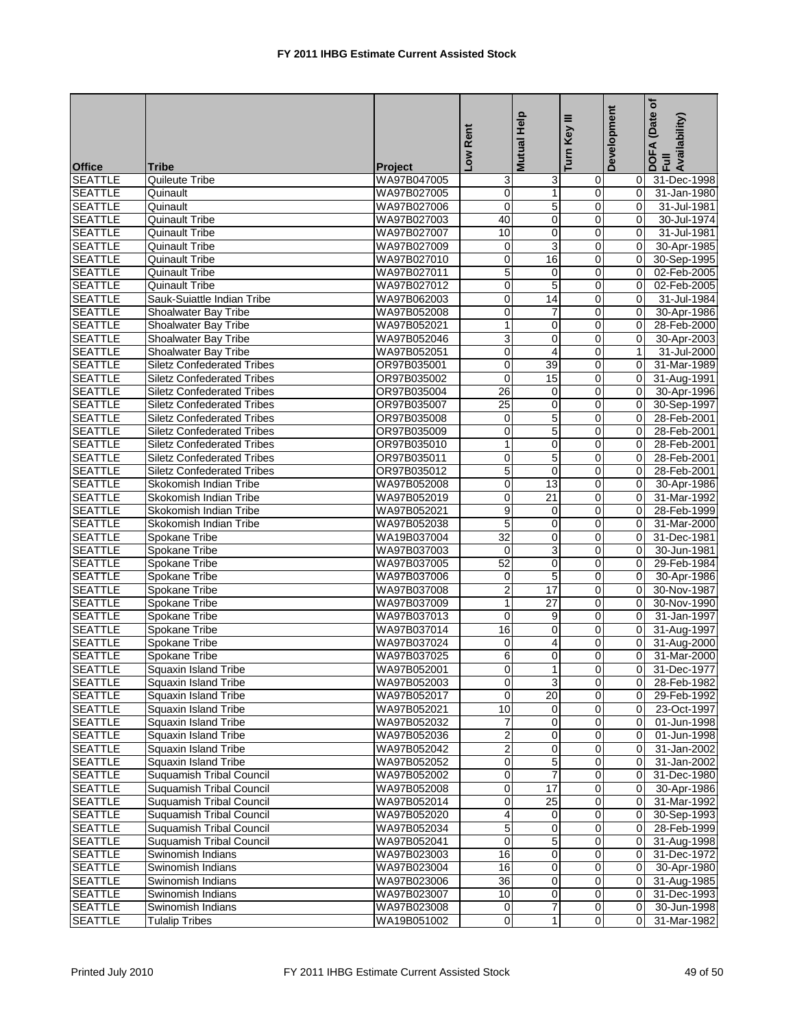|                                  |                                   |                | Low Rent            | <b>Mutual Help</b>  | Ξ<br>Turn Key           | Development   | Date of<br>DOFA (Date<br>Full<br>Availability) |
|----------------------------------|-----------------------------------|----------------|---------------------|---------------------|-------------------------|---------------|------------------------------------------------|
|                                  |                                   |                |                     |                     |                         |               |                                                |
| <b>Office</b>                    | <b>Tribe</b>                      | <b>Project</b> |                     |                     |                         |               |                                                |
| <b>SEATTLE</b>                   | Quileute Tribe                    | WA97B047005    | 3                   | 3                   | 0                       | 0             | 31-Dec-1998                                    |
| <b>SEATTLE</b>                   | Quinault                          | WA97B027005    | $\pmb{0}$           | $\mathbf{1}$        | 0                       | 0             | 31-Jan-1980                                    |
| <b>SEATTLE</b>                   | Quinault                          | WA97B027006    | $\mathbf 0$         | 5                   | 0                       | 0             | 31-Jul-1981                                    |
| <b>SEATTLE</b>                   | <b>Quinault Tribe</b>             | WA97B027003    | 40                  | 0                   | $\mathbf 0$             | 0             | 30-Jul-1974                                    |
| <b>SEATTLE</b>                   | <b>Quinault Tribe</b>             | WA97B027007    | 10                  | 0                   | $\mathbf 0$             | 0             | 31-Jul-1981                                    |
| <b>SEATTLE</b>                   | <b>Quinault Tribe</b>             | WA97B027009    | $\mathbf 0$         | 3                   | 0                       | $\Omega$      | 30-Apr-1985                                    |
| <b>SEATTLE</b>                   | Quinault Tribe                    | WA97B027010    | 0                   | 16                  | 0                       | $\Omega$      | 30-Sep-1995                                    |
| <b>SEATTLE</b>                   | Quinault Tribe                    | WA97B027011    | 5                   | 0                   | 0                       | $\mathbf 0$   | 02-Feb-2005                                    |
| <b>SEATTLE</b>                   | <b>Quinault Tribe</b>             | WA97B027012    | $\pmb{0}$           | 5                   | $\mathsf 0$             | $\mathbf 0$   | 02-Feb-2005                                    |
| <b>SEATTLE</b>                   | Sauk-Suiattle Indian Tribe        | WA97B062003    | $\pmb{0}$           | 14                  | $\mathbf 0$             | $\Omega$      | 31-Jul-1984                                    |
| <b>SEATTLE</b>                   | Shoalwater Bay Tribe              | WA97B052008    | $\mathbf 0$         | 7                   | 0                       | 0             | 30-Apr-1986                                    |
| <b>SEATTLE</b>                   | Shoalwater Bay Tribe              | WA97B052021    | $\mathbf{1}$        | 0                   | 0                       | 0             | 28-Feb-2000                                    |
| <b>SEATTLE</b>                   | Shoalwater Bay Tribe              | WA97B052046    | 3                   | $\mathbf 0$         | 0                       | 0             | 30-Apr-2003                                    |
| <b>SEATTLE</b>                   | Shoalwater Bay Tribe              | WA97B052051    | $\mathbf 0$         | $\overline{4}$      | 0                       | $\mathbf{1}$  | 31-Jul-2000                                    |
| <b>SEATTLE</b>                   | <b>Siletz Confederated Tribes</b> | OR97B035001    | $\overline{0}$      | 39                  | 0                       | 0             | 31-Mar-1989                                    |
| <b>SEATTLE</b>                   | <b>Siletz Confederated Tribes</b> | OR97B035002    | $\mathbf 0$         | 15                  | 0                       | $\mathbf 0$   | 31-Aug-1991                                    |
| <b>SEATTLE</b>                   | <b>Siletz Confederated Tribes</b> | OR97B035004    | 26                  | $\mathbf 0$         | 0                       | $\Omega$      | 30-Apr-1996                                    |
| <b>SEATTLE</b>                   | <b>Siletz Confederated Tribes</b> | OR97B035007    | $\overline{25}$     | 0                   | 0                       | $\mathbf 0$   | 30-Sep-1997                                    |
| <b>SEATTLE</b>                   | <b>Siletz Confederated Tribes</b> | OR97B035008    | $\mathbf 0$         | $\overline{5}$      | $\mathsf 0$             | 0             | 28-Feb-2001                                    |
| <b>SEATTLE</b>                   | <b>Siletz Confederated Tribes</b> | OR97B035009    | $\mathbf 0$         | 5                   | $\mathbf 0$             | $\Omega$      | 28-Feb-2001                                    |
| <b>SEATTLE</b>                   | <b>Siletz Confederated Tribes</b> | OR97B035010    | $\mathbf{1}$        | 0                   | 0                       | $\Omega$      | 28-Feb-2001                                    |
| <b>SEATTLE</b>                   | <b>Siletz Confederated Tribes</b> | OR97B035011    | $\overline{0}$      | 5                   | 0                       | 0             | 28-Feb-2001                                    |
| <b>SEATTLE</b>                   | <b>Siletz Confederated Tribes</b> | OR97B035012    | 5                   | $\mathbf 0$         | 0                       | 0             | 28-Feb-2001                                    |
| <b>SEATTLE</b>                   | Skokomish Indian Tribe            | WA97B052008    | $\mathbf 0$         | 13                  | $\mathbf 0$             | 0             | 30-Apr-1986                                    |
| <b>SEATTLE</b>                   | Skokomish Indian Tribe            | WA97B052019    | $\overline{0}$      | $\overline{21}$     | 0                       | 0             | 31-Mar-1992                                    |
| <b>SEATTLE</b>                   | Skokomish Indian Tribe            | WA97B052021    | 9                   | 0                   | 0                       | $\mathbf 0$   | 28-Feb-1999                                    |
| <b>SEATTLE</b>                   | Skokomish Indian Tribe            | WA97B052038    | 5                   | 0                   | 0                       | $\Omega$      | 31-Mar-2000                                    |
| <b>SEATTLE</b>                   | Spokane Tribe                     | WA19B037004    | $\overline{32}$     | 0                   | 0                       | 0             | 31-Dec-1981                                    |
| <b>SEATTLE</b>                   | Spokane Tribe                     | WA97B037003    | $\mathbf 0$         | $\overline{3}$      | 0                       | 0             | 30-Jun-1981                                    |
| <b>SEATTLE</b>                   | Spokane Tribe                     | WA97B037005    | 52                  | $\mathbf 0$         | $\mathbf 0$             | $\Omega$      | 29-Feb-1984                                    |
| <b>SEATTLE</b>                   | Spokane Tribe                     | WA97B037006    | 0                   | 5                   | 0                       | $\Omega$      | 30-Apr-1986                                    |
| <b>SEATTLE</b>                   | Spokane Tribe                     | WA97B037008    | $\overline{2}$      | 17                  | 0                       | 0             | 30-Nov-1987                                    |
| <b>SEATTLE</b>                   | Spokane Tribe                     | WA97B037009    | $\mathbf{1}$        | $\overline{27}$     | 0                       | $\Omega$      | 30-Nov-1990                                    |
| <b>SEATTLE</b>                   | Spokane Tribe                     | WA97B037013    | $\mathbf 0$         | 9                   | 0                       | $\Omega$      | 31-Jan-1997                                    |
| <b>SEATTLE</b>                   | Spokane Tribe                     | WA97B037014    | 16                  | $\mathbf 0$         | 0                       | 0             | 31-Aug-1997                                    |
| <b>SEATTLE</b>                   | Spokane Tribe                     | WA97B037024    | $\mathbf 0$         | $\overline{4}$      | 0                       | 0             | 31-Aug-2000                                    |
| <b>SEATTLE</b>                   | Spokane Tribe                     | WA97B037025    | 6<br>$\overline{0}$ | 0<br>1 <sup>1</sup> | 0<br>$\overline{0}$     | 0             | 31-Mar-2000                                    |
| <b>SEATTLE</b>                   | Squaxin Island Tribe              | WA97B052001    |                     |                     |                         | 0             | 31-Dec-1977                                    |
| <b>SEATTLE</b>                   | Squaxin Island Tribe              | WA97B052003    | $\mathbf 0$         | 3                   | $\overline{\mathbf{0}}$ | 0             | 28-Feb-1982                                    |
| <b>SEATTLE</b>                   | Squaxin Island Tribe              | WA97B052017    | $\mathbf 0$         | 20                  | 0                       | 0             | 29-Feb-1992                                    |
| <b>SEATTLE</b>                   | Squaxin Island Tribe              | WA97B052021    | 10                  | 0                   | 0                       | 0             | 23-Oct-1997                                    |
| <b>SEATTLE</b>                   | Squaxin Island Tribe              | WA97B052032    | 7                   | $\mathbf 0$         | $\mathbf 0$             | 0             | 01-Jun-1998                                    |
| <b>SEATTLE</b>                   | Squaxin Island Tribe              | WA97B052036    | $\boldsymbol{2}$    | $\mathbf 0$         | 0                       | 0             | 01-Jun-1998                                    |
| <b>SEATTLE</b>                   | <b>Squaxin Island Tribe</b>       | WA97B052042    | $\overline{2}$      | 0                   | 0                       | $\mathbf 0$   | 31-Jan-2002                                    |
| <b>SEATTLE</b>                   | Squaxin Island Tribe              | WA97B052052    | $\overline{0}$      | $\overline{5}$      | $\overline{\mathbf{0}}$ | $\mathbf 0$   | 31-Jan-2002                                    |
| <b>SEATTLE</b>                   | <b>Suquamish Tribal Council</b>   | WA97B052002    | $\mathbf 0$         | $\overline{7}$      | $\mathbf 0$             | 0             | 31-Dec-1980                                    |
| <b>SEATTLE</b>                   | Suquamish Tribal Council          | WA97B052008    | $\overline{0}$      | 17                  | 0                       | 0             | 30-Apr-1986                                    |
| <b>SEATTLE</b>                   | Suquamish Tribal Council          | WA97B052014    | $\overline{0}$      | 25                  | $\mathbf 0$             | $\mathbf 0$   | 31-Mar-1992                                    |
| <b>SEATTLE</b>                   | <b>Suquamish Tribal Council</b>   | WA97B052020    | 4                   | 0                   | 0                       | 0             | 30-Sep-1993                                    |
| <b>SEATTLE</b>                   | <b>Suquamish Tribal Council</b>   | WA97B052034    | $\overline{5}$      | 0                   | $\mathbf 0$             | $\mathbf 0$   | 28-Feb-1999                                    |
| <b>SEATTLE</b>                   | Suquamish Tribal Council          | WA97B052041    | 0                   | 5                   | 0                       | 0             | 31-Aug-1998                                    |
| <b>SEATTLE</b>                   | Swinomish Indians                 | WA97B023003    | 16                  | 0                   | $\mathbf 0$             | $\mathbf 0$   | 31-Dec-1972                                    |
| <b>SEATTLE</b>                   | Swinomish Indians                 | WA97B023004    | 16                  | 0                   | 0                       | $\mathbf 0$   | 30-Apr-1980                                    |
| <b>SEATTLE</b>                   | Swinomish Indians                 | WA97B023006    | 36                  | 0                   | $\mathbf 0$             | 0             | 31-Aug-1985                                    |
| <b>SEATTLE</b>                   | Swinomish Indians                 | WA97B023007    | 10                  | 0<br>$\overline{7}$ | $\pmb{0}$               | $\mathbf 0$   | 31-Dec-1993                                    |
| <b>SEATTLE</b><br><b>SEATTLE</b> | Swinomish Indians                 | WA97B023008    | 0<br>$\pmb{0}$      | $\mathbf{1}$        | 0<br>$\overline{0}$     | 0<br>$\Omega$ | 30-Jun-1998                                    |
|                                  | <b>Tulalip Tribes</b>             | WA19B051002    |                     |                     |                         |               | 31-Mar-1982                                    |